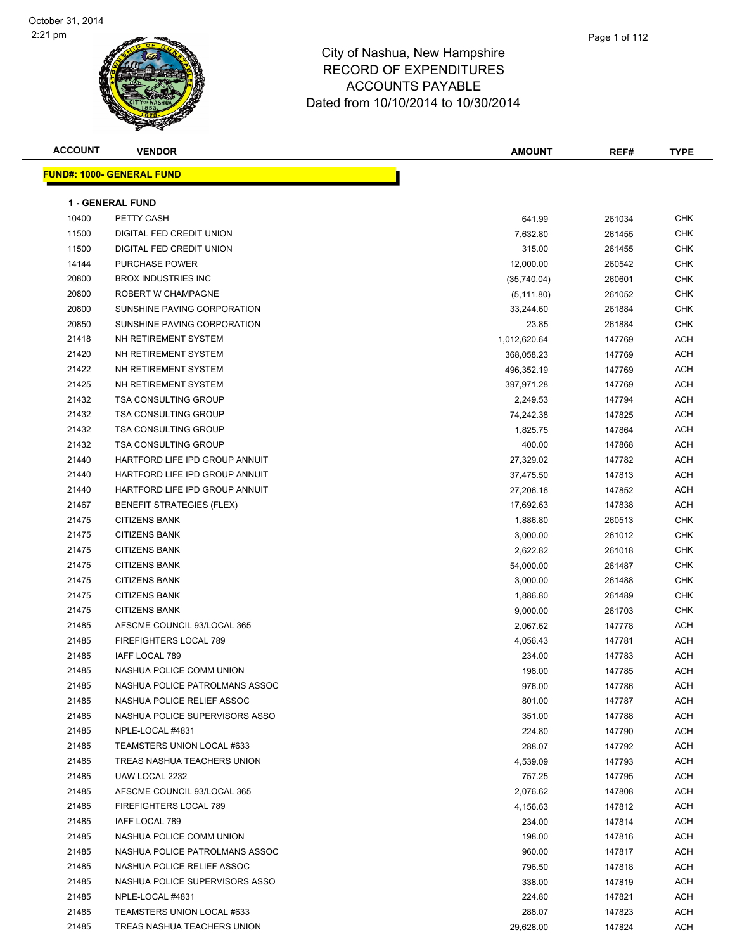| <b>ACCOUNT</b> | <b>VENDOR</b>                    | <b>AMOUNT</b> | REF#   | <b>TYPE</b> |
|----------------|----------------------------------|---------------|--------|-------------|
|                | <b>FUND#: 1000- GENERAL FUND</b> |               |        |             |
|                |                                  |               |        |             |
|                | <b>1 - GENERAL FUND</b>          |               |        |             |
| 10400          | PETTY CASH                       | 641.99        | 261034 | <b>CHK</b>  |
| 11500          | DIGITAL FED CREDIT UNION         | 7,632.80      | 261455 | <b>CHK</b>  |
| 11500          | DIGITAL FED CREDIT UNION         | 315.00        | 261455 | <b>CHK</b>  |
| 14144          | PURCHASE POWER                   | 12,000.00     | 260542 | <b>CHK</b>  |
| 20800          | <b>BROX INDUSTRIES INC</b>       | (35,740.04)   | 260601 | <b>CHK</b>  |
| 20800          | ROBERT W CHAMPAGNE               | (5, 111.80)   | 261052 | <b>CHK</b>  |
| 20800          | SUNSHINE PAVING CORPORATION      | 33,244.60     | 261884 | <b>CHK</b>  |
| 20850          | SUNSHINE PAVING CORPORATION      | 23.85         | 261884 | <b>CHK</b>  |
| 21418          | NH RETIREMENT SYSTEM             | 1,012,620.64  | 147769 | <b>ACH</b>  |
| 21420          | NH RETIREMENT SYSTEM             | 368,058.23    | 147769 | <b>ACH</b>  |
| 21422          | NH RETIREMENT SYSTEM             | 496,352.19    | 147769 | <b>ACH</b>  |
| 21425          | NH RETIREMENT SYSTEM             | 397,971.28    | 147769 | <b>ACH</b>  |
| 21432          | <b>TSA CONSULTING GROUP</b>      | 2,249.53      | 147794 | <b>ACH</b>  |
| 21432          | <b>TSA CONSULTING GROUP</b>      | 74,242.38     | 147825 | <b>ACH</b>  |
| 21432          | <b>TSA CONSULTING GROUP</b>      | 1,825.75      | 147864 | <b>ACH</b>  |
| 21432          | <b>TSA CONSULTING GROUP</b>      | 400.00        | 147868 | <b>ACH</b>  |
| 21440          | HARTFORD LIFE IPD GROUP ANNUIT   | 27,329.02     | 147782 | <b>ACH</b>  |
| 21440          | HARTFORD LIFE IPD GROUP ANNUIT   | 37,475.50     | 147813 | <b>ACH</b>  |
| 21440          | HARTFORD LIFE IPD GROUP ANNUIT   | 27,206.16     | 147852 | <b>ACH</b>  |
| 21467          | <b>BENEFIT STRATEGIES (FLEX)</b> | 17,692.63     | 147838 | <b>ACH</b>  |
| 21475          | <b>CITIZENS BANK</b>             | 1,886.80      | 260513 | <b>CHK</b>  |
| 21475          | <b>CITIZENS BANK</b>             | 3,000.00      | 261012 | <b>CHK</b>  |
| 21475          | <b>CITIZENS BANK</b>             | 2,622.82      | 261018 | <b>CHK</b>  |
| 21475          | <b>CITIZENS BANK</b>             | 54,000.00     | 261487 | <b>CHK</b>  |
| 21475          | <b>CITIZENS BANK</b>             | 3,000.00      | 261488 | <b>CHK</b>  |
| 21475          | <b>CITIZENS BANK</b>             | 1,886.80      | 261489 | <b>CHK</b>  |
| 21475          | <b>CITIZENS BANK</b>             | 9,000.00      | 261703 | <b>CHK</b>  |
| 21485          | AFSCME COUNCIL 93/LOCAL 365      | 2,067.62      | 147778 | <b>ACH</b>  |
| 21485          | FIREFIGHTERS LOCAL 789           | 4,056.43      | 147781 | <b>ACH</b>  |
| 21485          | IAFF LOCAL 789                   | 234.00        | 147783 | <b>ACH</b>  |
| 21485          | NASHUA POLICE COMM UNION         | 198.00        | 147785 | <b>ACH</b>  |
| 21485          | NASHUA POLICE PATROLMANS ASSOC   | 976.00        | 147786 | ACH         |
| 21485          | NASHUA POLICE RELIEF ASSOC       | 801.00        | 147787 | ACH         |
| 21485          | NASHUA POLICE SUPERVISORS ASSO   | 351.00        | 147788 | ACH         |
| 21485          | NPLE-LOCAL #4831                 | 224.80        | 147790 | ACH         |
| 21485          | TEAMSTERS UNION LOCAL #633       | 288.07        | 147792 | ACH         |
| 21485          | TREAS NASHUA TEACHERS UNION      | 4,539.09      | 147793 | <b>ACH</b>  |
| 21485          | UAW LOCAL 2232                   | 757.25        | 147795 | <b>ACH</b>  |
| 21485          | AFSCME COUNCIL 93/LOCAL 365      | 2,076.62      | 147808 | <b>ACH</b>  |
| 21485          | FIREFIGHTERS LOCAL 789           | 4,156.63      | 147812 | <b>ACH</b>  |
| 21485          | IAFF LOCAL 789                   | 234.00        | 147814 | ACH         |
| 21485          | NASHUA POLICE COMM UNION         | 198.00        | 147816 | ACH         |
| 21485          | NASHUA POLICE PATROLMANS ASSOC   | 960.00        | 147817 | <b>ACH</b>  |
| 21485          | NASHUA POLICE RELIEF ASSOC       | 796.50        | 147818 | ACH         |
| 21485          | NASHUA POLICE SUPERVISORS ASSO   | 338.00        | 147819 | ACH         |
| 21485          | NPLE-LOCAL #4831                 | 224.80        | 147821 | ACH         |
| 21485          | TEAMSTERS UNION LOCAL #633       | 288.07        | 147823 | ACH         |
| 21485          | TREAS NASHUA TEACHERS UNION      | 29,628.00     | 147824 | ACH         |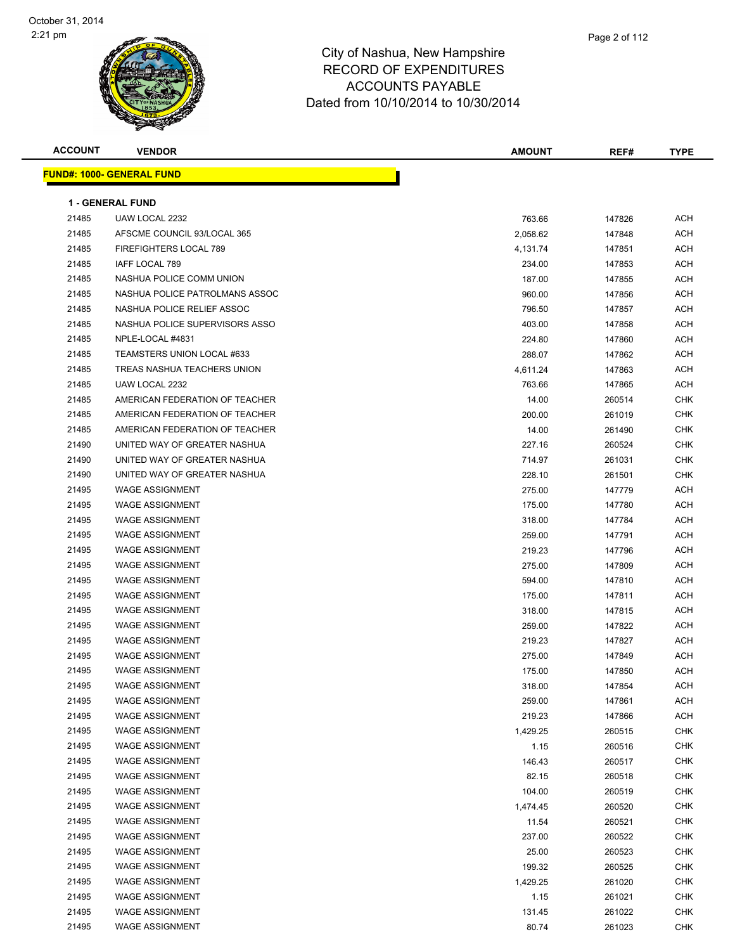

| ACCOUNT | <b>VENDOR</b>                             | <b>AMOUNT</b> | REF#   | <b>TYPE</b> |
|---------|-------------------------------------------|---------------|--------|-------------|
|         | <u> IND#: 1000- GENERAL FUND</u>          |               |        |             |
|         |                                           |               |        |             |
| 21485   | <b>1 - GENERAL FUND</b><br>UAW LOCAL 2232 | 763.66        | 147826 | ACH         |
| 21485   | AFSCME COUNCIL 93/LOCAL 365               | 2,058.62      | 147848 | <b>ACH</b>  |
| 21485   | FIREFIGHTERS LOCAL 789                    | 4,131.74      | 147851 | <b>ACH</b>  |
| 21485   | IAFF LOCAL 789                            | 234.00        | 147853 | <b>ACH</b>  |
| 21485   | NASHUA POLICE COMM UNION                  | 187.00        | 147855 | <b>ACH</b>  |
| 21485   | NASHUA POLICE PATROLMANS ASSOC            | 960.00        | 147856 | <b>ACH</b>  |
| 21485   | NASHUA POLICE RELIEF ASSOC                | 796.50        | 147857 | <b>ACH</b>  |
| 21485   | NASHUA POLICE SUPERVISORS ASSO            | 403.00        | 147858 | <b>ACH</b>  |
| 21485   | NPLE-LOCAL #4831                          | 224.80        | 147860 | <b>ACH</b>  |
| 21485   | TEAMSTERS UNION LOCAL #633                | 288.07        | 147862 | <b>ACH</b>  |
| 21485   | TREAS NASHUA TEACHERS UNION               | 4,611.24      | 147863 | <b>ACH</b>  |
| 21485   | UAW LOCAL 2232                            | 763.66        | 147865 | ACH         |
| 21485   | AMERICAN FEDERATION OF TEACHER            | 14.00         | 260514 | <b>CHK</b>  |
| 21485   | AMERICAN FEDERATION OF TEACHER            | 200.00        | 261019 | <b>CHK</b>  |
| 21485   | AMERICAN FEDERATION OF TEACHER            | 14.00         | 261490 | <b>CHK</b>  |
| 21490   | UNITED WAY OF GREATER NASHUA              | 227.16        | 260524 | <b>CHK</b>  |
| 21490   | UNITED WAY OF GREATER NASHUA              | 714.97        | 261031 | <b>CHK</b>  |
| 21490   | UNITED WAY OF GREATER NASHUA              | 228.10        | 261501 | <b>CHK</b>  |
| 21495   | <b>WAGE ASSIGNMENT</b>                    | 275.00        | 147779 | ACH         |
| 21495   | <b>WAGE ASSIGNMENT</b>                    | 175.00        | 147780 | <b>ACH</b>  |
| 21495   | <b>WAGE ASSIGNMENT</b>                    | 318.00        | 147784 | <b>ACH</b>  |
| 21495   | <b>WAGE ASSIGNMENT</b>                    | 259.00        | 147791 | <b>ACH</b>  |
| 21495   | <b>WAGE ASSIGNMENT</b>                    | 219.23        | 147796 | <b>ACH</b>  |
| 21495   | <b>WAGE ASSIGNMENT</b>                    | 275.00        | 147809 | <b>ACH</b>  |
| 21495   | <b>WAGE ASSIGNMENT</b>                    | 594.00        | 147810 | <b>ACH</b>  |
| 21495   | <b>WAGE ASSIGNMENT</b>                    | 175.00        | 147811 | <b>ACH</b>  |
| 21495   | <b>WAGE ASSIGNMENT</b>                    | 318.00        | 147815 | <b>ACH</b>  |
| 21495   | <b>WAGE ASSIGNMENT</b>                    | 259.00        | 147822 | <b>ACH</b>  |
| 21495   | <b>WAGE ASSIGNMENT</b>                    | 219.23        | 147827 | <b>ACH</b>  |
| 21495   | <b>WAGE ASSIGNMENT</b>                    | 275.00        | 147849 | ACH         |
| 21495   | <b>WAGE ASSIGNMENT</b>                    | 175.00        | 147850 | <b>ACH</b>  |
| 21495   | WAGE ASSIGNMENT                           | 318.00        | 147854 | <b>ACH</b>  |
| 21495   | <b>WAGE ASSIGNMENT</b>                    | 259.00        | 147861 | <b>ACH</b>  |
| 21495   | <b>WAGE ASSIGNMENT</b>                    | 219.23        | 147866 | ACH         |
| 21495   | <b>WAGE ASSIGNMENT</b>                    | 1,429.25      | 260515 | <b>CHK</b>  |
| 21495   | <b>WAGE ASSIGNMENT</b>                    | 1.15          | 260516 | <b>CHK</b>  |
| 21495   | <b>WAGE ASSIGNMENT</b>                    | 146.43        | 260517 | CHK         |
| 21495   | <b>WAGE ASSIGNMENT</b>                    | 82.15         | 260518 | CHK         |
| 21495   | <b>WAGE ASSIGNMENT</b>                    | 104.00        | 260519 | CHK         |
| 21495   | <b>WAGE ASSIGNMENT</b>                    | 1,474.45      | 260520 | CHK         |
| 21495   | <b>WAGE ASSIGNMENT</b>                    | 11.54         | 260521 | CHK         |
| 21495   | <b>WAGE ASSIGNMENT</b>                    | 237.00        | 260522 | CHK         |
| 21495   | <b>WAGE ASSIGNMENT</b>                    | 25.00         | 260523 | <b>CHK</b>  |
| 21495   | <b>WAGE ASSIGNMENT</b>                    | 199.32        | 260525 | CHK         |
| 21495   | <b>WAGE ASSIGNMENT</b>                    | 1,429.25      | 261020 | CHK         |
| 21495   | WAGE ASSIGNMENT                           | 1.15          | 261021 | CHK         |
| 21495   | WAGE ASSIGNMENT                           | 131.45        | 261022 | <b>CHK</b>  |
| 21495   | WAGE ASSIGNMENT                           | 80.74         | 261023 | <b>CHK</b>  |
|         |                                           |               |        |             |

**FUND#: 1**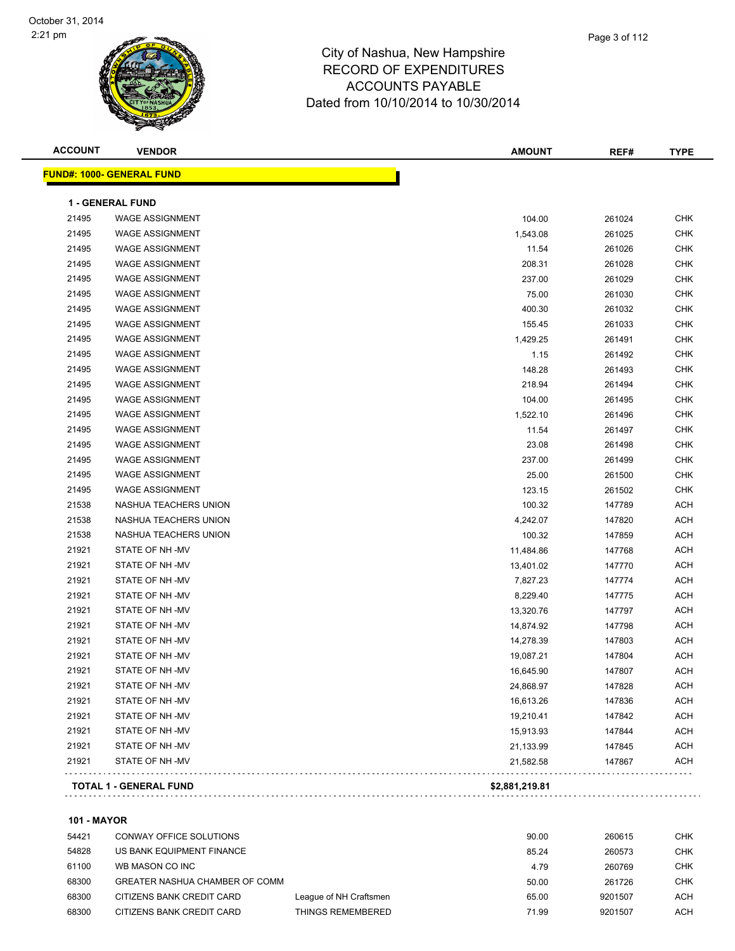

| <b>ACCOUNT</b> | <b>VENDOR</b>                    | <b>AMOUNT</b>  | REF#   | <b>TYPE</b> |
|----------------|----------------------------------|----------------|--------|-------------|
|                | <b>FUND#: 1000- GENERAL FUND</b> |                |        |             |
|                | <b>1 - GENERAL FUND</b>          |                |        |             |
| 21495          | <b>WAGE ASSIGNMENT</b>           | 104.00         | 261024 | <b>CHK</b>  |
| 21495          | <b>WAGE ASSIGNMENT</b>           | 1,543.08       | 261025 | <b>CHK</b>  |
| 21495          | <b>WAGE ASSIGNMENT</b>           | 11.54          | 261026 | <b>CHK</b>  |
| 21495          | <b>WAGE ASSIGNMENT</b>           | 208.31         | 261028 | <b>CHK</b>  |
| 21495          | <b>WAGE ASSIGNMENT</b>           | 237.00         | 261029 | <b>CHK</b>  |
| 21495          | <b>WAGE ASSIGNMENT</b>           | 75.00          | 261030 | <b>CHK</b>  |
| 21495          | <b>WAGE ASSIGNMENT</b>           | 400.30         | 261032 | <b>CHK</b>  |
| 21495          | <b>WAGE ASSIGNMENT</b>           | 155.45         | 261033 | <b>CHK</b>  |
| 21495          | <b>WAGE ASSIGNMENT</b>           | 1,429.25       | 261491 | <b>CHK</b>  |
| 21495          | <b>WAGE ASSIGNMENT</b>           | 1.15           | 261492 | <b>CHK</b>  |
| 21495          | <b>WAGE ASSIGNMENT</b>           | 148.28         | 261493 | <b>CHK</b>  |
| 21495          | <b>WAGE ASSIGNMENT</b>           | 218.94         | 261494 | CHK         |
| 21495          | <b>WAGE ASSIGNMENT</b>           | 104.00         | 261495 | <b>CHK</b>  |
| 21495          | <b>WAGE ASSIGNMENT</b>           | 1,522.10       | 261496 | <b>CHK</b>  |
| 21495          | <b>WAGE ASSIGNMENT</b>           | 11.54          | 261497 | <b>CHK</b>  |
| 21495          | <b>WAGE ASSIGNMENT</b>           | 23.08          | 261498 | <b>CHK</b>  |
| 21495          | <b>WAGE ASSIGNMENT</b>           | 237.00         | 261499 | <b>CHK</b>  |
| 21495          | <b>WAGE ASSIGNMENT</b>           | 25.00          | 261500 | <b>CHK</b>  |
| 21495          | <b>WAGE ASSIGNMENT</b>           | 123.15         | 261502 | <b>CHK</b>  |
| 21538          | NASHUA TEACHERS UNION            | 100.32         | 147789 | <b>ACH</b>  |
| 21538          | NASHUA TEACHERS UNION            | 4,242.07       | 147820 | <b>ACH</b>  |
| 21538          | NASHUA TEACHERS UNION            | 100.32         | 147859 | <b>ACH</b>  |
| 21921          | STATE OF NH-MV                   | 11,484.86      | 147768 | <b>ACH</b>  |
| 21921          | STATE OF NH -MV                  | 13,401.02      | 147770 | <b>ACH</b>  |
| 21921          | STATE OF NH -MV                  | 7,827.23       | 147774 | <b>ACH</b>  |
| 21921          | STATE OF NH-MV                   | 8,229.40       | 147775 | <b>ACH</b>  |
| 21921          | STATE OF NH-MV                   | 13,320.76      | 147797 | <b>ACH</b>  |
| 21921          | STATE OF NH-MV                   | 14,874.92      | 147798 | <b>ACH</b>  |
| 21921          | STATE OF NH-MV                   | 14,278.39      | 147803 | <b>ACH</b>  |
| 21921          | STATE OF NH-MV                   | 19,087.21      | 147804 | <b>ACH</b>  |
| 21921          | STATE OF NH -MV                  | 16,645.90      | 147807 | <b>ACH</b>  |
| 21921          | STATE OF NH-MV                   | 24,868.97      | 147828 | <b>ACH</b>  |
| 21921          | STATE OF NH -MV                  | 16,613.26      | 147836 | <b>ACH</b>  |
| 21921          | STATE OF NH-MV                   | 19,210.41      | 147842 | <b>ACH</b>  |
| 21921          | STATE OF NH-MV                   | 15,913.93      | 147844 | <b>ACH</b>  |
| 21921          | STATE OF NH -MV                  | 21,133.99      | 147845 | <b>ACH</b>  |
| 21921          | STATE OF NH -MV                  | 21,582.58      | 147867 | <b>ACH</b>  |
|                | <b>TOTAL 1 - GENERAL FUND</b>    | \$2,881,219.81 |        |             |
|                |                                  |                |        |             |

**101 - MAYOR**

| 54421 | CONWAY OFFICE SOLUTIONS        |                        | 90.00 | 260615  | <b>CHK</b> |
|-------|--------------------------------|------------------------|-------|---------|------------|
| 54828 | US BANK EQUIPMENT FINANCE      |                        | 85.24 | 260573  | <b>CHK</b> |
| 61100 | WB MASON CO INC                |                        | 4.79  | 260769  | снк        |
| 68300 | GREATER NASHUA CHAMBER OF COMM |                        | 50.00 | 261726  | снк        |
| 68300 | CITIZENS BANK CREDIT CARD      | League of NH Craftsmen | 65.00 | 9201507 | ACH        |
| 68300 | CITIZENS BANK CREDIT CARD      | THINGS REMEMBERED      | 71.99 | 9201507 | ACH        |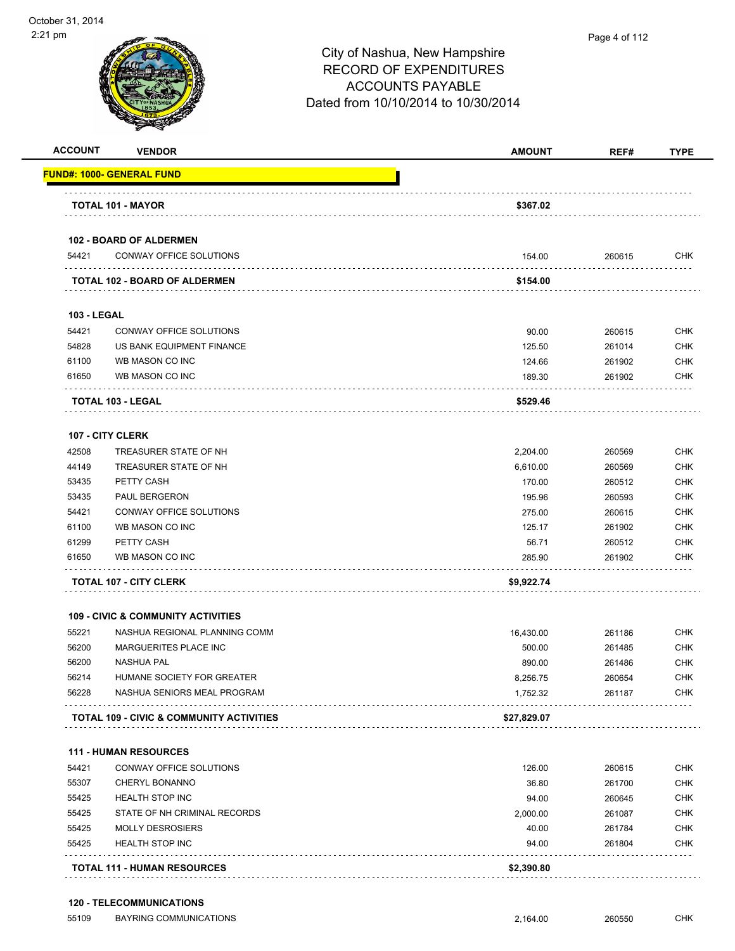

| <b>ACCOUNT</b>     | <b>VENDOR</b>                                       | <b>AMOUNT</b> | REF#   | <b>TYPE</b> |
|--------------------|-----------------------------------------------------|---------------|--------|-------------|
|                    | <u> FUND#: 1000- GENERAL FUND</u>                   |               |        |             |
|                    |                                                     |               |        |             |
|                    | TOTAL 101 - MAYOR                                   | \$367.02      |        |             |
|                    | 102 - BOARD OF ALDERMEN                             |               |        |             |
| 54421              | CONWAY OFFICE SOLUTIONS                             | 154.00        | 260615 | CHK         |
|                    | <b>TOTAL 102 - BOARD OF ALDERMEN</b>                | \$154.00      |        |             |
| <b>103 - LEGAL</b> |                                                     |               |        |             |
| 54421              | CONWAY OFFICE SOLUTIONS                             | 90.00         | 260615 | <b>CHK</b>  |
| 54828              | US BANK EQUIPMENT FINANCE                           | 125.50        | 261014 | CHK         |
| 61100              | WB MASON CO INC                                     | 124.66        | 261902 | <b>CHK</b>  |
| 61650              | WB MASON CO INC                                     | 189.30        | 261902 | CHK         |
|                    | TOTAL 103 - LEGAL                                   | \$529.46      |        |             |
|                    | 107 - CITY CLERK                                    |               |        |             |
| 42508              | TREASURER STATE OF NH                               | 2,204.00      | 260569 | <b>CHK</b>  |
| 44149              | TREASURER STATE OF NH                               | 6,610.00      | 260569 | <b>CHK</b>  |
| 53435              | PETTY CASH                                          | 170.00        | 260512 | <b>CHK</b>  |
| 53435              | <b>PAUL BERGERON</b>                                | 195.96        | 260593 | <b>CHK</b>  |
| 54421              | CONWAY OFFICE SOLUTIONS                             | 275.00        | 260615 | CHK         |
| 61100              | WB MASON CO INC                                     | 125.17        | 261902 | <b>CHK</b>  |
| 61299              | PETTY CASH                                          | 56.71         | 260512 | <b>CHK</b>  |
| 61650              | WB MASON CO INC                                     | 285.90        | 261902 | CHK         |
|                    | <b>TOTAL 107 - CITY CLERK</b>                       | \$9,922.74    |        |             |
|                    | <b>109 - CIVIC &amp; COMMUNITY ACTIVITIES</b>       |               |        |             |
| 55221              | NASHUA REGIONAL PLANNING COMM                       | 16,430.00     | 261186 | <b>CHK</b>  |
| 56200              | MARGUERITES PLACE INC                               | 500.00        | 261485 | <b>CHK</b>  |
| 56200              | <b>NASHUA PAL</b>                                   | 890.00        | 261486 | <b>CHK</b>  |
| 56214              | HUMANE SOCIETY FOR GREATER                          | 8,256.75      | 260654 | <b>CHK</b>  |
| 56228              | NASHUA SENIORS MEAL PROGRAM                         | 1,752.32      | 261187 | CHK         |
|                    | <b>TOTAL 109 - CIVIC &amp; COMMUNITY ACTIVITIES</b> | \$27,829.07   |        |             |
|                    | <b>111 - HUMAN RESOURCES</b>                        |               |        |             |
| 54421              | CONWAY OFFICE SOLUTIONS                             | 126.00        | 260615 | <b>CHK</b>  |
| 55307              | <b>CHERYL BONANNO</b>                               | 36.80         | 261700 | <b>CHK</b>  |
| 55425              | <b>HEALTH STOP INC</b>                              | 94.00         | 260645 | <b>CHK</b>  |
| 55425              | STATE OF NH CRIMINAL RECORDS                        | 2,000.00      | 261087 | <b>CHK</b>  |
| 55425              | <b>MOLLY DESROSIERS</b>                             | 40.00         | 261784 | <b>CHK</b>  |
| 55425              | <b>HEALTH STOP INC</b>                              | 94.00         | 261804 | <b>CHK</b>  |
|                    |                                                     |               |        |             |

#### **120 - TELECOMMUNICATIONS**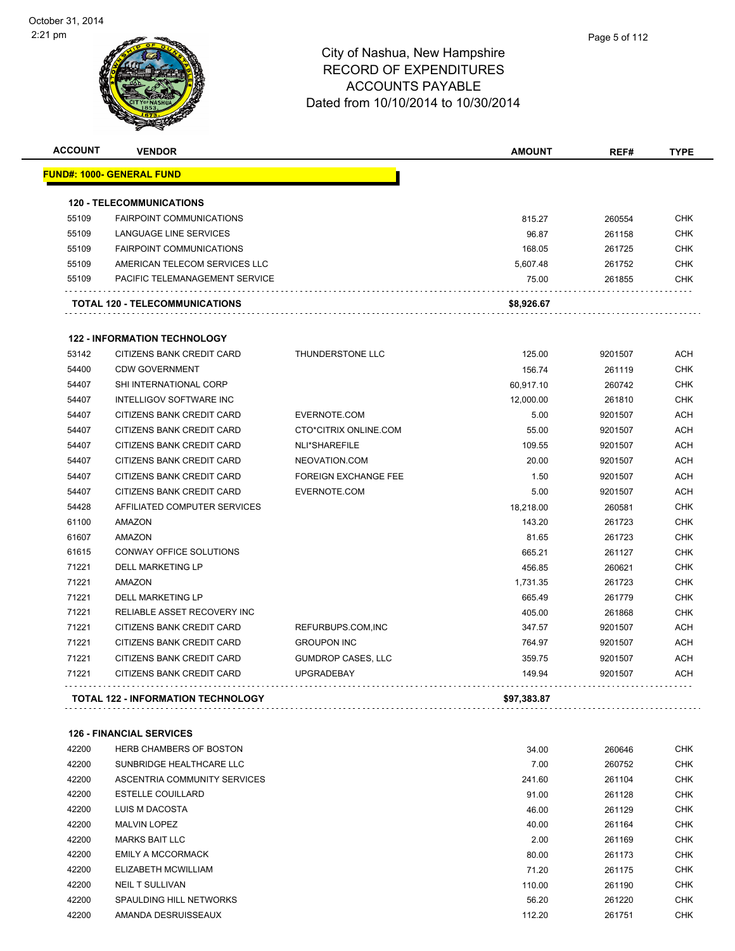| <b>ACCOUNT</b> | <b>VENDOR</b>                         |                             | <b>AMOUNT</b>  | REF#    | <b>TYPE</b>  |
|----------------|---------------------------------------|-----------------------------|----------------|---------|--------------|
|                | <u> FUND#: 1000- GENERAL FUND</u>     |                             |                |         |              |
|                | <b>120 - TELECOMMUNICATIONS</b>       |                             |                |         |              |
| 55109          | <b>FAIRPOINT COMMUNICATIONS</b>       |                             | 815.27         | 260554  | <b>CHK</b>   |
| 55109          | LANGUAGE LINE SERVICES                |                             | 96.87          | 261158  | <b>CHK</b>   |
| 55109          | <b>FAIRPOINT COMMUNICATIONS</b>       |                             | 168.05         | 261725  | <b>CHK</b>   |
| 55109          | AMERICAN TELECOM SERVICES LLC         |                             | 5,607.48       | 261752  | <b>CHK</b>   |
| 55109          | PACIFIC TELEMANAGEMENT SERVICE        |                             | 75.00          | 261855  | <b>CHK</b>   |
|                | <b>TOTAL 120 - TELECOMMUNICATIONS</b> |                             | \$8,926.67     |         |              |
|                | <b>122 - INFORMATION TECHNOLOGY</b>   |                             |                |         |              |
| 53142          | CITIZENS BANK CREDIT CARD             | THUNDERSTONE LLC            | 125.00         | 9201507 | <b>ACH</b>   |
| 54400          | <b>CDW GOVERNMENT</b>                 |                             | 156.74         | 261119  | <b>CHK</b>   |
| 54407          | SHI INTERNATIONAL CORP                |                             | 60,917.10      | 260742  | <b>CHK</b>   |
| 54407          | INTELLIGOV SOFTWARE INC               |                             | 12,000.00      | 261810  | <b>CHK</b>   |
| 54407          | CITIZENS BANK CREDIT CARD             | EVERNOTE.COM                | 5.00           | 9201507 | <b>ACH</b>   |
| 54407          | CITIZENS BANK CREDIT CARD             | CTO*CITRIX ONLINE.COM       | 55.00          | 9201507 | <b>ACH</b>   |
| 54407          | CITIZENS BANK CREDIT CARD             | NLI*SHAREFILE               | 109.55         | 9201507 | <b>ACH</b>   |
| 54407          | CITIZENS BANK CREDIT CARD             | NEOVATION.COM               | 20.00          | 9201507 | <b>ACH</b>   |
| 54407          | CITIZENS BANK CREDIT CARD             | <b>FOREIGN EXCHANGE FEE</b> | 1.50           | 9201507 | <b>ACH</b>   |
| 54407          | CITIZENS BANK CREDIT CARD             | EVERNOTE.COM                | 5.00           | 9201507 | <b>ACH</b>   |
| 54428          | AFFILIATED COMPUTER SERVICES          |                             | 18,218.00      | 260581  | <b>CHK</b>   |
| 61100          | AMAZON                                |                             | 143.20         | 261723  | <b>CHK</b>   |
| 61607          | <b>AMAZON</b>                         |                             | 81.65          | 261723  | <b>CHK</b>   |
| 61615          | <b>CONWAY OFFICE SOLUTIONS</b>        |                             | 665.21         | 261127  | <b>CHK</b>   |
| 71221          | <b>DELL MARKETING LP</b>              |                             | 456.85         | 260621  | <b>CHK</b>   |
| 71221          | AMAZON                                |                             | 1,731.35       | 261723  | <b>CHK</b>   |
| 71221          | DELL MARKETING LP                     |                             | 665.49         | 261779  | <b>CHK</b>   |
| 71221          | <b>RELIABLE ASSET RECOVERY INC</b>    |                             | 405.00         | 261868  | <b>CHK</b>   |
| 71221          | CITIZENS BANK CREDIT CARD             | REFURBUPS.COM, INC          | 347.57         | 9201507 | <b>ACH</b>   |
| 71221          | CITIZENS BANK CREDIT CARD             | <b>GROUPON INC</b>          | 764.97         | 9201507 | <b>ACH</b>   |
| 71221          | CITIZENS BANK CREDIT CARD             | <b>GUMDROP CASES, LLC</b>   | 359.75         | 9201507 | <b>ACH</b>   |
| 71221          | CITIZENS BANK CREDIT CARD             | <b>UPGRADEBAY</b>           | 149.94         | 9201507 | <b>ACH</b>   |
|                | TOTAL 122 - INFORMATION TECHNOLOGY    |                             | \$97,383.87    |         |              |
|                | <b>126 - FINANCIAL SERVICES</b>       |                             |                |         |              |
| 42200          | <b>HERB CHAMBERS OF BOSTON</b>        |                             | 34.00          | 260646  | CHK          |
| 10000          | CURIDDIDOE UEALTUCADE LLA             |                             | $\overline{z}$ |         | $\sim$ $\mu$ |

| 42200 | SUNBRIDGE HEALTHCARE LLC     | 7.00   | 260752 | <b>CHK</b> |
|-------|------------------------------|--------|--------|------------|
| 42200 | ASCENTRIA COMMUNITY SERVICES | 241.60 | 261104 | <b>CHK</b> |
| 42200 | <b>ESTELLE COUILLARD</b>     | 91.00  | 261128 | <b>CHK</b> |
| 42200 | LUIS M DACOSTA               | 46.00  | 261129 | <b>CHK</b> |
| 42200 | <b>MALVIN LOPEZ</b>          | 40.00  | 261164 | <b>CHK</b> |
| 42200 | <b>MARKS BAIT LLC</b>        | 2.00   | 261169 | <b>CHK</b> |
| 42200 | <b>EMILY A MCCORMACK</b>     | 80.00  | 261173 | <b>CHK</b> |
| 42200 | ELIZABETH MCWILLIAM          | 71.20  | 261175 | <b>CHK</b> |
| 42200 | <b>NEIL T SULLIVAN</b>       | 110.00 | 261190 | <b>CHK</b> |
| 42200 | SPAULDING HILL NETWORKS      | 56.20  | 261220 | <b>CHK</b> |
| 42200 | AMANDA DESRUISSEAUX          | 112.20 | 261751 | <b>CHK</b> |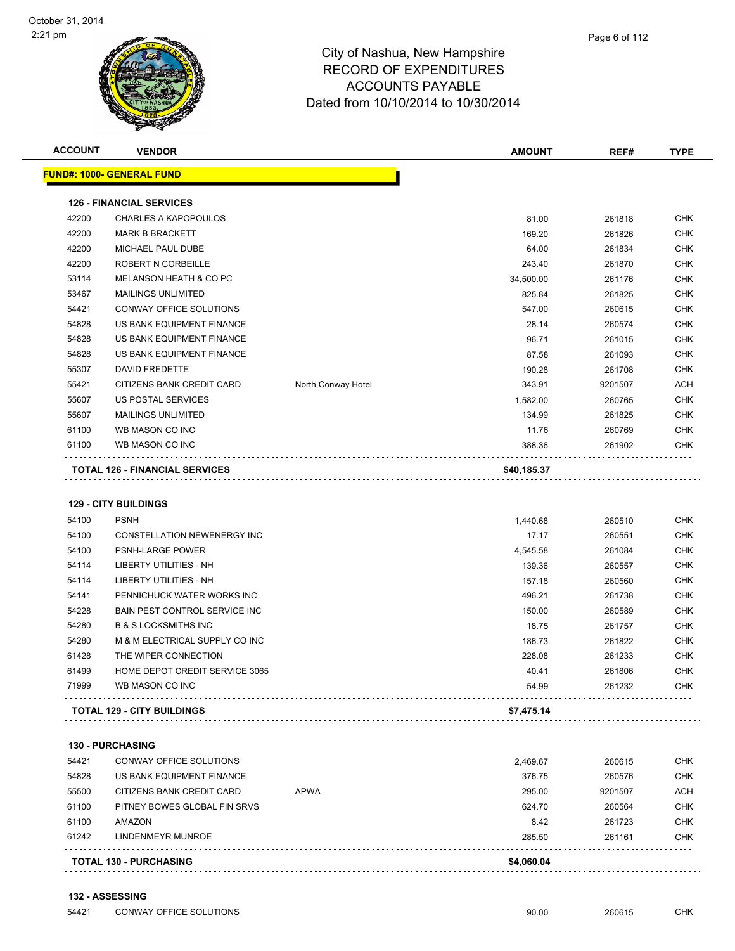| <b>ACCOUNT</b> | <b>VENDOR</b>                              |                    | <b>AMOUNT</b>     | REF#             | <b>TYPE</b>              |
|----------------|--------------------------------------------|--------------------|-------------------|------------------|--------------------------|
|                | <u> FUND#: 1000- GENERAL FUND</u>          |                    |                   |                  |                          |
|                | <b>126 - FINANCIAL SERVICES</b>            |                    |                   |                  |                          |
| 42200          | <b>CHARLES A KAPOPOULOS</b>                |                    | 81.00             | 261818           | <b>CHK</b>               |
| 42200          | <b>MARK B BRACKETT</b>                     |                    | 169.20            | 261826           | <b>CHK</b>               |
| 42200          | MICHAEL PAUL DUBE                          |                    | 64.00             | 261834           | <b>CHK</b>               |
| 42200          | ROBERT N CORBEILLE                         |                    | 243.40            | 261870           | <b>CHK</b>               |
| 53114          | MELANSON HEATH & CO PC                     |                    | 34,500.00         | 261176           | <b>CHK</b>               |
| 53467          | <b>MAILINGS UNLIMITED</b>                  |                    | 825.84            | 261825           | <b>CHK</b>               |
| 54421          | CONWAY OFFICE SOLUTIONS                    |                    | 547.00            | 260615           | <b>CHK</b>               |
| 54828          | US BANK EQUIPMENT FINANCE                  |                    | 28.14             | 260574           | <b>CHK</b>               |
| 54828          | US BANK EQUIPMENT FINANCE                  |                    | 96.71             | 261015           | <b>CHK</b>               |
| 54828          | US BANK EQUIPMENT FINANCE                  |                    | 87.58             | 261093           | <b>CHK</b>               |
| 55307          | DAVID FREDETTE                             |                    | 190.28            | 261708           | <b>CHK</b>               |
| 55421          | CITIZENS BANK CREDIT CARD                  | North Conway Hotel | 343.91            | 9201507          | <b>ACH</b>               |
| 55607          | US POSTAL SERVICES                         |                    | 1,582.00          | 260765           | <b>CHK</b>               |
| 55607          | <b>MAILINGS UNLIMITED</b>                  |                    | 134.99            | 261825           | <b>CHK</b>               |
| 61100          | WB MASON CO INC                            |                    | 11.76             | 260769           | <b>CHK</b>               |
| 61100          | WB MASON CO INC                            |                    | 388.36            | 261902           | <b>CHK</b>               |
|                | <b>TOTAL 126 - FINANCIAL SERVICES</b>      |                    | \$40,185.37       |                  |                          |
| 54100          | <b>129 - CITY BUILDINGS</b><br><b>PSNH</b> |                    |                   |                  |                          |
| 54100          | CONSTELLATION NEWENERGY INC                |                    | 1,440.68<br>17.17 | 260510<br>260551 | <b>CHK</b><br><b>CHK</b> |
| 54100          | <b>PSNH-LARGE POWER</b>                    |                    | 4,545.58          | 261084           | <b>CHK</b>               |
| 54114          | <b>LIBERTY UTILITIES - NH</b>              |                    | 139.36            | 260557           | <b>CHK</b>               |
| 54114          | LIBERTY UTILITIES - NH                     |                    | 157.18            |                  | <b>CHK</b>               |
| 54141          | PENNICHUCK WATER WORKS INC                 |                    | 496.21            | 260560           | <b>CHK</b>               |
| 54228          | BAIN PEST CONTROL SERVICE INC              |                    |                   | 261738           | <b>CHK</b>               |
|                | <b>B &amp; S LOCKSMITHS INC</b>            |                    | 150.00            | 260589           | <b>CHK</b>               |
| 54280<br>54280 | M & M ELECTRICAL SUPPLY CO INC             |                    | 18.75             | 261757           | <b>CHK</b>               |
| 61428          | THE WIPER CONNECTION                       |                    | 186.73            | 261822           |                          |
| 61499          | HOME DEPOT CREDIT SERVICE 3065             |                    | 228.08            | 261233           | <b>CHK</b><br><b>CHK</b> |
| 71999          | WB MASON CO INC                            |                    | 40.41<br>54.99    | 261806<br>261232 | CHK                      |
|                |                                            |                    |                   |                  |                          |
|                | <b>TOTAL 129 - CITY BUILDINGS</b>          |                    | \$7,475.14        |                  |                          |
|                | <b>130 - PURCHASING</b>                    |                    |                   |                  |                          |
| 54421          | CONWAY OFFICE SOLUTIONS                    |                    | 2,469.67          | 260615           | <b>CHK</b>               |
| 54828          | US BANK EQUIPMENT FINANCE                  |                    | 376.75            | 260576           | <b>CHK</b>               |
| 55500          | CITIZENS BANK CREDIT CARD                  | <b>APWA</b>        | 295.00            | 9201507          | <b>ACH</b>               |
| 61100          | PITNEY BOWES GLOBAL FIN SRVS               |                    | 624.70            | 260564           | <b>CHK</b>               |
| 61100          | AMAZON                                     |                    | 8.42              | 261723           | <b>CHK</b>               |
| 61242          | LINDENMEYR MUNROE                          |                    | 285.50            | 261161           | <b>CHK</b>               |
|                |                                            |                    |                   |                  |                          |
|                | <b>TOTAL 130 - PURCHASING</b>              |                    | \$4,060.04        |                  |                          |

#### **132 - ASSESSING**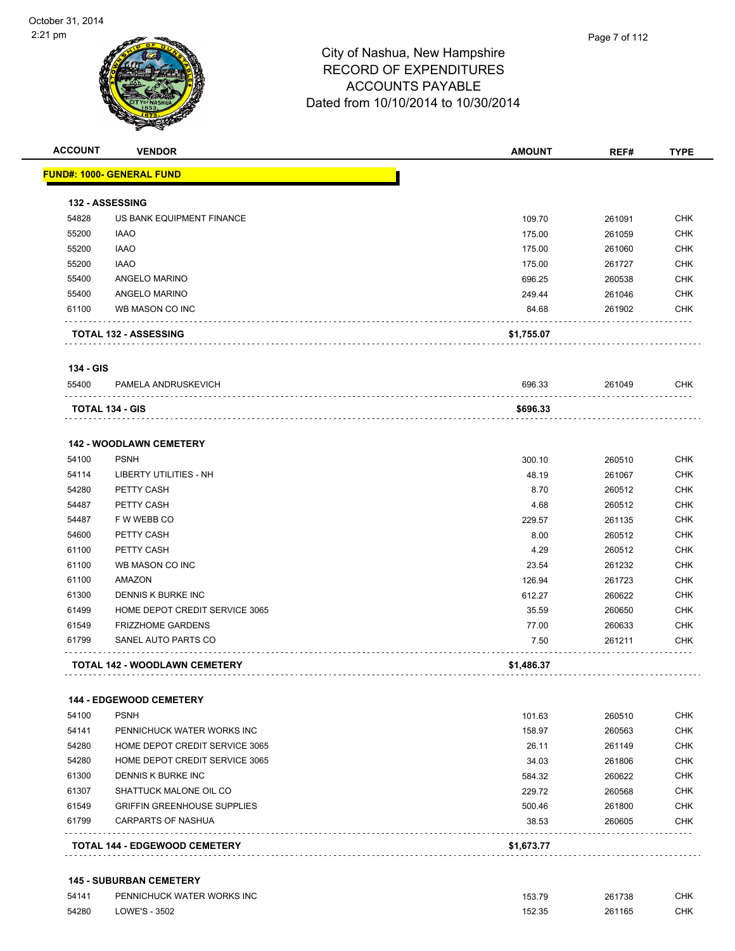

**ACCOUNT VENDOR AMOUNT REF# TYPE**

|           | <b>FUND#: 1000- GENERAL FUND</b>   |            |        |            |
|-----------|------------------------------------|------------|--------|------------|
|           | 132 - ASSESSING                    |            |        |            |
| 54828     | US BANK EQUIPMENT FINANCE          | 109.70     | 261091 | <b>CHK</b> |
| 55200     | <b>IAAO</b>                        | 175.00     | 261059 | <b>CHK</b> |
| 55200     | <b>IAAO</b>                        | 175.00     | 261060 | <b>CHK</b> |
| 55200     | <b>IAAO</b>                        | 175.00     | 261727 | <b>CHK</b> |
| 55400     | ANGELO MARINO                      | 696.25     | 260538 | <b>CHK</b> |
| 55400     | ANGELO MARINO                      | 249.44     | 261046 | <b>CHK</b> |
| 61100     | WB MASON CO INC                    | 84.68      | 261902 | <b>CHK</b> |
|           | <b>TOTAL 132 - ASSESSING</b>       | \$1,755.07 |        |            |
| 134 - GIS |                                    |            |        |            |
| 55400     | PAMELA ANDRUSKEVICH                | 696.33     | 261049 | <b>CHK</b> |
|           | <b>TOTAL 134 - GIS</b>             | \$696.33   |        |            |
|           | <b>142 - WOODLAWN CEMETERY</b>     |            |        |            |
| 54100     | <b>PSNH</b>                        | 300.10     | 260510 | <b>CHK</b> |
| 54114     | <b>LIBERTY UTILITIES - NH</b>      | 48.19      | 261067 | <b>CHK</b> |
| 54280     | PETTY CASH                         | 8.70       | 260512 | <b>CHK</b> |
| 54487     | PETTY CASH                         | 4.68       | 260512 | <b>CHK</b> |
| 54487     | F W WEBB CO                        | 229.57     | 261135 | <b>CHK</b> |
| 54600     | PETTY CASH                         | 8.00       | 260512 | <b>CHK</b> |
| 61100     | PETTY CASH                         | 4.29       | 260512 | <b>CHK</b> |
| 61100     | WB MASON CO INC                    | 23.54      | 261232 | <b>CHK</b> |
| 61100     | AMAZON                             | 126.94     | 261723 | <b>CHK</b> |
| 61300     | DENNIS K BURKE INC                 | 612.27     | 260622 | <b>CHK</b> |
| 61499     | HOME DEPOT CREDIT SERVICE 3065     | 35.59      | 260650 | <b>CHK</b> |
| 61549     | <b>FRIZZHOME GARDENS</b>           | 77.00      | 260633 | <b>CHK</b> |
| 61799     | SANEL AUTO PARTS CO                | 7.50       | 261211 | <b>CHK</b> |
|           | TOTAL 142 - WOODLAWN CEMETERY      | \$1,486.37 |        |            |
|           | 144 - EDGEWOOD CEMETERY            |            |        |            |
| 54100     | <b>PSNH</b>                        | 101.63     | 260510 | <b>CHK</b> |
| 54141     | PENNICHUCK WATER WORKS INC         | 158.97     | 260563 | CHK        |
| 54280     | HOME DEPOT CREDIT SERVICE 3065     | 26.11      | 261149 | CHK        |
| 54280     | HOME DEPOT CREDIT SERVICE 3065     | 34.03      | 261806 | <b>CHK</b> |
| 61300     | DENNIS K BURKE INC                 | 584.32     | 260622 | <b>CHK</b> |
| 61307     | SHATTUCK MALONE OIL CO             | 229.72     | 260568 | <b>CHK</b> |
| 61549     | <b>GRIFFIN GREENHOUSE SUPPLIES</b> | 500.46     | 261800 | <b>CHK</b> |
| 61799     | CARPARTS OF NASHUA                 | 38.53      | 260605 | CHK        |
|           | TOTAL 144 - EDGEWOOD CEMETERY      | \$1,673.77 |        |            |

#### **145 - SUBURBAN CEMETERY**

| 54141 | PENNICHUCK WATER WORKS INC | 153.79 | 261738 | СНК |
|-------|----------------------------|--------|--------|-----|
| 54280 | LOWE'S - 3502              | 152.35 | 261165 | СНК |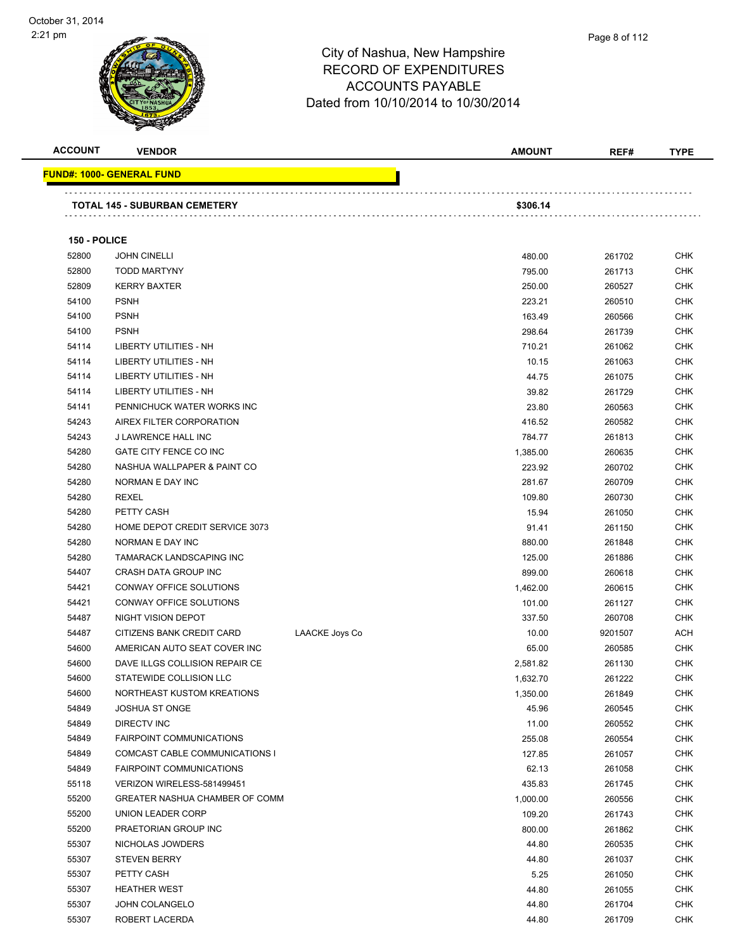

| <b>ACCOUNT</b> | <b>VENDOR</b>                                                |                | <b>AMOUNT</b>      | REF#             | <b>TYPE</b>              |
|----------------|--------------------------------------------------------------|----------------|--------------------|------------------|--------------------------|
|                | <u> FUND#: 1000- GENERAL FUND</u>                            |                |                    |                  |                          |
|                |                                                              |                |                    |                  |                          |
|                | <b>TOTAL 145 - SUBURBAN CEMETERY</b>                         |                | \$306.14           |                  |                          |
|                |                                                              |                |                    |                  |                          |
| 150 - POLICE   |                                                              |                |                    |                  |                          |
| 52800          | <b>JOHN CINELLI</b>                                          |                | 480.00             | 261702           | CHK                      |
| 52800          | <b>TODD MARTYNY</b>                                          |                | 795.00             | 261713           | CHK                      |
| 52809          | <b>KERRY BAXTER</b>                                          |                | 250.00             | 260527           | CHK                      |
| 54100          | <b>PSNH</b>                                                  |                | 223.21             | 260510           | CHK                      |
| 54100          | <b>PSNH</b>                                                  |                | 163.49             | 260566           | <b>CHK</b>               |
| 54100          | <b>PSNH</b>                                                  |                | 298.64             | 261739           | CHK                      |
| 54114          | <b>LIBERTY UTILITIES - NH</b>                                |                | 710.21             | 261062           | <b>CHK</b>               |
| 54114          | LIBERTY UTILITIES - NH                                       |                | 10.15              | 261063           | <b>CHK</b>               |
| 54114          | LIBERTY UTILITIES - NH                                       |                | 44.75              | 261075           | CHK                      |
| 54114          | LIBERTY UTILITIES - NH                                       |                | 39.82              | 261729           | CHK                      |
| 54141          | PENNICHUCK WATER WORKS INC                                   |                | 23.80              | 260563           | CHK                      |
| 54243          | AIREX FILTER CORPORATION                                     |                | 416.52             | 260582           | CHK                      |
| 54243          | J LAWRENCE HALL INC                                          |                | 784.77             | 261813           | CHK                      |
| 54280          | GATE CITY FENCE CO INC                                       |                | 1,385.00           | 260635           | <b>CHK</b>               |
| 54280          | NASHUA WALLPAPER & PAINT CO                                  |                | 223.92             | 260702           | CHK                      |
| 54280          | NORMAN E DAY INC                                             |                | 281.67             | 260709           | <b>CHK</b>               |
| 54280          | REXEL                                                        |                | 109.80             | 260730           | CHK                      |
| 54280          | PETTY CASH                                                   |                | 15.94              | 261050           | CHK                      |
| 54280          | HOME DEPOT CREDIT SERVICE 3073                               |                | 91.41              | 261150           | <b>CHK</b>               |
| 54280          | NORMAN E DAY INC                                             |                | 880.00             | 261848           | CHK                      |
| 54280          | <b>TAMARACK LANDSCAPING INC</b>                              |                | 125.00             | 261886           | CHK                      |
| 54407          | CRASH DATA GROUP INC                                         |                | 899.00             | 260618           | CHK                      |
| 54421          | CONWAY OFFICE SOLUTIONS                                      |                | 1,462.00           | 260615           | CHK                      |
| 54421          | CONWAY OFFICE SOLUTIONS                                      |                | 101.00             | 261127           | CHK                      |
| 54487          | NIGHT VISION DEPOT                                           |                | 337.50             | 260708           | CHK                      |
| 54487          | CITIZENS BANK CREDIT CARD                                    | LAACKE Joys Co | 10.00              | 9201507          | ACH                      |
| 54600          | AMERICAN AUTO SEAT COVER INC                                 |                | 65.00              | 260585           | CHK                      |
| 54600          | DAVE ILLGS COLLISION REPAIR CE                               |                | 2,581.82           | 261130           | CHK                      |
| 54600          | STATEWIDE COLLISION LLC                                      |                | 1,632.70           | 261222           | <b>CHK</b>               |
| 54600          | NORTHEAST KUSTOM KREATIONS                                   |                | 1,350.00           | 261849           | <b>CHK</b>               |
| 54849          | <b>JOSHUA ST ONGE</b>                                        |                | 45.96              | 260545           | <b>CHK</b>               |
| 54849          | <b>DIRECTV INC</b>                                           |                | 11.00              | 260552           | CHK                      |
| 54849          | <b>FAIRPOINT COMMUNICATIONS</b>                              |                | 255.08             | 260554           | CHK                      |
| 54849<br>54849 | COMCAST CABLE COMMUNICATIONS I                               |                | 127.85             | 261057           | <b>CHK</b>               |
|                | <b>FAIRPOINT COMMUNICATIONS</b>                              |                | 62.13<br>435.83    | 261058           | CHK                      |
| 55118<br>55200 | VERIZON WIRELESS-581499451<br>GREATER NASHUA CHAMBER OF COMM |                |                    | 261745           | <b>CHK</b><br><b>CHK</b> |
| 55200          | UNION LEADER CORP                                            |                | 1,000.00<br>109.20 | 260556<br>261743 | <b>CHK</b>               |
| 55200          | PRAETORIAN GROUP INC                                         |                | 800.00             | 261862           | <b>CHK</b>               |
| 55307          | NICHOLAS JOWDERS                                             |                | 44.80              | 260535           | <b>CHK</b>               |
| 55307          | <b>STEVEN BERRY</b>                                          |                | 44.80              |                  | <b>CHK</b>               |
| 55307          | PETTY CASH                                                   |                | 5.25               | 261037<br>261050 | CHK                      |
| 55307          | <b>HEATHER WEST</b>                                          |                | 44.80              | 261055           | CHK                      |
| 55307          | <b>JOHN COLANGELO</b>                                        |                | 44.80              | 261704           | <b>CHK</b>               |
| 55307          | ROBERT LACERDA                                               |                | 44.80              | 261709           | <b>CHK</b>               |
|                |                                                              |                |                    |                  |                          |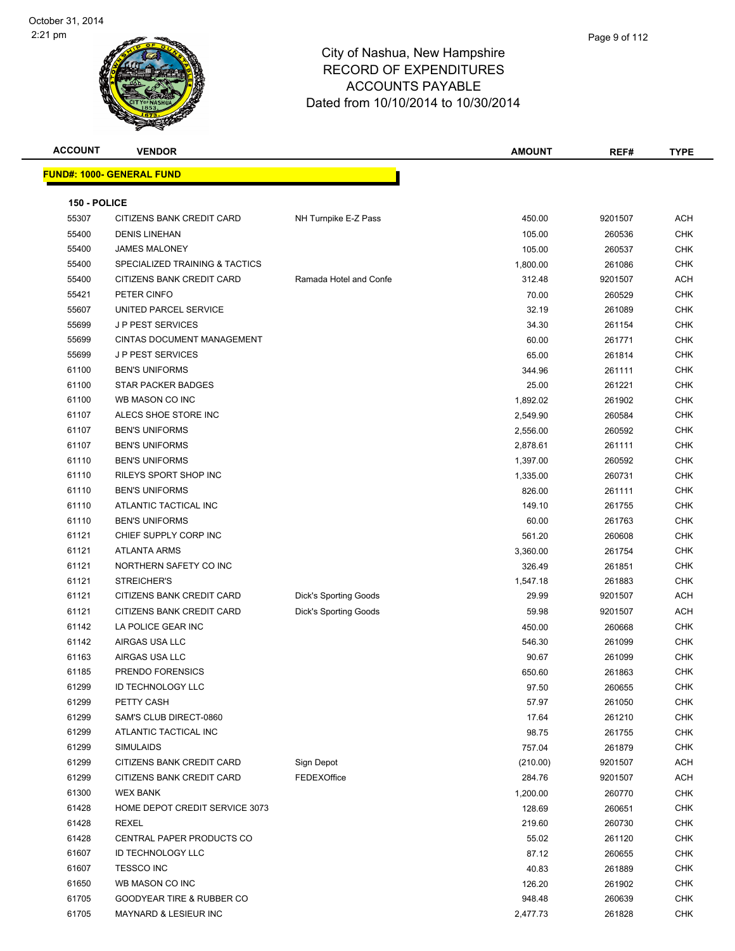|             | Page 9 of 112 |
|-------------|---------------|
| าpshire     |               |
| <b>URES</b> |               |
| . .         |               |

| <b>ACCOUNT</b> | <b>VENDOR</b>                    |                              | <b>AMOUNT</b> | REF#    | <b>TYPE</b> |
|----------------|----------------------------------|------------------------------|---------------|---------|-------------|
|                | <b>FUND#: 1000- GENERAL FUND</b> |                              |               |         |             |
|                |                                  |                              |               |         |             |
| 150 - POLICE   |                                  |                              |               |         |             |
| 55307          | CITIZENS BANK CREDIT CARD        | NH Turnpike E-Z Pass         | 450.00        | 9201507 | <b>ACH</b>  |
| 55400          | <b>DENIS LINEHAN</b>             |                              | 105.00        | 260536  | <b>CHK</b>  |
| 55400          | <b>JAMES MALONEY</b>             |                              | 105.00        | 260537  | <b>CHK</b>  |
| 55400          | SPECIALIZED TRAINING & TACTICS   |                              | 1,800.00      | 261086  | <b>CHK</b>  |
| 55400          | CITIZENS BANK CREDIT CARD        | Ramada Hotel and Confe       | 312.48        | 9201507 | <b>ACH</b>  |
| 55421          | PETER CINFO                      |                              | 70.00         | 260529  | <b>CHK</b>  |
| 55607          | UNITED PARCEL SERVICE            |                              | 32.19         | 261089  | <b>CHK</b>  |
| 55699          | <b>JP PEST SERVICES</b>          |                              | 34.30         | 261154  | <b>CHK</b>  |
| 55699          | CINTAS DOCUMENT MANAGEMENT       |                              | 60.00         | 261771  | <b>CHK</b>  |
| 55699          | <b>JP PEST SERVICES</b>          |                              | 65.00         | 261814  | <b>CHK</b>  |
| 61100          | <b>BEN'S UNIFORMS</b>            |                              | 344.96        | 261111  | <b>CHK</b>  |
| 61100          | <b>STAR PACKER BADGES</b>        |                              | 25.00         | 261221  | <b>CHK</b>  |
| 61100          | WB MASON CO INC                  |                              | 1,892.02      | 261902  | <b>CHK</b>  |
| 61107          | ALECS SHOE STORE INC             |                              | 2,549.90      | 260584  | <b>CHK</b>  |
| 61107          | <b>BEN'S UNIFORMS</b>            |                              | 2,556.00      | 260592  | <b>CHK</b>  |
| 61107          | <b>BEN'S UNIFORMS</b>            |                              | 2,878.61      | 261111  | <b>CHK</b>  |
| 61110          | <b>BEN'S UNIFORMS</b>            |                              | 1,397.00      | 260592  | <b>CHK</b>  |
| 61110          | <b>RILEYS SPORT SHOP INC</b>     |                              | 1,335.00      | 260731  | <b>CHK</b>  |
| 61110          | <b>BEN'S UNIFORMS</b>            |                              | 826.00        | 261111  | <b>CHK</b>  |
| 61110          | ATLANTIC TACTICAL INC            |                              | 149.10        | 261755  | <b>CHK</b>  |
| 61110          | <b>BEN'S UNIFORMS</b>            |                              | 60.00         | 261763  | <b>CHK</b>  |
| 61121          | CHIEF SUPPLY CORP INC            |                              | 561.20        | 260608  | <b>CHK</b>  |
| 61121          | <b>ATLANTA ARMS</b>              |                              | 3,360.00      | 261754  | <b>CHK</b>  |
| 61121          | NORTHERN SAFETY CO INC           |                              | 326.49        | 261851  | <b>CHK</b>  |
| 61121          | STREICHER'S                      |                              | 1,547.18      | 261883  | <b>CHK</b>  |
| 61121          | CITIZENS BANK CREDIT CARD        | <b>Dick's Sporting Goods</b> | 29.99         | 9201507 | <b>ACH</b>  |
| 61121          | CITIZENS BANK CREDIT CARD        | Dick's Sporting Goods        | 59.98         | 9201507 | <b>ACH</b>  |
| 61142          | LA POLICE GEAR INC               |                              | 450.00        | 260668  | <b>CHK</b>  |
| 61142          | AIRGAS USA LLC                   |                              | 546.30        | 261099  | CHK         |
| 61163          | AIRGAS USA LLC                   |                              | 90.67         | 261099  | <b>CHK</b>  |
| 61185          | PRENDO FORENSICS                 |                              | 650.60        | 261863  | <b>CHK</b>  |
| 61299          | <b>ID TECHNOLOGY LLC</b>         |                              | 97.50         | 260655  | CHK         |
| 61299          | PETTY CASH                       |                              | 57.97         | 261050  | <b>CHK</b>  |
| 61299          | SAM'S CLUB DIRECT-0860           |                              | 17.64         | 261210  | <b>CHK</b>  |
| 61299          | ATLANTIC TACTICAL INC            |                              | 98.75         | 261755  | <b>CHK</b>  |
| 61299          | <b>SIMULAIDS</b>                 |                              | 757.04        | 261879  | <b>CHK</b>  |
| 61299          | CITIZENS BANK CREDIT CARD        | Sign Depot                   | (210.00)      | 9201507 | ACH         |
| 61299          | CITIZENS BANK CREDIT CARD        | FEDEXOffice                  | 284.76        | 9201507 | ACH         |
| 61300          | <b>WEX BANK</b>                  |                              | 1,200.00      | 260770  | <b>CHK</b>  |
| 61428          | HOME DEPOT CREDIT SERVICE 3073   |                              | 128.69        | 260651  | <b>CHK</b>  |
| 61428          | REXEL                            |                              | 219.60        | 260730  | <b>CHK</b>  |
| 61428          | CENTRAL PAPER PRODUCTS CO        |                              | 55.02         | 261120  | <b>CHK</b>  |
| 61607          | <b>ID TECHNOLOGY LLC</b>         |                              | 87.12         | 260655  | <b>CHK</b>  |
| 61607          | <b>TESSCO INC</b>                |                              | 40.83         | 261889  | <b>CHK</b>  |
| 61650          | WB MASON CO INC                  |                              | 126.20        | 261902  | <b>CHK</b>  |
| 61705          | GOODYEAR TIRE & RUBBER CO        |                              | 948.48        | 260639  | <b>CHK</b>  |
| 61705          | MAYNARD & LESIEUR INC            |                              | 2,477.73      | 261828  | <b>CHK</b>  |
|                |                                  |                              |               |         |             |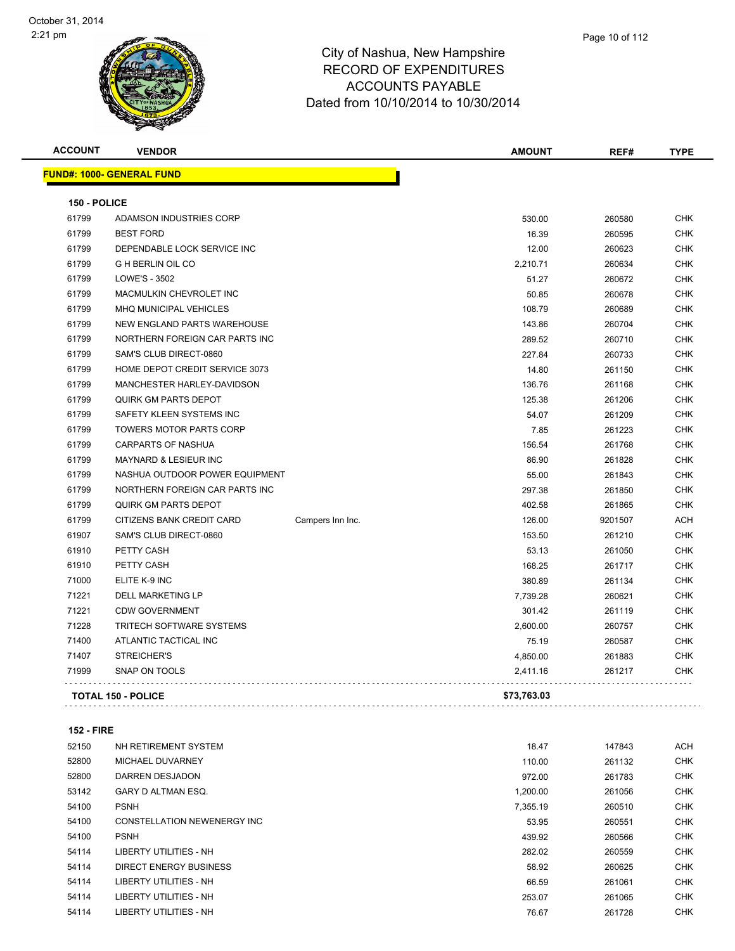| <b>ACCOUNT</b> | <b>VENDOR</b>                     |                  | <b>AMOUNT</b> | REF#    | <b>TYPE</b> |
|----------------|-----------------------------------|------------------|---------------|---------|-------------|
|                | <u> FUND#: 1000- GENERAL FUND</u> |                  |               |         |             |
| 150 - POLICE   |                                   |                  |               |         |             |
| 61799          | ADAMSON INDUSTRIES CORP           |                  | 530.00        | 260580  | <b>CHK</b>  |
| 61799          | <b>BEST FORD</b>                  |                  | 16.39         | 260595  | <b>CHK</b>  |
| 61799          | DEPENDABLE LOCK SERVICE INC       |                  | 12.00         | 260623  | <b>CHK</b>  |
| 61799          | <b>G H BERLIN OIL CO</b>          |                  | 2,210.71      | 260634  | <b>CHK</b>  |
| 61799          | LOWE'S - 3502                     |                  | 51.27         | 260672  | <b>CHK</b>  |
| 61799          | MACMULKIN CHEVROLET INC           |                  | 50.85         | 260678  | <b>CHK</b>  |
| 61799          | MHQ MUNICIPAL VEHICLES            |                  | 108.79        | 260689  | <b>CHK</b>  |
| 61799          | NEW ENGLAND PARTS WAREHOUSE       |                  | 143.86        | 260704  | <b>CHK</b>  |
| 61799          | NORTHERN FOREIGN CAR PARTS INC    |                  | 289.52        | 260710  | <b>CHK</b>  |
| 61799          | SAM'S CLUB DIRECT-0860            |                  | 227.84        | 260733  | <b>CHK</b>  |
| 61799          | HOME DEPOT CREDIT SERVICE 3073    |                  | 14.80         | 261150  | <b>CHK</b>  |
| 61799          | MANCHESTER HARLEY-DAVIDSON        |                  | 136.76        | 261168  | <b>CHK</b>  |
| 61799          | <b>QUIRK GM PARTS DEPOT</b>       |                  | 125.38        | 261206  | <b>CHK</b>  |
| 61799          | SAFETY KLEEN SYSTEMS INC          |                  | 54.07         | 261209  | <b>CHK</b>  |
| 61799          | <b>TOWERS MOTOR PARTS CORP</b>    |                  | 7.85          | 261223  | <b>CHK</b>  |
| 61799          | CARPARTS OF NASHUA                |                  | 156.54        | 261768  | <b>CHK</b>  |
| 61799          | <b>MAYNARD &amp; LESIEUR INC</b>  |                  | 86.90         | 261828  | <b>CHK</b>  |
| 61799          | NASHUA OUTDOOR POWER EQUIPMENT    |                  | 55.00         | 261843  | <b>CHK</b>  |
| 61799          | NORTHERN FOREIGN CAR PARTS INC    |                  | 297.38        | 261850  | <b>CHK</b>  |
| 61799          | <b>QUIRK GM PARTS DEPOT</b>       |                  | 402.58        | 261865  | <b>CHK</b>  |
| 61799          | CITIZENS BANK CREDIT CARD         | Campers Inn Inc. | 126.00        | 9201507 | <b>ACH</b>  |
| 61907          | SAM'S CLUB DIRECT-0860            |                  | 153.50        | 261210  | <b>CHK</b>  |
| 61910          | PETTY CASH                        |                  | 53.13         | 261050  | <b>CHK</b>  |
| 61910          | PETTY CASH                        |                  | 168.25        | 261717  | <b>CHK</b>  |
| 71000          | ELITE K-9 INC                     |                  | 380.89        | 261134  | <b>CHK</b>  |
| 71221          | DELL MARKETING LP                 |                  | 7,739.28      | 260621  | <b>CHK</b>  |
| 71221          | <b>CDW GOVERNMENT</b>             |                  | 301.42        | 261119  | <b>CHK</b>  |
| 71228          | <b>TRITECH SOFTWARE SYSTEMS</b>   |                  | 2,600.00      | 260757  | <b>CHK</b>  |
| 71400          | ATLANTIC TACTICAL INC             |                  | 75.19         | 260587  | <b>CHK</b>  |
| 71407          | STREICHER'S                       |                  | 4,850.00      | 261883  | <b>CHK</b>  |
| 71999          | SNAP ON TOOLS                     |                  | 2,411.16      | 261217  | CHK         |
|                | <b>TOTAL 150 - POLICE</b>         |                  | \$73,763.03   |         |             |

| 52150 | NH RETIREMENT SYSTEM        | 18.47    | 147843 | <b>ACH</b> |
|-------|-----------------------------|----------|--------|------------|
| 52800 | MICHAEL DUVARNEY            | 110.00   | 261132 | <b>CHK</b> |
| 52800 | DARREN DESJADON             | 972.00   | 261783 | <b>CHK</b> |
| 53142 | <b>GARY D ALTMAN ESQ.</b>   | 1.200.00 | 261056 | <b>CHK</b> |
| 54100 | <b>PSNH</b>                 | 7,355.19 | 260510 | <b>CHK</b> |
| 54100 | CONSTELLATION NEWENERGY INC | 53.95    | 260551 | <b>CHK</b> |
| 54100 | <b>PSNH</b>                 | 439.92   | 260566 | <b>CHK</b> |
| 54114 | LIBERTY UTILITIES - NH      | 282.02   | 260559 | <b>CHK</b> |
| 54114 | DIRECT ENERGY BUSINESS      | 58.92    | 260625 | <b>CHK</b> |
| 54114 | LIBERTY UTILITIES - NH      | 66.59    | 261061 | <b>CHK</b> |
| 54114 | LIBERTY UTILITIES - NH      | 253.07   | 261065 | <b>CHK</b> |
| 54114 | LIBERTY UTILITIES - NH      | 76.67    | 261728 | <b>CHK</b> |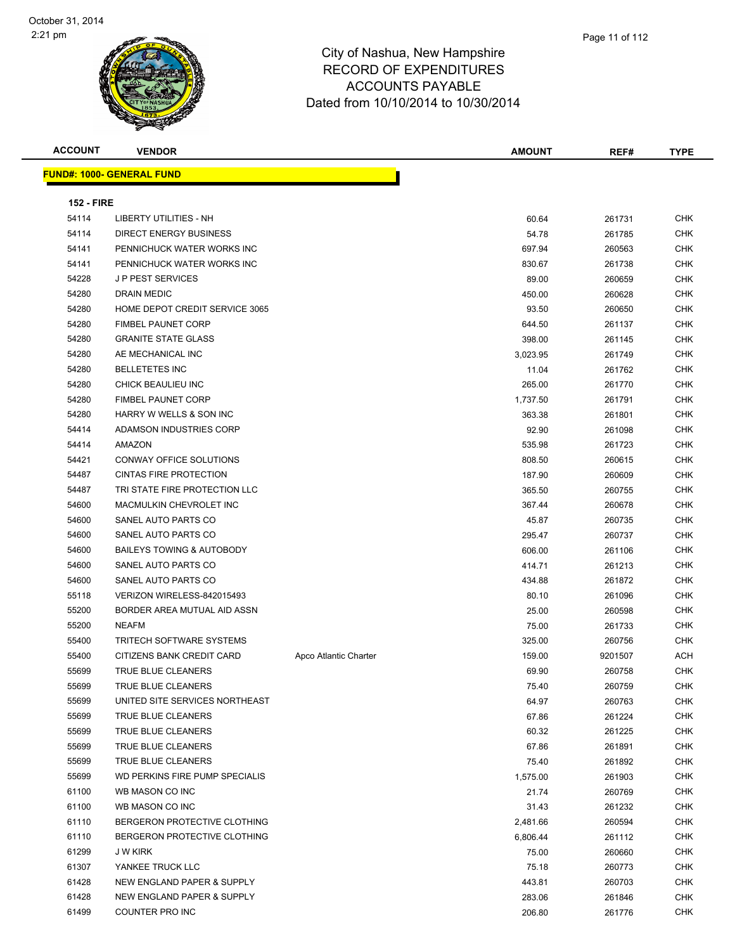| <b>ACCOUNT</b>    | <b>VENDOR</b>                     |                       | <b>AMOUNT</b> | REF#    | <b>TYPE</b> |
|-------------------|-----------------------------------|-----------------------|---------------|---------|-------------|
|                   | <u> FUND#: 1000- GENERAL FUND</u> |                       |               |         |             |
|                   |                                   |                       |               |         |             |
| <b>152 - FIRE</b> |                                   |                       |               |         |             |
| 54114             | <b>LIBERTY UTILITIES - NH</b>     |                       | 60.64         | 261731  | CHK         |
| 54114             | <b>DIRECT ENERGY BUSINESS</b>     |                       | 54.78         | 261785  | CHK         |
| 54141             | PENNICHUCK WATER WORKS INC        |                       | 697.94        | 260563  | CHK         |
| 54141             | PENNICHUCK WATER WORKS INC        |                       | 830.67        | 261738  | CHK         |
| 54228             | <b>JP PEST SERVICES</b>           |                       | 89.00         | 260659  | CHK         |
| 54280             | DRAIN MEDIC                       |                       | 450.00        | 260628  | CHK         |
| 54280             | HOME DEPOT CREDIT SERVICE 3065    |                       | 93.50         | 260650  | CHK         |
| 54280             | <b>FIMBEL PAUNET CORP</b>         |                       | 644.50        | 261137  | CHK         |
| 54280             | <b>GRANITE STATE GLASS</b>        |                       | 398.00        | 261145  | CHK         |
| 54280             | AE MECHANICAL INC                 |                       | 3,023.95      | 261749  | CHK         |
| 54280             | <b>BELLETETES INC</b>             |                       | 11.04         | 261762  | CHK         |
| 54280             | CHICK BEAULIEU INC                |                       | 265.00        | 261770  | CHK         |
| 54280             | <b>FIMBEL PAUNET CORP</b>         |                       | 1,737.50      | 261791  | CHK         |
| 54280             | HARRY W WELLS & SON INC           |                       | 363.38        | 261801  | CHK         |
| 54414             | ADAMSON INDUSTRIES CORP           |                       | 92.90         | 261098  | CHK         |
| 54414             | AMAZON                            |                       | 535.98        | 261723  | CHK         |
| 54421             | CONWAY OFFICE SOLUTIONS           |                       | 808.50        | 260615  | CHK         |
| 54487             | <b>CINTAS FIRE PROTECTION</b>     |                       | 187.90        | 260609  | CHK         |
| 54487             | TRI STATE FIRE PROTECTION LLC     |                       | 365.50        | 260755  | CHK         |
| 54600             | MACMULKIN CHEVROLET INC           |                       | 367.44        | 260678  | CHK         |
| 54600             | SANEL AUTO PARTS CO               |                       | 45.87         | 260735  | CHK         |
| 54600             | SANEL AUTO PARTS CO               |                       | 295.47        | 260737  | CHK         |
| 54600             | BAILEYS TOWING & AUTOBODY         |                       | 606.00        | 261106  | CHK         |
| 54600             | SANEL AUTO PARTS CO               |                       | 414.71        | 261213  | <b>CHK</b>  |
| 54600             | SANEL AUTO PARTS CO               |                       | 434.88        | 261872  | CHK         |
| 55118             | VERIZON WIRELESS-842015493        |                       | 80.10         | 261096  | CHK         |
| 55200             | BORDER AREA MUTUAL AID ASSN       |                       | 25.00         | 260598  | CHK         |
| 55200             | <b>NEAFM</b>                      |                       | 75.00         | 261733  | <b>CHK</b>  |
| 55400             | <b>TRITECH SOFTWARE SYSTEMS</b>   |                       | 325.00        | 260756  | <b>CHK</b>  |
| 55400             | CITIZENS BANK CREDIT CARD         | Apco Atlantic Charter | 159.00        | 9201507 | ACH         |
| 55699             | TRUE BLUE CLEANERS                |                       | 69.90         | 260758  | CHK         |
| 55699             | TRUE BLUE CLEANERS                |                       | 75.40         | 260759  | <b>CHK</b>  |
| 55699             | UNITED SITE SERVICES NORTHEAST    |                       | 64.97         | 260763  | CHK         |
| 55699             | TRUE BLUE CLEANERS                |                       | 67.86         | 261224  | <b>CHK</b>  |
| 55699             | TRUE BLUE CLEANERS                |                       | 60.32         | 261225  | <b>CHK</b>  |
| 55699             | TRUE BLUE CLEANERS                |                       | 67.86         | 261891  | <b>CHK</b>  |
| 55699             | TRUE BLUE CLEANERS                |                       | 75.40         | 261892  | <b>CHK</b>  |
| 55699             | WD PERKINS FIRE PUMP SPECIALIS    |                       | 1,575.00      | 261903  | <b>CHK</b>  |
| 61100             | WB MASON CO INC                   |                       | 21.74         | 260769  | <b>CHK</b>  |
| 61100             | WB MASON CO INC                   |                       | 31.43         | 261232  | <b>CHK</b>  |
| 61110             | BERGERON PROTECTIVE CLOTHING      |                       | 2,481.66      | 260594  | <b>CHK</b>  |
| 61110             | BERGERON PROTECTIVE CLOTHING      |                       | 6,806.44      | 261112  | <b>CHK</b>  |
| 61299             | J W KIRK                          |                       | 75.00         | 260660  | <b>CHK</b>  |
| 61307             | YANKEE TRUCK LLC                  |                       | 75.18         | 260773  | CHK         |
| 61428             | NEW ENGLAND PAPER & SUPPLY        |                       | 443.81        | 260703  | CHK         |
| 61428             | NEW ENGLAND PAPER & SUPPLY        |                       | 283.06        | 261846  | CHK         |
| 61499             | COUNTER PRO INC                   |                       | 206.80        | 261776  | <b>CHK</b>  |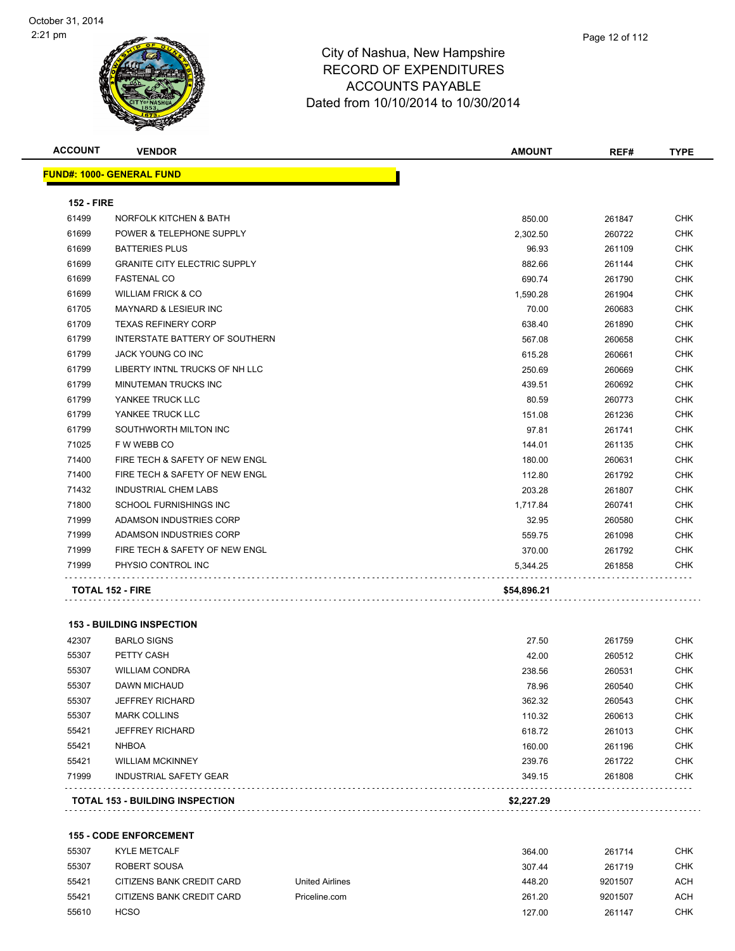| <b>ACCOUNT</b>    | <b>VENDOR</b>                       | <b>AMOUNT</b> | REF#   | <b>TYPE</b> |
|-------------------|-------------------------------------|---------------|--------|-------------|
|                   | <u> FUND#: 1000- GENERAL FUND</u>   |               |        |             |
| <b>152 - FIRE</b> |                                     |               |        |             |
| 61499             | <b>NORFOLK KITCHEN &amp; BATH</b>   | 850.00        | 261847 | <b>CHK</b>  |
| 61699             | POWER & TELEPHONE SUPPLY            | 2,302.50      | 260722 | <b>CHK</b>  |
| 61699             | <b>BATTERIES PLUS</b>               | 96.93         | 261109 | <b>CHK</b>  |
| 61699             | <b>GRANITE CITY ELECTRIC SUPPLY</b> | 882.66        | 261144 | <b>CHK</b>  |
| 61699             | <b>FASTENAL CO</b>                  | 690.74        | 261790 | CHK         |
| 61699             | <b>WILLIAM FRICK &amp; CO</b>       | 1,590.28      | 261904 | <b>CHK</b>  |
| 61705             | <b>MAYNARD &amp; LESIEUR INC</b>    | 70.00         | 260683 | <b>CHK</b>  |
| 61709             | <b>TEXAS REFINERY CORP</b>          | 638.40        | 261890 | <b>CHK</b>  |
| 61799             | INTERSTATE BATTERY OF SOUTHERN      | 567.08        | 260658 | <b>CHK</b>  |
| 61799             | JACK YOUNG CO INC                   | 615.28        | 260661 | <b>CHK</b>  |
| 61799             | LIBERTY INTNL TRUCKS OF NH LLC      | 250.69        | 260669 | <b>CHK</b>  |
| 61799             | MINUTEMAN TRUCKS INC                | 439.51        | 260692 | <b>CHK</b>  |
| 61799             | YANKEE TRUCK LLC                    | 80.59         | 260773 | <b>CHK</b>  |
| 61799             | YANKEE TRUCK LLC                    | 151.08        | 261236 | <b>CHK</b>  |
| 61799             | SOUTHWORTH MILTON INC               | 97.81         | 261741 | <b>CHK</b>  |
| 71025             | F W WEBB CO                         | 144.01        | 261135 | <b>CHK</b>  |
| 71400             | FIRE TECH & SAFETY OF NEW ENGL      | 180.00        | 260631 | <b>CHK</b>  |
| 71400             | FIRE TECH & SAFETY OF NEW ENGL      | 112.80        | 261792 | <b>CHK</b>  |
| 71432             | <b>INDUSTRIAL CHEM LABS</b>         | 203.28        | 261807 | CHK         |
| 71800             | SCHOOL FURNISHINGS INC              | 1,717.84      | 260741 | <b>CHK</b>  |
| 71999             | ADAMSON INDUSTRIES CORP             | 32.95         | 260580 | <b>CHK</b>  |
| 71999             | ADAMSON INDUSTRIES CORP             | 559.75        | 261098 | <b>CHK</b>  |
| 71999             | FIRE TECH & SAFETY OF NEW ENGL      | 370.00        | 261792 | CHK         |
| 71999             | PHYSIO CONTROL INC                  | 5,344.25      | 261858 | CHK         |
|                   | <b>TOTAL 152 - FIRE</b>             | \$54,896.21   |        |             |
|                   | <b>153 - BUILDING INSPECTION</b>    |               |        |             |
| 42307             | <b>BARLO SIGNS</b>                  | 27.50         | 261759 | <b>CHK</b>  |
| 55307             | PETTY CASH                          | 42.00         | 260512 | <b>CHK</b>  |
| 55307             | <b>WILLIAM CONDRA</b>               | 238.56        | 260531 | <b>CHK</b>  |
| 55307             | <b>DAWN MICHAUD</b>                 | 78.96         | 260540 | <b>CHK</b>  |
|                   |                                     |               |        |             |

|       | <b>TOTAL 153 - BUILDING INSPECTION</b> | \$2,227.29 |        |            |
|-------|----------------------------------------|------------|--------|------------|
| 71999 | INDUSTRIAL SAFETY GEAR                 | 349.15     | 261808 | CHK        |
| 55421 | <b>WILLIAM MCKINNEY</b>                | 239.76     | 261722 | CHK        |
| 55421 | <b>NHBOA</b>                           | 160.00     | 261196 | <b>CHK</b> |
| 55421 | <b>JEFFREY RICHARD</b>                 | 618.72     | 261013 | <b>CHK</b> |
| 55307 | <b>MARK COLLINS</b>                    | 110.32     | 260613 | <b>CHK</b> |
| 55307 | <b>JEFFREY RICHARD</b>                 | 362.32     | 260543 | CHK        |
| 55307 | DAWN MICHAUD                           | 78.96      | 260540 | <b>CHK</b> |

|  |  |  | ————————— |  | . . |
|--|--|--|-----------|--|-----|
|  |  |  |           |  |     |

#### **155 - CODE ENFORCEMENT**

| 55307 | <b>KYLE METCALF</b>       |                        | 364.00 | 261714  | CHK        |
|-------|---------------------------|------------------------|--------|---------|------------|
| 55307 | ROBERT SOUSA              |                        | 307.44 | 261719  | <b>CHK</b> |
| 55421 | CITIZENS BANK CREDIT CARD | <b>United Airlines</b> | 448.20 | 9201507 | ACH        |
| 55421 | CITIZENS BANK CREDIT CARD | Priceline.com          | 261.20 | 9201507 | ACH        |
| 55610 | <b>HCSO</b>               |                        | 127.00 | 261147  | <b>CHK</b> |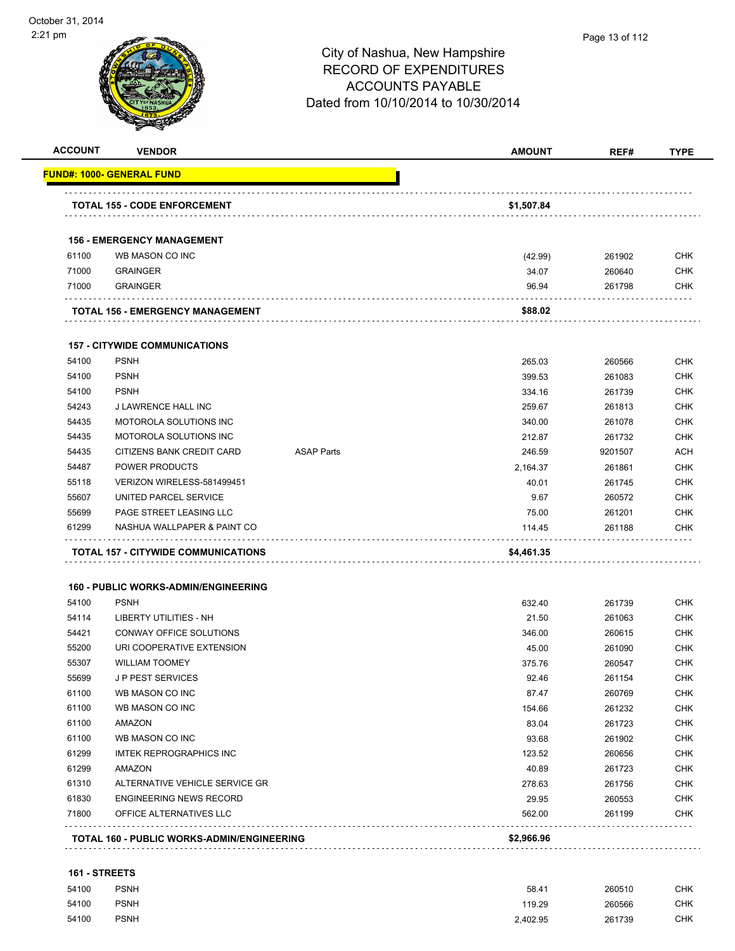| <b>ACCOUNT</b> | <b>VENDOR</b>                               |                   | <b>AMOUNT</b> | REF#    | <b>TYPE</b> |
|----------------|---------------------------------------------|-------------------|---------------|---------|-------------|
|                | FUND#: 1000- GENERAL FUND                   |                   |               |         |             |
|                | <b>TOTAL 155 - CODE ENFORCEMENT</b>         |                   | \$1,507.84    |         |             |
|                |                                             |                   |               |         |             |
|                | <b>156 - EMERGENCY MANAGEMENT</b>           |                   |               |         |             |
| 61100          | WB MASON CO INC                             |                   | (42.99)       | 261902  | CHK         |
| 71000          | <b>GRAINGER</b>                             |                   | 34.07         | 260640  | <b>CHK</b>  |
| 71000          | <b>GRAINGER</b>                             |                   | 96.94         | 261798  | CHK         |
|                | <b>TOTAL 156 - EMERGENCY MANAGEMENT</b>     |                   | \$88.02       |         |             |
|                | <b>157 - CITYWIDE COMMUNICATIONS</b>        |                   |               |         |             |
| 54100          | <b>PSNH</b>                                 |                   | 265.03        | 260566  | <b>CHK</b>  |
| 54100          | <b>PSNH</b>                                 |                   | 399.53        | 261083  | CHK         |
| 54100          | <b>PSNH</b>                                 |                   | 334.16        | 261739  | CHK         |
| 54243          | <b>J LAWRENCE HALL INC</b>                  |                   | 259.67        | 261813  | CHK         |
| 54435          | MOTOROLA SOLUTIONS INC                      |                   | 340.00        | 261078  | CHK         |
| 54435          | MOTOROLA SOLUTIONS INC                      |                   | 212.87        | 261732  | CHK         |
| 54435          | CITIZENS BANK CREDIT CARD                   | <b>ASAP Parts</b> | 246.59        | 9201507 | ACH         |
| 54487          | <b>POWER PRODUCTS</b>                       |                   | 2,164.37      | 261861  | <b>CHK</b>  |
| 55118          | VERIZON WIRELESS-581499451                  |                   | 40.01         | 261745  | <b>CHK</b>  |
| 55607          | UNITED PARCEL SERVICE                       |                   | 9.67          | 260572  | CHK         |
| 55699          | PAGE STREET LEASING LLC                     |                   | 75.00         | 261201  | <b>CHK</b>  |
| 61299          | NASHUA WALLPAPER & PAINT CO                 |                   | 114.45        | 261188  | <b>CHK</b>  |
|                | <b>TOTAL 157 - CITYWIDE COMMUNICATIONS</b>  |                   | \$4,461.35    |         |             |
|                | <b>160 - PUBLIC WORKS-ADMIN/ENGINEERING</b> |                   |               |         |             |
| 54100          | <b>PSNH</b>                                 |                   | 632.40        | 261739  | <b>CHK</b>  |
| 54114          | <b>LIBERTY UTILITIES - NH</b>               |                   | 21.50         | 261063  | <b>CHK</b>  |
| 54421          | CONWAY OFFICE SOLUTIONS                     |                   | 346.00        | 260615  | CHK         |
| 55200          | URI COOPERATIVE EXTENSION                   |                   | 45.00         | 261090  | <b>CHK</b>  |
| 55307          | <b>WILLIAM TOOMEY</b>                       |                   | 375.76        | 260547  | CHK         |
| 55699          | <b>JP PEST SERVICES</b>                     |                   | 92.46         | 261154  | <b>CHK</b>  |
| 61100          | WB MASON CO INC                             |                   | 87.47         | 260769  | <b>CHK</b>  |
| 61100          | WB MASON CO INC                             |                   | 154.66        | 261232  | <b>CHK</b>  |
| 61100          | AMAZON                                      |                   | 83.04         | 261723  | <b>CHK</b>  |
| 61100          | WB MASON CO INC                             |                   | 93.68         | 261902  | <b>CHK</b>  |
| 61299          | <b>IMTEK REPROGRAPHICS INC</b>              |                   | 123.52        | 260656  | <b>CHK</b>  |
| 61299          | <b>AMAZON</b>                               |                   | 40.89         | 261723  | <b>CHK</b>  |
| 61310          | ALTERNATIVE VEHICLE SERVICE GR              |                   | 278.63        | 261756  | <b>CHK</b>  |
| 61830          | <b>ENGINEERING NEWS RECORD</b>              |                   | 29.95         | 260553  | <b>CHK</b>  |
| 71800          | OFFICE ALTERNATIVES LLC                     |                   | 562.00        | 261199  | <b>CHK</b>  |
|                | TOTAL 160 - PUBLIC WORKS-ADMIN/ENGINEERING  |                   | \$2,966.96    |         |             |
|                |                                             |                   |               |         |             |

#### **161 - STREETS**

| 54100 | <b>PSNH</b> | 58.41    | 260510 | <b>CHK</b> |
|-------|-------------|----------|--------|------------|
| 54100 | <b>PSNH</b> | 119.29   | 260566 | <b>CHK</b> |
| 54100 | <b>PSNH</b> | 2,402.95 | 261739 | <b>CHK</b> |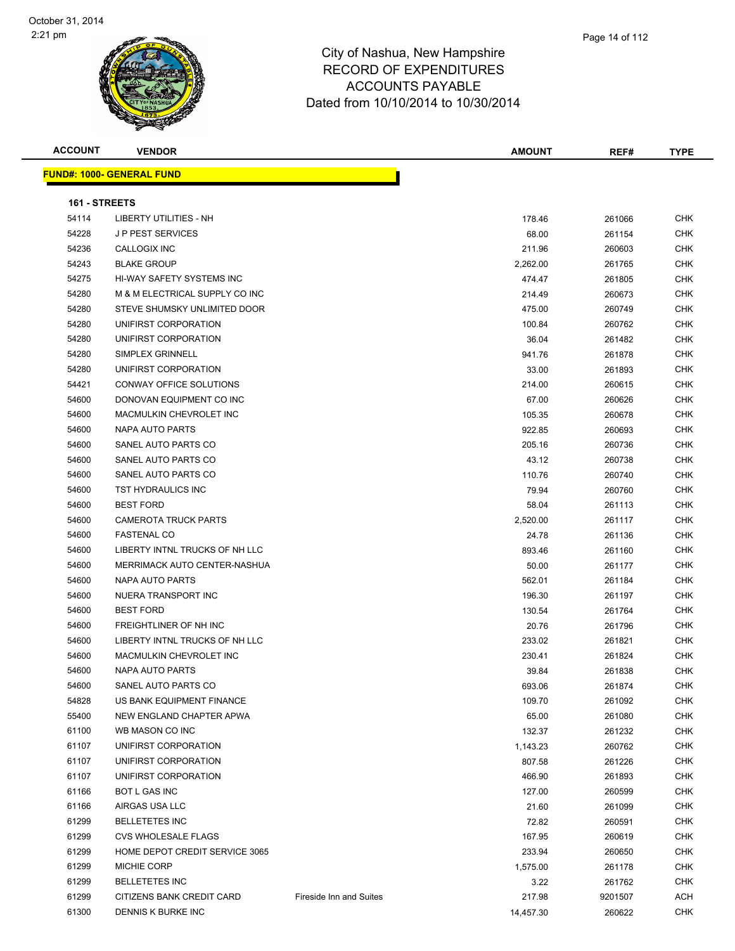| <b>ACCOUNT</b> | <b>VENDOR</b>                     |                         | <b>AMOUNT</b> | REF#    | <b>TYPE</b> |
|----------------|-----------------------------------|-------------------------|---------------|---------|-------------|
|                | <u> FUND#: 1000- GENERAL FUND</u> |                         |               |         |             |
|                |                                   |                         |               |         |             |
| 161 - STREETS  |                                   |                         |               |         |             |
| 54114          | <b>LIBERTY UTILITIES - NH</b>     |                         | 178.46        | 261066  | CHK         |
| 54228          | <b>JP PEST SERVICES</b>           |                         | 68.00         | 261154  | CHK         |
| 54236          | CALLOGIX INC                      |                         | 211.96        | 260603  | CHK         |
| 54243          | <b>BLAKE GROUP</b>                |                         | 2,262.00      | 261765  | CHK         |
| 54275          | HI-WAY SAFETY SYSTEMS INC         |                         | 474.47        | 261805  | <b>CHK</b>  |
| 54280          | M & M ELECTRICAL SUPPLY CO INC    |                         | 214.49        | 260673  | CHK         |
| 54280          | STEVE SHUMSKY UNLIMITED DOOR      |                         | 475.00        | 260749  | CHK         |
| 54280          | UNIFIRST CORPORATION              |                         | 100.84        | 260762  | CHK         |
| 54280          | UNIFIRST CORPORATION              |                         | 36.04         | 261482  | <b>CHK</b>  |
| 54280          | SIMPLEX GRINNELL                  |                         | 941.76        | 261878  | CHK         |
| 54280          | UNIFIRST CORPORATION              |                         | 33.00         | 261893  | CHK         |
| 54421          | CONWAY OFFICE SOLUTIONS           |                         | 214.00        | 260615  | CHK         |
| 54600          | DONOVAN EQUIPMENT CO INC          |                         | 67.00         | 260626  | CHK         |
| 54600          | MACMULKIN CHEVROLET INC           |                         | 105.35        | 260678  | CHK         |
| 54600          | NAPA AUTO PARTS                   |                         | 922.85        | 260693  | CHK         |
| 54600          | SANEL AUTO PARTS CO               |                         | 205.16        | 260736  | CHK         |
| 54600          | SANEL AUTO PARTS CO               |                         | 43.12         | 260738  | CHK         |
| 54600          | SANEL AUTO PARTS CO               |                         | 110.76        | 260740  | CHK         |
| 54600          | TST HYDRAULICS INC                |                         | 79.94         | 260760  | CHK         |
| 54600          | <b>BEST FORD</b>                  |                         | 58.04         | 261113  | CHK         |
| 54600          | <b>CAMEROTA TRUCK PARTS</b>       |                         | 2,520.00      | 261117  | CHK         |
| 54600          | <b>FASTENAL CO</b>                |                         | 24.78         | 261136  | CHK         |
| 54600          | LIBERTY INTNL TRUCKS OF NH LLC    |                         | 893.46        | 261160  | CHK         |
| 54600          | MERRIMACK AUTO CENTER-NASHUA      |                         | 50.00         | 261177  | CHK         |
| 54600          | NAPA AUTO PARTS                   |                         | 562.01        | 261184  | CHK         |
| 54600          | NUERA TRANSPORT INC               |                         | 196.30        | 261197  | CHK         |
| 54600          | <b>BEST FORD</b>                  |                         | 130.54        | 261764  | CHK         |
| 54600          | FREIGHTLINER OF NH INC            |                         | 20.76         | 261796  | CHK         |
| 54600          | LIBERTY INTNL TRUCKS OF NH LLC    |                         | 233.02        | 261821  | <b>CHK</b>  |
| 54600          | MACMULKIN CHEVROLET INC           |                         | 230.41        | 261824  | CHK         |
| 54600          | NAPA AUTO PARTS                   |                         | 39.84         | 261838  | CHK         |
| 54600          | SANEL AUTO PARTS CO               |                         | 693.06        | 261874  | CHK         |
| 54828          | US BANK EQUIPMENT FINANCE         |                         | 109.70        | 261092  | CHK         |
| 55400          | NEW ENGLAND CHAPTER APWA          |                         | 65.00         | 261080  | CHK         |
| 61100          | WB MASON CO INC                   |                         | 132.37        | 261232  | <b>CHK</b>  |
| 61107          | UNIFIRST CORPORATION              |                         | 1,143.23      | 260762  | CHK         |
| 61107          | UNIFIRST CORPORATION              |                         | 807.58        | 261226  | <b>CHK</b>  |
| 61107          | UNIFIRST CORPORATION              |                         | 466.90        | 261893  | <b>CHK</b>  |
| 61166          | BOT L GAS INC                     |                         | 127.00        | 260599  | CHK         |
| 61166          | AIRGAS USA LLC                    |                         | 21.60         | 261099  | <b>CHK</b>  |
| 61299          | <b>BELLETETES INC</b>             |                         | 72.82         | 260591  | <b>CHK</b>  |
| 61299          | <b>CVS WHOLESALE FLAGS</b>        |                         | 167.95        | 260619  | <b>CHK</b>  |
| 61299          | HOME DEPOT CREDIT SERVICE 3065    |                         | 233.94        | 260650  | <b>CHK</b>  |
| 61299          | MICHIE CORP                       |                         | 1,575.00      | 261178  | CHK         |
| 61299          | <b>BELLETETES INC</b>             |                         | 3.22          | 261762  | CHK         |
| 61299          | CITIZENS BANK CREDIT CARD         | Fireside Inn and Suites | 217.98        | 9201507 | ACH         |
| 61300          | DENNIS K BURKE INC                |                         | 14,457.30     | 260622  | CHK         |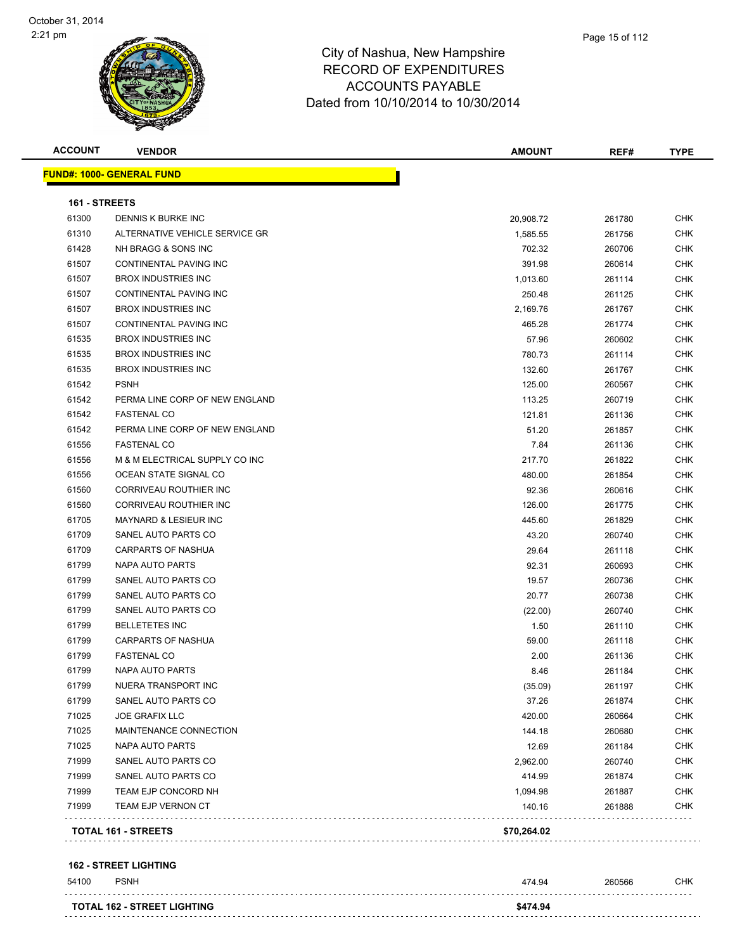| <b>ACCOUNT</b> | <b>VENDOR</b>                     | <b>AMOUNT</b> | REF#   | <b>TYPE</b> |
|----------------|-----------------------------------|---------------|--------|-------------|
|                | <u> FUND#: 1000- GENERAL FUND</u> |               |        |             |
| 161 - STREETS  |                                   |               |        |             |
| 61300          | DENNIS K BURKE INC                | 20,908.72     | 261780 | <b>CHK</b>  |
| 61310          | ALTERNATIVE VEHICLE SERVICE GR    | 1,585.55      | 261756 | <b>CHK</b>  |
| 61428          | NH BRAGG & SONS INC               | 702.32        | 260706 | CHK         |
| 61507          | CONTINENTAL PAVING INC            | 391.98        | 260614 | <b>CHK</b>  |
| 61507          | <b>BROX INDUSTRIES INC</b>        | 1,013.60      | 261114 | <b>CHK</b>  |
| 61507          | CONTINENTAL PAVING INC            | 250.48        | 261125 | CHK         |
| 61507          | <b>BROX INDUSTRIES INC</b>        | 2,169.76      | 261767 | <b>CHK</b>  |
| 61507          | CONTINENTAL PAVING INC            | 465.28        | 261774 | CHK         |
| 61535          | <b>BROX INDUSTRIES INC</b>        | 57.96         | 260602 | CHK         |
| 61535          | <b>BROX INDUSTRIES INC</b>        | 780.73        | 261114 | <b>CHK</b>  |
| 61535          | <b>BROX INDUSTRIES INC</b>        | 132.60        | 261767 | <b>CHK</b>  |
| 61542          | <b>PSNH</b>                       | 125.00        | 260567 | <b>CHK</b>  |
| 61542          | PERMA LINE CORP OF NEW ENGLAND    | 113.25        | 260719 | <b>CHK</b>  |
| 61542          | <b>FASTENAL CO</b>                | 121.81        | 261136 | CHK         |
| 61542          | PERMA LINE CORP OF NEW ENGLAND    | 51.20         | 261857 | <b>CHK</b>  |
| 61556          | <b>FASTENAL CO</b>                | 7.84          | 261136 | CHK         |
| 61556          | M & M ELECTRICAL SUPPLY CO INC    | 217.70        | 261822 | CHK         |
| 61556          | OCEAN STATE SIGNAL CO             | 480.00        | 261854 | <b>CHK</b>  |
| 61560          | CORRIVEAU ROUTHIER INC            | 92.36         | 260616 | CHK         |
| 61560          | CORRIVEAU ROUTHIER INC            | 126.00        | 261775 | CHK         |
| 61705          | <b>MAYNARD &amp; LESIEUR INC</b>  | 445.60        | 261829 | <b>CHK</b>  |
| 61709          | SANEL AUTO PARTS CO               | 43.20         | 260740 | <b>CHK</b>  |
| 61709          | <b>CARPARTS OF NASHUA</b>         | 29.64         | 261118 | <b>CHK</b>  |
| 61799          | NAPA AUTO PARTS                   | 92.31         | 260693 | <b>CHK</b>  |
| 61799          | SANEL AUTO PARTS CO               | 19.57         | 260736 | CHK         |
| 61799          | SANEL AUTO PARTS CO               | 20.77         | 260738 | <b>CHK</b>  |
| 61799          | SANEL AUTO PARTS CO               | (22.00)       | 260740 | <b>CHK</b>  |
| 61799          | <b>BELLETETES INC</b>             | 1.50          | 261110 | CHK         |
| 61799          | CARPARTS OF NASHUA                | 59.00         | 261118 | <b>CHK</b>  |
| 61799          | <b>FASTENAL CO</b>                | 2.00          | 261136 | CHK         |
| 61799          | <b>NAPA AUTO PARTS</b>            | 8.46          | 261184 | CHK         |
| 61799          | NUERA TRANSPORT INC               | (35.09)       | 261197 | CHK         |
| 61799          | SANEL AUTO PARTS CO               | 37.26         | 261874 | CHK         |
| 71025          | <b>JOE GRAFIX LLC</b>             | 420.00        | 260664 | <b>CHK</b>  |
| 71025          | MAINTENANCE CONNECTION            | 144.18        | 260680 | <b>CHK</b>  |
| 71025          | NAPA AUTO PARTS                   | 12.69         | 261184 | <b>CHK</b>  |
| 71999          | SANEL AUTO PARTS CO               | 2,962.00      | 260740 | <b>CHK</b>  |
| 71999          | SANEL AUTO PARTS CO               | 414.99        | 261874 | <b>CHK</b>  |
| 71999          | TEAM EJP CONCORD NH               | 1,094.98      | 261887 | <b>CHK</b>  |
| 71999          | TEAM EJP VERNON CT                | 140.16        | 261888 | CHK         |
|                |                                   |               |        |             |
|                | <b>TOTAL 161 - STREETS</b>        | \$70,264.02   |        |             |

#### **162 - STREET LIGHTING**

| 54100 | <b>PSNH</b>                        | 474.94   | 260566 | СНК |
|-------|------------------------------------|----------|--------|-----|
|       | <b>TOTAL 162 - STREET LIGHTING</b> | \$474.94 |        |     |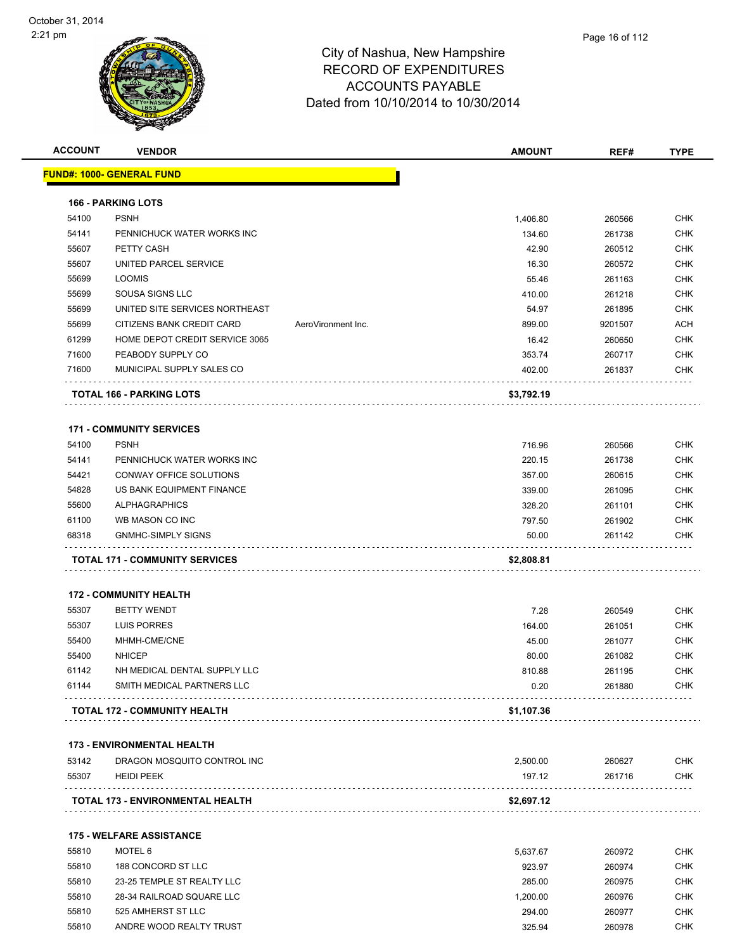

| <b>ACCOUNT</b> | <b>VENDOR</b>                         |                    | <b>AMOUNT</b> | REF#    | <b>TYPE</b> |
|----------------|---------------------------------------|--------------------|---------------|---------|-------------|
|                | <b>FUND#: 1000- GENERAL FUND</b>      |                    |               |         |             |
|                | <b>166 - PARKING LOTS</b>             |                    |               |         |             |
| 54100          | <b>PSNH</b>                           |                    | 1,406.80      | 260566  | <b>CHK</b>  |
| 54141          | PENNICHUCK WATER WORKS INC            |                    | 134.60        | 261738  | <b>CHK</b>  |
| 55607          | PETTY CASH                            |                    | 42.90         | 260512  | <b>CHK</b>  |
| 55607          | UNITED PARCEL SERVICE                 |                    | 16.30         | 260572  | <b>CHK</b>  |
| 55699          | <b>LOOMIS</b>                         |                    | 55.46         | 261163  | <b>CHK</b>  |
| 55699          | SOUSA SIGNS LLC                       |                    | 410.00        | 261218  | <b>CHK</b>  |
| 55699          | UNITED SITE SERVICES NORTHEAST        |                    | 54.97         | 261895  | <b>CHK</b>  |
| 55699          | CITIZENS BANK CREDIT CARD             | AeroVironment Inc. | 899.00        | 9201507 | <b>ACH</b>  |
| 61299          | HOME DEPOT CREDIT SERVICE 3065        |                    | 16.42         | 260650  | <b>CHK</b>  |
| 71600          | PEABODY SUPPLY CO                     |                    | 353.74        | 260717  | <b>CHK</b>  |
| 71600          | MUNICIPAL SUPPLY SALES CO             |                    | 402.00        | 261837  | <b>CHK</b>  |
|                | <b>TOTAL 166 - PARKING LOTS</b>       |                    | \$3,792.19    |         |             |
|                | <b>171 - COMMUNITY SERVICES</b>       |                    |               |         |             |
| 54100          | <b>PSNH</b>                           |                    | 716.96        | 260566  | <b>CHK</b>  |
| 54141          | PENNICHUCK WATER WORKS INC            |                    | 220.15        | 261738  | <b>CHK</b>  |
| 54421          | CONWAY OFFICE SOLUTIONS               |                    | 357.00        | 260615  | <b>CHK</b>  |
| 54828          | US BANK EQUIPMENT FINANCE             |                    | 339.00        | 261095  | <b>CHK</b>  |
| 55600          | <b>ALPHAGRAPHICS</b>                  |                    | 328.20        | 261101  | <b>CHK</b>  |
| 61100          | WB MASON CO INC                       |                    | 797.50        | 261902  | <b>CHK</b>  |
| 68318          | <b>GNMHC-SIMPLY SIGNS</b>             |                    | 50.00         | 261142  | <b>CHK</b>  |
|                | <b>TOTAL 171 - COMMUNITY SERVICES</b> |                    | \$2,808.81    |         |             |
|                | <b>172 - COMMUNITY HEALTH</b>         |                    |               |         |             |
| 55307          | <b>BETTY WENDT</b>                    |                    | 7.28          | 260549  | <b>CHK</b>  |
| 55307          | <b>LUIS PORRES</b>                    |                    | 164.00        | 261051  | <b>CHK</b>  |
| 55400          | MHMH-CME/CNE                          |                    | 45.00         | 261077  | <b>CHK</b>  |
| 55400          | <b>NHICEP</b>                         |                    | 80.00         | 261082  | <b>CHK</b>  |
| 61142          | NH MEDICAL DENTAL SUPPLY LLC          |                    | 810.88        | 261195  | <b>CHK</b>  |
| 61144          | SMITH MEDICAL PARTNERS LLC            |                    | 0.20          | 261880  | CHK         |
|                | TOTAL 172 - COMMUNITY HEALTH          |                    | \$1,107.36    |         |             |
|                | <b>173 - ENVIRONMENTAL HEALTH</b>     |                    |               |         |             |
| 53142          | DRAGON MOSQUITO CONTROL INC           |                    | 2,500.00      | 260627  | <b>CHK</b>  |
| 55307          | <b>HEIDI PEEK</b>                     |                    | 197.12        | 261716  | <b>CHK</b>  |
|                | TOTAL 173 - ENVIRONMENTAL HEALTH      |                    | \$2,697.12    |         |             |
|                | <b>175 - WELFARE ASSISTANCE</b>       |                    |               |         |             |
| 55810          | MOTEL 6                               |                    | 5,637.67      | 260972  | CHK         |
| 55810          | 188 CONCORD ST LLC                    |                    | 923.97        | 260974  | <b>CHK</b>  |
|                |                                       |                    |               |         |             |

 55810 23-25 TEMPLE ST REALTY LLC 285.00 260975 CHK 55810 28-34 RAILROAD SQUARE LLC 1,200.00 260976 CHK 55810 525 AMHERST ST LLC 6 260977 CHK 55810 ANDRE WOOD REALTY TRUST A CHARGE AND REALTY TRUST A CHARGE AND REALTY TRUST A CHARGE AND REALTY TRUST A CHA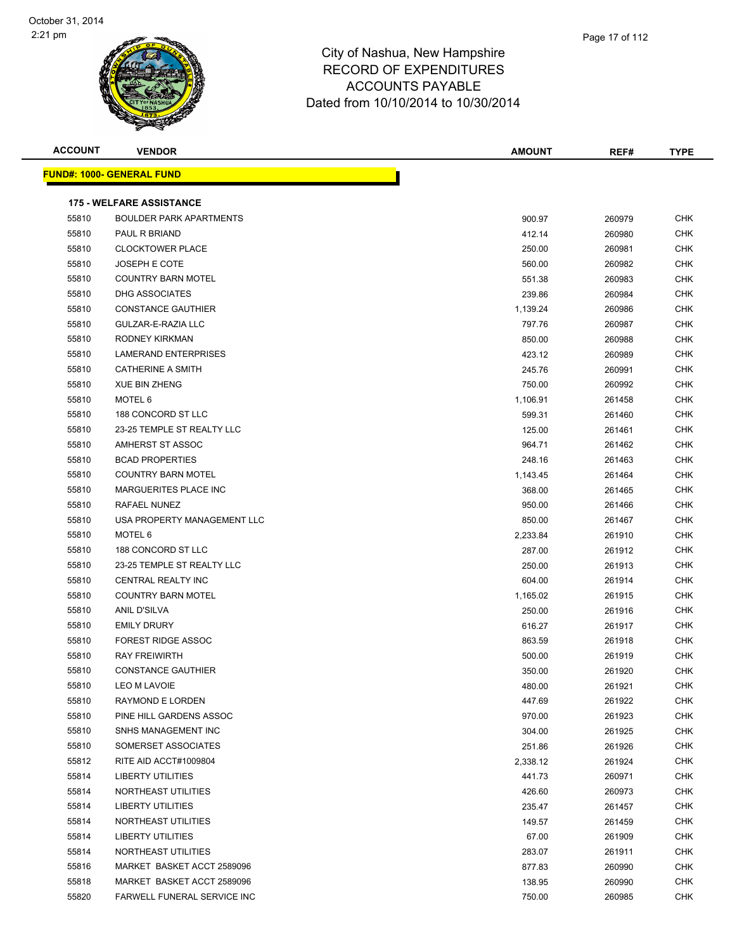| <b>ACCOUNT</b> | <b>VENDOR</b>                     | <b>AMOUNT</b> | REF#   | <b>TYPE</b> |
|----------------|-----------------------------------|---------------|--------|-------------|
|                | <u> FUND#: 1000- GENERAL FUND</u> |               |        |             |
|                |                                   |               |        |             |
|                | <b>175 - WELFARE ASSISTANCE</b>   |               |        |             |
| 55810          | <b>BOULDER PARK APARTMENTS</b>    | 900.97        | 260979 | CHK         |
| 55810          | PAUL R BRIAND                     | 412.14        | 260980 | CHK         |
| 55810          | <b>CLOCKTOWER PLACE</b>           | 250.00        | 260981 | <b>CHK</b>  |
| 55810          | <b>JOSEPH E COTE</b>              | 560.00        | 260982 | <b>CHK</b>  |
| 55810          | <b>COUNTRY BARN MOTEL</b>         | 551.38        | 260983 | CHK         |
| 55810          | <b>DHG ASSOCIATES</b>             | 239.86        | 260984 | CHK         |
| 55810          | <b>CONSTANCE GAUTHIER</b>         | 1,139.24      | 260986 | <b>CHK</b>  |
| 55810          | GULZAR-E-RAZIA LLC                | 797.76        | 260987 | <b>CHK</b>  |
| 55810          | RODNEY KIRKMAN                    | 850.00        | 260988 | <b>CHK</b>  |
| 55810          | LAMERAND ENTERPRISES              | 423.12        | 260989 | CHK         |
| 55810          | <b>CATHERINE A SMITH</b>          | 245.76        | 260991 | <b>CHK</b>  |
| 55810          | <b>XUE BIN ZHENG</b>              | 750.00        | 260992 | <b>CHK</b>  |
| 55810          | MOTEL 6                           | 1,106.91      | 261458 | <b>CHK</b>  |
| 55810          | 188 CONCORD ST LLC                | 599.31        | 261460 | <b>CHK</b>  |
| 55810          | 23-25 TEMPLE ST REALTY LLC        | 125.00        | 261461 | <b>CHK</b>  |
| 55810          | AMHERST ST ASSOC                  | 964.71        | 261462 | CHK         |
| 55810          | <b>BCAD PROPERTIES</b>            | 248.16        | 261463 | CHK         |
| 55810          | <b>COUNTRY BARN MOTEL</b>         | 1,143.45      | 261464 | CHK         |
| 55810          | MARGUERITES PLACE INC             | 368.00        | 261465 | <b>CHK</b>  |
| 55810          | RAFAEL NUNEZ                      | 950.00        | 261466 | CHK         |
| 55810          | USA PROPERTY MANAGEMENT LLC       | 850.00        | 261467 | CHK         |
| 55810          | MOTEL 6                           | 2,233.84      | 261910 | <b>CHK</b>  |
| 55810          | 188 CONCORD ST LLC                | 287.00        | 261912 | <b>CHK</b>  |
| 55810          | 23-25 TEMPLE ST REALTY LLC        | 250.00        | 261913 | <b>CHK</b>  |
| 55810          | CENTRAL REALTY INC                | 604.00        | 261914 | <b>CHK</b>  |
| 55810          | <b>COUNTRY BARN MOTEL</b>         | 1,165.02      | 261915 | <b>CHK</b>  |
| 55810          | ANIL D'SILVA                      | 250.00        | 261916 | <b>CHK</b>  |
| 55810          | <b>EMILY DRURY</b>                | 616.27        | 261917 | <b>CHK</b>  |
| 55810          | <b>FOREST RIDGE ASSOC</b>         | 863.59        | 261918 | <b>CHK</b>  |
| 55810          | <b>RAY FREIWIRTH</b>              | 500.00        | 261919 | CHK         |
| 55810          | <b>CONSTANCE GAUTHIER</b>         | 350.00        | 261920 | <b>CHK</b>  |
| 55810          | LEO M LAVOIE                      | 480.00        | 261921 | <b>CHK</b>  |
| 55810          | RAYMOND E LORDEN                  | 447.69        | 261922 | CHK         |
| 55810          | PINE HILL GARDENS ASSOC           | 970.00        | 261923 | CHK         |
| 55810          | SNHS MANAGEMENT INC               | 304.00        | 261925 | CHK         |
| 55810          | SOMERSET ASSOCIATES               | 251.86        | 261926 | CHK         |
| 55812          | RITE AID ACCT#1009804             | 2,338.12      | 261924 | <b>CHK</b>  |
| 55814          | <b>LIBERTY UTILITIES</b>          | 441.73        | 260971 | CHK         |
| 55814          | NORTHEAST UTILITIES               | 426.60        | 260973 | CHK         |
| 55814          | LIBERTY UTILITIES                 | 235.47        | 261457 | <b>CHK</b>  |
| 55814          | NORTHEAST UTILITIES               | 149.57        | 261459 | CHK         |
| 55814          | LIBERTY UTILITIES                 | 67.00         | 261909 | CHK         |
| 55814          | NORTHEAST UTILITIES               | 283.07        | 261911 | CHK         |
| 55816          | MARKET BASKET ACCT 2589096        | 877.83        | 260990 | CHK         |
| 55818          | MARKET BASKET ACCT 2589096        | 138.95        | 260990 | CHK         |
| 55820          | FARWELL FUNERAL SERVICE INC       | 750.00        | 260985 | CHK         |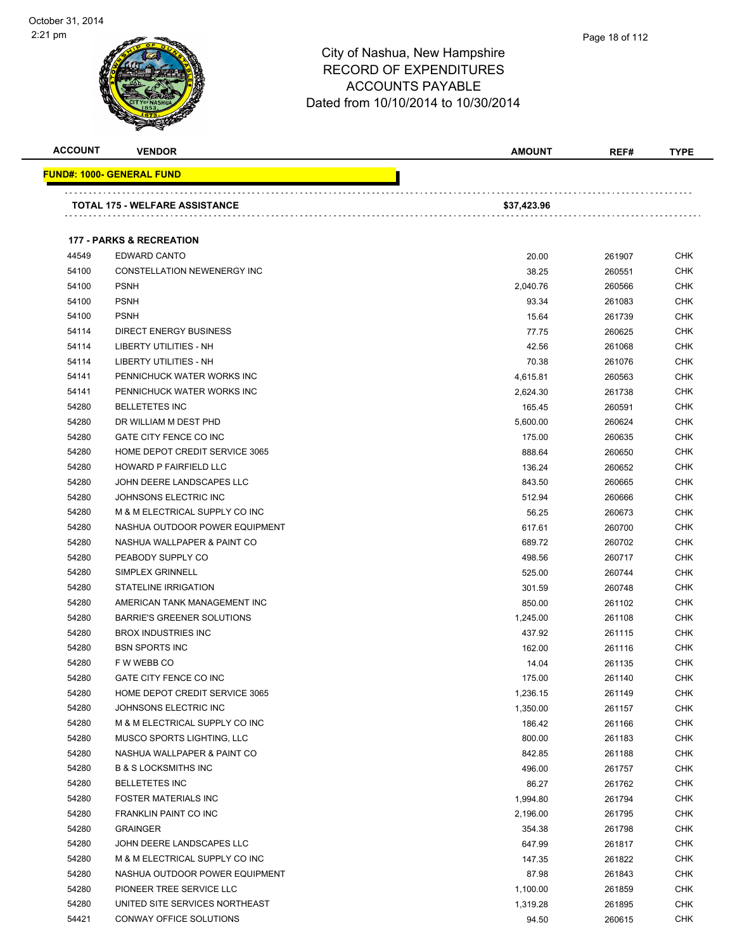| <b>ACCOUNT</b> | <b>VENDOR</b>                         | <b>AMOUNT</b> | REF#   | <b>TYPE</b> |
|----------------|---------------------------------------|---------------|--------|-------------|
|                | <u> FUND#: 1000- GENERAL FUND</u>     |               |        |             |
|                | <b>TOTAL 175 - WELFARE ASSISTANCE</b> | \$37,423.96   |        |             |
|                |                                       |               |        |             |
|                | <b>177 - PARKS &amp; RECREATION</b>   |               |        |             |
| 44549          | EDWARD CANTO                          | 20.00         | 261907 | <b>CHK</b>  |
| 54100          | CONSTELLATION NEWENERGY INC           | 38.25         | 260551 | <b>CHK</b>  |
| 54100          | <b>PSNH</b>                           | 2,040.76      | 260566 | <b>CHK</b>  |
| 54100          | <b>PSNH</b>                           | 93.34         | 261083 | CHK         |
| 54100          | <b>PSNH</b>                           | 15.64         | 261739 | <b>CHK</b>  |
| 54114          | <b>DIRECT ENERGY BUSINESS</b>         | 77.75         | 260625 | <b>CHK</b>  |
| 54114          | LIBERTY UTILITIES - NH                | 42.56         | 261068 | CHK         |
| 54114          | LIBERTY UTILITIES - NH                | 70.38         | 261076 | <b>CHK</b>  |
| 54141          | PENNICHUCK WATER WORKS INC            | 4,615.81      | 260563 | <b>CHK</b>  |
| 54141          | PENNICHUCK WATER WORKS INC            | 2,624.30      | 261738 | CHK         |
| 54280          | <b>BELLETETES INC</b>                 | 165.45        | 260591 | <b>CHK</b>  |
| 54280          | DR WILLIAM M DEST PHD                 | 5,600.00      | 260624 | <b>CHK</b>  |
| 54280          | GATE CITY FENCE CO INC                | 175.00        | 260635 | CHK         |
| 54280          | HOME DEPOT CREDIT SERVICE 3065        | 888.64        | 260650 | <b>CHK</b>  |
| 54280          | HOWARD P FAIRFIELD LLC                | 136.24        | 260652 | <b>CHK</b>  |
| 54280          | JOHN DEERE LANDSCAPES LLC             | 843.50        | 260665 | <b>CHK</b>  |
| 54280          | JOHNSONS ELECTRIC INC                 | 512.94        | 260666 | <b>CHK</b>  |
| 54280          | M & M ELECTRICAL SUPPLY CO INC        | 56.25         | 260673 | CHK         |
| 54280          | NASHUA OUTDOOR POWER EQUIPMENT        | 617.61        | 260700 | CHK         |
| 54280          | NASHUA WALLPAPER & PAINT CO           | 689.72        | 260702 | <b>CHK</b>  |
| 54280          | PEABODY SUPPLY CO                     | 498.56        | 260717 | CHK         |
| 54280          | SIMPLEX GRINNELL                      | 525.00        | 260744 | <b>CHK</b>  |
| 54280          | STATELINE IRRIGATION                  | 301.59        | 260748 | CHK         |
| 54280          | AMERICAN TANK MANAGEMENT INC          | 850.00        | 261102 | <b>CHK</b>  |
| 54280          | <b>BARRIE'S GREENER SOLUTIONS</b>     | 1,245.00      | 261108 | <b>CHK</b>  |
| 54280          | <b>BROX INDUSTRIES INC</b>            | 437.92        | 261115 | <b>CHK</b>  |
| 54280          | <b>BSN SPORTS INC</b>                 | 162.00        | 261116 | <b>CHK</b>  |
| 54280          | F W WEBB CO                           | 14.04         | 261135 | <b>CHK</b>  |
| 54280          | GATE CITY FENCE CO INC                | 175.00        | 261140 | <b>CHK</b>  |
| 54280          | HOME DEPOT CREDIT SERVICE 3065        | 1,236.15      | 261149 | CHK         |
| 54280          | JOHNSONS ELECTRIC INC                 | 1,350.00      | 261157 | <b>CHK</b>  |
| 54280          | M & M ELECTRICAL SUPPLY CO INC        | 186.42        | 261166 | <b>CHK</b>  |
| 54280          | MUSCO SPORTS LIGHTING, LLC            | 800.00        | 261183 | <b>CHK</b>  |
| 54280          | NASHUA WALLPAPER & PAINT CO           | 842.85        | 261188 | <b>CHK</b>  |
| 54280          | <b>B &amp; S LOCKSMITHS INC</b>       | 496.00        | 261757 | <b>CHK</b>  |
| 54280          | <b>BELLETETES INC</b>                 | 86.27         | 261762 | <b>CHK</b>  |
| 54280          | <b>FOSTER MATERIALS INC</b>           | 1,994.80      | 261794 | <b>CHK</b>  |
| 54280          | <b>FRANKLIN PAINT CO INC</b>          | 2,196.00      | 261795 | <b>CHK</b>  |
| 54280          | <b>GRAINGER</b>                       | 354.38        | 261798 | <b>CHK</b>  |
| 54280          | JOHN DEERE LANDSCAPES LLC             | 647.99        | 261817 | <b>CHK</b>  |
| 54280          | M & M ELECTRICAL SUPPLY CO INC        | 147.35        | 261822 | <b>CHK</b>  |
| 54280          | NASHUA OUTDOOR POWER EQUIPMENT        | 87.98         | 261843 | <b>CHK</b>  |
| 54280          | PIONEER TREE SERVICE LLC              | 1,100.00      | 261859 | <b>CHK</b>  |
| 54280          | UNITED SITE SERVICES NORTHEAST        | 1,319.28      | 261895 | <b>CHK</b>  |
| 54421          | CONWAY OFFICE SOLUTIONS               | 94.50         | 260615 | <b>CHK</b>  |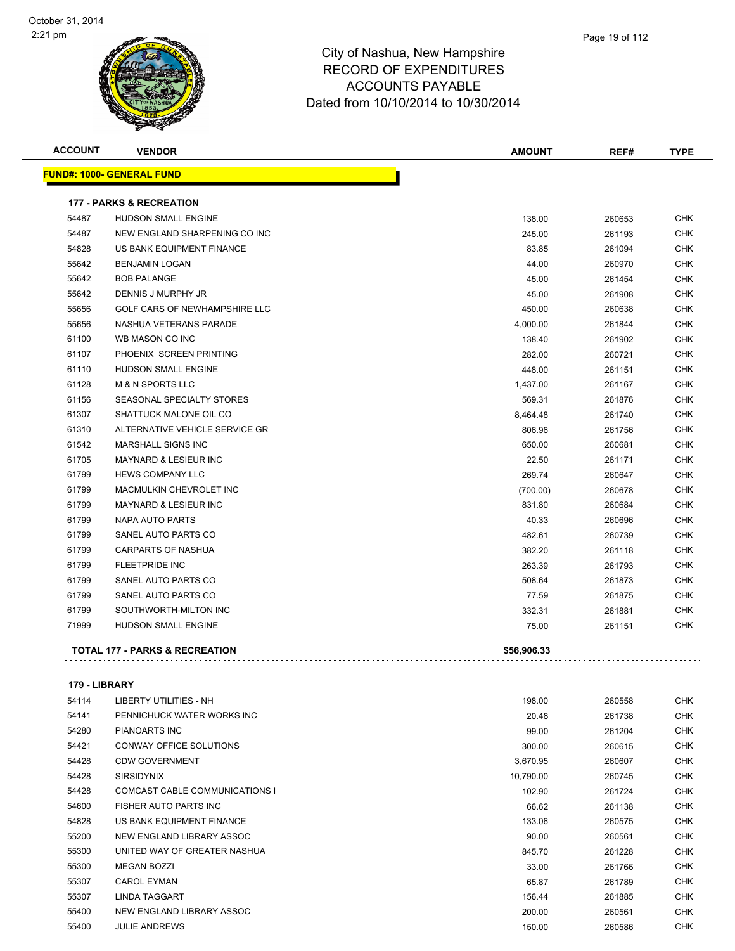

| Page 19 of 112 |
|----------------|
|                |

| <b>FUND#: 1000- GENERAL FUND</b> |                                           |             |        |            |
|----------------------------------|-------------------------------------------|-------------|--------|------------|
|                                  |                                           |             |        |            |
|                                  | <b>177 - PARKS &amp; RECREATION</b>       |             |        |            |
| 54487                            | <b>HUDSON SMALL ENGINE</b>                | 138.00      | 260653 | <b>CHK</b> |
| 54487                            | NEW ENGLAND SHARPENING CO INC             | 245.00      | 261193 | <b>CHK</b> |
| 54828                            | US BANK EQUIPMENT FINANCE                 | 83.85       | 261094 | <b>CHK</b> |
| 55642                            | <b>BENJAMIN LOGAN</b>                     | 44.00       | 260970 | <b>CHK</b> |
| 55642                            | <b>BOB PALANGE</b>                        | 45.00       | 261454 | <b>CHK</b> |
| 55642                            | DENNIS J MURPHY JR                        | 45.00       | 261908 | <b>CHK</b> |
| 55656                            | GOLF CARS OF NEWHAMPSHIRE LLC             | 450.00      | 260638 | <b>CHK</b> |
| 55656                            | NASHUA VETERANS PARADE                    | 4,000.00    | 261844 | CHK        |
| 61100                            | WB MASON CO INC                           | 138.40      | 261902 | <b>CHK</b> |
| 61107                            | PHOENIX SCREEN PRINTING                   | 282.00      | 260721 | <b>CHK</b> |
| 61110                            | <b>HUDSON SMALL ENGINE</b>                | 448.00      | 261151 | CHK        |
| 61128                            | <b>M &amp; N SPORTS LLC</b>               | 1,437.00    | 261167 | CHK        |
| 61156                            | SEASONAL SPECIALTY STORES                 | 569.31      | 261876 | <b>CHK</b> |
| 61307                            | SHATTUCK MALONE OIL CO                    | 8,464.48    | 261740 | <b>CHK</b> |
| 61310                            | ALTERNATIVE VEHICLE SERVICE GR            | 806.96      | 261756 | CHK        |
| 61542                            | <b>MARSHALL SIGNS INC</b>                 | 650.00      | 260681 | <b>CHK</b> |
| 61705                            | <b>MAYNARD &amp; LESIEUR INC</b>          | 22.50       | 261171 | <b>CHK</b> |
| 61799                            | <b>HEWS COMPANY LLC</b>                   | 269.74      | 260647 | <b>CHK</b> |
| 61799                            | <b>MACMULKIN CHEVROLET INC</b>            | (700.00)    | 260678 | <b>CHK</b> |
| 61799                            | <b>MAYNARD &amp; LESIEUR INC</b>          | 831.80      | 260684 | <b>CHK</b> |
| 61799                            | NAPA AUTO PARTS                           | 40.33       | 260696 | <b>CHK</b> |
| 61799                            | SANEL AUTO PARTS CO                       | 482.61      | 260739 | <b>CHK</b> |
| 61799                            | <b>CARPARTS OF NASHUA</b>                 | 382.20      | 261118 | CHK        |
| 61799                            | <b>FLEETPRIDE INC</b>                     | 263.39      | 261793 | <b>CHK</b> |
| 61799                            | SANEL AUTO PARTS CO                       | 508.64      | 261873 | <b>CHK</b> |
| 61799                            | SANEL AUTO PARTS CO                       | 77.59       | 261875 | <b>CHK</b> |
| 61799                            | SOUTHWORTH-MILTON INC                     | 332.31      | 261881 | <b>CHK</b> |
| 71999                            | <b>HUDSON SMALL ENGINE</b>                | 75.00       | 261151 | <b>CHK</b> |
|                                  | <b>TOTAL 177 - PARKS &amp; RECREATION</b> | \$56,906.33 |        |            |

#### **179 - LIBRARY**

| 54114 | LIBERTY UTILITIES - NH         | 198.00    | 260558 | <b>CHK</b> |
|-------|--------------------------------|-----------|--------|------------|
| 54141 | PENNICHUCK WATER WORKS INC     | 20.48     | 261738 | <b>CHK</b> |
| 54280 | <b>PIANOARTS INC</b>           | 99.00     | 261204 | <b>CHK</b> |
| 54421 | CONWAY OFFICE SOLUTIONS        | 300.00    | 260615 | <b>CHK</b> |
| 54428 | <b>CDW GOVERNMENT</b>          | 3,670.95  | 260607 | <b>CHK</b> |
| 54428 | <b>SIRSIDYNIX</b>              | 10,790.00 | 260745 | <b>CHK</b> |
| 54428 | COMCAST CABLE COMMUNICATIONS I | 102.90    | 261724 | <b>CHK</b> |
| 54600 | FISHER AUTO PARTS INC          | 66.62     | 261138 | <b>CHK</b> |
| 54828 | US BANK EQUIPMENT FINANCE      | 133.06    | 260575 | <b>CHK</b> |
| 55200 | NEW ENGLAND LIBRARY ASSOC      | 90.00     | 260561 | <b>CHK</b> |
| 55300 | UNITED WAY OF GREATER NASHUA   | 845.70    | 261228 | <b>CHK</b> |
| 55300 | <b>MEGAN BOZZI</b>             | 33.00     | 261766 | <b>CHK</b> |
| 55307 | <b>CAROL EYMAN</b>             | 65.87     | 261789 | <b>CHK</b> |
| 55307 | <b>LINDA TAGGART</b>           | 156.44    | 261885 | <b>CHK</b> |
| 55400 | NEW ENGLAND LIBRARY ASSOC      | 200.00    | 260561 | <b>CHK</b> |
| 55400 | <b>JULIE ANDREWS</b>           | 150.00    | 260586 | <b>CHK</b> |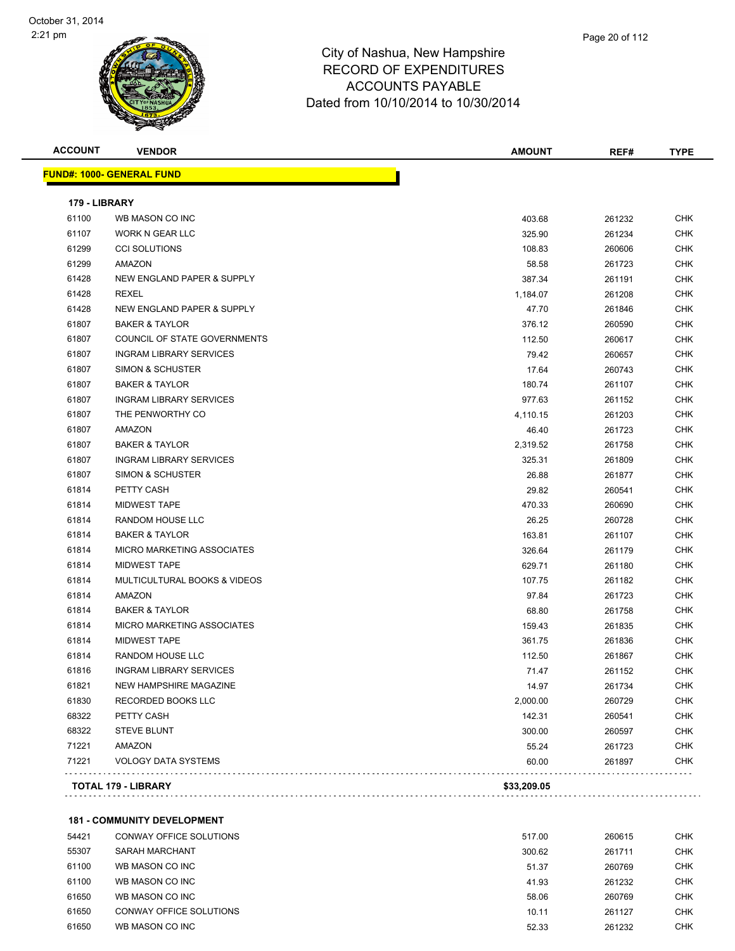

| <b>ACCOUNT</b> | <b>VENDOR</b>                      | <b>AMOUNT</b> | REF#   | <b>TYPE</b> |
|----------------|------------------------------------|---------------|--------|-------------|
|                | FUND#: 1000- GENERAL FUND          |               |        |             |
| 179 - LIBRARY  |                                    |               |        |             |
| 61100          | WB MASON CO INC                    | 403.68        | 261232 | <b>CHK</b>  |
| 61107          | WORK N GEAR LLC                    | 325.90        | 261234 | <b>CHK</b>  |
| 61299          | <b>CCI SOLUTIONS</b>               | 108.83        | 260606 | <b>CHK</b>  |
| 61299          | AMAZON                             | 58.58         | 261723 | <b>CHK</b>  |
| 61428          | NEW ENGLAND PAPER & SUPPLY         | 387.34        | 261191 | <b>CHK</b>  |
| 61428          | <b>REXEL</b>                       | 1,184.07      | 261208 | <b>CHK</b>  |
| 61428          | NEW ENGLAND PAPER & SUPPLY         | 47.70         | 261846 | <b>CHK</b>  |
| 61807          | <b>BAKER &amp; TAYLOR</b>          | 376.12        | 260590 | <b>CHK</b>  |
| 61807          | COUNCIL OF STATE GOVERNMENTS       | 112.50        | 260617 | <b>CHK</b>  |
| 61807          | <b>INGRAM LIBRARY SERVICES</b>     | 79.42         | 260657 | <b>CHK</b>  |
| 61807          | <b>SIMON &amp; SCHUSTER</b>        | 17.64         | 260743 | <b>CHK</b>  |
| 61807          | <b>BAKER &amp; TAYLOR</b>          | 180.74        | 261107 | <b>CHK</b>  |
| 61807          | <b>INGRAM LIBRARY SERVICES</b>     | 977.63        | 261152 | <b>CHK</b>  |
| 61807          | THE PENWORTHY CO                   | 4,110.15      | 261203 | <b>CHK</b>  |
| 61807          | AMAZON                             | 46.40         | 261723 | <b>CHK</b>  |
| 61807          | <b>BAKER &amp; TAYLOR</b>          | 2,319.52      | 261758 | <b>CHK</b>  |
| 61807          | <b>INGRAM LIBRARY SERVICES</b>     | 325.31        | 261809 | <b>CHK</b>  |
| 61807          | SIMON & SCHUSTER                   | 26.88         | 261877 | <b>CHK</b>  |
| 61814          | PETTY CASH                         | 29.82         | 260541 | <b>CHK</b>  |
| 61814          | <b>MIDWEST TAPE</b>                | 470.33        | 260690 | <b>CHK</b>  |
| 61814          | RANDOM HOUSE LLC                   | 26.25         | 260728 | <b>CHK</b>  |
| 61814          | <b>BAKER &amp; TAYLOR</b>          | 163.81        | 261107 | <b>CHK</b>  |
| 61814          | MICRO MARKETING ASSOCIATES         | 326.64        | 261179 | <b>CHK</b>  |
| 61814          | <b>MIDWEST TAPE</b>                | 629.71        | 261180 | <b>CHK</b>  |
| 61814          | MULTICULTURAL BOOKS & VIDEOS       | 107.75        | 261182 | <b>CHK</b>  |
| 61814          | AMAZON                             | 97.84         | 261723 | <b>CHK</b>  |
| 61814          | <b>BAKER &amp; TAYLOR</b>          | 68.80         | 261758 | <b>CHK</b>  |
| 61814          | MICRO MARKETING ASSOCIATES         | 159.43        | 261835 | <b>CHK</b>  |
| 61814          | <b>MIDWEST TAPE</b>                | 361.75        | 261836 | <b>CHK</b>  |
| 61814          | RANDOM HOUSE LLC                   | 112.50        | 261867 | CHK         |
| 61816          | <b>INGRAM LIBRARY SERVICES</b>     | 71.47         | 261152 | <b>CHK</b>  |
| 61821          | NEW HAMPSHIRE MAGAZINE             | 14.97         | 261734 | <b>CHK</b>  |
| 61830          | <b>RECORDED BOOKS LLC</b>          | 2,000.00      | 260729 | <b>CHK</b>  |
| 68322          | PETTY CASH                         | 142.31        | 260541 | <b>CHK</b>  |
| 68322          | <b>STEVE BLUNT</b>                 | 300.00        | 260597 | <b>CHK</b>  |
| 71221          | AMAZON                             | 55.24         | 261723 | <b>CHK</b>  |
| 71221          | <b>VOLOGY DATA SYSTEMS</b>         | 60.00         | 261897 | <b>CHK</b>  |
|                | TOTAL 179 - LIBRARY                | \$33,209.05   |        |             |
|                |                                    |               |        |             |
|                | <b>181 - COMMUNITY DEVELOPMENT</b> |               |        |             |

| 54421 | CONWAY OFFICE SOLUTIONS | 517.00 | 260615 | CHK        |
|-------|-------------------------|--------|--------|------------|
| 55307 | SARAH MARCHANT          | 300.62 | 261711 | <b>CHK</b> |
| 61100 | WB MASON CO INC         | 51.37  | 260769 | <b>CHK</b> |
| 61100 | WB MASON CO INC         | 41.93  | 261232 | CHK        |
| 61650 | WB MASON CO INC         | 58.06  | 260769 | <b>CHK</b> |
| 61650 | CONWAY OFFICE SOLUTIONS | 10.11  | 261127 | <b>CHK</b> |
| 61650 | WB MASON CO INC         | 52.33  | 261232 | снк        |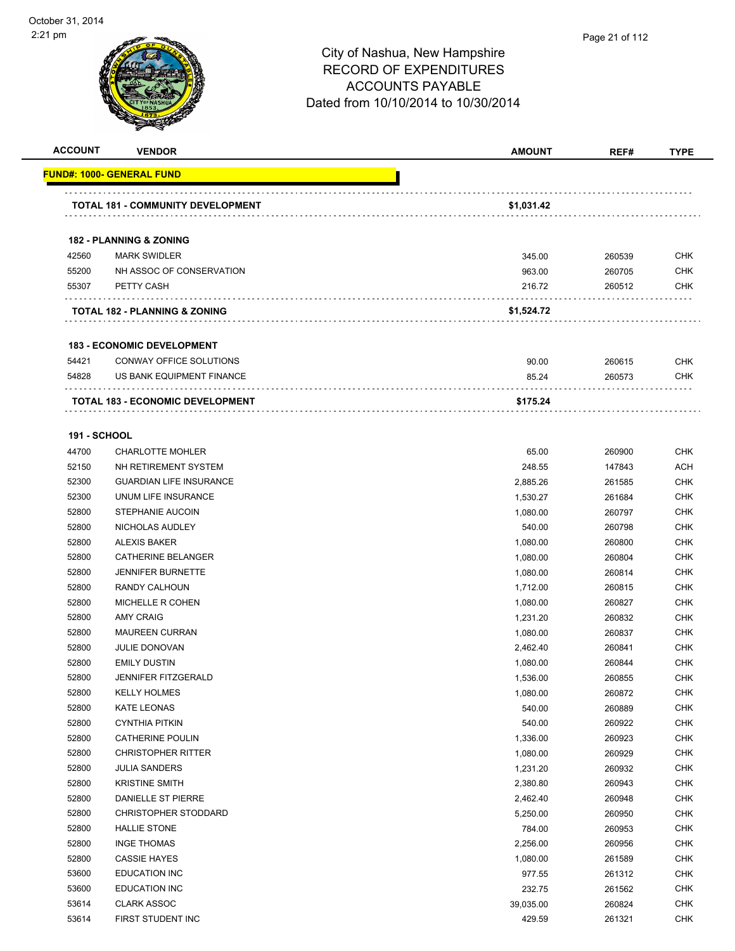| <b>ACCOUNT</b>               | <b>VENDOR</b>                                          | <b>AMOUNT</b> | REF#             | <b>TYPE</b>              |
|------------------------------|--------------------------------------------------------|---------------|------------------|--------------------------|
|                              | <u> FUND#: 1000- GENERAL FUND</u>                      |               |                  |                          |
|                              | <b>TOTAL 181 - COMMUNITY DEVELOPMENT</b>               | \$1,031.42    |                  |                          |
|                              |                                                        |               |                  |                          |
|                              | <b>182 - PLANNING &amp; ZONING</b>                     |               |                  |                          |
| 42560                        | <b>MARK SWIDLER</b>                                    | 345.00        | 260539           | <b>CHK</b>               |
| 55200                        | NH ASSOC OF CONSERVATION                               | 963.00        | 260705           | <b>CHK</b>               |
| 55307                        | PETTY CASH                                             | 216.72        | 260512           | <b>CHK</b>               |
|                              | .<br>TOTAL 182 - PLANNING & ZONING                     | \$1,524.72    |                  |                          |
|                              |                                                        |               |                  |                          |
|                              | <b>183 - ECONOMIC DEVELOPMENT</b>                      |               |                  |                          |
| 54421                        | CONWAY OFFICE SOLUTIONS                                | 90.00         | 260615           | <b>CHK</b>               |
| 54828                        | US BANK EQUIPMENT FINANCE                              | 85.24         | 260573           | <b>CHK</b>               |
|                              | TOTAL 183 - ECONOMIC DEVELOPMENT                       | \$175.24      |                  |                          |
|                              |                                                        |               |                  |                          |
| <b>191 - SCHOOL</b><br>44700 | <b>CHARLOTTE MOHLER</b>                                |               |                  | <b>CHK</b>               |
|                              |                                                        | 65.00         | 260900           |                          |
| 52150<br>52300               | NH RETIREMENT SYSTEM<br><b>GUARDIAN LIFE INSURANCE</b> | 248.55        | 147843           | <b>ACH</b><br><b>CHK</b> |
| 52300                        | UNUM LIFE INSURANCE                                    | 2,885.26      | 261585<br>261684 | <b>CHK</b>               |
| 52800                        | <b>STEPHANIE AUCOIN</b>                                | 1,530.27      |                  | <b>CHK</b>               |
| 52800                        | NICHOLAS AUDLEY                                        | 1,080.00      | 260797           |                          |
|                              |                                                        | 540.00        | 260798           | <b>CHK</b>               |
| 52800<br>52800               | <b>ALEXIS BAKER</b><br>CATHERINE BELANGER              | 1,080.00      | 260800           | <b>CHK</b>               |
|                              |                                                        | 1,080.00      | 260804           | <b>CHK</b>               |
| 52800                        | <b>JENNIFER BURNETTE</b>                               | 1,080.00      | 260814           | <b>CHK</b>               |
| 52800                        | RANDY CALHOUN                                          | 1,712.00      | 260815           | <b>CHK</b>               |
| 52800                        | MICHELLE R COHEN                                       | 1,080.00      | 260827           | <b>CHK</b>               |
| 52800                        | <b>AMY CRAIG</b>                                       | 1,231.20      | 260832           | <b>CHK</b>               |
| 52800                        | <b>MAUREEN CURRAN</b>                                  | 1,080.00      | 260837           | <b>CHK</b>               |
| 52800                        | <b>JULIE DONOVAN</b>                                   | 2,462.40      | 260841           | <b>CHK</b>               |
| 52800                        | <b>EMILY DUSTIN</b>                                    | 1,080.00      | 260844           | <b>CHK</b>               |
| 52800                        | <b>JENNIFER FITZGERALD</b>                             | 1,536.00      | 260855           | <b>CHK</b>               |
| 52800                        | <b>KELLY HOLMES</b>                                    | 1,080.00      | 260872           | <b>CHK</b>               |
| 52800                        | <b>KATE LEONAS</b>                                     | 540.00        | 260889           | <b>CHK</b>               |
| 52800                        | <b>CYNTHIA PITKIN</b>                                  | 540.00        | 260922           | <b>CHK</b>               |
| 52800                        | <b>CATHERINE POULIN</b>                                | 1,336.00      | 260923           | <b>CHK</b>               |
| 52800                        | <b>CHRISTOPHER RITTER</b>                              | 1,080.00      | 260929           | <b>CHK</b>               |
| 52800                        | <b>JULIA SANDERS</b>                                   | 1,231.20      | 260932           | <b>CHK</b>               |
| 52800                        | <b>KRISTINE SMITH</b>                                  | 2,380.80      | 260943           | <b>CHK</b>               |
| 52800                        | DANIELLE ST PIERRE                                     | 2,462.40      | 260948           | <b>CHK</b>               |
| 52800                        | <b>CHRISTOPHER STODDARD</b>                            | 5,250.00      | 260950           | <b>CHK</b>               |
| 52800                        | <b>HALLIE STONE</b>                                    | 784.00        | 260953           | <b>CHK</b>               |
| 52800                        | <b>INGE THOMAS</b>                                     | 2,256.00      | 260956           | <b>CHK</b>               |
| 52800                        | <b>CASSIE HAYES</b>                                    | 1,080.00      | 261589           | <b>CHK</b>               |
| 53600                        | <b>EDUCATION INC</b>                                   | 977.55        | 261312           | <b>CHK</b>               |
| 53600                        | <b>EDUCATION INC</b>                                   | 232.75        | 261562           | <b>CHK</b>               |
| 53614                        | <b>CLARK ASSOC</b>                                     | 39,035.00     | 260824           | <b>CHK</b>               |
| 53614                        | FIRST STUDENT INC                                      | 429.59        | 261321           | <b>CHK</b>               |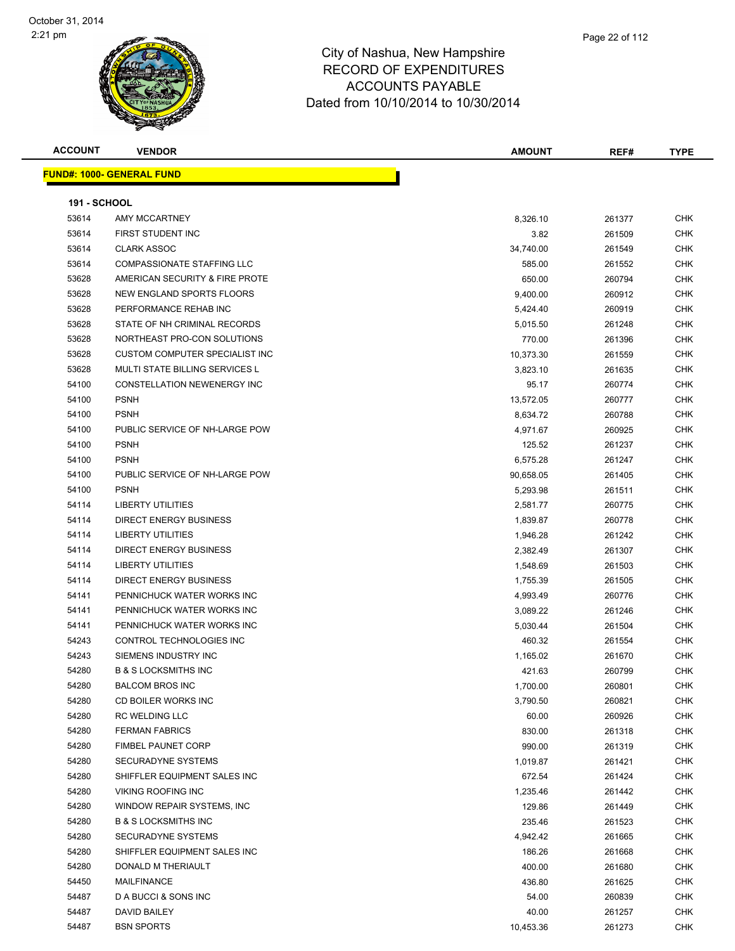

|      | Page 22 of 112 |
|------|----------------|
| hire |                |
| रES  |                |
|      |                |

| <b>ACCOUNT</b>      | <b>VENDOR</b>                         | <b>AMOUNT</b> | REF#   | <b>TYPE</b> |
|---------------------|---------------------------------------|---------------|--------|-------------|
|                     | <u> FUND#: 1000- GENERAL FUND</u>     |               |        |             |
|                     |                                       |               |        |             |
| <b>191 - SCHOOL</b> |                                       |               |        |             |
| 53614               | <b>AMY MCCARTNEY</b>                  | 8,326.10      | 261377 | <b>CHK</b>  |
| 53614               | <b>FIRST STUDENT INC</b>              | 3.82          | 261509 | <b>CHK</b>  |
| 53614               | <b>CLARK ASSOC</b>                    | 34,740.00     | 261549 | <b>CHK</b>  |
| 53614               | <b>COMPASSIONATE STAFFING LLC</b>     | 585.00        | 261552 | <b>CHK</b>  |
| 53628               | AMERICAN SECURITY & FIRE PROTE        | 650.00        | 260794 | <b>CHK</b>  |
| 53628               | <b>NEW ENGLAND SPORTS FLOORS</b>      | 9,400.00      | 260912 | <b>CHK</b>  |
| 53628               | PERFORMANCE REHAB INC                 | 5,424.40      | 260919 | <b>CHK</b>  |
| 53628               | STATE OF NH CRIMINAL RECORDS          | 5,015.50      | 261248 | <b>CHK</b>  |
| 53628               | NORTHEAST PRO-CON SOLUTIONS           | 770.00        | 261396 | <b>CHK</b>  |
| 53628               | CUSTOM COMPUTER SPECIALIST INC        | 10,373.30     | 261559 | <b>CHK</b>  |
| 53628               | <b>MULTI STATE BILLING SERVICES L</b> | 3,823.10      | 261635 | <b>CHK</b>  |
| 54100               | CONSTELLATION NEWENERGY INC           | 95.17         | 260774 | <b>CHK</b>  |
| 54100               | <b>PSNH</b>                           | 13,572.05     | 260777 | <b>CHK</b>  |
| 54100               | <b>PSNH</b>                           | 8,634.72      | 260788 | <b>CHK</b>  |
| 54100               | PUBLIC SERVICE OF NH-LARGE POW        | 4,971.67      | 260925 | <b>CHK</b>  |
| 54100               | <b>PSNH</b>                           | 125.52        | 261237 | <b>CHK</b>  |
| 54100               | <b>PSNH</b>                           | 6,575.28      | 261247 | <b>CHK</b>  |
| 54100               | PUBLIC SERVICE OF NH-LARGE POW        | 90,658.05     | 261405 | <b>CHK</b>  |
| 54100               | <b>PSNH</b>                           | 5,293.98      | 261511 | <b>CHK</b>  |
| 54114               | LIBERTY UTILITIES                     | 2,581.77      | 260775 | <b>CHK</b>  |
| 54114               | <b>DIRECT ENERGY BUSINESS</b>         | 1,839.87      | 260778 | <b>CHK</b>  |
| 54114               | <b>LIBERTY UTILITIES</b>              | 1,946.28      | 261242 | <b>CHK</b>  |
| 54114               | DIRECT ENERGY BUSINESS                | 2,382.49      | 261307 | <b>CHK</b>  |
| 54114               | <b>LIBERTY UTILITIES</b>              | 1,548.69      | 261503 | <b>CHK</b>  |
| 54114               | <b>DIRECT ENERGY BUSINESS</b>         | 1,755.39      | 261505 | <b>CHK</b>  |
| 54141               | PENNICHUCK WATER WORKS INC            | 4,993.49      | 260776 | <b>CHK</b>  |
| 54141               | PENNICHUCK WATER WORKS INC            | 3,089.22      | 261246 | <b>CHK</b>  |
| 54141               | PENNICHUCK WATER WORKS INC            | 5,030.44      | 261504 | <b>CHK</b>  |
| 54243               | CONTROL TECHNOLOGIES INC              | 460.32        | 261554 | <b>CHK</b>  |
| 54243               | SIEMENS INDUSTRY INC                  | 1,165.02      | 261670 | <b>CHK</b>  |
| 54280               | <b>B &amp; S LOCKSMITHS INC</b>       | 421.63        | 260799 | <b>CHK</b>  |
| 54280               | <b>BALCOM BROS INC</b>                | 1,700.00      | 260801 | <b>CHK</b>  |
| 54280               | CD BOILER WORKS INC                   | 3,790.50      | 260821 | <b>CHK</b>  |
| 54280               | RC WELDING LLC                        | 60.00         | 260926 | <b>CHK</b>  |
| 54280               | <b>FERMAN FABRICS</b>                 | 830.00        | 261318 | <b>CHK</b>  |
| 54280               | <b>FIMBEL PAUNET CORP</b>             | 990.00        | 261319 | <b>CHK</b>  |
| 54280               | SECURADYNE SYSTEMS                    | 1,019.87      | 261421 | <b>CHK</b>  |
| 54280               | SHIFFLER EQUIPMENT SALES INC          | 672.54        | 261424 | <b>CHK</b>  |
| 54280               | <b>VIKING ROOFING INC</b>             | 1,235.46      | 261442 | <b>CHK</b>  |
| 54280               | WINDOW REPAIR SYSTEMS, INC            | 129.86        | 261449 | <b>CHK</b>  |
| 54280               | <b>B &amp; S LOCKSMITHS INC</b>       | 235.46        | 261523 | <b>CHK</b>  |
| 54280               | SECURADYNE SYSTEMS                    | 4,942.42      | 261665 | <b>CHK</b>  |
| 54280               | SHIFFLER EQUIPMENT SALES INC          | 186.26        | 261668 | <b>CHK</b>  |
| 54280               | DONALD M THERIAULT                    | 400.00        | 261680 | <b>CHK</b>  |
| 54450               | MAILFINANCE                           | 436.80        | 261625 | CHK         |
| 54487               | D A BUCCI & SONS INC                  | 54.00         | 260839 | <b>CHK</b>  |
| 54487               | DAVID BAILEY                          | 40.00         | 261257 | <b>CHK</b>  |
| 54487               | <b>BSN SPORTS</b>                     | 10,453.36     | 261273 | <b>CHK</b>  |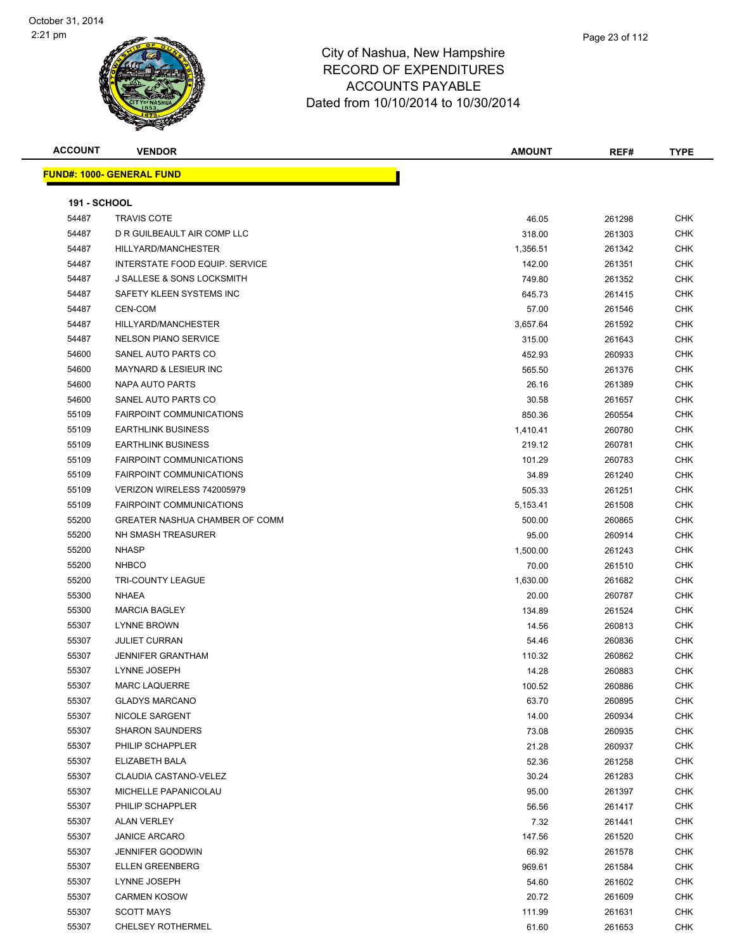| <b>ACCOUNT</b>      | <b>VENDOR</b>                         | <b>AMOUNT</b>      | REF#             | <b>TYPE</b> |
|---------------------|---------------------------------------|--------------------|------------------|-------------|
|                     | <b>FUND#: 1000- GENERAL FUND</b>      |                    |                  |             |
| <b>191 - SCHOOL</b> |                                       |                    |                  |             |
| 54487               | <b>TRAVIS COTE</b>                    | 46.05              | 261298           | <b>CHK</b>  |
| 54487               | D R GUILBEAULT AIR COMP LLC           | 318.00             | 261303           | <b>CHK</b>  |
| 54487               | HILLYARD/MANCHESTER                   | 1,356.51           | 261342           | <b>CHK</b>  |
| 54487               | INTERSTATE FOOD EQUIP. SERVICE        | 142.00             | 261351           | <b>CHK</b>  |
| 54487               | <b>J SALLESE &amp; SONS LOCKSMITH</b> | 749.80             | 261352           | <b>CHK</b>  |
| 54487               | SAFETY KLEEN SYSTEMS INC              | 645.73             | 261415           | <b>CHK</b>  |
| 54487               | CEN-COM                               | 57.00              | 261546           | <b>CHK</b>  |
| 54487               | HILLYARD/MANCHESTER                   |                    |                  | <b>CHK</b>  |
| 54487               | <b>NELSON PIANO SERVICE</b>           | 3,657.64<br>315.00 | 261592<br>261643 | <b>CHK</b>  |
|                     |                                       |                    |                  | <b>CHK</b>  |
| 54600               | SANEL AUTO PARTS CO                   | 452.93             | 260933           |             |
| 54600               | MAYNARD & LESIEUR INC                 | 565.50             | 261376           | <b>CHK</b>  |
| 54600               | NAPA AUTO PARTS                       | 26.16              | 261389           | <b>CHK</b>  |
| 54600               | SANEL AUTO PARTS CO                   | 30.58              | 261657           | <b>CHK</b>  |
| 55109               | <b>FAIRPOINT COMMUNICATIONS</b>       | 850.36             | 260554           | <b>CHK</b>  |
| 55109               | <b>EARTHLINK BUSINESS</b>             | 1,410.41           | 260780           | <b>CHK</b>  |
| 55109               | <b>EARTHLINK BUSINESS</b>             | 219.12             | 260781           | <b>CHK</b>  |
| 55109               | <b>FAIRPOINT COMMUNICATIONS</b>       | 101.29             | 260783           | CHK         |
| 55109               | <b>FAIRPOINT COMMUNICATIONS</b>       | 34.89              | 261240           | <b>CHK</b>  |
| 55109               | VERIZON WIRELESS 742005979            | 505.33             | 261251           | CHK         |
| 55109               | <b>FAIRPOINT COMMUNICATIONS</b>       | 5,153.41           | 261508           | <b>CHK</b>  |
| 55200               | GREATER NASHUA CHAMBER OF COMM        | 500.00             | 260865           | <b>CHK</b>  |
| 55200               | NH SMASH TREASURER                    | 95.00              | 260914           | <b>CHK</b>  |
| 55200               | <b>NHASP</b>                          | 1,500.00           | 261243           | <b>CHK</b>  |
| 55200               | <b>NHBCO</b>                          | 70.00              | 261510           | <b>CHK</b>  |
| 55200               | <b>TRI-COUNTY LEAGUE</b>              | 1,630.00           | 261682           | <b>CHK</b>  |
| 55300               | NHAEA                                 | 20.00              | 260787           | <b>CHK</b>  |
| 55300               | <b>MARCIA BAGLEY</b>                  | 134.89             | 261524           | <b>CHK</b>  |
| 55307               | <b>LYNNE BROWN</b>                    | 14.56              | 260813           | <b>CHK</b>  |
| 55307               | <b>JULIET CURRAN</b>                  | 54.46              | 260836           | <b>CHK</b>  |
| 55307               | <b>JENNIFER GRANTHAM</b>              | 110.32             | 260862           | <b>CHK</b>  |
| 55307               | LYNNE JOSEPH                          | 14.28              | 260883           | CHK         |
| 55307               | MARC LAQUERRE                         | 100.52             | 260886           | <b>CHK</b>  |
| 55307               | <b>GLADYS MARCANO</b>                 | 63.70              | 260895           | CHK         |
| 55307               | NICOLE SARGENT                        | 14.00              | 260934           | <b>CHK</b>  |
| 55307               | <b>SHARON SAUNDERS</b>                | 73.08              | 260935           | <b>CHK</b>  |
| 55307               | PHILIP SCHAPPLER                      | 21.28              | 260937           | <b>CHK</b>  |
| 55307               | ELIZABETH BALA                        | 52.36              | 261258           | <b>CHK</b>  |
| 55307               | CLAUDIA CASTANO-VELEZ                 | 30.24              | 261283           | CHK         |
| 55307               | MICHELLE PAPANICOLAU                  | 95.00              | 261397           | <b>CHK</b>  |
| 55307               | PHILIP SCHAPPLER                      | 56.56              | 261417           | <b>CHK</b>  |
| 55307               | <b>ALAN VERLEY</b>                    | 7.32               | 261441           | CHK         |
| 55307               | <b>JANICE ARCARO</b>                  |                    |                  | <b>CHK</b>  |
|                     |                                       | 147.56             | 261520           |             |
| 55307               | <b>JENNIFER GOODWIN</b>               | 66.92              | 261578           | CHK         |
| 55307               | <b>ELLEN GREENBERG</b>                | 969.61             | 261584           | <b>CHK</b>  |
| 55307               | LYNNE JOSEPH                          | 54.60              | 261602           | CHK         |
| 55307               | <b>CARMEN KOSOW</b>                   | 20.72              | 261609           | <b>CHK</b>  |
| 55307               | <b>SCOTT MAYS</b>                     | 111.99             | 261631           | CHK         |
| 55307               | <b>CHELSEY ROTHERMEL</b>              | 61.60              | 261653           | <b>CHK</b>  |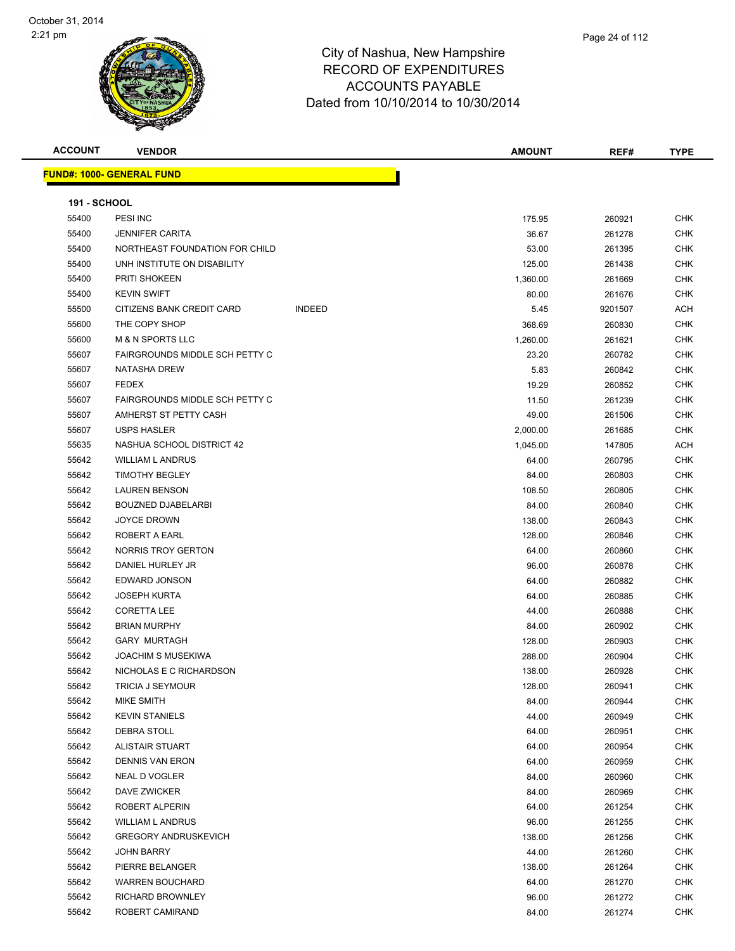| <b>ACCOUNT</b>      | <b>VENDOR</b>                         |               | <b>AMOUNT</b> | REF#    | <b>TYPE</b> |
|---------------------|---------------------------------------|---------------|---------------|---------|-------------|
|                     | <b>FUND#: 1000- GENERAL FUND</b>      |               |               |         |             |
|                     |                                       |               |               |         |             |
| <b>191 - SCHOOL</b> |                                       |               |               |         |             |
| 55400               | PESI INC                              |               | 175.95        | 260921  | <b>CHK</b>  |
| 55400               | <b>JENNIFER CARITA</b>                |               | 36.67         | 261278  | <b>CHK</b>  |
| 55400               | NORTHEAST FOUNDATION FOR CHILD        |               | 53.00         | 261395  | <b>CHK</b>  |
| 55400               | UNH INSTITUTE ON DISABILITY           |               | 125.00        | 261438  | <b>CHK</b>  |
| 55400               | PRITI SHOKEEN                         |               | 1,360.00      | 261669  | <b>CHK</b>  |
| 55400               | <b>KEVIN SWIFT</b>                    |               | 80.00         | 261676  | <b>CHK</b>  |
| 55500               | CITIZENS BANK CREDIT CARD             | <b>INDEED</b> | 5.45          | 9201507 | <b>ACH</b>  |
| 55600               | THE COPY SHOP                         |               | 368.69        | 260830  | <b>CHK</b>  |
| 55600               | <b>M &amp; N SPORTS LLC</b>           |               | 1,260.00      | 261621  | <b>CHK</b>  |
| 55607               | FAIRGROUNDS MIDDLE SCH PETTY C        |               | 23.20         | 260782  | <b>CHK</b>  |
| 55607               | <b>NATASHA DREW</b>                   |               | 5.83          | 260842  | <b>CHK</b>  |
| 55607               | <b>FEDEX</b>                          |               | 19.29         | 260852  | <b>CHK</b>  |
| 55607               | <b>FAIRGROUNDS MIDDLE SCH PETTY C</b> |               | 11.50         | 261239  | <b>CHK</b>  |
| 55607               | AMHERST ST PETTY CASH                 |               | 49.00         | 261506  | <b>CHK</b>  |
| 55607               | <b>USPS HASLER</b>                    |               | 2,000.00      | 261685  | <b>CHK</b>  |
| 55635               | NASHUA SCHOOL DISTRICT 42             |               | 1,045.00      | 147805  | <b>ACH</b>  |
| 55642               | <b>WILLIAM L ANDRUS</b>               |               | 64.00         | 260795  | <b>CHK</b>  |
| 55642               | <b>TIMOTHY BEGLEY</b>                 |               | 84.00         | 260803  | <b>CHK</b>  |
| 55642               | <b>LAUREN BENSON</b>                  |               | 108.50        | 260805  | <b>CHK</b>  |
| 55642               | <b>BOUZNED DJABELARBI</b>             |               | 84.00         | 260840  | <b>CHK</b>  |
| 55642               | <b>JOYCE DROWN</b>                    |               | 138.00        | 260843  | <b>CHK</b>  |
| 55642               | ROBERT A EARL                         |               | 128.00        | 260846  | <b>CHK</b>  |
| 55642               | NORRIS TROY GERTON                    |               | 64.00         | 260860  | <b>CHK</b>  |
| 55642               | DANIEL HURLEY JR                      |               | 96.00         | 260878  | <b>CHK</b>  |
| 55642               | EDWARD JONSON                         |               | 64.00         | 260882  | <b>CHK</b>  |
| 55642               | <b>JOSEPH KURTA</b>                   |               | 64.00         | 260885  | <b>CHK</b>  |
| 55642               | <b>CORETTA LEE</b>                    |               | 44.00         | 260888  | <b>CHK</b>  |
| 55642               | <b>BRIAN MURPHY</b>                   |               | 84.00         | 260902  | <b>CHK</b>  |
| 55642               | <b>GARY MURTAGH</b>                   |               | 128.00        | 260903  | <b>CHK</b>  |
| 55642               | <b>JOACHIM S MUSEKIWA</b>             |               | 288.00        | 260904  | <b>CHK</b>  |
| 55642               | NICHOLAS E C RICHARDSON               |               | 138.00        | 260928  | <b>CHK</b>  |
| 55642               | TRICIA J SEYMOUR                      |               | 128.00        | 260941  | <b>CHK</b>  |
| 55642               | MIKE SMITH                            |               | 84.00         | 260944  | CHK         |
| 55642               | <b>KEVIN STANIELS</b>                 |               | 44.00         | 260949  | <b>CHK</b>  |
| 55642               | DEBRA STOLL                           |               | 64.00         | 260951  | <b>CHK</b>  |
| 55642               | <b>ALISTAIR STUART</b>                |               | 64.00         | 260954  | <b>CHK</b>  |
| 55642               | <b>DENNIS VAN ERON</b>                |               | 64.00         | 260959  | <b>CHK</b>  |
| 55642               | NEAL D VOGLER                         |               | 84.00         | 260960  | <b>CHK</b>  |
| 55642               | DAVE ZWICKER                          |               | 84.00         | 260969  | <b>CHK</b>  |
| 55642               | ROBERT ALPERIN                        |               | 64.00         | 261254  | <b>CHK</b>  |
| 55642               | <b>WILLIAM L ANDRUS</b>               |               | 96.00         | 261255  | CHK         |
| 55642               | <b>GREGORY ANDRUSKEVICH</b>           |               | 138.00        | 261256  | <b>CHK</b>  |
| 55642               | JOHN BARRY                            |               | 44.00         | 261260  | <b>CHK</b>  |
| 55642               | PIERRE BELANGER                       |               | 138.00        | 261264  | <b>CHK</b>  |
| 55642               | <b>WARREN BOUCHARD</b>                |               | 64.00         | 261270  | <b>CHK</b>  |
| 55642               | RICHARD BROWNLEY                      |               | 96.00         | 261272  | <b>CHK</b>  |
| 55642               | ROBERT CAMIRAND                       |               | 84.00         | 261274  | <b>CHK</b>  |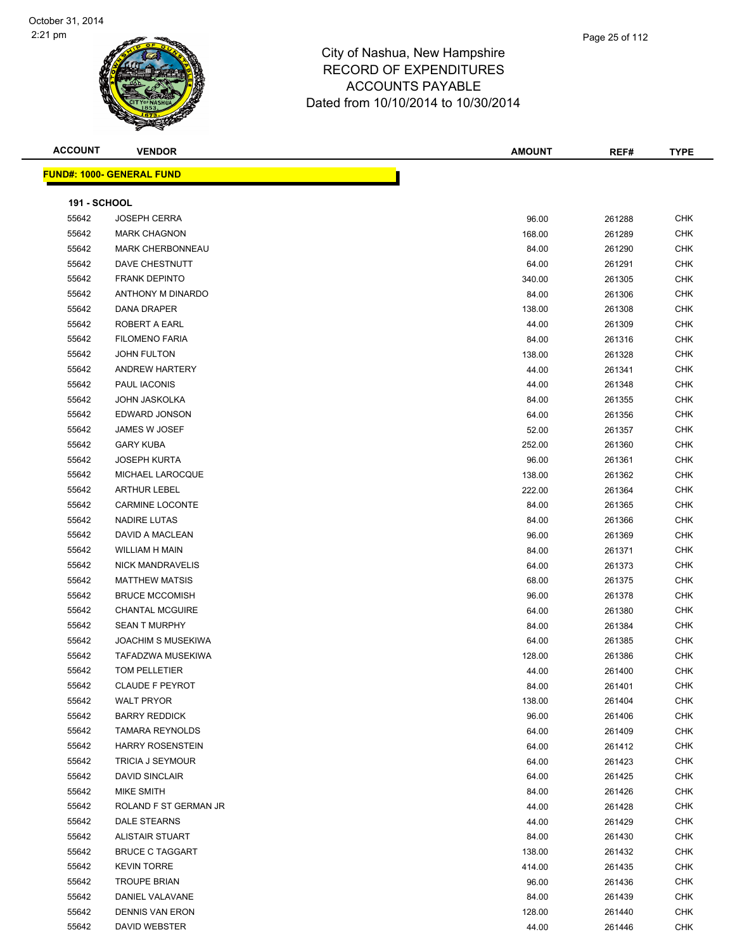

|             | Page 25 of 112 |
|-------------|----------------|
| npshire     |                |
| <b>URES</b> |                |

| <b>ACCOUNT</b>      | <b>VENDOR</b>                    | <b>AMOUNT</b> | REF#   | <b>TYPE</b> |
|---------------------|----------------------------------|---------------|--------|-------------|
|                     | <b>FUND#: 1000- GENERAL FUND</b> |               |        |             |
|                     |                                  |               |        |             |
| <b>191 - SCHOOL</b> |                                  |               |        |             |
| 55642               | <b>JOSEPH CERRA</b>              | 96.00         | 261288 | <b>CHK</b>  |
| 55642               | <b>MARK CHAGNON</b>              | 168.00        | 261289 | <b>CHK</b>  |
| 55642               | <b>MARK CHERBONNEAU</b>          | 84.00         | 261290 | <b>CHK</b>  |
| 55642               | DAVE CHESTNUTT                   | 64.00         | 261291 | <b>CHK</b>  |
| 55642               | <b>FRANK DEPINTO</b>             | 340.00        | 261305 | <b>CHK</b>  |
| 55642               | ANTHONY M DINARDO                | 84.00         | 261306 | <b>CHK</b>  |
| 55642               | <b>DANA DRAPER</b>               | 138.00        | 261308 | <b>CHK</b>  |
| 55642               | ROBERT A EARL                    | 44.00         | 261309 | <b>CHK</b>  |
| 55642               | <b>FILOMENO FARIA</b>            | 84.00         | 261316 | <b>CHK</b>  |
| 55642               | <b>JOHN FULTON</b>               | 138.00        | 261328 | <b>CHK</b>  |
| 55642               | <b>ANDREW HARTERY</b>            | 44.00         | 261341 | <b>CHK</b>  |
| 55642               | PAUL IACONIS                     | 44.00         | 261348 | <b>CHK</b>  |
| 55642               | JOHN JASKOLKA                    | 84.00         | 261355 | <b>CHK</b>  |
| 55642               | EDWARD JONSON                    | 64.00         | 261356 | <b>CHK</b>  |
| 55642               | JAMES W JOSEF                    | 52.00         | 261357 | <b>CHK</b>  |
| 55642               | <b>GARY KUBA</b>                 | 252.00        | 261360 | <b>CHK</b>  |
| 55642               | <b>JOSEPH KURTA</b>              | 96.00         | 261361 | <b>CHK</b>  |
| 55642               | MICHAEL LAROCQUE                 | 138.00        | 261362 | <b>CHK</b>  |
| 55642               | <b>ARTHUR LEBEL</b>              | 222.00        | 261364 | <b>CHK</b>  |
| 55642               | <b>CARMINE LOCONTE</b>           | 84.00         | 261365 | <b>CHK</b>  |
| 55642               | NADIRE LUTAS                     | 84.00         | 261366 | <b>CHK</b>  |
| 55642               | DAVID A MACLEAN                  | 96.00         | 261369 | <b>CHK</b>  |
| 55642               | WILLIAM H MAIN                   | 84.00         | 261371 | <b>CHK</b>  |
| 55642               | <b>NICK MANDRAVELIS</b>          | 64.00         | 261373 | <b>CHK</b>  |
| 55642               | <b>MATTHEW MATSIS</b>            | 68.00         | 261375 | <b>CHK</b>  |
| 55642               | <b>BRUCE MCCOMISH</b>            | 96.00         | 261378 | <b>CHK</b>  |
| 55642               | <b>CHANTAL MCGUIRE</b>           | 64.00         | 261380 | <b>CHK</b>  |
| 55642               | <b>SEAN T MURPHY</b>             | 84.00         | 261384 | <b>CHK</b>  |
| 55642               | <b>JOACHIM S MUSEKIWA</b>        | 64.00         | 261385 | <b>CHK</b>  |
| 55642               | TAFADZWA MUSEKIWA                | 128.00        | 261386 | <b>CHK</b>  |
| 55642               | <b>TOM PELLETIER</b>             | 44.00         | 261400 | <b>CHK</b>  |
| 55642               | CLAUDE F PEYROT                  | 84.00         | 261401 | <b>CHK</b>  |
| 55642               | <b>WALT PRYOR</b>                | 138.00        | 261404 | CHK         |
| 55642               | <b>BARRY REDDICK</b>             | 96.00         | 261406 | CHK         |
| 55642               | <b>TAMARA REYNOLDS</b>           | 64.00         | 261409 | CHK         |
| 55642               | <b>HARRY ROSENSTEIN</b>          | 64.00         | 261412 | CHK         |
| 55642               | TRICIA J SEYMOUR                 | 64.00         | 261423 | <b>CHK</b>  |
| 55642               | <b>DAVID SINCLAIR</b>            | 64.00         | 261425 | CHK         |
| 55642               | MIKE SMITH                       | 84.00         | 261426 | <b>CHK</b>  |
| 55642               | ROLAND F ST GERMAN JR            | 44.00         | 261428 | <b>CHK</b>  |
| 55642               | DALE STEARNS                     | 44.00         | 261429 | CHK         |
| 55642               | <b>ALISTAIR STUART</b>           | 84.00         | 261430 | CHK         |
| 55642               | <b>BRUCE C TAGGART</b>           | 138.00        | 261432 | CHK         |
| 55642               | <b>KEVIN TORRE</b>               | 414.00        | 261435 | CHK         |
| 55642               | <b>TROUPE BRIAN</b>              | 96.00         | 261436 | CHK         |
| 55642               | DANIEL VALAVANE                  | 84.00         | 261439 | CHK         |
| 55642               | <b>DENNIS VAN ERON</b>           | 128.00        | 261440 | CHK         |
| 55642               | DAVID WEBSTER                    | 44.00         | 261446 | <b>CHK</b>  |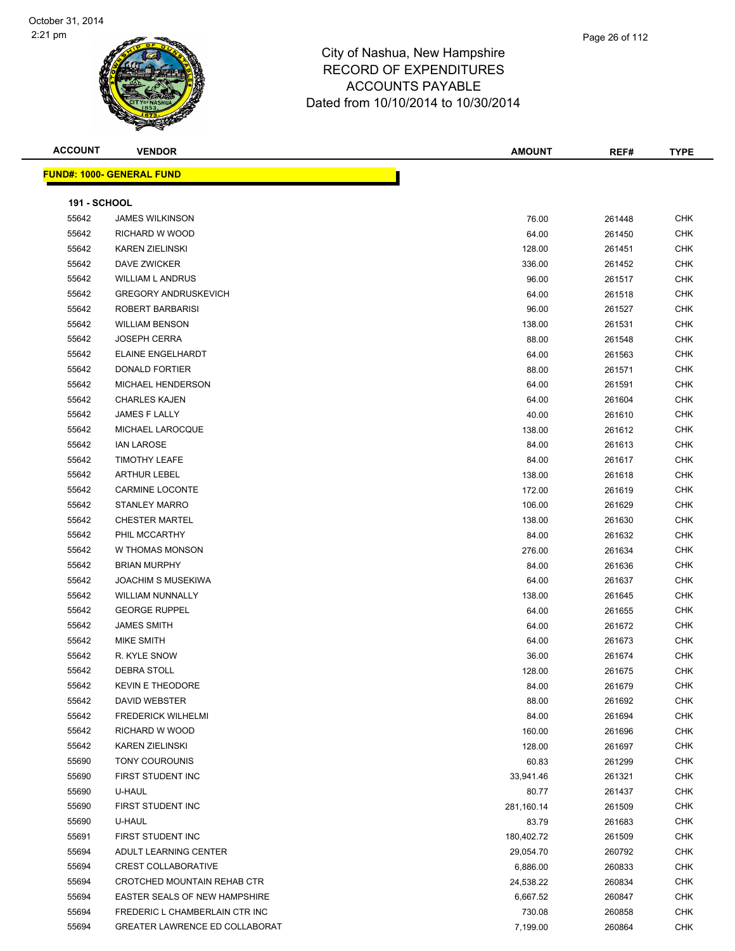

| <b>ACCOUNT</b>      | <b>VENDOR</b>                    | <b>AMOUNT</b> | REF#   | <b>TYPE</b> |
|---------------------|----------------------------------|---------------|--------|-------------|
|                     | <b>FUND#: 1000- GENERAL FUND</b> |               |        |             |
| <b>191 - SCHOOL</b> |                                  |               |        |             |
| 55642               | <b>JAMES WILKINSON</b>           | 76.00         | 261448 | <b>CHK</b>  |
| 55642               | RICHARD W WOOD                   | 64.00         | 261450 | <b>CHK</b>  |
| 55642               | <b>KAREN ZIELINSKI</b>           | 128.00        | 261451 | <b>CHK</b>  |
| 55642               | DAVE ZWICKER                     | 336.00        | 261452 | <b>CHK</b>  |
| 55642               | <b>WILLIAM L ANDRUS</b>          | 96.00         | 261517 | <b>CHK</b>  |
| 55642               | <b>GREGORY ANDRUSKEVICH</b>      | 64.00         | 261518 | <b>CHK</b>  |
| 55642               | ROBERT BARBARISI                 | 96.00         | 261527 | <b>CHK</b>  |
| 55642               | <b>WILLIAM BENSON</b>            | 138.00        | 261531 | <b>CHK</b>  |
| 55642               | <b>JOSEPH CERRA</b>              | 88.00         | 261548 | <b>CHK</b>  |
| 55642               | ELAINE ENGELHARDT                | 64.00         | 261563 | <b>CHK</b>  |
| 55642               | <b>DONALD FORTIER</b>            | 88.00         | 261571 | <b>CHK</b>  |
| 55642               | MICHAEL HENDERSON                | 64.00         | 261591 | <b>CHK</b>  |
| 55642               | <b>CHARLES KAJEN</b>             | 64.00         | 261604 | <b>CHK</b>  |
| 55642               | JAMES F LALLY                    | 40.00         | 261610 | <b>CHK</b>  |
| 55642               | MICHAEL LAROCQUE                 | 138.00        | 261612 | <b>CHK</b>  |
| 55642               | <b>IAN LAROSE</b>                | 84.00         | 261613 | <b>CHK</b>  |
| 55642               | <b>TIMOTHY LEAFE</b>             | 84.00         | 261617 | <b>CHK</b>  |
| 55642               | <b>ARTHUR LEBEL</b>              | 138.00        | 261618 | <b>CHK</b>  |
| 55642               | CARMINE LOCONTE                  | 172.00        | 261619 | <b>CHK</b>  |
| 55642               | <b>STANLEY MARRO</b>             | 106.00        | 261629 | <b>CHK</b>  |
| 55642               | <b>CHESTER MARTEL</b>            | 138.00        | 261630 | <b>CHK</b>  |
| 55642               | PHIL MCCARTHY                    | 84.00         | 261632 | <b>CHK</b>  |
| 55642               | W THOMAS MONSON                  | 276.00        | 261634 | <b>CHK</b>  |
| 55642               | <b>BRIAN MURPHY</b>              | 84.00         | 261636 | <b>CHK</b>  |
| 55642               | <b>JOACHIM S MUSEKIWA</b>        | 64.00         | 261637 | <b>CHK</b>  |
| 55642               | <b>WILLIAM NUNNALLY</b>          | 138.00        | 261645 | <b>CHK</b>  |
| 55642               | <b>GEORGE RUPPEL</b>             | 64.00         | 261655 | <b>CHK</b>  |
| 55642               | <b>JAMES SMITH</b>               | 64.00         | 261672 | <b>CHK</b>  |
| 55642               | MIKE SMITH                       | 64.00         | 261673 | <b>CHK</b>  |
| 55642               | R. KYLE SNOW                     | 36.00         | 261674 | <b>CHK</b>  |
| 55642               | <b>DEBRA STOLL</b>               | 128.00        | 261675 | <b>CHK</b>  |
| 55642               | <b>KEVIN E THEODORE</b>          | 84.00         | 261679 | <b>CHK</b>  |
| 55642               | DAVID WEBSTER                    | 88.00         | 261692 | CHK         |
| 55642               | <b>FREDERICK WILHELMI</b>        | 84.00         | 261694 | <b>CHK</b>  |
| 55642               | RICHARD W WOOD                   | 160.00        | 261696 | <b>CHK</b>  |
| 55642               | <b>KAREN ZIELINSKI</b>           | 128.00        | 261697 | <b>CHK</b>  |
| 55690               | TONY COUROUNIS                   | 60.83         | 261299 | <b>CHK</b>  |
| 55690               | <b>FIRST STUDENT INC</b>         | 33,941.46     | 261321 | <b>CHK</b>  |
| 55690               | U-HAUL                           | 80.77         | 261437 | <b>CHK</b>  |
| 55690               | FIRST STUDENT INC                | 281,160.14    | 261509 | <b>CHK</b>  |
| 55690               | U-HAUL                           | 83.79         | 261683 | <b>CHK</b>  |
| 55691               | FIRST STUDENT INC                | 180,402.72    | 261509 | <b>CHK</b>  |
| 55694               | ADULT LEARNING CENTER            | 29,054.70     | 260792 | <b>CHK</b>  |
| 55694               | <b>CREST COLLABORATIVE</b>       | 6,886.00      | 260833 | <b>CHK</b>  |
| 55694               | CROTCHED MOUNTAIN REHAB CTR      | 24,538.22     | 260834 | <b>CHK</b>  |
| 55694               | EASTER SEALS OF NEW HAMPSHIRE    | 6,667.52      | 260847 | <b>CHK</b>  |
| 55694               | FREDERIC L CHAMBERLAIN CTR INC   | 730.08        | 260858 | <b>CHK</b>  |
| 55694               | GREATER LAWRENCE ED COLLABORAT   | 7,199.00      | 260864 | <b>CHK</b>  |
|                     |                                  |               |        |             |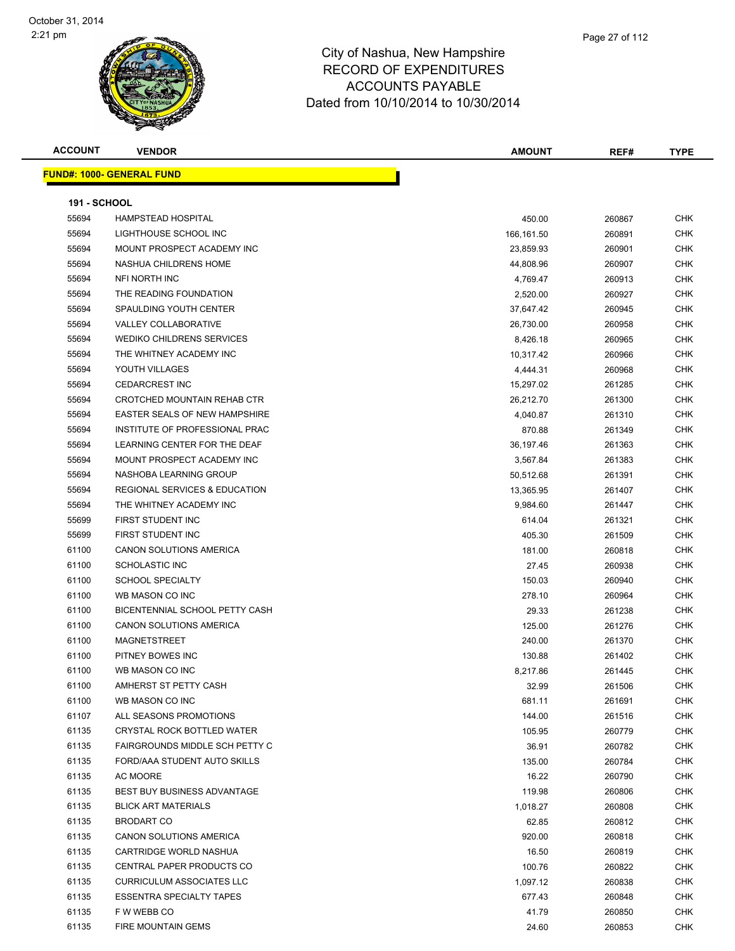| <b>ACCOUNT</b>      | <b>VENDOR</b>                            | <b>AMOUNT</b> | REF#   | <b>TYPE</b> |
|---------------------|------------------------------------------|---------------|--------|-------------|
|                     | <u> FUND#: 1000- GENERAL FUND</u>        |               |        |             |
|                     |                                          |               |        |             |
| <b>191 - SCHOOL</b> |                                          |               |        |             |
| 55694               | <b>HAMPSTEAD HOSPITAL</b>                | 450.00        | 260867 | <b>CHK</b>  |
| 55694               | LIGHTHOUSE SCHOOL INC                    | 166,161.50    | 260891 | <b>CHK</b>  |
| 55694               | MOUNT PROSPECT ACADEMY INC               | 23,859.93     | 260901 | CHK         |
| 55694               | NASHUA CHILDRENS HOME                    | 44,808.96     | 260907 | CHK         |
| 55694               | NFI NORTH INC                            | 4,769.47      | 260913 | CHK         |
| 55694               | THE READING FOUNDATION                   | 2,520.00      | 260927 | CHK         |
| 55694               | SPAULDING YOUTH CENTER                   | 37,647.42     | 260945 | <b>CHK</b>  |
| 55694               | VALLEY COLLABORATIVE                     | 26,730.00     | 260958 | CHK         |
| 55694               | <b>WEDIKO CHILDRENS SERVICES</b>         | 8,426.18      | 260965 | CHK         |
| 55694               | THE WHITNEY ACADEMY INC                  | 10,317.42     | 260966 | CHK         |
| 55694               | YOUTH VILLAGES                           | 4,444.31      | 260968 | CHK         |
| 55694               | <b>CEDARCREST INC</b>                    | 15,297.02     | 261285 | CHK         |
| 55694               | CROTCHED MOUNTAIN REHAB CTR              | 26,212.70     | 261300 | <b>CHK</b>  |
| 55694               | <b>EASTER SEALS OF NEW HAMPSHIRE</b>     | 4,040.87      | 261310 | CHK         |
| 55694               | INSTITUTE OF PROFESSIONAL PRAC           | 870.88        | 261349 | CHK         |
| 55694               | LEARNING CENTER FOR THE DEAF             | 36,197.46     | 261363 | CHK         |
| 55694               | MOUNT PROSPECT ACADEMY INC               | 3,567.84      | 261383 | CHK         |
| 55694               | NASHOBA LEARNING GROUP                   | 50,512.68     | 261391 | CHK         |
| 55694               | <b>REGIONAL SERVICES &amp; EDUCATION</b> | 13,365.95     | 261407 | CHK         |
| 55694               | THE WHITNEY ACADEMY INC                  | 9,984.60      | 261447 | CHK         |
| 55699               | FIRST STUDENT INC                        | 614.04        | 261321 | CHK         |
| 55699               | FIRST STUDENT INC                        | 405.30        | 261509 | <b>CHK</b>  |
| 61100               | CANON SOLUTIONS AMERICA                  | 181.00        | 260818 | CHK         |
| 61100               | SCHOLASTIC INC                           | 27.45         | 260938 | CHK         |
| 61100               | <b>SCHOOL SPECIALTY</b>                  | 150.03        | 260940 | CHK         |
| 61100               | WB MASON CO INC                          | 278.10        | 260964 | <b>CHK</b>  |
| 61100               | <b>BICENTENNIAL SCHOOL PETTY CASH</b>    | 29.33         | 261238 | <b>CHK</b>  |
| 61100               | <b>CANON SOLUTIONS AMERICA</b>           | 125.00        | 261276 | <b>CHK</b>  |
| 61100               | MAGNETSTREET                             | 240.00        | 261370 | <b>CHK</b>  |
| 61100               | PITNEY BOWES INC                         | 130.88        | 261402 | CHK         |
| 61100               | WB MASON CO INC                          | 8,217.86      | 261445 | CHK         |
| 61100               | AMHERST ST PETTY CASH                    | 32.99         | 261506 | <b>CHK</b>  |
| 61100               | WB MASON CO INC                          | 681.11        | 261691 | <b>CHK</b>  |
| 61107               | ALL SEASONS PROMOTIONS                   | 144.00        | 261516 | <b>CHK</b>  |
| 61135               | CRYSTAL ROCK BOTTLED WATER               | 105.95        | 260779 | <b>CHK</b>  |
| 61135               | FAIRGROUNDS MIDDLE SCH PETTY C           | 36.91         | 260782 | <b>CHK</b>  |
| 61135               | FORD/AAA STUDENT AUTO SKILLS             | 135.00        | 260784 | CHK         |
| 61135               | AC MOORE                                 | 16.22         | 260790 | CHK         |
| 61135               | BEST BUY BUSINESS ADVANTAGE              | 119.98        | 260806 | <b>CHK</b>  |
| 61135               | <b>BLICK ART MATERIALS</b>               | 1,018.27      | 260808 | CHK         |
| 61135               | <b>BRODART CO</b>                        | 62.85         | 260812 | CHK         |
| 61135               | CANON SOLUTIONS AMERICA                  | 920.00        | 260818 | CHK         |
| 61135               | CARTRIDGE WORLD NASHUA                   | 16.50         | 260819 | CHK         |
| 61135               | CENTRAL PAPER PRODUCTS CO                | 100.76        | 260822 | <b>CHK</b>  |
| 61135               | <b>CURRICULUM ASSOCIATES LLC</b>         | 1,097.12      | 260838 | CHK         |
| 61135               | <b>ESSENTRA SPECIALTY TAPES</b>          | 677.43        | 260848 | CHK         |
| 61135               | F W WEBB CO                              | 41.79         | 260850 | CHK         |
| 61135               | FIRE MOUNTAIN GEMS                       | 24.60         | 260853 | CHK         |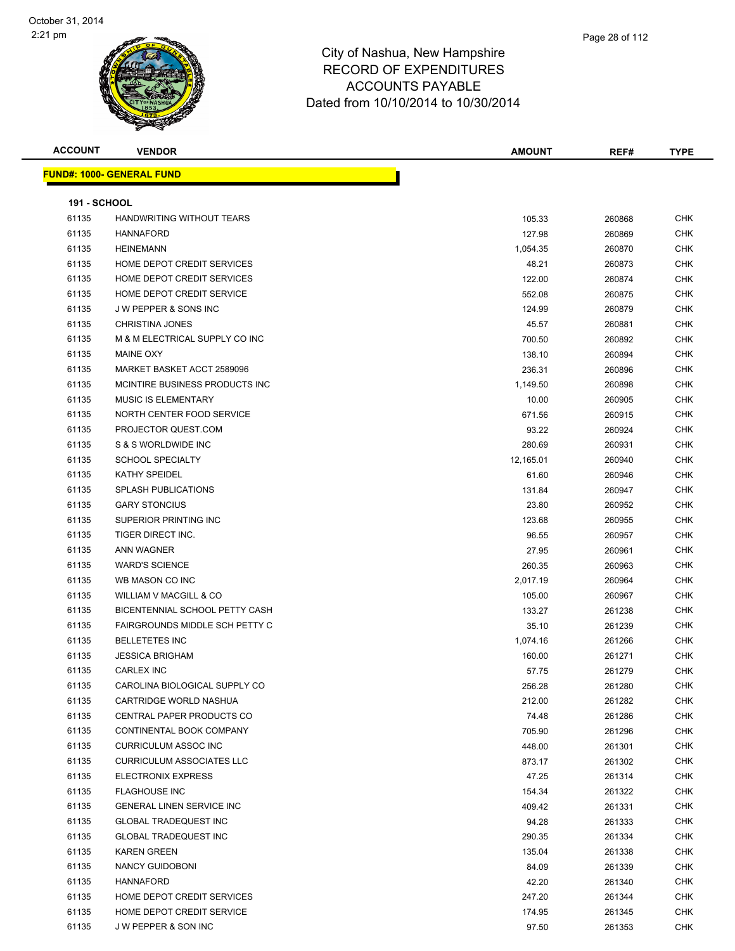| <b>ACCOUNT</b>      | <b>VENDOR</b>                     | <b>AMOUNT</b> | REF#   | <b>TYPE</b> |
|---------------------|-----------------------------------|---------------|--------|-------------|
|                     | <u> FUND#: 1000- GENERAL FUND</u> |               |        |             |
|                     |                                   |               |        |             |
| <b>191 - SCHOOL</b> |                                   |               |        |             |
| 61135               | HANDWRITING WITHOUT TEARS         | 105.33        | 260868 | <b>CHK</b>  |
| 61135               | <b>HANNAFORD</b>                  | 127.98        | 260869 | <b>CHK</b>  |
| 61135               | <b>HEINEMANN</b>                  | 1,054.35      | 260870 | CHK         |
| 61135               | HOME DEPOT CREDIT SERVICES        | 48.21         | 260873 | CHK         |
| 61135               | HOME DEPOT CREDIT SERVICES        | 122.00        | 260874 | CHK         |
| 61135               | HOME DEPOT CREDIT SERVICE         | 552.08        | 260875 | CHK         |
| 61135               | <b>JW PEPPER &amp; SONS INC</b>   | 124.99        | 260879 | CHK         |
| 61135               | <b>CHRISTINA JONES</b>            | 45.57         | 260881 | <b>CHK</b>  |
| 61135               | M & M ELECTRICAL SUPPLY CO INC    | 700.50        | 260892 | <b>CHK</b>  |
| 61135               | MAINE OXY                         | 138.10        | 260894 | CHK         |
| 61135               | MARKET BASKET ACCT 2589096        | 236.31        | 260896 | CHK         |
| 61135               | MCINTIRE BUSINESS PRODUCTS INC.   | 1,149.50      | 260898 | CHK         |
| 61135               | <b>MUSIC IS ELEMENTARY</b>        | 10.00         | 260905 | CHK         |
| 61135               | NORTH CENTER FOOD SERVICE         | 671.56        | 260915 | CHK         |
| 61135               | PROJECTOR QUEST.COM               | 93.22         | 260924 | CHK         |
| 61135               | S & S WORLDWIDE INC               | 280.69        | 260931 | CHK         |
| 61135               | <b>SCHOOL SPECIALTY</b>           | 12,165.01     | 260940 | CHK         |
| 61135               | KATHY SPEIDEL                     | 61.60         | 260946 | CHK         |
| 61135               | <b>SPLASH PUBLICATIONS</b>        | 131.84        | 260947 | CHK         |
| 61135               | <b>GARY STONCIUS</b>              | 23.80         | 260952 | CHK         |
| 61135               | SUPERIOR PRINTING INC             | 123.68        | 260955 | CHK         |
| 61135               | TIGER DIRECT INC.                 | 96.55         | 260957 | CHK         |
| 61135               | <b>ANN WAGNER</b>                 | 27.95         | 260961 | CHK         |
| 61135               | <b>WARD'S SCIENCE</b>             | 260.35        | 260963 | CHK         |
| 61135               | WB MASON CO INC                   | 2,017.19      | 260964 | CHK         |
| 61135               | WILLIAM V MACGILL & CO            | 105.00        | 260967 | CHK         |
| 61135               | BICENTENNIAL SCHOOL PETTY CASH    | 133.27        | 261238 | CHK         |
| 61135               | FAIRGROUNDS MIDDLE SCH PETTY C    | 35.10         | 261239 | <b>CHK</b>  |
| 61135               | <b>BELLETETES INC</b>             | 1,074.16      | 261266 | <b>CHK</b>  |
| 61135               | <b>JESSICA BRIGHAM</b>            | 160.00        | 261271 | CHK         |
| 61135               | <b>CARLEX INC</b>                 | 57.75         | 261279 | <b>CHK</b>  |
| 61135               | CAROLINA BIOLOGICAL SUPPLY CO     | 256.28        | 261280 | <b>CHK</b>  |
| 61135               | CARTRIDGE WORLD NASHUA            | 212.00        | 261282 | <b>CHK</b>  |
| 61135               | CENTRAL PAPER PRODUCTS CO         | 74.48         | 261286 | <b>CHK</b>  |
| 61135               | CONTINENTAL BOOK COMPANY          | 705.90        | 261296 | CHK         |
| 61135               | <b>CURRICULUM ASSOC INC</b>       | 448.00        | 261301 | CHK         |
| 61135               | <b>CURRICULUM ASSOCIATES LLC</b>  | 873.17        | 261302 | CHK         |
| 61135               | ELECTRONIX EXPRESS                | 47.25         | 261314 | CHK         |
| 61135               | <b>FLAGHOUSE INC</b>              | 154.34        | 261322 | CHK         |
| 61135               | <b>GENERAL LINEN SERVICE INC</b>  | 409.42        | 261331 | CHK         |
| 61135               | <b>GLOBAL TRADEQUEST INC</b>      | 94.28         | 261333 | CHK         |
| 61135               | <b>GLOBAL TRADEQUEST INC</b>      | 290.35        | 261334 | CHK         |
| 61135               | <b>KAREN GREEN</b>                | 135.04        | 261338 | CHK         |
| 61135               | NANCY GUIDOBONI                   | 84.09         | 261339 | CHK         |
| 61135               | HANNAFORD                         | 42.20         | 261340 | CHK         |
| 61135               | HOME DEPOT CREDIT SERVICES        | 247.20        | 261344 | CHK         |
| 61135               | HOME DEPOT CREDIT SERVICE         | 174.95        | 261345 | CHK         |
| 61135               | J W PEPPER & SON INC              | 97.50         | 261353 | CHK         |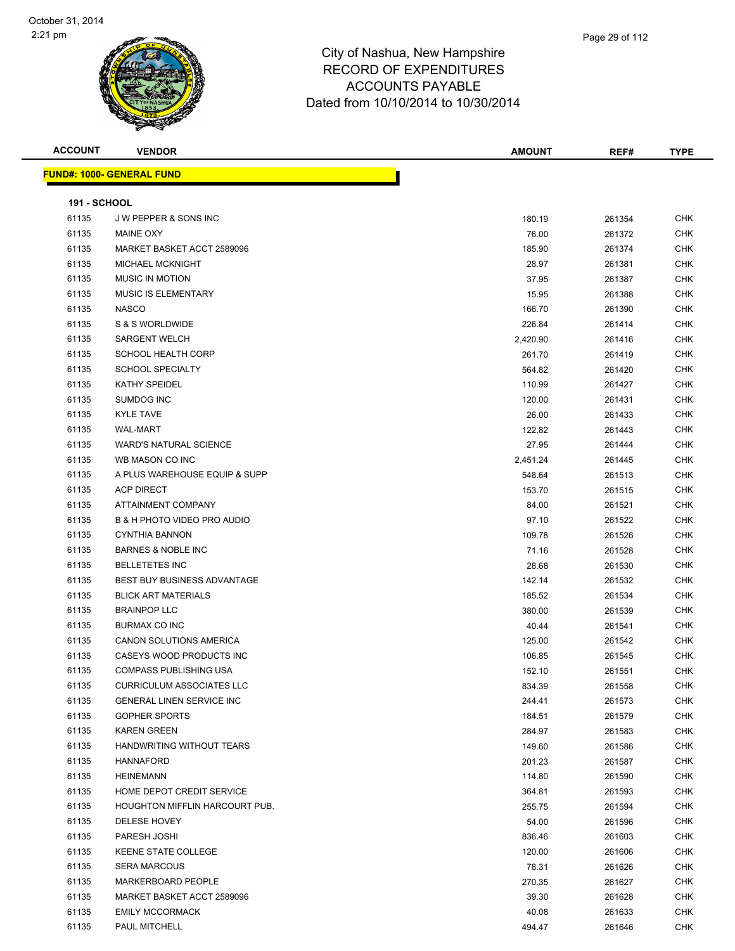| <b>ACCOUNT</b>      | <b>VENDOR</b>                         | <b>AMOUNT</b> | REF#   | <b>TYPE</b> |
|---------------------|---------------------------------------|---------------|--------|-------------|
|                     | <b>FUND#: 1000- GENERAL FUND</b>      |               |        |             |
|                     |                                       |               |        |             |
| <b>191 - SCHOOL</b> |                                       |               |        |             |
| 61135               | J W PEPPER & SONS INC                 | 180.19        | 261354 | <b>CHK</b>  |
| 61135               | <b>MAINE OXY</b>                      | 76.00         | 261372 | <b>CHK</b>  |
| 61135               | MARKET BASKET ACCT 2589096            | 185.90        | 261374 | <b>CHK</b>  |
| 61135               | <b>MICHAEL MCKNIGHT</b>               | 28.97         | 261381 | <b>CHK</b>  |
| 61135               | <b>MUSIC IN MOTION</b>                | 37.95         | 261387 | <b>CHK</b>  |
| 61135               | <b>MUSIC IS ELEMENTARY</b>            | 15.95         | 261388 | <b>CHK</b>  |
| 61135               | <b>NASCO</b>                          | 166.70        | 261390 | CHK         |
| 61135               | S & S WORLDWIDE                       | 226.84        | 261414 | <b>CHK</b>  |
| 61135               | <b>SARGENT WELCH</b>                  | 2,420.90      | 261416 | <b>CHK</b>  |
| 61135               | <b>SCHOOL HEALTH CORP</b>             | 261.70        | 261419 | <b>CHK</b>  |
| 61135               | <b>SCHOOL SPECIALTY</b>               | 564.82        | 261420 | <b>CHK</b>  |
| 61135               | KATHY SPEIDEL                         | 110.99        | 261427 | <b>CHK</b>  |
| 61135               | <b>SUMDOG INC</b>                     | 120.00        | 261431 | <b>CHK</b>  |
| 61135               | <b>KYLE TAVE</b>                      | 26.00         | 261433 | <b>CHK</b>  |
| 61135               | <b>WAL-MART</b>                       | 122.82        | 261443 | <b>CHK</b>  |
| 61135               | <b>WARD'S NATURAL SCIENCE</b>         | 27.95         | 261444 | <b>CHK</b>  |
| 61135               | WB MASON CO INC                       | 2,451.24      | 261445 | <b>CHK</b>  |
| 61135               | A PLUS WAREHOUSE EQUIP & SUPP         | 548.64        | 261513 | CHK         |
| 61135               | <b>ACP DIRECT</b>                     | 153.70        | 261515 | <b>CHK</b>  |
| 61135               | ATTAINMENT COMPANY                    | 84.00         | 261521 | <b>CHK</b>  |
| 61135               | B & H PHOTO VIDEO PRO AUDIO           | 97.10         | 261522 | <b>CHK</b>  |
| 61135               | <b>CYNTHIA BANNON</b>                 | 109.78        | 261526 | <b>CHK</b>  |
| 61135               | <b>BARNES &amp; NOBLE INC</b>         | 71.16         | 261528 | <b>CHK</b>  |
| 61135               | <b>BELLETETES INC</b>                 | 28.68         | 261530 | <b>CHK</b>  |
| 61135               | BEST BUY BUSINESS ADVANTAGE           | 142.14        | 261532 | <b>CHK</b>  |
| 61135               | <b>BLICK ART MATERIALS</b>            | 185.52        | 261534 | <b>CHK</b>  |
| 61135               | <b>BRAINPOP LLC</b>                   | 380.00        | 261539 | <b>CHK</b>  |
| 61135               | BURMAX CO INC                         | 40.44         | 261541 | <b>CHK</b>  |
| 61135               | CANON SOLUTIONS AMERICA               | 125.00        | 261542 | CHK         |
| 61135               | CASEYS WOOD PRODUCTS INC              | 106.85        | 261545 | <b>CHK</b>  |
| 61135               | <b>COMPASS PUBLISHING USA</b>         | 152.10        | 261551 | <b>CHK</b>  |
| 61135               | <b>CURRICULUM ASSOCIATES LLC</b>      | 834.39        | 261558 | CHK         |
| 61135               | GENERAL LINEN SERVICE INC             | 244.41        | 261573 | <b>CHK</b>  |
| 61135               | <b>GOPHER SPORTS</b>                  | 184.51        | 261579 | <b>CHK</b>  |
| 61135               | <b>KAREN GREEN</b>                    | 284.97        | 261583 | <b>CHK</b>  |
| 61135               | HANDWRITING WITHOUT TEARS             | 149.60        | 261586 | <b>CHK</b>  |
| 61135               | <b>HANNAFORD</b>                      | 201.23        | 261587 | <b>CHK</b>  |
| 61135               | HEINEMANN                             | 114.80        | 261590 | <b>CHK</b>  |
| 61135               | HOME DEPOT CREDIT SERVICE             | 364.81        | 261593 | <b>CHK</b>  |
| 61135               | <b>HOUGHTON MIFFLIN HARCOURT PUB.</b> | 255.75        | 261594 | <b>CHK</b>  |
| 61135               | DELESE HOVEY                          | 54.00         | 261596 | <b>CHK</b>  |
| 61135               | PARESH JOSHI                          | 836.46        | 261603 | <b>CHK</b>  |
| 61135               | KEENE STATE COLLEGE                   | 120.00        | 261606 | <b>CHK</b>  |
| 61135               | <b>SERA MARCOUS</b>                   | 78.31         | 261626 | <b>CHK</b>  |
| 61135               | MARKERBOARD PEOPLE                    | 270.35        | 261627 | <b>CHK</b>  |
| 61135               | MARKET BASKET ACCT 2589096            | 39.30         | 261628 | <b>CHK</b>  |
| 61135               | <b>EMILY MCCORMACK</b>                | 40.08         | 261633 | <b>CHK</b>  |
| 61135               | PAUL MITCHELL                         | 494.47        | 261646 | <b>CHK</b>  |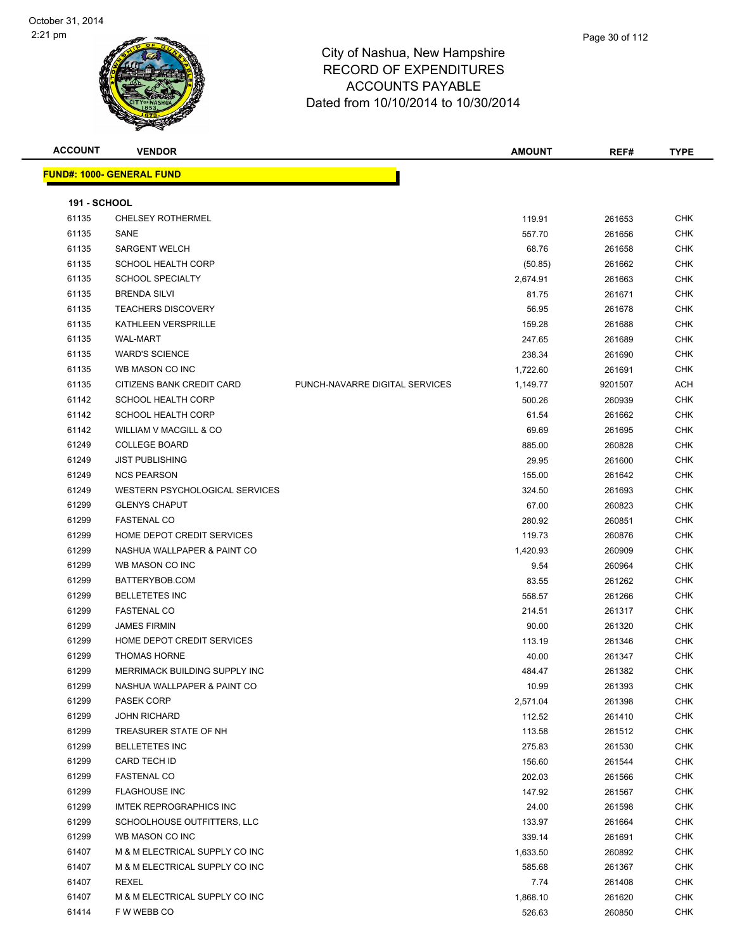| <b>VENDOR</b>                  |                                   | <b>AMOUNT</b> | REF#                                   | TYPE                       |
|--------------------------------|-----------------------------------|---------------|----------------------------------------|----------------------------|
|                                |                                   |               |                                        |                            |
|                                |                                   |               |                                        |                            |
| <b>191 - SCHOOL</b>            |                                   |               |                                        |                            |
| <b>CHELSEY ROTHERMEL</b>       |                                   | 119.91        | 261653                                 | <b>CHK</b>                 |
| SANE                           |                                   | 557.70        |                                        | <b>CHK</b>                 |
| <b>SARGENT WELCH</b>           |                                   | 68.76         | 261658                                 | <b>CHK</b>                 |
| <b>SCHOOL HEALTH CORP</b>      |                                   |               | 261662                                 | <b>CHK</b>                 |
| <b>SCHOOL SPECIALTY</b>        |                                   | 2,674.91      | 261663                                 | <b>CHK</b>                 |
| <b>BRENDA SILVI</b>            |                                   |               |                                        | <b>CHK</b>                 |
| <b>TEACHERS DISCOVERY</b>      |                                   | 56.95         | 261678                                 | <b>CHK</b>                 |
| KATHLEEN VERSPRILLE            |                                   | 159.28        | 261688                                 | <b>CHK</b>                 |
| <b>WAL-MART</b>                |                                   | 247.65        | 261689                                 | <b>CHK</b>                 |
| <b>WARD'S SCIENCE</b>          |                                   | 238.34        | 261690                                 | <b>CHK</b>                 |
| WB MASON CO INC                |                                   |               | 261691                                 | <b>CHK</b>                 |
| CITIZENS BANK CREDIT CARD      | PUNCH-NAVARRE DIGITAL SERVICES    | 1,149.77      | 9201507                                | <b>ACH</b>                 |
| <b>SCHOOL HEALTH CORP</b>      |                                   |               |                                        | <b>CHK</b>                 |
| <b>SCHOOL HEALTH CORP</b>      |                                   | 61.54         | 261662                                 | <b>CHK</b>                 |
| WILLIAM V MACGILL & CO         |                                   | 69.69         | 261695                                 | <b>CHK</b>                 |
| <b>COLLEGE BOARD</b>           |                                   | 885.00        | 260828                                 | <b>CHK</b>                 |
| <b>JIST PUBLISHING</b>         |                                   | 29.95         | 261600                                 | <b>CHK</b>                 |
| <b>NCS PEARSON</b>             |                                   | 155.00        | 261642                                 | <b>CHK</b>                 |
| WESTERN PSYCHOLOGICAL SERVICES |                                   | 324.50        | 261693                                 | <b>CHK</b>                 |
| <b>GLENYS CHAPUT</b>           |                                   | 67.00         | 260823                                 | <b>CHK</b>                 |
| <b>FASTENAL CO</b>             |                                   | 280.92        | 260851                                 | <b>CHK</b>                 |
| HOME DEPOT CREDIT SERVICES     |                                   | 119.73        | 260876                                 | <b>CHK</b>                 |
| NASHUA WALLPAPER & PAINT CO    |                                   | 1,420.93      | 260909                                 | <b>CHK</b>                 |
| WB MASON CO INC                |                                   | 9.54          | 260964                                 | <b>CHK</b>                 |
| BATTERYBOB.COM                 |                                   | 83.55         | 261262                                 | <b>CHK</b>                 |
| <b>BELLETETES INC</b>          |                                   | 558.57        | 261266                                 | <b>CHK</b>                 |
| <b>FASTENAL CO</b>             |                                   | 214.51        | 261317                                 | <b>CHK</b>                 |
| <b>JAMES FIRMIN</b>            |                                   | 90.00         | 261320                                 | <b>CHK</b>                 |
| HOME DEPOT CREDIT SERVICES     |                                   | 113.19        | 261346                                 | <b>CHK</b>                 |
| <b>THOMAS HORNE</b>            |                                   | 40.00         | 261347                                 | <b>CHK</b>                 |
| MERRIMACK BUILDING SUPPLY INC  |                                   | 484.47        | 261382                                 | <b>CHK</b>                 |
| NASHUA WALLPAPER & PAINT CO    |                                   | 10.99         | 261393                                 | <b>CHK</b>                 |
| <b>PASEK CORP</b>              |                                   | 2,571.04      | 261398                                 | <b>CHK</b>                 |
| <b>JOHN RICHARD</b>            |                                   | 112.52        | 261410                                 | <b>CHK</b>                 |
| TREASURER STATE OF NH          |                                   | 113.58        | 261512                                 | <b>CHK</b>                 |
| <b>BELLETETES INC</b>          |                                   | 275.83        | 261530                                 | <b>CHK</b>                 |
| CARD TECH ID                   |                                   | 156.60        | 261544                                 | <b>CHK</b>                 |
| <b>FASTENAL CO</b>             |                                   | 202.03        | 261566                                 | <b>CHK</b>                 |
| <b>FLAGHOUSE INC</b>           |                                   | 147.92        | 261567                                 | <b>CHK</b>                 |
| IMTEK REPROGRAPHICS INC        |                                   | 24.00         | 261598                                 | <b>CHK</b>                 |
| SCHOOLHOUSE OUTFITTERS, LLC    |                                   | 133.97        | 261664                                 | <b>CHK</b>                 |
| WB MASON CO INC                |                                   | 339.14        | 261691                                 | <b>CHK</b>                 |
| M & M ELECTRICAL SUPPLY CO INC |                                   | 1,633.50      | 260892                                 | <b>CHK</b>                 |
| M & M ELECTRICAL SUPPLY CO INC |                                   | 585.68        | 261367                                 | <b>CHK</b>                 |
| REXEL                          |                                   | 7.74          | 261408                                 | <b>CHK</b>                 |
| M & M ELECTRICAL SUPPLY CO INC |                                   | 1,868.10      | 261620                                 | <b>CHK</b>                 |
| F W WEBB CO                    |                                   | 526.63        | 260850                                 | <b>CHK</b>                 |
|                                | <u> FUND#: 1000- GENERAL FUND</u> |               | (50.85)<br>81.75<br>1,722.60<br>500.26 | 261656<br>261671<br>260939 |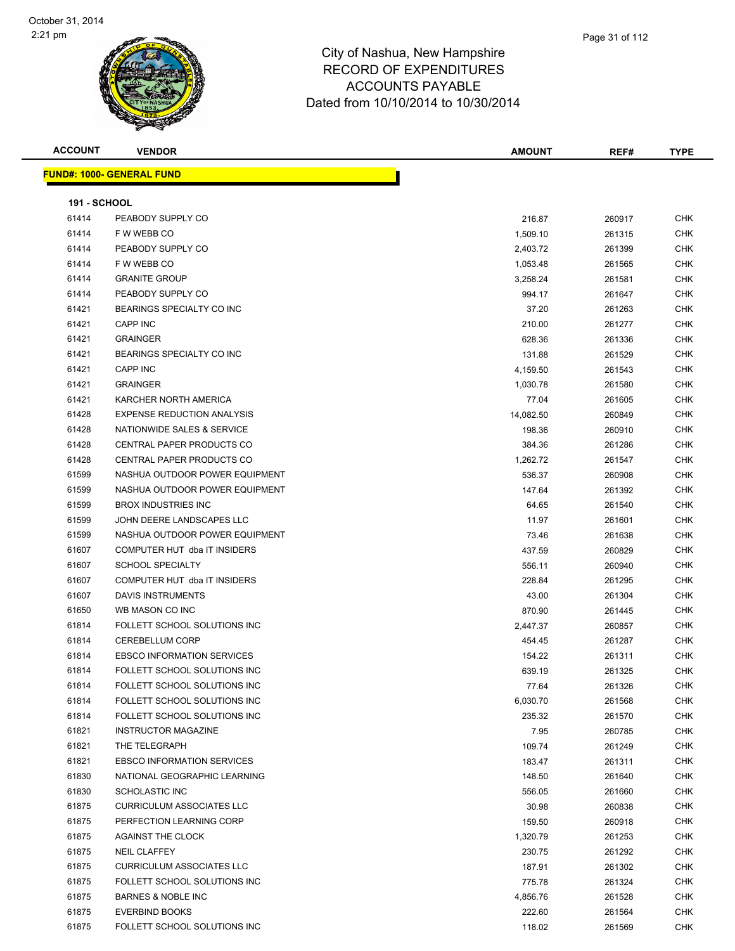

**ACCOUNT VENDOR AMOUNT REF# TYPE FUND#: 1000- GENERAL FUND 191 - SCHOOL** PEABODY SUPPLY CO 216.87 260917 CHK F W WEBB CO 1,509.10 261315 CHK 61414 PEABODY SUPPLY CO **2.403.72** 261399 CHK F W WEBB CO 1,053.48 261565 CHK GRANITE GROUP 3,258.24 261581 CHK PEABODY SUPPLY CO 994.17 261647 CHK BEARINGS SPECIALTY CO INC 37.20 261263 CHK CAPP INC 210.00 261277 CHK GRAINGER 628.36 261336 CHK er and the Separators SPECIALTY CO INC 131.88 261529 CHK CAPP INC 4,159.50 261543 CHK GRAINGER 1,030.78 261580 CHK KARCHER NORTH AMERICA 77.04 261605 CHK EXPENSE REDUCTION ANALYSIS 14,082.50 260849 CHK NATIONWIDE SALES & SERVICE 198.36 260910 CHK CENTRAL PAPER PRODUCTS CO 384.36 261286 CHK er 61428 CENTRAL PAPER PRODUCTS CO 1,262.72 261547 CHK NASHUA OUTDOOR POWER EQUIPMENT 536.37 260908 CHK 61599 NASHUA OUTDOOR POWER EQUIPMENT 147.64 261392 CHK BROX INDUSTRIES INC 64.65 261540 CHK er 1999 and the USCAPES SALC 11.97 and the USCAPES UNIT CHK 10.97 and the USCAPES OF THE 11.97 and the CHK NASHUA OUTDOOR POWER EQUIPMENT 73.46 261638 CHK COMPUTER HUT dba IT INSIDERS 437.59 260829 CHK 61607 SCHOOL SPECIALTY **556.11** 260940 CHK COMPUTER HUT dba IT INSIDERS 228.84 261295 CHK DAVIS INSTRUMENTS 43.00 261304 CHK WB MASON CO INC 870.90 261445 CHK FOLLETT SCHOOL SOLUTIONS INC 2,447.37 260857 CHK CEREBELLUM CORP 454.45 261287 CHK EBSCO INFORMATION SERVICES 154.22 261311 CHK FOLLETT SCHOOL SOLUTIONS INC 639.19 261325 CHK FOLLETT SCHOOL SOLUTIONS INC 77.64 261326 CHK FOLLETT SCHOOL SOLUTIONS INC 6,030.70 261568 CHK FOLLETT SCHOOL SOLUTIONS INC 235.32 261570 CHK INSTRUCTOR MAGAZINE 7.95 260785 CHK THE TELEGRAPH 109.74 261249 CHK EBSCO INFORMATION SERVICES 183.47 261311 CHK NATIONAL GEOGRAPHIC LEARNING 148.50 261640 CHK SCHOLASTIC INC 556.05 261660 CHK CURRICULUM ASSOCIATES LLC 30.98 260838 CHK er by the PERFECTION LEARNING CORP 159.50 159.50 260918 CHK AGAINST THE CLOCK 1,320.79 261253 CHK NEIL CLAFFEY 230.75 261292 CHK 61875 CURRICULUM ASSOCIATES LLC 187.91 261302 CHK FOLLETT SCHOOL SOLUTIONS INC 775.78 261324 CHK BARNES & NOBLE INC 4,856.76 261528 CHK

 EVERBIND BOOKS 222.60 261564 CHK FOLLETT SCHOOL SOLUTIONS INC 118.02 261569 CHK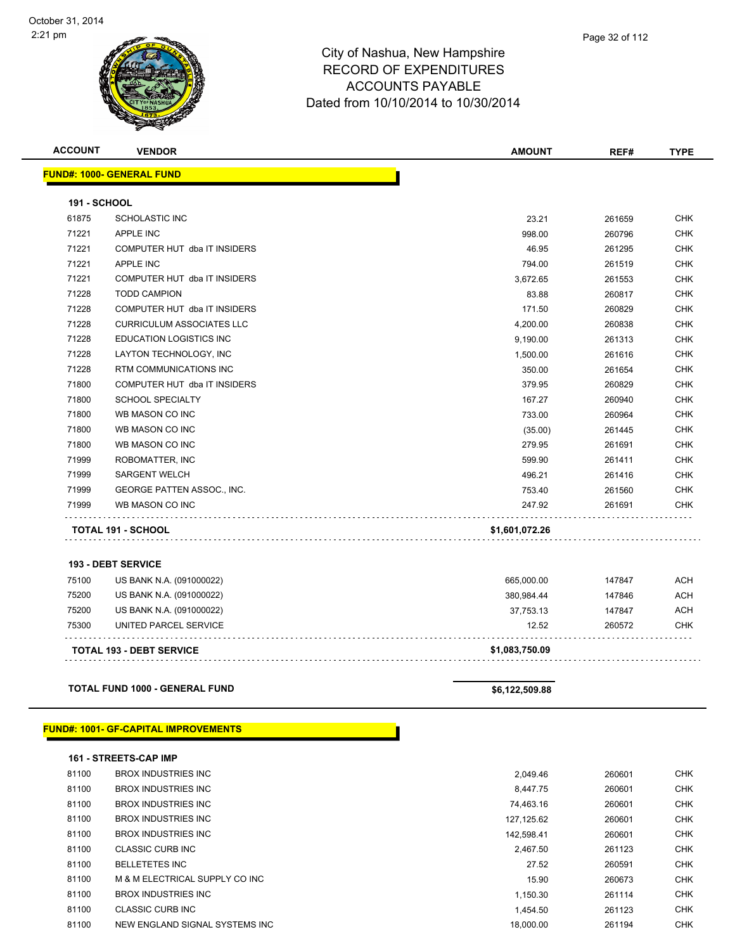Page 32 of 112

| <b>ACCOUNT</b>      | <b>VENDOR</b>                               | <b>AMOUNT</b>  | REF#   | <b>TYPE</b> |
|---------------------|---------------------------------------------|----------------|--------|-------------|
|                     | <b>FUND#: 1000- GENERAL FUND</b>            |                |        |             |
| <b>191 - SCHOOL</b> |                                             |                |        |             |
| 61875               | <b>SCHOLASTIC INC</b>                       | 23.21          | 261659 | <b>CHK</b>  |
| 71221               | <b>APPLE INC</b>                            | 998.00         | 260796 | <b>CHK</b>  |
| 71221               | COMPUTER HUT dba IT INSIDERS                | 46.95          | 261295 | <b>CHK</b>  |
| 71221               | <b>APPLE INC</b>                            | 794.00         | 261519 | <b>CHK</b>  |
| 71221               | COMPUTER HUT dba IT INSIDERS                | 3,672.65       | 261553 | <b>CHK</b>  |
| 71228               | <b>TODD CAMPION</b>                         | 83.88          | 260817 | CHK         |
| 71228               | COMPUTER HUT dba IT INSIDERS                | 171.50         | 260829 | <b>CHK</b>  |
| 71228               | <b>CURRICULUM ASSOCIATES LLC</b>            | 4,200.00       | 260838 | <b>CHK</b>  |
| 71228               | EDUCATION LOGISTICS INC                     | 9,190.00       | 261313 | <b>CHK</b>  |
| 71228               | LAYTON TECHNOLOGY, INC                      | 1,500.00       | 261616 | <b>CHK</b>  |
| 71228               | RTM COMMUNICATIONS INC                      | 350.00         | 261654 | <b>CHK</b>  |
| 71800               | COMPUTER HUT dba IT INSIDERS                | 379.95         | 260829 | <b>CHK</b>  |
| 71800               | <b>SCHOOL SPECIALTY</b>                     | 167.27         | 260940 | <b>CHK</b>  |
| 71800               | WB MASON CO INC                             | 733.00         | 260964 | <b>CHK</b>  |
| 71800               | WB MASON CO INC                             | (35.00)        | 261445 | <b>CHK</b>  |
| 71800               | WB MASON CO INC                             | 279.95         | 261691 | CHK         |
| 71999               | ROBOMATTER, INC                             | 599.90         | 261411 | CHK         |
| 71999               | <b>SARGENT WELCH</b>                        | 496.21         | 261416 | <b>CHK</b>  |
| 71999               | GEORGE PATTEN ASSOC., INC.                  | 753.40         | 261560 | <b>CHK</b>  |
| 71999               | WB MASON CO INC                             | 247.92         | 261691 | <b>CHK</b>  |
|                     | TOTAL 191 - SCHOOL                          | \$1,601,072.26 |        |             |
|                     | <b>193 - DEBT SERVICE</b>                   |                |        |             |
| 75100               | US BANK N.A. (091000022)                    | 665,000.00     | 147847 | <b>ACH</b>  |
| 75200               | US BANK N.A. (091000022)                    | 380,984.44     | 147846 | ACH         |
| 75200               | US BANK N.A. (091000022)                    | 37,753.13      | 147847 | ACH         |
| 75300               | UNITED PARCEL SERVICE                       | 12.52          | 260572 | CHK         |
|                     | <b>TOTAL 193 - DEBT SERVICE</b>             | \$1,083,750.09 |        |             |
|                     |                                             |                |        |             |
|                     | <b>TOTAL FUND 1000 - GENERAL FUND</b>       | \$6,122,509.88 |        |             |
|                     |                                             |                |        |             |
|                     | <b>FUND#: 1001- GF-CAPITAL IMPROVEMENTS</b> |                |        |             |
|                     | 161 - STREETS-CAP IMP                       |                |        |             |
| 81100               | <b>BROX INDUSTRIES INC</b>                  | 2,049.46       | 260601 | <b>CHK</b>  |
| 81100               | <b>BROX INDUSTRIES INC</b>                  | 8,447.75       | 260601 | <b>CHK</b>  |
| 81100               | <b>BROX INDUSTRIES INC</b>                  | 74,463.16      | 260601 | <b>CHK</b>  |
| 81100               | <b>BROX INDUSTRIES INC</b>                  | 127,125.62     | 260601 | <b>CHK</b>  |
| 81100               | <b>BROX INDUSTRIES INC</b>                  | 142,598.41     | 260601 | <b>CHK</b>  |
| 81100               | CLASSIC CURB INC                            | 2,467.50       | 261123 | <b>CHK</b>  |

 BELLETETES INC 27.52 260591 CHK 81100 M & M ELECTRICAL SUPPLY CO INC 15.90 260673 CHK 81100 BROX INDUSTRIES INC **1,150.30** 261114 CHK 81100 CLASSIC CURB INC **CLASSIC CURB INC CLASSIC CURB INC CHK** 81100 NEW ENGLAND SIGNAL SYSTEMS INC 18,000.00 261194 CHK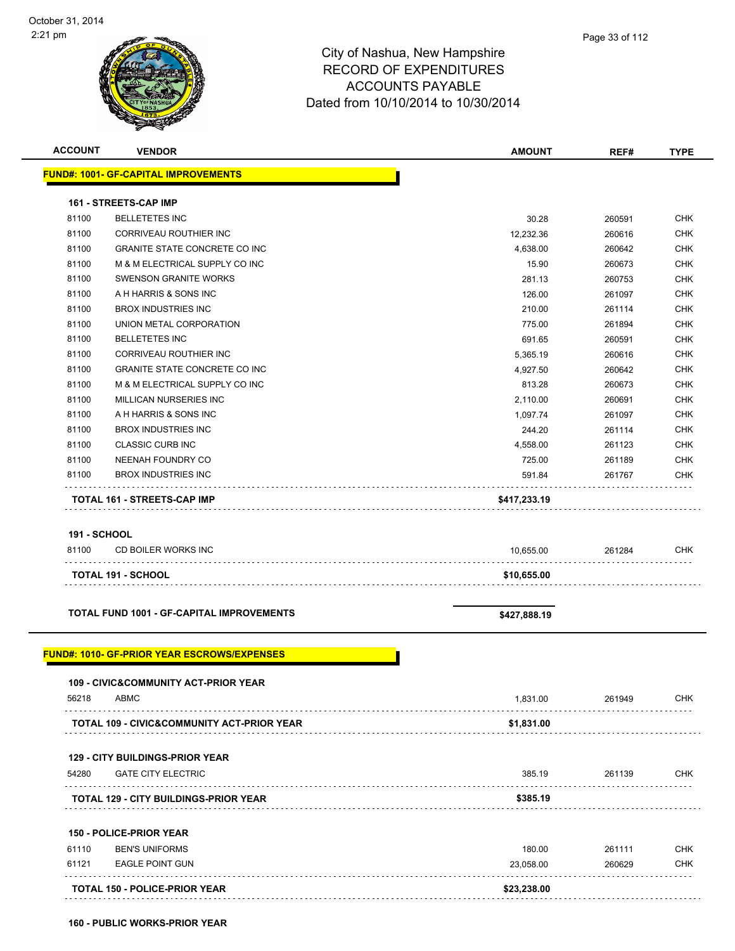

| <b>ACCOUNT</b>      | <b>VENDOR</b>                                      | <b>AMOUNT</b> | REF#   | <b>TYPE</b> |
|---------------------|----------------------------------------------------|---------------|--------|-------------|
|                     | <b>FUND#: 1001- GF-CAPITAL IMPROVEMENTS</b>        |               |        |             |
|                     |                                                    |               |        |             |
|                     | <b>161 - STREETS-CAP IMP</b>                       |               |        |             |
| 81100               | <b>BELLETETES INC</b>                              | 30.28         | 260591 | <b>CHK</b>  |
| 81100               | CORRIVEAU ROUTHIER INC                             | 12,232.36     | 260616 | <b>CHK</b>  |
| 81100               | <b>GRANITE STATE CONCRETE CO INC</b>               | 4,638.00      | 260642 | <b>CHK</b>  |
| 81100               | M & M ELECTRICAL SUPPLY CO INC                     | 15.90         | 260673 | <b>CHK</b>  |
| 81100               | <b>SWENSON GRANITE WORKS</b>                       | 281.13        | 260753 | <b>CHK</b>  |
| 81100               | A H HARRIS & SONS INC                              | 126.00        | 261097 | <b>CHK</b>  |
| 81100               | <b>BROX INDUSTRIES INC</b>                         | 210.00        | 261114 | <b>CHK</b>  |
| 81100               | UNION METAL CORPORATION                            | 775.00        | 261894 | <b>CHK</b>  |
| 81100               | <b>BELLETETES INC</b>                              | 691.65        | 260591 | <b>CHK</b>  |
| 81100               | CORRIVEAU ROUTHIER INC                             | 5,365.19      | 260616 | <b>CHK</b>  |
| 81100               | <b>GRANITE STATE CONCRETE CO INC</b>               | 4,927.50      | 260642 | <b>CHK</b>  |
| 81100               | M & M ELECTRICAL SUPPLY CO INC                     | 813.28        | 260673 | <b>CHK</b>  |
| 81100               | MILLICAN NURSERIES INC                             | 2,110.00      | 260691 | <b>CHK</b>  |
| 81100               | A H HARRIS & SONS INC                              | 1,097.74      | 261097 | <b>CHK</b>  |
| 81100               | <b>BROX INDUSTRIES INC</b>                         | 244.20        | 261114 | <b>CHK</b>  |
| 81100               | <b>CLASSIC CURB INC</b>                            | 4,558.00      | 261123 | <b>CHK</b>  |
| 81100               | NEENAH FOUNDRY CO                                  | 725.00        | 261189 | <b>CHK</b>  |
| 81100               | <b>BROX INDUSTRIES INC</b>                         | 591.84        | 261767 | <b>CHK</b>  |
|                     | TOTAL 161 - STREETS-CAP IMP                        | \$417,233.19  |        |             |
|                     |                                                    |               |        |             |
| <b>191 - SCHOOL</b> |                                                    |               |        |             |
| 81100               | CD BOILER WORKS INC                                | 10,655.00     | 261284 | <b>CHK</b>  |
|                     | <b>TOTAL 191 - SCHOOL</b>                          | \$10,655.00   |        |             |
|                     |                                                    |               |        |             |
|                     |                                                    |               |        |             |
|                     | <b>TOTAL FUND 1001 - GF-CAPITAL IMPROVEMENTS</b>   | \$427,888.19  |        |             |
|                     |                                                    |               |        |             |
|                     | <b>FUND#: 1010- GF-PRIOR YEAR ESCROWS/EXPENSES</b> |               |        |             |
|                     |                                                    |               |        |             |
| 56218               | 109 - CIVIC&COMMUNITY ACT-PRIOR YEAR<br>ABMC       | 1,831.00      | 261949 | <b>CHK</b>  |
|                     |                                                    |               |        |             |
|                     | TOTAL 109 - CIVIC&COMMUNITY ACT-PRIOR YEAR         | \$1,831.00    |        |             |
|                     |                                                    |               |        |             |
|                     | <b>129 - CITY BUILDINGS-PRIOR YEAR</b>             |               |        |             |
| 54280               | <b>GATE CITY ELECTRIC</b>                          | 385.19        | 261139 | <b>CHK</b>  |
|                     | <b>TOTAL 129 - CITY BUILDINGS-PRIOR YEAR</b>       | \$385.19      |        |             |
|                     |                                                    |               |        |             |
|                     | 150 - POLICE-PRIOR YEAR                            |               |        |             |
| 61110               | <b>BEN'S UNIFORMS</b>                              | 180.00        | 261111 | <b>CHK</b>  |
| 61121               | <b>EAGLE POINT GUN</b>                             | 23,058.00     | 260629 | <b>CHK</b>  |
|                     |                                                    |               |        |             |
|                     | TOTAL 150 - POLICE-PRIOR YEAR                      | \$23,238.00   |        |             |
|                     |                                                    |               |        |             |

**160 - PUBLIC WORKS-PRIOR YEAR**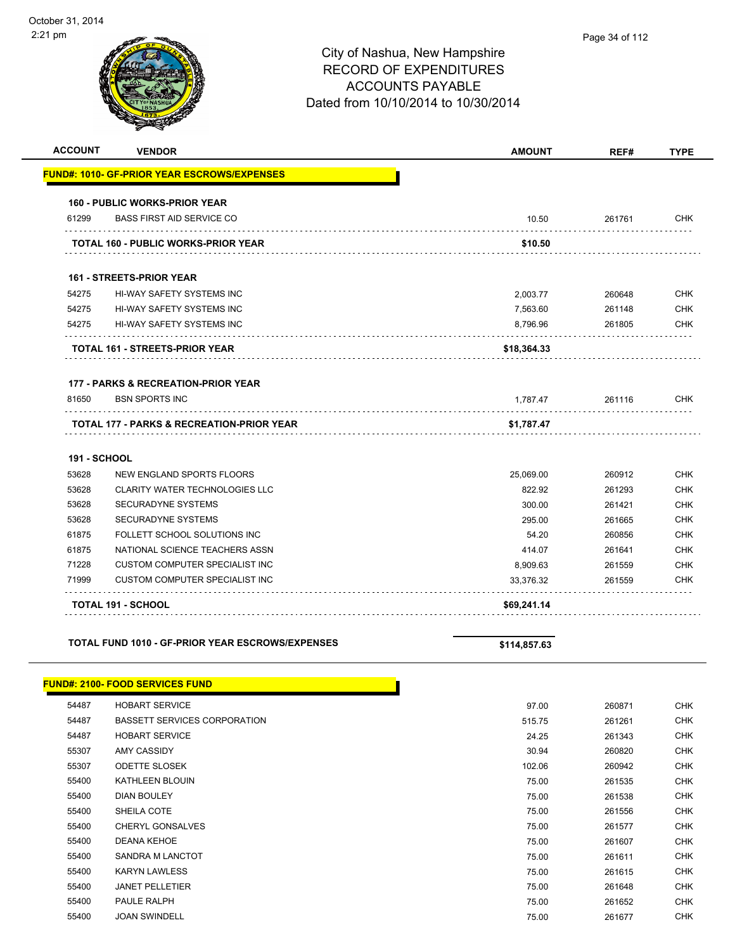| <b>ACCOUNT</b>      | <b>VENDOR</b>                                                           | <b>AMOUNT</b> | REF#   | <b>TYPE</b> |
|---------------------|-------------------------------------------------------------------------|---------------|--------|-------------|
|                     | <b>FUND#: 1010- GF-PRIOR YEAR ESCROWS/EXPENSES</b>                      |               |        |             |
|                     | <b>160 - PUBLIC WORKS-PRIOR YEAR</b>                                    |               |        |             |
| 61299               | <b>BASS FIRST AID SERVICE CO</b>                                        | 10.50         | 261761 | <b>CHK</b>  |
|                     | <b>TOTAL 160 - PUBLIC WORKS-PRIOR YEAR</b>                              | \$10.50       |        |             |
|                     | <b>161 - STREETS-PRIOR YEAR</b>                                         |               |        |             |
| 54275               | HI-WAY SAFETY SYSTEMS INC                                               | 2.003.77      | 260648 | <b>CHK</b>  |
| 54275               | <b>HI-WAY SAFETY SYSTEMS INC</b>                                        | 7,563.60      | 261148 | <b>CHK</b>  |
| 54275               | HI-WAY SAFETY SYSTEMS INC                                               | 8,796.96      | 261805 | <b>CHK</b>  |
|                     | <b>TOTAL 161 - STREETS-PRIOR YEAR</b>                                   | \$18,364.33   |        |             |
|                     |                                                                         |               |        |             |
| 81650               | <b>177 - PARKS &amp; RECREATION-PRIOR YEAR</b><br><b>BSN SPORTS INC</b> | 1,787.47      | 261116 | <b>CHK</b>  |
|                     | .<br><b>TOTAL 177 - PARKS &amp; RECREATION-PRIOR YEAR</b>               | \$1,787.47    |        |             |
| <b>191 - SCHOOL</b> |                                                                         |               |        |             |
| 53628               | NEW ENGLAND SPORTS FLOORS                                               | 25,069.00     | 260912 | <b>CHK</b>  |
| 53628               | <b>CLARITY WATER TECHNOLOGIES LLC</b>                                   | 822.92        | 261293 | <b>CHK</b>  |
| 53628               | <b>SECURADYNE SYSTEMS</b>                                               | 300.00        | 261421 | <b>CHK</b>  |
| 53628               | <b>SECURADYNE SYSTEMS</b>                                               | 295.00        | 261665 | <b>CHK</b>  |
| 61875               | FOLLETT SCHOOL SOLUTIONS INC                                            | 54.20         | 260856 | <b>CHK</b>  |
| 61875               | NATIONAL SCIENCE TEACHERS ASSN                                          | 414.07        | 261641 | <b>CHK</b>  |
| 71228               | <b>CUSTOM COMPUTER SPECIALIST INC</b>                                   | 8,909.63      | 261559 | <b>CHK</b>  |
| 71999               | <b>CUSTOM COMPUTER SPECIALIST INC</b>                                   | 33.376.32     | 261559 | <b>CHK</b>  |
|                     |                                                                         |               |        |             |

#### **TOTAL FUND 1010 - GF-PRIOR YEAR ESCROWS/EXPENSES \$114,857.63**

#### **FUND#: 2100- FOOD SERVICES FUND**

| 54487 | <b>HOBART SERVICE</b>        | 97.00  | 260871 | <b>CHK</b> |
|-------|------------------------------|--------|--------|------------|
| 54487 | BASSETT SERVICES CORPORATION | 515.75 | 261261 | <b>CHK</b> |
| 54487 | <b>HOBART SERVICE</b>        | 24.25  | 261343 | <b>CHK</b> |
| 55307 | <b>AMY CASSIDY</b>           | 30.94  | 260820 | <b>CHK</b> |
| 55307 | <b>ODETTE SLOSEK</b>         | 102.06 | 260942 | <b>CHK</b> |
| 55400 | <b>KATHLEEN BLOUIN</b>       | 75.00  | 261535 | <b>CHK</b> |
| 55400 | <b>DIAN BOULEY</b>           | 75.00  | 261538 | <b>CHK</b> |
| 55400 | SHEILA COTE                  | 75.00  | 261556 | <b>CHK</b> |
| 55400 | <b>CHERYL GONSALVES</b>      | 75.00  | 261577 | <b>CHK</b> |
| 55400 | <b>DEANA KEHOE</b>           | 75.00  | 261607 | <b>CHK</b> |
| 55400 | <b>SANDRA M LANCTOT</b>      | 75.00  | 261611 | <b>CHK</b> |
| 55400 | <b>KARYN LAWLESS</b>         | 75.00  | 261615 | <b>CHK</b> |
| 55400 | <b>JANET PELLETIER</b>       | 75.00  | 261648 | <b>CHK</b> |
| 55400 | PAULE RALPH                  | 75.00  | 261652 | <b>CHK</b> |
| 55400 | <b>JOAN SWINDELL</b>         | 75.00  | 261677 | <b>CHK</b> |
|       |                              |        |        |            |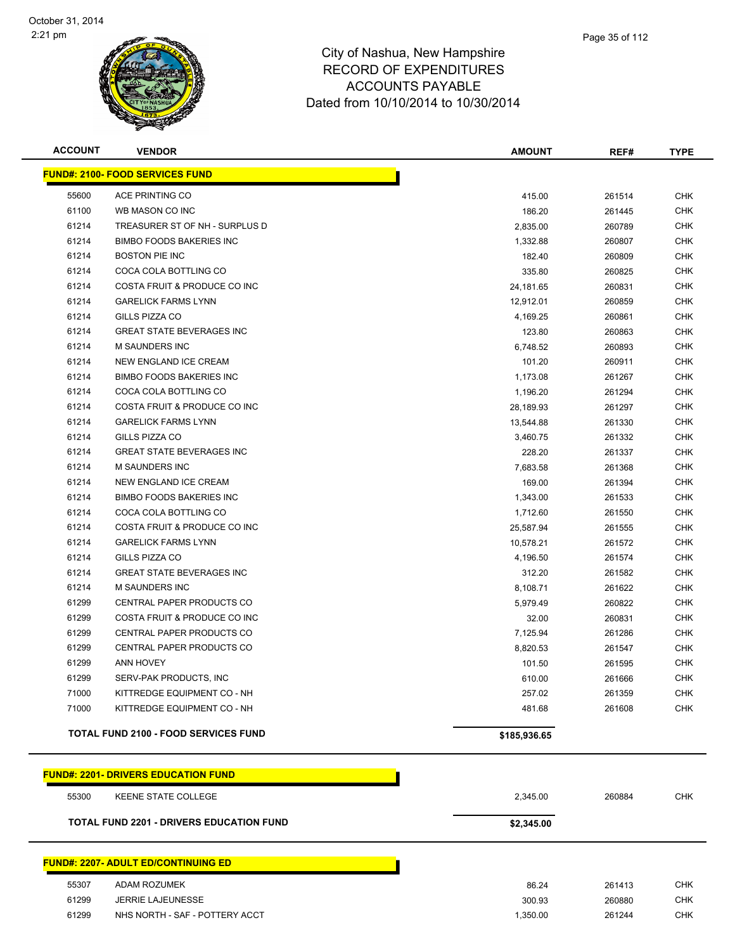

| <b>VENDOR</b>                               | <b>AMOUNT</b> | REF#   | <b>TYPE</b>  |
|---------------------------------------------|---------------|--------|--------------|
| <b>FUND#: 2100- FOOD SERVICES FUND</b>      |               |        |              |
| ACE PRINTING CO                             | 415.00        | 261514 | <b>CHK</b>   |
| WB MASON CO INC                             | 186.20        | 261445 | <b>CHK</b>   |
| TREASURER ST OF NH - SURPLUS D              | 2,835.00      | 260789 | <b>CHK</b>   |
| <b>BIMBO FOODS BAKERIES INC</b>             | 1,332.88      | 260807 | CHK          |
| <b>BOSTON PIE INC</b>                       | 182.40        | 260809 | CHK          |
| COCA COLA BOTTLING CO                       | 335.80        | 260825 | CHK          |
| COSTA FRUIT & PRODUCE CO INC                | 24,181.65     | 260831 | CHK          |
| <b>GARELICK FARMS LYNN</b>                  | 12,912.01     | 260859 | <b>CHK</b>   |
| GILLS PIZZA CO                              | 4,169.25      | 260861 | CHK          |
| <b>GREAT STATE BEVERAGES INC</b>            | 123.80        | 260863 | CHK          |
| M SAUNDERS INC                              | 6,748.52      | 260893 | CHK          |
| NEW ENGLAND ICE CREAM                       | 101.20        | 260911 | <b>CHK</b>   |
| <b>BIMBO FOODS BAKERIES INC</b>             | 1,173.08      | 261267 | CHK          |
| COCA COLA BOTTLING CO                       | 1,196.20      | 261294 | CHK          |
| COSTA FRUIT & PRODUCE CO INC                | 28,189.93     | 261297 | <b>CHK</b>   |
| <b>GARELICK FARMS LYNN</b>                  | 13,544.88     | 261330 | CHK          |
| GILLS PIZZA CO                              | 3,460.75      | 261332 | <b>CHK</b>   |
| <b>GREAT STATE BEVERAGES INC</b>            | 228.20        | 261337 | CHK          |
| <b>M SAUNDERS INC</b>                       | 7,683.58      | 261368 | CHK          |
| NEW ENGLAND ICE CREAM                       | 169.00        | 261394 | CHK          |
| <b>BIMBO FOODS BAKERIES INC</b>             | 1,343.00      | 261533 | CHK          |
| COCA COLA BOTTLING CO                       | 1,712.60      | 261550 | CHK          |
| COSTA FRUIT & PRODUCE CO INC                | 25,587.94     | 261555 | CHK          |
| <b>GARELICK FARMS LYNN</b>                  | 10,578.21     | 261572 | <b>CHK</b>   |
| GILLS PIZZA CO                              | 4,196.50      | 261574 | <b>CHK</b>   |
| <b>GREAT STATE BEVERAGES INC</b>            | 312.20        | 261582 | CHK          |
| M SAUNDERS INC                              | 8,108.71      | 261622 | <b>CHK</b>   |
| CENTRAL PAPER PRODUCTS CO                   | 5,979.49      | 260822 | <b>CHK</b>   |
| COSTA FRUIT & PRODUCE CO INC                | 32.00         | 260831 | CHK          |
| CENTRAL PAPER PRODUCTS CO                   | 7,125.94      | 261286 | <b>CHK</b>   |
| CENTRAL PAPER PRODUCTS CO                   | 8,820.53      | 261547 | CHK          |
|                                             | 101.50        | 261595 | CHK          |
| SERV-PAK PRODUCTS, INC                      | 610.00        | 261666 | CHK          |
| KITTREDGE EQUIPMENT CO - NH                 | 257.02        | 261359 | <b>CHK</b>   |
| KITTREDGE EQUIPMENT CO - NH                 | 481.68        | 261608 | CHK          |
| <b>TOTAL FUND 2100 - FOOD SERVICES FUND</b> |               |        |              |
| <b>FUND#: 2201- DRIVERS EDUCATION FUND</b>  |               |        | \$185,936.65 |

| 55300 | KEENE STATE COLLEGE                             | 2,345.00   | 260884 | <b>CHK</b> |
|-------|-------------------------------------------------|------------|--------|------------|
|       | <b>TOTAL FUND 2201 - DRIVERS EDUCATION FUND</b> | \$2,345.00 |        |            |
|       | <u> FUND#: 2207- ADULT ED/CONTINUING ED</u>     |            |        |            |
| 55307 | ADAM ROZUMEK                                    | 86.24      | 261413 | CHK        |
| 61299 | <b>JERRIE LAJEUNESSE</b>                        | 300.93     | 260880 | CHK        |

NHS NORTH - SAF - POTTERY ACCT 1,350.00 261244 CHK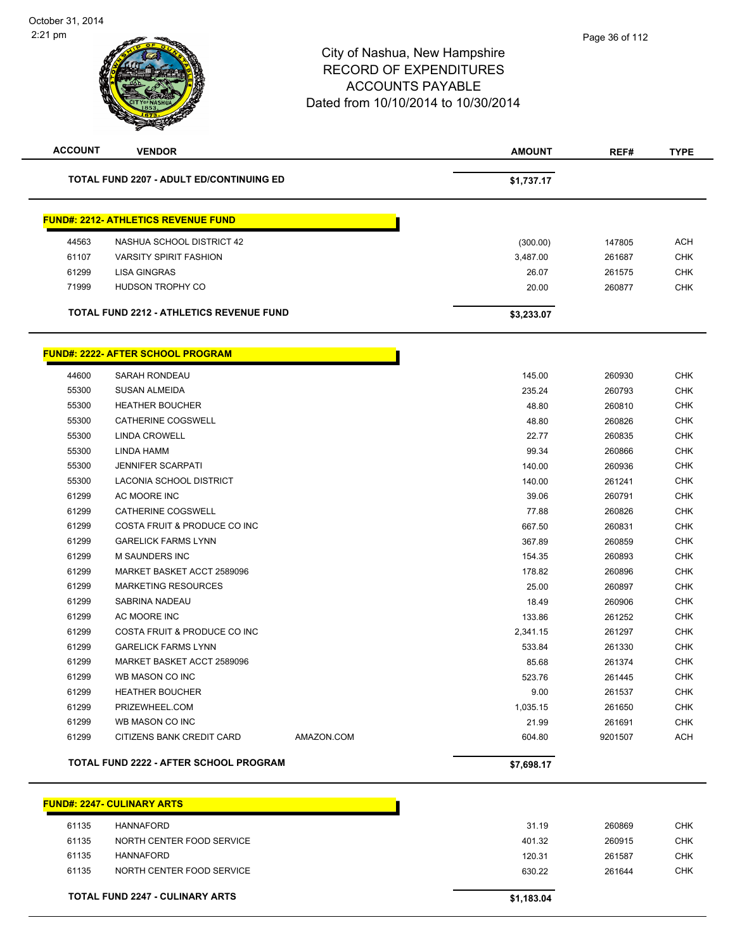| <b>ACCOUNT</b> | <b>VENDOR</b>                                   |            | <b>AMOUNT</b> | REF#    | <b>TYPE</b> |
|----------------|-------------------------------------------------|------------|---------------|---------|-------------|
|                | <b>TOTAL FUND 2207 - ADULT ED/CONTINUING ED</b> |            | \$1,737.17    |         |             |
|                | <b>FUND#: 2212- ATHLETICS REVENUE FUND</b>      |            |               |         |             |
| 44563          | NASHUA SCHOOL DISTRICT 42                       |            | (300.00)      | 147805  | <b>ACH</b>  |
| 61107          | <b>VARSITY SPIRIT FASHION</b>                   |            | 3,487.00      | 261687  | <b>CHK</b>  |
| 61299          | <b>LISA GINGRAS</b>                             |            | 26.07         | 261575  | <b>CHK</b>  |
| 71999          | HUDSON TROPHY CO                                |            | 20.00         | 260877  | <b>CHK</b>  |
|                | <b>TOTAL FUND 2212 - ATHLETICS REVENUE FUND</b> |            | \$3,233.07    |         |             |
|                | <b>FUND#: 2222- AFTER SCHOOL PROGRAM</b>        |            |               |         |             |
| 44600          | <b>SARAH RONDEAU</b>                            |            | 145.00        | 260930  | <b>CHK</b>  |
| 55300          | <b>SUSAN ALMEIDA</b>                            |            | 235.24        | 260793  | <b>CHK</b>  |
| 55300          | <b>HEATHER BOUCHER</b>                          |            | 48.80         | 260810  | <b>CHK</b>  |
| 55300          | CATHERINE COGSWELL                              |            | 48.80         | 260826  | <b>CHK</b>  |
| 55300          | <b>LINDA CROWELL</b>                            |            | 22.77         | 260835  | <b>CHK</b>  |
| 55300          | LINDA HAMM                                      |            | 99.34         | 260866  | <b>CHK</b>  |
| 55300          | <b>JENNIFER SCARPATI</b>                        |            | 140.00        | 260936  | <b>CHK</b>  |
| 55300          | <b>LACONIA SCHOOL DISTRICT</b>                  |            | 140.00        | 261241  | <b>CHK</b>  |
| 61299          | AC MOORE INC                                    |            | 39.06         | 260791  | <b>CHK</b>  |
| 61299          | CATHERINE COGSWELL                              |            | 77.88         | 260826  | <b>CHK</b>  |
| 61299          | COSTA FRUIT & PRODUCE CO INC                    |            | 667.50        | 260831  | <b>CHK</b>  |
| 61299          | <b>GARELICK FARMS LYNN</b>                      |            | 367.89        | 260859  | <b>CHK</b>  |
| 61299          | <b>M SAUNDERS INC</b>                           |            | 154.35        | 260893  | <b>CHK</b>  |
| 61299          | MARKET BASKET ACCT 2589096                      |            | 178.82        | 260896  | <b>CHK</b>  |
| 61299          | <b>MARKETING RESOURCES</b>                      |            | 25.00         | 260897  | <b>CHK</b>  |
| 61299          | SABRINA NADEAU                                  |            | 18.49         | 260906  | <b>CHK</b>  |
| 61299          | AC MOORE INC                                    |            | 133.86        | 261252  | <b>CHK</b>  |
| 61299          | COSTA FRUIT & PRODUCE CO INC                    |            | 2,341.15      | 261297  | <b>CHK</b>  |
| 61299          | <b>GARELICK FARMS LYNN</b>                      |            | 533.84        | 261330  | <b>CHK</b>  |
| 61299          | MARKET BASKET ACCT 2589096                      |            | 85.68         | 261374  | <b>CHK</b>  |
| 61299          | WB MASON CO INC                                 |            | 523.76        | 261445  | <b>CHK</b>  |
| 61299          | <b>HEATHER BOUCHER</b>                          |            | 9.00          | 261537  | <b>CHK</b>  |
| 61299          | PRIZEWHEEL.COM                                  |            | 1,035.15      | 261650  | CHK         |
| 61299          | WB MASON CO INC                                 |            | 21.99         | 261691  | <b>CHK</b>  |
| 61299          | CITIZENS BANK CREDIT CARD                       | AMAZON.COM | 604.80        | 9201507 | <b>ACH</b>  |
|                | <b>TOTAL FUND 2222 - AFTER SCHOOL PROGRAM</b>   |            | \$7,698.17    |         |             |
|                | <b>FUND#: 2247- CULINARY ARTS</b>               |            |               |         |             |
| 61135          | <b>HANNAFORD</b>                                |            | 31.19         | 260869  | <b>CHK</b>  |
| 61135          | NORTH CENTER FOOD SERVICE                       |            | 401.32        | 260915  | <b>CHK</b>  |
|                |                                                 |            |               |         |             |

| <b>TOTAL FUND 2247 - CULINARY ARTS</b> |       |                           | \$1,183.04 |        |     |
|----------------------------------------|-------|---------------------------|------------|--------|-----|
|                                        | 61135 | NORTH CENTER FOOD SERVICE | 630.22     | 261644 | СНК |
|                                        | 61135 | HANNAFORD                 | 120.31     | 261587 | СНК |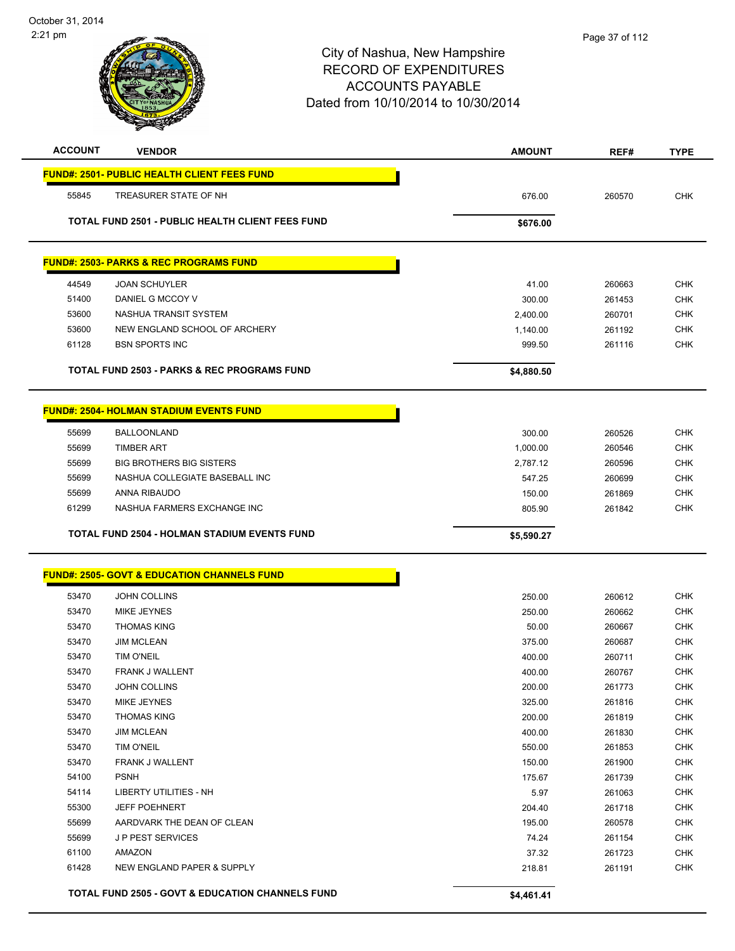# City of Nashua, New Hampshire RECORD OF EXPENDITURES ACCOUNTS PAYABLE Dated from 10/10/2014 to 10/30/2014 **ACCOUNT VENDOR AMOUNT REF# TYPE FUND#: 2501- PUBLIC HEALTH CLIENT FEES FUND**

| 55845 | TREASURER STATE OF NH                                   | 676.00     | 260570 | <b>CHK</b> |
|-------|---------------------------------------------------------|------------|--------|------------|
|       | <b>TOTAL FUND 2501 - PUBLIC HEALTH CLIENT FEES FUND</b> | \$676.00   |        |            |
|       | <b>FUND#: 2503- PARKS &amp; REC PROGRAMS FUND</b>       |            |        |            |
| 44549 | <b>JOAN SCHUYLER</b>                                    | 41.00      | 260663 | <b>CHK</b> |
| 51400 | DANIEL G MCCOY V                                        | 300.00     | 261453 | <b>CHK</b> |
| 53600 | NASHUA TRANSIT SYSTEM                                   | 2,400.00   | 260701 | <b>CHK</b> |
| 53600 | NEW ENGLAND SCHOOL OF ARCHERY                           | 1,140.00   | 261192 | <b>CHK</b> |
| 61128 | <b>BSN SPORTS INC</b>                                   | 999.50     | 261116 | <b>CHK</b> |
|       | <b>TOTAL FUND 2503 - PARKS &amp; REC PROGRAMS FUND</b>  | \$4,880.50 |        |            |
|       |                                                         |            |        |            |
|       | <b>FUND#: 2504- HOLMAN STADIUM EVENTS FUND</b>          |            |        |            |
|       | .                                                       |            |        |            |

|       | <b>TOTAL FUND 2504 - HOLMAN STADIUM EVENTS FUND</b> | \$5.590.27 |        |            |
|-------|-----------------------------------------------------|------------|--------|------------|
| 61299 | NASHUA FARMERS EXCHANGE INC                         | 805.90     | 261842 | <b>CHK</b> |
| 55699 | ANNA RIBAUDO                                        | 150.00     | 261869 | <b>CHK</b> |
| 55699 | NASHUA COLLEGIATE BASEBALL INC                      | 547.25     | 260699 | <b>CHK</b> |
| 55699 | <b>BIG BROTHERS BIG SISTERS</b>                     | 2.787.12   | 260596 | <b>CHK</b> |
| 55699 | <b>TIMBER ART</b>                                   | 1.000.00   | 260546 | <b>CHK</b> |
| 55699 | <b>BALLOONLAND</b>                                  | 300.00     | 260526 | <b>CHK</b> |

h

| <b>FUND#: 2505- GOVT &amp; EDUCATION CHANNELS FUND</b> |  |
|--------------------------------------------------------|--|
|                                                        |  |
|                                                        |  |
|                                                        |  |

|       | <b>TOTAL FUND 2505 - GOVT &amp; EDUCATION CHANNELS FUND</b> | \$4,461.41 |        |            |
|-------|-------------------------------------------------------------|------------|--------|------------|
| 61428 | <b>NEW ENGLAND PAPER &amp; SUPPLY</b>                       | 218.81     | 261191 | <b>CHK</b> |
| 61100 | <b>AMAZON</b>                                               | 37.32      | 261723 | <b>CHK</b> |
| 55699 | <b>JP PEST SERVICES</b>                                     | 74.24      | 261154 | <b>CHK</b> |
| 55699 | AARDVARK THE DEAN OF CLEAN                                  | 195.00     | 260578 | <b>CHK</b> |
| 55300 | <b>JEFF POEHNERT</b>                                        | 204.40     | 261718 | <b>CHK</b> |
| 54114 | <b>LIBERTY UTILITIES - NH</b>                               | 5.97       | 261063 | <b>CHK</b> |
| 54100 | <b>PSNH</b>                                                 | 175.67     | 261739 | <b>CHK</b> |
| 53470 | <b>FRANK J WALLENT</b>                                      | 150.00     | 261900 | <b>CHK</b> |
| 53470 | <b>TIM O'NEIL</b>                                           | 550.00     | 261853 | <b>CHK</b> |
| 53470 | <b>JIM MCLEAN</b>                                           | 400.00     | 261830 | <b>CHK</b> |
| 53470 | <b>THOMAS KING</b>                                          | 200.00     | 261819 | <b>CHK</b> |
| 53470 | <b>MIKE JEYNES</b>                                          | 325.00     | 261816 | <b>CHK</b> |
| 53470 | <b>JOHN COLLINS</b>                                         | 200.00     | 261773 | <b>CHK</b> |
| 53470 | <b>FRANK J WALLENT</b>                                      | 400.00     | 260767 | <b>CHK</b> |
| 53470 | <b>TIM O'NEIL</b>                                           | 400.00     | 260711 | <b>CHK</b> |
| 53470 | <b>JIM MCLEAN</b>                                           | 375.00     | 260687 | <b>CHK</b> |
| 53470 | <b>THOMAS KING</b>                                          | 50.00      | 260667 | <b>CHK</b> |
| 53470 | <b>MIKE JEYNES</b>                                          | 250.00     | 260662 | <b>CHK</b> |
| 53470 | <b>JOHN COLLINS</b>                                         | 250.00     | 260612 | <b>CHK</b> |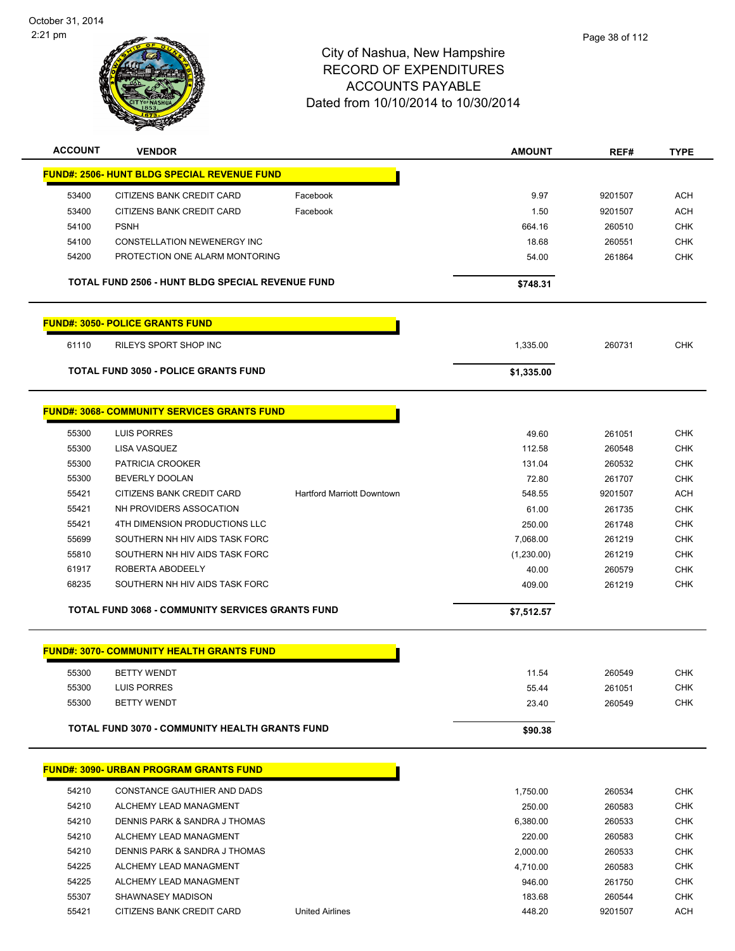

|                | <u> FUND#: 2506- HUNT BLDG SPECIAL REVENUE FUND</u>     |                                   |            |         |                          |
|----------------|---------------------------------------------------------|-----------------------------------|------------|---------|--------------------------|
| 53400          | CITIZENS BANK CREDIT CARD                               | Facebook                          | 9.97       | 9201507 | <b>ACH</b>               |
| 53400          | CITIZENS BANK CREDIT CARD                               | Facebook                          | 1.50       | 9201507 | ACH                      |
| 54100          | <b>PSNH</b>                                             |                                   | 664.16     | 260510  | <b>CHK</b>               |
| 54100          | CONSTELLATION NEWENERGY INC                             |                                   | 18.68      | 260551  | <b>CHK</b>               |
| 54200          | PROTECTION ONE ALARM MONTORING                          |                                   | 54.00      | 261864  | <b>CHK</b>               |
|                |                                                         |                                   |            |         |                          |
|                | TOTAL FUND 2506 - HUNT BLDG SPECIAL REVENUE FUND        |                                   | \$748.31   |         |                          |
|                | <b>FUND#: 3050- POLICE GRANTS FUND</b>                  |                                   |            |         |                          |
| 61110          | RILEYS SPORT SHOP INC                                   |                                   | 1,335.00   | 260731  | <b>CHK</b>               |
|                | <b>TOTAL FUND 3050 - POLICE GRANTS FUND</b>             |                                   | \$1,335.00 |         |                          |
|                |                                                         |                                   |            |         |                          |
|                | <b>FUND#: 3068- COMMUNITY SERVICES GRANTS FUND</b>      |                                   |            |         |                          |
| 55300          | LUIS PORRES                                             |                                   | 49.60      | 261051  | <b>CHK</b>               |
| 55300          | LISA VASQUEZ                                            |                                   | 112.58     | 260548  | <b>CHK</b>               |
| 55300          | PATRICIA CROOKER                                        |                                   | 131.04     | 260532  | <b>CHK</b>               |
| 55300          | <b>BEVERLY DOOLAN</b>                                   |                                   | 72.80      | 261707  | <b>CHK</b>               |
| 55421          | CITIZENS BANK CREDIT CARD                               | <b>Hartford Marriott Downtown</b> | 548.55     | 9201507 | <b>ACH</b>               |
| 55421          | NH PROVIDERS ASSOCATION                                 |                                   | 61.00      | 261735  | <b>CHK</b>               |
| 55421          | 4TH DIMENSION PRODUCTIONS LLC                           |                                   | 250.00     | 261748  | <b>CHK</b>               |
| 55699          | SOUTHERN NH HIV AIDS TASK FORC                          |                                   | 7,068.00   | 261219  | <b>CHK</b>               |
| 55810          | SOUTHERN NH HIV AIDS TASK FORC                          |                                   | (1,230.00) | 261219  | <b>CHK</b>               |
| 61917          | ROBERTA ABODEELY                                        |                                   | 40.00      | 260579  | <b>CHK</b>               |
| 68235          | SOUTHERN NH HIV AIDS TASK FORC                          |                                   | 409.00     | 261219  | <b>CHK</b>               |
|                | <b>TOTAL FUND 3068 - COMMUNITY SERVICES GRANTS FUND</b> |                                   | \$7,512.57 |         |                          |
|                | <b>FUND#: 3070- COMMUNITY HEALTH GRANTS FUND</b>        |                                   |            |         |                          |
|                |                                                         |                                   |            |         |                          |
| 55300          | <b>BETTY WENDT</b><br><b>LUIS PORRES</b>                |                                   | 11.54      | 260549  | <b>CHK</b>               |
| 55300<br>55300 | <b>BETTY WENDT</b>                                      |                                   | 55.44      | 261051  | <b>CHK</b><br><b>CHK</b> |
|                |                                                         |                                   | 23.40      | 260549  |                          |
|                | <b>TOTAL FUND 3070 - COMMUNITY HEALTH GRANTS FUND</b>   |                                   | \$90.38    |         |                          |
|                | <u>FUND#: 3090- URBAN PROGRAM GRANTS FUND</u>           |                                   |            |         |                          |
| 54210          | CONSTANCE GAUTHIER AND DADS                             |                                   | 1,750.00   | 260534  | <b>CHK</b>               |
| 54210          | ALCHEMY LEAD MANAGMENT                                  |                                   | 250.00     | 260583  | <b>CHK</b>               |
| 54210          | DENNIS PARK & SANDRA J THOMAS                           |                                   | 6,380.00   | 260533  | <b>CHK</b>               |
| 54210          | ALCHEMY LEAD MANAGMENT                                  |                                   | 220.00     | 260583  | <b>CHK</b>               |
| 54210          | DENNIS PARK & SANDRA J THOMAS                           |                                   | 2,000.00   | 260533  | <b>CHK</b>               |
| 54225          | ALCHEMY LEAD MANAGMENT                                  |                                   | 4,710.00   | 260583  | <b>CHK</b>               |
| 54225          | ALCHEMY LEAD MANAGMENT                                  |                                   | 946.00     | 261750  | <b>CHK</b>               |
| 55307          | SHAWNASEY MADISON                                       |                                   | 183.68     | 260544  | <b>CHK</b>               |
| 55421          | CITIZENS BANK CREDIT CARD                               | <b>United Airlines</b>            | 448.20     | 9201507 | <b>ACH</b>               |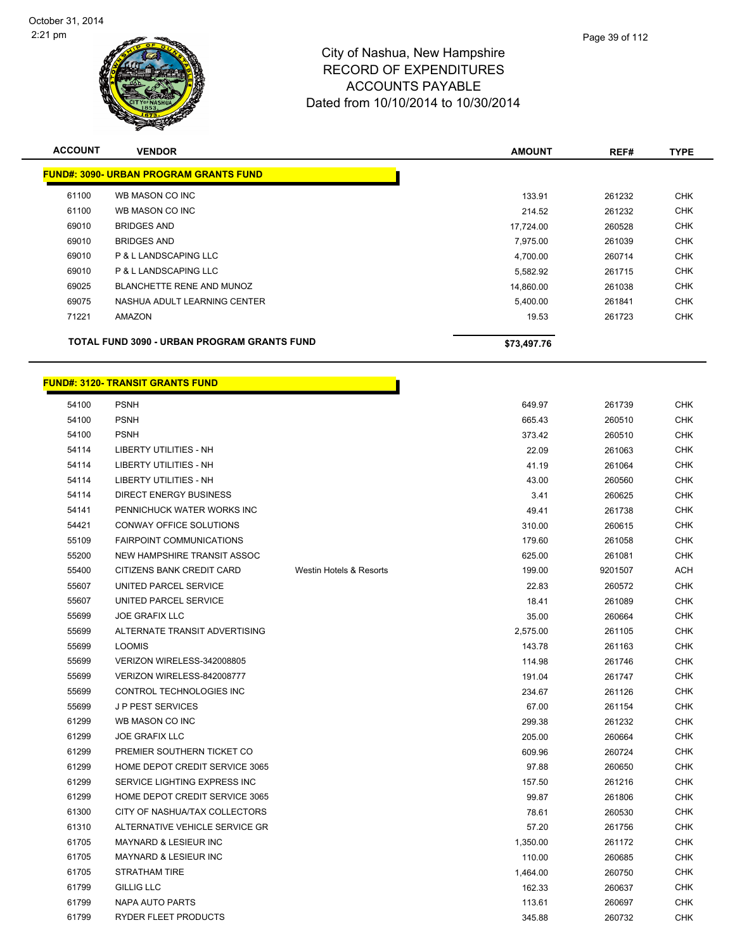

| <b>ACCOUNT</b> | <b>VENDOR</b>                                 | <b>AMOUNT</b> | REF#   | <b>TYPE</b> |
|----------------|-----------------------------------------------|---------------|--------|-------------|
|                | <b>FUND#: 3090- URBAN PROGRAM GRANTS FUND</b> |               |        |             |
| 61100          | WB MASON CO INC                               | 133.91        | 261232 | <b>CHK</b>  |
| 61100          | WB MASON CO INC                               | 214.52        | 261232 | <b>CHK</b>  |
| 69010          | <b>BRIDGES AND</b>                            | 17,724.00     | 260528 | <b>CHK</b>  |
| 69010          | <b>BRIDGES AND</b>                            | 7.975.00      | 261039 | <b>CHK</b>  |
| 69010          | P & L LANDSCAPING LLC                         | 4,700.00      | 260714 | <b>CHK</b>  |
| 69010          | P & L LANDSCAPING LLC                         | 5,582.92      | 261715 | <b>CHK</b>  |
| 69025          | BLANCHETTE RENE AND MUNOZ                     | 14,860.00     | 261038 | <b>CHK</b>  |
| 69075          | NASHUA ADULT LEARNING CENTER                  | 5,400.00      | 261841 | <b>CHK</b>  |
| 71221          | AMAZON                                        | 19.53         | 261723 | <b>CHK</b>  |
|                | TOTAL FUND 3090 - URBAN PROGRAM GRANTS FUND   | \$73,497.76   |        |             |

| 54100 | <b>PSNH</b>                      |                         | 649.97   | 261739  | <b>CHK</b> |
|-------|----------------------------------|-------------------------|----------|---------|------------|
| 54100 | <b>PSNH</b>                      |                         | 665.43   | 260510  | <b>CHK</b> |
| 54100 | <b>PSNH</b>                      |                         | 373.42   | 260510  | <b>CHK</b> |
| 54114 | <b>LIBERTY UTILITIES - NH</b>    |                         | 22.09    | 261063  | <b>CHK</b> |
| 54114 | <b>LIBERTY UTILITIES - NH</b>    |                         | 41.19    | 261064  | <b>CHK</b> |
| 54114 | <b>LIBERTY UTILITIES - NH</b>    |                         | 43.00    | 260560  | <b>CHK</b> |
| 54114 | <b>DIRECT ENERGY BUSINESS</b>    |                         | 3.41     | 260625  | <b>CHK</b> |
| 54141 | PENNICHUCK WATER WORKS INC       |                         | 49.41    | 261738  | <b>CHK</b> |
| 54421 | CONWAY OFFICE SOLUTIONS          |                         | 310.00   | 260615  | <b>CHK</b> |
| 55109 | <b>FAIRPOINT COMMUNICATIONS</b>  |                         | 179.60   | 261058  | <b>CHK</b> |
| 55200 | NEW HAMPSHIRE TRANSIT ASSOC      |                         | 625.00   | 261081  | <b>CHK</b> |
| 55400 | CITIZENS BANK CREDIT CARD        | Westin Hotels & Resorts | 199.00   | 9201507 | <b>ACH</b> |
| 55607 | UNITED PARCEL SERVICE            |                         | 22.83    | 260572  | <b>CHK</b> |
| 55607 | UNITED PARCEL SERVICE            |                         | 18.41    | 261089  | <b>CHK</b> |
| 55699 | <b>JOE GRAFIX LLC</b>            |                         | 35.00    | 260664  | <b>CHK</b> |
| 55699 | ALTERNATE TRANSIT ADVERTISING    |                         | 2,575.00 | 261105  | <b>CHK</b> |
| 55699 | <b>LOOMIS</b>                    |                         | 143.78   | 261163  | <b>CHK</b> |
| 55699 | VERIZON WIRELESS-342008805       |                         | 114.98   | 261746  | <b>CHK</b> |
| 55699 | VERIZON WIRELESS-842008777       |                         | 191.04   | 261747  | <b>CHK</b> |
| 55699 | CONTROL TECHNOLOGIES INC         |                         | 234.67   | 261126  | <b>CHK</b> |
| 55699 | <b>JP PEST SERVICES</b>          |                         | 67.00    | 261154  | <b>CHK</b> |
| 61299 | WB MASON CO INC                  |                         | 299.38   | 261232  | <b>CHK</b> |
| 61299 | <b>JOE GRAFIX LLC</b>            |                         | 205.00   | 260664  | CHK        |
| 61299 | PREMIER SOUTHERN TICKET CO       |                         | 609.96   | 260724  | <b>CHK</b> |
| 61299 | HOME DEPOT CREDIT SERVICE 3065   |                         | 97.88    | 260650  | <b>CHK</b> |
| 61299 | SERVICE LIGHTING EXPRESS INC     |                         | 157.50   | 261216  | <b>CHK</b> |
| 61299 | HOME DEPOT CREDIT SERVICE 3065   |                         | 99.87    | 261806  | <b>CHK</b> |
| 61300 | CITY OF NASHUA/TAX COLLECTORS    |                         | 78.61    | 260530  | <b>CHK</b> |
| 61310 | ALTERNATIVE VEHICLE SERVICE GR   |                         | 57.20    | 261756  | CHK        |
| 61705 | <b>MAYNARD &amp; LESIEUR INC</b> |                         | 1,350.00 | 261172  | CHK        |
| 61705 | MAYNARD & LESIEUR INC            |                         | 110.00   | 260685  | <b>CHK</b> |
| 61705 | <b>STRATHAM TIRE</b>             |                         | 1,464.00 | 260750  | <b>CHK</b> |
| 61799 | <b>GILLIG LLC</b>                |                         | 162.33   | 260637  | <b>CHK</b> |
| 61799 | <b>NAPA AUTO PARTS</b>           |                         | 113.61   | 260697  | <b>CHK</b> |
| 61799 | <b>RYDER FLEET PRODUCTS</b>      |                         | 345.88   | 260732  | <b>CHK</b> |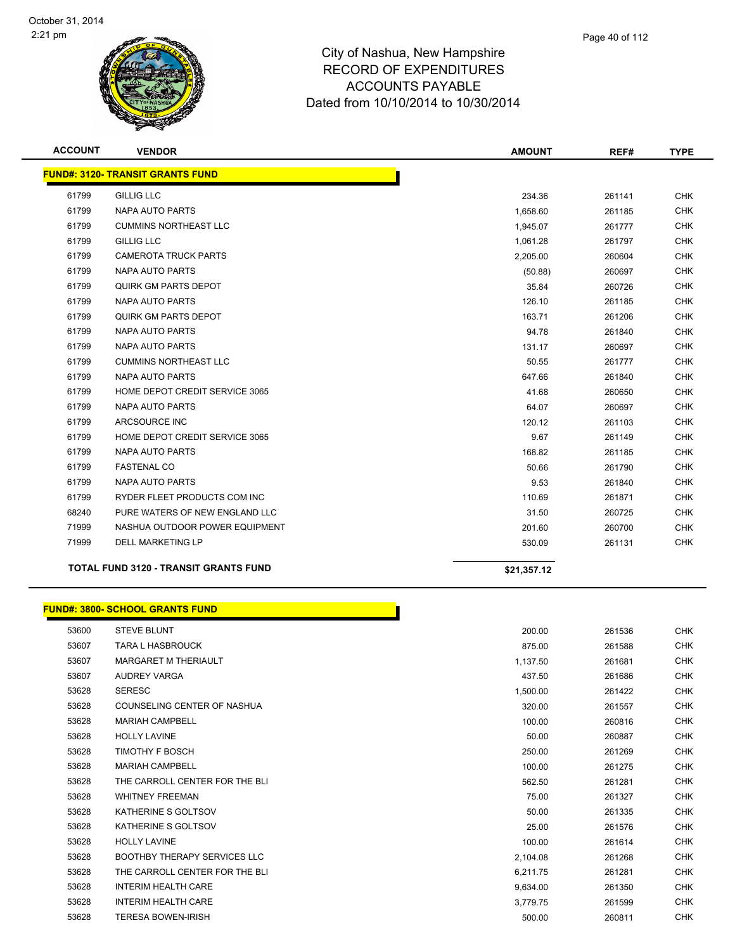

| <b>ACCOUNT</b> | <b>VENDOR</b>                                | <b>AMOUNT</b> | REF#   | <b>TYPE</b> |
|----------------|----------------------------------------------|---------------|--------|-------------|
|                | <b>FUND#: 3120- TRANSIT GRANTS FUND</b>      |               |        |             |
| 61799          | <b>GILLIG LLC</b>                            | 234.36        | 261141 | <b>CHK</b>  |
| 61799          | <b>NAPA AUTO PARTS</b>                       | 1,658.60      | 261185 | <b>CHK</b>  |
| 61799          | <b>CUMMINS NORTHEAST LLC</b>                 | 1,945.07      | 261777 | <b>CHK</b>  |
| 61799          | <b>GILLIG LLC</b>                            | 1,061.28      | 261797 | <b>CHK</b>  |
| 61799          | <b>CAMEROTA TRUCK PARTS</b>                  | 2,205.00      | 260604 | <b>CHK</b>  |
| 61799          | NAPA AUTO PARTS                              | (50.88)       | 260697 | <b>CHK</b>  |
| 61799          | QUIRK GM PARTS DEPOT                         | 35.84         | 260726 | <b>CHK</b>  |
| 61799          | NAPA AUTO PARTS                              | 126.10        | 261185 | <b>CHK</b>  |
| 61799          | QUIRK GM PARTS DEPOT                         | 163.71        | 261206 | <b>CHK</b>  |
| 61799          | NAPA AUTO PARTS                              | 94.78         | 261840 | <b>CHK</b>  |
| 61799          | NAPA AUTO PARTS                              | 131.17        | 260697 | <b>CHK</b>  |
| 61799          | <b>CUMMINS NORTHEAST LLC</b>                 | 50.55         | 261777 | <b>CHK</b>  |
| 61799          | <b>NAPA AUTO PARTS</b>                       | 647.66        | 261840 | <b>CHK</b>  |
| 61799          | HOME DEPOT CREDIT SERVICE 3065               | 41.68         | 260650 | <b>CHK</b>  |
| 61799          | NAPA AUTO PARTS                              | 64.07         | 260697 | <b>CHK</b>  |
| 61799          | ARCSOURCE INC                                | 120.12        | 261103 | <b>CHK</b>  |
| 61799          | HOME DEPOT CREDIT SERVICE 3065               | 9.67          | 261149 | <b>CHK</b>  |
| 61799          | <b>NAPA AUTO PARTS</b>                       | 168.82        | 261185 | <b>CHK</b>  |
| 61799          | <b>FASTENAL CO</b>                           | 50.66         | 261790 | <b>CHK</b>  |
| 61799          | <b>NAPA AUTO PARTS</b>                       | 9.53          | 261840 | <b>CHK</b>  |
| 61799          | RYDER FLEET PRODUCTS COM INC                 | 110.69        | 261871 | <b>CHK</b>  |
| 68240          | PURE WATERS OF NEW ENGLAND LLC               | 31.50         | 260725 | <b>CHK</b>  |
| 71999          | NASHUA OUTDOOR POWER EQUIPMENT               | 201.60        | 260700 | <b>CHK</b>  |
| 71999          | <b>DELL MARKETING LP</b>                     | 530.09        | 261131 | <b>CHK</b>  |
|                | <b>TOTAL FUND 3120 - TRANSIT GRANTS FUND</b> | \$21,357.12   |        |             |

|       | <b>FUND#: 3800- SCHOOL GRANTS FUND</b> |          |        |
|-------|----------------------------------------|----------|--------|
| 53600 | <b>STEVE BLUNT</b>                     | 200.00   | 261536 |
| 53607 | <b>TARA L HASBROUCK</b>                | 875.00   | 261588 |
| 53607 | <b>MARGARET M THERIAULT</b>            | 1,137.50 | 261681 |
| 53607 | <b>AUDREY VARGA</b>                    | 437.50   | 261686 |
| 53628 | <b>SERESC</b>                          | 1,500.00 | 261422 |
| 53628 | COUNSELING CENTER OF NASHUA            | 320.00   | 261557 |
| 53628 | <b>MARIAH CAMPBELL</b>                 | 100.00   | 260816 |
| 53628 | <b>HOLLY LAVINE</b>                    | 50.00    | 260887 |
| 53628 | <b>TIMOTHY F BOSCH</b>                 | 250.00   | 261269 |
| 53628 | <b>MARIAH CAMPBELL</b>                 | 100.00   | 261275 |
| 53628 | THE CARROLL CENTER FOR THE BLI         | 562.50   | 261281 |
| 53628 | <b>WHITNEY FREEMAN</b>                 | 75.00    | 261327 |
| 53628 | KATHERINE S GOLTSOV                    | 50.00    | 261335 |
| 53628 | KATHERINE S GOLTSOV                    | 25.00    | 261576 |
| 53628 | <b>HOLLY LAVINE</b>                    | 100.00   | 261614 |
| 53628 | <b>BOOTHBY THERAPY SERVICES LLC</b>    | 2,104.08 | 261268 |
| 53628 | THE CARROLL CENTER FOR THE BLI         | 6,211.75 | 261281 |
| 53628 | <b>INTERIM HEALTH CARE</b>             | 9,634.00 | 261350 |
| 53628 | <b>INTERIM HEALTH CARE</b>             | 3,779.75 | 261599 |
| 53628 | <b>TERESA BOWEN-IRISH</b>              | 500.00   | 260811 |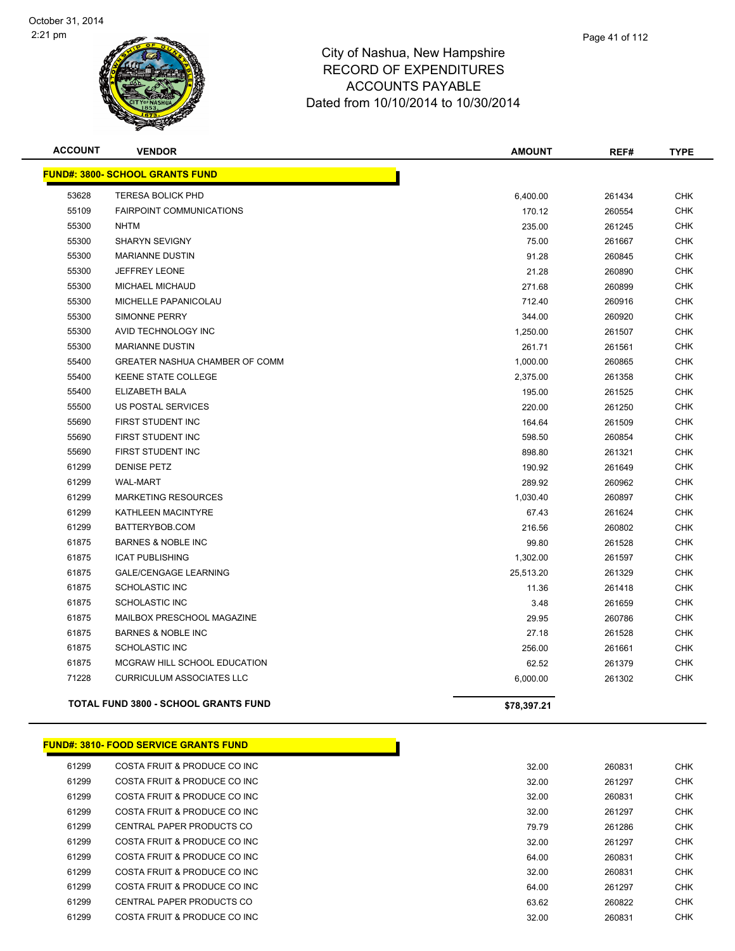

| <b>ACCOUNT</b> | <b>VENDOR</b>                               | <b>AMOUNT</b> | REF#   | <b>TYPE</b> |
|----------------|---------------------------------------------|---------------|--------|-------------|
|                | <b>FUND#: 3800- SCHOOL GRANTS FUND</b>      |               |        |             |
| 53628          | <b>TERESA BOLICK PHD</b>                    | 6,400.00      | 261434 | <b>CHK</b>  |
| 55109          | <b>FAIRPOINT COMMUNICATIONS</b>             | 170.12        | 260554 | <b>CHK</b>  |
| 55300          | <b>NHTM</b>                                 | 235.00        | 261245 | <b>CHK</b>  |
| 55300          | <b>SHARYN SEVIGNY</b>                       | 75.00         | 261667 | <b>CHK</b>  |
| 55300          | <b>MARIANNE DUSTIN</b>                      | 91.28         | 260845 | <b>CHK</b>  |
| 55300          | <b>JEFFREY LEONE</b>                        | 21.28         | 260890 | <b>CHK</b>  |
| 55300          | MICHAEL MICHAUD                             | 271.68        | 260899 | <b>CHK</b>  |
| 55300          | MICHELLE PAPANICOLAU                        | 712.40        | 260916 | <b>CHK</b>  |
| 55300          | SIMONNE PERRY                               | 344.00        | 260920 | <b>CHK</b>  |
| 55300          | AVID TECHNOLOGY INC                         | 1,250.00      | 261507 | <b>CHK</b>  |
| 55300          | <b>MARIANNE DUSTIN</b>                      | 261.71        | 261561 | <b>CHK</b>  |
| 55400          | GREATER NASHUA CHAMBER OF COMM              | 1,000.00      | 260865 | <b>CHK</b>  |
| 55400          | <b>KEENE STATE COLLEGE</b>                  | 2,375.00      | 261358 | <b>CHK</b>  |
| 55400          | ELIZABETH BALA                              | 195.00        | 261525 | <b>CHK</b>  |
| 55500          | <b>US POSTAL SERVICES</b>                   | 220.00        | 261250 | <b>CHK</b>  |
| 55690          | FIRST STUDENT INC                           | 164.64        | 261509 | <b>CHK</b>  |
| 55690          | FIRST STUDENT INC                           | 598.50        | 260854 | <b>CHK</b>  |
| 55690          | FIRST STUDENT INC                           | 898.80        | 261321 | <b>CHK</b>  |
| 61299          | <b>DENISE PETZ</b>                          | 190.92        | 261649 | <b>CHK</b>  |
| 61299          | <b>WAL-MART</b>                             | 289.92        | 260962 | <b>CHK</b>  |
| 61299          | MARKETING RESOURCES                         | 1,030.40      | 260897 | <b>CHK</b>  |
| 61299          | KATHLEEN MACINTYRE                          | 67.43         | 261624 | <b>CHK</b>  |
| 61299          | BATTERYBOB.COM                              | 216.56        | 260802 | <b>CHK</b>  |
| 61875          | <b>BARNES &amp; NOBLE INC</b>               | 99.80         | 261528 | <b>CHK</b>  |
| 61875          | <b>ICAT PUBLISHING</b>                      | 1,302.00      | 261597 | <b>CHK</b>  |
| 61875          | <b>GALE/CENGAGE LEARNING</b>                | 25,513.20     | 261329 | <b>CHK</b>  |
| 61875          | <b>SCHOLASTIC INC</b>                       | 11.36         | 261418 | <b>CHK</b>  |
| 61875          | <b>SCHOLASTIC INC</b>                       | 3.48          | 261659 | <b>CHK</b>  |
| 61875          | MAILBOX PRESCHOOL MAGAZINE                  | 29.95         | 260786 | <b>CHK</b>  |
| 61875          | <b>BARNES &amp; NOBLE INC</b>               | 27.18         | 261528 | <b>CHK</b>  |
| 61875          | <b>SCHOLASTIC INC</b>                       | 256.00        | 261661 | <b>CHK</b>  |
| 61875          | MCGRAW HILL SCHOOL EDUCATION                | 62.52         | 261379 | <b>CHK</b>  |
| 71228          | <b>CURRICULUM ASSOCIATES LLC</b>            | 6,000.00      | 261302 | <b>CHK</b>  |
|                | <b>TOTAL FUND 3800 - SCHOOL GRANTS FUND</b> | \$78,397.21   |        |             |

#### **FUND#: 3810- FOOD SERVICE GRANTS FUND**

| 61299 | COSTA FRUIT & PRODUCE CO INC | 32.00 | 260831 | CHK        |
|-------|------------------------------|-------|--------|------------|
| 61299 | COSTA FRUIT & PRODUCE CO INC | 32.00 | 261297 | CHK        |
| 61299 | COSTA FRUIT & PRODUCE CO INC | 32.00 | 260831 | CHK        |
| 61299 | COSTA FRUIT & PRODUCE CO INC | 32.00 | 261297 | <b>CHK</b> |
| 61299 | CENTRAL PAPER PRODUCTS CO    | 79.79 | 261286 | CHK        |
| 61299 | COSTA FRUIT & PRODUCE CO INC | 32.00 | 261297 | <b>CHK</b> |
| 61299 | COSTA FRUIT & PRODUCE CO INC | 64.00 | 260831 | CHK        |
| 61299 | COSTA FRUIT & PRODUCE CO INC | 32.00 | 260831 | <b>CHK</b> |
| 61299 | COSTA FRUIT & PRODUCE CO INC | 64.00 | 261297 | CHK        |
| 61299 | CENTRAL PAPER PRODUCTS CO    | 63.62 | 260822 | <b>CHK</b> |
| 61299 | COSTA FRUIT & PRODUCE CO INC | 32.00 | 260831 | CHK        |

| 32.00 | 260831 | CHK           |
|-------|--------|---------------|
| 32.00 | 261297 | <b>CHK</b>    |
| 32.00 | 260831 | CHK           |
| 32.00 | 261297 | <b>CHK</b>    |
| 79.79 | 261286 | CHK           |
| 32.00 | 261297 | CHK           |
| 64.00 | 260831 | <b>CHK</b>    |
| 32.00 | 260831 | CHK           |
| 64.00 | 261297 | CHK           |
| 63.62 | 260822 | <b>CHK</b>    |
| -- -- | ------ | $\sim$ $\sim$ |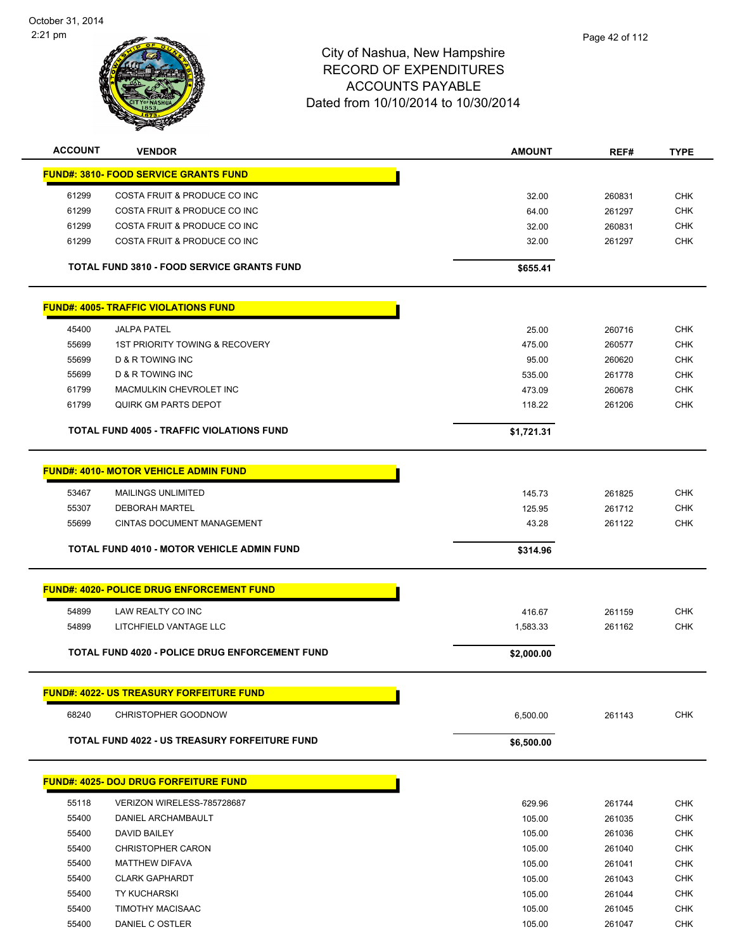

| <b>ACCOUNT</b> | <b>VENDOR</b>                                        | <b>AMOUNT</b> | REF#   | <b>TYPE</b> |
|----------------|------------------------------------------------------|---------------|--------|-------------|
|                | <b>FUND#: 3810- FOOD SERVICE GRANTS FUND</b>         |               |        |             |
| 61299          | COSTA FRUIT & PRODUCE CO INC                         | 32.00         | 260831 | <b>CHK</b>  |
| 61299          | COSTA FRUIT & PRODUCE CO INC                         | 64.00         | 261297 | <b>CHK</b>  |
| 61299          | COSTA FRUIT & PRODUCE CO INC                         | 32.00         | 260831 | <b>CHK</b>  |
| 61299          | COSTA FRUIT & PRODUCE CO INC                         | 32.00         | 261297 | <b>CHK</b>  |
|                |                                                      |               |        |             |
|                | <b>TOTAL FUND 3810 - FOOD SERVICE GRANTS FUND</b>    | \$655.41      |        |             |
|                | <b>FUND#: 4005- TRAFFIC VIOLATIONS FUND</b>          |               |        |             |
| 45400          | <b>JALPA PATEL</b>                                   | 25.00         | 260716 | <b>CHK</b>  |
| 55699          | <b>1ST PRIORITY TOWING &amp; RECOVERY</b>            | 475.00        | 260577 | <b>CHK</b>  |
| 55699          | D & R TOWING INC                                     | 95.00         | 260620 | <b>CHK</b>  |
| 55699          | D & R TOWING INC                                     | 535.00        | 261778 | <b>CHK</b>  |
| 61799          | MACMULKIN CHEVROLET INC                              | 473.09        | 260678 | <b>CHK</b>  |
| 61799          | <b>QUIRK GM PARTS DEPOT</b>                          | 118.22        | 261206 | <b>CHK</b>  |
|                | <b>TOTAL FUND 4005 - TRAFFIC VIOLATIONS FUND</b>     | \$1,721.31    |        |             |
|                | <b>FUND#: 4010- MOTOR VEHICLE ADMIN FUND</b>         |               |        |             |
| 53467          | <b>MAILINGS UNLIMITED</b>                            | 145.73        | 261825 | <b>CHK</b>  |
| 55307          | <b>DEBORAH MARTEL</b>                                | 125.95        | 261712 | <b>CHK</b>  |
| 55699          | <b>CINTAS DOCUMENT MANAGEMENT</b>                    | 43.28         | 261122 | <b>CHK</b>  |
|                |                                                      |               |        |             |
|                | <b>TOTAL FUND 4010 - MOTOR VEHICLE ADMIN FUND</b>    | \$314.96      |        |             |
|                | <b>FUND#: 4020- POLICE DRUG ENFORCEMENT FUND</b>     |               |        |             |
| 54899          | LAW REALTY CO INC                                    | 416.67        | 261159 | <b>CHK</b>  |
| 54899          | LITCHFIELD VANTAGE LLC                               | 1,583.33      | 261162 | <b>CHK</b>  |
|                |                                                      |               |        |             |
|                | TOTAL FUND 4020 - POLICE DRUG ENFORCEMENT FUND       | \$2,000.00    |        |             |
|                | <b>FUND#: 4022- US TREASURY FORFEITURE FUND</b>      |               |        |             |
| 68240          | <b>CHRISTOPHER GOODNOW</b>                           | 6,500.00      | 261143 | <b>CHK</b>  |
|                | <b>TOTAL FUND 4022 - US TREASURY FORFEITURE FUND</b> | \$6,500.00    |        |             |
|                |                                                      |               |        |             |
|                | <b>FUND#: 4025- DOJ DRUG FORFEITURE FUND</b>         |               |        |             |
| 55118          | VERIZON WIRELESS-785728687                           | 629.96        | 261744 | <b>CHK</b>  |
| 55400          | <b>DANIEL ARCHAMBAULT</b>                            | 105.00        | 261035 | <b>CHK</b>  |
| 55400          | <b>DAVID BAILEY</b>                                  | 105.00        | 261036 | <b>CHK</b>  |
| 55400          | <b>CHRISTOPHER CARON</b>                             | 105.00        | 261040 | <b>CHK</b>  |
| 55400          | <b>MATTHEW DIFAVA</b>                                | 105.00        | 261041 | <b>CHK</b>  |
| 55400          | <b>CLARK GAPHARDT</b>                                | 105.00        | 261043 | <b>CHK</b>  |
| 55400          | <b>TY KUCHARSKI</b>                                  | 105.00        | 261044 | <b>CHK</b>  |
| 55400          | TIMOTHY MACISAAC                                     | 105.00        | 261045 | <b>CHK</b>  |
| 55400          | DANIEL C OSTLER                                      | 105.00        | 261047 | <b>CHK</b>  |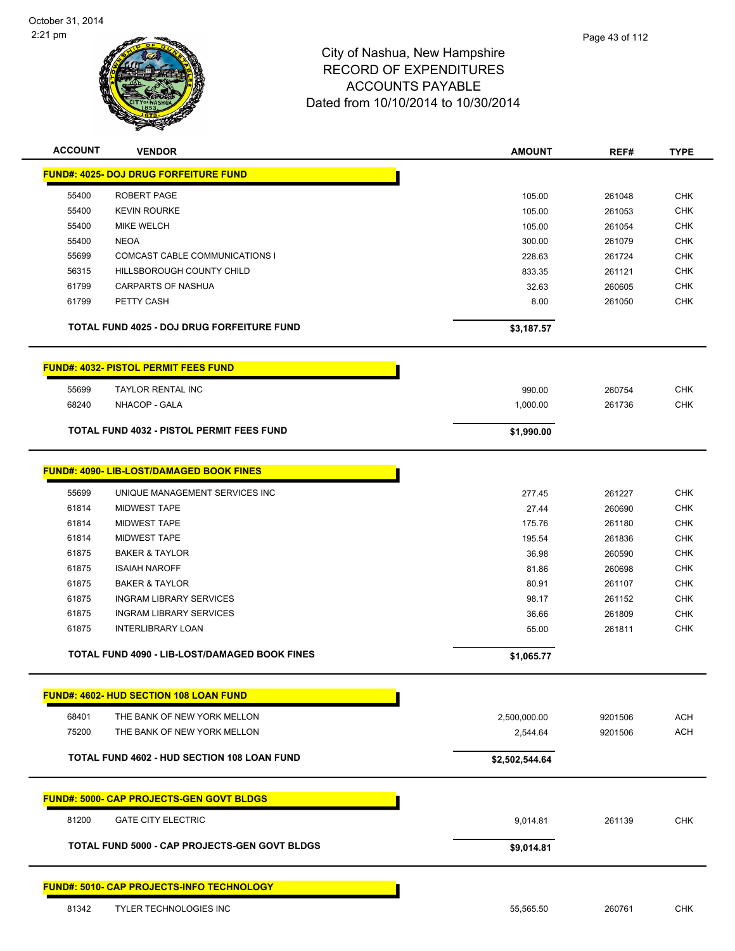

| <b>ACCOUNT</b> | <b>VENDOR</b>                                        | <b>AMOUNT</b>  | REF#    | <b>TYPE</b> |
|----------------|------------------------------------------------------|----------------|---------|-------------|
|                | <b>FUND#: 4025- DOJ DRUG FORFEITURE FUND</b>         |                |         |             |
| 55400          | ROBERT PAGE                                          | 105.00         | 261048  | <b>CHK</b>  |
| 55400          | <b>KEVIN ROURKE</b>                                  | 105.00         | 261053  | <b>CHK</b>  |
| 55400          | <b>MIKE WELCH</b>                                    | 105.00         | 261054  | CHK         |
| 55400          | <b>NEOA</b>                                          | 300.00         | 261079  | <b>CHK</b>  |
| 55699          | COMCAST CABLE COMMUNICATIONS I                       | 228.63         | 261724  | <b>CHK</b>  |
| 56315          | HILLSBOROUGH COUNTY CHILD                            | 833.35         | 261121  | <b>CHK</b>  |
| 61799          | <b>CARPARTS OF NASHUA</b>                            | 32.63          | 260605  | CHK         |
| 61799          | PETTY CASH                                           | 8.00           | 261050  | CHK         |
|                | TOTAL FUND 4025 - DOJ DRUG FORFEITURE FUND           | \$3,187.57     |         |             |
|                | <b>FUND#: 4032- PISTOL PERMIT FEES FUND</b>          |                |         |             |
| 55699          | <b>TAYLOR RENTAL INC</b>                             | 990.00         | 260754  | <b>CHK</b>  |
| 68240          | NHACOP - GALA                                        | 1,000.00       | 261736  | <b>CHK</b>  |
|                | <b>TOTAL FUND 4032 - PISTOL PERMIT FEES FUND</b>     | \$1,990.00     |         |             |
|                | <b>FUND#: 4090- LIB-LOST/DAMAGED BOOK FINES</b>      |                |         |             |
| 55699          | UNIQUE MANAGEMENT SERVICES INC                       | 277.45         | 261227  | <b>CHK</b>  |
| 61814          | <b>MIDWEST TAPE</b>                                  | 27.44          | 260690  | <b>CHK</b>  |
| 61814          | <b>MIDWEST TAPE</b>                                  | 175.76         | 261180  | <b>CHK</b>  |
| 61814          | <b>MIDWEST TAPE</b>                                  | 195.54         | 261836  | <b>CHK</b>  |
| 61875          | <b>BAKER &amp; TAYLOR</b>                            | 36.98          | 260590  | <b>CHK</b>  |
| 61875          | <b>ISAIAH NAROFF</b>                                 | 81.86          | 260698  | <b>CHK</b>  |
| 61875          | <b>BAKER &amp; TAYLOR</b>                            | 80.91          | 261107  | <b>CHK</b>  |
| 61875          | <b>INGRAM LIBRARY SERVICES</b>                       | 98.17          | 261152  | <b>CHK</b>  |
| 61875          | <b>INGRAM LIBRARY SERVICES</b>                       | 36.66          | 261809  | CHK         |
| 61875          | <b>INTERLIBRARY LOAN</b>                             | 55.00          | 261811  | <b>CHK</b>  |
|                | <b>TOTAL FUND 4090 - LIB-LOST/DAMAGED BOOK FINES</b> | \$1,065.77     |         |             |
|                | <b>FUND#: 4602- HUD SECTION 108 LOAN FUND</b>        |                |         |             |
| 68401          | THE BANK OF NEW YORK MELLON                          | 2,500,000.00   | 9201506 | <b>ACH</b>  |
| 75200          | THE BANK OF NEW YORK MELLON                          | 2,544.64       | 9201506 | <b>ACH</b>  |
|                | TOTAL FUND 4602 - HUD SECTION 108 LOAN FUND          | \$2,502,544.64 |         |             |
|                | <b>FUND#: 5000- CAP PROJECTS-GEN GOVT BLDGS</b>      |                |         |             |
| 81200          | <b>GATE CITY ELECTRIC</b>                            | 9,014.81       | 261139  | <b>CHK</b>  |
|                | <b>TOTAL FUND 5000 - CAP PROJECTS-GEN GOVT BLDGS</b> | \$9,014.81     |         |             |
|                | <b>FUND#: 5010- CAP PROJECTS-INFO TECHNOLOGY</b>     |                |         |             |
| 81342          | TYLER TECHNOLOGIES INC                               | 55,565.50      | 260761  | CHK         |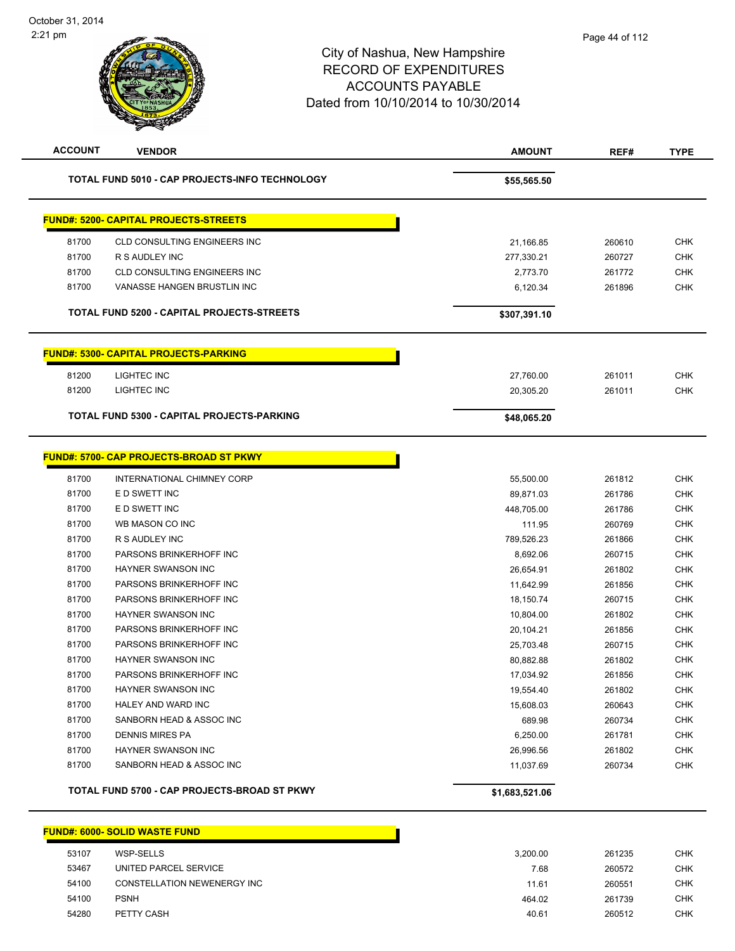| 81700<br>81700<br>81700<br>81700 | TOTAL FUND 5010 - CAP PROJECTS-INFO TECHNOLOGY<br><b>FUND#: 5200- CAPITAL PROJECTS-STREETS</b><br><b>CLD CONSULTING ENGINEERS INC</b><br>R S AUDLEY INC<br><b>CLD CONSULTING ENGINEERS INC</b><br>VANASSE HANGEN BRUSTLIN INC<br>TOTAL FUND 5200 - CAPITAL PROJECTS-STREETS | \$55,565.50<br>21,166.85<br>277,330.21<br>2,773.70<br>6,120.34<br>\$307,391.10 | 260610<br>260727<br>261772<br>261896 | <b>CHK</b><br><b>CHK</b><br>CHK<br><b>CHK</b> |
|----------------------------------|-----------------------------------------------------------------------------------------------------------------------------------------------------------------------------------------------------------------------------------------------------------------------------|--------------------------------------------------------------------------------|--------------------------------------|-----------------------------------------------|
|                                  |                                                                                                                                                                                                                                                                             |                                                                                |                                      |                                               |
|                                  |                                                                                                                                                                                                                                                                             |                                                                                |                                      |                                               |
|                                  |                                                                                                                                                                                                                                                                             |                                                                                |                                      |                                               |
|                                  |                                                                                                                                                                                                                                                                             |                                                                                |                                      |                                               |
|                                  |                                                                                                                                                                                                                                                                             |                                                                                |                                      |                                               |
|                                  |                                                                                                                                                                                                                                                                             |                                                                                |                                      |                                               |
|                                  |                                                                                                                                                                                                                                                                             |                                                                                |                                      |                                               |
|                                  | <u> FUND#: 5300- CAPITAL PROJECTS-PARKING</u>                                                                                                                                                                                                                               |                                                                                |                                      |                                               |
| 81200                            | LIGHTEC INC                                                                                                                                                                                                                                                                 | 27,760.00                                                                      | 261011                               | <b>CHK</b>                                    |
| 81200                            | LIGHTEC INC                                                                                                                                                                                                                                                                 | 20,305.20                                                                      | 261011                               | CHK                                           |
|                                  |                                                                                                                                                                                                                                                                             |                                                                                |                                      |                                               |
|                                  | TOTAL FUND 5300 - CAPITAL PROJECTS-PARKING                                                                                                                                                                                                                                  | \$48,065.20                                                                    |                                      |                                               |
|                                  | <b>FUND#: 5700- CAP PROJECTS-BROAD ST PKWY</b>                                                                                                                                                                                                                              |                                                                                |                                      |                                               |
| 81700                            | INTERNATIONAL CHIMNEY CORP                                                                                                                                                                                                                                                  | 55,500.00                                                                      | 261812                               | CHK                                           |
| 81700                            | E D SWETT INC                                                                                                                                                                                                                                                               | 89,871.03                                                                      | 261786                               | <b>CHK</b>                                    |
| 81700                            | E D SWETT INC                                                                                                                                                                                                                                                               | 448,705.00                                                                     | 261786                               | <b>CHK</b>                                    |
| 81700                            | WB MASON CO INC                                                                                                                                                                                                                                                             | 111.95                                                                         | 260769                               | CHK                                           |
| 81700                            | R S AUDLEY INC                                                                                                                                                                                                                                                              | 789,526.23                                                                     | 261866                               | <b>CHK</b>                                    |
| 81700                            | PARSONS BRINKERHOFF INC                                                                                                                                                                                                                                                     | 8,692.06                                                                       | 260715                               | <b>CHK</b>                                    |
| 81700                            | HAYNER SWANSON INC                                                                                                                                                                                                                                                          | 26,654.91                                                                      | 261802                               | <b>CHK</b>                                    |
| 81700                            | PARSONS BRINKERHOFF INC                                                                                                                                                                                                                                                     | 11,642.99                                                                      | 261856                               | <b>CHK</b>                                    |
| 81700                            | PARSONS BRINKERHOFF INC                                                                                                                                                                                                                                                     | 18,150.74                                                                      | 260715                               | <b>CHK</b>                                    |
| 81700                            | HAYNER SWANSON INC                                                                                                                                                                                                                                                          | 10,804.00                                                                      | 261802                               | <b>CHK</b>                                    |
| 81700                            | PARSONS BRINKERHOFF INC                                                                                                                                                                                                                                                     | 20,104.21                                                                      | 261856                               | <b>CHK</b>                                    |
| 81700                            | PARSONS BRINKERHOFF INC                                                                                                                                                                                                                                                     | 25,703.48                                                                      | 260715                               | <b>CHK</b>                                    |
| 81700                            | HAYNER SWANSON INC                                                                                                                                                                                                                                                          | 80,882.88                                                                      | 261802                               | <b>CHK</b>                                    |
| 81700                            | PARSONS BRINKERHOFF INC                                                                                                                                                                                                                                                     | 17,034.92                                                                      | 261856                               | <b>CHK</b>                                    |
| 81700                            | HAYNER SWANSON INC                                                                                                                                                                                                                                                          | 19,554.40                                                                      | 261802                               | CHK                                           |
| 81700                            | HALEY AND WARD INC                                                                                                                                                                                                                                                          | 15,608.03                                                                      | 260643                               | <b>CHK</b>                                    |
| 81700                            | SANBORN HEAD & ASSOC INC                                                                                                                                                                                                                                                    | 689.98                                                                         | 260734                               | <b>CHK</b>                                    |
| 81700                            | <b>DENNIS MIRES PA</b>                                                                                                                                                                                                                                                      | 6,250.00                                                                       | 261781                               | <b>CHK</b>                                    |
| 81700                            | HAYNER SWANSON INC                                                                                                                                                                                                                                                          | 26,996.56                                                                      | 261802                               | <b>CHK</b>                                    |
| 81700                            | SANBORN HEAD & ASSOC INC                                                                                                                                                                                                                                                    | 11,037.69                                                                      | 260734                               | CHK                                           |
|                                  | TOTAL FUND 5700 - CAP PROJECTS-BROAD ST PKWY                                                                                                                                                                                                                                | \$1,683,521.06                                                                 |                                      |                                               |

### WSP-SELLS 3,200.00 261235 CHK 53467 UNITED PARCEL SERVICE **The CONSTRUCT SERVICE And CONSTRUCT SERVICE A** CHK CHANGE AND THE CHANGE AND THE CHA CONSTELLATION NEWENERGY INC 11.61 260551 CHK PSNH 464.02 261739 CHK PETTY CASH 40.61 260512 CHK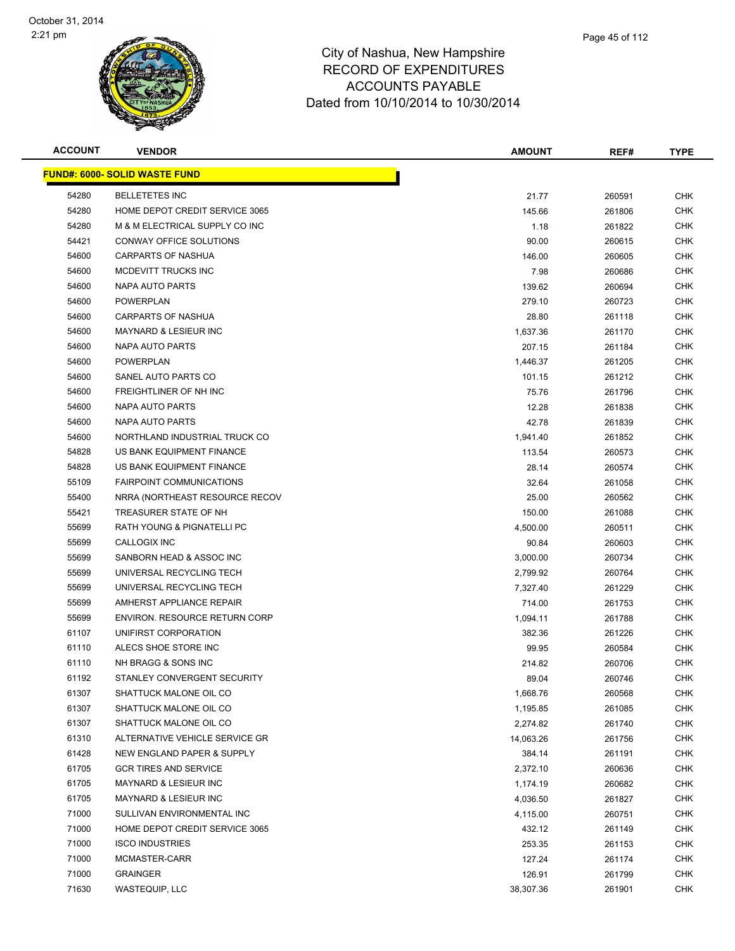

| <b>ACCOUNT</b> | <b>VENDOR</b>                         | <b>AMOUNT</b> | REF#   | <b>TYPE</b> |
|----------------|---------------------------------------|---------------|--------|-------------|
|                | <u> FUND#: 6000- SOLID WASTE FUND</u> |               |        |             |
| 54280          | <b>BELLETETES INC</b>                 | 21.77         | 260591 | <b>CHK</b>  |
| 54280          | HOME DEPOT CREDIT SERVICE 3065        | 145.66        | 261806 | <b>CHK</b>  |
| 54280          | M & M ELECTRICAL SUPPLY CO INC        | 1.18          | 261822 | <b>CHK</b>  |
| 54421          | CONWAY OFFICE SOLUTIONS               | 90.00         | 260615 | <b>CHK</b>  |
| 54600          | CARPARTS OF NASHUA                    | 146.00        | 260605 | <b>CHK</b>  |
| 54600          | MCDEVITT TRUCKS INC                   | 7.98          | 260686 | <b>CHK</b>  |
| 54600          | NAPA AUTO PARTS                       | 139.62        | 260694 | <b>CHK</b>  |
| 54600          | <b>POWERPLAN</b>                      | 279.10        | 260723 | CHK         |
| 54600          | <b>CARPARTS OF NASHUA</b>             | 28.80         | 261118 | <b>CHK</b>  |
| 54600          | <b>MAYNARD &amp; LESIEUR INC</b>      | 1,637.36      | 261170 | CHK         |
| 54600          | NAPA AUTO PARTS                       | 207.15        | 261184 | <b>CHK</b>  |
| 54600          | <b>POWERPLAN</b>                      | 1,446.37      | 261205 | <b>CHK</b>  |
| 54600          | SANEL AUTO PARTS CO                   | 101.15        | 261212 | CHK         |
| 54600          | FREIGHTLINER OF NH INC                | 75.76         | 261796 | <b>CHK</b>  |
| 54600          | NAPA AUTO PARTS                       | 12.28         | 261838 | <b>CHK</b>  |
| 54600          | NAPA AUTO PARTS                       | 42.78         | 261839 | <b>CHK</b>  |
| 54600          | NORTHLAND INDUSTRIAL TRUCK CO         | 1,941.40      | 261852 | <b>CHK</b>  |
| 54828          | US BANK EQUIPMENT FINANCE             | 113.54        | 260573 | <b>CHK</b>  |
| 54828          | US BANK EQUIPMENT FINANCE             | 28.14         | 260574 | <b>CHK</b>  |
| 55109          | <b>FAIRPOINT COMMUNICATIONS</b>       | 32.64         | 261058 | <b>CHK</b>  |
| 55400          | NRRA (NORTHEAST RESOURCE RECOV        | 25.00         | 260562 | <b>CHK</b>  |
| 55421          | TREASURER STATE OF NH                 | 150.00        | 261088 | <b>CHK</b>  |
| 55699          | RATH YOUNG & PIGNATELLI PC            | 4,500.00      | 260511 | <b>CHK</b>  |
| 55699          | CALLOGIX INC                          | 90.84         | 260603 | <b>CHK</b>  |
| 55699          | SANBORN HEAD & ASSOC INC              | 3,000.00      | 260734 | <b>CHK</b>  |
| 55699          | UNIVERSAL RECYCLING TECH              | 2,799.92      | 260764 | <b>CHK</b>  |
| 55699          | UNIVERSAL RECYCLING TECH              | 7,327.40      | 261229 | <b>CHK</b>  |
| 55699          | AMHERST APPLIANCE REPAIR              | 714.00        | 261753 | <b>CHK</b>  |
| 55699          | <b>ENVIRON, RESOURCE RETURN CORP</b>  | 1,094.11      | 261788 | <b>CHK</b>  |
| 61107          | UNIFIRST CORPORATION                  | 382.36        | 261226 | <b>CHK</b>  |
| 61110          | ALECS SHOE STORE INC                  | 99.95         | 260584 | <b>CHK</b>  |
| 61110          | NH BRAGG & SONS INC                   | 214.82        | 260706 | CHK         |
| 61192          | STANLEY CONVERGENT SECURITY           | 89.04         | 260746 | <b>CHK</b>  |
| 61307          | SHATTUCK MALONE OIL CO                | 1,668.76      | 260568 | <b>CHK</b>  |
| 61307          | SHATTUCK MALONE OIL CO                | 1,195.85      | 261085 | <b>CHK</b>  |
| 61307          | SHATTUCK MALONE OIL CO                | 2,274.82      | 261740 | <b>CHK</b>  |
| 61310          | ALTERNATIVE VEHICLE SERVICE GR        | 14,063.26     | 261756 | <b>CHK</b>  |
| 61428          | NEW ENGLAND PAPER & SUPPLY            | 384.14        | 261191 | <b>CHK</b>  |
| 61705          | <b>GCR TIRES AND SERVICE</b>          | 2,372.10      | 260636 | <b>CHK</b>  |
| 61705          | MAYNARD & LESIEUR INC                 | 1,174.19      | 260682 | <b>CHK</b>  |
| 61705          | MAYNARD & LESIEUR INC                 | 4,036.50      | 261827 | <b>CHK</b>  |
| 71000          | SULLIVAN ENVIRONMENTAL INC            | 4,115.00      | 260751 | <b>CHK</b>  |
| 71000          | HOME DEPOT CREDIT SERVICE 3065        | 432.12        | 261149 | CHK         |
| 71000          | <b>ISCO INDUSTRIES</b>                | 253.35        | 261153 | <b>CHK</b>  |
| 71000          | MCMASTER-CARR                         | 127.24        | 261174 | CHK         |
| 71000          | <b>GRAINGER</b>                       | 126.91        | 261799 | <b>CHK</b>  |
| 71630          | WASTEQUIP, LLC                        | 38,307.36     | 261901 | <b>CHK</b>  |
|                |                                       |               |        |             |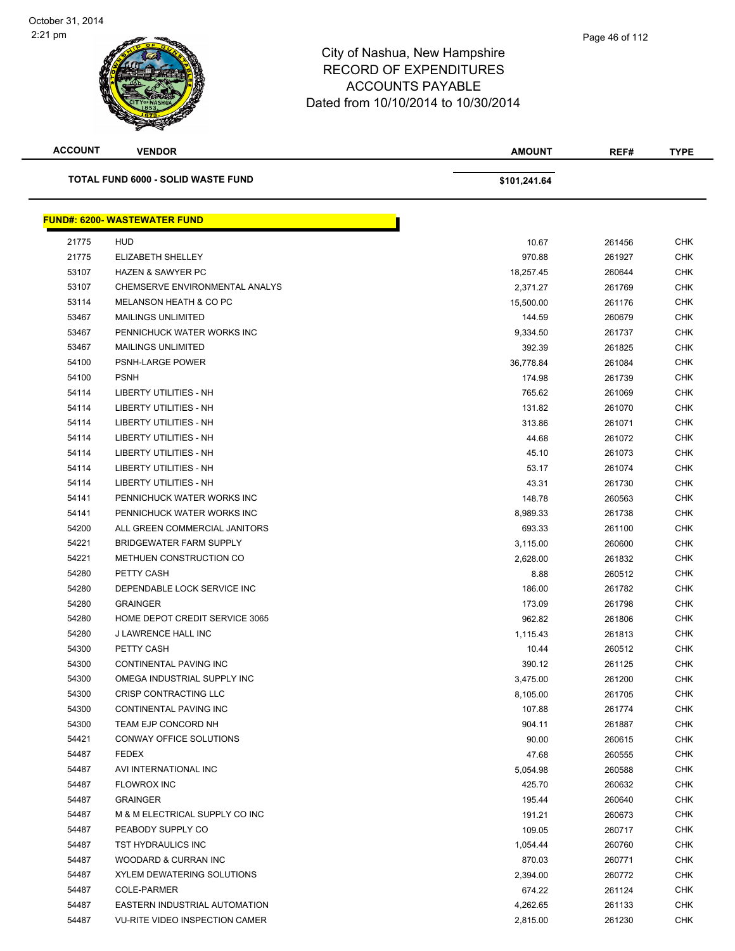| <b>ACCOUNT</b> | <b>VENDOR</b>                             | <b>AMOUNT</b> | REF#   | <b>TYPE</b> |
|----------------|-------------------------------------------|---------------|--------|-------------|
|                | <b>TOTAL FUND 6000 - SOLID WASTE FUND</b> | \$101,241.64  |        |             |
|                | <b>FUND#: 6200- WASTEWATER FUND</b>       |               |        |             |
| 21775          | HUD                                       | 10.67         | 261456 | <b>CHK</b>  |
| 21775          | ELIZABETH SHELLEY                         | 970.88        | 261927 | <b>CHK</b>  |
| 53107          | <b>HAZEN &amp; SAWYER PC</b>              | 18,257.45     | 260644 | CHK         |
| 53107          | CHEMSERVE ENVIRONMENTAL ANALYS            | 2,371.27      | 261769 | <b>CHK</b>  |
| 53114          | MELANSON HEATH & CO PC                    | 15,500.00     | 261176 | CHK         |
| 53467          | <b>MAILINGS UNLIMITED</b>                 | 144.59        | 260679 | CHK         |
| 53467          | PENNICHUCK WATER WORKS INC                | 9,334.50      | 261737 | <b>CHK</b>  |
| 53467          | <b>MAILINGS UNLIMITED</b>                 | 392.39        | 261825 | CHK         |
| 54100          | PSNH-LARGE POWER                          | 36,778.84     | 261084 | CHK         |
| 54100          | <b>PSNH</b>                               | 174.98        | 261739 | <b>CHK</b>  |
| 54114          | LIBERTY UTILITIES - NH                    | 765.62        | 261069 | <b>CHK</b>  |
| 54114          | <b>LIBERTY UTILITIES - NH</b>             | 131.82        | 261070 | <b>CHK</b>  |
| 54114          | <b>LIBERTY UTILITIES - NH</b>             | 313.86        | 261071 | <b>CHK</b>  |
| 54114          | <b>LIBERTY UTILITIES - NH</b>             | 44.68         | 261072 | <b>CHK</b>  |
| 54114          | <b>LIBERTY UTILITIES - NH</b>             | 45.10         | 261073 | <b>CHK</b>  |
| 54114          | LIBERTY UTILITIES - NH                    | 53.17         | 261074 | CHK         |
| 54114          | LIBERTY UTILITIES - NH                    | 43.31         | 261730 | <b>CHK</b>  |
| 54141          | PENNICHUCK WATER WORKS INC                | 148.78        | 260563 | <b>CHK</b>  |
| 54141          | PENNICHUCK WATER WORKS INC                | 8,989.33      | 261738 | CHK         |
| 54200          | ALL GREEN COMMERCIAL JANITORS             | 693.33        | 261100 | CHK         |
| 54221          | <b>BRIDGEWATER FARM SUPPLY</b>            | 3,115.00      | 260600 | CHK         |
| 54221          | METHUEN CONSTRUCTION CO                   | 2,628.00      | 261832 | <b>CHK</b>  |
| 54280          | PETTY CASH                                | 8.88          | 260512 | <b>CHK</b>  |
| 54280          | DEPENDABLE LOCK SERVICE INC               | 186.00        | 261782 | CHK         |
| 54280          | <b>GRAINGER</b>                           | 173.09        | 261798 | <b>CHK</b>  |
| 54280          | HOME DEPOT CREDIT SERVICE 3065            | 962.82        | 261806 | <b>CHK</b>  |
| 54280          | <b>J LAWRENCE HALL INC</b>                | 1,115.43      | 261813 | CHK         |
| 54300          | PETTY CASH                                | 10.44         | 260512 | CHK         |
| 54300          | CONTINENTAL PAVING INC                    | 390.12        | 261125 | <b>CHK</b>  |
| 54300          | OMEGA INDUSTRIAL SUPPLY INC               | 3,475.00      | 261200 | CHK         |
| 54300          | CRISP CONTRACTING LLC                     | 8,105.00      | 261705 | <b>CHK</b>  |
| 54300          | <b>CONTINENTAL PAVING INC</b>             | 107.88        | 261774 | CHK         |
| 54300          | TEAM EJP CONCORD NH                       | 904.11        | 261887 | CHK         |
| 54421          | CONWAY OFFICE SOLUTIONS                   | 90.00         | 260615 | <b>CHK</b>  |
| 54487          | <b>FEDEX</b>                              | 47.68         | 260555 | <b>CHK</b>  |
| 54487          | AVI INTERNATIONAL INC                     | 5,054.98      | 260588 | <b>CHK</b>  |
| 54487          | <b>FLOWROX INC</b>                        | 425.70        | 260632 | <b>CHK</b>  |
| 54487          | <b>GRAINGER</b>                           | 195.44        | 260640 | CHK         |
| 54487          | M & M ELECTRICAL SUPPLY CO INC            | 191.21        | 260673 | CHK         |
| 54487          | PEABODY SUPPLY CO                         | 109.05        | 260717 | CHK         |
| 54487          | TST HYDRAULICS INC                        | 1,054.44      | 260760 | CHK         |
| 54487          | WOODARD & CURRAN INC                      | 870.03        | 260771 | CHK         |
| 54487          | XYLEM DEWATERING SOLUTIONS                | 2,394.00      | 260772 | CHK         |
| 54487          | COLE-PARMER                               | 674.22        | 261124 | CHK         |
| 54487          | EASTERN INDUSTRIAL AUTOMATION             | 4,262.65      | 261133 | <b>CHK</b>  |
| 54487          | <b>VU-RITE VIDEO INSPECTION CAMER</b>     | 2,815.00      | 261230 | CHK         |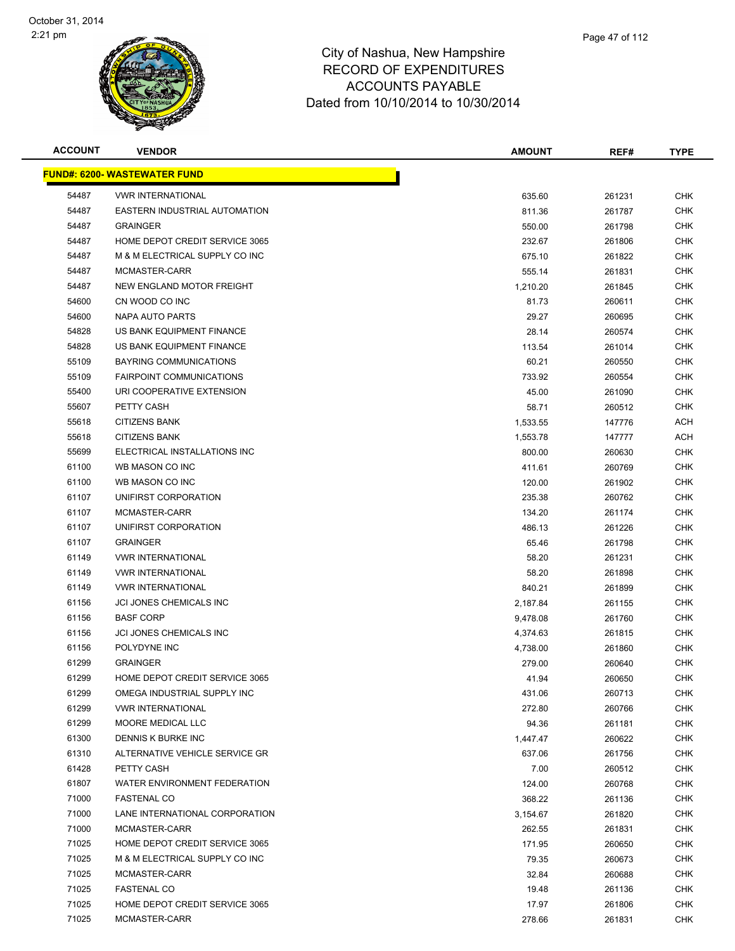

| Page 47 of 112 |
|----------------|
|                |

| <b>ACCOUNT</b> | <b>VENDOR</b>                       | <b>AMOUNT</b> | REF#   | <b>TYPE</b> |
|----------------|-------------------------------------|---------------|--------|-------------|
|                | <b>FUND#: 6200- WASTEWATER FUND</b> |               |        |             |
| 54487          | <b>VWR INTERNATIONAL</b>            | 635.60        | 261231 | <b>CHK</b>  |
| 54487          | EASTERN INDUSTRIAL AUTOMATION       | 811.36        | 261787 | <b>CHK</b>  |
| 54487          | <b>GRAINGER</b>                     | 550.00        | 261798 | <b>CHK</b>  |
| 54487          | HOME DEPOT CREDIT SERVICE 3065      | 232.67        | 261806 | <b>CHK</b>  |
| 54487          | M & M ELECTRICAL SUPPLY CO INC      | 675.10        | 261822 | <b>CHK</b>  |
| 54487          | MCMASTER-CARR                       | 555.14        | 261831 | <b>CHK</b>  |
| 54487          | NEW ENGLAND MOTOR FREIGHT           | 1,210.20      | 261845 | <b>CHK</b>  |
| 54600          | CN WOOD CO INC                      | 81.73         | 260611 | <b>CHK</b>  |
| 54600          | NAPA AUTO PARTS                     | 29.27         | 260695 | <b>CHK</b>  |
| 54828          | US BANK EQUIPMENT FINANCE           | 28.14         | 260574 | <b>CHK</b>  |
| 54828          | US BANK EQUIPMENT FINANCE           | 113.54        | 261014 | <b>CHK</b>  |
| 55109          | <b>BAYRING COMMUNICATIONS</b>       | 60.21         | 260550 | <b>CHK</b>  |
| 55109          | <b>FAIRPOINT COMMUNICATIONS</b>     | 733.92        | 260554 | <b>CHK</b>  |
| 55400          | URI COOPERATIVE EXTENSION           | 45.00         | 261090 | <b>CHK</b>  |
| 55607          | PETTY CASH                          | 58.71         | 260512 | <b>CHK</b>  |
| 55618          | <b>CITIZENS BANK</b>                | 1,533.55      | 147776 | ACH         |
| 55618          | <b>CITIZENS BANK</b>                | 1,553.78      | 147777 | <b>ACH</b>  |
| 55699          | ELECTRICAL INSTALLATIONS INC        | 800.00        | 260630 | <b>CHK</b>  |
| 61100          | WB MASON CO INC                     | 411.61        | 260769 | <b>CHK</b>  |
| 61100          | WB MASON CO INC                     | 120.00        | 261902 | <b>CHK</b>  |
| 61107          | UNIFIRST CORPORATION                | 235.38        | 260762 | <b>CHK</b>  |
| 61107          | MCMASTER-CARR                       | 134.20        | 261174 | <b>CHK</b>  |
| 61107          | UNIFIRST CORPORATION                | 486.13        | 261226 | <b>CHK</b>  |
| 61107          | <b>GRAINGER</b>                     | 65.46         | 261798 | <b>CHK</b>  |
| 61149          | <b>VWR INTERNATIONAL</b>            | 58.20         | 261231 | <b>CHK</b>  |
| 61149          | <b>VWR INTERNATIONAL</b>            | 58.20         | 261898 | <b>CHK</b>  |
| 61149          | <b>VWR INTERNATIONAL</b>            | 840.21        | 261899 | <b>CHK</b>  |
| 61156          | JCI JONES CHEMICALS INC             | 2,187.84      | 261155 | <b>CHK</b>  |
| 61156          | <b>BASF CORP</b>                    | 9,478.08      | 261760 | <b>CHK</b>  |
| 61156          | <b>JCI JONES CHEMICALS INC</b>      | 4,374.63      | 261815 | <b>CHK</b>  |
| 61156          | POLYDYNE INC                        | 4,738.00      | 261860 | <b>CHK</b>  |
| 61299          | <b>GRAINGER</b>                     | 279.00        | 260640 | <b>CHK</b>  |
| 61299          | HOME DEPOT CREDIT SERVICE 3065      | 41.94         | 260650 | <b>CHK</b>  |
| 61299          | OMEGA INDUSTRIAL SUPPLY INC         | 431.06        | 260713 | <b>CHK</b>  |
| 61299          | <b>VWR INTERNATIONAL</b>            | 272.80        | 260766 | <b>CHK</b>  |
| 61299          | MOORE MEDICAL LLC                   | 94.36         | 261181 | <b>CHK</b>  |
| 61300          | DENNIS K BURKE INC                  | 1,447.47      | 260622 | <b>CHK</b>  |
| 61310          | ALTERNATIVE VEHICLE SERVICE GR      | 637.06        | 261756 | <b>CHK</b>  |
| 61428          | PETTY CASH                          | 7.00          | 260512 | <b>CHK</b>  |
| 61807          | <b>WATER ENVIRONMENT FEDERATION</b> | 124.00        | 260768 | <b>CHK</b>  |
| 71000          | <b>FASTENAL CO</b>                  | 368.22        | 261136 | <b>CHK</b>  |
| 71000          | LANE INTERNATIONAL CORPORATION      | 3,154.67      | 261820 | <b>CHK</b>  |
| 71000          | MCMASTER-CARR                       | 262.55        | 261831 | <b>CHK</b>  |
| 71025          | HOME DEPOT CREDIT SERVICE 3065      | 171.95        | 260650 | <b>CHK</b>  |
| 71025          | M & M ELECTRICAL SUPPLY CO INC      | 79.35         | 260673 | <b>CHK</b>  |
| 71025          | MCMASTER-CARR                       | 32.84         | 260688 | <b>CHK</b>  |
| 71025          | <b>FASTENAL CO</b>                  | 19.48         | 261136 | <b>CHK</b>  |
| 71025          | HOME DEPOT CREDIT SERVICE 3065      | 17.97         | 261806 | <b>CHK</b>  |
| 71025          | MCMASTER-CARR                       | 278.66        | 261831 | <b>CHK</b>  |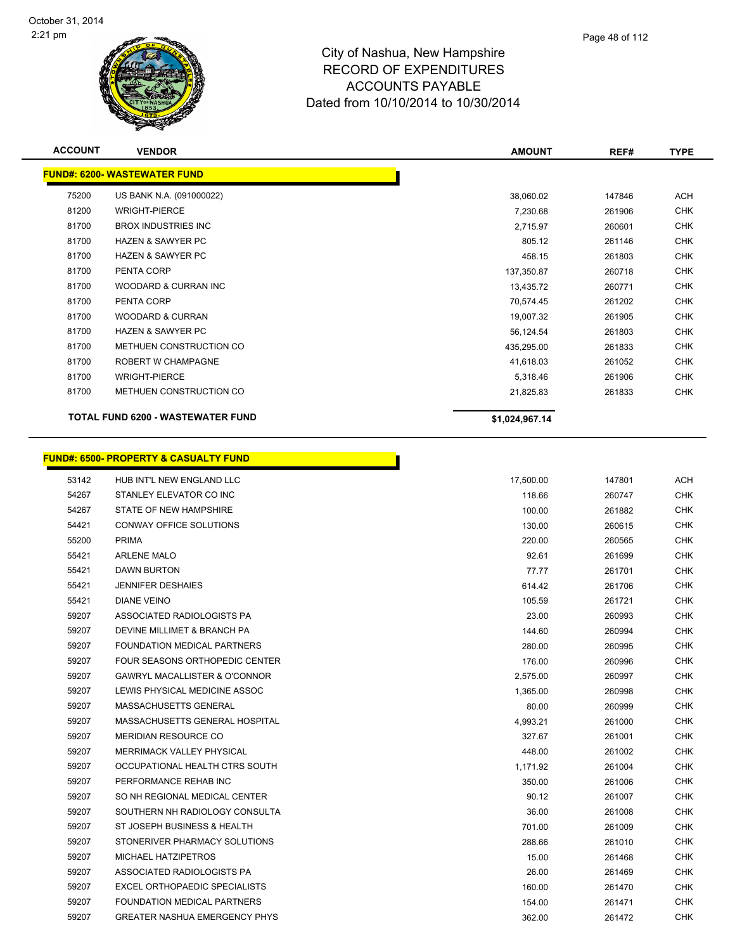

| <b>ACCOUNT</b> | <b>VENDOR</b>                            | <b>AMOUNT</b>  | REF#   | <b>TYPE</b> |
|----------------|------------------------------------------|----------------|--------|-------------|
|                | <b>FUND#: 6200- WASTEWATER FUND</b>      |                |        |             |
| 75200          | US BANK N.A. (091000022)                 | 38,060.02      | 147846 | <b>ACH</b>  |
|                |                                          |                |        |             |
| 81200          | <b>WRIGHT-PIERCE</b>                     | 7,230.68       | 261906 | <b>CHK</b>  |
| 81700          | <b>BROX INDUSTRIES INC.</b>              | 2,715.97       | 260601 | <b>CHK</b>  |
| 81700          | <b>HAZEN &amp; SAWYER PC</b>             | 805.12         | 261146 | <b>CHK</b>  |
| 81700          | <b>HAZEN &amp; SAWYER PC</b>             | 458.15         | 261803 | <b>CHK</b>  |
| 81700          | PENTA CORP                               | 137,350.87     | 260718 | <b>CHK</b>  |
| 81700          | WOODARD & CURRAN INC                     | 13,435.72      | 260771 | <b>CHK</b>  |
| 81700          | PENTA CORP                               | 70,574.45      | 261202 | <b>CHK</b>  |
| 81700          | <b>WOODARD &amp; CURRAN</b>              | 19,007.32      | 261905 | <b>CHK</b>  |
| 81700          | <b>HAZEN &amp; SAWYER PC</b>             | 56,124.54      | 261803 | <b>CHK</b>  |
| 81700          | METHUEN CONSTRUCTION CO                  | 435,295.00     | 261833 | <b>CHK</b>  |
| 81700          | <b>ROBERT W CHAMPAGNE</b>                | 41,618.03      | 261052 | <b>CHK</b>  |
| 81700          | <b>WRIGHT-PIERCE</b>                     | 5,318.46       | 261906 | <b>CHK</b>  |
| 81700          | METHUEN CONSTRUCTION CO                  | 21,825.83      | 261833 | <b>CHK</b>  |
|                | <b>TOTAL FUND 6200 - WASTEWATER FUND</b> | \$1,024,967.14 |        |             |

h

# **FUND#: 6500- PROPERTY & CASUALTY FUND**

| 53142 | HUB INT'L NEW ENGLAND LLC            | 17,500.00 | 147801 | <b>ACH</b> |
|-------|--------------------------------------|-----------|--------|------------|
| 54267 | STANLEY ELEVATOR CO INC              | 118.66    | 260747 | <b>CHK</b> |
| 54267 | STATE OF NEW HAMPSHIRE               | 100.00    | 261882 | <b>CHK</b> |
| 54421 | <b>CONWAY OFFICE SOLUTIONS</b>       | 130.00    | 260615 | <b>CHK</b> |
| 55200 | <b>PRIMA</b>                         | 220.00    | 260565 | <b>CHK</b> |
| 55421 | <b>ARLENE MALO</b>                   | 92.61     | 261699 | <b>CHK</b> |
| 55421 | <b>DAWN BURTON</b>                   | 77.77     | 261701 | <b>CHK</b> |
| 55421 | <b>JENNIFER DESHAIES</b>             | 614.42    | 261706 | <b>CHK</b> |
| 55421 | <b>DIANE VEINO</b>                   | 105.59    | 261721 | <b>CHK</b> |
| 59207 | ASSOCIATED RADIOLOGISTS PA           | 23.00     | 260993 | <b>CHK</b> |
| 59207 | DEVINE MILLIMET & BRANCH PA          | 144.60    | 260994 | <b>CHK</b> |
| 59207 | FOUNDATION MEDICAL PARTNERS          | 280.00    | 260995 | <b>CHK</b> |
| 59207 | FOUR SEASONS ORTHOPEDIC CENTER       | 176.00    | 260996 | <b>CHK</b> |
| 59207 | GAWRYL MACALLISTER & O'CONNOR        | 2,575.00  | 260997 | <b>CHK</b> |
| 59207 | LEWIS PHYSICAL MEDICINE ASSOC        | 1,365.00  | 260998 | <b>CHK</b> |
| 59207 | <b>MASSACHUSETTS GENERAL</b>         | 80.00     | 260999 | <b>CHK</b> |
| 59207 | MASSACHUSETTS GENERAL HOSPITAL       | 4,993.21  | 261000 | <b>CHK</b> |
| 59207 | <b>MERIDIAN RESOURCE CO</b>          | 327.67    | 261001 | <b>CHK</b> |
| 59207 | MERRIMACK VALLEY PHYSICAL            | 448.00    | 261002 | <b>CHK</b> |
| 59207 | OCCUPATIONAL HEALTH CTRS SOUTH       | 1,171.92  | 261004 | <b>CHK</b> |
| 59207 | PERFORMANCE REHAB INC                | 350.00    | 261006 | <b>CHK</b> |
| 59207 | SO NH REGIONAL MEDICAL CENTER        | 90.12     | 261007 | <b>CHK</b> |
| 59207 | SOUTHERN NH RADIOLOGY CONSULTA       | 36.00     | 261008 | <b>CHK</b> |
| 59207 | ST JOSEPH BUSINESS & HEALTH          | 701.00    | 261009 | <b>CHK</b> |
| 59207 | STONERIVER PHARMACY SOLUTIONS        | 288.66    | 261010 | <b>CHK</b> |
| 59207 | MICHAEL HATZIPETROS                  | 15.00     | 261468 | <b>CHK</b> |
| 59207 | ASSOCIATED RADIOLOGISTS PA           | 26.00     | 261469 | <b>CHK</b> |
| 59207 | EXCEL ORTHOPAEDIC SPECIALISTS        | 160.00    | 261470 | <b>CHK</b> |
| 59207 | <b>FOUNDATION MEDICAL PARTNERS</b>   | 154.00    | 261471 | <b>CHK</b> |
| 59207 | <b>GREATER NASHUA EMERGENCY PHYS</b> | 362.00    | 261472 | <b>CHK</b> |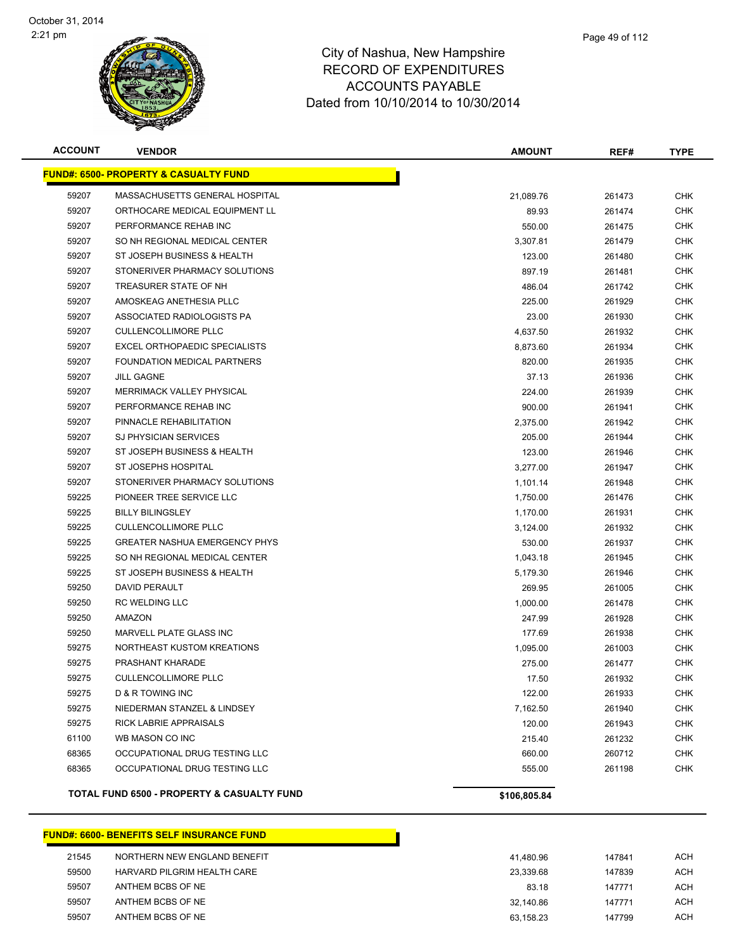

| <b>ACCOUNT</b> | <b>VENDOR</b>                                         | <b>AMOUNT</b> | REF#   | <b>TYPE</b> |
|----------------|-------------------------------------------------------|---------------|--------|-------------|
|                | <u> FUND#: 6500- PROPERTY &amp; CASUALTY FUND</u>     |               |        |             |
| 59207          | MASSACHUSETTS GENERAL HOSPITAL                        | 21,089.76     | 261473 | <b>CHK</b>  |
| 59207          | ORTHOCARE MEDICAL EQUIPMENT LL                        | 89.93         | 261474 | CHK         |
| 59207          | PERFORMANCE REHAB INC                                 | 550.00        | 261475 | CHK         |
| 59207          | SO NH REGIONAL MEDICAL CENTER                         | 3,307.81      | 261479 | CHK         |
| 59207          | ST JOSEPH BUSINESS & HEALTH                           | 123.00        | 261480 | <b>CHK</b>  |
| 59207          | STONERIVER PHARMACY SOLUTIONS                         | 897.19        | 261481 | CHK         |
| 59207          | TREASURER STATE OF NH                                 | 486.04        | 261742 | CHK         |
| 59207          | AMOSKEAG ANETHESIA PLLC                               | 225.00        | 261929 | CHK         |
| 59207          | ASSOCIATED RADIOLOGISTS PA                            | 23.00         | 261930 | CHK         |
| 59207          | <b>CULLENCOLLIMORE PLLC</b>                           | 4,637.50      | 261932 | CHK         |
| 59207          | EXCEL ORTHOPAEDIC SPECIALISTS                         | 8,873.60      | 261934 | CHK         |
| 59207          | FOUNDATION MEDICAL PARTNERS                           | 820.00        | 261935 | CHK         |
| 59207          | <b>JILL GAGNE</b>                                     | 37.13         | 261936 | CHK         |
| 59207          | <b>MERRIMACK VALLEY PHYSICAL</b>                      | 224.00        | 261939 | CHK         |
| 59207          | PERFORMANCE REHAB INC                                 | 900.00        | 261941 | CHK         |
| 59207          | PINNACLE REHABILITATION                               | 2,375.00      | 261942 | CHK         |
| 59207          | <b>SJ PHYSICIAN SERVICES</b>                          | 205.00        | 261944 | <b>CHK</b>  |
| 59207          | ST JOSEPH BUSINESS & HEALTH                           | 123.00        | 261946 | CHK         |
| 59207          | <b>ST JOSEPHS HOSPITAL</b>                            | 3,277.00      | 261947 | <b>CHK</b>  |
| 59207          | STONERIVER PHARMACY SOLUTIONS                         | 1,101.14      | 261948 | <b>CHK</b>  |
| 59225          | PIONEER TREE SERVICE LLC                              | 1,750.00      | 261476 | CHK         |
| 59225          | <b>BILLY BILINGSLEY</b>                               | 1,170.00      | 261931 | CHK         |
| 59225          | <b>CULLENCOLLIMORE PLLC</b>                           | 3,124.00      | 261932 | CHK         |
| 59225          | <b>GREATER NASHUA EMERGENCY PHYS</b>                  | 530.00        | 261937 | CHK         |
| 59225          | SO NH REGIONAL MEDICAL CENTER                         | 1,043.18      | 261945 | CHK         |
| 59225          | ST JOSEPH BUSINESS & HEALTH                           | 5,179.30      | 261946 | CHK         |
| 59250          | DAVID PERAULT                                         | 269.95        | 261005 | <b>CHK</b>  |
| 59250          | <b>RC WELDING LLC</b>                                 | 1,000.00      | 261478 | <b>CHK</b>  |
| 59250          | AMAZON                                                | 247.99        | 261928 | CHK         |
| 59250          | <b>MARVELL PLATE GLASS INC</b>                        | 177.69        | 261938 | CHK         |
| 59275          | NORTHEAST KUSTOM KREATIONS                            | 1,095.00      | 261003 | CHK         |
| 59275          | PRASHANT KHARADE                                      | 275.00        | 261477 | CHK         |
| 59275          | <b>CULLENCOLLIMORE PLLC</b>                           | 17.50         | 261932 | <b>CHK</b>  |
| 59275          | <b>D &amp; R TOWING INC</b>                           | 122.00        | 261933 | <b>CHK</b>  |
| 59275          | NIEDERMAN STANZEL & LINDSEY                           | 7,162.50      | 261940 | CHK         |
| 59275          | <b>RICK LABRIE APPRAISALS</b>                         | 120.00        | 261943 | <b>CHK</b>  |
| 61100          | WB MASON CO INC                                       | 215.40        | 261232 | <b>CHK</b>  |
| 68365          | OCCUPATIONAL DRUG TESTING LLC                         | 660.00        | 260712 | <b>CHK</b>  |
| 68365          | OCCUPATIONAL DRUG TESTING LLC                         | 555.00        | 261198 | <b>CHK</b>  |
|                | <b>TOTAL FUND 6500 - PROPERTY &amp; CASUALTY FUND</b> | \$106,805.84  |        |             |

#### **FUND#: 6600- BENEFITS SELF INSURANCE FUND**

| 21545 | NORTHERN NEW ENGLAND BENEFIT | 41.480.96 | 147841 | ACH |
|-------|------------------------------|-----------|--------|-----|
| 59500 | HARVARD PILGRIM HEALTH CARE  | 23.339.68 | 147839 | ACH |
| 59507 | ANTHEM BCBS OF NE            | 83.18     | 147771 | ACH |
| 59507 | ANTHEM BCBS OF NE            | 32.140.86 | 147771 | ACH |
| 59507 | ANTHEM BCBS OF NE            | 63.158.23 | 147799 | ACH |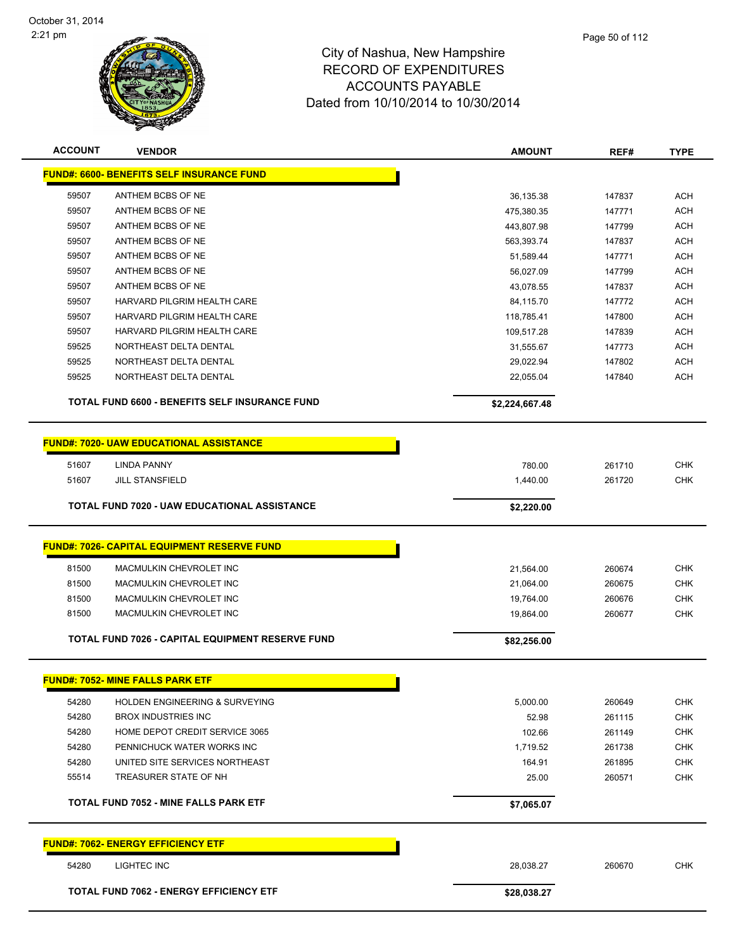

|              | Page 50 of 112 |
|--------------|----------------|
| mpshire      |                |
| <b>TURES</b> |                |
|              |                |

| <b>FUND#: 6600- BENEFITS SELF INSURANCE FUND</b><br>59507<br>ANTHEM BCBS OF NE<br>36,135.38<br>147837<br>59507<br>ANTHEM BCBS OF NE<br>475,380.35<br>147771<br>59507<br>ANTHEM BCBS OF NE<br>147799<br>443,807.98<br>59507<br>ANTHEM BCBS OF NE<br>563,393.74<br>147837<br>59507<br>ANTHEM BCBS OF NE<br>51,589.44<br>147771<br>59507<br>ANTHEM BCBS OF NE<br>147799<br>56,027.09<br>59507<br>ANTHEM BCBS OF NE<br>43,078.55<br>147837<br>59507<br>HARVARD PILGRIM HEALTH CARE<br>147772<br>84,115.70<br>59507<br>HARVARD PILGRIM HEALTH CARE<br>147800<br>118,785.41<br>59507<br>HARVARD PILGRIM HEALTH CARE<br>109,517.28<br>147839<br>59525<br>NORTHEAST DELTA DENTAL<br>31,555.67<br>147773<br>59525<br>NORTHEAST DELTA DENTAL<br>29,022.94<br>147802<br>NORTHEAST DELTA DENTAL<br>59525<br>22,055.04<br>147840<br>TOTAL FUND 6600 - BENEFITS SELF INSURANCE FUND<br>\$2,224,667.48<br><b>FUND#: 7020- UAW EDUCATIONAL ASSISTANCE</b><br><b>LINDA PANNY</b><br>51607<br>780.00<br>261710<br>51607<br><b>JILL STANSFIELD</b><br>1,440.00<br>261720<br><b>TOTAL FUND 7020 - UAW EDUCATIONAL ASSISTANCE</b><br>\$2,220.00<br><b>FUND#: 7026- CAPITAL EQUIPMENT RESERVE FUND</b><br>81500<br>MACMULKIN CHEVROLET INC<br>21,564.00<br>260674<br>81500<br>MACMULKIN CHEVROLET INC<br>21,064.00<br>260675<br>81500<br>MACMULKIN CHEVROLET INC<br>19,764.00<br>260676<br>81500<br>MACMULKIN CHEVROLET INC<br>19,864.00<br>260677<br><b>TOTAL FUND 7026 - CAPITAL EQUIPMENT RESERVE FUND</b><br>\$82,256.00 |  |  | <b>TYPE</b>              |  |
|--------------------------------------------------------------------------------------------------------------------------------------------------------------------------------------------------------------------------------------------------------------------------------------------------------------------------------------------------------------------------------------------------------------------------------------------------------------------------------------------------------------------------------------------------------------------------------------------------------------------------------------------------------------------------------------------------------------------------------------------------------------------------------------------------------------------------------------------------------------------------------------------------------------------------------------------------------------------------------------------------------------------------------------------------------------------------------------------------------------------------------------------------------------------------------------------------------------------------------------------------------------------------------------------------------------------------------------------------------------------------------------------------------------------------------------------------------------------------------------------------------|--|--|--------------------------|--|
|                                                                                                                                                                                                                                                                                                                                                                                                                                                                                                                                                                                                                                                                                                                                                                                                                                                                                                                                                                                                                                                                                                                                                                                                                                                                                                                                                                                                                                                                                                        |  |  |                          |  |
|                                                                                                                                                                                                                                                                                                                                                                                                                                                                                                                                                                                                                                                                                                                                                                                                                                                                                                                                                                                                                                                                                                                                                                                                                                                                                                                                                                                                                                                                                                        |  |  | <b>ACH</b>               |  |
|                                                                                                                                                                                                                                                                                                                                                                                                                                                                                                                                                                                                                                                                                                                                                                                                                                                                                                                                                                                                                                                                                                                                                                                                                                                                                                                                                                                                                                                                                                        |  |  | <b>ACH</b>               |  |
|                                                                                                                                                                                                                                                                                                                                                                                                                                                                                                                                                                                                                                                                                                                                                                                                                                                                                                                                                                                                                                                                                                                                                                                                                                                                                                                                                                                                                                                                                                        |  |  | <b>ACH</b>               |  |
|                                                                                                                                                                                                                                                                                                                                                                                                                                                                                                                                                                                                                                                                                                                                                                                                                                                                                                                                                                                                                                                                                                                                                                                                                                                                                                                                                                                                                                                                                                        |  |  | <b>ACH</b>               |  |
|                                                                                                                                                                                                                                                                                                                                                                                                                                                                                                                                                                                                                                                                                                                                                                                                                                                                                                                                                                                                                                                                                                                                                                                                                                                                                                                                                                                                                                                                                                        |  |  | <b>ACH</b>               |  |
|                                                                                                                                                                                                                                                                                                                                                                                                                                                                                                                                                                                                                                                                                                                                                                                                                                                                                                                                                                                                                                                                                                                                                                                                                                                                                                                                                                                                                                                                                                        |  |  | <b>ACH</b>               |  |
|                                                                                                                                                                                                                                                                                                                                                                                                                                                                                                                                                                                                                                                                                                                                                                                                                                                                                                                                                                                                                                                                                                                                                                                                                                                                                                                                                                                                                                                                                                        |  |  | <b>ACH</b>               |  |
|                                                                                                                                                                                                                                                                                                                                                                                                                                                                                                                                                                                                                                                                                                                                                                                                                                                                                                                                                                                                                                                                                                                                                                                                                                                                                                                                                                                                                                                                                                        |  |  | <b>ACH</b>               |  |
|                                                                                                                                                                                                                                                                                                                                                                                                                                                                                                                                                                                                                                                                                                                                                                                                                                                                                                                                                                                                                                                                                                                                                                                                                                                                                                                                                                                                                                                                                                        |  |  | <b>ACH</b>               |  |
|                                                                                                                                                                                                                                                                                                                                                                                                                                                                                                                                                                                                                                                                                                                                                                                                                                                                                                                                                                                                                                                                                                                                                                                                                                                                                                                                                                                                                                                                                                        |  |  | <b>ACH</b>               |  |
|                                                                                                                                                                                                                                                                                                                                                                                                                                                                                                                                                                                                                                                                                                                                                                                                                                                                                                                                                                                                                                                                                                                                                                                                                                                                                                                                                                                                                                                                                                        |  |  | <b>ACH</b>               |  |
|                                                                                                                                                                                                                                                                                                                                                                                                                                                                                                                                                                                                                                                                                                                                                                                                                                                                                                                                                                                                                                                                                                                                                                                                                                                                                                                                                                                                                                                                                                        |  |  | <b>ACH</b>               |  |
|                                                                                                                                                                                                                                                                                                                                                                                                                                                                                                                                                                                                                                                                                                                                                                                                                                                                                                                                                                                                                                                                                                                                                                                                                                                                                                                                                                                                                                                                                                        |  |  | <b>ACH</b>               |  |
|                                                                                                                                                                                                                                                                                                                                                                                                                                                                                                                                                                                                                                                                                                                                                                                                                                                                                                                                                                                                                                                                                                                                                                                                                                                                                                                                                                                                                                                                                                        |  |  |                          |  |
|                                                                                                                                                                                                                                                                                                                                                                                                                                                                                                                                                                                                                                                                                                                                                                                                                                                                                                                                                                                                                                                                                                                                                                                                                                                                                                                                                                                                                                                                                                        |  |  |                          |  |
|                                                                                                                                                                                                                                                                                                                                                                                                                                                                                                                                                                                                                                                                                                                                                                                                                                                                                                                                                                                                                                                                                                                                                                                                                                                                                                                                                                                                                                                                                                        |  |  |                          |  |
|                                                                                                                                                                                                                                                                                                                                                                                                                                                                                                                                                                                                                                                                                                                                                                                                                                                                                                                                                                                                                                                                                                                                                                                                                                                                                                                                                                                                                                                                                                        |  |  | <b>CHK</b><br><b>CHK</b> |  |
|                                                                                                                                                                                                                                                                                                                                                                                                                                                                                                                                                                                                                                                                                                                                                                                                                                                                                                                                                                                                                                                                                                                                                                                                                                                                                                                                                                                                                                                                                                        |  |  |                          |  |
|                                                                                                                                                                                                                                                                                                                                                                                                                                                                                                                                                                                                                                                                                                                                                                                                                                                                                                                                                                                                                                                                                                                                                                                                                                                                                                                                                                                                                                                                                                        |  |  |                          |  |
|                                                                                                                                                                                                                                                                                                                                                                                                                                                                                                                                                                                                                                                                                                                                                                                                                                                                                                                                                                                                                                                                                                                                                                                                                                                                                                                                                                                                                                                                                                        |  |  |                          |  |
|                                                                                                                                                                                                                                                                                                                                                                                                                                                                                                                                                                                                                                                                                                                                                                                                                                                                                                                                                                                                                                                                                                                                                                                                                                                                                                                                                                                                                                                                                                        |  |  |                          |  |
|                                                                                                                                                                                                                                                                                                                                                                                                                                                                                                                                                                                                                                                                                                                                                                                                                                                                                                                                                                                                                                                                                                                                                                                                                                                                                                                                                                                                                                                                                                        |  |  | <b>CHK</b>               |  |
|                                                                                                                                                                                                                                                                                                                                                                                                                                                                                                                                                                                                                                                                                                                                                                                                                                                                                                                                                                                                                                                                                                                                                                                                                                                                                                                                                                                                                                                                                                        |  |  | <b>CHK</b>               |  |
|                                                                                                                                                                                                                                                                                                                                                                                                                                                                                                                                                                                                                                                                                                                                                                                                                                                                                                                                                                                                                                                                                                                                                                                                                                                                                                                                                                                                                                                                                                        |  |  | <b>CHK</b>               |  |
|                                                                                                                                                                                                                                                                                                                                                                                                                                                                                                                                                                                                                                                                                                                                                                                                                                                                                                                                                                                                                                                                                                                                                                                                                                                                                                                                                                                                                                                                                                        |  |  | <b>CHK</b>               |  |
|                                                                                                                                                                                                                                                                                                                                                                                                                                                                                                                                                                                                                                                                                                                                                                                                                                                                                                                                                                                                                                                                                                                                                                                                                                                                                                                                                                                                                                                                                                        |  |  |                          |  |
| <b>FUND#: 7052- MINE FALLS PARK ETF</b>                                                                                                                                                                                                                                                                                                                                                                                                                                                                                                                                                                                                                                                                                                                                                                                                                                                                                                                                                                                                                                                                                                                                                                                                                                                                                                                                                                                                                                                                |  |  |                          |  |
| 54280<br><b>HOLDEN ENGINEERING &amp; SURVEYING</b><br>5,000.00<br>260649                                                                                                                                                                                                                                                                                                                                                                                                                                                                                                                                                                                                                                                                                                                                                                                                                                                                                                                                                                                                                                                                                                                                                                                                                                                                                                                                                                                                                               |  |  | <b>CHK</b>               |  |
| 54280<br><b>BROX INDUSTRIES INC</b><br>52.98<br>261115                                                                                                                                                                                                                                                                                                                                                                                                                                                                                                                                                                                                                                                                                                                                                                                                                                                                                                                                                                                                                                                                                                                                                                                                                                                                                                                                                                                                                                                 |  |  | <b>CHK</b>               |  |
| 54280<br>HOME DEPOT CREDIT SERVICE 3065<br>102.66<br>261149                                                                                                                                                                                                                                                                                                                                                                                                                                                                                                                                                                                                                                                                                                                                                                                                                                                                                                                                                                                                                                                                                                                                                                                                                                                                                                                                                                                                                                            |  |  | <b>CHK</b>               |  |
| 54280<br>PENNICHUCK WATER WORKS INC<br>1,719.52<br>261738                                                                                                                                                                                                                                                                                                                                                                                                                                                                                                                                                                                                                                                                                                                                                                                                                                                                                                                                                                                                                                                                                                                                                                                                                                                                                                                                                                                                                                              |  |  | <b>CHK</b>               |  |
| 54280<br>UNITED SITE SERVICES NORTHEAST<br>164.91<br>261895                                                                                                                                                                                                                                                                                                                                                                                                                                                                                                                                                                                                                                                                                                                                                                                                                                                                                                                                                                                                                                                                                                                                                                                                                                                                                                                                                                                                                                            |  |  | <b>CHK</b>               |  |
| 55514<br>TREASURER STATE OF NH<br>25.00<br>260571                                                                                                                                                                                                                                                                                                                                                                                                                                                                                                                                                                                                                                                                                                                                                                                                                                                                                                                                                                                                                                                                                                                                                                                                                                                                                                                                                                                                                                                      |  |  | <b>CHK</b>               |  |
|                                                                                                                                                                                                                                                                                                                                                                                                                                                                                                                                                                                                                                                                                                                                                                                                                                                                                                                                                                                                                                                                                                                                                                                                                                                                                                                                                                                                                                                                                                        |  |  |                          |  |
|                                                                                                                                                                                                                                                                                                                                                                                                                                                                                                                                                                                                                                                                                                                                                                                                                                                                                                                                                                                                                                                                                                                                                                                                                                                                                                                                                                                                                                                                                                        |  |  |                          |  |
| <b>TOTAL FUND 7052 - MINE FALLS PARK ETF</b><br>\$7,065.07                                                                                                                                                                                                                                                                                                                                                                                                                                                                                                                                                                                                                                                                                                                                                                                                                                                                                                                                                                                                                                                                                                                                                                                                                                                                                                                                                                                                                                             |  |  |                          |  |
| <b>FUND#: 7062- ENERGY EFFICIENCY ETF</b>                                                                                                                                                                                                                                                                                                                                                                                                                                                                                                                                                                                                                                                                                                                                                                                                                                                                                                                                                                                                                                                                                                                                                                                                                                                                                                                                                                                                                                                              |  |  |                          |  |
| 54280<br><b>LIGHTEC INC</b><br>28,038.27<br>260670                                                                                                                                                                                                                                                                                                                                                                                                                                                                                                                                                                                                                                                                                                                                                                                                                                                                                                                                                                                                                                                                                                                                                                                                                                                                                                                                                                                                                                                     |  |  | <b>CHK</b>               |  |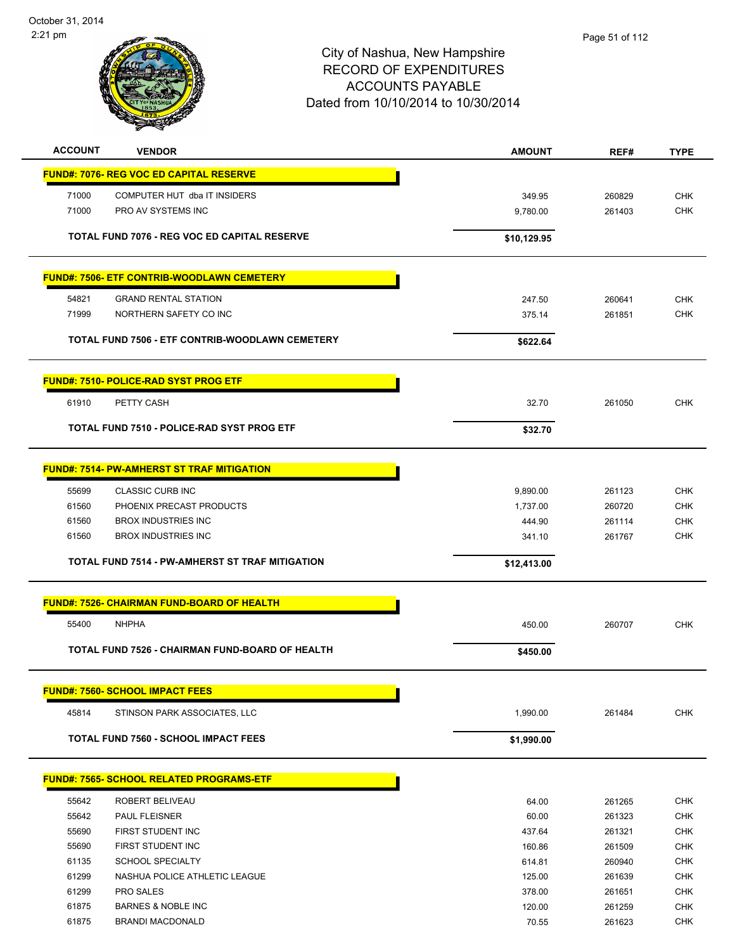

| <b>ACCOUNT</b>                         | <b>VENDOR</b>                                      | <b>AMOUNT</b> | REF#   | <b>TYPE</b> |
|----------------------------------------|----------------------------------------------------|---------------|--------|-------------|
|                                        | <b>FUND#: 7076- REG VOC ED CAPITAL RESERVE</b>     |               |        |             |
| 71000                                  | COMPUTER HUT dba IT INSIDERS                       | 349.95        | 260829 | <b>CHK</b>  |
| 71000                                  | PRO AV SYSTEMS INC                                 | 9,780.00      | 261403 | <b>CHK</b>  |
|                                        |                                                    |               |        |             |
|                                        | TOTAL FUND 7076 - REG VOC ED CAPITAL RESERVE       | \$10,129.95   |        |             |
|                                        | <b>FUND#: 7506- ETF CONTRIB-WOODLAWN CEMETERY</b>  |               |        |             |
| 54821                                  | <b>GRAND RENTAL STATION</b>                        | 247.50        | 260641 | <b>CHK</b>  |
| 71999                                  | NORTHERN SAFETY CO INC                             | 375.14        | 261851 | <b>CHK</b>  |
|                                        |                                                    |               |        |             |
|                                        | TOTAL FUND 7506 - ETF CONTRIB-WOODLAWN CEMETERY    | \$622.64      |        |             |
|                                        | <b>FUND#: 7510- POLICE-RAD SYST PROG ETF</b>       |               |        |             |
| 61910                                  | PETTY CASH                                         | 32.70         | 261050 | <b>CHK</b>  |
|                                        | <b>TOTAL FUND 7510 - POLICE-RAD SYST PROG ETF</b>  | \$32.70       |        |             |
|                                        |                                                    |               |        |             |
|                                        | <b>FUND#: 7514- PW-AMHERST ST TRAF MITIGATION</b>  |               |        |             |
| 55699                                  | <b>CLASSIC CURB INC</b>                            | 9,890.00      | 261123 | <b>CHK</b>  |
| 61560                                  | PHOENIX PRECAST PRODUCTS                           | 1,737.00      | 260720 | <b>CHK</b>  |
| 61560                                  | <b>BROX INDUSTRIES INC</b>                         | 444.90        | 261114 | <b>CHK</b>  |
| 61560                                  | <b>BROX INDUSTRIES INC</b>                         | 341.10        | 261767 | <b>CHK</b>  |
|                                        | TOTAL FUND 7514 - PW-AMHERST ST TRAF MITIGATION    | \$12,413.00   |        |             |
|                                        | <u> FUND#: 7526- CHAIRMAN FUND-BOARD OF HEALTH</u> |               |        |             |
| 55400<br><b>NHPHA</b>                  |                                                    | 450.00        | 260707 | <b>CHK</b>  |
|                                        |                                                    |               |        |             |
|                                        | TOTAL FUND 7526 - CHAIRMAN FUND-BOARD OF HEALTH    | \$450.00      |        |             |
| <b>FUND#: 7560- SCHOOL IMPACT FEES</b> |                                                    |               |        |             |
| 45814                                  | STINSON PARK ASSOCIATES, LLC                       | 1,990.00      | 261484 | <b>CHK</b>  |
|                                        | <b>TOTAL FUND 7560 - SCHOOL IMPACT FEES</b>        | \$1,990.00    |        |             |
|                                        | <b>FUND#: 7565- SCHOOL RELATED PROGRAMS-ETF</b>    |               |        |             |
| 55642                                  | ROBERT BELIVEAU                                    | 64.00         | 261265 | <b>CHK</b>  |
| 55642                                  | PAUL FLEISNER                                      | 60.00         | 261323 | <b>CHK</b>  |
| 55690                                  | FIRST STUDENT INC                                  | 437.64        | 261321 | <b>CHK</b>  |
| 55690                                  | FIRST STUDENT INC                                  | 160.86        | 261509 | <b>CHK</b>  |
| 61135                                  | SCHOOL SPECIALTY                                   | 614.81        | 260940 | CHK         |
| 61299                                  | NASHUA POLICE ATHLETIC LEAGUE                      | 125.00        | 261639 | CHK         |
| 61299                                  | PRO SALES                                          | 378.00        | 261651 | <b>CHK</b>  |
| 61875                                  | <b>BARNES &amp; NOBLE INC</b>                      | 120.00        | 261259 | <b>CHK</b>  |
| 61875                                  | <b>BRANDI MACDONALD</b>                            | 70.55         | 261623 | <b>CHK</b>  |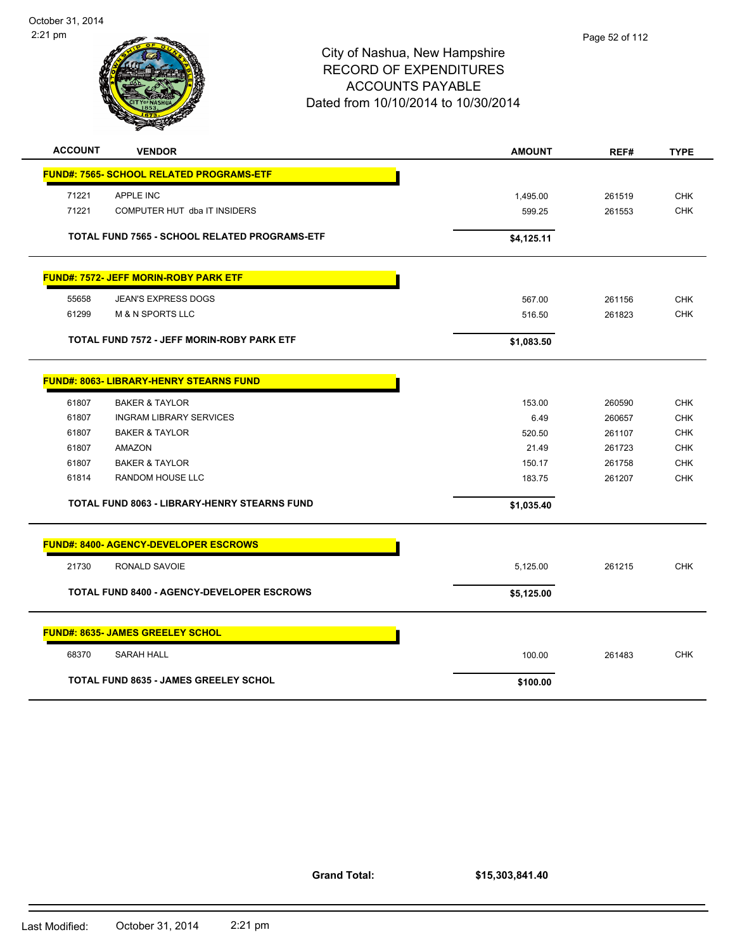

| <b>ACCOUNT</b><br><b>VENDOR</b>                 | <b>AMOUNT</b> | REF#   | <b>TYPE</b> |
|-------------------------------------------------|---------------|--------|-------------|
| <b>FUND#: 7565- SCHOOL RELATED PROGRAMS-ETF</b> |               |        |             |
| 71221<br><b>APPLE INC</b>                       | 1,495.00      | 261519 | <b>CHK</b>  |
| 71221<br>COMPUTER HUT dba IT INSIDERS           | 599.25        | 261553 | <b>CHK</b>  |
|                                                 |               |        |             |
| TOTAL FUND 7565 - SCHOOL RELATED PROGRAMS-ETF   | \$4,125.11    |        |             |
| <b>FUND#: 7572- JEFF MORIN-ROBY PARK ETF</b>    |               |        |             |
| 55658<br><b>JEAN'S EXPRESS DOGS</b>             | 567.00        | 261156 | <b>CHK</b>  |
| 61299<br><b>M &amp; N SPORTS LLC</b>            | 516.50        | 261823 | <b>CHK</b>  |
|                                                 |               |        |             |
| TOTAL FUND 7572 - JEFF MORIN-ROBY PARK ETF      | \$1,083.50    |        |             |
| <b>FUND#: 8063- LIBRARY-HENRY STEARNS FUND</b>  |               |        |             |
| 61807<br><b>BAKER &amp; TAYLOR</b>              | 153.00        | 260590 | <b>CHK</b>  |
| 61807<br><b>INGRAM LIBRARY SERVICES</b>         | 6.49          | 260657 | <b>CHK</b>  |
| 61807<br><b>BAKER &amp; TAYLOR</b>              | 520.50        | 261107 | <b>CHK</b>  |
| 61807<br>AMAZON                                 | 21.49         | 261723 | <b>CHK</b>  |
| 61807<br><b>BAKER &amp; TAYLOR</b>              | 150.17        | 261758 | <b>CHK</b>  |
| 61814<br>RANDOM HOUSE LLC                       | 183.75        | 261207 | <b>CHK</b>  |
| TOTAL FUND 8063 - LIBRARY-HENRY STEARNS FUND    | \$1,035.40    |        |             |
| <b>FUND#: 8400- AGENCY-DEVELOPER ESCROWS</b>    |               |        |             |
| 21730<br>RONALD SAVOIE                          | 5,125.00      | 261215 | <b>CHK</b>  |
| TOTAL FUND 8400 - AGENCY-DEVELOPER ESCROWS      | \$5,125.00    |        |             |
|                                                 |               |        |             |
| <b>FUND#: 8635- JAMES GREELEY SCHOL</b>         |               |        |             |
| <b>SARAH HALL</b><br>68370                      | 100.00        | 261483 | <b>CHK</b>  |
| <b>TOTAL FUND 8635 - JAMES GREELEY SCHOL</b>    | \$100.00      |        |             |
|                                                 |               |        |             |

**Grand Total:**

**\$15,303,841.40**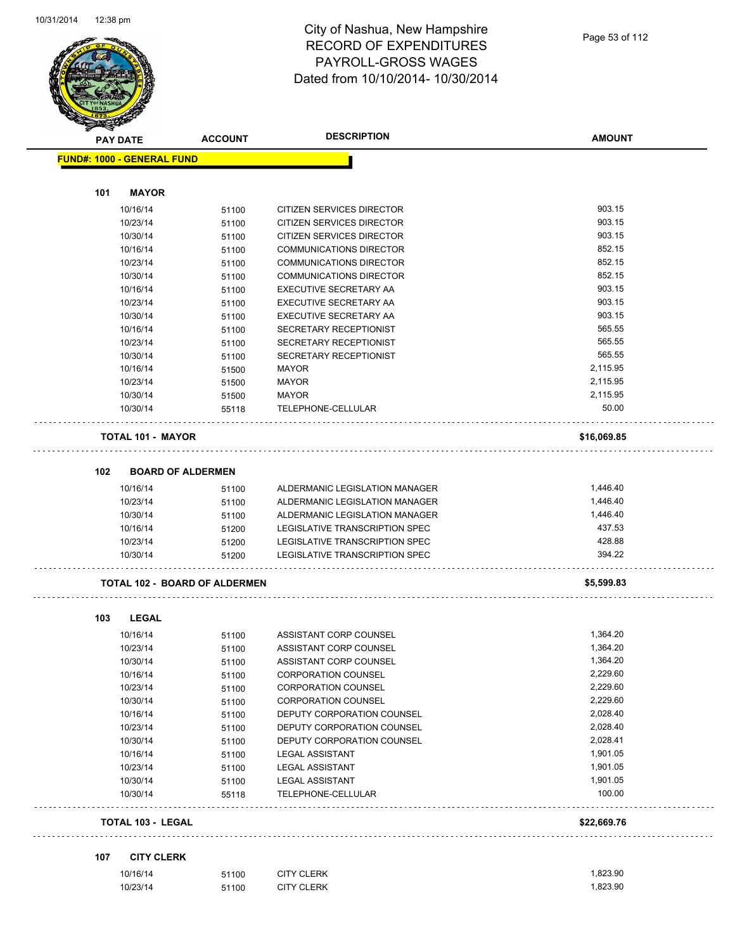

| <b>PAY DATE</b>                   |                          | <b>ACCOUNT</b>                       | <b>DESCRIPTION</b>             | <b>AMOUNT</b> |
|-----------------------------------|--------------------------|--------------------------------------|--------------------------------|---------------|
| <b>FUND#: 1000 - GENERAL FUND</b> |                          |                                      |                                |               |
|                                   |                          |                                      |                                |               |
| 101                               | <b>MAYOR</b>             |                                      |                                |               |
|                                   | 10/16/14                 | 51100                                | CITIZEN SERVICES DIRECTOR      | 903.15        |
|                                   | 10/23/14                 | 51100                                | CITIZEN SERVICES DIRECTOR      | 903.15        |
|                                   | 10/30/14                 | 51100                                | CITIZEN SERVICES DIRECTOR      | 903.15        |
|                                   | 10/16/14                 | 51100                                | <b>COMMUNICATIONS DIRECTOR</b> | 852.15        |
|                                   | 10/23/14                 | 51100                                | <b>COMMUNICATIONS DIRECTOR</b> | 852.15        |
|                                   | 10/30/14                 | 51100                                | <b>COMMUNICATIONS DIRECTOR</b> | 852.15        |
|                                   | 10/16/14                 | 51100                                | <b>EXECUTIVE SECRETARY AA</b>  | 903.15        |
|                                   | 10/23/14                 | 51100                                | EXECUTIVE SECRETARY AA         | 903.15        |
|                                   | 10/30/14                 | 51100                                | EXECUTIVE SECRETARY AA         | 903.15        |
|                                   | 10/16/14                 | 51100                                | <b>SECRETARY RECEPTIONIST</b>  | 565.55        |
|                                   | 10/23/14                 | 51100                                | <b>SECRETARY RECEPTIONIST</b>  | 565.55        |
|                                   | 10/30/14                 | 51100                                | SECRETARY RECEPTIONIST         | 565.55        |
|                                   | 10/16/14                 | 51500                                | <b>MAYOR</b>                   | 2,115.95      |
|                                   | 10/23/14                 | 51500                                | <b>MAYOR</b>                   | 2,115.95      |
|                                   | 10/30/14                 | 51500                                | <b>MAYOR</b>                   | 2,115.95      |
|                                   | 10/30/14                 | 55118                                | TELEPHONE-CELLULAR             | 50.00         |
|                                   |                          |                                      |                                |               |
|                                   | <b>TOTAL 101 - MAYOR</b> |                                      |                                | \$16,069.85   |
|                                   |                          |                                      |                                |               |
| 102                               | <b>BOARD OF ALDERMEN</b> |                                      |                                |               |
|                                   | 10/16/14                 | 51100                                | ALDERMANIC LEGISLATION MANAGER | 1,446.40      |
|                                   | 10/23/14                 | 51100                                | ALDERMANIC LEGISLATION MANAGER | 1,446.40      |
|                                   | 10/30/14                 | 51100                                | ALDERMANIC LEGISLATION MANAGER | 1,446.40      |
|                                   | 10/16/14                 | 51200                                | LEGISLATIVE TRANSCRIPTION SPEC | 437.53        |
|                                   | 10/23/14                 | 51200                                | LEGISLATIVE TRANSCRIPTION SPEC | 428.88        |
|                                   | 10/30/14                 | 51200                                | LEGISLATIVE TRANSCRIPTION SPEC | 394.22        |
|                                   |                          | <b>TOTAL 102 - BOARD OF ALDERMEN</b> |                                | \$5,599.83    |
|                                   |                          |                                      |                                |               |
| 103                               | <b>LEGAL</b>             |                                      |                                |               |
|                                   | 10/16/14                 | 51100                                | ASSISTANT CORP COUNSEL         | 1,364.20      |
|                                   | 10/23/14                 | 51100                                | ASSISTANT CORP COUNSEL         | 1,364.20      |
|                                   | 10/30/14                 | 51100                                | ASSISTANT CORP COUNSEL         | 1,364.20      |
|                                   | 10/16/14                 | 51100                                | CORPORATION COUNSEL            | 2,229.60      |
|                                   | 10/23/14                 | 51100                                | CORPORATION COUNSEL            | 2,229.60      |
|                                   | 10/30/14                 | 51100                                | <b>CORPORATION COUNSEL</b>     | 2,229.60      |
|                                   | 10/16/14                 | 51100                                | DEPUTY CORPORATION COUNSEL     | 2,028.40      |
|                                   | 10/23/14                 | 51100                                | DEPUTY CORPORATION COUNSEL     | 2,028.40      |
|                                   | 10/30/14                 | 51100                                | DEPUTY CORPORATION COUNSEL     | 2,028.41      |
|                                   | 10/16/14                 | 51100                                | <b>LEGAL ASSISTANT</b>         | 1,901.05      |
|                                   | 10/23/14                 | 51100                                | <b>LEGAL ASSISTANT</b>         | 1,901.05      |
|                                   | 10/30/14                 | 51100                                | <b>LEGAL ASSISTANT</b>         | 1,901.05      |
|                                   | 10/30/14                 | 55118                                | TELEPHONE-CELLULAR             | 100.00        |
|                                   | <b>TOTAL 103 - LEGAL</b> |                                      |                                | \$22,669.76   |
|                                   |                          |                                      |                                |               |
| 107                               | <b>CITY CLERK</b>        |                                      |                                |               |
|                                   | 10/16/14                 | 51100                                | <b>CITY CLERK</b>              | 1,823.90      |
|                                   | 10/23/14                 | 51100                                | <b>CITY CLERK</b>              | 1,823.90      |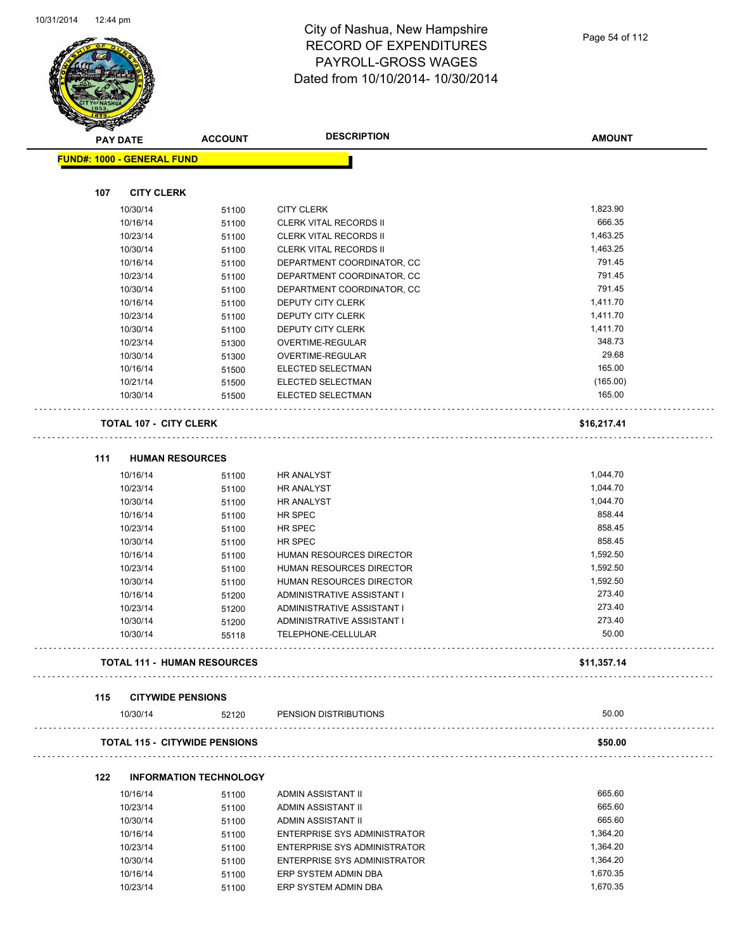

| A.  | <b>PAY DATE</b>                   | <b>ACCOUNT</b>                       | <b>DESCRIPTION</b>                  | <b>AMOUNT</b> |
|-----|-----------------------------------|--------------------------------------|-------------------------------------|---------------|
|     | <b>FUND#: 1000 - GENERAL FUND</b> |                                      |                                     |               |
|     |                                   |                                      |                                     |               |
| 107 | <b>CITY CLERK</b>                 |                                      |                                     |               |
|     | 10/30/14                          | 51100                                | <b>CITY CLERK</b>                   | 1,823.90      |
|     | 10/16/14                          | 51100                                | CLERK VITAL RECORDS II              | 666.35        |
|     | 10/23/14                          | 51100                                | <b>CLERK VITAL RECORDS II</b>       | 1,463.25      |
|     | 10/30/14                          | 51100                                | <b>CLERK VITAL RECORDS II</b>       | 1,463.25      |
|     | 10/16/14                          | 51100                                | DEPARTMENT COORDINATOR, CC          | 791.45        |
|     | 10/23/14                          | 51100                                | DEPARTMENT COORDINATOR, CC          | 791.45        |
|     | 10/30/14                          | 51100                                | DEPARTMENT COORDINATOR, CC          | 791.45        |
|     | 10/16/14                          | 51100                                | DEPUTY CITY CLERK                   | 1,411.70      |
|     | 10/23/14                          | 51100                                | DEPUTY CITY CLERK                   | 1,411.70      |
|     | 10/30/14                          | 51100                                | DEPUTY CITY CLERK                   | 1,411.70      |
|     | 10/23/14                          | 51300                                | OVERTIME-REGULAR                    | 348.73        |
|     | 10/30/14                          | 51300                                | OVERTIME-REGULAR                    | 29.68         |
|     | 10/16/14                          | 51500                                | ELECTED SELECTMAN                   | 165.00        |
|     | 10/21/14                          | 51500                                | ELECTED SELECTMAN                   | (165.00)      |
|     | 10/30/14                          | 51500                                | ELECTED SELECTMAN                   | 165.00        |
|     | <b>TOTAL 107 - CITY CLERK</b>     |                                      |                                     | \$16,217.41   |
|     |                                   |                                      |                                     |               |
| 111 | <b>HUMAN RESOURCES</b>            |                                      |                                     |               |
|     | 10/16/14                          | 51100                                | <b>HR ANALYST</b>                   | 1,044.70      |
|     | 10/23/14                          | 51100                                | <b>HR ANALYST</b>                   | 1,044.70      |
|     | 10/30/14                          | 51100                                | <b>HR ANALYST</b>                   | 1,044.70      |
|     | 10/16/14                          | 51100                                | HR SPEC                             | 858.44        |
|     | 10/23/14                          | 51100                                | HR SPEC                             | 858.45        |
|     | 10/30/14                          | 51100                                | HR SPEC                             | 858.45        |
|     | 10/16/14                          | 51100                                | HUMAN RESOURCES DIRECTOR            | 1,592.50      |
|     | 10/23/14                          | 51100                                | <b>HUMAN RESOURCES DIRECTOR</b>     | 1,592.50      |
|     | 10/30/14                          | 51100                                | HUMAN RESOURCES DIRECTOR            | 1,592.50      |
|     | 10/16/14                          | 51200                                | <b>ADMINISTRATIVE ASSISTANT I</b>   | 273.40        |
|     | 10/23/14                          | 51200                                | ADMINISTRATIVE ASSISTANT I          | 273.40        |
|     | 10/30/14                          | 51200                                | ADMINISTRATIVE ASSISTANT I          | 273.40        |
|     | 10/30/14                          | 55118                                | TELEPHONE-CELLULAR                  | 50.00         |
|     |                                   | <b>TOTAL 111 - HUMAN RESOURCES</b>   |                                     | \$11,357.14   |
| 115 | <b>CITYWIDE PENSIONS</b>          |                                      |                                     |               |
|     | 10/30/14                          | 52120                                | PENSION DISTRIBUTIONS               | 50.00         |
|     |                                   |                                      |                                     |               |
|     |                                   | <b>TOTAL 115 - CITYWIDE PENSIONS</b> |                                     | \$50.00       |
| 122 |                                   | <b>INFORMATION TECHNOLOGY</b>        |                                     |               |
|     | 10/16/14                          | 51100                                | ADMIN ASSISTANT II                  | 665.60        |
|     | 10/23/14                          | 51100                                | ADMIN ASSISTANT II                  | 665.60        |
|     | 10/30/14                          | 51100                                | ADMIN ASSISTANT II                  | 665.60        |
|     | 10/16/14                          | 51100                                | <b>ENTERPRISE SYS ADMINISTRATOR</b> | 1,364.20      |
|     | 10/23/14                          | 51100                                | <b>ENTERPRISE SYS ADMINISTRATOR</b> | 1,364.20      |
|     | 10/30/14                          | 51100                                | <b>ENTERPRISE SYS ADMINISTRATOR</b> | 1,364.20      |
|     | 10/16/14                          | 51100                                | ERP SYSTEM ADMIN DBA                | 1,670.35      |
|     | 10/23/14                          | 51100                                | ERP SYSTEM ADMIN DBA                | 1,670.35      |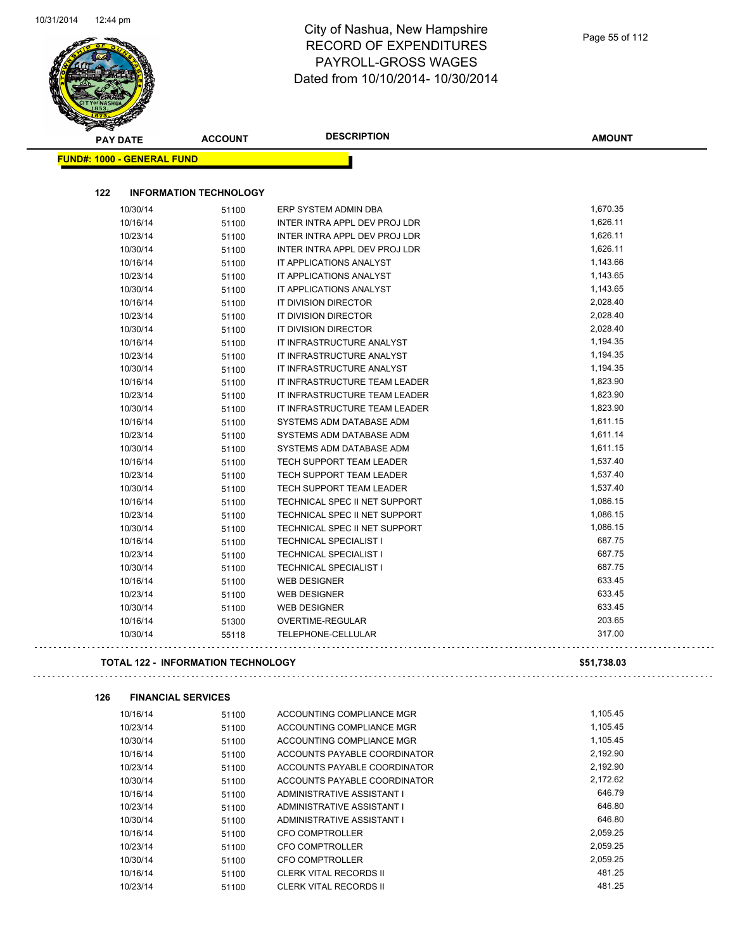$\overline{\phantom{a}}$ 

#### City of Nashua, New Hampshire RECORD OF EXPENDITURES PAYROLL-GROSS WAGES Dated from 10/10/2014- 10/30/2014

| <b>PAY DATE</b>                   | <b>ACCOUNT</b>                            | <b>DESCRIPTION</b>              | <b>AMOUNT</b> |
|-----------------------------------|-------------------------------------------|---------------------------------|---------------|
| <b>FUND#: 1000 - GENERAL FUND</b> |                                           |                                 |               |
|                                   |                                           |                                 |               |
| 122                               | <b>INFORMATION TECHNOLOGY</b>             |                                 |               |
| 10/30/14                          | 51100                                     | ERP SYSTEM ADMIN DBA            | 1,670.35      |
| 10/16/14                          | 51100                                     | INTER INTRA APPL DEV PROJ LDR   | 1,626.11      |
| 10/23/14                          | 51100                                     | INTER INTRA APPL DEV PROJ LDR   | 1,626.11      |
| 10/30/14                          | 51100                                     | INTER INTRA APPL DEV PROJ LDR   | 1,626.11      |
| 10/16/14                          | 51100                                     | IT APPLICATIONS ANALYST         | 1,143.66      |
| 10/23/14                          | 51100                                     | IT APPLICATIONS ANALYST         | 1,143.65      |
| 10/30/14                          | 51100                                     | IT APPLICATIONS ANALYST         | 1,143.65      |
| 10/16/14                          | 51100                                     | IT DIVISION DIRECTOR            | 2,028.40      |
| 10/23/14                          | 51100                                     | IT DIVISION DIRECTOR            | 2,028.40      |
| 10/30/14                          | 51100                                     | <b>IT DIVISION DIRECTOR</b>     | 2,028.40      |
| 10/16/14                          | 51100                                     | IT INFRASTRUCTURE ANALYST       | 1,194.35      |
| 10/23/14                          | 51100                                     | IT INFRASTRUCTURE ANALYST       | 1,194.35      |
| 10/30/14                          | 51100                                     | IT INFRASTRUCTURE ANALYST       | 1,194.35      |
| 10/16/14                          | 51100                                     | IT INFRASTRUCTURE TEAM LEADER   | 1,823.90      |
| 10/23/14                          | 51100                                     | IT INFRASTRUCTURE TEAM LEADER   | 1,823.90      |
| 10/30/14                          | 51100                                     | IT INFRASTRUCTURE TEAM LEADER   | 1,823.90      |
| 10/16/14                          | 51100                                     | SYSTEMS ADM DATABASE ADM        | 1,611.15      |
| 10/23/14                          | 51100                                     | SYSTEMS ADM DATABASE ADM        | 1,611.14      |
| 10/30/14                          | 51100                                     | SYSTEMS ADM DATABASE ADM        | 1,611.15      |
| 10/16/14                          | 51100                                     | TECH SUPPORT TEAM LEADER        | 1,537.40      |
| 10/23/14                          | 51100                                     | TECH SUPPORT TEAM LEADER        | 1,537.40      |
| 10/30/14                          | 51100                                     | <b>TECH SUPPORT TEAM LEADER</b> | 1,537.40      |
| 10/16/14                          | 51100                                     | TECHNICAL SPEC II NET SUPPORT   | 1,086.15      |
| 10/23/14                          | 51100                                     | TECHNICAL SPEC II NET SUPPORT   | 1,086.15      |
| 10/30/14                          | 51100                                     | TECHNICAL SPEC II NET SUPPORT   | 1,086.15      |
| 10/16/14                          | 51100                                     | <b>TECHNICAL SPECIALIST I</b>   | 687.75        |
| 10/23/14                          | 51100                                     | <b>TECHNICAL SPECIALIST I</b>   | 687.75        |
| 10/30/14                          | 51100                                     | <b>TECHNICAL SPECIALIST I</b>   | 687.75        |
| 10/16/14                          | 51100                                     | <b>WEB DESIGNER</b>             | 633.45        |
| 10/23/14                          | 51100                                     | <b>WEB DESIGNER</b>             | 633.45        |
| 10/30/14                          | 51100                                     | <b>WEB DESIGNER</b>             | 633.45        |
| 10/16/14                          | 51300                                     | OVERTIME-REGULAR                | 203.65        |
| 10/30/14                          | 55118                                     | TELEPHONE-CELLULAR              | 317.00        |
|                                   | <b>TOTAL 122 - INFORMATION TECHNOLOGY</b> |                                 | \$51,738.03   |
| 126                               | <b>FINANCIAL SERVICES</b>                 |                                 |               |
| 10/16/14                          | 51100                                     | ACCOUNTING COMPLIANCE MGR       | 1,105.45      |
| 10/23/14                          | 51100                                     | ACCOUNTING COMPLIANCE MGR       | 1,105.45      |
| 10/30/14                          | 51100                                     | ACCOUNTING COMPLIANCE MGR       | 1,105.45      |
| 10/16/14                          | 51100                                     | ACCOUNTS PAYABLE COORDINATOR    | 2,192.90      |
| 10/23/14                          | 51100                                     | ACCOUNTS PAYABLE COORDINATOR    | 2,192.90      |
| 10/30/14                          | 51100                                     | ACCOUNTS PAYABLE COORDINATOR    | 2,172.62      |
| 10/16/14                          | 51100                                     | ADMINISTRATIVE ASSISTANT I      | 646.79        |
| 10/23/14                          | 51100                                     | ADMINISTRATIVE ASSISTANT I      | 646.80        |
| 10/30/14                          | 51100                                     | ADMINISTRATIVE ASSISTANT I      | 646.80        |
| 10/16/14                          | 51100                                     | <b>CFO COMPTROLLER</b>          | 2,059.25      |
| 10/23/14                          | 51100                                     | CFO COMPTROLLER                 | 2,059.25      |
| 10/30/14                          | 51100                                     | CFO COMPTROLLER                 | 2,059.25      |

10/16/14 51100 CLERK VITAL RECORDS II 481.25

10/23/14 51100 CLERK VITAL RECORDS II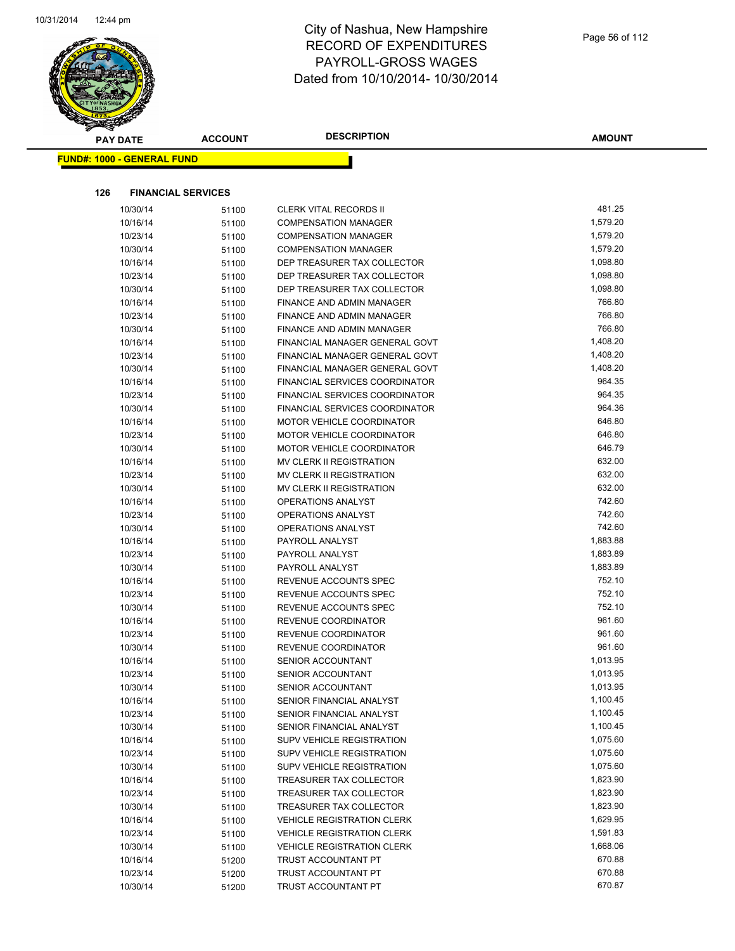

| <b>STATERS</b>                    |                |                                       |               |
|-----------------------------------|----------------|---------------------------------------|---------------|
| <b>PAY DATE</b>                   | <b>ACCOUNT</b> | <b>DESCRIPTION</b>                    | <b>AMOUNT</b> |
| <b>FUND#: 1000 - GENERAL FUND</b> |                |                                       |               |
|                                   |                |                                       |               |
|                                   |                |                                       |               |
| 126<br><b>FINANCIAL SERVICES</b>  |                |                                       |               |
| 10/30/14                          | 51100          | <b>CLERK VITAL RECORDS II</b>         | 481.25        |
| 10/16/14                          | 51100          | <b>COMPENSATION MANAGER</b>           | 1,579.20      |
| 10/23/14                          | 51100          | <b>COMPENSATION MANAGER</b>           | 1,579.20      |
| 10/30/14                          | 51100          | <b>COMPENSATION MANAGER</b>           | 1,579.20      |
| 10/16/14                          | 51100          | DEP TREASURER TAX COLLECTOR           | 1,098.80      |
| 10/23/14                          | 51100          | DEP TREASURER TAX COLLECTOR           | 1,098.80      |
| 10/30/14                          | 51100          | DEP TREASURER TAX COLLECTOR           | 1,098.80      |
| 10/16/14                          | 51100          | FINANCE AND ADMIN MANAGER             | 766.80        |
| 10/23/14                          | 51100          | FINANCE AND ADMIN MANAGER             | 766.80        |
| 10/30/14                          | 51100          | FINANCE AND ADMIN MANAGER             | 766.80        |
| 10/16/14                          | 51100          | FINANCIAL MANAGER GENERAL GOVT        | 1,408.20      |
| 10/23/14                          | 51100          | FINANCIAL MANAGER GENERAL GOVT        | 1,408.20      |
| 10/30/14                          | 51100          | FINANCIAL MANAGER GENERAL GOVT        | 1,408.20      |
| 10/16/14                          | 51100          | FINANCIAL SERVICES COORDINATOR        | 964.35        |
| 10/23/14                          | 51100          | FINANCIAL SERVICES COORDINATOR        | 964.35        |
| 10/30/14                          | 51100          | <b>FINANCIAL SERVICES COORDINATOR</b> | 964.36        |
| 10/16/14                          | 51100          | <b>MOTOR VEHICLE COORDINATOR</b>      | 646.80        |
| 10/23/14                          | 51100          | <b>MOTOR VEHICLE COORDINATOR</b>      | 646.80        |
| 10/30/14                          | 51100          | MOTOR VEHICLE COORDINATOR             | 646.79        |
| 10/16/14                          | 51100          | MV CLERK II REGISTRATION              | 632.00        |
| 10/23/14                          | 51100          | MV CLERK II REGISTRATION              | 632.00        |
| 10/30/14                          | 51100          | MV CLERK II REGISTRATION              | 632.00        |
| 10/16/14                          | 51100          | <b>OPERATIONS ANALYST</b>             | 742.60        |
| 10/23/14                          | 51100          | OPERATIONS ANALYST                    | 742.60        |
| 10/30/14                          | 51100          | OPERATIONS ANALYST                    | 742.60        |
| 10/16/14                          | 51100          | PAYROLL ANALYST                       | 1,883.88      |
| 10/23/14                          | 51100          | PAYROLL ANALYST                       | 1,883.89      |
| 10/30/14                          | 51100          | PAYROLL ANALYST                       | 1,883.89      |
| 10/16/14                          | 51100          | REVENUE ACCOUNTS SPEC                 | 752.10        |
| 10/23/14                          | 51100          | REVENUE ACCOUNTS SPEC                 | 752.10        |
| 10/30/14                          | 51100          | REVENUE ACCOUNTS SPEC                 | 752.10        |
| 10/16/14                          | 51100          | REVENUE COORDINATOR                   | 961.60        |
| 10/23/14                          | 51100          | REVENUE COORDINATOR                   | 961.60        |
| 10/30/14                          | 51100          | REVENUE COORDINATOR                   | 961.60        |
| 10/16/14                          | 51100          | SENIOR ACCOUNTANT                     | 1,013.95      |
| 10/23/14                          | 51100          | SENIOR ACCOUNTANT                     | 1,013.95      |
| 10/30/14                          | 51100          | <b>SENIOR ACCOUNTANT</b>              | 1,013.95      |
| 10/16/14                          | 51100          | SENIOR FINANCIAL ANALYST              | 1,100.45      |
| 10/23/14                          | 51100          | SENIOR FINANCIAL ANALYST              | 1,100.45      |
| 10/30/14                          | 51100          | SENIOR FINANCIAL ANALYST              | 1,100.45      |
| 10/16/14                          | 51100          | <b>SUPV VEHICLE REGISTRATION</b>      | 1,075.60      |
| 10/23/14                          | 51100          | <b>SUPV VEHICLE REGISTRATION</b>      | 1,075.60      |
| 10/30/14                          | 51100          | <b>SUPV VEHICLE REGISTRATION</b>      | 1,075.60      |
| 10/16/14                          | 51100          | TREASURER TAX COLLECTOR               | 1,823.90      |
| 10/23/14                          | 51100          | TREASURER TAX COLLECTOR               | 1,823.90      |
| 10/30/14                          | 51100          | TREASURER TAX COLLECTOR               | 1,823.90      |
| 10/16/14                          | 51100          | <b>VEHICLE REGISTRATION CLERK</b>     | 1,629.95      |
| 10/23/14                          | 51100          | <b>VEHICLE REGISTRATION CLERK</b>     | 1,591.83      |
| 10/30/14                          | 51100          | <b>VEHICLE REGISTRATION CLERK</b>     | 1,668.06      |
| 10/16/14                          | 51200          | TRUST ACCOUNTANT PT                   | 670.88        |
| 10/23/14                          | 51200          | TRUST ACCOUNTANT PT                   | 670.88        |
| 10/30/14                          | 51200          | TRUST ACCOUNTANT PT                   | 670.87        |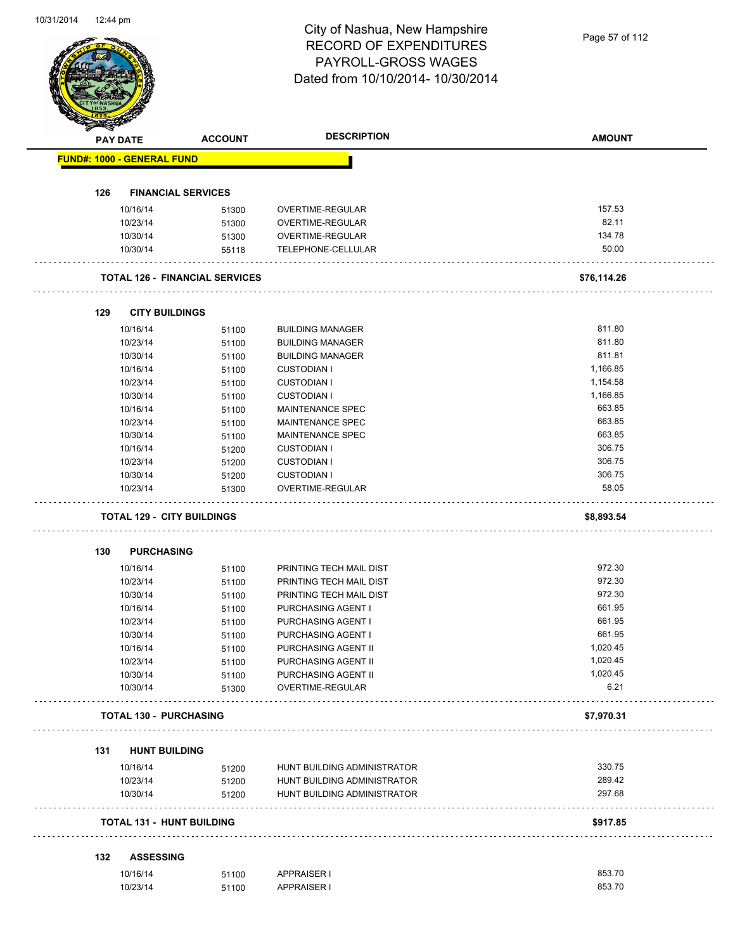|     | <b>PAY DATE</b>                   | <b>ACCOUNT</b>                        | <b>DESCRIPTION</b>                      | <b>AMOUNT</b>    |
|-----|-----------------------------------|---------------------------------------|-----------------------------------------|------------------|
|     | <b>FUND#: 1000 - GENERAL FUND</b> |                                       |                                         |                  |
| 126 | <b>FINANCIAL SERVICES</b>         |                                       |                                         |                  |
|     |                                   |                                       |                                         |                  |
|     | 10/16/14                          | 51300                                 | OVERTIME-REGULAR                        | 157.53<br>82.11  |
|     | 10/23/14                          | 51300                                 | OVERTIME-REGULAR                        | 134.78           |
|     | 10/30/14                          | 51300                                 | OVERTIME-REGULAR                        | 50.00            |
|     | 10/30/14                          | 55118                                 | TELEPHONE-CELLULAR                      |                  |
|     |                                   | <b>TOTAL 126 - FINANCIAL SERVICES</b> |                                         | \$76,114.26      |
| 129 | <b>CITY BUILDINGS</b>             |                                       |                                         |                  |
|     | 10/16/14                          | 51100                                 | <b>BUILDING MANAGER</b>                 | 811.80           |
|     | 10/23/14                          | 51100                                 | <b>BUILDING MANAGER</b>                 | 811.80           |
|     | 10/30/14                          | 51100                                 | <b>BUILDING MANAGER</b>                 | 811.81           |
|     | 10/16/14                          | 51100                                 | <b>CUSTODIAN I</b>                      | 1,166.85         |
|     | 10/23/14                          | 51100                                 | <b>CUSTODIAN I</b>                      | 1,154.58         |
|     | 10/30/14                          | 51100                                 | <b>CUSTODIAN I</b>                      | 1,166.85         |
|     | 10/16/14                          | 51100                                 | MAINTENANCE SPEC                        | 663.85           |
|     | 10/23/14                          | 51100                                 | <b>MAINTENANCE SPEC</b>                 | 663.85           |
|     | 10/30/14                          |                                       | MAINTENANCE SPEC                        | 663.85           |
|     |                                   | 51100                                 |                                         | 306.75           |
|     | 10/16/14                          | 51200                                 | <b>CUSTODIAN I</b>                      | 306.75           |
|     | 10/23/14                          | 51200                                 | <b>CUSTODIAN I</b>                      |                  |
|     | 10/30/14                          | 51200                                 | <b>CUSTODIAN I</b>                      | 306.75           |
|     | 10/23/14                          | 51300                                 | OVERTIME-REGULAR                        | 58.05            |
|     | <b>TOTAL 129 - CITY BUILDINGS</b> |                                       |                                         | \$8,893.54       |
|     | <b>PURCHASING</b>                 |                                       |                                         |                  |
| 130 |                                   |                                       |                                         |                  |
|     |                                   |                                       |                                         |                  |
|     | 10/16/14                          | 51100                                 | PRINTING TECH MAIL DIST                 | 972.30           |
|     | 10/23/14                          | 51100                                 | PRINTING TECH MAIL DIST                 | 972.30           |
|     | 10/30/14                          | 51100                                 | PRINTING TECH MAIL DIST                 | 972.30           |
|     | 10/16/14                          | 51100                                 | PURCHASING AGENT I                      | 661.95           |
|     | 10/23/14                          | 51100                                 | PURCHASING AGENT I                      | 661.95           |
|     | 10/30/14                          | 51100                                 | PURCHASING AGENT I                      | 661.95           |
|     | 10/16/14                          | 51100                                 | PURCHASING AGENT II                     | 1,020.45         |
|     | 10/23/14                          | 51100                                 | PURCHASING AGENT II                     | 1,020.45         |
|     | 10/30/14<br>10/30/14              | 51100<br>51300                        | PURCHASING AGENT II<br>OVERTIME-REGULAR | 1,020.45<br>6.21 |
|     | <b>TOTAL 130 - PURCHASING</b>     |                                       |                                         | \$7,970.31       |
|     |                                   |                                       |                                         |                  |
| 131 | <b>HUNT BUILDING</b>              |                                       |                                         |                  |
|     | 10/16/14                          | 51200                                 | HUNT BUILDING ADMINISTRATOR             | 330.75           |
|     | 10/23/14                          | 51200                                 | HUNT BUILDING ADMINISTRATOR             | 289.42           |
|     | 10/30/14                          | 51200                                 | HUNT BUILDING ADMINISTRATOR             | 297.68           |
|     | <b>TOTAL 131 - HUNT BUILDING</b>  |                                       |                                         | \$917.85         |
| 132 | <b>ASSESSING</b>                  |                                       |                                         |                  |
|     | 10/16/14                          | 51100                                 | <b>APPRAISER I</b>                      | 853.70           |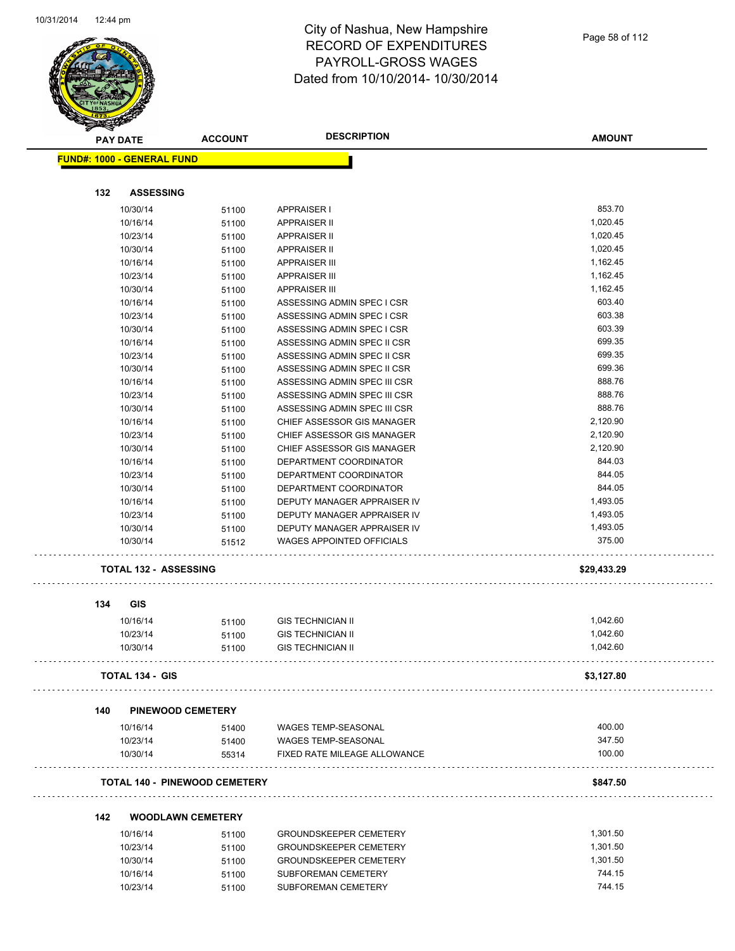

| <u>saan kan ka</u>                | <b>PAY DATE</b>              | <b>ACCOUNT</b>                       | <b>DESCRIPTION</b>               | <b>AMOUNT</b> |
|-----------------------------------|------------------------------|--------------------------------------|----------------------------------|---------------|
| <b>FUND#: 1000 - GENERAL FUND</b> |                              |                                      |                                  |               |
|                                   |                              |                                      |                                  |               |
| 132                               | <b>ASSESSING</b>             |                                      |                                  |               |
|                                   | 10/30/14                     | 51100                                | <b>APPRAISER I</b>               | 853.70        |
|                                   | 10/16/14                     | 51100                                | <b>APPRAISER II</b>              | 1,020.45      |
|                                   | 10/23/14                     | 51100                                | <b>APPRAISER II</b>              | 1,020.45      |
|                                   | 10/30/14                     | 51100                                | <b>APPRAISER II</b>              | 1,020.45      |
|                                   | 10/16/14                     | 51100                                | <b>APPRAISER III</b>             | 1,162.45      |
|                                   | 10/23/14                     | 51100                                | <b>APPRAISER III</b>             | 1,162.45      |
|                                   | 10/30/14                     | 51100                                | <b>APPRAISER III</b>             | 1,162.45      |
|                                   | 10/16/14                     | 51100                                | ASSESSING ADMIN SPEC I CSR       | 603.40        |
|                                   | 10/23/14                     | 51100                                | ASSESSING ADMIN SPEC I CSR       | 603.38        |
|                                   | 10/30/14                     | 51100                                | ASSESSING ADMIN SPEC I CSR       | 603.39        |
|                                   | 10/16/14                     | 51100                                | ASSESSING ADMIN SPEC II CSR      | 699.35        |
|                                   | 10/23/14                     | 51100                                | ASSESSING ADMIN SPEC II CSR      | 699.35        |
|                                   | 10/30/14                     | 51100                                | ASSESSING ADMIN SPEC II CSR      | 699.36        |
|                                   | 10/16/14                     | 51100                                | ASSESSING ADMIN SPEC III CSR     | 888.76        |
|                                   | 10/23/14                     | 51100                                | ASSESSING ADMIN SPEC III CSR     | 888.76        |
|                                   | 10/30/14                     | 51100                                | ASSESSING ADMIN SPEC III CSR     | 888.76        |
|                                   | 10/16/14                     | 51100                                | CHIEF ASSESSOR GIS MANAGER       | 2,120.90      |
|                                   | 10/23/14                     | 51100                                | CHIEF ASSESSOR GIS MANAGER       | 2,120.90      |
|                                   | 10/30/14                     | 51100                                | CHIEF ASSESSOR GIS MANAGER       | 2,120.90      |
|                                   | 10/16/14                     | 51100                                | DEPARTMENT COORDINATOR           | 844.03        |
|                                   | 10/23/14                     | 51100                                | DEPARTMENT COORDINATOR           | 844.05        |
|                                   | 10/30/14                     | 51100                                | DEPARTMENT COORDINATOR           | 844.05        |
|                                   | 10/16/14                     | 51100                                | DEPUTY MANAGER APPRAISER IV      | 1,493.05      |
|                                   | 10/23/14                     | 51100                                | DEPUTY MANAGER APPRAISER IV      | 1,493.05      |
|                                   | 10/30/14                     | 51100                                | DEPUTY MANAGER APPRAISER IV      | 1,493.05      |
|                                   | 10/30/14                     | 51512                                | <b>WAGES APPOINTED OFFICIALS</b> | 375.00        |
|                                   | <b>TOTAL 132 - ASSESSING</b> |                                      |                                  | \$29,433.29   |
| 134                               | <b>GIS</b>                   |                                      |                                  |               |
|                                   | 10/16/14                     | 51100                                | <b>GIS TECHNICIAN II</b>         | 1,042.60      |
|                                   | 10/23/14                     |                                      | <b>GIS TECHNICIAN II</b>         | 1,042.60      |
|                                   |                              | 51100                                |                                  | 1,042.60      |
|                                   | 10/30/14                     | 51100                                | <b>GIS TECHNICIAN II</b>         |               |
|                                   | <b>TOTAL 134 - GIS</b>       |                                      |                                  | \$3,127.80    |
| 140                               |                              | <b>PINEWOOD CEMETERY</b>             |                                  |               |
|                                   | 10/16/14                     | 51400                                | <b>WAGES TEMP-SEASONAL</b>       | 400.00        |
|                                   | 10/23/14                     | 51400                                | <b>WAGES TEMP-SEASONAL</b>       | 347.50        |
|                                   | 10/30/14                     | 55314                                | FIXED RATE MILEAGE ALLOWANCE     | 100.00        |
|                                   |                              | <b>TOTAL 140 - PINEWOOD CEMETERY</b> |                                  | \$847.50      |
|                                   |                              |                                      |                                  |               |
| 142                               | 10/16/14                     | <b>WOODLAWN CEMETERY</b><br>51100    | GROUNDSKEEPER CEMETERY           | 1,301.50      |
|                                   | 10/23/14                     | 51100                                | <b>GROUNDSKEEPER CEMETERY</b>    | 1,301.50      |
|                                   | 10/30/14                     |                                      | <b>GROUNDSKEEPER CEMETERY</b>    | 1,301.50      |
|                                   |                              | 51100                                | SUBFOREMAN CEMETERY              | 744.15        |
|                                   | 10/16/14                     | 51100                                |                                  |               |
|                                   | 10/23/14                     | 51100                                | SUBFOREMAN CEMETERY              | 744.15        |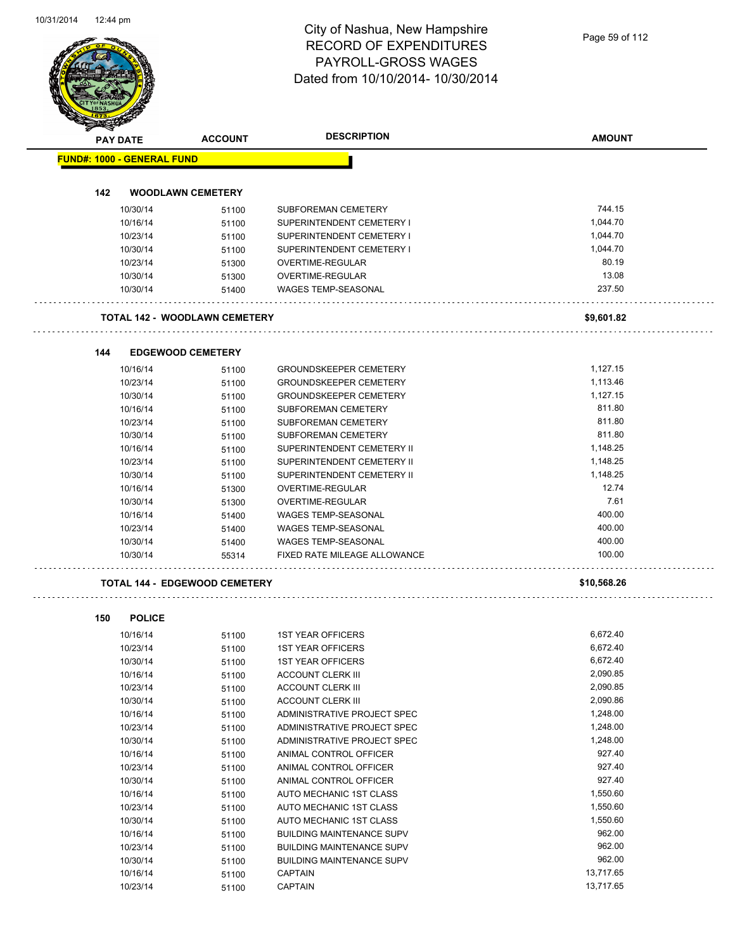## City of Nashua, New Hampshire RECORD OF EXPENDITURES PAYROLL-GROSS WAGES

|                                   |                      |                                      | Dated from 10/10/2014- 10/30/2014                              |               |
|-----------------------------------|----------------------|--------------------------------------|----------------------------------------------------------------|---------------|
|                                   |                      |                                      |                                                                |               |
|                                   | PAY DATE             | <b>ACCOUNT</b>                       | <b>DESCRIPTION</b>                                             | <b>AMOUNT</b> |
| <b>FUND#: 1000 - GENERAL FUND</b> |                      |                                      |                                                                |               |
| 142                               |                      | <b>WOODLAWN CEMETERY</b>             |                                                                |               |
|                                   | 10/30/14             |                                      | SUBFOREMAN CEMETERY                                            | 744.15        |
|                                   | 10/16/14             | 51100                                | SUPERINTENDENT CEMETERY I                                      | 1,044.70      |
|                                   | 10/23/14             | 51100                                | SUPERINTENDENT CEMETERY I                                      | 1,044.70      |
|                                   | 10/30/14             | 51100<br>51100                       | SUPERINTENDENT CEMETERY I                                      | 1,044.70      |
|                                   | 10/23/14             | 51300                                | OVERTIME-REGULAR                                               | 80.19         |
|                                   | 10/30/14             | 51300                                | OVERTIME-REGULAR                                               | 13.08         |
|                                   | 10/30/14             | 51400                                | WAGES TEMP-SEASONAL                                            | 237.50        |
|                                   |                      | <b>TOTAL 142 - WOODLAWN CEMETERY</b> |                                                                | \$9,601.82    |
| 144                               |                      | <b>EDGEWOOD CEMETERY</b>             |                                                                |               |
|                                   |                      |                                      |                                                                | 1,127.15      |
|                                   | 10/16/14<br>10/23/14 | 51100                                | <b>GROUNDSKEEPER CEMETERY</b><br><b>GROUNDSKEEPER CEMETERY</b> | 1,113.46      |
|                                   | 10/30/14             | 51100                                | <b>GROUNDSKEEPER CEMETERY</b>                                  | 1,127.15      |
|                                   | 10/16/14             | 51100                                | SUBFOREMAN CEMETERY                                            | 811.80        |
|                                   | 10/23/14             | 51100<br>51100                       | SUBFOREMAN CEMETERY                                            | 811.80        |
|                                   | 10/30/14             |                                      | SUBFOREMAN CEMETERY                                            | 811.80        |
|                                   | 10/16/14             | 51100                                | SUPERINTENDENT CEMETERY II                                     | 1,148.25      |
|                                   | 10/23/14             | 51100                                | SUPERINTENDENT CEMETERY II                                     | 1,148.25      |
|                                   | 10/30/14             | 51100<br>51100                       | SUPERINTENDENT CEMETERY II                                     | 1,148.25      |
|                                   | 10/16/14             | 51300                                | OVERTIME-REGULAR                                               | 12.74         |
|                                   | 10/30/14             | 51300                                | OVERTIME-REGULAR                                               | 7.61          |
|                                   | 10/16/14             | 51400                                | <b>WAGES TEMP-SEASONAL</b>                                     | 400.00        |
|                                   | 10/23/14             | 51400                                | WAGES TEMP-SEASONAL                                            | 400.00        |
|                                   | 10/30/14             | 51400                                | WAGES TEMP-SEASONAL                                            | 400.00        |
|                                   | 10/30/14             | 55314                                | FIXED RATE MILEAGE ALLOWANCE                                   | 100.00        |
|                                   |                      | <b>TOTAL 144 - EDGEWOOD CEMETERY</b> |                                                                | \$10,568.26   |
| 150                               | <b>POLICE</b>        |                                      |                                                                |               |
|                                   | 10/16/14             | 51100                                | <b>1ST YEAR OFFICERS</b>                                       | 6,672.40      |
|                                   | 10/23/14             | 51100                                | <b>1ST YEAR OFFICERS</b>                                       | 6,672.40      |
|                                   | 10/30/14             | 51100                                | <b>1ST YEAR OFFICERS</b>                                       | 6,672.40      |
|                                   | 10/16/14             | 51100                                | <b>ACCOUNT CLERK III</b>                                       | 2,090.85      |
|                                   | 10/23/14             | 51100                                | <b>ACCOUNT CLERK III</b>                                       | 2,090.85      |
|                                   | 10/30/14             | 51100                                | <b>ACCOUNT CLERK III</b>                                       | 2,090.86      |
|                                   | 10/16/14             | 51100                                | ADMINISTRATIVE PROJECT SPEC                                    | 1,248.00      |
|                                   | 10/23/14             | 51100                                | ADMINISTRATIVE PROJECT SPEC                                    | 1,248.00      |
|                                   | 10/30/14             | 51100                                | ADMINISTRATIVE PROJECT SPEC                                    | 1,248.00      |
|                                   | 10/16/14             | 51100                                | ANIMAL CONTROL OFFICER                                         | 927.40        |
|                                   | 10/23/14             | 51100                                | ANIMAL CONTROL OFFICER                                         | 927.40        |
|                                   | 10/30/14             | 51100                                | ANIMAL CONTROL OFFICER                                         | 927.40        |
|                                   | 10/16/14             | 51100                                | AUTO MECHANIC 1ST CLASS                                        | 1,550.60      |
|                                   | 10/23/14             | 51100                                | AUTO MECHANIC 1ST CLASS                                        | 1,550.60      |
|                                   | 10/30/14             | 51100                                | AUTO MECHANIC 1ST CLASS                                        | 1,550.60      |
|                                   | 10/16/14             | 51100                                | <b>BUILDING MAINTENANCE SUPV</b>                               | 962.00        |
|                                   | 10/23/14             | 51100                                | <b>BUILDING MAINTENANCE SUPV</b>                               | 962.00        |
|                                   | 10/30/14             | 51100                                | <b>BUILDING MAINTENANCE SUPV</b>                               | 962.00        |
|                                   | 10/16/14             | 51100                                | <b>CAPTAIN</b>                                                 | 13,717.65     |
|                                   | 10/23/14             | 51100                                | <b>CAPTAIN</b>                                                 | 13,717.65     |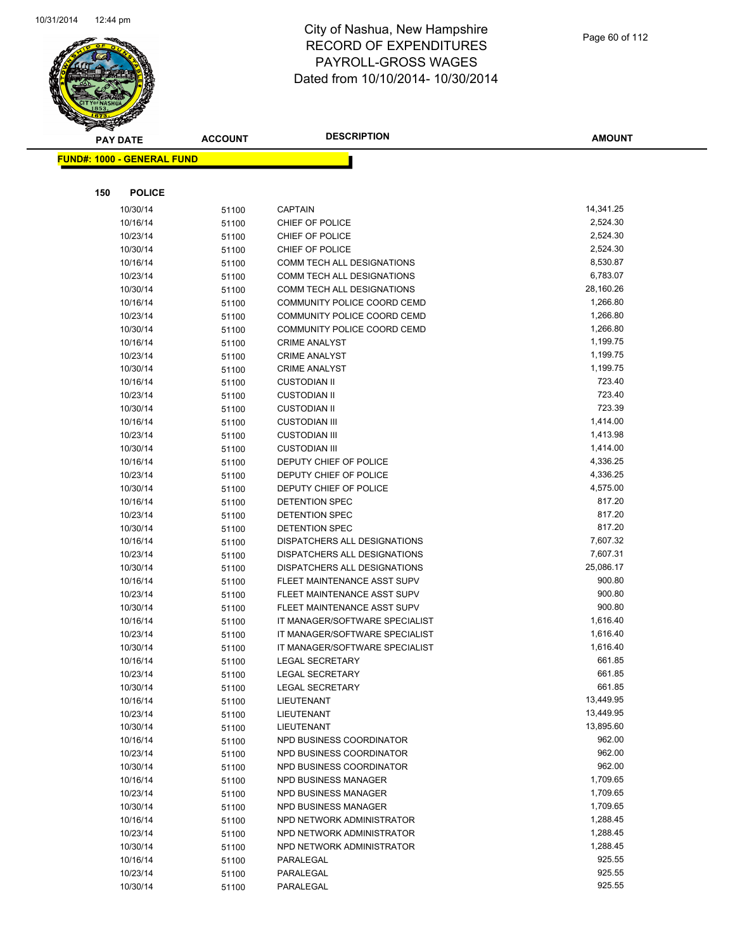

|     | <b>PAY DATE</b>                   | <b>ACCOUNT</b> | <b>DESCRIPTION</b>                                   | <b>AMOUNT</b>          |
|-----|-----------------------------------|----------------|------------------------------------------------------|------------------------|
|     | <b>FUND#: 1000 - GENERAL FUND</b> |                |                                                      |                        |
|     |                                   |                |                                                      |                        |
|     |                                   |                |                                                      |                        |
| 150 | <b>POLICE</b>                     |                |                                                      |                        |
|     | 10/30/14                          | 51100          | <b>CAPTAIN</b>                                       | 14,341.25              |
|     | 10/16/14                          | 51100          | CHIEF OF POLICE                                      | 2,524.30               |
|     | 10/23/14                          | 51100          | CHIEF OF POLICE                                      | 2,524.30               |
|     | 10/30/14                          | 51100          | CHIEF OF POLICE                                      | 2,524.30               |
|     | 10/16/14                          | 51100          | <b>COMM TECH ALL DESIGNATIONS</b>                    | 8,530.87               |
|     | 10/23/14                          | 51100          | COMM TECH ALL DESIGNATIONS                           | 6,783.07               |
|     | 10/30/14                          | 51100          | COMM TECH ALL DESIGNATIONS                           | 28,160.26              |
|     | 10/16/14                          | 51100          | COMMUNITY POLICE COORD CEMD                          | 1,266.80               |
|     | 10/23/14                          | 51100          | COMMUNITY POLICE COORD CEMD                          | 1,266.80               |
|     | 10/30/14                          | 51100          | COMMUNITY POLICE COORD CEMD                          | 1,266.80               |
|     | 10/16/14                          | 51100          | <b>CRIME ANALYST</b>                                 | 1,199.75               |
|     | 10/23/14                          | 51100          | <b>CRIME ANALYST</b>                                 | 1,199.75               |
|     | 10/30/14                          | 51100          | <b>CRIME ANALYST</b>                                 | 1,199.75               |
|     | 10/16/14                          | 51100          | <b>CUSTODIAN II</b>                                  | 723.40                 |
|     | 10/23/14                          | 51100          | <b>CUSTODIAN II</b>                                  | 723.40                 |
|     | 10/30/14                          | 51100          | <b>CUSTODIAN II</b>                                  | 723.39                 |
|     | 10/16/14                          | 51100          | <b>CUSTODIAN III</b>                                 | 1,414.00               |
|     | 10/23/14                          | 51100          | <b>CUSTODIAN III</b>                                 | 1,413.98               |
|     | 10/30/14                          | 51100          | <b>CUSTODIAN III</b>                                 | 1,414.00               |
|     | 10/16/14                          | 51100          | DEPUTY CHIEF OF POLICE                               | 4,336.25               |
|     | 10/23/14                          | 51100          | DEPUTY CHIEF OF POLICE                               | 4,336.25               |
|     | 10/30/14                          | 51100          | DEPUTY CHIEF OF POLICE                               | 4,575.00               |
|     | 10/16/14                          | 51100          | DETENTION SPEC                                       | 817.20                 |
|     | 10/23/14                          | 51100          | <b>DETENTION SPEC</b>                                | 817.20                 |
|     | 10/30/14                          | 51100          | <b>DETENTION SPEC</b>                                | 817.20                 |
|     | 10/16/14                          | 51100          | DISPATCHERS ALL DESIGNATIONS                         | 7,607.32               |
|     | 10/23/14                          | 51100          | DISPATCHERS ALL DESIGNATIONS                         | 7,607.31               |
|     | 10/30/14                          | 51100          | DISPATCHERS ALL DESIGNATIONS                         | 25,086.17              |
|     | 10/16/14                          | 51100          | FLEET MAINTENANCE ASST SUPV                          | 900.80                 |
|     | 10/23/14                          | 51100          | FLEET MAINTENANCE ASST SUPV                          | 900.80                 |
|     | 10/30/14                          | 51100          | FLEET MAINTENANCE ASST SUPV                          | 900.80                 |
|     | 10/16/14                          | 51100          | IT MANAGER/SOFTWARE SPECIALIST                       | 1,616.40               |
|     | 10/23/14                          | 51100          | IT MANAGER/SOFTWARE SPECIALIST                       | 1,616.40               |
|     | 10/30/14                          | 51100          | IT MANAGER/SOFTWARE SPECIALIST                       | 1,616.40               |
|     | 10/16/14                          | 51100          | <b>LEGAL SECRETARY</b>                               | 661.85                 |
|     | 10/23/14                          | 51100          | LEGAL SECRETARY                                      | 661.85                 |
|     | 10/30/14                          | 51100          | <b>LEGAL SECRETARY</b>                               | 661.85                 |
|     | 10/16/14                          | 51100          | LIEUTENANT                                           | 13,449.95<br>13,449.95 |
|     | 10/23/14                          | 51100          | LIEUTENANT                                           | 13,895.60              |
|     | 10/30/14                          | 51100          | LIEUTENANT                                           | 962.00                 |
|     | 10/16/14                          | 51100          | NPD BUSINESS COORDINATOR                             | 962.00                 |
|     | 10/23/14<br>10/30/14              | 51100          | NPD BUSINESS COORDINATOR<br>NPD BUSINESS COORDINATOR | 962.00                 |
|     | 10/16/14                          | 51100          | NPD BUSINESS MANAGER                                 | 1,709.65               |
|     | 10/23/14                          | 51100          | NPD BUSINESS MANAGER                                 | 1,709.65               |
|     | 10/30/14                          | 51100          | NPD BUSINESS MANAGER                                 | 1,709.65               |
|     | 10/16/14                          | 51100          | NPD NETWORK ADMINISTRATOR                            | 1,288.45               |
|     | 10/23/14                          | 51100          | NPD NETWORK ADMINISTRATOR                            | 1,288.45               |
|     | 10/30/14                          | 51100          | NPD NETWORK ADMINISTRATOR                            | 1,288.45               |
|     | 10/16/14                          | 51100          | PARALEGAL                                            | 925.55                 |
|     | 10/23/14                          | 51100          | PARALEGAL                                            | 925.55                 |
|     | 10/30/14                          | 51100          | PARALEGAL                                            | 925.55                 |
|     |                                   | 51100          |                                                      |                        |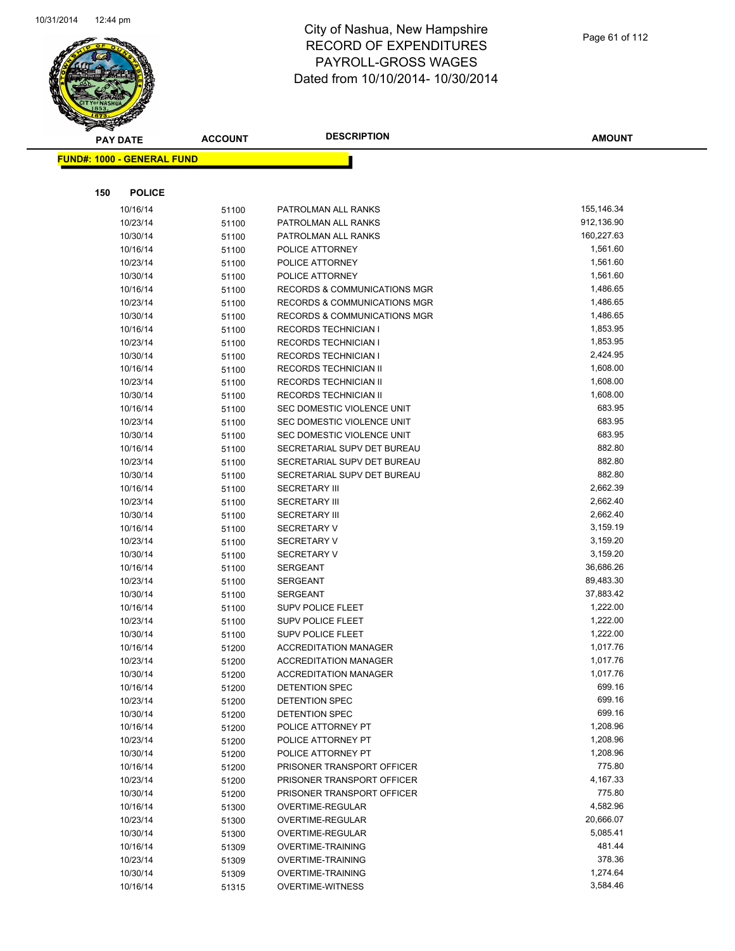

|     | <b>PAY DATE</b>                   | <b>ACCOUNT</b> | <b>DESCRIPTION</b>                         | <b>AMOUNT</b> |
|-----|-----------------------------------|----------------|--------------------------------------------|---------------|
|     | <b>FUND#: 1000 - GENERAL FUND</b> |                |                                            |               |
|     |                                   |                |                                            |               |
| 150 | <b>POLICE</b>                     |                |                                            |               |
|     |                                   |                |                                            | 155,146.34    |
|     | 10/16/14<br>10/23/14              | 51100          | PATROLMAN ALL RANKS<br>PATROLMAN ALL RANKS | 912,136.90    |
|     | 10/30/14                          | 51100          | PATROLMAN ALL RANKS                        | 160,227.63    |
|     | 10/16/14                          | 51100          | POLICE ATTORNEY                            | 1,561.60      |
|     | 10/23/14                          | 51100          | POLICE ATTORNEY                            | 1,561.60      |
|     | 10/30/14                          | 51100          | POLICE ATTORNEY                            | 1,561.60      |
|     | 10/16/14                          | 51100<br>51100 | <b>RECORDS &amp; COMMUNICATIONS MGR</b>    | 1,486.65      |
|     | 10/23/14                          | 51100          | RECORDS & COMMUNICATIONS MGR               | 1,486.65      |
|     | 10/30/14                          | 51100          | RECORDS & COMMUNICATIONS MGR               | 1,486.65      |
|     | 10/16/14                          | 51100          | <b>RECORDS TECHNICIAN I</b>                | 1,853.95      |
|     | 10/23/14                          | 51100          | RECORDS TECHNICIAN I                       | 1,853.95      |
|     | 10/30/14                          | 51100          | <b>RECORDS TECHNICIAN I</b>                | 2,424.95      |
|     | 10/16/14                          | 51100          | RECORDS TECHNICIAN II                      | 1,608.00      |
|     | 10/23/14                          | 51100          | RECORDS TECHNICIAN II                      | 1,608.00      |
|     | 10/30/14                          | 51100          | RECORDS TECHNICIAN II                      | 1,608.00      |
|     | 10/16/14                          | 51100          | SEC DOMESTIC VIOLENCE UNIT                 | 683.95        |
|     | 10/23/14                          | 51100          | SEC DOMESTIC VIOLENCE UNIT                 | 683.95        |
|     | 10/30/14                          | 51100          | SEC DOMESTIC VIOLENCE UNIT                 | 683.95        |
|     | 10/16/14                          | 51100          | SECRETARIAL SUPV DET BUREAU                | 882.80        |
|     | 10/23/14                          | 51100          | SECRETARIAL SUPV DET BUREAU                | 882.80        |
|     | 10/30/14                          | 51100          | SECRETARIAL SUPV DET BUREAU                | 882.80        |
|     | 10/16/14                          | 51100          | <b>SECRETARY III</b>                       | 2,662.39      |
|     | 10/23/14                          | 51100          | <b>SECRETARY III</b>                       | 2,662.40      |
|     | 10/30/14                          | 51100          | <b>SECRETARY III</b>                       | 2,662.40      |
|     | 10/16/14                          | 51100          | <b>SECRETARY V</b>                         | 3,159.19      |
|     | 10/23/14                          | 51100          | <b>SECRETARY V</b>                         | 3,159.20      |
|     | 10/30/14                          | 51100          | <b>SECRETARY V</b>                         | 3,159.20      |
|     | 10/16/14                          | 51100          | <b>SERGEANT</b>                            | 36,686.26     |
|     | 10/23/14                          | 51100          | <b>SERGEANT</b>                            | 89,483.30     |
|     | 10/30/14                          | 51100          | <b>SERGEANT</b>                            | 37,883.42     |
|     | 10/16/14                          | 51100          | SUPV POLICE FLEET                          | 1,222.00      |
|     | 10/23/14                          | 51100          | <b>SUPV POLICE FLEET</b>                   | 1,222.00      |
|     | 10/30/14                          | 51100          | <b>SUPV POLICE FLEET</b>                   | 1,222.00      |
|     | 10/16/14                          | 51200          | <b>ACCREDITATION MANAGER</b>               | 1,017.76      |
|     | 10/23/14                          | 51200          | <b>ACCREDITATION MANAGER</b>               | 1,017.76      |
|     | 10/30/14                          | 51200          | <b>ACCREDITATION MANAGER</b>               | 1,017.76      |
|     | 10/16/14                          | 51200          | <b>DETENTION SPEC</b>                      | 699.16        |
|     | 10/23/14                          | 51200          | DETENTION SPEC                             | 699.16        |
|     | 10/30/14                          | 51200          | <b>DETENTION SPEC</b>                      | 699.16        |
|     | 10/16/14                          | 51200          | POLICE ATTORNEY PT                         | 1,208.96      |
|     | 10/23/14                          | 51200          | POLICE ATTORNEY PT                         | 1,208.96      |
|     | 10/30/14                          | 51200          | POLICE ATTORNEY PT                         | 1,208.96      |
|     | 10/16/14                          | 51200          | PRISONER TRANSPORT OFFICER                 | 775.80        |
|     | 10/23/14                          | 51200          | PRISONER TRANSPORT OFFICER                 | 4,167.33      |
|     | 10/30/14                          | 51200          | PRISONER TRANSPORT OFFICER                 | 775.80        |
|     | 10/16/14                          | 51300          | OVERTIME-REGULAR                           | 4,582.96      |
|     | 10/23/14                          | 51300          | OVERTIME-REGULAR                           | 20,666.07     |
|     | 10/30/14                          | 51300          | OVERTIME-REGULAR                           | 5,085.41      |
|     | 10/16/14                          | 51309          | OVERTIME-TRAINING                          | 481.44        |
|     | 10/23/14                          | 51309          | <b>OVERTIME-TRAINING</b>                   | 378.36        |
|     | 10/30/14                          | 51309          | <b>OVERTIME-TRAINING</b>                   | 1,274.64      |
|     | 10/16/14                          | 51315          | <b>OVERTIME-WITNESS</b>                    | 3,584.46      |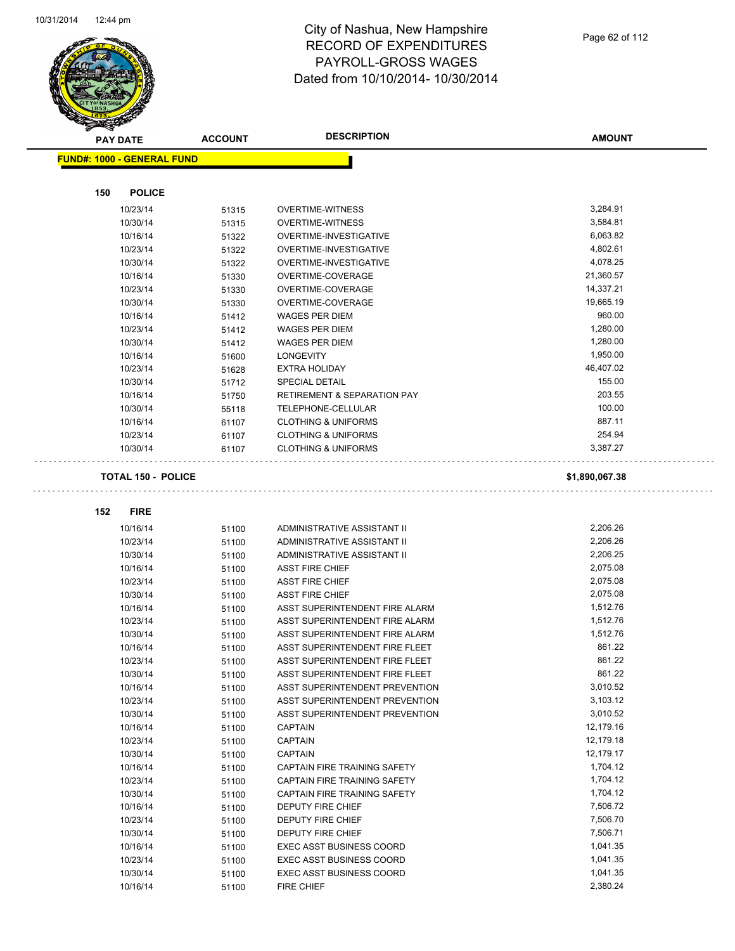

| <b>PAY DATE</b>                   | <b>ACCOUNT</b>            | <b>DESCRIPTION</b>                     | <b>AMOUNT</b>  |
|-----------------------------------|---------------------------|----------------------------------------|----------------|
| <b>FUND#: 1000 - GENERAL FUND</b> |                           |                                        |                |
|                                   |                           |                                        |                |
| 150                               | <b>POLICE</b>             |                                        |                |
| 10/23/14                          | 51315                     | <b>OVERTIME-WITNESS</b>                | 3,284.91       |
| 10/30/14                          | 51315                     | <b>OVERTIME-WITNESS</b>                | 3,584.81       |
| 10/16/14                          | 51322                     | OVERTIME-INVESTIGATIVE                 | 6,063.82       |
| 10/23/14                          | 51322                     | OVERTIME-INVESTIGATIVE                 | 4,802.61       |
| 10/30/14                          | 51322                     | OVERTIME-INVESTIGATIVE                 | 4,078.25       |
| 10/16/14                          | 51330                     | OVERTIME-COVERAGE                      | 21,360.57      |
| 10/23/14                          | 51330                     | OVERTIME-COVERAGE                      | 14,337.21      |
| 10/30/14                          | 51330                     | OVERTIME-COVERAGE                      | 19,665.19      |
| 10/16/14                          | 51412                     | <b>WAGES PER DIEM</b>                  | 960.00         |
| 10/23/14                          | 51412                     | <b>WAGES PER DIEM</b>                  | 1,280.00       |
| 10/30/14                          | 51412                     | <b>WAGES PER DIEM</b>                  | 1,280.00       |
| 10/16/14                          | 51600                     | <b>LONGEVITY</b>                       | 1,950.00       |
| 10/23/14                          | 51628                     | <b>EXTRA HOLIDAY</b>                   | 46,407.02      |
| 10/30/14                          | 51712                     | <b>SPECIAL DETAIL</b>                  | 155.00         |
| 10/16/14                          | 51750                     | <b>RETIREMENT &amp; SEPARATION PAY</b> | 203.55         |
| 10/30/14                          | 55118                     | TELEPHONE-CELLULAR                     | 100.00         |
| 10/16/14                          | 61107                     | <b>CLOTHING &amp; UNIFORMS</b>         | 887.11         |
| 10/23/14                          | 61107                     | <b>CLOTHING &amp; UNIFORMS</b>         | 254.94         |
| 10/30/14                          | 61107                     | <b>CLOTHING &amp; UNIFORMS</b>         | 3,387.27       |
|                                   |                           |                                        |                |
|                                   | <b>TOTAL 150 - POLICE</b> |                                        | \$1,890,067.38 |
|                                   |                           |                                        |                |
| 152<br><b>FIRE</b>                |                           |                                        |                |
| 10/16/14                          | 51100                     | ADMINISTRATIVE ASSISTANT II            | 2,206.26       |
| 10/23/14                          | 51100                     | ADMINISTRATIVE ASSISTANT II            | 2,206.26       |
| 10/30/14                          | 51100                     | ADMINISTRATIVE ASSISTANT II            | 2,206.25       |
| 10/16/14                          | 51100                     | <b>ASST FIRE CHIEF</b>                 | 2,075.08       |
| 10/23/14                          | 51100                     | <b>ASST FIRE CHIEF</b>                 | 2,075.08       |
| 10/30/14                          | 51100                     | <b>ASST FIRE CHIEF</b>                 | 2,075.08       |
| 10/16/14                          | 51100                     | ASST SUPERINTENDENT FIRE ALARM         | 1,512.76       |
| 10/23/14                          | 51100                     | ASST SUPERINTENDENT FIRE ALARM         | 1,512.76       |
| 10/30/14                          | 51100                     | ASST SUPERINTENDENT FIRE ALARM         | 1,512.76       |
| 10/16/14                          | 51100                     | ASST SUPERINTENDENT FIRE FLEET         | 861.22         |
| 10/23/14                          | 51100                     | ASST SUPERINTENDENT FIRE FLEET         | 861.22         |
| 10/30/14                          | 51100                     | ASST SUPERINTENDENT FIRE FLEET         | 861.22         |
| 10/16/14                          | 51100                     | ASST SUPERINTENDENT PREVENTION         | 3,010.52       |
| 10/23/14                          | 51100                     | ASST SUPERINTENDENT PREVENTION         | 3,103.12       |
| 10/30/14                          | 51100                     | ASST SUPERINTENDENT PREVENTION         | 3,010.52       |
| 10/16/14                          | 51100                     | <b>CAPTAIN</b>                         | 12,179.16      |
| 10/23/14                          | 51100                     | <b>CAPTAIN</b>                         | 12,179.18      |
| 10/30/14                          | 51100                     | <b>CAPTAIN</b>                         | 12,179.17      |
| 10/16/14                          | 51100                     | CAPTAIN FIRE TRAINING SAFETY           | 1,704.12       |
| 10/23/14                          | 51100                     | CAPTAIN FIRE TRAINING SAFETY           | 1,704.12       |
| 10/30/14                          | 51100                     | CAPTAIN FIRE TRAINING SAFETY           | 1,704.12       |
| 10/16/14                          | 51100                     | DEPUTY FIRE CHIEF                      | 7,506.72       |
| 10/23/14                          | 51100                     | DEPUTY FIRE CHIEF                      | 7,506.70       |
| 10/30/14                          | 51100                     | DEPUTY FIRE CHIEF                      | 7,506.71       |
| 10/16/14                          | 51100                     | <b>EXEC ASST BUSINESS COORD</b>        | 1,041.35       |
| 10/23/14                          | 51100                     | <b>EXEC ASST BUSINESS COORD</b>        | 1,041.35       |
| 10/30/14                          | 51100                     | <b>EXEC ASST BUSINESS COORD</b>        | 1,041.35       |
| 10/16/14                          | 51100                     | FIRE CHIEF                             | 2,380.24       |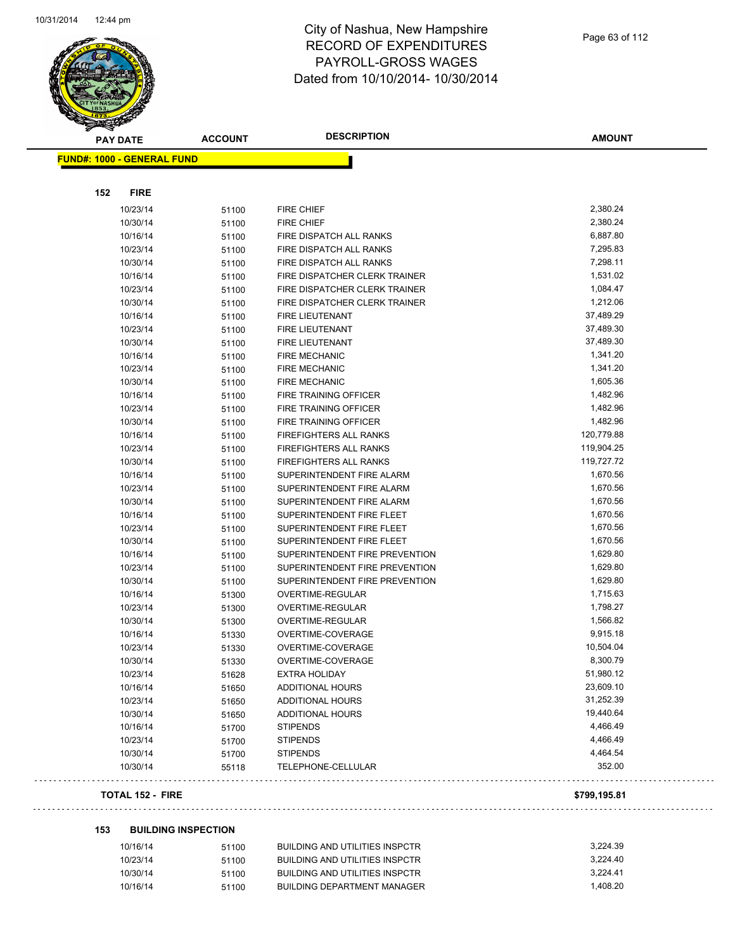

| <b>PAY DATE</b>                   | <b>ACCOUNT</b> | <b>DESCRIPTION</b>             | <b>AMOUNT</b> |
|-----------------------------------|----------------|--------------------------------|---------------|
| <b>FUND#: 1000 - GENERAL FUND</b> |                |                                |               |
|                                   |                |                                |               |
| <b>FIRE</b><br>152                |                |                                |               |
| 10/23/14                          | 51100          | <b>FIRE CHIEF</b>              | 2,380.24      |
| 10/30/14                          | 51100          | <b>FIRE CHIEF</b>              | 2,380.24      |
| 10/16/14                          | 51100          | FIRE DISPATCH ALL RANKS        | 6,887.80      |
| 10/23/14                          | 51100          | FIRE DISPATCH ALL RANKS        | 7,295.83      |
| 10/30/14                          | 51100          | FIRE DISPATCH ALL RANKS        | 7,298.11      |
| 10/16/14                          | 51100          | FIRE DISPATCHER CLERK TRAINER  | 1,531.02      |
| 10/23/14                          | 51100          | FIRE DISPATCHER CLERK TRAINER  | 1,084.47      |
| 10/30/14                          | 51100          | FIRE DISPATCHER CLERK TRAINER  | 1,212.06      |
| 10/16/14                          | 51100          | FIRE LIEUTENANT                | 37,489.29     |
| 10/23/14                          | 51100          | FIRE LIEUTENANT                | 37,489.30     |
| 10/30/14                          | 51100          | FIRE LIEUTENANT                | 37,489.30     |
| 10/16/14                          | 51100          | <b>FIRE MECHANIC</b>           | 1,341.20      |
| 10/23/14                          | 51100          | <b>FIRE MECHANIC</b>           | 1,341.20      |
| 10/30/14                          | 51100          | <b>FIRE MECHANIC</b>           | 1,605.36      |
| 10/16/14                          | 51100          | FIRE TRAINING OFFICER          | 1,482.96      |
| 10/23/14                          | 51100          | FIRE TRAINING OFFICER          | 1,482.96      |
| 10/30/14                          | 51100          | FIRE TRAINING OFFICER          | 1,482.96      |
| 10/16/14                          | 51100          | <b>FIREFIGHTERS ALL RANKS</b>  | 120,779.88    |
| 10/23/14                          | 51100          | FIREFIGHTERS ALL RANKS         | 119,904.25    |
| 10/30/14                          | 51100          | <b>FIREFIGHTERS ALL RANKS</b>  | 119,727.72    |
| 10/16/14                          | 51100          | SUPERINTENDENT FIRE ALARM      | 1,670.56      |
| 10/23/14                          | 51100          | SUPERINTENDENT FIRE ALARM      | 1,670.56      |
| 10/30/14                          | 51100          | SUPERINTENDENT FIRE ALARM      | 1,670.56      |
| 10/16/14                          | 51100          | SUPERINTENDENT FIRE FLEET      | 1,670.56      |
| 10/23/14                          | 51100          | SUPERINTENDENT FIRE FLEET      | 1,670.56      |
| 10/30/14                          | 51100          | SUPERINTENDENT FIRE FLEET      | 1,670.56      |
| 10/16/14                          | 51100          | SUPERINTENDENT FIRE PREVENTION | 1,629.80      |
| 10/23/14                          | 51100          | SUPERINTENDENT FIRE PREVENTION | 1,629.80      |
| 10/30/14                          | 51100          | SUPERINTENDENT FIRE PREVENTION | 1,629.80      |
| 10/16/14                          | 51300          | OVERTIME-REGULAR               | 1,715.63      |
| 10/23/14                          | 51300          | OVERTIME-REGULAR               | 1,798.27      |
| 10/30/14                          | 51300          | OVERTIME-REGULAR               | 1,566.82      |
| 10/16/14                          | 51330          | OVERTIME-COVERAGE              | 9,915.18      |
| 10/23/14                          | 51330          | OVERTIME-COVERAGE              | 10,504.04     |
| 10/30/14                          | 51330          | OVERTIME-COVERAGE              | 8,300.79      |
| 10/23/14                          | 51628          | <b>EXTRA HOLIDAY</b>           | 51,980.12     |
| 10/16/14                          | 51650          | <b>ADDITIONAL HOURS</b>        | 23,609.10     |
| 10/23/14                          | 51650          | <b>ADDITIONAL HOURS</b>        | 31,252.39     |
| 10/30/14                          | 51650          | <b>ADDITIONAL HOURS</b>        | 19,440.64     |
| 10/16/14                          | 51700          | <b>STIPENDS</b>                | 4,466.49      |
| 10/23/14                          | 51700          | <b>STIPENDS</b>                | 4,466.49      |
| 10/30/14                          | 51700          | <b>STIPENDS</b>                | 4,464.54      |
| 10/30/14                          | 55118          | TELEPHONE-CELLULAR             | 352.00        |
| <b>TOTAL 152 - FIRE</b>           |                |                                | \$799,195.81  |

. . .

#### **153 BUILDING INSPECTION**

| 10/16/14 | 51100 | BUILDING AND UTILITIES INSPCTR | 3.224.39 |
|----------|-------|--------------------------------|----------|
| 10/23/14 | 51100 | BUILDING AND UTILITIES INSPCTR | 3.224.40 |
| 10/30/14 | 51100 | BUILDING AND UTILITIES INSPCTR | 3.224.41 |
| 10/16/14 | 51100 | BUILDING DEPARTMENT MANAGER    | 1.408.20 |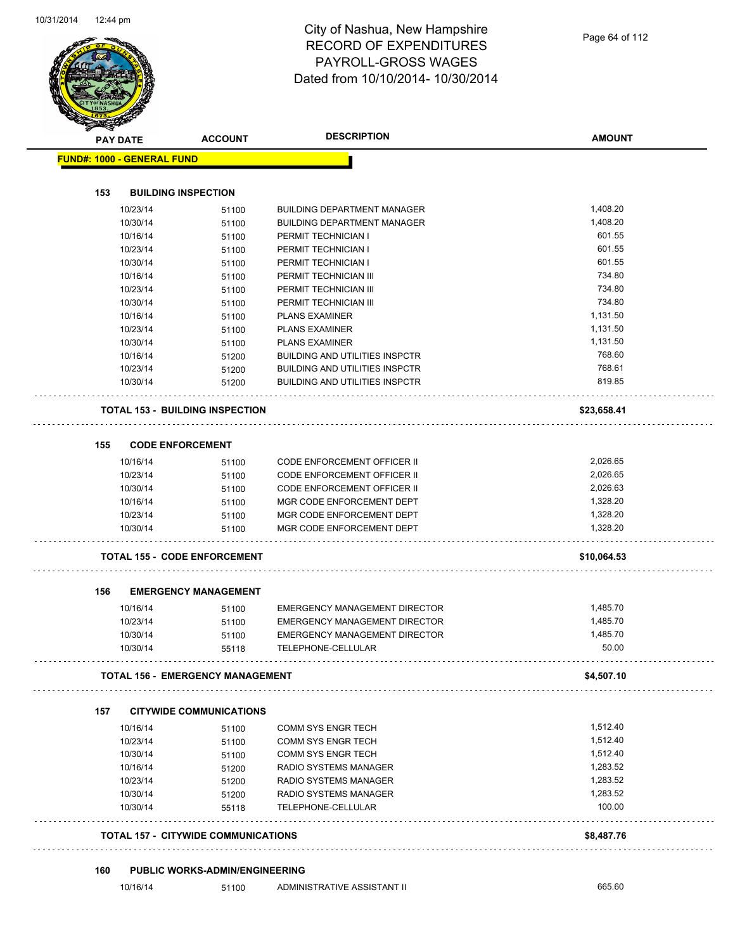

|     | <b>PAY DATE</b>                   | <b>ACCOUNT</b>                             | <b>DESCRIPTION</b>                    | <b>AMOUNT</b> |
|-----|-----------------------------------|--------------------------------------------|---------------------------------------|---------------|
|     | <b>FUND#: 1000 - GENERAL FUND</b> |                                            |                                       |               |
|     |                                   |                                            |                                       |               |
| 153 |                                   | <b>BUILDING INSPECTION</b>                 |                                       |               |
|     | 10/23/14                          | 51100                                      | <b>BUILDING DEPARTMENT MANAGER</b>    | 1,408.20      |
|     | 10/30/14                          | 51100                                      | <b>BUILDING DEPARTMENT MANAGER</b>    | 1,408.20      |
|     | 10/16/14                          | 51100                                      | PERMIT TECHNICIAN I                   | 601.55        |
|     | 10/23/14                          | 51100                                      | PERMIT TECHNICIAN I                   | 601.55        |
|     | 10/30/14                          | 51100                                      | PERMIT TECHNICIAN I                   | 601.55        |
|     | 10/16/14                          | 51100                                      | PERMIT TECHNICIAN III                 | 734.80        |
|     | 10/23/14                          | 51100                                      | PERMIT TECHNICIAN III                 | 734.80        |
|     | 10/30/14                          | 51100                                      | PERMIT TECHNICIAN III                 | 734.80        |
|     | 10/16/14                          | 51100                                      | <b>PLANS EXAMINER</b>                 | 1,131.50      |
|     | 10/23/14                          | 51100                                      | <b>PLANS EXAMINER</b>                 | 1,131.50      |
|     | 10/30/14                          | 51100                                      | <b>PLANS EXAMINER</b>                 | 1,131.50      |
|     | 10/16/14                          | 51200                                      | <b>BUILDING AND UTILITIES INSPCTR</b> | 768.60        |
|     | 10/23/14                          | 51200                                      | <b>BUILDING AND UTILITIES INSPCTR</b> | 768.61        |
|     | 10/30/14                          | 51200                                      | <b>BUILDING AND UTILITIES INSPCTR</b> | 819.85        |
|     |                                   | <b>TOTAL 153 - BUILDING INSPECTION</b>     |                                       | \$23,658.41   |
| 155 |                                   | <b>CODE ENFORCEMENT</b>                    |                                       |               |
|     | 10/16/14                          | 51100                                      | <b>CODE ENFORCEMENT OFFICER II</b>    | 2,026.65      |
|     | 10/23/14                          | 51100                                      | <b>CODE ENFORCEMENT OFFICER II</b>    | 2,026.65      |
|     | 10/30/14                          | 51100                                      | CODE ENFORCEMENT OFFICER II           | 2,026.63      |
|     | 10/16/14                          | 51100                                      | MGR CODE ENFORCEMENT DEPT             | 1,328.20      |
|     | 10/23/14                          | 51100                                      | MGR CODE ENFORCEMENT DEPT             | 1,328.20      |
|     | 10/30/14                          | 51100                                      | MGR CODE ENFORCEMENT DEPT             | 1,328.20      |
|     |                                   | <b>TOTAL 155 - CODE ENFORCEMENT</b>        |                                       | \$10,064.53   |
| 156 |                                   | <b>EMERGENCY MANAGEMENT</b>                |                                       |               |
|     | 10/16/14                          | 51100                                      | EMERGENCY MANAGEMENT DIRECTOR         | 1,485.70      |
|     | 10/23/14                          | 51100                                      | EMERGENCY MANAGEMENT DIRECTOR         | 1,485.70      |
|     | 10/30/14                          | 51100                                      | EMERGENCY MANAGEMENT DIRECTOR         | 1,485.70      |
|     | 10/30/14                          | 55118                                      | TELEPHONE-CELLULAR                    | 50.00         |
|     |                                   | <b>TOTAL 156 - EMERGENCY MANAGEMENT</b>    |                                       | \$4,507.10    |
| 157 |                                   | <b>CITYWIDE COMMUNICATIONS</b>             |                                       |               |
|     | 10/16/14                          | 51100                                      | COMM SYS ENGR TECH                    | 1,512.40      |
|     | 10/23/14                          | 51100                                      | COMM SYS ENGR TECH                    | 1,512.40      |
|     | 10/30/14                          | 51100                                      | COMM SYS ENGR TECH                    | 1,512.40      |
|     | 10/16/14                          | 51200                                      | RADIO SYSTEMS MANAGER                 | 1,283.52      |
|     | 10/23/14                          | 51200                                      | RADIO SYSTEMS MANAGER                 | 1,283.52      |
|     | 10/30/14                          | 51200                                      | RADIO SYSTEMS MANAGER                 | 1,283.52      |
|     | 10/30/14                          | 55118                                      | TELEPHONE-CELLULAR                    | 100.00        |
|     |                                   | <b>TOTAL 157 - CITYWIDE COMMUNICATIONS</b> |                                       | \$8,487.76    |
|     |                                   |                                            |                                       |               |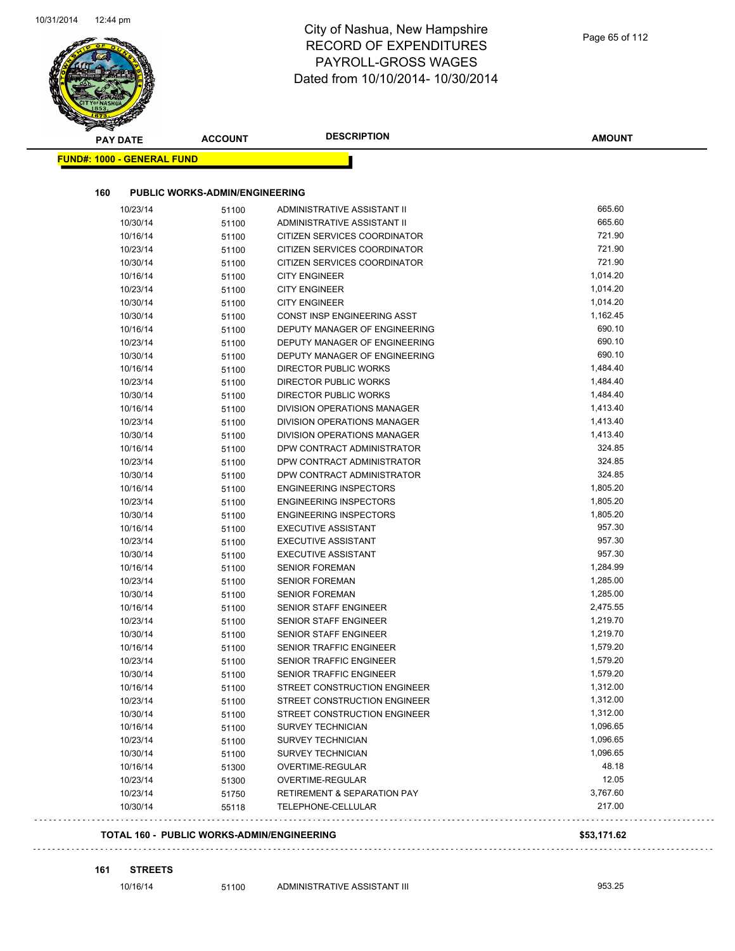# City of Nashua, New Hampshire RECORD OF EXPENDITURES PAYROLL-GROSS WAGES

| <b>PAY DATE</b>                   | <b>ACCOUNT</b>                        | <b>DESCRIPTION</b>                                             | <b>AMOUNT</b>      |
|-----------------------------------|---------------------------------------|----------------------------------------------------------------|--------------------|
| <b>FUND#: 1000 - GENERAL FUND</b> |                                       |                                                                |                    |
| 160                               | <b>PUBLIC WORKS-ADMIN/ENGINEERING</b> |                                                                |                    |
|                                   |                                       | ADMINISTRATIVE ASSISTANT II                                    | 665.60             |
| 10/23/14                          | 51100                                 |                                                                | 665.60             |
| 10/30/14                          | 51100                                 | ADMINISTRATIVE ASSISTANT II                                    | 721.90             |
| 10/16/14                          | 51100                                 | CITIZEN SERVICES COORDINATOR<br>CITIZEN SERVICES COORDINATOR   | 721.90             |
| 10/23/14<br>10/30/14              | 51100                                 | CITIZEN SERVICES COORDINATOR                                   | 721.90             |
| 10/16/14                          | 51100                                 | <b>CITY ENGINEER</b>                                           | 1,014.20           |
|                                   | 51100                                 |                                                                | 1,014.20           |
| 10/23/14                          | 51100                                 | <b>CITY ENGINEER</b>                                           | 1,014.20           |
| 10/30/14                          | 51100                                 | <b>CITY ENGINEER</b><br>CONST INSP ENGINEERING ASST            | 1,162.45           |
| 10/30/14                          | 51100                                 |                                                                | 690.10             |
| 10/16/14<br>10/23/14              | 51100                                 | DEPUTY MANAGER OF ENGINEERING<br>DEPUTY MANAGER OF ENGINEERING | 690.10             |
|                                   | 51100                                 | DEPUTY MANAGER OF ENGINEERING                                  | 690.10             |
| 10/30/14<br>10/16/14              | 51100                                 | DIRECTOR PUBLIC WORKS                                          | 1,484.40           |
| 10/23/14                          | 51100                                 | <b>DIRECTOR PUBLIC WORKS</b>                                   | 1,484.40           |
| 10/30/14                          | 51100                                 | <b>DIRECTOR PUBLIC WORKS</b>                                   | 1,484.40           |
| 10/16/14                          | 51100                                 | <b>DIVISION OPERATIONS MANAGER</b>                             | 1,413.40           |
| 10/23/14                          | 51100                                 | DIVISION OPERATIONS MANAGER                                    | 1,413.40           |
|                                   | 51100                                 | DIVISION OPERATIONS MANAGER                                    | 1,413.40           |
| 10/30/14<br>10/16/14              | 51100                                 | DPW CONTRACT ADMINISTRATOR                                     | 324.85             |
|                                   | 51100                                 | DPW CONTRACT ADMINISTRATOR                                     | 324.85             |
| 10/23/14                          | 51100                                 |                                                                | 324.85             |
| 10/30/14                          | 51100                                 | DPW CONTRACT ADMINISTRATOR                                     | 1,805.20           |
| 10/16/14<br>10/23/14              | 51100                                 | <b>ENGINEERING INSPECTORS</b><br><b>ENGINEERING INSPECTORS</b> | 1,805.20           |
| 10/30/14                          | 51100                                 | <b>ENGINEERING INSPECTORS</b>                                  | 1,805.20           |
| 10/16/14                          | 51100                                 | <b>EXECUTIVE ASSISTANT</b>                                     | 957.30             |
| 10/23/14                          | 51100                                 | <b>EXECUTIVE ASSISTANT</b>                                     | 957.30             |
| 10/30/14                          | 51100                                 | <b>EXECUTIVE ASSISTANT</b>                                     | 957.30             |
| 10/16/14                          | 51100                                 | <b>SENIOR FOREMAN</b>                                          | 1,284.99           |
| 10/23/14                          | 51100                                 | <b>SENIOR FOREMAN</b>                                          | 1,285.00           |
| 10/30/14                          | 51100                                 | <b>SENIOR FOREMAN</b>                                          | 1,285.00           |
| 10/16/14                          | 51100                                 | SENIOR STAFF ENGINEER                                          | 2,475.55           |
| 10/23/14                          | 51100                                 | SENIOR STAFF ENGINEER                                          | 1,219.70           |
| 10/30/14                          | 51100<br>51100                        | SENIOR STAFF ENGINEER                                          | 1,219.70           |
| 10/16/14                          | 51100                                 | SENIOR TRAFFIC ENGINEER                                        | 1,579.20           |
| 10/23/14                          | 51100                                 | SENIOR TRAFFIC ENGINEER                                        | 1,579.20           |
| 10/30/14                          |                                       | SENIOR TRAFFIC ENGINEER                                        | 1,579.20           |
| 10/16/14                          | 51100<br>51100                        | STREET CONSTRUCTION ENGINEER                                   | 1,312.00           |
| 10/23/14                          | 51100                                 | STREET CONSTRUCTION ENGINEER                                   | 1,312.00           |
| 10/30/14                          | 51100                                 | STREET CONSTRUCTION ENGINEER                                   | 1,312.00           |
| 10/16/14                          |                                       | <b>SURVEY TECHNICIAN</b>                                       | 1,096.65           |
| 10/23/14                          | 51100                                 | SURVEY TECHNICIAN                                              | 1,096.65           |
| 10/30/14                          | 51100                                 | SURVEY TECHNICIAN                                              | 1,096.65           |
|                                   | 51100                                 |                                                                | 48.18              |
| 10/16/14                          | 51300                                 | OVERTIME-REGULAR                                               | 12.05              |
| 10/23/14                          | 51300                                 | OVERTIME-REGULAR                                               |                    |
| 10/23/14<br>10/30/14              | 51750<br>55118                        | <b>RETIREMENT &amp; SEPARATION PAY</b><br>TELEPHONE-CELLULAR   | 3,767.60<br>217.00 |

**161 STREETS**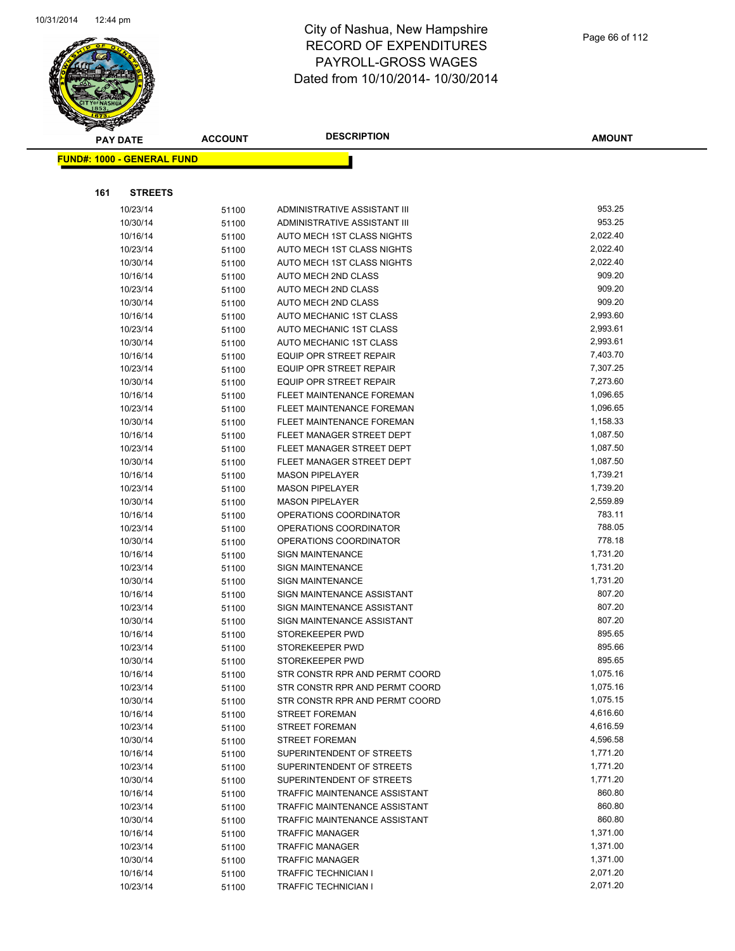

|     | <b>PAY DATE</b>                   | <b>ACCOUNT</b> | <b>DESCRIPTION</b>                                               | <b>AMOUNT</b>        |
|-----|-----------------------------------|----------------|------------------------------------------------------------------|----------------------|
|     | <b>FUND#: 1000 - GENERAL FUND</b> |                |                                                                  |                      |
|     |                                   |                |                                                                  |                      |
|     |                                   |                |                                                                  |                      |
| 161 | <b>STREETS</b>                    |                |                                                                  |                      |
|     | 10/23/14                          | 51100          | ADMINISTRATIVE ASSISTANT III                                     | 953.25               |
|     | 10/30/14                          | 51100          | ADMINISTRATIVE ASSISTANT III                                     | 953.25               |
|     | 10/16/14                          | 51100          | AUTO MECH 1ST CLASS NIGHTS                                       | 2,022.40             |
|     | 10/23/14                          | 51100          | AUTO MECH 1ST CLASS NIGHTS                                       | 2,022.40             |
|     | 10/30/14                          | 51100          | AUTO MECH 1ST CLASS NIGHTS                                       | 2,022.40             |
|     | 10/16/14                          | 51100          | AUTO MECH 2ND CLASS                                              | 909.20               |
|     | 10/23/14                          | 51100          | <b>AUTO MECH 2ND CLASS</b>                                       | 909.20               |
|     | 10/30/14                          | 51100          | AUTO MECH 2ND CLASS                                              | 909.20               |
|     | 10/16/14                          | 51100          | <b>AUTO MECHANIC 1ST CLASS</b>                                   | 2,993.60             |
|     | 10/23/14                          | 51100          | <b>AUTO MECHANIC 1ST CLASS</b>                                   | 2,993.61             |
|     | 10/30/14                          | 51100          | AUTO MECHANIC 1ST CLASS                                          | 2,993.61<br>7,403.70 |
|     | 10/16/14                          | 51100          | <b>EQUIP OPR STREET REPAIR</b><br><b>EQUIP OPR STREET REPAIR</b> | 7,307.25             |
|     | 10/23/14                          | 51100          |                                                                  | 7,273.60             |
|     | 10/30/14                          | 51100          | EQUIP OPR STREET REPAIR<br>FLEET MAINTENANCE FOREMAN             | 1,096.65             |
|     | 10/16/14                          | 51100          | FLEET MAINTENANCE FOREMAN                                        | 1,096.65             |
|     | 10/23/14<br>10/30/14              | 51100          | FLEET MAINTENANCE FOREMAN                                        | 1,158.33             |
|     | 10/16/14                          | 51100          | FLEET MANAGER STREET DEPT                                        | 1,087.50             |
|     | 10/23/14                          | 51100          | FLEET MANAGER STREET DEPT                                        | 1,087.50             |
|     | 10/30/14                          | 51100<br>51100 | FLEET MANAGER STREET DEPT                                        | 1,087.50             |
|     | 10/16/14                          | 51100          | <b>MASON PIPELAYER</b>                                           | 1,739.21             |
|     | 10/23/14                          | 51100          | <b>MASON PIPELAYER</b>                                           | 1,739.20             |
|     | 10/30/14                          | 51100          | <b>MASON PIPELAYER</b>                                           | 2,559.89             |
|     | 10/16/14                          | 51100          | OPERATIONS COORDINATOR                                           | 783.11               |
|     | 10/23/14                          | 51100          | OPERATIONS COORDINATOR                                           | 788.05               |
|     | 10/30/14                          | 51100          | OPERATIONS COORDINATOR                                           | 778.18               |
|     | 10/16/14                          | 51100          | <b>SIGN MAINTENANCE</b>                                          | 1,731.20             |
|     | 10/23/14                          | 51100          | <b>SIGN MAINTENANCE</b>                                          | 1,731.20             |
|     | 10/30/14                          | 51100          | <b>SIGN MAINTENANCE</b>                                          | 1,731.20             |
|     | 10/16/14                          | 51100          | SIGN MAINTENANCE ASSISTANT                                       | 807.20               |
|     | 10/23/14                          | 51100          | SIGN MAINTENANCE ASSISTANT                                       | 807.20               |
|     | 10/30/14                          | 51100          | SIGN MAINTENANCE ASSISTANT                                       | 807.20               |
|     | 10/16/14                          | 51100          | STOREKEEPER PWD                                                  | 895.65               |
|     | 10/23/14                          | 51100          | STOREKEEPER PWD                                                  | 895.66               |
|     | 10/30/14                          | 51100          | STOREKEEPER PWD                                                  | 895.65               |
|     | 10/16/14                          | 51100          | STR CONSTR RPR AND PERMT COORD                                   | 1,075.16             |
|     | 10/23/14                          | 51100          | STR CONSTR RPR AND PERMT COORD                                   | 1,075.16             |
|     | 10/30/14                          | 51100          | STR CONSTR RPR AND PERMT COORD                                   | 1,075.15             |
|     | 10/16/14                          | 51100          | <b>STREET FOREMAN</b>                                            | 4,616.60             |
|     | 10/23/14                          | 51100          | STREET FOREMAN                                                   | 4,616.59             |
|     | 10/30/14                          | 51100          | STREET FOREMAN                                                   | 4,596.58             |
|     | 10/16/14                          | 51100          | SUPERINTENDENT OF STREETS                                        | 1,771.20             |
|     | 10/23/14                          | 51100          | SUPERINTENDENT OF STREETS                                        | 1,771.20             |
|     | 10/30/14                          | 51100          | SUPERINTENDENT OF STREETS                                        | 1,771.20             |
|     | 10/16/14                          | 51100          | TRAFFIC MAINTENANCE ASSISTANT                                    | 860.80               |
|     | 10/23/14                          | 51100          | <b>TRAFFIC MAINTENANCE ASSISTANT</b>                             | 860.80               |
|     | 10/30/14                          | 51100          | <b>TRAFFIC MAINTENANCE ASSISTANT</b>                             | 860.80               |
|     | 10/16/14                          | 51100          | <b>TRAFFIC MANAGER</b>                                           | 1,371.00             |
|     | 10/23/14                          | 51100          | <b>TRAFFIC MANAGER</b>                                           | 1,371.00             |
|     | 10/30/14                          | 51100          | <b>TRAFFIC MANAGER</b>                                           | 1,371.00             |
|     | 10/16/14                          | 51100          | TRAFFIC TECHNICIAN I                                             | 2,071.20             |
|     | 10/23/14                          | 51100          | TRAFFIC TECHNICIAN I                                             | 2,071.20             |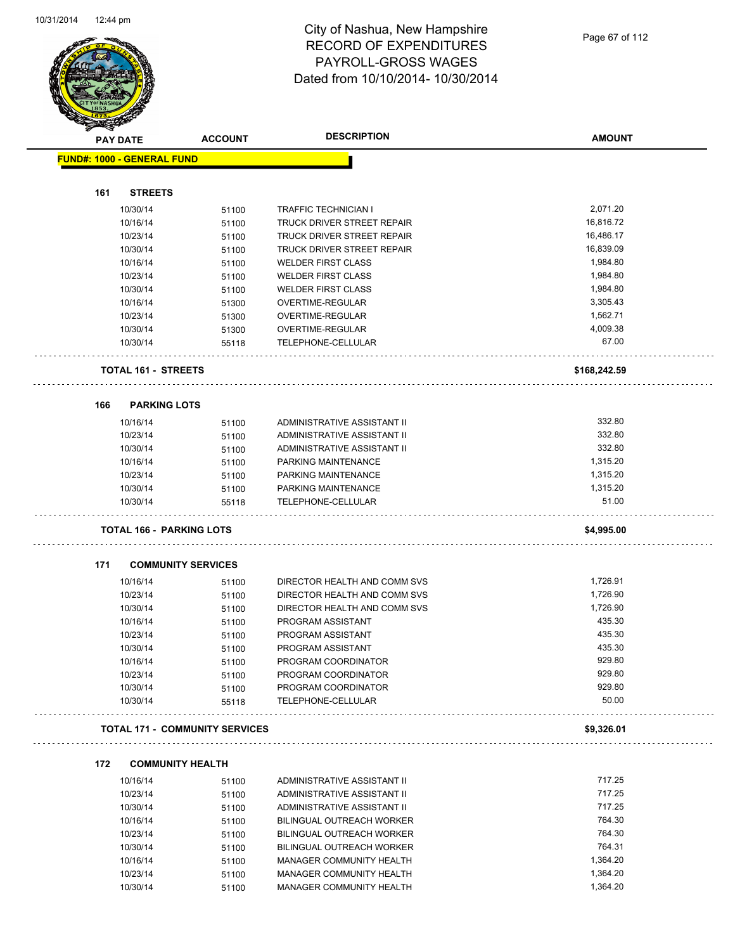

| $\tilde{\phantom{a}}$<br><b>PAY DATE</b> |                                     | <b>ACCOUNT</b>                        | <b>DESCRIPTION</b>           | <b>AMOUNT</b> |
|------------------------------------------|-------------------------------------|---------------------------------------|------------------------------|---------------|
|                                          | <b>FUND#: 1000 - GENERAL FUND</b>   |                                       |                              |               |
|                                          |                                     |                                       |                              |               |
| 161                                      | <b>STREETS</b>                      |                                       |                              |               |
|                                          | 10/30/14                            | 51100                                 | <b>TRAFFIC TECHNICIAN I</b>  | 2,071.20      |
|                                          | 10/16/14                            | 51100                                 | TRUCK DRIVER STREET REPAIR   | 16,816.72     |
|                                          | 10/23/14                            | 51100                                 | TRUCK DRIVER STREET REPAIR   | 16,486.17     |
|                                          | 10/30/14                            | 51100                                 | TRUCK DRIVER STREET REPAIR   | 16,839.09     |
|                                          | 10/16/14                            | 51100                                 | <b>WELDER FIRST CLASS</b>    | 1,984.80      |
|                                          | 10/23/14                            | 51100                                 | <b>WELDER FIRST CLASS</b>    | 1,984.80      |
|                                          | 10/30/14                            | 51100                                 | <b>WELDER FIRST CLASS</b>    | 1,984.80      |
|                                          | 10/16/14                            | 51300                                 | OVERTIME-REGULAR             | 3,305.43      |
|                                          | 10/23/14                            | 51300                                 | OVERTIME-REGULAR             | 1,562.71      |
|                                          | 10/30/14                            | 51300                                 | OVERTIME-REGULAR             | 4,009.38      |
|                                          | 10/30/14                            | 55118                                 | TELEPHONE-CELLULAR           | 67.00         |
|                                          | <b>TOTAL 161 - STREETS</b>          |                                       |                              | \$168,242.59  |
| 166                                      | <b>PARKING LOTS</b>                 |                                       |                              |               |
|                                          | 10/16/14                            | 51100                                 | ADMINISTRATIVE ASSISTANT II  | 332.80        |
|                                          | 10/23/14                            | 51100                                 | ADMINISTRATIVE ASSISTANT II  | 332.80        |
|                                          | 10/30/14                            | 51100                                 | ADMINISTRATIVE ASSISTANT II  | 332.80        |
|                                          | 10/16/14                            | 51100                                 | PARKING MAINTENANCE          | 1,315.20      |
|                                          | 10/23/14                            | 51100                                 | PARKING MAINTENANCE          | 1,315.20      |
|                                          | 10/30/14                            | 51100                                 | PARKING MAINTENANCE          | 1,315.20      |
|                                          | 10/30/14                            | 55118                                 | TELEPHONE-CELLULAR           | 51.00         |
|                                          |                                     | <b>TOTAL 166 - PARKING LOTS</b>       |                              | \$4,995.00    |
| 171                                      |                                     | <b>COMMUNITY SERVICES</b>             |                              |               |
|                                          | 10/16/14                            | 51100                                 | DIRECTOR HEALTH AND COMM SVS | 1,726.91      |
|                                          | 10/23/14                            | 51100                                 | DIRECTOR HEALTH AND COMM SVS | 1,726.90      |
|                                          | 10/30/14                            | 51100                                 | DIRECTOR HEALTH AND COMM SVS | 1,726.90      |
|                                          | 10/16/14                            | 51100                                 | PROGRAM ASSISTANT            | 435.30        |
|                                          | 10/23/14                            | 51100                                 | PROGRAM ASSISTANT            | 435.30        |
|                                          | 10/30/14                            | 51100                                 | PROGRAM ASSISTANT            | 435.30        |
|                                          | 10/16/14                            | 51100                                 | PROGRAM COORDINATOR          | 929.80        |
|                                          | 10/23/14                            | 51100                                 | PROGRAM COORDINATOR          | 929.80        |
|                                          | 10/30/14                            | 51100                                 | PROGRAM COORDINATOR          | 929.80        |
|                                          | 10/30/14                            | 55118                                 | TELEPHONE-CELLULAR           | 50.00         |
|                                          |                                     | <b>TOTAL 171 - COMMUNITY SERVICES</b> |                              | \$9,326.01    |
|                                          |                                     |                                       |                              |               |
| 172                                      | <b>COMMUNITY HEALTH</b><br>10/16/14 | 51100                                 | ADMINISTRATIVE ASSISTANT II  | 717.25        |
|                                          | 10/23/14                            | 51100                                 | ADMINISTRATIVE ASSISTANT II  | 717.25        |
|                                          | 10/30/14                            | 51100                                 | ADMINISTRATIVE ASSISTANT II  | 717.25        |
|                                          | 10/16/14                            | 51100                                 | BILINGUAL OUTREACH WORKER    | 764.30        |
|                                          | 10/23/14                            | 51100                                 | BILINGUAL OUTREACH WORKER    | 764.30        |
|                                          | 10/30/14                            | 51100                                 | BILINGUAL OUTREACH WORKER    | 764.31        |
|                                          | 10/16/14                            | 51100                                 | MANAGER COMMUNITY HEALTH     | 1,364.20      |
|                                          | 10/23/14                            | 51100                                 | MANAGER COMMUNITY HEALTH     | 1,364.20      |
|                                          |                                     |                                       |                              |               |

10/30/14 51100 MANAGER COMMUNITY HEALTH 1,364.20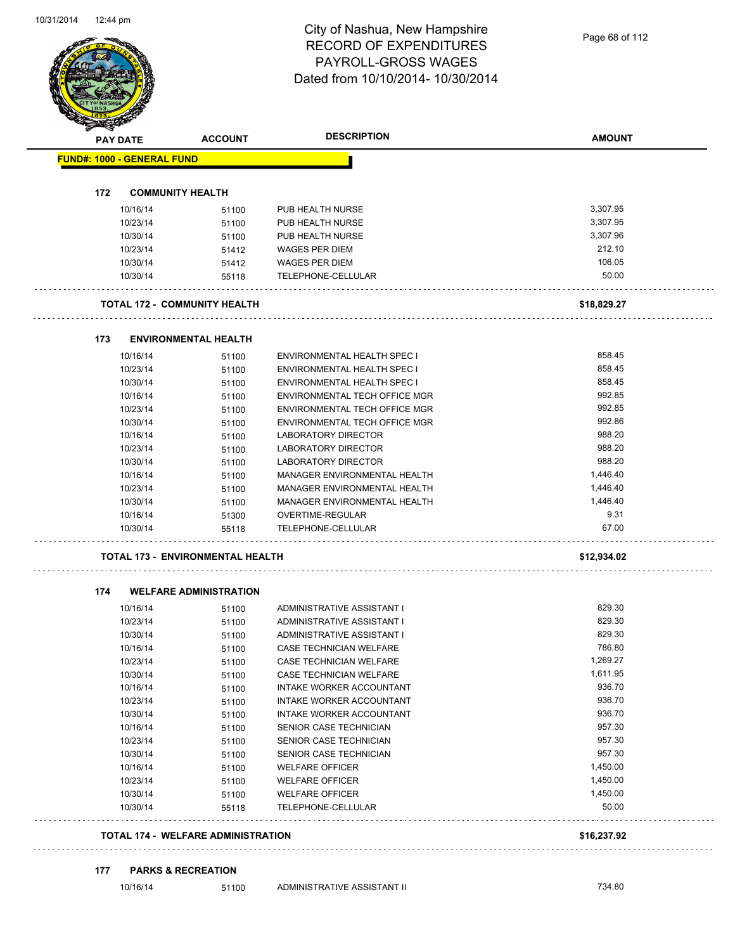| <b>PAY DATE</b>                   | <b>ACCOUNT</b>                            | <b>DESCRIPTION</b>                           | <b>AMOUNT</b>     |
|-----------------------------------|-------------------------------------------|----------------------------------------------|-------------------|
| <b>FUND#: 1000 - GENERAL FUND</b> |                                           |                                              |                   |
| 172                               | <b>COMMUNITY HEALTH</b>                   |                                              |                   |
| 10/16/14                          | 51100                                     | PUB HEALTH NURSE                             | 3,307.95          |
| 10/23/14                          | 51100                                     | PUB HEALTH NURSE                             | 3,307.95          |
| 10/30/14                          | 51100                                     | PUB HEALTH NURSE                             | 3,307.96          |
| 10/23/14                          | 51412                                     | WAGES PER DIEM                               | 212.10            |
| 10/30/14                          | 51412                                     | <b>WAGES PER DIEM</b>                        | 106.05            |
| 10/30/14                          | 55118                                     | TELEPHONE-CELLULAR                           | 50.00             |
|                                   | <b>TOTAL 172 - COMMUNITY HEALTH</b>       |                                              | \$18,829.27       |
|                                   | <b>ENVIRONMENTAL HEALTH</b>               |                                              |                   |
| 173<br>10/16/14                   | 51100                                     | <b>ENVIRONMENTAL HEALTH SPEC I</b>           | 858.45            |
| 10/23/14                          | 51100                                     | <b>ENVIRONMENTAL HEALTH SPEC I</b>           | 858.45            |
| 10/30/14                          | 51100                                     | <b>ENVIRONMENTAL HEALTH SPEC I</b>           | 858.45            |
| 10/16/14                          | 51100                                     | ENVIRONMENTAL TECH OFFICE MGR                | 992.85            |
| 10/23/14                          | 51100                                     | ENVIRONMENTAL TECH OFFICE MGR                | 992.85            |
| 10/30/14                          | 51100                                     | ENVIRONMENTAL TECH OFFICE MGR                | 992.86            |
| 10/16/14                          | 51100                                     | LABORATORY DIRECTOR                          | 988.20            |
| 10/23/14                          | 51100                                     | LABORATORY DIRECTOR                          | 988.20            |
| 10/30/14                          | 51100                                     | <b>LABORATORY DIRECTOR</b>                   | 988.20            |
| 10/16/14                          | 51100                                     | MANAGER ENVIRONMENTAL HEALTH                 | 1,446.40          |
| 10/23/14                          | 51100                                     | MANAGER ENVIRONMENTAL HEALTH                 | 1,446.40          |
| 10/30/14                          | 51100                                     | MANAGER ENVIRONMENTAL HEALTH                 | 1,446.40          |
| 10/16/14                          | 51300                                     | OVERTIME-REGULAR                             | 9.31              |
| 10/30/14                          | 55118                                     | TELEPHONE-CELLULAR                           | 67.00             |
|                                   | <b>TOTAL 173 - ENVIRONMENTAL HEALTH</b>   |                                              | \$12,934.02       |
| 174                               | <b>WELFARE ADMINISTRATION</b>             |                                              |                   |
| 10/16/14                          | 51100                                     | ADMINISTRATIVE ASSISTANT I                   | 829.30            |
| 10/23/14                          | 51100                                     | ADMINISTRATIVE ASSISTANT I                   | 829.30            |
| 10/30/14                          | 51100                                     | ADMINISTRATIVE ASSISTANT I                   | 829.30            |
| 10/16/14                          | 51100                                     | CASE TECHNICIAN WELFARE                      | 786.80            |
| 10/23/14                          | 51100                                     | CASE TECHNICIAN WELFARE                      | 1,269.27          |
| 10/30/14                          | 51100                                     | CASE TECHNICIAN WELFARE                      | 1,611.95          |
| 10/16/14                          | 51100                                     | INTAKE WORKER ACCOUNTANT                     | 936.70            |
| 10/23/14                          | 51100                                     | INTAKE WORKER ACCOUNTANT                     | 936.70            |
| 10/30/14                          | 51100                                     | INTAKE WORKER ACCOUNTANT                     | 936.70            |
| 10/16/14                          | 51100                                     | SENIOR CASE TECHNICIAN                       | 957.30            |
| 10/23/14                          | 51100                                     | SENIOR CASE TECHNICIAN                       | 957.30            |
| 10/30/14                          | 51100                                     | SENIOR CASE TECHNICIAN                       | 957.30            |
| 10/16/14                          | 51100                                     | <b>WELFARE OFFICER</b>                       | 1,450.00          |
| 10/23/14                          | 51100                                     | <b>WELFARE OFFICER</b>                       | 1,450.00          |
| 10/30/14<br>10/30/14              | 51100<br>55118                            | <b>WELFARE OFFICER</b><br>TELEPHONE-CELLULAR | 1,450.00<br>50.00 |
|                                   | <b>TOTAL 174 - WELFARE ADMINISTRATION</b> |                                              | \$16,237.92       |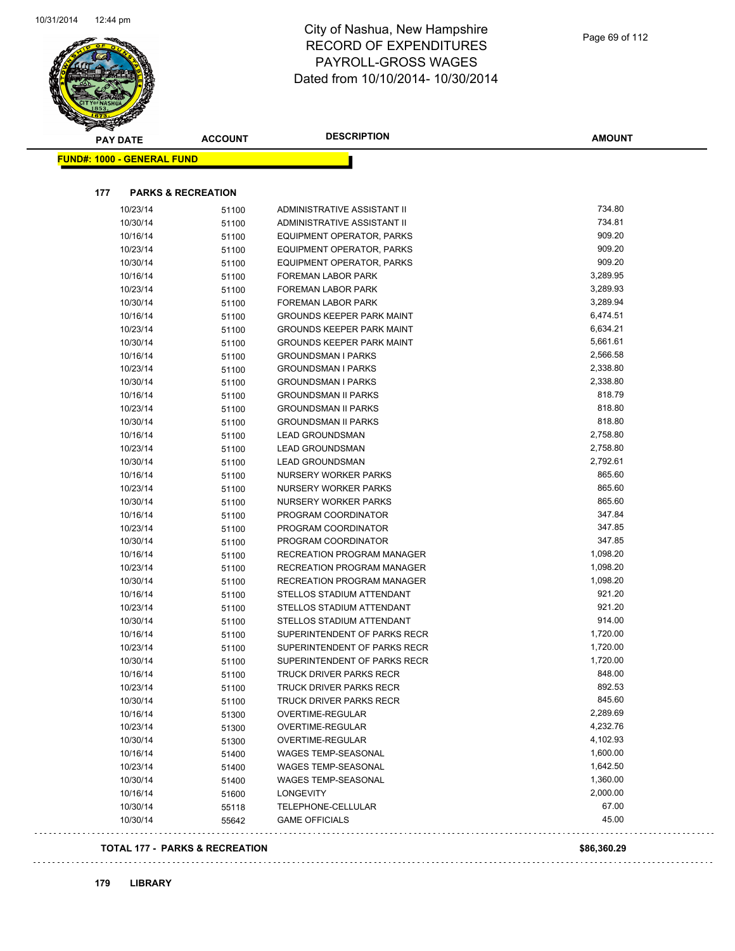

 $\ldots$ 

| <b>PAY DATE</b>                           | <b>ACCOUNT</b> | <b>DESCRIPTION</b>                          | <b>AMOUNT</b>  |
|-------------------------------------------|----------------|---------------------------------------------|----------------|
| <b>FUND#: 1000 - GENERAL FUND</b>         |                |                                             |                |
|                                           |                |                                             |                |
| 177<br><b>PARKS &amp; RECREATION</b>      |                |                                             |                |
| 10/23/14                                  | 51100          | ADMINISTRATIVE ASSISTANT II                 | 734.80         |
| 10/30/14                                  | 51100          | ADMINISTRATIVE ASSISTANT II                 | 734.81         |
| 10/16/14                                  | 51100          | EQUIPMENT OPERATOR, PARKS                   | 909.20         |
| 10/23/14                                  | 51100          | EQUIPMENT OPERATOR, PARKS                   | 909.20         |
| 10/30/14                                  | 51100          | EQUIPMENT OPERATOR, PARKS                   | 909.20         |
| 10/16/14                                  | 51100          | <b>FOREMAN LABOR PARK</b>                   | 3,289.95       |
| 10/23/14                                  | 51100          | <b>FOREMAN LABOR PARK</b>                   | 3,289.93       |
| 10/30/14                                  | 51100          | <b>FOREMAN LABOR PARK</b>                   | 3,289.94       |
| 10/16/14                                  | 51100          | <b>GROUNDS KEEPER PARK MAINT</b>            | 6,474.51       |
| 10/23/14                                  | 51100          | <b>GROUNDS KEEPER PARK MAINT</b>            | 6,634.21       |
| 10/30/14                                  | 51100          | <b>GROUNDS KEEPER PARK MAINT</b>            | 5,661.61       |
| 10/16/14                                  | 51100          | <b>GROUNDSMAN I PARKS</b>                   | 2,566.58       |
| 10/23/14                                  | 51100          | <b>GROUNDSMAN I PARKS</b>                   | 2,338.80       |
| 10/30/14                                  | 51100          | <b>GROUNDSMAN I PARKS</b>                   | 2,338.80       |
| 10/16/14                                  | 51100          | <b>GROUNDSMAN II PARKS</b>                  | 818.79         |
| 10/23/14                                  | 51100          | <b>GROUNDSMAN II PARKS</b>                  | 818.80         |
| 10/30/14                                  | 51100          | <b>GROUNDSMAN II PARKS</b>                  | 818.80         |
| 10/16/14                                  | 51100          | <b>LEAD GROUNDSMAN</b>                      | 2,758.80       |
| 10/23/14                                  | 51100          | <b>LEAD GROUNDSMAN</b>                      | 2,758.80       |
| 10/30/14                                  | 51100          | <b>LEAD GROUNDSMAN</b>                      | 2,792.61       |
| 10/16/14                                  | 51100          | NURSERY WORKER PARKS                        | 865.60         |
| 10/23/14                                  | 51100          | NURSERY WORKER PARKS                        | 865.60         |
| 10/30/14                                  | 51100          | NURSERY WORKER PARKS                        | 865.60         |
| 10/16/14                                  | 51100          | PROGRAM COORDINATOR                         | 347.84         |
| 10/23/14                                  | 51100          | PROGRAM COORDINATOR                         | 347.85         |
| 10/30/14                                  | 51100          | PROGRAM COORDINATOR                         | 347.85         |
| 10/16/14                                  | 51100          | RECREATION PROGRAM MANAGER                  | 1,098.20       |
| 10/23/14                                  | 51100          | RECREATION PROGRAM MANAGER                  | 1,098.20       |
| 10/30/14                                  | 51100          | RECREATION PROGRAM MANAGER                  | 1,098.20       |
| 10/16/14                                  | 51100          | STELLOS STADIUM ATTENDANT                   | 921.20         |
| 10/23/14                                  | 51100          | STELLOS STADIUM ATTENDANT                   | 921.20         |
| 10/30/14                                  | 51100          | STELLOS STADIUM ATTENDANT                   | 914.00         |
| 10/16/14                                  | 51100          | SUPERINTENDENT OF PARKS RECR                | 1,720.00       |
| 10/23/14                                  | 51100          | SUPERINTENDENT OF PARKS RECR                | 1,720.00       |
| 10/30/14                                  | 51100          | SUPERINTENDENT OF PARKS RECR                | 1,720.00       |
| 10/16/14                                  | 51100          | TRUCK DRIVER PARKS RECR                     | 848.00         |
| 10/23/14                                  | 51100          | TRUCK DRIVER PARKS RECR                     | 892.53         |
| 10/30/14                                  | 51100          | TRUCK DRIVER PARKS RECR                     | 845.60         |
| 10/16/14                                  | 51300          | OVERTIME-REGULAR                            | 2,289.69       |
| 10/23/14                                  | 51300          | OVERTIME-REGULAR                            | 4,232.76       |
| 10/30/14                                  | 51300          | OVERTIME-REGULAR                            | 4,102.93       |
| 10/16/14                                  | 51400          | WAGES TEMP-SEASONAL                         | 1,600.00       |
| 10/23/14                                  | 51400          | WAGES TEMP-SEASONAL                         | 1,642.50       |
| 10/30/14                                  | 51400          | WAGES TEMP-SEASONAL                         | 1,360.00       |
| 10/16/14                                  | 51600          | <b>LONGEVITY</b>                            | 2,000.00       |
| 10/30/14<br>10/30/14                      | 55118          | TELEPHONE-CELLULAR<br><b>GAME OFFICIALS</b> | 67.00<br>45.00 |
|                                           | 55642          |                                             |                |
| <b>TOTAL 177 - PARKS &amp; RECREATION</b> |                |                                             | \$86,360.29    |

## **179 LIBRARY**

 $\bar{z}$  .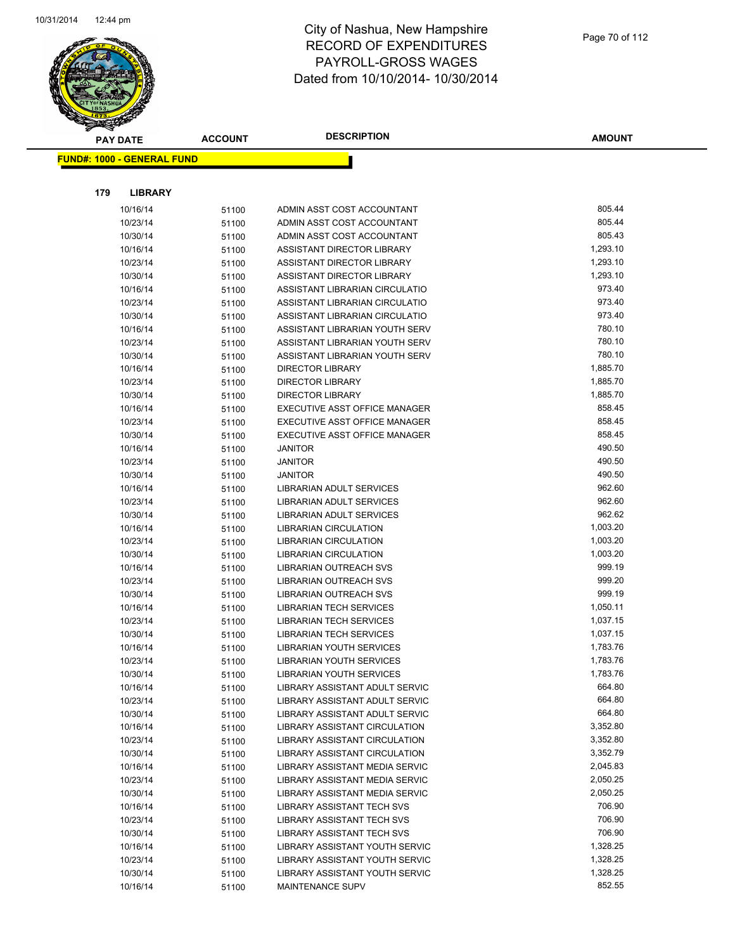

**AMOUNT**

| <u> FUND#: 1000 - GENERAL FUND</u> |                |                                                                  |                    |
|------------------------------------|----------------|------------------------------------------------------------------|--------------------|
|                                    |                |                                                                  |                    |
| 179<br><b>LIBRARY</b>              |                |                                                                  |                    |
| 10/16/14                           | 51100          | ADMIN ASST COST ACCOUNTANT                                       | 805.44             |
| 10/23/14                           | 51100          | ADMIN ASST COST ACCOUNTANT                                       | 805.44             |
| 10/30/14                           | 51100          | ADMIN ASST COST ACCOUNTANT                                       | 805.43             |
| 10/16/14                           | 51100          | ASSISTANT DIRECTOR LIBRARY                                       | 1,293.10           |
| 10/23/14                           | 51100          | ASSISTANT DIRECTOR LIBRARY                                       | 1,293.10           |
| 10/30/14                           | 51100          | ASSISTANT DIRECTOR LIBRARY                                       | 1,293.10           |
| 10/16/14                           | 51100          | ASSISTANT LIBRARIAN CIRCULATIO                                   | 973.40             |
| 10/23/14                           | 51100          | ASSISTANT LIBRARIAN CIRCULATIO                                   | 973.40             |
| 10/30/14                           | 51100          | ASSISTANT LIBRARIAN CIRCULATIO                                   | 973.40             |
| 10/16/14                           | 51100          | ASSISTANT LIBRARIAN YOUTH SERV                                   | 780.10             |
| 10/23/14                           | 51100          | ASSISTANT LIBRARIAN YOUTH SERV                                   | 780.10             |
| 10/30/14                           | 51100          | ASSISTANT LIBRARIAN YOUTH SERV                                   | 780.10             |
| 10/16/14                           | 51100          | <b>DIRECTOR LIBRARY</b>                                          | 1,885.70           |
| 10/23/14                           | 51100          | <b>DIRECTOR LIBRARY</b>                                          | 1,885.70           |
| 10/30/14                           | 51100          | <b>DIRECTOR LIBRARY</b>                                          | 1,885.70           |
| 10/16/14                           | 51100          | EXECUTIVE ASST OFFICE MANAGER                                    | 858.45             |
| 10/23/14                           | 51100          | EXECUTIVE ASST OFFICE MANAGER                                    | 858.45             |
| 10/30/14                           | 51100          | EXECUTIVE ASST OFFICE MANAGER                                    | 858.45             |
| 10/16/14                           | 51100          | <b>JANITOR</b>                                                   | 490.50             |
| 10/23/14                           | 51100          | <b>JANITOR</b>                                                   | 490.50             |
| 10/30/14                           | 51100          | <b>JANITOR</b>                                                   | 490.50             |
| 10/16/14                           | 51100          | LIBRARIAN ADULT SERVICES                                         | 962.60             |
| 10/23/14                           | 51100          | LIBRARIAN ADULT SERVICES                                         | 962.60             |
| 10/30/14                           | 51100          | <b>LIBRARIAN ADULT SERVICES</b>                                  | 962.62             |
| 10/16/14                           | 51100          | LIBRARIAN CIRCULATION                                            | 1,003.20           |
| 10/23/14                           | 51100          | LIBRARIAN CIRCULATION                                            | 1,003.20           |
| 10/30/14                           | 51100          | <b>LIBRARIAN CIRCULATION</b>                                     | 1,003.20           |
| 10/16/14                           | 51100          | LIBRARIAN OUTREACH SVS                                           | 999.19             |
| 10/23/14                           | 51100          | LIBRARIAN OUTREACH SVS                                           | 999.20             |
| 10/30/14                           | 51100          | LIBRARIAN OUTREACH SVS                                           | 999.19<br>1,050.11 |
| 10/16/14                           | 51100          | <b>LIBRARIAN TECH SERVICES</b>                                   | 1,037.15           |
| 10/23/14                           | 51100          | <b>LIBRARIAN TECH SERVICES</b><br><b>LIBRARIAN TECH SERVICES</b> | 1,037.15           |
| 10/30/14<br>10/16/14               | 51100          | LIBRARIAN YOUTH SERVICES                                         | 1,783.76           |
| 10/23/14                           | 51100<br>51100 | <b>LIBRARIAN YOUTH SERVICES</b>                                  | 1,783.76           |
| 10/30/14                           | 51100          | LIBRARIAN YOUTH SERVICES                                         | 1,783.76           |
| 10/16/14                           | 51100          | LIBRARY ASSISTANT ADULT SERVIC                                   | 664.80             |
| 10/23/14                           | 51100          | LIBRARY ASSISTANT ADULT SERVIC                                   | 664.80             |
| 10/30/14                           | 51100          | LIBRARY ASSISTANT ADULT SERVIC                                   | 664.80             |
| 10/16/14                           | 51100          | LIBRARY ASSISTANT CIRCULATION                                    | 3,352.80           |
| 10/23/14                           | 51100          | <b>LIBRARY ASSISTANT CIRCULATION</b>                             | 3,352.80           |
| 10/30/14                           | 51100          | LIBRARY ASSISTANT CIRCULATION                                    | 3,352.79           |
| 10/16/14                           | 51100          | LIBRARY ASSISTANT MEDIA SERVIC                                   | 2,045.83           |
| 10/23/14                           | 51100          | LIBRARY ASSISTANT MEDIA SERVIC                                   | 2,050.25           |
| 10/30/14                           | 51100          | LIBRARY ASSISTANT MEDIA SERVIC                                   | 2,050.25           |
| 10/16/14                           | 51100          | <b>LIBRARY ASSISTANT TECH SVS</b>                                | 706.90             |
| 10/23/14                           | 51100          | <b>LIBRARY ASSISTANT TECH SVS</b>                                | 706.90             |
| 10/30/14                           | 51100          | <b>LIBRARY ASSISTANT TECH SVS</b>                                | 706.90             |
| 10/16/14                           | 51100          | LIBRARY ASSISTANT YOUTH SERVIC                                   | 1,328.25           |
| 10/23/14                           | 51100          | LIBRARY ASSISTANT YOUTH SERVIC                                   | 1,328.25           |
| 10/30/14                           | 51100          | LIBRARY ASSISTANT YOUTH SERVIC                                   | 1,328.25           |
| 10/16/14                           | 51100          | <b>MAINTENANCE SUPV</b>                                          | 852.55             |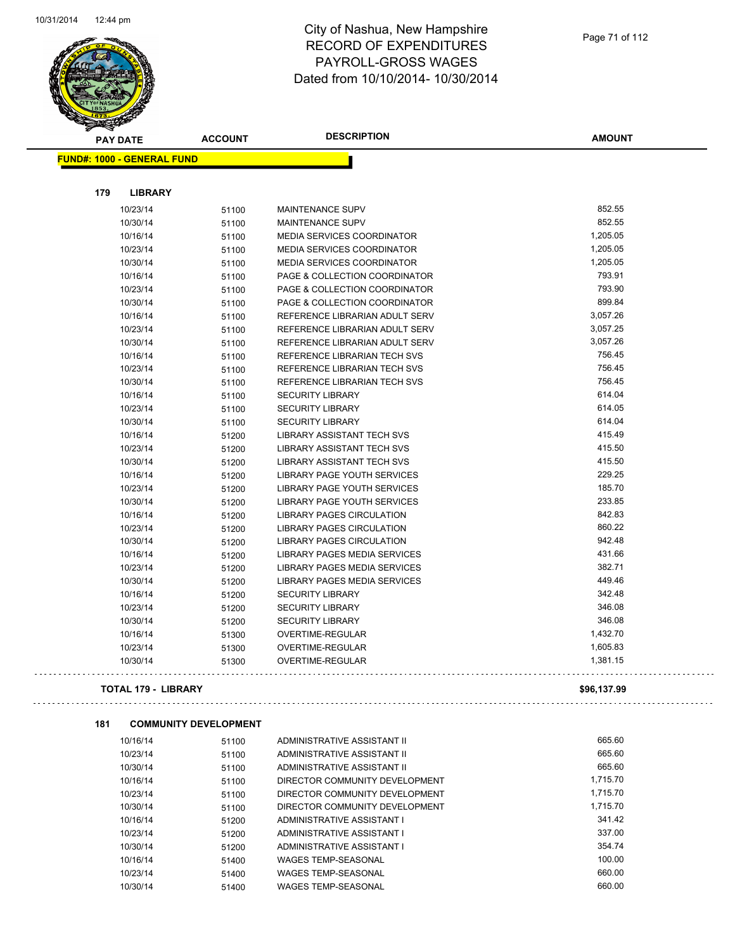

#### City of Nashua, New Hampshire RECORD OF EXPENDITURES PAYROLL-GROSS WAGES Dated from 10/10/2014- 10/30/2014

| <b>PARTHAL</b> |                                   |                |                                     |               |
|----------------|-----------------------------------|----------------|-------------------------------------|---------------|
|                | <b>PAY DATE</b>                   | <b>ACCOUNT</b> | <b>DESCRIPTION</b>                  | <b>AMOUNT</b> |
|                | <b>FUND#: 1000 - GENERAL FUND</b> |                |                                     |               |
|                |                                   |                |                                     |               |
| 179            | <b>LIBRARY</b>                    |                |                                     |               |
|                | 10/23/14                          | 51100          | MAINTENANCE SUPV                    | 852.55        |
|                | 10/30/14                          | 51100          | <b>MAINTENANCE SUPV</b>             | 852.55        |
|                | 10/16/14                          | 51100          | <b>MEDIA SERVICES COORDINATOR</b>   | 1,205.05      |
|                | 10/23/14                          | 51100          | <b>MEDIA SERVICES COORDINATOR</b>   | 1,205.05      |
|                | 10/30/14                          | 51100          | MEDIA SERVICES COORDINATOR          | 1,205.05      |
|                | 10/16/14                          | 51100          | PAGE & COLLECTION COORDINATOR       | 793.91        |
|                | 10/23/14                          | 51100          | PAGE & COLLECTION COORDINATOR       | 793.90        |
|                | 10/30/14                          | 51100          | PAGE & COLLECTION COORDINATOR       | 899.84        |
|                | 10/16/14                          | 51100          | REFERENCE LIBRARIAN ADULT SERV      | 3,057.26      |
|                | 10/23/14                          | 51100          | REFERENCE LIBRARIAN ADULT SERV      | 3,057.25      |
|                | 10/30/14                          | 51100          | REFERENCE LIBRARIAN ADULT SERV      | 3,057.26      |
|                | 10/16/14                          | 51100          | REFERENCE LIBRARIAN TECH SVS        | 756.45        |
|                | 10/23/14                          | 51100          | <b>REFERENCE LIBRARIAN TECH SVS</b> | 756.45        |
|                | 10/30/14                          | 51100          | REFERENCE LIBRARIAN TECH SVS        | 756.45        |
|                | 10/16/14                          | 51100          | <b>SECURITY LIBRARY</b>             | 614.04        |
|                | 10/23/14                          | 51100          | <b>SECURITY LIBRARY</b>             | 614.05        |
|                | 10/30/14                          | 51100          | <b>SECURITY LIBRARY</b>             | 614.04        |
|                | 10/16/14                          | 51200          | LIBRARY ASSISTANT TECH SVS          | 415.49        |
|                | 10/23/14                          | 51200          | LIBRARY ASSISTANT TECH SVS          | 415.50        |
|                | 10/30/14                          | 51200          | <b>LIBRARY ASSISTANT TECH SVS</b>   | 415.50        |
|                | 10/16/14                          | 51200          | LIBRARY PAGE YOUTH SERVICES         | 229.25        |
|                | 10/23/14                          | 51200          | LIBRARY PAGE YOUTH SERVICES         | 185.70        |
|                | 10/30/14                          | 51200          | LIBRARY PAGE YOUTH SERVICES         | 233.85        |
|                | 10/16/14                          | 51200          | LIBRARY PAGES CIRCULATION           | 842.83        |
|                | 10/23/14                          | 51200          | LIBRARY PAGES CIRCULATION           | 860.22        |
|                | 10/30/14                          | 51200          | LIBRARY PAGES CIRCULATION           | 942.48        |
|                | 10/16/14                          | 51200          | LIBRARY PAGES MEDIA SERVICES        | 431.66        |
|                | 10/23/14                          | 51200          | LIBRARY PAGES MEDIA SERVICES        | 382.71        |
|                | 10/30/14                          | 51200          | LIBRARY PAGES MEDIA SERVICES        | 449.46        |
|                | 10/16/14                          | 51200          | <b>SECURITY LIBRARY</b>             | 342.48        |
|                | 10/23/14                          | 51200          | <b>SECURITY LIBRARY</b>             | 346.08        |
|                | 10/30/14                          |                | <b>SECURITY LIBRARY</b>             | 346.08        |
|                | 10/16/14                          | 51200          | OVERTIME-REGULAR                    | 1,432.70      |
|                | 10/23/14                          | 51300          | OVERTIME-REGULAR                    | 1,605.83      |
|                | 10/30/14                          | 51300<br>51300 | OVERTIME-REGULAR                    | 1,381.15      |
|                |                                   |                |                                     |               |
|                | <b>TOTAL 179 - LIBRARY</b>        |                |                                     | \$96,137.99   |
|                |                                   |                |                                     |               |
| 181            | <b>COMMUNITY DEVELOPMENT</b>      |                |                                     |               |
|                | 10/16/14                          | 51100          | ADMINISTRATIVE ASSISTANT II         | 665.60        |
|                | 10/23/14                          | 51100          | ADMINISTRATIVE ASSISTANT II         | 665.60        |
|                | 10/30/14                          | 51100          | ADMINISTRATIVE ASSISTANT II         | 665.60        |
|                | 10/16/14                          | 51100          | DIRECTOR COMMUNITY DEVELOPMENT      | 1,715.70      |
|                | 10/23/14                          | 51100          | DIRECTOR COMMUNITY DEVELOPMENT      | 1,715.70      |
|                | 10/30/14                          | 51100          | DIRECTOR COMMUNITY DEVELOPMENT      | 1,715.70      |
|                | 10/16/14                          | 51200          | ADMINISTRATIVE ASSISTANT I          | 341.42        |
|                | 10/23/14                          | 51200          | ADMINISTRATIVE ASSISTANT I          | 337.00        |
|                | 10/30/14                          | 51200          | ADMINISTRATIVE ASSISTANT I          | 354.74        |
|                | 10/16/14                          | 51400          | WAGES TEMP-SEASONAL                 | 100.00        |

10/23/14 51400 WAGES TEMP-SEASONAL 660.00

10/30/14 51400 WAGES TEMP-SEASONAL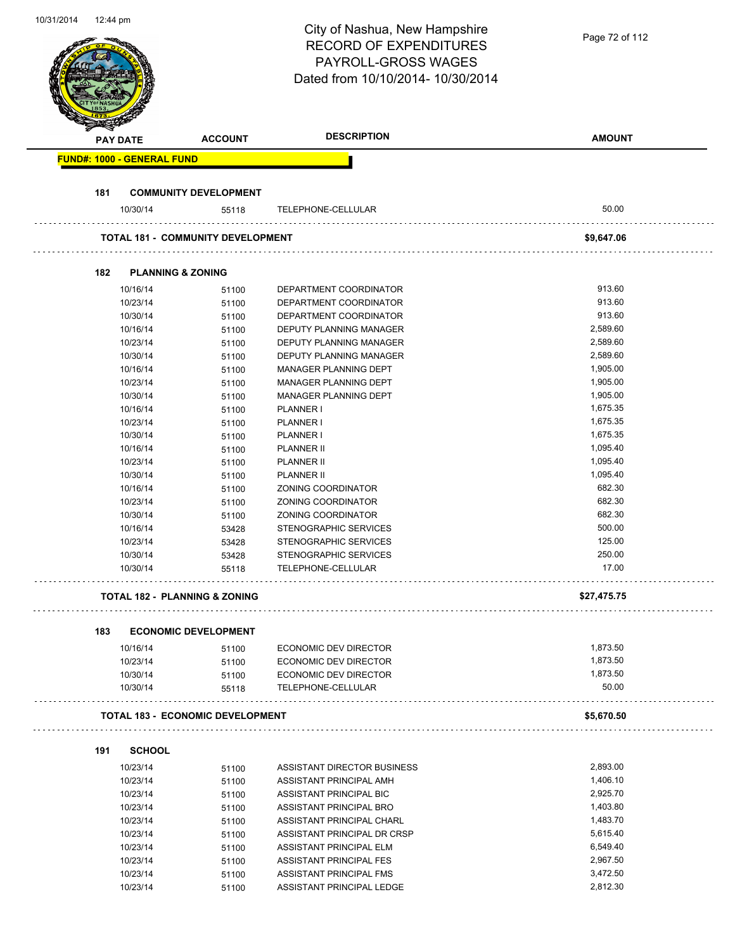| 10/31/2014 | 12:44 pm |                      |                                          | City of Nashua, New Hampshire<br><b>RECORD OF EXPENDITURES</b><br><b>PAYROLL-GROSS WAGES</b> | Page 72 of 112       |
|------------|----------|----------------------|------------------------------------------|----------------------------------------------------------------------------------------------|----------------------|
|            |          |                      |                                          | Dated from 10/10/2014- 10/30/2014                                                            |                      |
|            |          | <b>PAY DATE</b>      | <b>ACCOUNT</b>                           | <b>DESCRIPTION</b>                                                                           | <b>AMOUNT</b>        |
|            |          |                      | <b>FUND#: 1000 - GENERAL FUND</b>        |                                                                                              |                      |
|            |          |                      |                                          |                                                                                              |                      |
|            | 181      |                      | <b>COMMUNITY DEVELOPMENT</b>             |                                                                                              |                      |
|            |          | 10/30/14             | 55118                                    | TELEPHONE-CELLULAR                                                                           | 50.00                |
|            |          |                      | <b>TOTAL 181 - COMMUNITY DEVELOPMENT</b> |                                                                                              | \$9,647.06           |
|            | 182      |                      | <b>PLANNING &amp; ZONING</b>             |                                                                                              |                      |
|            |          | 10/16/14             | 51100                                    | DEPARTMENT COORDINATOR                                                                       | 913.60               |
|            |          | 10/23/14             | 51100                                    | DEPARTMENT COORDINATOR                                                                       | 913.60               |
|            |          | 10/30/14             | 51100                                    | DEPARTMENT COORDINATOR                                                                       | 913.60               |
|            |          | 10/16/14             | 51100                                    | DEPUTY PLANNING MANAGER                                                                      | 2,589.60             |
|            |          | 10/23/14             | 51100                                    | DEPUTY PLANNING MANAGER                                                                      | 2,589.60             |
|            |          | 10/30/14             | 51100                                    | DEPUTY PLANNING MANAGER                                                                      | 2,589.60             |
|            |          | 10/16/14             | 51100                                    | MANAGER PLANNING DEPT                                                                        | 1,905.00             |
|            |          | 10/23/14             | 51100                                    | MANAGER PLANNING DEPT                                                                        | 1,905.00             |
|            |          | 10/30/14             | 51100                                    | MANAGER PLANNING DEPT                                                                        | 1,905.00             |
|            |          | 10/16/14             | 51100                                    | PLANNER I                                                                                    | 1,675.35             |
|            |          | 10/23/14             | 51100                                    | PLANNER I                                                                                    | 1,675.35             |
|            |          | 10/30/14             | 51100                                    | PLANNER I                                                                                    | 1,675.35             |
|            |          | 10/16/14             | 51100                                    | <b>PLANNER II</b>                                                                            | 1,095.40             |
|            |          | 10/23/14             | 51100                                    | PLANNER II                                                                                   | 1,095.40             |
|            |          | 10/30/14             | 51100                                    | PLANNER II                                                                                   | 1,095.40             |
|            |          | 10/16/14             | 51100                                    | ZONING COORDINATOR                                                                           | 682.30               |
|            |          | 10/23/14             | 51100                                    | ZONING COORDINATOR                                                                           | 682.30               |
|            |          | 10/30/14             | 51100                                    | ZONING COORDINATOR                                                                           | 682.30               |
|            |          | 10/16/14             | 53428                                    | STENOGRAPHIC SERVICES                                                                        | 500.00               |
|            |          | 10/23/14             | 53428                                    | STENOGRAPHIC SERVICES                                                                        | 125.00               |
|            |          | 10/30/14             | 53428                                    | STENOGRAPHIC SERVICES                                                                        | 250.00               |
|            |          | 10/30/14             | 55118                                    | TELEPHONE-CELLULAR                                                                           | 17.00                |
|            |          |                      | <b>TOTAL 182 - PLANNING &amp; ZONING</b> |                                                                                              | \$27,475.75          |
|            | 183      |                      | <b>ECONOMIC DEVELOPMENT</b>              |                                                                                              |                      |
|            |          | 10/16/14             | 51100                                    | ECONOMIC DEV DIRECTOR                                                                        | 1,873.50             |
|            |          | 10/23/14             |                                          | <b>ECONOMIC DEV DIRECTOR</b>                                                                 | 1,873.50             |
|            |          | 10/30/14             | 51100<br>51100                           | ECONOMIC DEV DIRECTOR                                                                        | 1,873.50             |
|            |          | 10/30/14             | 55118                                    | TELEPHONE-CELLULAR                                                                           | 50.00                |
|            |          |                      | <b>TOTAL 183 - ECONOMIC DEVELOPMENT</b>  |                                                                                              | \$5,670.50           |
|            |          |                      |                                          |                                                                                              |                      |
|            | 191      | <b>SCHOOL</b>        |                                          |                                                                                              |                      |
|            |          | 10/23/14             | 51100                                    | ASSISTANT DIRECTOR BUSINESS                                                                  | 2,893.00             |
|            |          | 10/23/14             | 51100                                    | ASSISTANT PRINCIPAL AMH                                                                      | 1,406.10             |
|            |          | 10/23/14             | 51100                                    | ASSISTANT PRINCIPAL BIC                                                                      | 2,925.70             |
|            |          | 10/23/14             | 51100                                    | ASSISTANT PRINCIPAL BRO                                                                      | 1,403.80             |
|            |          | 10/23/14             | 51100                                    | ASSISTANT PRINCIPAL CHARL                                                                    | 1,483.70             |
|            |          | 10/23/14             | 51100                                    | ASSISTANT PRINCIPAL DR CRSP                                                                  | 5,615.40             |
|            |          | 10/23/14             | 51100                                    | ASSISTANT PRINCIPAL ELM                                                                      | 6,549.40             |
|            |          | 10/23/14             | 51100                                    | ASSISTANT PRINCIPAL FES                                                                      | 2,967.50<br>3,472.50 |
|            |          | 10/23/14<br>10/23/14 | 51100                                    | ASSISTANT PRINCIPAL FMS<br>ASSISTANT PRINCIPAL LEDGE                                         | 2,812.30             |
|            |          |                      | 51100                                    |                                                                                              |                      |

10/31/2014 12:44 pm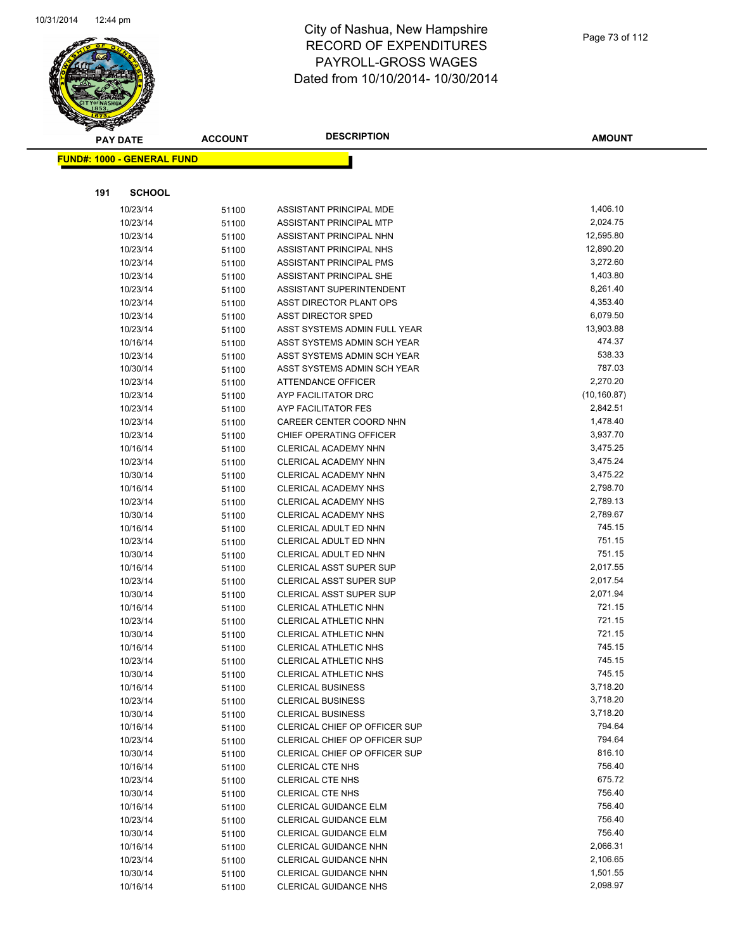

|     | <b>PAY DATE</b>                    | <b>ACCOUNT</b> | <b>DESCRIPTION</b>             | <b>AMOUNT</b> |
|-----|------------------------------------|----------------|--------------------------------|---------------|
|     | <u> FUND#: 1000 - GENERAL FUND</u> |                |                                |               |
|     |                                    |                |                                |               |
|     |                                    |                |                                |               |
| 191 | <b>SCHOOL</b>                      |                |                                |               |
|     | 10/23/14                           | 51100          | ASSISTANT PRINCIPAL MDE        | 1,406.10      |
|     | 10/23/14                           | 51100          | ASSISTANT PRINCIPAL MTP        | 2,024.75      |
|     | 10/23/14                           | 51100          | ASSISTANT PRINCIPAL NHN        | 12,595.80     |
|     | 10/23/14                           | 51100          | ASSISTANT PRINCIPAL NHS        | 12,890.20     |
|     | 10/23/14                           | 51100          | ASSISTANT PRINCIPAL PMS        | 3,272.60      |
|     | 10/23/14                           | 51100          | ASSISTANT PRINCIPAL SHE        | 1,403.80      |
|     | 10/23/14                           | 51100          | ASSISTANT SUPERINTENDENT       | 8,261.40      |
|     | 10/23/14                           | 51100          | ASST DIRECTOR PLANT OPS        | 4,353.40      |
|     | 10/23/14                           | 51100          | <b>ASST DIRECTOR SPED</b>      | 6,079.50      |
|     | 10/23/14                           | 51100          | ASST SYSTEMS ADMIN FULL YEAR   | 13,903.88     |
|     | 10/16/14                           | 51100          | ASST SYSTEMS ADMIN SCH YEAR    | 474.37        |
|     | 10/23/14                           | 51100          | ASST SYSTEMS ADMIN SCH YEAR    | 538.33        |
|     | 10/30/14                           | 51100          | ASST SYSTEMS ADMIN SCH YEAR    | 787.03        |
|     | 10/23/14                           | 51100          | <b>ATTENDANCE OFFICER</b>      | 2,270.20      |
|     | 10/23/14                           | 51100          | AYP FACILITATOR DRC            | (10, 160.87)  |
|     | 10/23/14                           | 51100          | AYP FACILITATOR FES            | 2,842.51      |
|     | 10/23/14                           | 51100          | CAREER CENTER COORD NHN        | 1,478.40      |
|     | 10/23/14                           | 51100          | CHIEF OPERATING OFFICER        | 3,937.70      |
|     | 10/16/14                           | 51100          | CLERICAL ACADEMY NHN           | 3,475.25      |
|     | 10/23/14                           | 51100          | CLERICAL ACADEMY NHN           | 3,475.24      |
|     | 10/30/14                           | 51100          | CLERICAL ACADEMY NHN           | 3,475.22      |
|     | 10/16/14                           | 51100          | CLERICAL ACADEMY NHS           | 2,798.70      |
|     | 10/23/14                           | 51100          | CLERICAL ACADEMY NHS           | 2,789.13      |
|     | 10/30/14                           | 51100          | <b>CLERICAL ACADEMY NHS</b>    | 2,789.67      |
|     | 10/16/14                           | 51100          | CLERICAL ADULT ED NHN          | 745.15        |
|     | 10/23/14                           | 51100          | CLERICAL ADULT ED NHN          | 751.15        |
|     | 10/30/14                           | 51100          | CLERICAL ADULT ED NHN          | 751.15        |
|     | 10/16/14                           | 51100          | <b>CLERICAL ASST SUPER SUP</b> | 2,017.55      |
|     | 10/23/14                           | 51100          | <b>CLERICAL ASST SUPER SUP</b> | 2,017.54      |
|     | 10/30/14                           | 51100          | <b>CLERICAL ASST SUPER SUP</b> | 2,071.94      |
|     | 10/16/14                           | 51100          | CLERICAL ATHLETIC NHN          | 721.15        |
|     | 10/23/14                           | 51100          | CLERICAL ATHLETIC NHN          | 721.15        |
|     | 10/30/14                           | 51100          | CLERICAL ATHLETIC NHN          | 721.15        |
|     | 10/16/14                           | 51100          | CLERICAL ATHLETIC NHS          | 745.15        |
|     | 10/23/14                           | 51100          | <b>CLERICAL ATHLETIC NHS</b>   | 745.15        |
|     | 10/30/14                           | 51100          | CLERICAL ATHLETIC NHS          | 745.15        |
|     | 10/16/14                           | 51100          | <b>CLERICAL BUSINESS</b>       | 3,718.20      |
|     | 10/23/14                           | 51100          | <b>CLERICAL BUSINESS</b>       | 3,718.20      |
|     | 10/30/14                           | 51100          | <b>CLERICAL BUSINESS</b>       | 3,718.20      |
|     | 10/16/14                           | 51100          | CLERICAL CHIEF OP OFFICER SUP  | 794.64        |
|     | 10/23/14                           | 51100          | CLERICAL CHIEF OP OFFICER SUP  | 794.64        |
|     | 10/30/14                           | 51100          | CLERICAL CHIEF OP OFFICER SUP  | 816.10        |
|     | 10/16/14                           | 51100          | <b>CLERICAL CTE NHS</b>        | 756.40        |
|     | 10/23/14                           | 51100          | <b>CLERICAL CTE NHS</b>        | 675.72        |
|     | 10/30/14                           | 51100          | <b>CLERICAL CTE NHS</b>        | 756.40        |
|     | 10/16/14                           | 51100          | <b>CLERICAL GUIDANCE ELM</b>   | 756.40        |
|     | 10/23/14                           | 51100          | CLERICAL GUIDANCE ELM          | 756.40        |
|     | 10/30/14                           | 51100          | CLERICAL GUIDANCE ELM          | 756.40        |
|     | 10/16/14                           | 51100          | CLERICAL GUIDANCE NHN          | 2,066.31      |
|     | 10/23/14                           | 51100          | CLERICAL GUIDANCE NHN          | 2,106.65      |
|     | 10/30/14                           | 51100          | CLERICAL GUIDANCE NHN          | 1,501.55      |
|     | 10/16/14                           | 51100          | <b>CLERICAL GUIDANCE NHS</b>   | 2,098.97      |
|     |                                    |                |                                |               |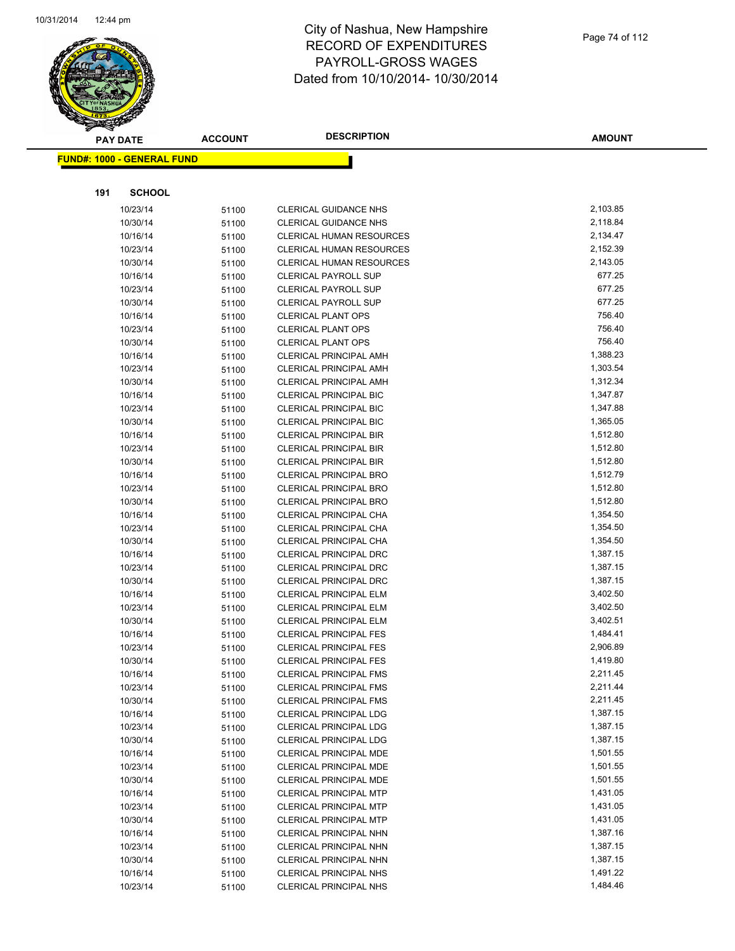

|     | <b>PAY DATE</b>                   | <b>ACCOUNT</b> | <b>DESCRIPTION</b>                                             | <b>AMOUNT</b>        |
|-----|-----------------------------------|----------------|----------------------------------------------------------------|----------------------|
|     | <b>FUND#: 1000 - GENERAL FUND</b> |                |                                                                |                      |
|     |                                   |                |                                                                |                      |
| 191 | <b>SCHOOL</b>                     |                |                                                                |                      |
|     | 10/23/14                          | 51100          | <b>CLERICAL GUIDANCE NHS</b>                                   | 2,103.85             |
|     | 10/30/14                          | 51100          | <b>CLERICAL GUIDANCE NHS</b>                                   | 2,118.84             |
|     | 10/16/14                          | 51100          | <b>CLERICAL HUMAN RESOURCES</b>                                | 2,134.47             |
|     | 10/23/14                          | 51100          | <b>CLERICAL HUMAN RESOURCES</b>                                | 2,152.39             |
|     | 10/30/14                          | 51100          | <b>CLERICAL HUMAN RESOURCES</b>                                | 2,143.05             |
|     | 10/16/14                          | 51100          | <b>CLERICAL PAYROLL SUP</b>                                    | 677.25               |
|     | 10/23/14                          | 51100          | <b>CLERICAL PAYROLL SUP</b>                                    | 677.25               |
|     | 10/30/14                          | 51100          | <b>CLERICAL PAYROLL SUP</b>                                    | 677.25               |
|     | 10/16/14                          | 51100          | <b>CLERICAL PLANT OPS</b>                                      | 756.40               |
|     | 10/23/14                          | 51100          | <b>CLERICAL PLANT OPS</b>                                      | 756.40               |
|     | 10/30/14                          | 51100          | <b>CLERICAL PLANT OPS</b>                                      | 756.40               |
|     | 10/16/14                          | 51100          | <b>CLERICAL PRINCIPAL AMH</b>                                  | 1,388.23             |
|     | 10/23/14                          | 51100          | <b>CLERICAL PRINCIPAL AMH</b>                                  | 1,303.54             |
|     | 10/30/14                          | 51100          | <b>CLERICAL PRINCIPAL AMH</b>                                  | 1,312.34             |
|     | 10/16/14                          | 51100          | <b>CLERICAL PRINCIPAL BIC</b>                                  | 1,347.87             |
|     | 10/23/14                          | 51100          | <b>CLERICAL PRINCIPAL BIC</b>                                  | 1,347.88             |
|     | 10/30/14                          | 51100          | <b>CLERICAL PRINCIPAL BIC</b>                                  | 1,365.05             |
|     | 10/16/14                          | 51100          | <b>CLERICAL PRINCIPAL BIR</b>                                  | 1,512.80             |
|     | 10/23/14                          | 51100          | CLERICAL PRINCIPAL BIR                                         | 1,512.80             |
|     | 10/30/14                          | 51100          | CLERICAL PRINCIPAL BIR                                         | 1,512.80             |
|     | 10/16/14                          | 51100          | <b>CLERICAL PRINCIPAL BRO</b>                                  | 1,512.79             |
|     | 10/23/14                          | 51100          | <b>CLERICAL PRINCIPAL BRO</b>                                  | 1,512.80             |
|     | 10/30/14                          | 51100          | <b>CLERICAL PRINCIPAL BRO</b>                                  | 1,512.80             |
|     | 10/16/14                          | 51100          | CLERICAL PRINCIPAL CHA                                         | 1,354.50             |
|     | 10/23/14                          | 51100          | CLERICAL PRINCIPAL CHA                                         | 1,354.50             |
|     | 10/30/14                          | 51100          | CLERICAL PRINCIPAL CHA                                         | 1,354.50             |
|     | 10/16/14                          | 51100          | <b>CLERICAL PRINCIPAL DRC</b>                                  | 1,387.15             |
|     | 10/23/14                          | 51100          | <b>CLERICAL PRINCIPAL DRC</b>                                  | 1,387.15             |
|     | 10/30/14                          | 51100          | <b>CLERICAL PRINCIPAL DRC</b>                                  | 1,387.15             |
|     | 10/16/14                          | 51100          | CLERICAL PRINCIPAL ELM                                         | 3,402.50             |
|     | 10/23/14                          | 51100          | CLERICAL PRINCIPAL ELM                                         | 3,402.50             |
|     | 10/30/14                          | 51100          | CLERICAL PRINCIPAL ELM                                         | 3,402.51             |
|     | 10/16/14                          | 51100          | <b>CLERICAL PRINCIPAL FES</b><br><b>CLERICAL PRINCIPAL FES</b> | 1,484.41<br>2,906.89 |
|     | 10/23/14                          | 51100          | <b>CLERICAL PRINCIPAL FES</b>                                  | 1,419.80             |
|     | 10/30/14<br>10/16/14              | 51100          | <b>CLERICAL PRINCIPAL FMS</b>                                  | 2,211.45             |
|     | 10/23/14                          | 51100          | <b>CLERICAL PRINCIPAL FMS</b>                                  | 2,211.44             |
|     | 10/30/14                          | 51100          | <b>CLERICAL PRINCIPAL FMS</b>                                  | 2,211.45             |
|     | 10/16/14                          | 51100<br>51100 | CLERICAL PRINCIPAL LDG                                         | 1,387.15             |
|     | 10/23/14                          | 51100          | <b>CLERICAL PRINCIPAL LDG</b>                                  | 1,387.15             |
|     | 10/30/14                          | 51100          | <b>CLERICAL PRINCIPAL LDG</b>                                  | 1,387.15             |
|     | 10/16/14                          | 51100          | CLERICAL PRINCIPAL MDE                                         | 1,501.55             |
|     | 10/23/14                          | 51100          | CLERICAL PRINCIPAL MDE                                         | 1,501.55             |
|     | 10/30/14                          | 51100          | CLERICAL PRINCIPAL MDE                                         | 1,501.55             |
|     | 10/16/14                          | 51100          | <b>CLERICAL PRINCIPAL MTP</b>                                  | 1,431.05             |
|     | 10/23/14                          | 51100          | <b>CLERICAL PRINCIPAL MTP</b>                                  | 1,431.05             |
|     | 10/30/14                          | 51100          | <b>CLERICAL PRINCIPAL MTP</b>                                  | 1,431.05             |
|     | 10/16/14                          | 51100          | CLERICAL PRINCIPAL NHN                                         | 1,387.16             |
|     | 10/23/14                          | 51100          | CLERICAL PRINCIPAL NHN                                         | 1,387.15             |
|     | 10/30/14                          | 51100          | CLERICAL PRINCIPAL NHN                                         | 1,387.15             |
|     | 10/16/14                          | 51100          | CLERICAL PRINCIPAL NHS                                         | 1,491.22             |
|     | 10/23/14                          | 51100          | <b>CLERICAL PRINCIPAL NHS</b>                                  | 1,484.46             |
|     |                                   |                |                                                                |                      |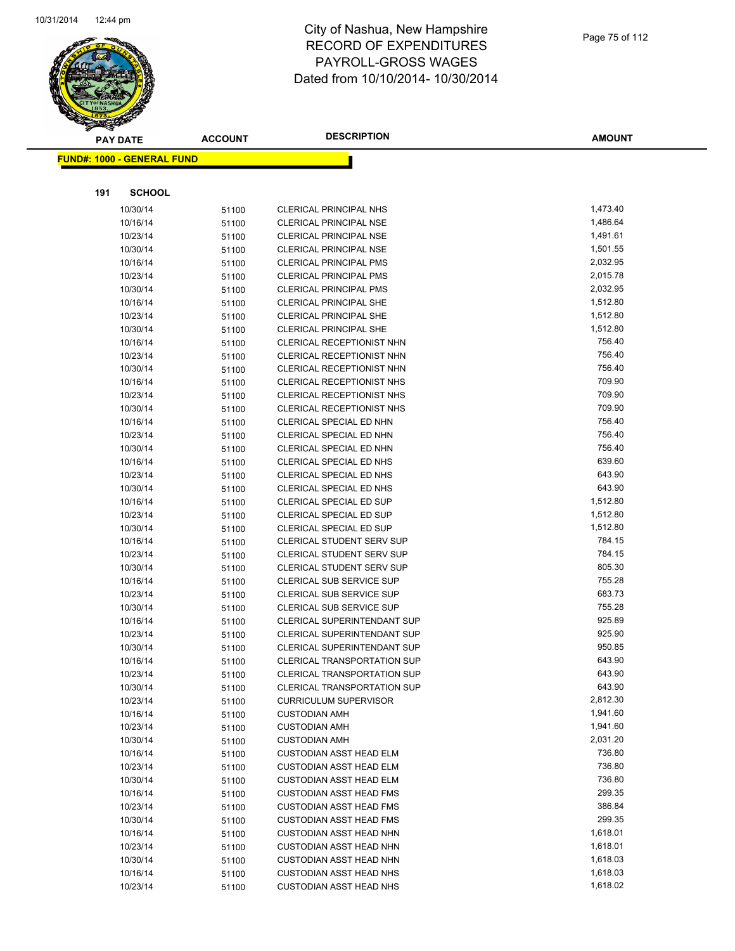

**AMOUNT**

|     | <b>FUND#: 1000 - GENERAL FUND</b> |                |                                                                  |                  |
|-----|-----------------------------------|----------------|------------------------------------------------------------------|------------------|
|     |                                   |                |                                                                  |                  |
| 191 | <b>SCHOOL</b>                     |                |                                                                  |                  |
|     | 10/30/14                          | 51100          | CLERICAL PRINCIPAL NHS                                           | 1,473.40         |
|     | 10/16/14                          | 51100          | <b>CLERICAL PRINCIPAL NSE</b>                                    | 1,486.64         |
|     | 10/23/14                          | 51100          | <b>CLERICAL PRINCIPAL NSE</b>                                    | 1,491.61         |
|     | 10/30/14                          | 51100          | <b>CLERICAL PRINCIPAL NSE</b>                                    | 1,501.55         |
|     | 10/16/14                          | 51100          | <b>CLERICAL PRINCIPAL PMS</b>                                    | 2,032.95         |
|     | 10/23/14                          | 51100          | <b>CLERICAL PRINCIPAL PMS</b>                                    | 2,015.78         |
|     | 10/30/14                          | 51100          | <b>CLERICAL PRINCIPAL PMS</b>                                    | 2,032.95         |
|     | 10/16/14                          | 51100          | <b>CLERICAL PRINCIPAL SHE</b>                                    | 1,512.80         |
|     | 10/23/14                          | 51100          | <b>CLERICAL PRINCIPAL SHE</b>                                    | 1,512.80         |
|     | 10/30/14                          | 51100          | <b>CLERICAL PRINCIPAL SHE</b>                                    | 1,512.80         |
|     | 10/16/14                          | 51100          | <b>CLERICAL RECEPTIONIST NHN</b>                                 | 756.40           |
|     | 10/23/14                          | 51100          | CLERICAL RECEPTIONIST NHN                                        | 756.40           |
|     | 10/30/14                          | 51100          | CLERICAL RECEPTIONIST NHN                                        | 756.40           |
|     | 10/16/14                          | 51100          | CLERICAL RECEPTIONIST NHS                                        | 709.90           |
|     | 10/23/14                          | 51100          | CLERICAL RECEPTIONIST NHS                                        | 709.90           |
|     | 10/30/14                          | 51100          | <b>CLERICAL RECEPTIONIST NHS</b>                                 | 709.90           |
|     | 10/16/14                          | 51100          | CLERICAL SPECIAL ED NHN                                          | 756.40           |
|     | 10/23/14                          | 51100          | CLERICAL SPECIAL ED NHN                                          | 756.40           |
|     | 10/30/14                          | 51100          | CLERICAL SPECIAL ED NHN                                          | 756.40           |
|     | 10/16/14                          | 51100          | CLERICAL SPECIAL ED NHS                                          | 639.60           |
|     | 10/23/14                          | 51100          | CLERICAL SPECIAL ED NHS                                          | 643.90           |
|     | 10/30/14                          | 51100          | CLERICAL SPECIAL ED NHS                                          | 643.90           |
|     | 10/16/14                          | 51100          | CLERICAL SPECIAL ED SUP                                          | 1,512.80         |
|     | 10/23/14                          | 51100          | CLERICAL SPECIAL ED SUP                                          | 1,512.80         |
|     | 10/30/14                          | 51100          | CLERICAL SPECIAL ED SUP                                          | 1,512.80         |
|     | 10/16/14                          | 51100          | <b>CLERICAL STUDENT SERV SUP</b>                                 | 784.15           |
|     | 10/23/14                          | 51100          | <b>CLERICAL STUDENT SERV SUP</b>                                 | 784.15           |
|     | 10/30/14                          | 51100          | <b>CLERICAL STUDENT SERV SUP</b>                                 | 805.30           |
|     | 10/16/14                          | 51100          | CLERICAL SUB SERVICE SUP                                         | 755.28           |
|     | 10/23/14                          | 51100          | <b>CLERICAL SUB SERVICE SUP</b>                                  | 683.73           |
|     | 10/30/14                          | 51100          | <b>CLERICAL SUB SERVICE SUP</b>                                  | 755.28           |
|     | 10/16/14                          | 51100          | CLERICAL SUPERINTENDANT SUP                                      | 925.89           |
|     | 10/23/14                          | 51100          | CLERICAL SUPERINTENDANT SUP                                      | 925.90           |
|     | 10/30/14                          | 51100          | CLERICAL SUPERINTENDANT SUP                                      | 950.85           |
|     | 10/16/14                          | 51100          | <b>CLERICAL TRANSPORTATION SUP</b>                               | 643.90           |
|     | 10/23/14                          | 51100          | <b>CLERICAL TRANSPORTATION SUP</b>                               | 643.90           |
|     | 10/30/14                          | 51100          | CLERICAL TRANSPORTATION SUP                                      | 643.90           |
|     | 10/23/14                          | 51100          | <b>CURRICULUM SUPERVISOR</b>                                     | 2,812.30         |
|     | 10/16/14                          | 51100          | <b>CUSTODIAN AMH</b>                                             | 1,941.60         |
|     | 10/23/14                          | 51100          | <b>CUSTODIAN AMH</b>                                             | 1,941.60         |
|     | 10/30/14                          | 51100          | <b>CUSTODIAN AMH</b>                                             | 2,031.20         |
|     | 10/16/14                          | 51100          | <b>CUSTODIAN ASST HEAD ELM</b>                                   | 736.80           |
|     | 10/23/14                          | 51100          | <b>CUSTODIAN ASST HEAD ELM</b>                                   | 736.80<br>736.80 |
|     | 10/30/14                          | 51100          | <b>CUSTODIAN ASST HEAD ELM</b>                                   | 299.35           |
|     | 10/16/14                          | 51100          | <b>CUSTODIAN ASST HEAD FMS</b><br><b>CUSTODIAN ASST HEAD FMS</b> | 386.84           |
|     | 10/23/14<br>10/30/14              | 51100          |                                                                  | 299.35           |
|     | 10/16/14                          | 51100          | <b>CUSTODIAN ASST HEAD FMS</b><br><b>CUSTODIAN ASST HEAD NHN</b> | 1,618.01         |
|     | 10/23/14                          | 51100          | <b>CUSTODIAN ASST HEAD NHN</b>                                   | 1,618.01         |
|     | 10/30/14                          | 51100<br>51100 | <b>CUSTODIAN ASST HEAD NHN</b>                                   | 1,618.03         |
|     | 10/16/14                          | 51100          | <b>CUSTODIAN ASST HEAD NHS</b>                                   | 1,618.03         |
|     | 10/23/14                          | 51100          | <b>CUSTODIAN ASST HEAD NHS</b>                                   | 1,618.02         |
|     |                                   |                |                                                                  |                  |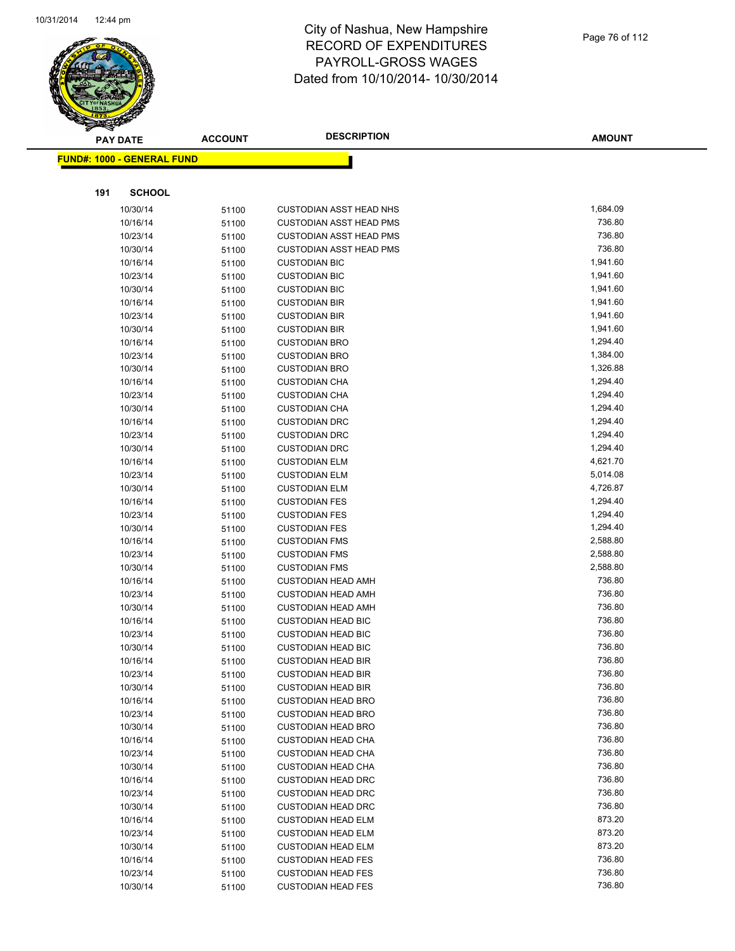

|     | <b>PAY DATE</b>                   | <b>ACCOUNT</b> | <b>DESCRIPTION</b>                                     | <b>AMOUNT</b>    |
|-----|-----------------------------------|----------------|--------------------------------------------------------|------------------|
|     | <b>FUND#: 1000 - GENERAL FUND</b> |                |                                                        |                  |
|     |                                   |                |                                                        |                  |
| 191 | <b>SCHOOL</b>                     |                |                                                        |                  |
|     | 10/30/14                          | 51100          | <b>CUSTODIAN ASST HEAD NHS</b>                         | 1,684.09         |
|     | 10/16/14                          | 51100          | <b>CUSTODIAN ASST HEAD PMS</b>                         | 736.80           |
|     | 10/23/14                          | 51100          | <b>CUSTODIAN ASST HEAD PMS</b>                         | 736.80           |
|     | 10/30/14                          | 51100          | <b>CUSTODIAN ASST HEAD PMS</b>                         | 736.80           |
|     | 10/16/14                          | 51100          | <b>CUSTODIAN BIC</b>                                   | 1,941.60         |
|     | 10/23/14                          | 51100          | <b>CUSTODIAN BIC</b>                                   | 1,941.60         |
|     | 10/30/14                          | 51100          | <b>CUSTODIAN BIC</b>                                   | 1,941.60         |
|     | 10/16/14                          | 51100          | <b>CUSTODIAN BIR</b>                                   | 1,941.60         |
|     | 10/23/14                          | 51100          | <b>CUSTODIAN BIR</b>                                   | 1,941.60         |
|     | 10/30/14                          | 51100          | <b>CUSTODIAN BIR</b>                                   | 1,941.60         |
|     | 10/16/14                          | 51100          | <b>CUSTODIAN BRO</b>                                   | 1,294.40         |
|     | 10/23/14                          | 51100          | <b>CUSTODIAN BRO</b>                                   | 1,384.00         |
|     | 10/30/14                          | 51100          | <b>CUSTODIAN BRO</b>                                   | 1,326.88         |
|     | 10/16/14                          | 51100          | <b>CUSTODIAN CHA</b>                                   | 1,294.40         |
|     | 10/23/14                          | 51100          | <b>CUSTODIAN CHA</b>                                   | 1,294.40         |
|     | 10/30/14                          | 51100          | <b>CUSTODIAN CHA</b>                                   | 1,294.40         |
|     | 10/16/14                          | 51100          | <b>CUSTODIAN DRC</b>                                   | 1,294.40         |
|     | 10/23/14                          | 51100          | <b>CUSTODIAN DRC</b>                                   | 1,294.40         |
|     | 10/30/14                          | 51100          | <b>CUSTODIAN DRC</b>                                   | 1,294.40         |
|     | 10/16/14                          | 51100          | <b>CUSTODIAN ELM</b>                                   | 4,621.70         |
|     | 10/23/14                          | 51100          | <b>CUSTODIAN ELM</b>                                   | 5,014.08         |
|     | 10/30/14                          | 51100          | <b>CUSTODIAN ELM</b>                                   | 4,726.87         |
|     | 10/16/14                          | 51100          | <b>CUSTODIAN FES</b>                                   | 1,294.40         |
|     | 10/23/14                          | 51100          | <b>CUSTODIAN FES</b>                                   | 1,294.40         |
|     | 10/30/14                          | 51100          | <b>CUSTODIAN FES</b>                                   | 1,294.40         |
|     | 10/16/14                          | 51100          | <b>CUSTODIAN FMS</b>                                   | 2,588.80         |
|     | 10/23/14                          | 51100          | <b>CUSTODIAN FMS</b>                                   | 2,588.80         |
|     | 10/30/14                          | 51100          | <b>CUSTODIAN FMS</b>                                   | 2,588.80         |
|     | 10/16/14                          | 51100          | <b>CUSTODIAN HEAD AMH</b>                              | 736.80           |
|     | 10/23/14                          | 51100          | <b>CUSTODIAN HEAD AMH</b>                              | 736.80           |
|     | 10/30/14                          | 51100          | <b>CUSTODIAN HEAD AMH</b>                              | 736.80           |
|     | 10/16/14                          | 51100          | <b>CUSTODIAN HEAD BIC</b>                              | 736.80           |
|     | 10/23/14                          | 51100          | <b>CUSTODIAN HEAD BIC</b>                              | 736.80           |
|     | 10/30/14                          | 51100          | <b>CUSTODIAN HEAD BIC</b><br><b>CUSTODIAN HEAD BIR</b> | 736.80<br>736.80 |
|     | 10/16/14<br>10/23/14              | 51100          | <b>CUSTODIAN HEAD BIR</b>                              | 736.80           |
|     | 10/30/14                          | 51100<br>51100 | <b>CUSTODIAN HEAD BIR</b>                              | 736.80           |
|     | 10/16/14                          | 51100          | <b>CUSTODIAN HEAD BRO</b>                              | 736.80           |
|     | 10/23/14                          | 51100          | <b>CUSTODIAN HEAD BRO</b>                              | 736.80           |
|     | 10/30/14                          | 51100          | <b>CUSTODIAN HEAD BRO</b>                              | 736.80           |
|     | 10/16/14                          | 51100          | <b>CUSTODIAN HEAD CHA</b>                              | 736.80           |
|     | 10/23/14                          | 51100          | <b>CUSTODIAN HEAD CHA</b>                              | 736.80           |
|     | 10/30/14                          | 51100          | <b>CUSTODIAN HEAD CHA</b>                              | 736.80           |
|     | 10/16/14                          | 51100          | <b>CUSTODIAN HEAD DRC</b>                              | 736.80           |
|     | 10/23/14                          | 51100          | <b>CUSTODIAN HEAD DRC</b>                              | 736.80           |
|     | 10/30/14                          | 51100          | <b>CUSTODIAN HEAD DRC</b>                              | 736.80           |
|     | 10/16/14                          | 51100          | <b>CUSTODIAN HEAD ELM</b>                              | 873.20           |
|     | 10/23/14                          | 51100          | <b>CUSTODIAN HEAD ELM</b>                              | 873.20           |
|     | 10/30/14                          | 51100          | <b>CUSTODIAN HEAD ELM</b>                              | 873.20           |
|     | 10/16/14                          | 51100          | <b>CUSTODIAN HEAD FES</b>                              | 736.80           |
|     | 10/23/14                          | 51100          | <b>CUSTODIAN HEAD FES</b>                              | 736.80           |
|     | 10/30/14                          | 51100          | <b>CUSTODIAN HEAD FES</b>                              | 736.80           |
|     |                                   |                |                                                        |                  |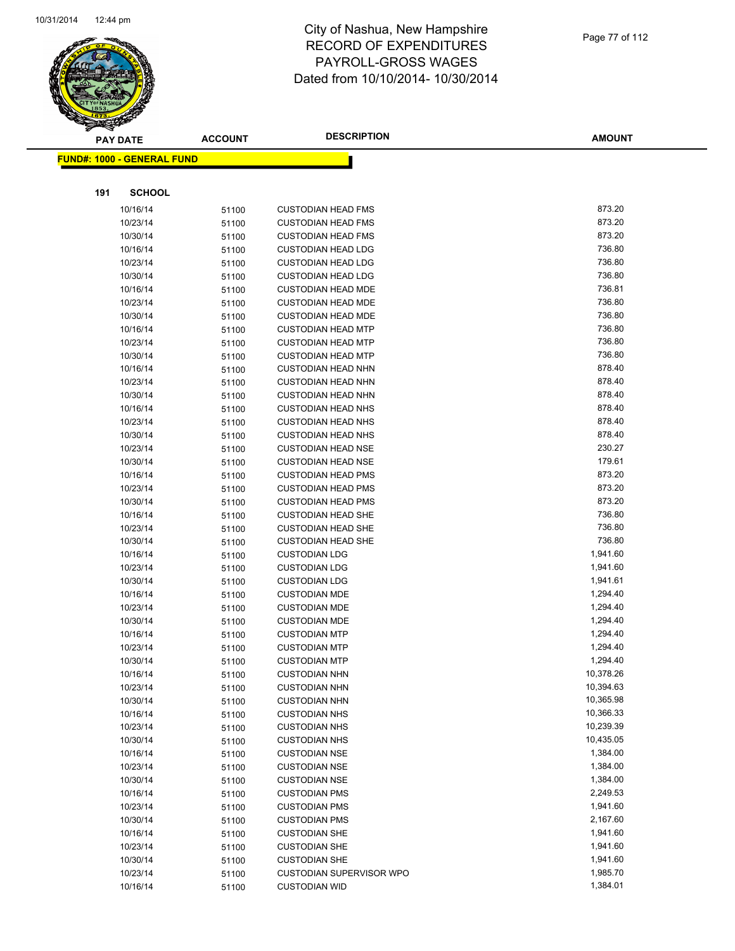

**AMOUNT**

| <b>FUND#: 1000 - GENERAL FUND</b> |                |                                                        |                      |
|-----------------------------------|----------------|--------------------------------------------------------|----------------------|
|                                   |                |                                                        |                      |
|                                   |                |                                                        |                      |
| 191<br><b>SCHOOL</b>              |                |                                                        |                      |
| 10/16/14                          | 51100          | <b>CUSTODIAN HEAD FMS</b>                              | 873.20               |
| 10/23/14                          | 51100          | <b>CUSTODIAN HEAD FMS</b>                              | 873.20               |
| 10/30/14                          | 51100          | <b>CUSTODIAN HEAD FMS</b>                              | 873.20               |
| 10/16/14                          | 51100          | <b>CUSTODIAN HEAD LDG</b>                              | 736.80               |
| 10/23/14                          | 51100          | <b>CUSTODIAN HEAD LDG</b>                              | 736.80               |
| 10/30/14                          | 51100          | <b>CUSTODIAN HEAD LDG</b>                              | 736.80               |
| 10/16/14                          | 51100          | <b>CUSTODIAN HEAD MDE</b>                              | 736.81               |
| 10/23/14                          | 51100          | <b>CUSTODIAN HEAD MDE</b>                              | 736.80               |
| 10/30/14                          | 51100          | <b>CUSTODIAN HEAD MDE</b>                              | 736.80               |
| 10/16/14                          | 51100          | <b>CUSTODIAN HEAD MTP</b>                              | 736.80               |
| 10/23/14                          | 51100          | <b>CUSTODIAN HEAD MTP</b>                              | 736.80               |
| 10/30/14                          | 51100          | <b>CUSTODIAN HEAD MTP</b>                              | 736.80               |
| 10/16/14                          | 51100          | <b>CUSTODIAN HEAD NHN</b>                              | 878.40               |
| 10/23/14                          | 51100          | <b>CUSTODIAN HEAD NHN</b>                              | 878.40               |
| 10/30/14                          | 51100          | <b>CUSTODIAN HEAD NHN</b>                              | 878.40               |
| 10/16/14                          | 51100          | <b>CUSTODIAN HEAD NHS</b>                              | 878.40               |
| 10/23/14                          | 51100          | <b>CUSTODIAN HEAD NHS</b>                              | 878.40<br>878.40     |
| 10/30/14                          | 51100          | <b>CUSTODIAN HEAD NHS</b>                              | 230.27               |
| 10/23/14                          | 51100          | <b>CUSTODIAN HEAD NSE</b>                              | 179.61               |
| 10/30/14<br>10/16/14              | 51100          | <b>CUSTODIAN HEAD NSE</b><br><b>CUSTODIAN HEAD PMS</b> | 873.20               |
| 10/23/14                          | 51100          | <b>CUSTODIAN HEAD PMS</b>                              | 873.20               |
| 10/30/14                          | 51100<br>51100 | <b>CUSTODIAN HEAD PMS</b>                              | 873.20               |
| 10/16/14                          | 51100          | <b>CUSTODIAN HEAD SHE</b>                              | 736.80               |
| 10/23/14                          | 51100          | <b>CUSTODIAN HEAD SHE</b>                              | 736.80               |
| 10/30/14                          | 51100          | <b>CUSTODIAN HEAD SHE</b>                              | 736.80               |
| 10/16/14                          | 51100          | <b>CUSTODIAN LDG</b>                                   | 1,941.60             |
| 10/23/14                          | 51100          | <b>CUSTODIAN LDG</b>                                   | 1,941.60             |
| 10/30/14                          | 51100          | <b>CUSTODIAN LDG</b>                                   | 1,941.61             |
| 10/16/14                          | 51100          | <b>CUSTODIAN MDE</b>                                   | 1,294.40             |
| 10/23/14                          | 51100          | <b>CUSTODIAN MDE</b>                                   | 1,294.40             |
| 10/30/14                          | 51100          | <b>CUSTODIAN MDE</b>                                   | 1,294.40             |
| 10/16/14                          | 51100          | <b>CUSTODIAN MTP</b>                                   | 1,294.40             |
| 10/23/14                          | 51100          | <b>CUSTODIAN MTP</b>                                   | 1,294.40             |
| 10/30/14                          | 51100          | <b>CUSTODIAN MTP</b>                                   | 1,294.40             |
| 10/16/14                          | 51100          | <b>CUSTODIAN NHN</b>                                   | 10,378.26            |
| 10/23/14                          | 51100          | <b>CUSTODIAN NHN</b>                                   | 10,394.63            |
| 10/30/14                          | 51100          | <b>CUSTODIAN NHN</b>                                   | 10,365.98            |
| 10/16/14                          | 51100          | <b>CUSTODIAN NHS</b>                                   | 10,366.33            |
| 10/23/14                          | 51100          | <b>CUSTODIAN NHS</b>                                   | 10,239.39            |
| 10/30/14                          | 51100          | <b>CUSTODIAN NHS</b>                                   | 10,435.05            |
| 10/16/14                          | 51100          | <b>CUSTODIAN NSE</b>                                   | 1,384.00             |
| 10/23/14                          | 51100          | <b>CUSTODIAN NSE</b>                                   | 1,384.00             |
| 10/30/14                          | 51100          | <b>CUSTODIAN NSE</b>                                   | 1,384.00             |
| 10/16/14                          | 51100          | <b>CUSTODIAN PMS</b>                                   | 2,249.53             |
| 10/23/14                          | 51100          | <b>CUSTODIAN PMS</b>                                   | 1,941.60             |
| 10/30/14                          | 51100          | <b>CUSTODIAN PMS</b>                                   | 2,167.60             |
| 10/16/14                          | 51100          | <b>CUSTODIAN SHE</b>                                   | 1,941.60             |
| 10/23/14                          | 51100          | <b>CUSTODIAN SHE</b>                                   | 1,941.60             |
| 10/30/14                          | 51100          | <b>CUSTODIAN SHE</b>                                   | 1,941.60<br>1,985.70 |
| 10/23/14                          | 51100          | CUSTODIAN SUPERVISOR WPO                               | 1,384.01             |
| 10/16/14                          | 51100          | <b>CUSTODIAN WID</b>                                   |                      |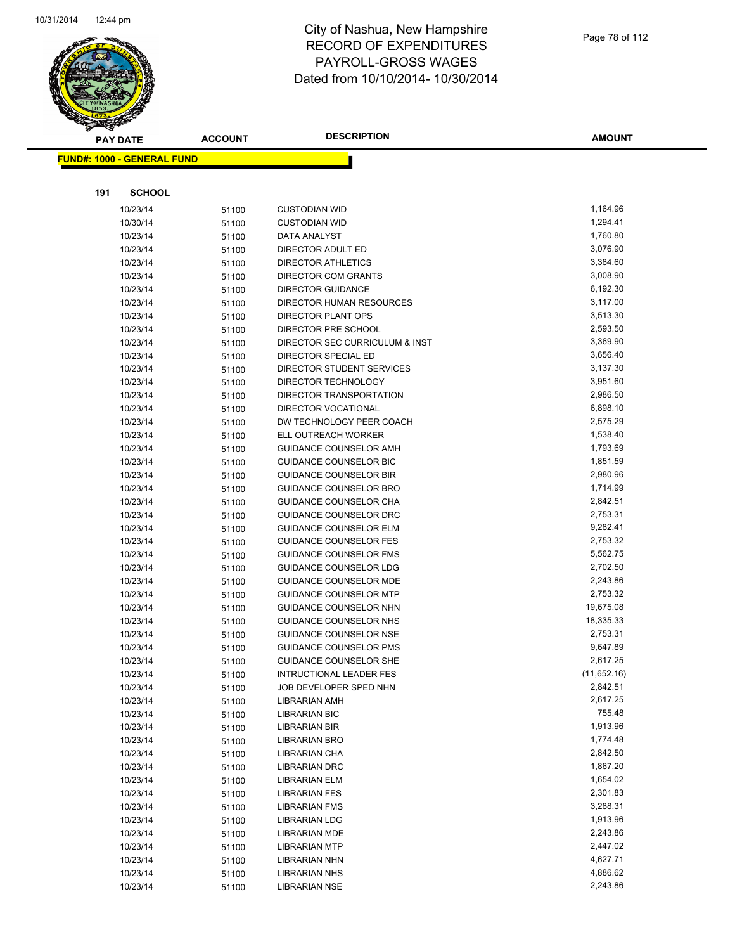

|     | <b>PAY DATE</b>                   | <b>ACCOUNT</b> | <b>DESCRIPTION</b>                               | <b>AMOUNT</b>        |
|-----|-----------------------------------|----------------|--------------------------------------------------|----------------------|
|     | <b>FUND#: 1000 - GENERAL FUND</b> |                |                                                  |                      |
|     |                                   |                |                                                  |                      |
| 191 | <b>SCHOOL</b>                     |                |                                                  |                      |
|     |                                   |                |                                                  |                      |
|     | 10/23/14                          | 51100          | <b>CUSTODIAN WID</b>                             | 1,164.96             |
|     | 10/30/14                          | 51100          | <b>CUSTODIAN WID</b>                             | 1,294.41<br>1,760.80 |
|     | 10/23/14                          | 51100          | DATA ANALYST                                     | 3,076.90             |
|     | 10/23/14                          | 51100          | DIRECTOR ADULT ED                                | 3,384.60             |
|     | 10/23/14<br>10/23/14              | 51100          | <b>DIRECTOR ATHLETICS</b><br>DIRECTOR COM GRANTS | 3,008.90             |
|     | 10/23/14                          | 51100<br>51100 | <b>DIRECTOR GUIDANCE</b>                         | 6,192.30             |
|     | 10/23/14                          | 51100          | DIRECTOR HUMAN RESOURCES                         | 3,117.00             |
|     | 10/23/14                          | 51100          | DIRECTOR PLANT OPS                               | 3,513.30             |
|     | 10/23/14                          | 51100          | DIRECTOR PRE SCHOOL                              | 2,593.50             |
|     | 10/23/14                          | 51100          | DIRECTOR SEC CURRICULUM & INST                   | 3,369.90             |
|     | 10/23/14                          | 51100          | DIRECTOR SPECIAL ED                              | 3,656.40             |
|     | 10/23/14                          | 51100          | DIRECTOR STUDENT SERVICES                        | 3,137.30             |
|     | 10/23/14                          | 51100          | DIRECTOR TECHNOLOGY                              | 3,951.60             |
|     | 10/23/14                          | 51100          | DIRECTOR TRANSPORTATION                          | 2,986.50             |
|     | 10/23/14                          | 51100          | DIRECTOR VOCATIONAL                              | 6,898.10             |
|     | 10/23/14                          | 51100          | DW TECHNOLOGY PEER COACH                         | 2,575.29             |
|     | 10/23/14                          | 51100          | ELL OUTREACH WORKER                              | 1,538.40             |
|     | 10/23/14                          | 51100          | GUIDANCE COUNSELOR AMH                           | 1,793.69             |
|     | 10/23/14                          | 51100          | <b>GUIDANCE COUNSELOR BIC</b>                    | 1,851.59             |
|     | 10/23/14                          | 51100          | <b>GUIDANCE COUNSELOR BIR</b>                    | 2,980.96             |
|     | 10/23/14                          | 51100          | <b>GUIDANCE COUNSELOR BRO</b>                    | 1,714.99             |
|     | 10/23/14                          | 51100          | GUIDANCE COUNSELOR CHA                           | 2,842.51             |
|     | 10/23/14                          | 51100          | GUIDANCE COUNSELOR DRC                           | 2,753.31             |
|     | 10/23/14                          | 51100          | <b>GUIDANCE COUNSELOR ELM</b>                    | 9,282.41             |
|     | 10/23/14                          | 51100          | GUIDANCE COUNSELOR FES                           | 2,753.32             |
|     | 10/23/14                          | 51100          | <b>GUIDANCE COUNSELOR FMS</b>                    | 5,562.75             |
|     | 10/23/14                          | 51100          | GUIDANCE COUNSELOR LDG                           | 2,702.50             |
|     | 10/23/14                          | 51100          | <b>GUIDANCE COUNSELOR MDE</b>                    | 2,243.86             |
|     | 10/23/14                          | 51100          | <b>GUIDANCE COUNSELOR MTP</b>                    | 2,753.32             |
|     | 10/23/14                          | 51100          | <b>GUIDANCE COUNSELOR NHN</b>                    | 19,675.08            |
|     | 10/23/14                          | 51100          | GUIDANCE COUNSELOR NHS                           | 18,335.33            |
|     | 10/23/14                          | 51100          | GUIDANCE COUNSELOR NSE                           | 2,753.31             |
|     | 10/23/14                          | 51100          | <b>GUIDANCE COUNSELOR PMS</b>                    | 9,647.89             |
|     | 10/23/14                          | 51100          | <b>GUIDANCE COUNSELOR SHE</b>                    | 2,617.25             |
|     | 10/23/14                          | 51100          | <b>INTRUCTIONAL LEADER FES</b>                   | (11,652.16)          |
|     | 10/23/14                          | 51100          | JOB DEVELOPER SPED NHN                           | 2,842.51             |
|     | 10/23/14                          | 51100          | LIBRARIAN AMH                                    | 2,617.25             |
|     | 10/23/14                          | 51100          | <b>LIBRARIAN BIC</b>                             | 755.48               |
|     | 10/23/14                          | 51100          | <b>LIBRARIAN BIR</b>                             | 1,913.96             |
|     | 10/23/14                          | 51100          | LIBRARIAN BRO                                    | 1,774.48             |
|     | 10/23/14                          | 51100          | LIBRARIAN CHA                                    | 2,842.50             |
|     | 10/23/14                          | 51100          | <b>LIBRARIAN DRC</b>                             | 1,867.20             |
|     | 10/23/14                          | 51100          | LIBRARIAN ELM                                    | 1,654.02             |
|     | 10/23/14                          | 51100          | <b>LIBRARIAN FES</b>                             | 2,301.83             |
|     | 10/23/14                          | 51100          | LIBRARIAN FMS                                    | 3,288.31             |
|     | 10/23/14                          | 51100          | <b>LIBRARIAN LDG</b>                             | 1,913.96             |
|     | 10/23/14                          | 51100          | LIBRARIAN MDE                                    | 2,243.86             |
|     | 10/23/14                          | 51100          | <b>LIBRARIAN MTP</b>                             | 2,447.02             |
|     | 10/23/14                          | 51100          | LIBRARIAN NHN                                    | 4,627.71             |
|     | 10/23/14                          | 51100          | <b>LIBRARIAN NHS</b>                             | 4,886.62             |
|     | 10/23/14                          | 51100          | <b>LIBRARIAN NSE</b>                             | 2,243.86             |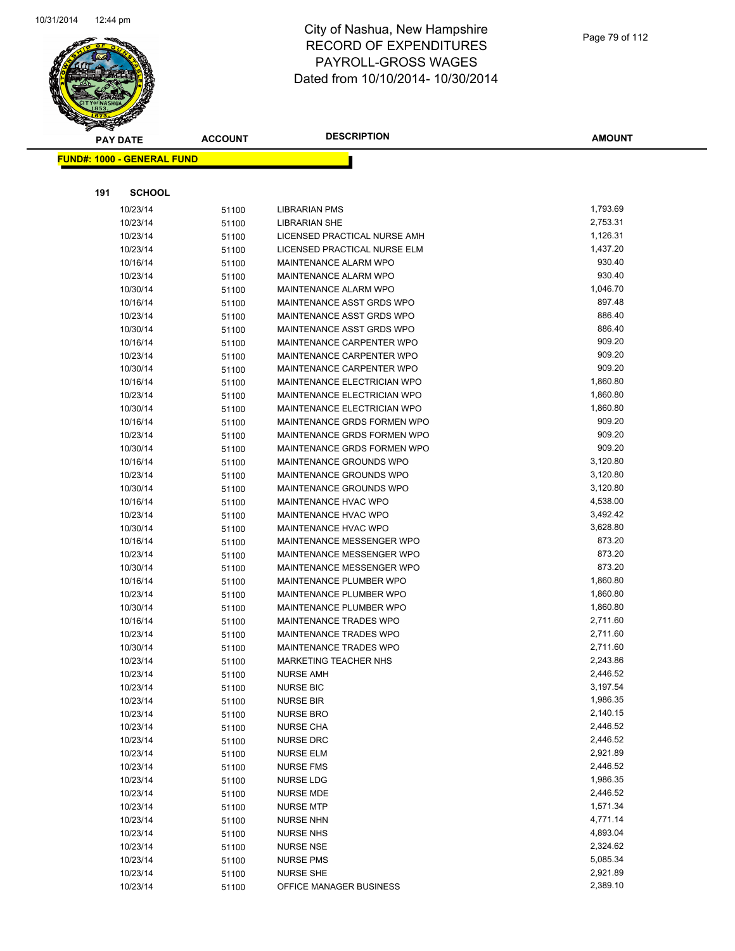

|     | <b>PAY DATE</b>                   | <b>ACCOUNT</b> | <b>DESCRIPTION</b>            | <b>AMOUNT</b>        |
|-----|-----------------------------------|----------------|-------------------------------|----------------------|
|     | <b>FUND#: 1000 - GENERAL FUND</b> |                |                               |                      |
|     |                                   |                |                               |                      |
| 191 | <b>SCHOOL</b>                     |                |                               |                      |
|     | 10/23/14                          | 51100          | <b>LIBRARIAN PMS</b>          | 1,793.69             |
|     | 10/23/14                          | 51100          | <b>LIBRARIAN SHE</b>          | 2,753.31             |
|     | 10/23/14                          | 51100          | LICENSED PRACTICAL NURSE AMH  | 1,126.31             |
|     | 10/23/14                          | 51100          | LICENSED PRACTICAL NURSE ELM  | 1,437.20             |
|     | 10/16/14                          | 51100          | MAINTENANCE ALARM WPO         | 930.40               |
|     | 10/23/14                          | 51100          | MAINTENANCE ALARM WPO         | 930.40               |
|     | 10/30/14                          | 51100          | MAINTENANCE ALARM WPO         | 1,046.70             |
|     | 10/16/14                          | 51100          | MAINTENANCE ASST GRDS WPO     | 897.48               |
|     | 10/23/14                          | 51100          | MAINTENANCE ASST GRDS WPO     | 886.40               |
|     | 10/30/14                          | 51100          | MAINTENANCE ASST GRDS WPO     | 886.40               |
|     | 10/16/14                          | 51100          | MAINTENANCE CARPENTER WPO     | 909.20               |
|     | 10/23/14                          | 51100          | MAINTENANCE CARPENTER WPO     | 909.20               |
|     | 10/30/14                          | 51100          | MAINTENANCE CARPENTER WPO     | 909.20               |
|     | 10/16/14                          | 51100          | MAINTENANCE ELECTRICIAN WPO   | 1,860.80             |
|     | 10/23/14                          | 51100          | MAINTENANCE ELECTRICIAN WPO   | 1,860.80             |
|     | 10/30/14                          | 51100          | MAINTENANCE ELECTRICIAN WPO   | 1,860.80             |
|     | 10/16/14                          | 51100          | MAINTENANCE GRDS FORMEN WPO   | 909.20               |
|     | 10/23/14                          | 51100          | MAINTENANCE GRDS FORMEN WPO   | 909.20               |
|     | 10/30/14                          | 51100          | MAINTENANCE GRDS FORMEN WPO   | 909.20               |
|     | 10/16/14                          | 51100          | MAINTENANCE GROUNDS WPO       | 3,120.80             |
|     | 10/23/14                          | 51100          | MAINTENANCE GROUNDS WPO       | 3,120.80             |
|     | 10/30/14                          | 51100          | MAINTENANCE GROUNDS WPO       | 3,120.80             |
|     | 10/16/14                          | 51100          | MAINTENANCE HVAC WPO          | 4,538.00             |
|     | 10/23/14                          | 51100          | MAINTENANCE HVAC WPO          | 3,492.42             |
|     | 10/30/14                          | 51100          | MAINTENANCE HVAC WPO          | 3,628.80             |
|     | 10/16/14                          | 51100          | MAINTENANCE MESSENGER WPO     | 873.20               |
|     | 10/23/14                          | 51100          | MAINTENANCE MESSENGER WPO     | 873.20               |
|     | 10/30/14                          | 51100          | MAINTENANCE MESSENGER WPO     | 873.20               |
|     | 10/16/14                          | 51100          | MAINTENANCE PLUMBER WPO       | 1,860.80             |
|     | 10/23/14                          | 51100          | MAINTENANCE PLUMBER WPO       | 1,860.80             |
|     | 10/30/14                          | 51100          | MAINTENANCE PLUMBER WPO       | 1,860.80             |
|     | 10/16/14                          | 51100          | MAINTENANCE TRADES WPO        | 2,711.60             |
|     | 10/23/14                          | 51100          | MAINTENANCE TRADES WPO        | 2,711.60             |
|     | 10/30/14                          | 51100          | MAINTENANCE TRADES WPO        | 2,711.60             |
|     | 10/23/14                          | 51100          | <b>MARKETING TEACHER NHS</b>  | 2,243.86             |
|     | 10/23/14                          | 51100          | <b>NURSE AMH</b>              | 2,446.52             |
|     | 10/23/14                          | 51100          | <b>NURSE BIC</b>              | 3,197.54             |
|     | 10/23/14                          | 51100          | <b>NURSE BIR</b>              | 1,986.35             |
|     | 10/23/14                          | 51100          | <b>NURSE BRO</b>              | 2,140.15             |
|     | 10/23/14                          | 51100          | <b>NURSE CHA</b>              | 2,446.52<br>2,446.52 |
|     | 10/23/14                          | 51100          | <b>NURSE DRC</b>              | 2,921.89             |
|     | 10/23/14<br>10/23/14              | 51100          | <b>NURSE ELM</b>              | 2,446.52             |
|     | 10/23/14                          | 51100          | <b>NURSE FMS</b><br>NURSE LDG | 1,986.35             |
|     |                                   | 51100          |                               | 2,446.52             |
|     | 10/23/14<br>10/23/14              | 51100<br>51100 | NURSE MDE<br><b>NURSE MTP</b> | 1,571.34             |
|     | 10/23/14                          |                | <b>NURSE NHN</b>              | 4,771.14             |
|     | 10/23/14                          | 51100          | <b>NURSE NHS</b>              | 4,893.04             |
|     | 10/23/14                          | 51100          | <b>NURSE NSE</b>              | 2,324.62             |
|     | 10/23/14                          | 51100<br>51100 | <b>NURSE PMS</b>              | 5,085.34             |
|     | 10/23/14                          | 51100          | <b>NURSE SHE</b>              | 2,921.89             |
|     | 10/23/14                          | 51100          | OFFICE MANAGER BUSINESS       | 2,389.10             |
|     |                                   |                |                               |                      |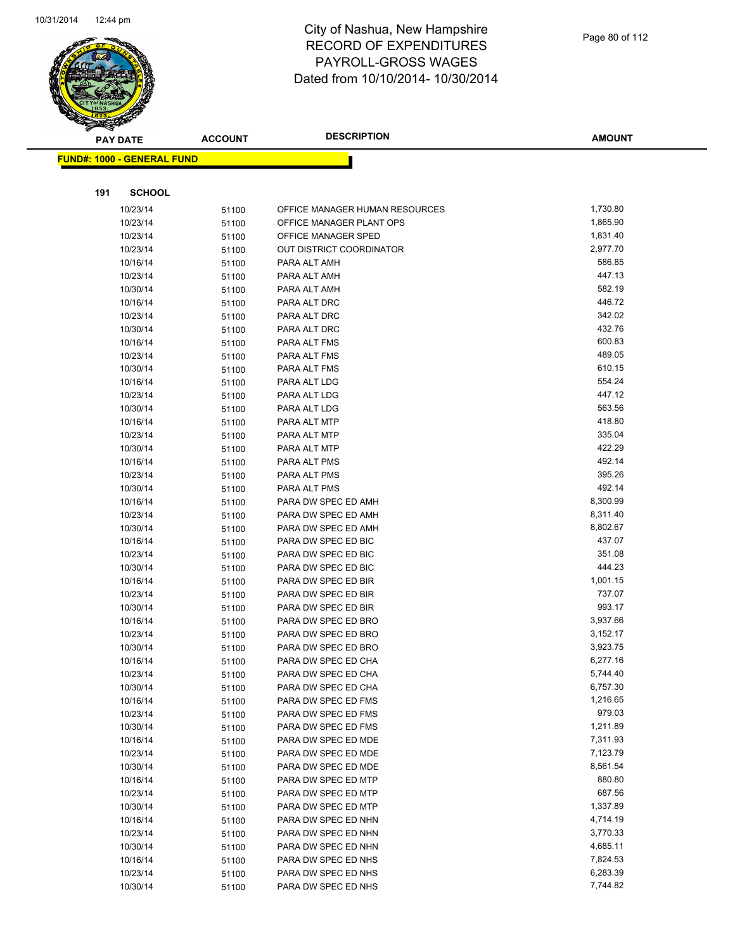

|     | <b>PAY DATE</b>                   | <b>ACCOUNT</b> | <b>DESCRIPTION</b>                         | <b>AMOUNT</b>      |
|-----|-----------------------------------|----------------|--------------------------------------------|--------------------|
|     | <b>FUND#: 1000 - GENERAL FUND</b> |                |                                            |                    |
|     |                                   |                |                                            |                    |
|     |                                   |                |                                            |                    |
| 191 | <b>SCHOOL</b>                     |                |                                            |                    |
|     | 10/23/14                          | 51100          | OFFICE MANAGER HUMAN RESOURCES             | 1,730.80           |
|     | 10/23/14                          | 51100          | OFFICE MANAGER PLANT OPS                   | 1,865.90           |
|     | 10/23/14                          | 51100          | OFFICE MANAGER SPED                        | 1,831.40           |
|     | 10/23/14                          | 51100          | OUT DISTRICT COORDINATOR                   | 2,977.70           |
|     | 10/16/14                          | 51100          | PARA ALT AMH                               | 586.85             |
|     | 10/23/14                          | 51100          | PARA ALT AMH                               | 447.13             |
|     | 10/30/14                          | 51100          | PARA ALT AMH                               | 582.19             |
|     | 10/16/14                          | 51100          | PARA ALT DRC                               | 446.72             |
|     | 10/23/14                          | 51100          | PARA ALT DRC                               | 342.02             |
|     | 10/30/14                          | 51100          | PARA ALT DRC                               | 432.76             |
|     | 10/16/14                          | 51100          | PARA ALT FMS                               | 600.83             |
|     | 10/23/14                          | 51100          | PARA ALT FMS                               | 489.05             |
|     | 10/30/14                          | 51100          | PARA ALT FMS                               | 610.15             |
|     | 10/16/14                          | 51100          | PARA ALT LDG                               | 554.24             |
|     | 10/23/14                          | 51100          | PARA ALT LDG                               | 447.12             |
|     | 10/30/14                          | 51100          | PARA ALT LDG                               | 563.56             |
|     | 10/16/14                          | 51100          | PARA ALT MTP                               | 418.80             |
|     | 10/23/14                          | 51100          | PARA ALT MTP                               | 335.04             |
|     | 10/30/14                          | 51100          | PARA ALT MTP                               | 422.29             |
|     | 10/16/14                          | 51100          | PARA ALT PMS                               | 492.14             |
|     | 10/23/14                          | 51100          | PARA ALT PMS                               | 395.26             |
|     | 10/30/14                          | 51100          | PARA ALT PMS                               | 492.14             |
|     | 10/16/14                          | 51100          | PARA DW SPEC ED AMH                        | 8,300.99           |
|     | 10/23/14                          | 51100          | PARA DW SPEC ED AMH                        | 8,311.40           |
|     | 10/30/14                          | 51100          | PARA DW SPEC ED AMH                        | 8,802.67           |
|     | 10/16/14                          | 51100          | PARA DW SPEC ED BIC                        | 437.07             |
|     | 10/23/14                          | 51100          | PARA DW SPEC ED BIC                        | 351.08             |
|     | 10/30/14                          | 51100          | PARA DW SPEC ED BIC                        | 444.23             |
|     | 10/16/14                          | 51100          | PARA DW SPEC ED BIR                        | 1,001.15<br>737.07 |
|     | 10/23/14                          | 51100          | PARA DW SPEC ED BIR                        | 993.17             |
|     | 10/30/14<br>10/16/14              | 51100          | PARA DW SPEC ED BIR<br>PARA DW SPEC ED BRO | 3,937.66           |
|     | 10/23/14                          | 51100          | PARA DW SPEC ED BRO                        | 3,152.17           |
|     | 10/30/14                          | 51100          | PARA DW SPEC ED BRO                        | 3,923.75           |
|     | 10/16/14                          | 51100          | PARA DW SPEC ED CHA                        | 6,277.16           |
|     | 10/23/14                          | 51100          | PARA DW SPEC ED CHA                        | 5,744.40           |
|     | 10/30/14                          | 51100<br>51100 | PARA DW SPEC ED CHA                        | 6,757.30           |
|     | 10/16/14                          | 51100          | PARA DW SPEC ED FMS                        | 1,216.65           |
|     | 10/23/14                          | 51100          | PARA DW SPEC ED FMS                        | 979.03             |
|     | 10/30/14                          | 51100          | PARA DW SPEC ED FMS                        | 1,211.89           |
|     | 10/16/14                          | 51100          | PARA DW SPEC ED MDE                        | 7,311.93           |
|     | 10/23/14                          | 51100          | PARA DW SPEC ED MDE                        | 7,123.79           |
|     | 10/30/14                          | 51100          | PARA DW SPEC ED MDE                        | 8,561.54           |
|     | 10/16/14                          | 51100          | PARA DW SPEC ED MTP                        | 880.80             |
|     | 10/23/14                          | 51100          | PARA DW SPEC ED MTP                        | 687.56             |
|     | 10/30/14                          | 51100          | PARA DW SPEC ED MTP                        | 1,337.89           |
|     | 10/16/14                          | 51100          | PARA DW SPEC ED NHN                        | 4,714.19           |
|     | 10/23/14                          | 51100          | PARA DW SPEC ED NHN                        | 3,770.33           |
|     | 10/30/14                          | 51100          | PARA DW SPEC ED NHN                        | 4,685.11           |
|     | 10/16/14                          | 51100          | PARA DW SPEC ED NHS                        | 7,824.53           |
|     | 10/23/14                          | 51100          | PARA DW SPEC ED NHS                        | 6,283.39           |
|     | 10/30/14                          | 51100          | PARA DW SPEC ED NHS                        | 7,744.82           |
|     |                                   |                |                                            |                    |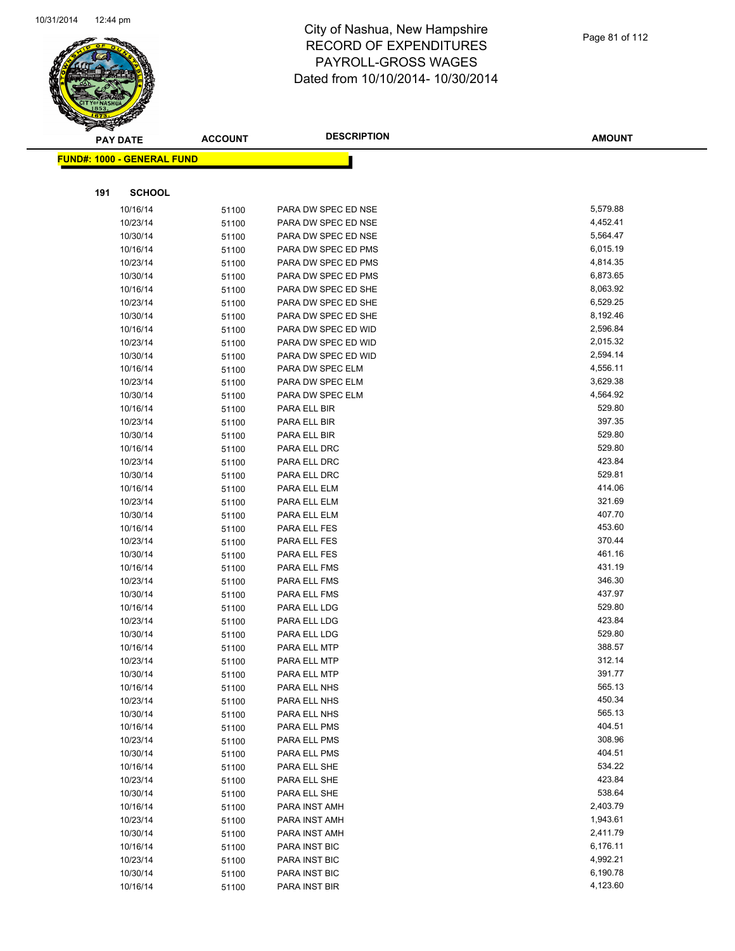

| <b>PAY DATE</b>                   | <b>ACCOUNT</b> | <b>DESCRIPTION</b>           | <b>AMOUNT</b>    |
|-----------------------------------|----------------|------------------------------|------------------|
| <b>FUND#: 1000 - GENERAL FUND</b> |                |                              |                  |
|                                   |                |                              |                  |
| 191<br><b>SCHOOL</b>              |                |                              |                  |
| 10/16/14                          | 51100          | PARA DW SPEC ED NSE          | 5,579.88         |
| 10/23/14                          | 51100          | PARA DW SPEC ED NSE          | 4,452.41         |
| 10/30/14                          | 51100          | PARA DW SPEC ED NSE          | 5,564.47         |
| 10/16/14                          | 51100          | PARA DW SPEC ED PMS          | 6,015.19         |
| 10/23/14                          | 51100          | PARA DW SPEC ED PMS          | 4,814.35         |
| 10/30/14                          | 51100          | PARA DW SPEC ED PMS          | 6,873.65         |
| 10/16/14                          | 51100          | PARA DW SPEC ED SHE          | 8,063.92         |
| 10/23/14                          | 51100          | PARA DW SPEC ED SHE          | 6,529.25         |
| 10/30/14                          | 51100          | PARA DW SPEC ED SHE          | 8,192.46         |
| 10/16/14                          | 51100          | PARA DW SPEC ED WID          | 2,596.84         |
| 10/23/14                          | 51100          | PARA DW SPEC ED WID          | 2,015.32         |
| 10/30/14                          | 51100          | PARA DW SPEC ED WID          | 2,594.14         |
| 10/16/14                          | 51100          | PARA DW SPEC ELM             | 4,556.11         |
| 10/23/14                          | 51100          | PARA DW SPEC ELM             | 3,629.38         |
| 10/30/14                          | 51100          | PARA DW SPEC ELM             | 4,564.92         |
| 10/16/14                          | 51100          | PARA ELL BIR                 | 529.80           |
| 10/23/14                          | 51100          | PARA ELL BIR                 | 397.35           |
| 10/30/14                          | 51100          | PARA ELL BIR                 | 529.80           |
| 10/16/14                          | 51100          | PARA ELL DRC                 | 529.80           |
| 10/23/14                          | 51100          | PARA ELL DRC                 | 423.84           |
| 10/30/14                          | 51100          | PARA ELL DRC                 | 529.81           |
| 10/16/14                          | 51100          | PARA ELL ELM                 | 414.06           |
| 10/23/14                          | 51100          | PARA ELL ELM                 | 321.69           |
| 10/30/14                          | 51100          | PARA ELL ELM                 | 407.70           |
| 10/16/14                          | 51100          | PARA ELL FES                 | 453.60           |
| 10/23/14                          | 51100          | PARA ELL FES                 | 370.44           |
| 10/30/14                          | 51100          | PARA ELL FES                 | 461.16           |
| 10/16/14                          | 51100          | PARA ELL FMS                 | 431.19           |
| 10/23/14                          | 51100          | PARA ELL FMS                 | 346.30           |
| 10/30/14                          | 51100          | PARA ELL FMS<br>PARA ELL LDG | 437.97<br>529.80 |
| 10/16/14                          | 51100          |                              | 423.84           |
| 10/23/14                          | 51100          | PARA ELL LDG                 | 529.80           |
| 10/30/14<br>10/16/14              | 51100          | PARA ELL LDG<br>PARA ELL MTP | 388.57           |
| 10/23/14                          | 51100<br>51100 | PARA ELL MTP                 | 312.14           |
| 10/30/14                          | 51100          | PARA ELL MTP                 | 391.77           |
| 10/16/14                          | 51100          | PARA ELL NHS                 | 565.13           |
| 10/23/14                          | 51100          | PARA ELL NHS                 | 450.34           |
| 10/30/14                          | 51100          | PARA ELL NHS                 | 565.13           |
| 10/16/14                          | 51100          | PARA ELL PMS                 | 404.51           |
| 10/23/14                          | 51100          | PARA ELL PMS                 | 308.96           |
| 10/30/14                          | 51100          | PARA ELL PMS                 | 404.51           |
| 10/16/14                          | 51100          | PARA ELL SHE                 | 534.22           |
| 10/23/14                          | 51100          | PARA ELL SHE                 | 423.84           |
| 10/30/14                          | 51100          | PARA ELL SHE                 | 538.64           |
| 10/16/14                          | 51100          | PARA INST AMH                | 2,403.79         |
| 10/23/14                          | 51100          | PARA INST AMH                | 1,943.61         |
| 10/30/14                          | 51100          | PARA INST AMH                | 2,411.79         |
| 10/16/14                          | 51100          | PARA INST BIC                | 6,176.11         |
| 10/23/14                          | 51100          | PARA INST BIC                | 4,992.21         |
| 10/30/14                          | 51100          | PARA INST BIC                | 6,190.78         |
| 10/16/14                          | 51100          | PARA INST BIR                | 4,123.60         |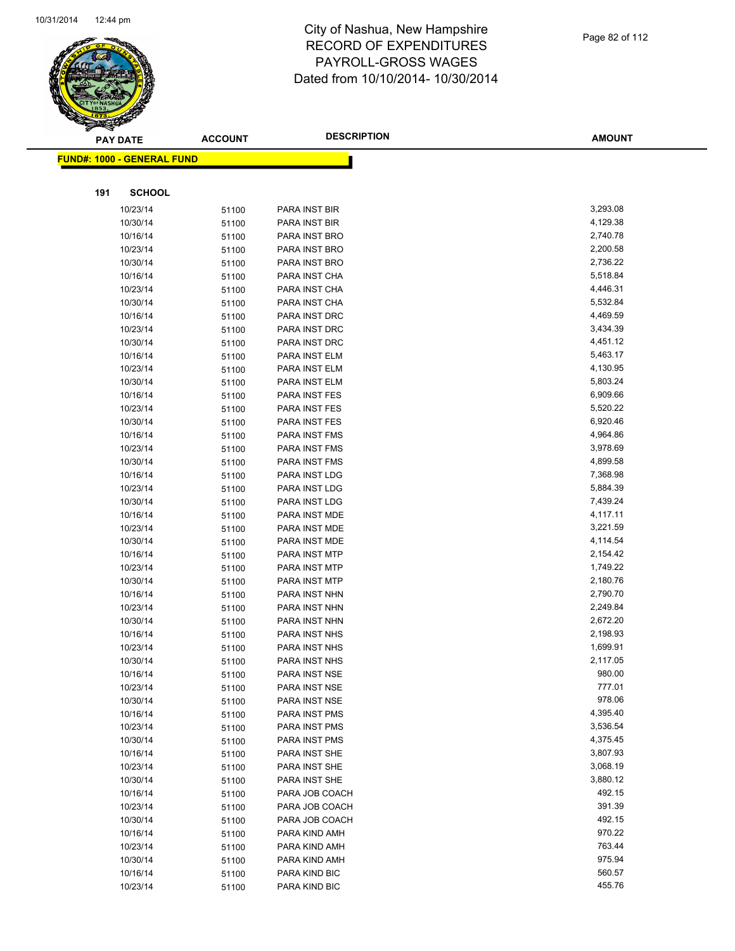

|     | <b>PAY DATE</b>                    | <b>ACCOUNT</b> | <b>DESCRIPTION</b> | <b>AMOUNT</b> |
|-----|------------------------------------|----------------|--------------------|---------------|
|     | <u> FUND#: 1000 - GENERAL FUND</u> |                |                    |               |
|     |                                    |                |                    |               |
| 191 | <b>SCHOOL</b>                      |                |                    |               |
|     | 10/23/14                           | 51100          | PARA INST BIR      | 3,293.08      |
|     | 10/30/14                           | 51100          | PARA INST BIR      | 4,129.38      |
|     | 10/16/14                           | 51100          | PARA INST BRO      | 2,740.78      |
|     | 10/23/14                           | 51100          | PARA INST BRO      | 2,200.58      |
|     | 10/30/14                           | 51100          | PARA INST BRO      | 2,736.22      |
|     | 10/16/14                           | 51100          | PARA INST CHA      | 5,518.84      |
|     | 10/23/14                           | 51100          | PARA INST CHA      | 4,446.31      |
|     | 10/30/14                           | 51100          | PARA INST CHA      | 5,532.84      |
|     | 10/16/14                           | 51100          | PARA INST DRC      | 4,469.59      |
|     | 10/23/14                           | 51100          | PARA INST DRC      | 3,434.39      |
|     | 10/30/14                           | 51100          | PARA INST DRC      | 4,451.12      |
|     | 10/16/14                           | 51100          | PARA INST ELM      | 5,463.17      |
|     | 10/23/14                           | 51100          | PARA INST ELM      | 4,130.95      |
|     | 10/30/14                           | 51100          | PARA INST ELM      | 5,803.24      |
|     | 10/16/14                           | 51100          | PARA INST FES      | 6,909.66      |
|     | 10/23/14                           | 51100          | PARA INST FES      | 5,520.22      |
|     | 10/30/14                           | 51100          | PARA INST FES      | 6,920.46      |
|     | 10/16/14                           | 51100          | PARA INST FMS      | 4,964.86      |
|     | 10/23/14                           | 51100          | PARA INST FMS      | 3,978.69      |
|     | 10/30/14                           | 51100          | PARA INST FMS      | 4,899.58      |
|     | 10/16/14                           | 51100          | PARA INST LDG      | 7,368.98      |
|     | 10/23/14                           | 51100          | PARA INST LDG      | 5,884.39      |
|     | 10/30/14                           | 51100          | PARA INST LDG      | 7,439.24      |
|     | 10/16/14                           | 51100          | PARA INST MDE      | 4,117.11      |
|     | 10/23/14                           | 51100          | PARA INST MDE      | 3,221.59      |
|     | 10/30/14                           | 51100          | PARA INST MDE      | 4,114.54      |
|     | 10/16/14                           | 51100          | PARA INST MTP      | 2,154.42      |
|     | 10/23/14                           | 51100          | PARA INST MTP      | 1,749.22      |
|     | 10/30/14                           | 51100          | PARA INST MTP      | 2,180.76      |
|     | 10/16/14                           | 51100          | PARA INST NHN      | 2,790.70      |
|     | 10/23/14                           | 51100          | PARA INST NHN      | 2,249.84      |
|     | 10/30/14                           | 51100          | PARA INST NHN      | 2,672.20      |
|     | 10/16/14                           | 51100          | PARA INST NHS      | 2,198.93      |
|     | 10/23/14                           | 51100          | PARA INST NHS      | 1,699.91      |
|     | 10/30/14                           | 51100          | PARA INST NHS      | 2,117.05      |
|     | 10/16/14                           | 51100          | PARA INST NSE      | 980.00        |
|     | 10/23/14                           | 51100          | PARA INST NSE      | 777.01        |
|     | 10/30/14                           | 51100          | PARA INST NSE      | 978.06        |
|     | 10/16/14                           | 51100          | PARA INST PMS      | 4,395.40      |
|     | 10/23/14                           | 51100          | PARA INST PMS      | 3,536.54      |
|     | 10/30/14                           | 51100          | PARA INST PMS      | 4,375.45      |
|     | 10/16/14                           | 51100          | PARA INST SHE      | 3,807.93      |
|     | 10/23/14                           | 51100          | PARA INST SHE      | 3,068.19      |
|     | 10/30/14                           | 51100          | PARA INST SHE      | 3,880.12      |
|     | 10/16/14                           | 51100          | PARA JOB COACH     | 492.15        |
|     | 10/23/14                           | 51100          | PARA JOB COACH     | 391.39        |
|     | 10/30/14                           | 51100          | PARA JOB COACH     | 492.15        |
|     | 10/16/14                           | 51100          | PARA KIND AMH      | 970.22        |
|     | 10/23/14                           | 51100          | PARA KIND AMH      | 763.44        |
|     | 10/30/14                           | 51100          | PARA KIND AMH      | 975.94        |
|     | 10/16/14                           | 51100          | PARA KIND BIC      | 560.57        |
|     | 10/23/14                           | 51100          | PARA KIND BIC      | 455.76        |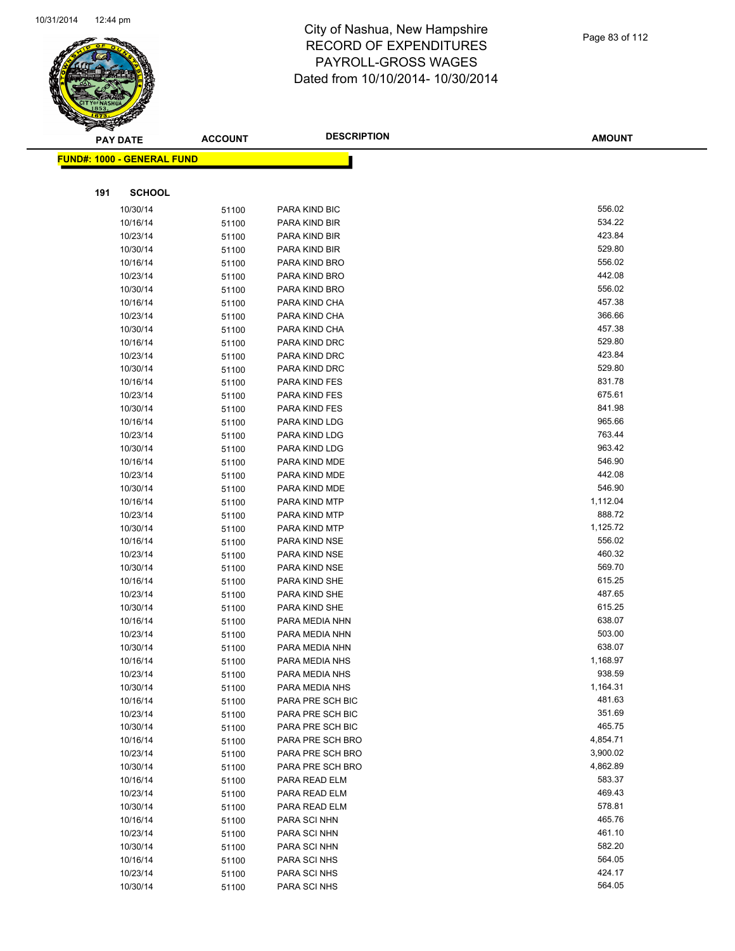

|     | <b>PAY DATE</b>                    | <b>ACCOUNT</b> | <b>DESCRIPTION</b> | <b>AMOUNT</b> |
|-----|------------------------------------|----------------|--------------------|---------------|
|     | <u> FUND#: 1000 - GENERAL FUND</u> |                |                    |               |
|     |                                    |                |                    |               |
|     | <b>SCHOOL</b>                      |                |                    |               |
| 191 |                                    |                |                    |               |
|     | 10/30/14                           | 51100          | PARA KIND BIC      | 556.02        |
|     | 10/16/14                           | 51100          | PARA KIND BIR      | 534.22        |
|     | 10/23/14                           | 51100          | PARA KIND BIR      | 423.84        |
|     | 10/30/14                           | 51100          | PARA KIND BIR      | 529.80        |
|     | 10/16/14                           | 51100          | PARA KIND BRO      | 556.02        |
|     | 10/23/14                           | 51100          | PARA KIND BRO      | 442.08        |
|     | 10/30/14                           | 51100          | PARA KIND BRO      | 556.02        |
|     | 10/16/14                           | 51100          | PARA KIND CHA      | 457.38        |
|     | 10/23/14                           | 51100          | PARA KIND CHA      | 366.66        |
|     | 10/30/14                           | 51100          | PARA KIND CHA      | 457.38        |
|     | 10/16/14                           | 51100          | PARA KIND DRC      | 529.80        |
|     | 10/23/14                           | 51100          | PARA KIND DRC      | 423.84        |
|     | 10/30/14                           | 51100          | PARA KIND DRC      | 529.80        |
|     | 10/16/14                           | 51100          | PARA KIND FES      | 831.78        |
|     | 10/23/14                           | 51100          | PARA KIND FES      | 675.61        |
|     | 10/30/14                           | 51100          | PARA KIND FES      | 841.98        |
|     | 10/16/14                           | 51100          | PARA KIND LDG      | 965.66        |
|     | 10/23/14                           | 51100          | PARA KIND LDG      | 763.44        |
|     | 10/30/14                           | 51100          | PARA KIND LDG      | 963.42        |
|     | 10/16/14                           | 51100          | PARA KIND MDE      | 546.90        |
|     | 10/23/14                           | 51100          | PARA KIND MDE      | 442.08        |
|     | 10/30/14                           | 51100          | PARA KIND MDE      | 546.90        |
|     | 10/16/14                           | 51100          | PARA KIND MTP      | 1,112.04      |
|     | 10/23/14                           | 51100          | PARA KIND MTP      | 888.72        |
|     | 10/30/14                           | 51100          | PARA KIND MTP      | 1,125.72      |
|     | 10/16/14                           | 51100          | PARA KIND NSE      | 556.02        |
|     | 10/23/14                           | 51100          | PARA KIND NSE      | 460.32        |
|     | 10/30/14                           | 51100          | PARA KIND NSE      | 569.70        |
|     | 10/16/14                           | 51100          | PARA KIND SHE      | 615.25        |
|     | 10/23/14                           | 51100          | PARA KIND SHE      | 487.65        |
|     | 10/30/14                           | 51100          | PARA KIND SHE      | 615.25        |
|     | 10/16/14                           | 51100          | PARA MEDIA NHN     | 638.07        |
|     | 10/23/14                           | 51100          | PARA MEDIA NHN     | 503.00        |
|     | 10/30/14                           | 51100          | PARA MEDIA NHN     | 638.07        |
|     | 10/16/14                           | 51100          | PARA MEDIA NHS     | 1,168.97      |
|     | 10/23/14                           | 51100          | PARA MEDIA NHS     | 938.59        |
|     | 10/30/14                           | 51100          | PARA MEDIA NHS     | 1,164.31      |
|     | 10/16/14                           | 51100          | PARA PRE SCH BIC   | 481.63        |
|     | 10/23/14                           | 51100          | PARA PRE SCH BIC   | 351.69        |
|     | 10/30/14                           | 51100          | PARA PRE SCH BIC   | 465.75        |
|     | 10/16/14                           | 51100          | PARA PRE SCH BRO   | 4,854.71      |
|     | 10/23/14                           | 51100          | PARA PRE SCH BRO   | 3,900.02      |
|     | 10/30/14                           | 51100          | PARA PRE SCH BRO   | 4,862.89      |
|     | 10/16/14                           | 51100          | PARA READ ELM      | 583.37        |
|     | 10/23/14                           | 51100          | PARA READ ELM      | 469.43        |
|     | 10/30/14                           | 51100          | PARA READ ELM      | 578.81        |
|     | 10/16/14                           | 51100          | PARA SCI NHN       | 465.76        |
|     | 10/23/14                           | 51100          | PARA SCI NHN       | 461.10        |
|     | 10/30/14                           | 51100          | PARA SCI NHN       | 582.20        |
|     | 10/16/14                           | 51100          | PARA SCI NHS       | 564.05        |
|     | 10/23/14                           | 51100          | PARA SCI NHS       | 424.17        |
|     | 10/30/14                           | 51100          | PARA SCI NHS       | 564.05        |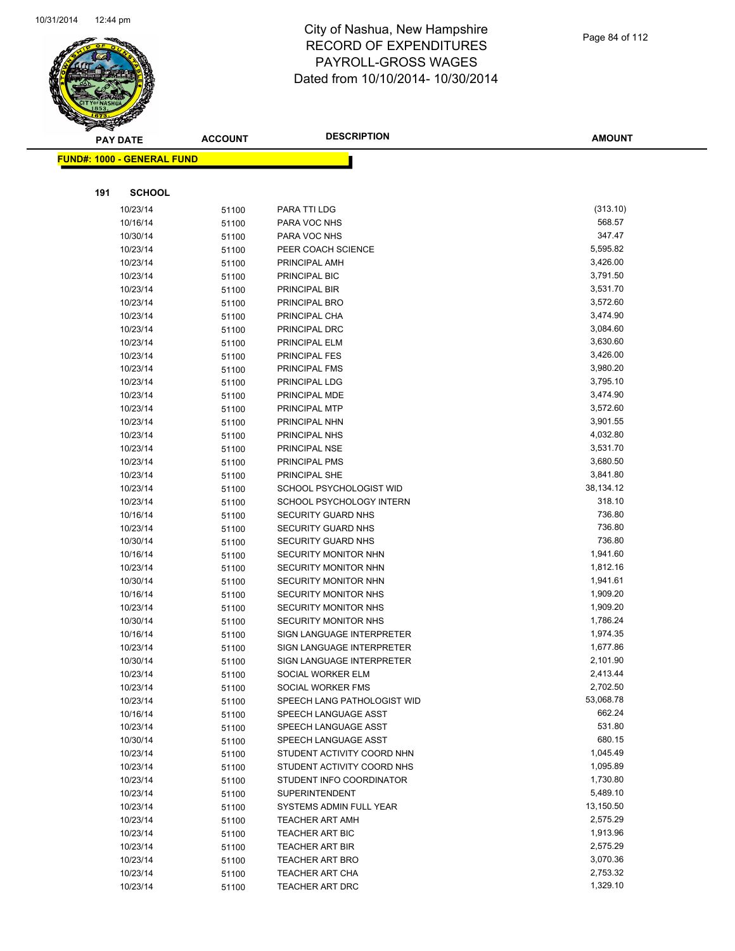

|     | <b>PAY DATE</b>                    | <b>ACCOUNT</b> | <b>DESCRIPTION</b>               | <b>AMOUNT</b> |  |
|-----|------------------------------------|----------------|----------------------------------|---------------|--|
|     | <u> FUND#: 1000 - GENERAL FUND</u> |                |                                  |               |  |
|     |                                    |                |                                  |               |  |
|     |                                    |                |                                  |               |  |
| 191 | <b>SCHOOL</b>                      |                |                                  |               |  |
|     | 10/23/14                           | 51100          | PARA TTI LDG                     | (313.10)      |  |
|     | 10/16/14                           | 51100          | PARA VOC NHS                     | 568.57        |  |
|     | 10/30/14                           | 51100          | PARA VOC NHS                     | 347.47        |  |
|     | 10/23/14                           | 51100          | PEER COACH SCIENCE               | 5,595.82      |  |
|     | 10/23/14                           | 51100          | PRINCIPAL AMH                    | 3,426.00      |  |
|     | 10/23/14                           | 51100          | PRINCIPAL BIC                    | 3,791.50      |  |
|     | 10/23/14                           | 51100          | PRINCIPAL BIR                    | 3,531.70      |  |
|     | 10/23/14                           | 51100          | PRINCIPAL BRO                    | 3,572.60      |  |
|     | 10/23/14                           | 51100          | PRINCIPAL CHA                    | 3,474.90      |  |
|     | 10/23/14                           | 51100          | PRINCIPAL DRC                    | 3,084.60      |  |
|     | 10/23/14                           | 51100          | PRINCIPAL ELM                    | 3,630.60      |  |
|     | 10/23/14                           | 51100          | PRINCIPAL FES                    | 3,426.00      |  |
|     | 10/23/14                           | 51100          | PRINCIPAL FMS                    | 3,980.20      |  |
|     | 10/23/14                           | 51100          | PRINCIPAL LDG                    | 3,795.10      |  |
|     | 10/23/14                           | 51100          | PRINCIPAL MDE                    | 3,474.90      |  |
|     | 10/23/14                           | 51100          | PRINCIPAL MTP                    | 3,572.60      |  |
|     | 10/23/14                           | 51100          | PRINCIPAL NHN                    | 3,901.55      |  |
|     | 10/23/14                           | 51100          | PRINCIPAL NHS                    | 4,032.80      |  |
|     | 10/23/14                           | 51100          | PRINCIPAL NSE                    | 3,531.70      |  |
|     | 10/23/14                           | 51100          | PRINCIPAL PMS                    | 3,680.50      |  |
|     | 10/23/14                           | 51100          | PRINCIPAL SHE                    | 3,841.80      |  |
|     | 10/23/14                           | 51100          | SCHOOL PSYCHOLOGIST WID          | 38,134.12     |  |
|     | 10/23/14                           | 51100          | SCHOOL PSYCHOLOGY INTERN         | 318.10        |  |
|     | 10/16/14                           | 51100          | SECURITY GUARD NHS               | 736.80        |  |
|     | 10/23/14                           | 51100          | <b>SECURITY GUARD NHS</b>        | 736.80        |  |
|     | 10/30/14                           | 51100          | <b>SECURITY GUARD NHS</b>        | 736.80        |  |
|     | 10/16/14                           | 51100          | SECURITY MONITOR NHN             | 1,941.60      |  |
|     | 10/23/14                           | 51100          | SECURITY MONITOR NHN             | 1,812.16      |  |
|     | 10/30/14                           | 51100          | SECURITY MONITOR NHN             | 1,941.61      |  |
|     | 10/16/14                           | 51100          | SECURITY MONITOR NHS             | 1,909.20      |  |
|     | 10/23/14                           | 51100          | SECURITY MONITOR NHS             | 1,909.20      |  |
|     | 10/30/14                           | 51100          | <b>SECURITY MONITOR NHS</b>      | 1,786.24      |  |
|     | 10/16/14                           | 51100          | <b>SIGN LANGUAGE INTERPRETER</b> | 1,974.35      |  |
|     | 10/23/14                           | 51100          | SIGN LANGUAGE INTERPRETER        | 1,677.86      |  |
|     | 10/30/14                           | 51100          | SIGN LANGUAGE INTERPRETER        | 2,101.90      |  |
|     | 10/23/14                           | 51100          | SOCIAL WORKER ELM                | 2,413.44      |  |
|     | 10/23/14                           | 51100          | SOCIAL WORKER FMS                | 2,702.50      |  |
|     | 10/23/14                           | 51100          | SPEECH LANG PATHOLOGIST WID      | 53,068.78     |  |
|     | 10/16/14                           | 51100          | SPEECH LANGUAGE ASST             | 662.24        |  |
|     | 10/23/14                           | 51100          | SPEECH LANGUAGE ASST             | 531.80        |  |
|     | 10/30/14                           | 51100          | SPEECH LANGUAGE ASST             | 680.15        |  |
|     | 10/23/14                           | 51100          | STUDENT ACTIVITY COORD NHN       | 1,045.49      |  |
|     | 10/23/14                           | 51100          | STUDENT ACTIVITY COORD NHS       | 1,095.89      |  |
|     | 10/23/14                           | 51100          | STUDENT INFO COORDINATOR         | 1,730.80      |  |
|     | 10/23/14                           | 51100          | <b>SUPERINTENDENT</b>            | 5,489.10      |  |
|     | 10/23/14                           | 51100          | SYSTEMS ADMIN FULL YEAR          | 13,150.50     |  |
|     | 10/23/14                           | 51100          | <b>TEACHER ART AMH</b>           | 2,575.29      |  |
|     | 10/23/14                           | 51100          | <b>TEACHER ART BIC</b>           | 1,913.96      |  |
|     | 10/23/14                           | 51100          | <b>TEACHER ART BIR</b>           | 2,575.29      |  |
|     | 10/23/14                           | 51100          | <b>TEACHER ART BRO</b>           | 3,070.36      |  |
|     | 10/23/14                           | 51100          | TEACHER ART CHA                  | 2,753.32      |  |
|     | 10/23/14                           | 51100          | TEACHER ART DRC                  | 1,329.10      |  |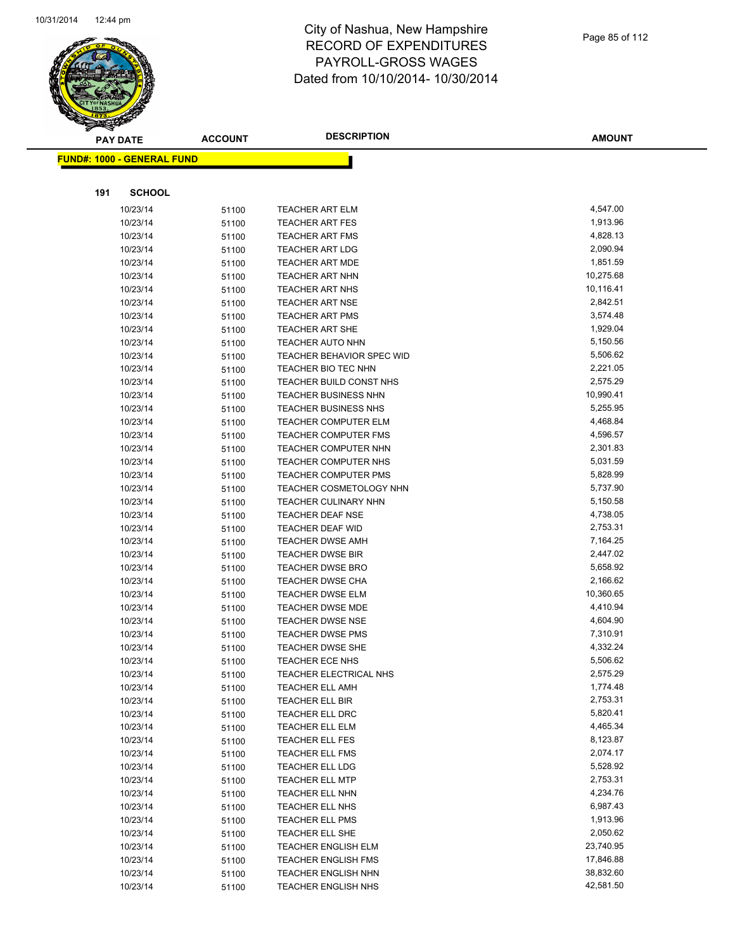

|     | <b>PAY DATE</b>                   | <b>ACCOUNT</b> | <b>DESCRIPTION</b>                                          | <b>AMOUNT</b>        |
|-----|-----------------------------------|----------------|-------------------------------------------------------------|----------------------|
|     | <b>FUND#: 1000 - GENERAL FUND</b> |                |                                                             |                      |
|     |                                   |                |                                                             |                      |
| 191 | <b>SCHOOL</b>                     |                |                                                             |                      |
|     |                                   |                |                                                             |                      |
|     | 10/23/14                          | 51100          | TEACHER ART ELM                                             | 4,547.00             |
|     | 10/23/14                          | 51100          | <b>TEACHER ART FES</b>                                      | 1,913.96             |
|     | 10/23/14                          | 51100          | <b>TEACHER ART FMS</b>                                      | 4,828.13             |
|     | 10/23/14                          | 51100          | <b>TEACHER ART LDG</b>                                      | 2,090.94             |
|     | 10/23/14                          | 51100          | <b>TEACHER ART MDE</b>                                      | 1,851.59             |
|     | 10/23/14                          | 51100          | <b>TEACHER ART NHN</b>                                      | 10,275.68            |
|     | 10/23/14                          | 51100          | <b>TEACHER ART NHS</b>                                      | 10,116.41            |
|     | 10/23/14                          | 51100          | <b>TEACHER ART NSE</b>                                      | 2,842.51             |
|     | 10/23/14                          | 51100          | <b>TEACHER ART PMS</b>                                      | 3,574.48<br>1,929.04 |
|     | 10/23/14                          | 51100          | <b>TEACHER ART SHE</b>                                      | 5,150.56             |
|     | 10/23/14                          | 51100          | <b>TEACHER AUTO NHN</b><br><b>TEACHER BEHAVIOR SPEC WID</b> | 5,506.62             |
|     | 10/23/14<br>10/23/14              | 51100          | TEACHER BIO TEC NHN                                         | 2,221.05             |
|     | 10/23/14                          | 51100          | TEACHER BUILD CONST NHS                                     | 2,575.29             |
|     | 10/23/14                          | 51100          | <b>TEACHER BUSINESS NHN</b>                                 | 10,990.41            |
|     | 10/23/14                          | 51100          | <b>TEACHER BUSINESS NHS</b>                                 | 5,255.95             |
|     | 10/23/14                          | 51100<br>51100 | TEACHER COMPUTER ELM                                        | 4,468.84             |
|     | 10/23/14                          | 51100          | <b>TEACHER COMPUTER FMS</b>                                 | 4,596.57             |
|     | 10/23/14                          | 51100          | TEACHER COMPUTER NHN                                        | 2,301.83             |
|     | 10/23/14                          | 51100          | <b>TEACHER COMPUTER NHS</b>                                 | 5,031.59             |
|     | 10/23/14                          | 51100          | <b>TEACHER COMPUTER PMS</b>                                 | 5,828.99             |
|     | 10/23/14                          | 51100          | <b>TEACHER COSMETOLOGY NHN</b>                              | 5,737.90             |
|     | 10/23/14                          | 51100          | <b>TEACHER CULINARY NHN</b>                                 | 5,150.58             |
|     | 10/23/14                          | 51100          | <b>TEACHER DEAF NSE</b>                                     | 4,738.05             |
|     | 10/23/14                          | 51100          | TEACHER DEAF WID                                            | 2,753.31             |
|     | 10/23/14                          | 51100          | <b>TEACHER DWSE AMH</b>                                     | 7,164.25             |
|     | 10/23/14                          | 51100          | <b>TEACHER DWSE BIR</b>                                     | 2,447.02             |
|     | 10/23/14                          | 51100          | <b>TEACHER DWSE BRO</b>                                     | 5,658.92             |
|     | 10/23/14                          | 51100          | <b>TEACHER DWSE CHA</b>                                     | 2,166.62             |
|     | 10/23/14                          | 51100          | <b>TEACHER DWSE ELM</b>                                     | 10,360.65            |
|     | 10/23/14                          | 51100          | <b>TEACHER DWSE MDE</b>                                     | 4,410.94             |
|     | 10/23/14                          | 51100          | <b>TEACHER DWSE NSE</b>                                     | 4,604.90             |
|     | 10/23/14                          | 51100          | <b>TEACHER DWSE PMS</b>                                     | 7,310.91             |
|     | 10/23/14                          | 51100          | <b>TEACHER DWSE SHE</b>                                     | 4,332.24             |
|     | 10/23/14                          | 51100          | <b>TEACHER ECE NHS</b>                                      | 5,506.62             |
|     | 10/23/14                          | 51100          | TEACHER ELECTRICAL NHS                                      | 2,575.29             |
|     | 10/23/14                          | 51100          | <b>TEACHER ELL AMH</b>                                      | 1,774.48             |
|     | 10/23/14                          | 51100          | <b>TEACHER ELL BIR</b>                                      | 2,753.31             |
|     | 10/23/14                          | 51100          | TEACHER ELL DRC                                             | 5,820.41             |
|     | 10/23/14                          | 51100          | <b>TEACHER ELL ELM</b>                                      | 4,465.34             |
|     | 10/23/14                          | 51100          | TEACHER ELL FES                                             | 8,123.87             |
|     | 10/23/14                          | 51100          | <b>TEACHER ELL FMS</b>                                      | 2,074.17             |
|     | 10/23/14                          | 51100          | TEACHER ELL LDG                                             | 5,528.92             |
|     | 10/23/14                          | 51100          | <b>TEACHER ELL MTP</b>                                      | 2,753.31             |
|     | 10/23/14                          | 51100          | <b>TEACHER ELL NHN</b>                                      | 4,234.76             |
|     | 10/23/14                          | 51100          | TEACHER ELL NHS                                             | 6,987.43             |
|     | 10/23/14                          | 51100          | <b>TEACHER ELL PMS</b>                                      | 1,913.96             |
|     | 10/23/14                          | 51100          | TEACHER ELL SHE                                             | 2,050.62             |
|     | 10/23/14                          | 51100          | <b>TEACHER ENGLISH ELM</b>                                  | 23,740.95            |
|     | 10/23/14                          | 51100          | TEACHER ENGLISH FMS                                         | 17,846.88            |
|     | 10/23/14                          | 51100          | <b>TEACHER ENGLISH NHN</b>                                  | 38,832.60            |
|     | 10/23/14                          | 51100          | <b>TEACHER ENGLISH NHS</b>                                  | 42,581.50            |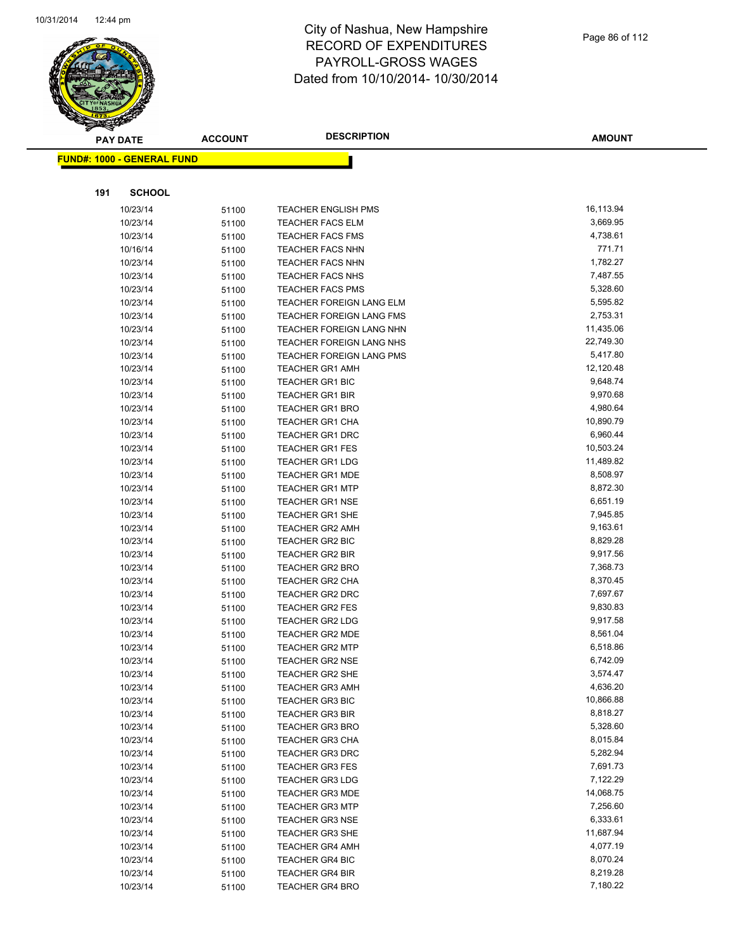

|     | <b>PAY DATE</b>                    | <b>ACCOUNT</b> | <b>DESCRIPTION</b>              | <b>AMOUNT</b> |
|-----|------------------------------------|----------------|---------------------------------|---------------|
|     | <u> FUND#: 1000 - GENERAL FUND</u> |                |                                 |               |
|     |                                    |                |                                 |               |
| 191 | <b>SCHOOL</b>                      |                |                                 |               |
|     | 10/23/14                           | 51100          | <b>TEACHER ENGLISH PMS</b>      | 16,113.94     |
|     | 10/23/14                           | 51100          | <b>TEACHER FACS ELM</b>         | 3,669.95      |
|     | 10/23/14                           | 51100          | <b>TEACHER FACS FMS</b>         | 4,738.61      |
|     | 10/16/14                           | 51100          | <b>TEACHER FACS NHN</b>         | 771.71        |
|     | 10/23/14                           | 51100          | <b>TEACHER FACS NHN</b>         | 1,782.27      |
|     | 10/23/14                           | 51100          | <b>TEACHER FACS NHS</b>         | 7,487.55      |
|     | 10/23/14                           | 51100          | <b>TEACHER FACS PMS</b>         | 5,328.60      |
|     | 10/23/14                           | 51100          | <b>TEACHER FOREIGN LANG ELM</b> | 5,595.82      |
|     | 10/23/14                           | 51100          | TEACHER FOREIGN LANG FMS        | 2,753.31      |
|     | 10/23/14                           | 51100          | <b>TEACHER FOREIGN LANG NHN</b> | 11,435.06     |
|     | 10/23/14                           | 51100          | TEACHER FOREIGN LANG NHS        | 22,749.30     |
|     | 10/23/14                           | 51100          | TEACHER FOREIGN LANG PMS        | 5,417.80      |
|     | 10/23/14                           | 51100          | <b>TEACHER GR1 AMH</b>          | 12,120.48     |
|     | 10/23/14                           | 51100          | <b>TEACHER GR1 BIC</b>          | 9,648.74      |
|     | 10/23/14                           | 51100          | <b>TEACHER GR1 BIR</b>          | 9,970.68      |
|     | 10/23/14                           | 51100          | <b>TEACHER GR1 BRO</b>          | 4,980.64      |
|     | 10/23/14                           | 51100          | <b>TEACHER GR1 CHA</b>          | 10,890.79     |
|     | 10/23/14                           | 51100          | <b>TEACHER GR1 DRC</b>          | 6,960.44      |
|     | 10/23/14                           | 51100          | <b>TEACHER GR1 FES</b>          | 10,503.24     |
|     | 10/23/14                           | 51100          | <b>TEACHER GR1 LDG</b>          | 11,489.82     |
|     | 10/23/14                           | 51100          | TEACHER GR1 MDE                 | 8,508.97      |
|     | 10/23/14                           | 51100          | <b>TEACHER GR1 MTP</b>          | 8,872.30      |
|     | 10/23/14                           | 51100          | <b>TEACHER GR1 NSE</b>          | 6,651.19      |
|     | 10/23/14                           | 51100          | <b>TEACHER GR1 SHE</b>          | 7,945.85      |
|     | 10/23/14                           | 51100          | <b>TEACHER GR2 AMH</b>          | 9,163.61      |
|     | 10/23/14                           | 51100          | <b>TEACHER GR2 BIC</b>          | 8,829.28      |
|     | 10/23/14                           | 51100          | <b>TEACHER GR2 BIR</b>          | 9,917.56      |
|     | 10/23/14                           | 51100          | <b>TEACHER GR2 BRO</b>          | 7,368.73      |
|     | 10/23/14                           | 51100          | <b>TEACHER GR2 CHA</b>          | 8,370.45      |
|     | 10/23/14                           | 51100          | <b>TEACHER GR2 DRC</b>          | 7,697.67      |
|     | 10/23/14                           | 51100          | <b>TEACHER GR2 FES</b>          | 9,830.83      |
|     | 10/23/14                           | 51100          | <b>TEACHER GR2 LDG</b>          | 9,917.58      |
|     | 10/23/14                           | 51100          | TEACHER GR2 MDE                 | 8,561.04      |
|     | 10/23/14                           | 51100          | <b>TEACHER GR2 MTP</b>          | 6,518.86      |
|     | 10/23/14                           | 51100          | <b>TEACHER GR2 NSE</b>          | 6,742.09      |
|     | 10/23/14                           | 51100          | TEACHER GR2 SHE                 | 3,574.47      |
|     | 10/23/14                           | 51100          | <b>TEACHER GR3 AMH</b>          | 4,636.20      |
|     | 10/23/14                           | 51100          | <b>TEACHER GR3 BIC</b>          | 10,866.88     |
|     | 10/23/14                           | 51100          | <b>TEACHER GR3 BIR</b>          | 8,818.27      |
|     | 10/23/14                           | 51100          | <b>TEACHER GR3 BRO</b>          | 5,328.60      |
|     | 10/23/14                           | 51100          | <b>TEACHER GR3 CHA</b>          | 8,015.84      |
|     | 10/23/14                           | 51100          | TEACHER GR3 DRC                 | 5,282.94      |
|     | 10/23/14                           | 51100          | <b>TEACHER GR3 FES</b>          | 7,691.73      |
|     | 10/23/14                           | 51100          | <b>TEACHER GR3 LDG</b>          | 7,122.29      |
|     | 10/23/14                           | 51100          | TEACHER GR3 MDE                 | 14,068.75     |
|     | 10/23/14                           | 51100          | <b>TEACHER GR3 MTP</b>          | 7,256.60      |
|     | 10/23/14                           | 51100          | <b>TEACHER GR3 NSE</b>          | 6,333.61      |
|     | 10/23/14                           | 51100          | <b>TEACHER GR3 SHE</b>          | 11,687.94     |
|     | 10/23/14                           | 51100          | <b>TEACHER GR4 AMH</b>          | 4,077.19      |
|     | 10/23/14                           | 51100          | <b>TEACHER GR4 BIC</b>          | 8,070.24      |
|     | 10/23/14                           | 51100          | <b>TEACHER GR4 BIR</b>          | 8,219.28      |
|     | 10/23/14                           | 51100          | TEACHER GR4 BRO                 | 7,180.22      |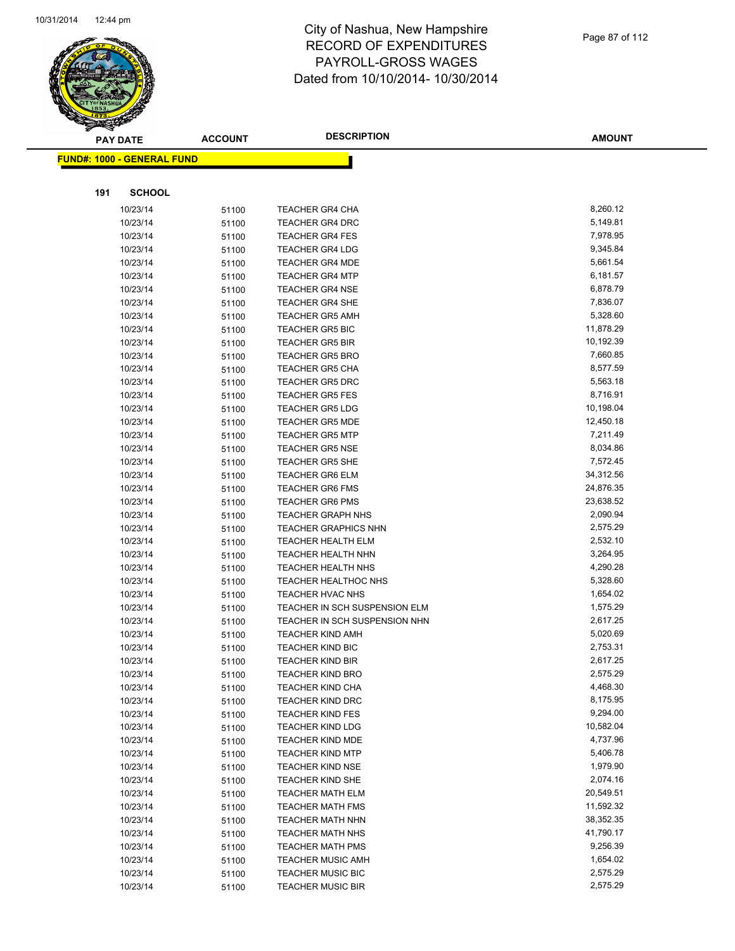

|     | <b>PAY DATE</b>                    | <b>ACCOUNT</b> | <b>DESCRIPTION</b>            | <b>AMOUNT</b> |
|-----|------------------------------------|----------------|-------------------------------|---------------|
|     | <u> FUND#: 1000 - GENERAL FUND</u> |                |                               |               |
|     |                                    |                |                               |               |
|     |                                    |                |                               |               |
| 191 | <b>SCHOOL</b>                      |                |                               |               |
|     | 10/23/14                           | 51100          | TEACHER GR4 CHA               | 8,260.12      |
|     | 10/23/14                           | 51100          | <b>TEACHER GR4 DRC</b>        | 5,149.81      |
|     | 10/23/14                           | 51100          | <b>TEACHER GR4 FES</b>        | 7,978.95      |
|     | 10/23/14                           | 51100          | <b>TEACHER GR4 LDG</b>        | 9,345.84      |
|     | 10/23/14                           | 51100          | <b>TEACHER GR4 MDE</b>        | 5,661.54      |
|     | 10/23/14                           | 51100          | <b>TEACHER GR4 MTP</b>        | 6,181.57      |
|     | 10/23/14                           | 51100          | <b>TEACHER GR4 NSE</b>        | 6,878.79      |
|     | 10/23/14                           | 51100          | <b>TEACHER GR4 SHE</b>        | 7,836.07      |
|     | 10/23/14                           | 51100          | <b>TEACHER GR5 AMH</b>        | 5,328.60      |
|     | 10/23/14                           | 51100          | <b>TEACHER GR5 BIC</b>        | 11,878.29     |
|     | 10/23/14                           | 51100          | <b>TEACHER GR5 BIR</b>        | 10,192.39     |
|     | 10/23/14                           | 51100          | <b>TEACHER GR5 BRO</b>        | 7,660.85      |
|     | 10/23/14                           | 51100          | <b>TEACHER GR5 CHA</b>        | 8,577.59      |
|     | 10/23/14                           | 51100          | <b>TEACHER GR5 DRC</b>        | 5,563.18      |
|     | 10/23/14                           | 51100          | <b>TEACHER GR5 FES</b>        | 8,716.91      |
|     | 10/23/14                           | 51100          | <b>TEACHER GR5 LDG</b>        | 10,198.04     |
|     | 10/23/14                           | 51100          | <b>TEACHER GR5 MDE</b>        | 12,450.18     |
|     | 10/23/14                           | 51100          | <b>TEACHER GR5 MTP</b>        | 7,211.49      |
|     | 10/23/14                           | 51100          | <b>TEACHER GR5 NSE</b>        | 8,034.86      |
|     | 10/23/14                           | 51100          | <b>TEACHER GR5 SHE</b>        | 7,572.45      |
|     | 10/23/14                           | 51100          | <b>TEACHER GR6 ELM</b>        | 34,312.56     |
|     | 10/23/14                           | 51100          | <b>TEACHER GR6 FMS</b>        | 24,876.35     |
|     | 10/23/14                           | 51100          | <b>TEACHER GR6 PMS</b>        | 23,638.52     |
|     | 10/23/14                           | 51100          | <b>TEACHER GRAPH NHS</b>      | 2,090.94      |
|     | 10/23/14                           | 51100          | <b>TEACHER GRAPHICS NHN</b>   | 2,575.29      |
|     | 10/23/14                           | 51100          | <b>TEACHER HEALTH ELM</b>     | 2,532.10      |
|     | 10/23/14                           | 51100          | <b>TEACHER HEALTH NHN</b>     | 3,264.95      |
|     | 10/23/14                           | 51100          | <b>TEACHER HEALTH NHS</b>     | 4,290.28      |
|     | 10/23/14                           | 51100          | <b>TEACHER HEALTHOC NHS</b>   | 5,328.60      |
|     | 10/23/14                           | 51100          | TEACHER HVAC NHS              | 1,654.02      |
|     | 10/23/14                           | 51100          | TEACHER IN SCH SUSPENSION ELM | 1,575.29      |
|     | 10/23/14                           | 51100          | TEACHER IN SCH SUSPENSION NHN | 2,617.25      |
|     | 10/23/14                           | 51100          | <b>TEACHER KIND AMH</b>       | 5,020.69      |
|     | 10/23/14                           | 51100          | <b>TEACHER KIND BIC</b>       | 2,753.31      |
|     | 10/23/14                           | 51100          | TEACHER KIND BIR              | 2,617.25      |
|     | 10/23/14                           | 51100          | TEACHER KIND BRO              | 2,575.29      |
|     | 10/23/14                           | 51100          | <b>TEACHER KIND CHA</b>       | 4,468.30      |
|     | 10/23/14                           | 51100          | <b>TEACHER KIND DRC</b>       | 8,175.95      |
|     | 10/23/14                           | 51100          | <b>TEACHER KIND FES</b>       | 9,294.00      |
|     | 10/23/14                           | 51100          | <b>TEACHER KIND LDG</b>       | 10,582.04     |
|     | 10/23/14                           | 51100          | <b>TEACHER KIND MDE</b>       | 4,737.96      |
|     | 10/23/14                           | 51100          | <b>TEACHER KIND MTP</b>       | 5,406.78      |
|     | 10/23/14                           | 51100          | <b>TEACHER KIND NSE</b>       | 1,979.90      |
|     | 10/23/14                           | 51100          | TEACHER KIND SHE              | 2,074.16      |
|     | 10/23/14                           | 51100          | <b>TEACHER MATH ELM</b>       | 20,549.51     |
|     | 10/23/14                           | 51100          | <b>TEACHER MATH FMS</b>       | 11,592.32     |
|     | 10/23/14                           | 51100          | <b>TEACHER MATH NHN</b>       | 38,352.35     |
|     | 10/23/14                           | 51100          | <b>TEACHER MATH NHS</b>       | 41,790.17     |
|     | 10/23/14                           | 51100          | <b>TEACHER MATH PMS</b>       | 9,256.39      |
|     | 10/23/14                           | 51100          | <b>TEACHER MUSIC AMH</b>      | 1,654.02      |
|     | 10/23/14                           | 51100          | <b>TEACHER MUSIC BIC</b>      | 2,575.29      |
|     | 10/23/14                           | 51100          | <b>TEACHER MUSIC BIR</b>      | 2,575.29      |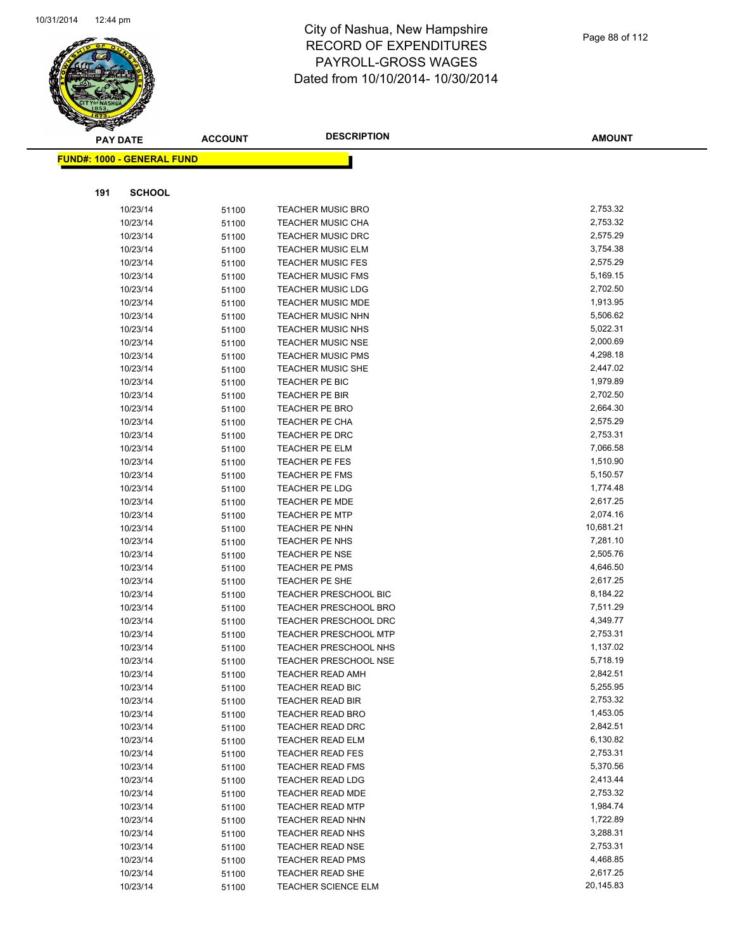

|     | <b>PAY DATE</b>                   | <b>ACCOUNT</b> | <b>DESCRIPTION</b>                                    | <b>AMOUNT</b>        |
|-----|-----------------------------------|----------------|-------------------------------------------------------|----------------------|
|     | <b>FUND#: 1000 - GENERAL FUND</b> |                |                                                       |                      |
|     |                                   |                |                                                       |                      |
| 191 | <b>SCHOOL</b>                     |                |                                                       |                      |
|     | 10/23/14                          | 51100          | <b>TEACHER MUSIC BRO</b>                              | 2,753.32             |
|     | 10/23/14                          | 51100          | <b>TEACHER MUSIC CHA</b>                              | 2,753.32             |
|     | 10/23/14                          | 51100          | <b>TEACHER MUSIC DRC</b>                              | 2,575.29             |
|     | 10/23/14                          | 51100          | <b>TEACHER MUSIC ELM</b>                              | 3,754.38             |
|     | 10/23/14                          | 51100          | <b>TEACHER MUSIC FES</b>                              | 2,575.29             |
|     | 10/23/14                          | 51100          | <b>TEACHER MUSIC FMS</b>                              | 5,169.15             |
|     | 10/23/14                          | 51100          | <b>TEACHER MUSIC LDG</b>                              | 2,702.50             |
|     | 10/23/14                          | 51100          | <b>TEACHER MUSIC MDE</b>                              | 1,913.95             |
|     | 10/23/14                          | 51100          | <b>TEACHER MUSIC NHN</b>                              | 5,506.62             |
|     | 10/23/14                          | 51100          | <b>TEACHER MUSIC NHS</b>                              | 5,022.31             |
|     | 10/23/14                          | 51100          | <b>TEACHER MUSIC NSE</b>                              | 2,000.69             |
|     | 10/23/14                          | 51100          | <b>TEACHER MUSIC PMS</b>                              | 4,298.18             |
|     | 10/23/14                          | 51100          | <b>TEACHER MUSIC SHE</b>                              | 2,447.02             |
|     | 10/23/14                          | 51100          | TEACHER PE BIC                                        | 1,979.89             |
|     | 10/23/14                          | 51100          | <b>TEACHER PE BIR</b>                                 | 2,702.50             |
|     | 10/23/14                          | 51100          | TEACHER PE BRO                                        | 2,664.30             |
|     | 10/23/14                          | 51100          | TEACHER PE CHA                                        | 2,575.29             |
|     | 10/23/14                          | 51100          | TEACHER PE DRC                                        | 2,753.31             |
|     | 10/23/14                          | 51100          | TEACHER PE ELM                                        | 7,066.58             |
|     | 10/23/14                          | 51100          | TEACHER PE FES                                        | 1,510.90             |
|     | 10/23/14                          | 51100          | <b>TEACHER PE FMS</b>                                 | 5,150.57             |
|     | 10/23/14                          | 51100          | <b>TEACHER PE LDG</b>                                 | 1,774.48             |
|     | 10/23/14                          | 51100          | <b>TEACHER PE MDE</b>                                 | 2,617.25             |
|     | 10/23/14                          | 51100          | <b>TEACHER PE MTP</b>                                 | 2,074.16             |
|     | 10/23/14                          | 51100          | TEACHER PE NHN                                        | 10,681.21            |
|     | 10/23/14                          | 51100          | TEACHER PE NHS                                        | 7,281.10             |
|     | 10/23/14                          | 51100          | <b>TEACHER PE NSE</b>                                 | 2,505.76             |
|     | 10/23/14                          | 51100          | TEACHER PE PMS                                        | 4,646.50             |
|     | 10/23/14                          | 51100          | TEACHER PE SHE                                        | 2,617.25             |
|     | 10/23/14                          | 51100          | <b>TEACHER PRESCHOOL BIC</b>                          | 8,184.22             |
|     | 10/23/14                          | 51100          | <b>TEACHER PRESCHOOL BRO</b>                          | 7,511.29             |
|     | 10/23/14<br>10/23/14              | 51100          | <b>TEACHER PRESCHOOL DRC</b>                          | 4,349.77<br>2,753.31 |
|     | 10/23/14                          | 51100          | <b>TEACHER PRESCHOOL MTP</b><br>TEACHER PRESCHOOL NHS | 1,137.02             |
|     | 10/23/14                          | 51100<br>51100 | <b>TEACHER PRESCHOOL NSE</b>                          | 5,718.19             |
|     | 10/23/14                          | 51100          | <b>TEACHER READ AMH</b>                               | 2,842.51             |
|     | 10/23/14                          | 51100          | TEACHER READ BIC                                      | 5,255.95             |
|     | 10/23/14                          | 51100          | TEACHER READ BIR                                      | 2,753.32             |
|     | 10/23/14                          | 51100          | <b>TEACHER READ BRO</b>                               | 1,453.05             |
|     | 10/23/14                          | 51100          | TEACHER READ DRC                                      | 2,842.51             |
|     | 10/23/14                          | 51100          | <b>TEACHER READ ELM</b>                               | 6,130.82             |
|     | 10/23/14                          | 51100          | <b>TEACHER READ FES</b>                               | 2,753.31             |
|     | 10/23/14                          | 51100          | <b>TEACHER READ FMS</b>                               | 5,370.56             |
|     | 10/23/14                          | 51100          | <b>TEACHER READ LDG</b>                               | 2,413.44             |
|     | 10/23/14                          | 51100          | <b>TEACHER READ MDE</b>                               | 2,753.32             |
|     | 10/23/14                          | 51100          | <b>TEACHER READ MTP</b>                               | 1,984.74             |
|     | 10/23/14                          | 51100          | <b>TEACHER READ NHN</b>                               | 1,722.89             |
|     | 10/23/14                          | 51100          | TEACHER READ NHS                                      | 3,288.31             |
|     | 10/23/14                          | 51100          | <b>TEACHER READ NSE</b>                               | 2,753.31             |
|     | 10/23/14                          | 51100          | <b>TEACHER READ PMS</b>                               | 4,468.85             |
|     | 10/23/14                          | 51100          | TEACHER READ SHE                                      | 2,617.25             |
|     | 10/23/14                          | 51100          | TEACHER SCIENCE ELM                                   | 20,145.83            |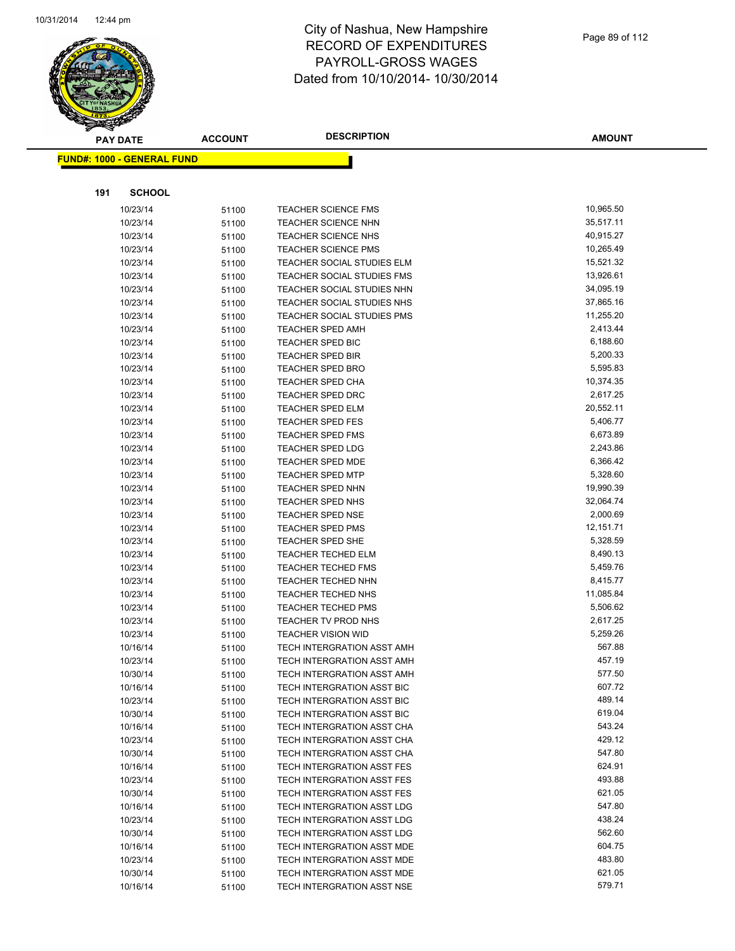

| <b>PAY DATE</b> |                                   | <b>ACCOUNT</b> | <b>DESCRIPTION</b>                                      | <b>AMOUNT</b>      |
|-----------------|-----------------------------------|----------------|---------------------------------------------------------|--------------------|
|                 | <b>FUND#: 1000 - GENERAL FUND</b> |                |                                                         |                    |
|                 |                                   |                |                                                         |                    |
| 191             | <b>SCHOOL</b>                     |                |                                                         |                    |
|                 | 10/23/14                          | 51100          | <b>TEACHER SCIENCE FMS</b>                              | 10,965.50          |
|                 | 10/23/14                          | 51100          | <b>TEACHER SCIENCE NHN</b>                              | 35,517.11          |
|                 | 10/23/14                          | 51100          | <b>TEACHER SCIENCE NHS</b>                              | 40,915.27          |
|                 | 10/23/14                          | 51100          | <b>TEACHER SCIENCE PMS</b>                              | 10,265.49          |
|                 | 10/23/14                          | 51100          | TEACHER SOCIAL STUDIES ELM                              | 15,521.32          |
|                 | 10/23/14                          | 51100          | TEACHER SOCIAL STUDIES FMS                              | 13,926.61          |
|                 | 10/23/14                          | 51100          | <b>TEACHER SOCIAL STUDIES NHN</b>                       | 34,095.19          |
|                 | 10/23/14                          | 51100          | TEACHER SOCIAL STUDIES NHS                              | 37,865.16          |
|                 | 10/23/14                          | 51100          | TEACHER SOCIAL STUDIES PMS                              | 11,255.20          |
|                 | 10/23/14                          | 51100          | <b>TEACHER SPED AMH</b>                                 | 2,413.44           |
|                 | 10/23/14                          | 51100          | TEACHER SPED BIC                                        | 6,188.60           |
|                 | 10/23/14                          | 51100          | <b>TEACHER SPED BIR</b>                                 | 5,200.33           |
|                 | 10/23/14                          | 51100          | <b>TEACHER SPED BRO</b>                                 | 5,595.83           |
|                 | 10/23/14                          | 51100          | <b>TEACHER SPED CHA</b>                                 | 10,374.35          |
|                 | 10/23/14                          | 51100          | <b>TEACHER SPED DRC</b>                                 | 2,617.25           |
|                 | 10/23/14                          | 51100          | <b>TEACHER SPED ELM</b>                                 | 20,552.11          |
|                 | 10/23/14                          | 51100          | <b>TEACHER SPED FES</b>                                 | 5,406.77           |
|                 | 10/23/14                          | 51100          | <b>TEACHER SPED FMS</b>                                 | 6,673.89           |
|                 | 10/23/14                          | 51100          | <b>TEACHER SPED LDG</b>                                 | 2,243.86           |
|                 | 10/23/14                          | 51100          | TEACHER SPED MDE                                        | 6,366.42           |
|                 | 10/23/14                          | 51100          | <b>TEACHER SPED MTP</b>                                 | 5,328.60           |
|                 | 10/23/14                          | 51100          | <b>TEACHER SPED NHN</b>                                 | 19,990.39          |
|                 | 10/23/14                          | 51100          | <b>TEACHER SPED NHS</b>                                 | 32,064.74          |
|                 | 10/23/14                          | 51100          | <b>TEACHER SPED NSE</b>                                 | 2,000.69           |
|                 | 10/23/14                          | 51100          | <b>TEACHER SPED PMS</b>                                 | 12,151.71          |
|                 | 10/23/14                          | 51100          | <b>TEACHER SPED SHE</b>                                 | 5,328.59           |
|                 | 10/23/14                          | 51100          | <b>TEACHER TECHED ELM</b>                               | 8,490.13           |
|                 | 10/23/14                          | 51100          | <b>TEACHER TECHED FMS</b>                               | 5,459.76           |
|                 | 10/23/14                          | 51100          | TEACHER TECHED NHN                                      | 8,415.77           |
|                 | 10/23/14                          | 51100          | <b>TEACHER TECHED NHS</b>                               | 11,085.84          |
|                 | 10/23/14                          | 51100          | <b>TEACHER TECHED PMS</b>                               | 5,506.62           |
|                 | 10/23/14                          | 51100          | TEACHER TV PROD NHS                                     | 2,617.25           |
|                 | 10/23/14                          | 51100          | <b>TEACHER VISION WID</b><br>TECH INTERGRATION ASST AMH | 5,259.26<br>567.88 |
|                 | 10/16/14<br>10/23/14              | 51100          | TECH INTERGRATION ASST AMH                              | 457.19             |
|                 | 10/30/14                          | 51100          | TECH INTERGRATION ASST AMH                              | 577.50             |
|                 | 10/16/14                          | 51100<br>51100 | TECH INTERGRATION ASST BIC                              | 607.72             |
|                 | 10/23/14                          | 51100          | TECH INTERGRATION ASST BIC                              | 489.14             |
|                 | 10/30/14                          | 51100          | TECH INTERGRATION ASST BIC                              | 619.04             |
|                 | 10/16/14                          | 51100          | TECH INTERGRATION ASST CHA                              | 543.24             |
|                 | 10/23/14                          | 51100          | TECH INTERGRATION ASST CHA                              | 429.12             |
|                 | 10/30/14                          | 51100          | TECH INTERGRATION ASST CHA                              | 547.80             |
|                 | 10/16/14                          | 51100          | <b>TECH INTERGRATION ASST FES</b>                       | 624.91             |
|                 | 10/23/14                          | 51100          | <b>TECH INTERGRATION ASST FES</b>                       | 493.88             |
|                 | 10/30/14                          | 51100          | TECH INTERGRATION ASST FES                              | 621.05             |
|                 | 10/16/14                          | 51100          | TECH INTERGRATION ASST LDG                              | 547.80             |
|                 | 10/23/14                          | 51100          | TECH INTERGRATION ASST LDG                              | 438.24             |
|                 | 10/30/14                          | 51100          | TECH INTERGRATION ASST LDG                              | 562.60             |
|                 | 10/16/14                          | 51100          | TECH INTERGRATION ASST MDE                              | 604.75             |
|                 | 10/23/14                          | 51100          | TECH INTERGRATION ASST MDE                              | 483.80             |
|                 | 10/30/14                          | 51100          | TECH INTERGRATION ASST MDE                              | 621.05             |
|                 | 10/16/14                          | 51100          | TECH INTERGRATION ASST NSE                              | 579.71             |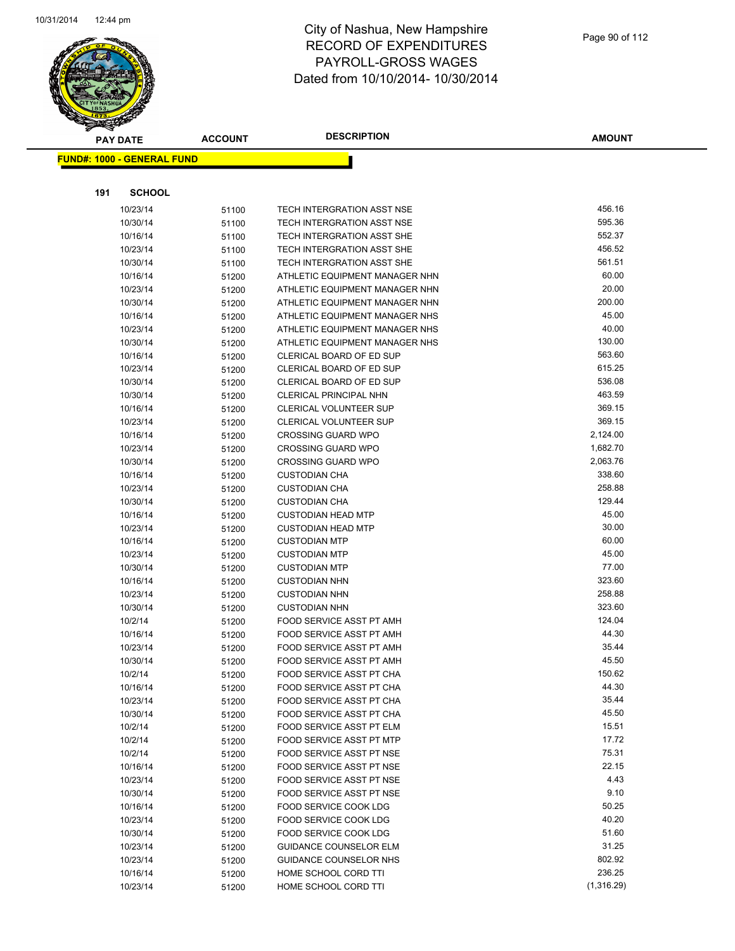

|     | <b>PAY DATE</b>                   | <b>ACCOUNT</b> | <b>DESCRIPTION</b>                                          | <b>AMOUNT</b>  |
|-----|-----------------------------------|----------------|-------------------------------------------------------------|----------------|
|     | <b>FUND#: 1000 - GENERAL FUND</b> |                |                                                             |                |
|     |                                   |                |                                                             |                |
| 191 | <b>SCHOOL</b>                     |                |                                                             |                |
|     | 10/23/14                          | 51100          | TECH INTERGRATION ASST NSE                                  | 456.16         |
|     | 10/30/14                          | 51100          | TECH INTERGRATION ASST NSE                                  | 595.36         |
|     | 10/16/14                          | 51100          | TECH INTERGRATION ASST SHE                                  | 552.37         |
|     | 10/23/14                          | 51100          | TECH INTERGRATION ASST SHE                                  | 456.52         |
|     | 10/30/14                          | 51100          | TECH INTERGRATION ASST SHE                                  | 561.51         |
|     | 10/16/14                          | 51200          | ATHLETIC EQUIPMENT MANAGER NHN                              | 60.00          |
|     | 10/23/14                          | 51200          | ATHLETIC EQUIPMENT MANAGER NHN                              | 20.00          |
|     | 10/30/14                          | 51200          | ATHLETIC EQUIPMENT MANAGER NHN                              | 200.00         |
|     | 10/16/14                          | 51200          | ATHLETIC EQUIPMENT MANAGER NHS                              | 45.00          |
|     | 10/23/14                          | 51200          | ATHLETIC EQUIPMENT MANAGER NHS                              | 40.00          |
|     | 10/30/14                          | 51200          | ATHLETIC EQUIPMENT MANAGER NHS                              | 130.00         |
|     | 10/16/14                          | 51200          | CLERICAL BOARD OF ED SUP                                    | 563.60         |
|     | 10/23/14                          | 51200          | CLERICAL BOARD OF ED SUP                                    | 615.25         |
|     | 10/30/14                          | 51200          | CLERICAL BOARD OF ED SUP                                    | 536.08         |
|     | 10/30/14                          | 51200          | <b>CLERICAL PRINCIPAL NHN</b>                               | 463.59         |
|     | 10/16/14                          | 51200          | <b>CLERICAL VOLUNTEER SUP</b>                               | 369.15         |
|     | 10/23/14                          | 51200          | CLERICAL VOLUNTEER SUP                                      | 369.15         |
|     | 10/16/14                          | 51200          | <b>CROSSING GUARD WPO</b>                                   | 2,124.00       |
|     | 10/23/14                          | 51200          | <b>CROSSING GUARD WPO</b>                                   | 1,682.70       |
|     | 10/30/14                          | 51200          | <b>CROSSING GUARD WPO</b>                                   | 2,063.76       |
|     | 10/16/14                          | 51200          | <b>CUSTODIAN CHA</b>                                        | 338.60         |
|     | 10/23/14                          | 51200          | <b>CUSTODIAN CHA</b>                                        | 258.88         |
|     | 10/30/14                          | 51200          | <b>CUSTODIAN CHA</b>                                        | 129.44         |
|     | 10/16/14                          | 51200          | <b>CUSTODIAN HEAD MTP</b>                                   | 45.00          |
|     | 10/23/14                          | 51200          | <b>CUSTODIAN HEAD MTP</b>                                   | 30.00          |
|     | 10/16/14                          | 51200          | <b>CUSTODIAN MTP</b>                                        | 60.00          |
|     | 10/23/14                          | 51200          | <b>CUSTODIAN MTP</b>                                        | 45.00          |
|     | 10/30/14                          | 51200          | <b>CUSTODIAN MTP</b>                                        | 77.00          |
|     | 10/16/14                          | 51200          | <b>CUSTODIAN NHN</b>                                        | 323.60         |
|     | 10/23/14                          | 51200          | <b>CUSTODIAN NHN</b>                                        | 258.88         |
|     | 10/30/14                          | 51200          | <b>CUSTODIAN NHN</b>                                        | 323.60         |
|     | 10/2/14                           | 51200          | FOOD SERVICE ASST PT AMH                                    | 124.04         |
|     | 10/16/14                          | 51200          | FOOD SERVICE ASST PT AMH                                    | 44.30          |
|     | 10/23/14                          | 51200          | FOOD SERVICE ASST PT AMH                                    | 35.44<br>45.50 |
|     | 10/30/14                          | 51200          | FOOD SERVICE ASST PT AMH                                    | 150.62         |
|     | 10/2/14                           | 51200          | FOOD SERVICE ASST PT CHA                                    | 44.30          |
|     | 10/16/14                          | 51200          | FOOD SERVICE ASST PT CHA                                    | 35.44          |
|     | 10/23/14                          | 51200          | FOOD SERVICE ASST PT CHA<br><b>FOOD SERVICE ASST PT CHA</b> | 45.50          |
|     | 10/30/14<br>10/2/14               | 51200          | FOOD SERVICE ASST PT ELM                                    | 15.51          |
|     | 10/2/14                           | 51200<br>51200 | FOOD SERVICE ASST PT MTP                                    | 17.72          |
|     | 10/2/14                           | 51200          | FOOD SERVICE ASST PT NSE                                    | 75.31          |
|     | 10/16/14                          | 51200          | FOOD SERVICE ASST PT NSE                                    | 22.15          |
|     | 10/23/14                          | 51200          | FOOD SERVICE ASST PT NSE                                    | 4.43           |
|     | 10/30/14                          | 51200          | FOOD SERVICE ASST PT NSE                                    | 9.10           |
|     | 10/16/14                          | 51200          | FOOD SERVICE COOK LDG                                       | 50.25          |
|     | 10/23/14                          | 51200          | FOOD SERVICE COOK LDG                                       | 40.20          |
|     | 10/30/14                          | 51200          | FOOD SERVICE COOK LDG                                       | 51.60          |
|     | 10/23/14                          | 51200          | <b>GUIDANCE COUNSELOR ELM</b>                               | 31.25          |
|     | 10/23/14                          | 51200          | GUIDANCE COUNSELOR NHS                                      | 802.92         |
|     | 10/16/14                          | 51200          | HOME SCHOOL CORD TTI                                        | 236.25         |
|     | 10/23/14                          | 51200          | HOME SCHOOL CORD TTI                                        | (1,316.29)     |
|     |                                   |                |                                                             |                |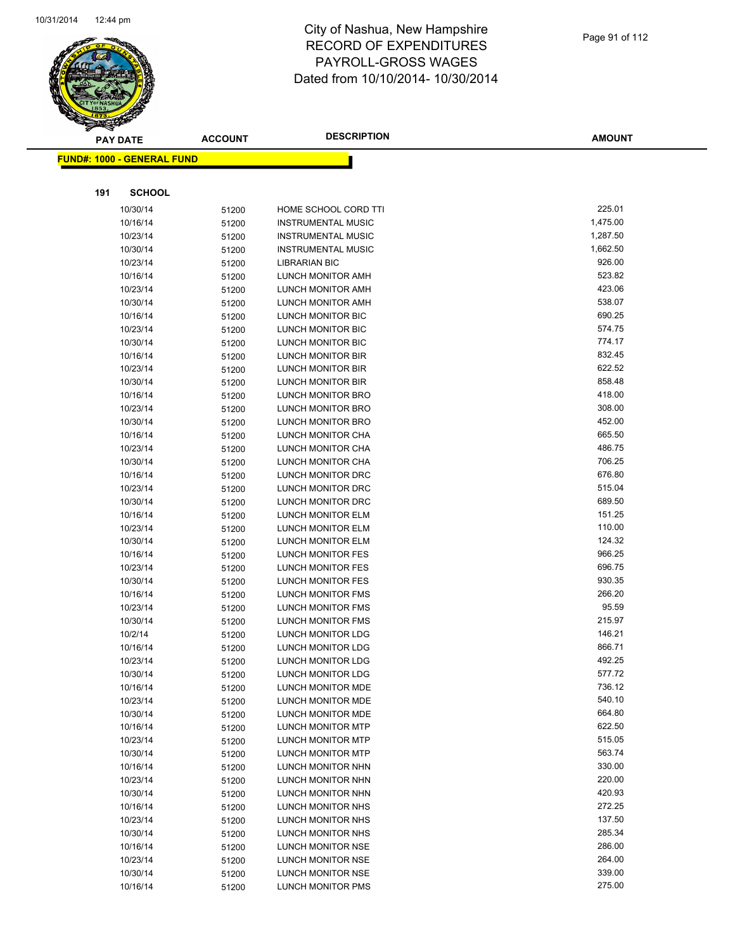

| <b>PAY DATE</b>                   | <b>ACCOUNT</b> | <b>DESCRIPTION</b>                     | <b>AMOUNT</b>    |
|-----------------------------------|----------------|----------------------------------------|------------------|
| <b>FUND#: 1000 - GENERAL FUND</b> |                |                                        |                  |
|                                   |                |                                        |                  |
|                                   |                |                                        |                  |
| 191<br><b>SCHOOL</b>              |                |                                        |                  |
| 10/30/14                          | 51200          | HOME SCHOOL CORD TTI                   | 225.01           |
| 10/16/14                          | 51200          | <b>INSTRUMENTAL MUSIC</b>              | 1,475.00         |
| 10/23/14                          | 51200          | <b>INSTRUMENTAL MUSIC</b>              | 1,287.50         |
| 10/30/14                          | 51200          | <b>INSTRUMENTAL MUSIC</b>              | 1,662.50         |
| 10/23/14                          | 51200          | <b>LIBRARIAN BIC</b>                   | 926.00           |
| 10/16/14                          | 51200          | LUNCH MONITOR AMH                      | 523.82           |
| 10/23/14                          | 51200          | LUNCH MONITOR AMH                      | 423.06           |
| 10/30/14                          | 51200          | LUNCH MONITOR AMH                      | 538.07           |
| 10/16/14                          | 51200          | LUNCH MONITOR BIC                      | 690.25           |
| 10/23/14                          | 51200          | LUNCH MONITOR BIC                      | 574.75           |
| 10/30/14                          | 51200          | LUNCH MONITOR BIC                      | 774.17           |
| 10/16/14                          | 51200          | LUNCH MONITOR BIR                      | 832.45           |
| 10/23/14                          | 51200          | <b>LUNCH MONITOR BIR</b>               | 622.52           |
| 10/30/14                          | 51200          | LUNCH MONITOR BIR                      | 858.48           |
| 10/16/14                          | 51200          | LUNCH MONITOR BRO                      | 418.00           |
| 10/23/14                          | 51200          | <b>LUNCH MONITOR BRO</b>               | 308.00           |
| 10/30/14                          | 51200          | LUNCH MONITOR BRO                      | 452.00           |
| 10/16/14                          | 51200          | LUNCH MONITOR CHA                      | 665.50           |
| 10/23/14                          | 51200          | LUNCH MONITOR CHA                      | 486.75           |
| 10/30/14                          | 51200          | LUNCH MONITOR CHA                      | 706.25           |
| 10/16/14                          | 51200          | LUNCH MONITOR DRC                      | 676.80           |
| 10/23/14                          | 51200          | LUNCH MONITOR DRC                      | 515.04<br>689.50 |
| 10/30/14                          | 51200          | LUNCH MONITOR DRC                      | 151.25           |
| 10/16/14                          | 51200          | LUNCH MONITOR ELM                      | 110.00           |
| 10/23/14<br>10/30/14              | 51200          | LUNCH MONITOR ELM<br>LUNCH MONITOR ELM | 124.32           |
| 10/16/14                          | 51200          | LUNCH MONITOR FES                      | 966.25           |
| 10/23/14                          | 51200<br>51200 | LUNCH MONITOR FES                      | 696.75           |
| 10/30/14                          | 51200          | <b>LUNCH MONITOR FES</b>               | 930.35           |
| 10/16/14                          | 51200          | LUNCH MONITOR FMS                      | 266.20           |
| 10/23/14                          | 51200          | LUNCH MONITOR FMS                      | 95.59            |
| 10/30/14                          | 51200          | LUNCH MONITOR FMS                      | 215.97           |
| 10/2/14                           | 51200          | LUNCH MONITOR LDG                      | 146.21           |
| 10/16/14                          | 51200          | LUNCH MONITOR LDG                      | 866.71           |
| 10/23/14                          | 51200          | LUNCH MONITOR LDG                      | 492.25           |
| 10/30/14                          | 51200          | <b>LUNCH MONITOR LDG</b>               | 577.72           |
| 10/16/14                          | 51200          | LUNCH MONITOR MDE                      | 736.12           |
| 10/23/14                          | 51200          | LUNCH MONITOR MDE                      | 540.10           |
| 10/30/14                          | 51200          | <b>LUNCH MONITOR MDE</b>               | 664.80           |
| 10/16/14                          | 51200          | <b>LUNCH MONITOR MTP</b>               | 622.50           |
| 10/23/14                          | 51200          | <b>LUNCH MONITOR MTP</b>               | 515.05           |
| 10/30/14                          | 51200          | LUNCH MONITOR MTP                      | 563.74           |
| 10/16/14                          | 51200          | LUNCH MONITOR NHN                      | 330.00           |
| 10/23/14                          | 51200          | LUNCH MONITOR NHN                      | 220.00           |
| 10/30/14                          | 51200          | LUNCH MONITOR NHN                      | 420.93           |
| 10/16/14                          | 51200          | LUNCH MONITOR NHS                      | 272.25           |
| 10/23/14                          | 51200          | LUNCH MONITOR NHS                      | 137.50           |
| 10/30/14                          | 51200          | LUNCH MONITOR NHS                      | 285.34           |
| 10/16/14                          | 51200          | LUNCH MONITOR NSE                      | 286.00           |
| 10/23/14                          | 51200          | LUNCH MONITOR NSE                      | 264.00           |
| 10/30/14                          | 51200          | LUNCH MONITOR NSE                      | 339.00           |
| 10/16/14                          | 51200          | LUNCH MONITOR PMS                      | 275.00           |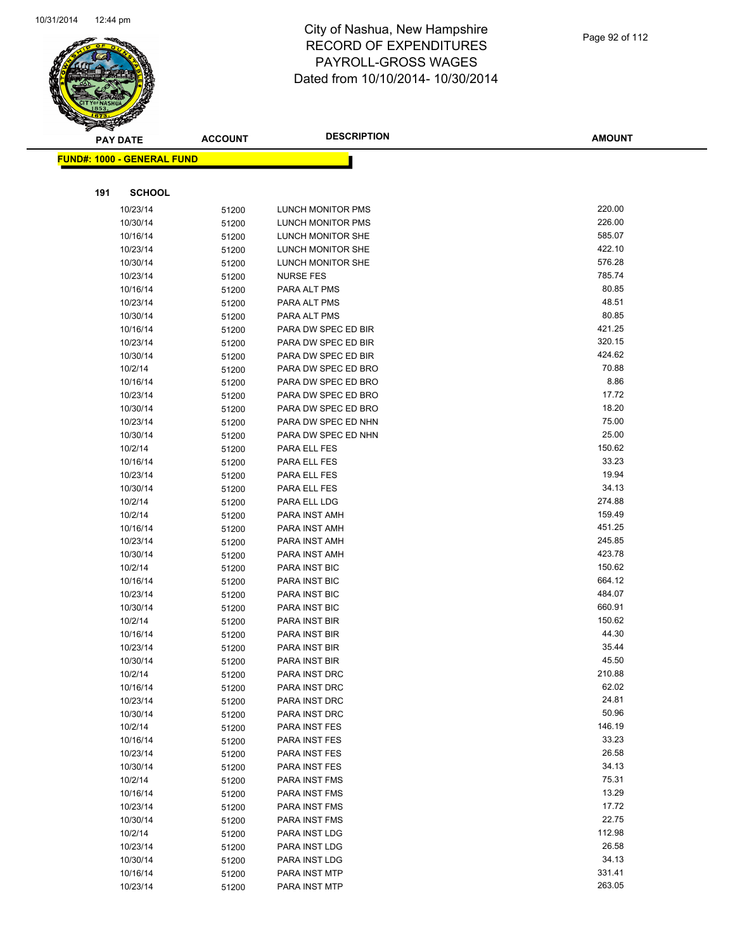

| <b>PAY DATE</b> |                                   | <b>ACCOUNT</b> | <b>DESCRIPTION</b>                    | <b>AMOUNT</b>    |
|-----------------|-----------------------------------|----------------|---------------------------------------|------------------|
|                 | <b>FUND#: 1000 - GENERAL FUND</b> |                |                                       |                  |
|                 |                                   |                |                                       |                  |
|                 |                                   |                |                                       |                  |
| 191             | <b>SCHOOL</b>                     |                |                                       |                  |
|                 | 10/23/14                          | 51200          | <b>LUNCH MONITOR PMS</b>              | 220.00           |
|                 | 10/30/14                          | 51200          | LUNCH MONITOR PMS                     | 226.00           |
|                 | 10/16/14                          | 51200          | LUNCH MONITOR SHE                     | 585.07           |
|                 | 10/23/14                          | 51200          | LUNCH MONITOR SHE                     | 422.10<br>576.28 |
|                 | 10/30/14<br>10/23/14              | 51200          | LUNCH MONITOR SHE<br><b>NURSE FES</b> | 785.74           |
|                 | 10/16/14                          | 51200          | PARA ALT PMS                          | 80.85            |
|                 | 10/23/14                          | 51200<br>51200 | PARA ALT PMS                          | 48.51            |
|                 | 10/30/14                          | 51200          | PARA ALT PMS                          | 80.85            |
|                 | 10/16/14                          | 51200          | PARA DW SPEC ED BIR                   | 421.25           |
|                 | 10/23/14                          | 51200          | PARA DW SPEC ED BIR                   | 320.15           |
|                 | 10/30/14                          | 51200          | PARA DW SPEC ED BIR                   | 424.62           |
|                 | 10/2/14                           | 51200          | PARA DW SPEC ED BRO                   | 70.88            |
|                 | 10/16/14                          | 51200          | PARA DW SPEC ED BRO                   | 8.86             |
|                 | 10/23/14                          | 51200          | PARA DW SPEC ED BRO                   | 17.72            |
|                 | 10/30/14                          | 51200          | PARA DW SPEC ED BRO                   | 18.20            |
|                 | 10/23/14                          | 51200          | PARA DW SPEC ED NHN                   | 75.00            |
|                 | 10/30/14                          | 51200          | PARA DW SPEC ED NHN                   | 25.00            |
|                 | 10/2/14                           | 51200          | PARA ELL FES                          | 150.62           |
|                 | 10/16/14                          | 51200          | PARA ELL FES                          | 33.23            |
|                 | 10/23/14                          | 51200          | PARA ELL FES                          | 19.94            |
|                 | 10/30/14                          | 51200          | PARA ELL FES                          | 34.13            |
|                 | 10/2/14                           | 51200          | PARA ELL LDG                          | 274.88           |
|                 | 10/2/14                           | 51200          | PARA INST AMH                         | 159.49           |
|                 | 10/16/14                          | 51200          | PARA INST AMH                         | 451.25           |
|                 | 10/23/14                          | 51200          | PARA INST AMH                         | 245.85           |
|                 | 10/30/14                          | 51200          | PARA INST AMH                         | 423.78           |
|                 | 10/2/14                           | 51200          | PARA INST BIC                         | 150.62           |
|                 | 10/16/14                          | 51200          | PARA INST BIC                         | 664.12           |
|                 | 10/23/14                          | 51200          | PARA INST BIC                         | 484.07<br>660.91 |
|                 | 10/30/14                          | 51200          | PARA INST BIC                         | 150.62           |
|                 | 10/2/14                           | 51200          | PARA INST BIR<br>PARA INST BIR        | 44.30            |
|                 | 10/16/14<br>10/23/14              | 51200<br>51200 | PARA INST BIR                         | 35.44            |
|                 | 10/30/14                          | 51200          | PARA INST BIR                         | 45.50            |
|                 | 10/2/14                           | 51200          | PARA INST DRC                         | 210.88           |
|                 | 10/16/14                          | 51200          | PARA INST DRC                         | 62.02            |
|                 | 10/23/14                          | 51200          | PARA INST DRC                         | 24.81            |
|                 | 10/30/14                          | 51200          | PARA INST DRC                         | 50.96            |
|                 | 10/2/14                           | 51200          | PARA INST FES                         | 146.19           |
|                 | 10/16/14                          | 51200          | PARA INST FES                         | 33.23            |
|                 | 10/23/14                          | 51200          | PARA INST FES                         | 26.58            |
|                 | 10/30/14                          | 51200          | PARA INST FES                         | 34.13            |
|                 | 10/2/14                           | 51200          | PARA INST FMS                         | 75.31            |
|                 | 10/16/14                          | 51200          | PARA INST FMS                         | 13.29            |
|                 | 10/23/14                          | 51200          | PARA INST FMS                         | 17.72            |
|                 | 10/30/14                          | 51200          | PARA INST FMS                         | 22.75            |
|                 | 10/2/14                           | 51200          | PARA INST LDG                         | 112.98           |
|                 | 10/23/14                          | 51200          | PARA INST LDG                         | 26.58            |
|                 | 10/30/14                          | 51200          | PARA INST LDG                         | 34.13            |
|                 | 10/16/14                          | 51200          | PARA INST MTP                         | 331.41           |
|                 | 10/23/14                          | 51200          | PARA INST MTP                         | 263.05           |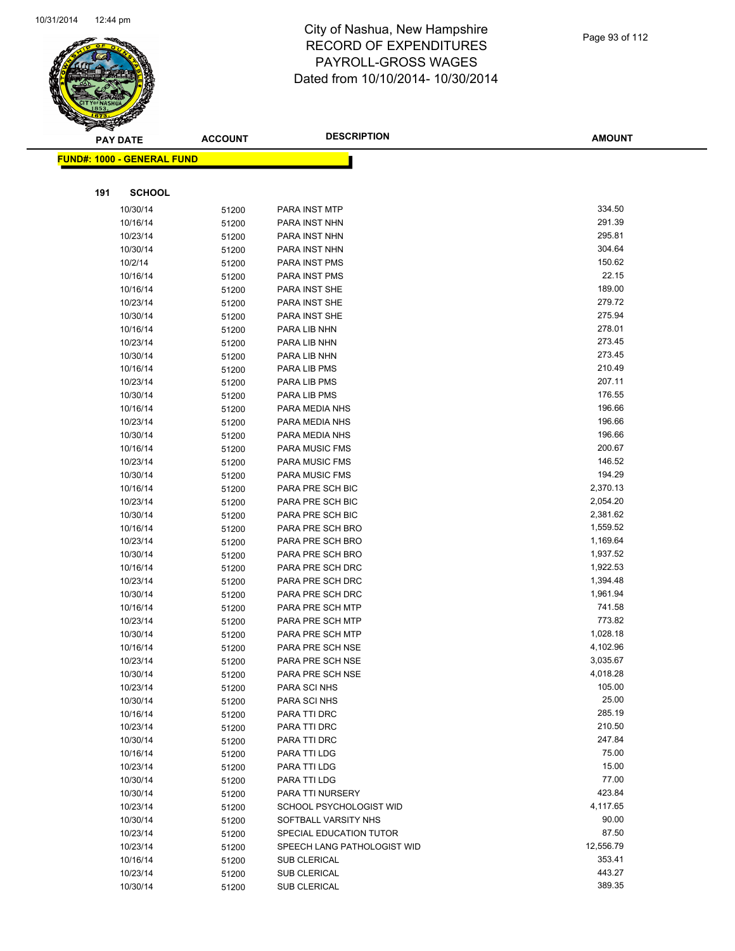

|     | <b>PAY DATE</b>                         | <b>ACCOUNT</b> | <b>DESCRIPTION</b>          | <b>AMOUNT</b>     |
|-----|-----------------------------------------|----------------|-----------------------------|-------------------|
|     | <mark>FUND#: 1000 - GENERAL FUND</mark> |                |                             |                   |
|     |                                         |                |                             |                   |
| 191 | <b>SCHOOL</b>                           |                |                             |                   |
|     | 10/30/14                                | 51200          | PARA INST MTP               | 334.50            |
|     | 10/16/14                                | 51200          | PARA INST NHN               | 291.39            |
|     | 10/23/14                                | 51200          | PARA INST NHN               | 295.81            |
|     | 10/30/14                                | 51200          | PARA INST NHN               | 304.64            |
|     | 10/2/14                                 | 51200          | PARA INST PMS               | 150.62            |
|     | 10/16/14                                | 51200          | PARA INST PMS               | 22.15             |
|     | 10/16/14                                | 51200          | PARA INST SHE               | 189.00            |
|     | 10/23/14                                | 51200          | PARA INST SHE               | 279.72            |
|     | 10/30/14                                | 51200          | PARA INST SHE               | 275.94            |
|     | 10/16/14                                | 51200          | PARA LIB NHN                | 278.01            |
|     | 10/23/14                                | 51200          | PARA LIB NHN                | 273.45            |
|     | 10/30/14                                | 51200          | PARA LIB NHN                | 273.45            |
|     | 10/16/14                                | 51200          | PARA LIB PMS                | 210.49            |
|     | 10/23/14                                | 51200          | PARA LIB PMS                | 207.11            |
|     | 10/30/14                                | 51200          | PARA LIB PMS                | 176.55            |
|     | 10/16/14                                | 51200          | PARA MEDIA NHS              | 196.66            |
|     | 10/23/14                                | 51200          | PARA MEDIA NHS              | 196.66            |
|     | 10/30/14                                | 51200          | PARA MEDIA NHS              | 196.66            |
|     | 10/16/14                                | 51200          | <b>PARA MUSIC FMS</b>       | 200.67            |
|     | 10/23/14                                | 51200          | <b>PARA MUSIC FMS</b>       | 146.52            |
|     | 10/30/14                                | 51200          | PARA MUSIC FMS              | 194.29            |
|     | 10/16/14                                | 51200          | PARA PRE SCH BIC            | 2,370.13          |
|     | 10/23/14                                | 51200          | PARA PRE SCH BIC            | 2,054.20          |
|     | 10/30/14                                | 51200          | PARA PRE SCH BIC            | 2,381.62          |
|     | 10/16/14                                | 51200          | PARA PRE SCH BRO            | 1,559.52          |
|     | 10/23/14                                | 51200          | PARA PRE SCH BRO            | 1,169.64          |
|     | 10/30/14                                | 51200          | PARA PRE SCH BRO            | 1,937.52          |
|     | 10/16/14                                | 51200          | PARA PRE SCH DRC            | 1,922.53          |
|     | 10/23/14                                | 51200          | PARA PRE SCH DRC            | 1,394.48          |
|     | 10/30/14                                | 51200          | PARA PRE SCH DRC            | 1,961.94          |
|     | 10/16/14                                | 51200          | PARA PRE SCH MTP            | 741.58            |
|     | 10/23/14                                | 51200          | PARA PRE SCH MTP            | 773.82            |
|     | 10/30/14                                | 51200          | PARA PRE SCH MTP            | 1,028.18          |
|     | 10/16/14                                | 51200          | PARA PRE SCH NSE            | 4,102.96          |
|     | 10/23/14                                | 51200          | PARA PRE SCH NSE            | 3,035.67          |
|     | 10/30/14                                | 51200          | PARA PRE SCH NSE            | 4,018.28          |
|     | 10/23/14                                | 51200          | PARA SCI NHS                | 105.00            |
|     | 10/30/14                                | 51200          | PARA SCI NHS                | 25.00             |
|     | 10/16/14                                | 51200          | PARA TTI DRC                | 285.19            |
|     | 10/23/14                                | 51200          | PARA TTI DRC                | 210.50            |
|     | 10/30/14                                | 51200          | PARA TTI DRC                | 247.84            |
|     | 10/16/14                                | 51200          | PARA TTI LDG                | 75.00             |
|     | 10/23/14                                | 51200          | PARA TTI LDG                | 15.00             |
|     | 10/30/14                                | 51200          | PARA TTI LDG                | 77.00             |
|     | 10/30/14                                | 51200          | PARA TTI NURSERY            | 423.84            |
|     | 10/23/14                                | 51200          | SCHOOL PSYCHOLOGIST WID     | 4,117.65<br>90.00 |
|     | 10/30/14                                | 51200          | SOFTBALL VARSITY NHS        | 87.50             |
|     | 10/23/14                                | 51200          | SPECIAL EDUCATION TUTOR     | 12,556.79         |
|     | 10/23/14                                | 51200          | SPEECH LANG PATHOLOGIST WID | 353.41            |
|     | 10/16/14                                | 51200          | SUB CLERICAL                | 443.27            |
|     | 10/23/14                                | 51200          | SUB CLERICAL                | 389.35            |
|     | 10/30/14                                | 51200          | SUB CLERICAL                |                   |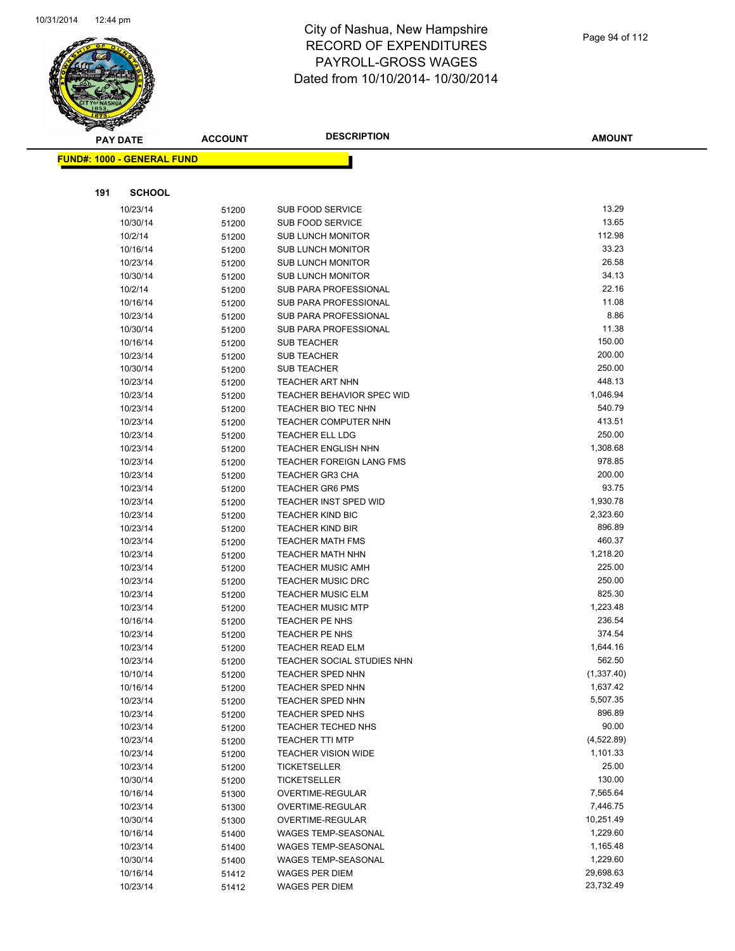

|     | <b>PAY DATE</b>                    | <b>ACCOUNT</b> | <b>DESCRIPTION</b>                                      | <b>AMOUNT</b>      |
|-----|------------------------------------|----------------|---------------------------------------------------------|--------------------|
|     | <u> FUND#: 1000 - GENERAL FUND</u> |                |                                                         |                    |
|     |                                    |                |                                                         |                    |
|     |                                    |                |                                                         |                    |
| 191 | <b>SCHOOL</b>                      |                |                                                         |                    |
|     | 10/23/14                           | 51200          | SUB FOOD SERVICE                                        | 13.29              |
|     | 10/30/14                           | 51200          | SUB FOOD SERVICE                                        | 13.65              |
|     | 10/2/14                            | 51200          | <b>SUB LUNCH MONITOR</b>                                | 112.98             |
|     | 10/16/14                           | 51200          | <b>SUB LUNCH MONITOR</b>                                | 33.23              |
|     | 10/23/14                           | 51200          | <b>SUB LUNCH MONITOR</b>                                | 26.58              |
|     | 10/30/14                           | 51200          | <b>SUB LUNCH MONITOR</b>                                | 34.13              |
|     | 10/2/14                            | 51200          | SUB PARA PROFESSIONAL                                   | 22.16              |
|     | 10/16/14                           | 51200          | SUB PARA PROFESSIONAL                                   | 11.08              |
|     | 10/23/14                           | 51200          | SUB PARA PROFESSIONAL                                   | 8.86               |
|     | 10/30/14                           | 51200          | SUB PARA PROFESSIONAL                                   | 11.38              |
|     | 10/16/14                           | 51200          | <b>SUB TEACHER</b>                                      | 150.00             |
|     | 10/23/14                           | 51200          | <b>SUB TEACHER</b>                                      | 200.00             |
|     | 10/30/14                           | 51200          | <b>SUB TEACHER</b>                                      | 250.00             |
|     | 10/23/14                           | 51200          | <b>TEACHER ART NHN</b>                                  | 448.13             |
|     | 10/23/14                           | 51200          | TEACHER BEHAVIOR SPEC WID<br><b>TEACHER BIO TEC NHN</b> | 1,046.94<br>540.79 |
|     | 10/23/14                           | 51200          | <b>TEACHER COMPUTER NHN</b>                             | 413.51             |
|     | 10/23/14                           | 51200          |                                                         | 250.00             |
|     | 10/23/14<br>10/23/14               | 51200          | TEACHER ELL LDG<br><b>TEACHER ENGLISH NHN</b>           | 1,308.68           |
|     |                                    | 51200          | <b>TEACHER FOREIGN LANG FMS</b>                         | 978.85             |
|     | 10/23/14<br>10/23/14               | 51200          | <b>TEACHER GR3 CHA</b>                                  | 200.00             |
|     | 10/23/14                           | 51200          | <b>TEACHER GR6 PMS</b>                                  | 93.75              |
|     | 10/23/14                           | 51200<br>51200 | <b>TEACHER INST SPED WID</b>                            | 1,930.78           |
|     | 10/23/14                           | 51200          | <b>TEACHER KIND BIC</b>                                 | 2,323.60           |
|     | 10/23/14                           |                | <b>TEACHER KIND BIR</b>                                 | 896.89             |
|     | 10/23/14                           | 51200<br>51200 | <b>TEACHER MATH FMS</b>                                 | 460.37             |
|     | 10/23/14                           | 51200          | <b>TEACHER MATH NHN</b>                                 | 1,218.20           |
|     | 10/23/14                           | 51200          | <b>TEACHER MUSIC AMH</b>                                | 225.00             |
|     | 10/23/14                           | 51200          | <b>TEACHER MUSIC DRC</b>                                | 250.00             |
|     | 10/23/14                           | 51200          | <b>TEACHER MUSIC ELM</b>                                | 825.30             |
|     | 10/23/14                           | 51200          | <b>TEACHER MUSIC MTP</b>                                | 1,223.48           |
|     | 10/16/14                           | 51200          | TEACHER PE NHS                                          | 236.54             |
|     | 10/23/14                           | 51200          | <b>TEACHER PE NHS</b>                                   | 374.54             |
|     | 10/23/14                           | 51200          | <b>TEACHER READ ELM</b>                                 | 1,644.16           |
|     | 10/23/14                           | 51200          | TEACHER SOCIAL STUDIES NHN                              | 562.50             |
|     | 10/10/14                           | 51200          | TEACHER SPED NHN                                        | (1,337.40)         |
|     | 10/16/14                           | 51200          | <b>TEACHER SPED NHN</b>                                 | 1,637.42           |
|     | 10/23/14                           | 51200          | <b>TEACHER SPED NHN</b>                                 | 5,507.35           |
|     | 10/23/14                           | 51200          | TEACHER SPED NHS                                        | 896.89             |
|     | 10/23/14                           | 51200          | <b>TEACHER TECHED NHS</b>                               | 90.00              |
|     | 10/23/14                           | 51200          | <b>TEACHER TTI MTP</b>                                  | (4,522.89)         |
|     | 10/23/14                           | 51200          | <b>TEACHER VISION WIDE</b>                              | 1,101.33           |
|     | 10/23/14                           | 51200          | <b>TICKETSELLER</b>                                     | 25.00              |
|     | 10/30/14                           | 51200          | <b>TICKETSELLER</b>                                     | 130.00             |
|     | 10/16/14                           | 51300          | OVERTIME-REGULAR                                        | 7,565.64           |
|     | 10/23/14                           | 51300          | OVERTIME-REGULAR                                        | 7,446.75           |
|     | 10/30/14                           | 51300          | OVERTIME-REGULAR                                        | 10,251.49          |
|     | 10/16/14                           | 51400          | WAGES TEMP-SEASONAL                                     | 1,229.60           |
|     | 10/23/14                           | 51400          | WAGES TEMP-SEASONAL                                     | 1,165.48           |
|     | 10/30/14                           | 51400          | WAGES TEMP-SEASONAL                                     | 1,229.60           |
|     | 10/16/14                           | 51412          | WAGES PER DIEM                                          | 29,698.63          |
|     | 10/23/14                           | 51412          | <b>WAGES PER DIEM</b>                                   | 23,732.49          |
|     |                                    |                |                                                         |                    |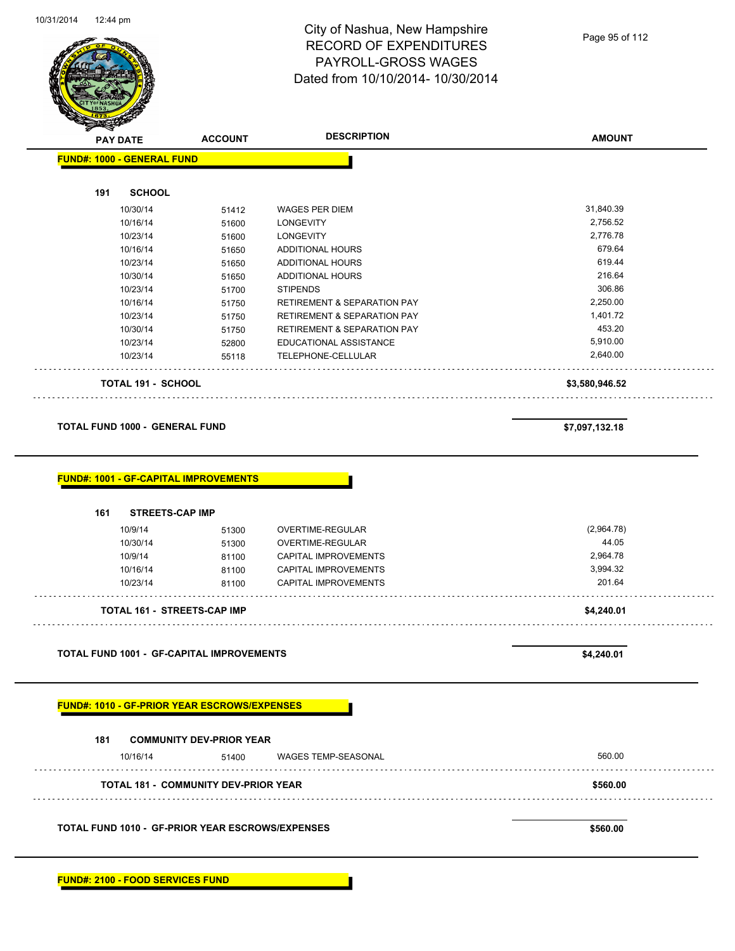

Page 95 of 112

|                                                                     | <b>ACCOUNT</b>                              | <b>DESCRIPTION</b>                                  | <b>AMOUNT</b>        |
|---------------------------------------------------------------------|---------------------------------------------|-----------------------------------------------------|----------------------|
| <b>FUND#: 1000 - GENERAL FUND</b>                                   |                                             |                                                     |                      |
|                                                                     |                                             |                                                     |                      |
| 191<br><b>SCHOOL</b>                                                |                                             |                                                     |                      |
| 10/30/14                                                            | 51412                                       | <b>WAGES PER DIEM</b>                               | 31,840.39            |
| 10/16/14                                                            | 51600                                       | <b>LONGEVITY</b>                                    | 2,756.52             |
| 10/23/14                                                            | 51600                                       | <b>LONGEVITY</b>                                    | 2,776.78             |
| 10/16/14                                                            | 51650                                       | <b>ADDITIONAL HOURS</b>                             | 679.64               |
| 10/23/14                                                            | 51650                                       | <b>ADDITIONAL HOURS</b>                             | 619.44               |
| 10/30/14                                                            | 51650                                       | ADDITIONAL HOURS                                    | 216.64               |
| 10/23/14                                                            | 51700                                       | <b>STIPENDS</b>                                     | 306.86               |
| 10/16/14                                                            | 51750                                       | <b>RETIREMENT &amp; SEPARATION PAY</b>              | 2,250.00             |
| 10/23/14                                                            | 51750                                       | <b>RETIREMENT &amp; SEPARATION PAY</b>              | 1,401.72             |
| 10/30/14                                                            | 51750                                       | <b>RETIREMENT &amp; SEPARATION PAY</b>              | 453.20               |
| 10/23/14                                                            | 52800                                       | EDUCATIONAL ASSISTANCE                              | 5,910.00             |
| 10/23/14                                                            | 55118                                       | TELEPHONE-CELLULAR                                  | 2,640.00             |
| <b>TOTAL 191 - SCHOOL</b>                                           |                                             |                                                     | \$3,580,946.52       |
| <b>TOTAL FUND 1000 - GENERAL FUND</b>                               |                                             |                                                     | \$7,097,132.18       |
| 161<br><b>STREETS-CAP IMP</b>                                       |                                             |                                                     |                      |
| <b>FUND#: 1001 - GF-CAPITAL IMPROVEMENTS</b><br>10/9/14<br>10/30/14 | 51300<br>51300                              | OVERTIME-REGULAR<br>OVERTIME-REGULAR                | (2,964.78)<br>44.05  |
| 10/9/14                                                             | 81100                                       | CAPITAL IMPROVEMENTS                                | 2,964.78<br>3,994.32 |
| 10/16/14<br>10/23/14                                                | 81100<br>81100                              | <b>CAPITAL IMPROVEMENTS</b><br>CAPITAL IMPROVEMENTS | 201.64               |
| <b>TOTAL 161 - STREETS-CAP IMP</b>                                  |                                             |                                                     | \$4,240.01           |
|                                                                     |                                             |                                                     |                      |
| TOTAL FUND 1001 - GF-CAPITAL IMPROVEMENTS                           |                                             |                                                     | \$4,240.01           |
| <b>FUND#: 1010 - GF-PRIOR YEAR ESCROWS/EXPENSES</b>                 |                                             |                                                     |                      |
| 181                                                                 | <b>COMMUNITY DEV-PRIOR YEAR</b>             |                                                     |                      |
| 10/16/14                                                            | 51400                                       | <b>WAGES TEMP-SEASONAL</b>                          | 560.00               |
|                                                                     | <b>TOTAL 181 - COMMUNITY DEV-PRIOR YEAR</b> |                                                     | \$560.00             |

**FUND#: 2100 - FOOD SERVICES FUND**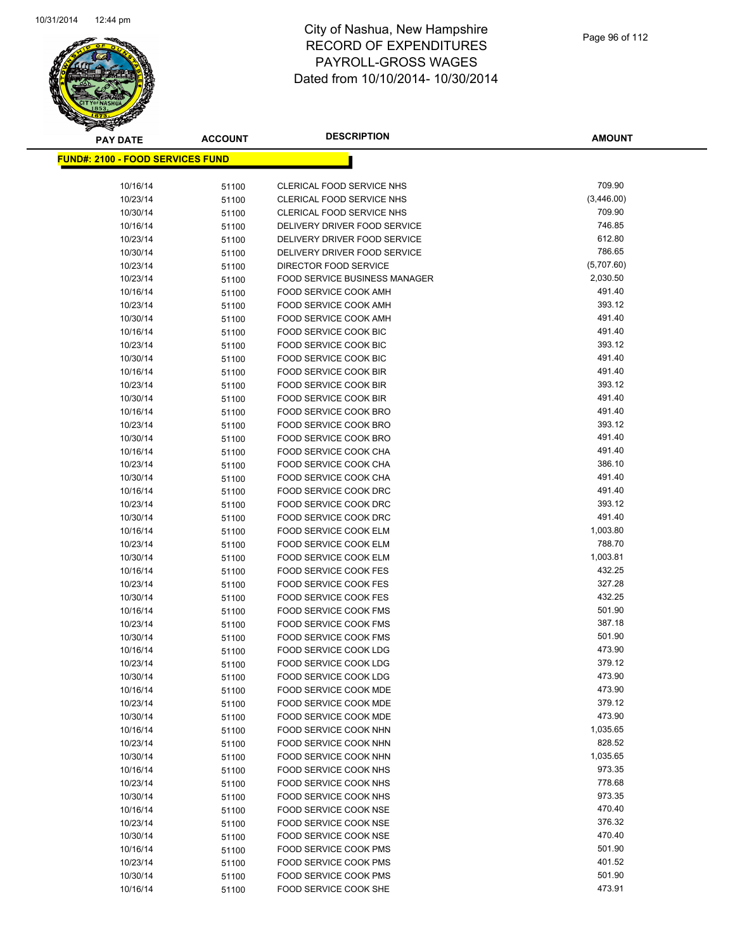

| <b>PAY DATE</b>                          | <b>ACCOUNT</b> | <b>DESCRIPTION</b>                                           | <b>AMOUNT</b>    |
|------------------------------------------|----------------|--------------------------------------------------------------|------------------|
| <u> FUND#: 2100 - FOOD SERVICES FUND</u> |                |                                                              |                  |
|                                          |                |                                                              |                  |
| 10/16/14                                 | 51100          | CLERICAL FOOD SERVICE NHS                                    | 709.90           |
| 10/23/14                                 | 51100          | CLERICAL FOOD SERVICE NHS                                    | (3,446.00)       |
| 10/30/14                                 | 51100          | <b>CLERICAL FOOD SERVICE NHS</b>                             | 709.90           |
| 10/16/14                                 | 51100          | DELIVERY DRIVER FOOD SERVICE                                 | 746.85           |
| 10/23/14                                 | 51100          | DELIVERY DRIVER FOOD SERVICE                                 | 612.80           |
| 10/30/14                                 | 51100          | DELIVERY DRIVER FOOD SERVICE                                 | 786.65           |
| 10/23/14                                 | 51100          | DIRECTOR FOOD SERVICE                                        | (5,707.60)       |
| 10/23/14                                 | 51100          | FOOD SERVICE BUSINESS MANAGER                                | 2,030.50         |
| 10/16/14                                 | 51100          | <b>FOOD SERVICE COOK AMH</b>                                 | 491.40           |
| 10/23/14                                 | 51100          | <b>FOOD SERVICE COOK AMH</b>                                 | 393.12           |
| 10/30/14                                 | 51100          | <b>FOOD SERVICE COOK AMH</b>                                 | 491.40           |
| 10/16/14                                 | 51100          | FOOD SERVICE COOK BIC                                        | 491.40           |
| 10/23/14                                 | 51100          | FOOD SERVICE COOK BIC                                        | 393.12           |
| 10/30/14                                 | 51100          | FOOD SERVICE COOK BIC                                        | 491.40           |
| 10/16/14                                 | 51100          | <b>FOOD SERVICE COOK BIR</b>                                 | 491.40           |
| 10/23/14                                 | 51100          | <b>FOOD SERVICE COOK BIR</b>                                 | 393.12           |
| 10/30/14                                 | 51100          | <b>FOOD SERVICE COOK BIR</b>                                 | 491.40           |
| 10/16/14                                 | 51100          | FOOD SERVICE COOK BRO                                        | 491.40           |
| 10/23/14                                 | 51100          | FOOD SERVICE COOK BRO                                        | 393.12           |
| 10/30/14                                 | 51100          | <b>FOOD SERVICE COOK BRO</b>                                 | 491.40           |
| 10/16/14                                 | 51100          | FOOD SERVICE COOK CHA                                        | 491.40           |
| 10/23/14                                 | 51100          | FOOD SERVICE COOK CHA                                        | 386.10           |
| 10/30/14                                 | 51100          | FOOD SERVICE COOK CHA                                        | 491.40           |
| 10/16/14                                 | 51100          | FOOD SERVICE COOK DRC                                        | 491.40           |
| 10/23/14                                 | 51100          | FOOD SERVICE COOK DRC                                        | 393.12           |
| 10/30/14                                 | 51100          | FOOD SERVICE COOK DRC                                        | 491.40           |
| 10/16/14                                 | 51100          | FOOD SERVICE COOK ELM                                        | 1,003.80         |
| 10/23/14                                 | 51100          | FOOD SERVICE COOK ELM                                        | 788.70           |
| 10/30/14                                 | 51100          | FOOD SERVICE COOK ELM                                        | 1,003.81         |
| 10/16/14                                 | 51100          | <b>FOOD SERVICE COOK FES</b>                                 | 432.25           |
| 10/23/14                                 | 51100          | <b>FOOD SERVICE COOK FES</b>                                 | 327.28<br>432.25 |
| 10/30/14                                 | 51100          | <b>FOOD SERVICE COOK FES</b>                                 | 501.90           |
| 10/16/14                                 | 51100          | FOOD SERVICE COOK FMS                                        | 387.18           |
| 10/23/14                                 | 51100          | <b>FOOD SERVICE COOK FMS</b><br><b>FOOD SERVICE COOK FMS</b> | 501.90           |
| 10/30/14                                 | 51100          | FOOD SERVICE COOK LDG                                        | 473.90           |
| 10/16/14<br>10/23/14                     | 51100          | <b>FOOD SERVICE COOK LDG</b>                                 | 379.12           |
| 10/30/14                                 | 51100<br>51100 | FOOD SERVICE COOK LDG                                        | 473.90           |
| 10/16/14                                 |                | FOOD SERVICE COOK MDE                                        | 473.90           |
| 10/23/14                                 | 51100<br>51100 | FOOD SERVICE COOK MDE                                        | 379.12           |
| 10/30/14                                 | 51100          | FOOD SERVICE COOK MDE                                        | 473.90           |
| 10/16/14                                 | 51100          | FOOD SERVICE COOK NHN                                        | 1,035.65         |
| 10/23/14                                 | 51100          | FOOD SERVICE COOK NHN                                        | 828.52           |
| 10/30/14                                 | 51100          | FOOD SERVICE COOK NHN                                        | 1,035.65         |
| 10/16/14                                 | 51100          | FOOD SERVICE COOK NHS                                        | 973.35           |
| 10/23/14                                 | 51100          | FOOD SERVICE COOK NHS                                        | 778.68           |
| 10/30/14                                 | 51100          | FOOD SERVICE COOK NHS                                        | 973.35           |
| 10/16/14                                 | 51100          | FOOD SERVICE COOK NSE                                        | 470.40           |
| 10/23/14                                 | 51100          | FOOD SERVICE COOK NSE                                        | 376.32           |
| 10/30/14                                 | 51100          | FOOD SERVICE COOK NSE                                        | 470.40           |
| 10/16/14                                 | 51100          | <b>FOOD SERVICE COOK PMS</b>                                 | 501.90           |
| 10/23/14                                 | 51100          | <b>FOOD SERVICE COOK PMS</b>                                 | 401.52           |
| 10/30/14                                 | 51100          | <b>FOOD SERVICE COOK PMS</b>                                 | 501.90           |
| 10/16/14                                 | 51100          | FOOD SERVICE COOK SHE                                        | 473.91           |
|                                          |                |                                                              |                  |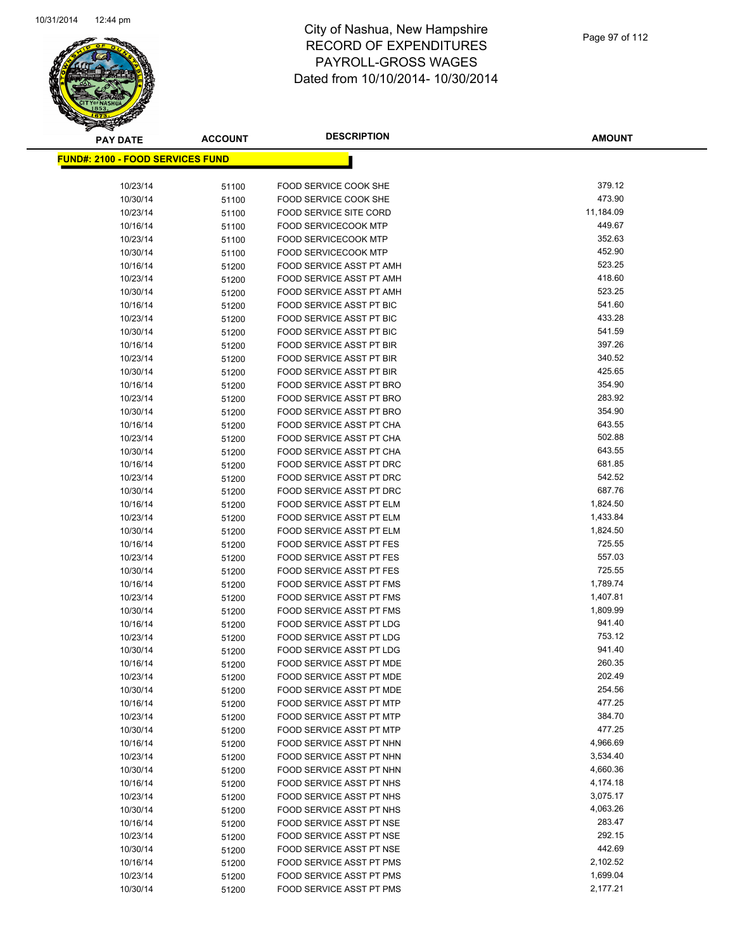

| <b>PAY DATE</b>                          | <b>ACCOUNT</b> | <b>DESCRIPTION</b>                                   | <b>AMOUNT</b>    |
|------------------------------------------|----------------|------------------------------------------------------|------------------|
| <u> FUND#: 2100 - FOOD SERVICES FUND</u> |                |                                                      |                  |
|                                          |                |                                                      |                  |
| 10/23/14                                 | 51100          | FOOD SERVICE COOK SHE                                | 379.12           |
| 10/30/14                                 | 51100          | <b>FOOD SERVICE COOK SHE</b>                         | 473.90           |
| 10/23/14                                 | 51100          | <b>FOOD SERVICE SITE CORD</b>                        | 11,184.09        |
| 10/16/14                                 | 51100          | <b>FOOD SERVICECOOK MTP</b>                          | 449.67           |
| 10/23/14                                 | 51100          | <b>FOOD SERVICECOOK MTP</b>                          | 352.63           |
| 10/30/14                                 | 51100          | <b>FOOD SERVICECOOK MTP</b>                          | 452.90           |
| 10/16/14                                 | 51200          | FOOD SERVICE ASST PT AMH                             | 523.25           |
| 10/23/14                                 | 51200          | FOOD SERVICE ASST PT AMH                             | 418.60           |
| 10/30/14                                 | 51200          | FOOD SERVICE ASST PT AMH                             | 523.25           |
| 10/16/14                                 | 51200          | FOOD SERVICE ASST PT BIC                             | 541.60           |
| 10/23/14                                 | 51200          | FOOD SERVICE ASST PT BIC                             | 433.28           |
| 10/30/14                                 | 51200          | FOOD SERVICE ASST PT BIC                             | 541.59           |
| 10/16/14                                 | 51200          | FOOD SERVICE ASST PT BIR                             | 397.26           |
| 10/23/14                                 | 51200          | FOOD SERVICE ASST PT BIR                             | 340.52           |
| 10/30/14                                 | 51200          | FOOD SERVICE ASST PT BIR                             | 425.65           |
| 10/16/14                                 | 51200          | FOOD SERVICE ASST PT BRO                             | 354.90           |
| 10/23/14                                 | 51200          | FOOD SERVICE ASST PT BRO                             | 283.92           |
| 10/30/14                                 | 51200          | FOOD SERVICE ASST PT BRO                             | 354.90           |
| 10/16/14                                 | 51200          | FOOD SERVICE ASST PT CHA                             | 643.55           |
| 10/23/14                                 | 51200          | FOOD SERVICE ASST PT CHA                             | 502.88           |
| 10/30/14                                 | 51200          | FOOD SERVICE ASST PT CHA                             | 643.55           |
| 10/16/14                                 | 51200          | <b>FOOD SERVICE ASST PT DRC</b>                      | 681.85           |
| 10/23/14                                 | 51200          | <b>FOOD SERVICE ASST PT DRC</b>                      | 542.52           |
| 10/30/14                                 | 51200          | FOOD SERVICE ASST PT DRC                             | 687.76           |
| 10/16/14                                 | 51200          | FOOD SERVICE ASST PT ELM                             | 1,824.50         |
| 10/23/14                                 | 51200          | FOOD SERVICE ASST PT ELM                             | 1,433.84         |
| 10/30/14                                 | 51200          | FOOD SERVICE ASST PT ELM                             | 1,824.50         |
| 10/16/14                                 | 51200          | FOOD SERVICE ASST PT FES                             | 725.55           |
| 10/23/14                                 | 51200          | FOOD SERVICE ASST PT FES                             | 557.03<br>725.55 |
| 10/30/14<br>10/16/14                     | 51200          | FOOD SERVICE ASST PT FES<br>FOOD SERVICE ASST PT FMS | 1,789.74         |
| 10/23/14                                 | 51200<br>51200 | FOOD SERVICE ASST PT FMS                             | 1,407.81         |
| 10/30/14                                 | 51200          | FOOD SERVICE ASST PT FMS                             | 1,809.99         |
| 10/16/14                                 | 51200          | FOOD SERVICE ASST PT LDG                             | 941.40           |
| 10/23/14                                 | 51200          | <b>FOOD SERVICE ASST PT LDG</b>                      | 753.12           |
| 10/30/14                                 | 51200          | FOOD SERVICE ASST PT LDG                             | 941.40           |
| 10/16/14                                 | 51200          | FOOD SERVICE ASST PT MDE                             | 260.35           |
| 10/23/14                                 | 51200          | FOOD SERVICE ASST PT MDE                             | 202.49           |
| 10/30/14                                 | 51200          | FOOD SERVICE ASST PT MDE                             | 254.56           |
| 10/16/14                                 | 51200          | FOOD SERVICE ASST PT MTP                             | 477.25           |
| 10/23/14                                 | 51200          | FOOD SERVICE ASST PT MTP                             | 384.70           |
| 10/30/14                                 | 51200          | FOOD SERVICE ASST PT MTP                             | 477.25           |
| 10/16/14                                 | 51200          | FOOD SERVICE ASST PT NHN                             | 4,966.69         |
| 10/23/14                                 | 51200          | FOOD SERVICE ASST PT NHN                             | 3,534.40         |
| 10/30/14                                 | 51200          | FOOD SERVICE ASST PT NHN                             | 4,660.36         |
| 10/16/14                                 | 51200          | FOOD SERVICE ASST PT NHS                             | 4,174.18         |
| 10/23/14                                 | 51200          | FOOD SERVICE ASST PT NHS                             | 3,075.17         |
| 10/30/14                                 | 51200          | FOOD SERVICE ASST PT NHS                             | 4,063.26         |
| 10/16/14                                 | 51200          | FOOD SERVICE ASST PT NSE                             | 283.47           |
| 10/23/14                                 | 51200          | FOOD SERVICE ASST PT NSE                             | 292.15           |
| 10/30/14                                 | 51200          | FOOD SERVICE ASST PT NSE                             | 442.69           |
| 10/16/14                                 | 51200          | FOOD SERVICE ASST PT PMS                             | 2,102.52         |
| 10/23/14                                 | 51200          | FOOD SERVICE ASST PT PMS                             | 1,699.04         |
| 10/30/14                                 | 51200          | FOOD SERVICE ASST PT PMS                             | 2,177.21         |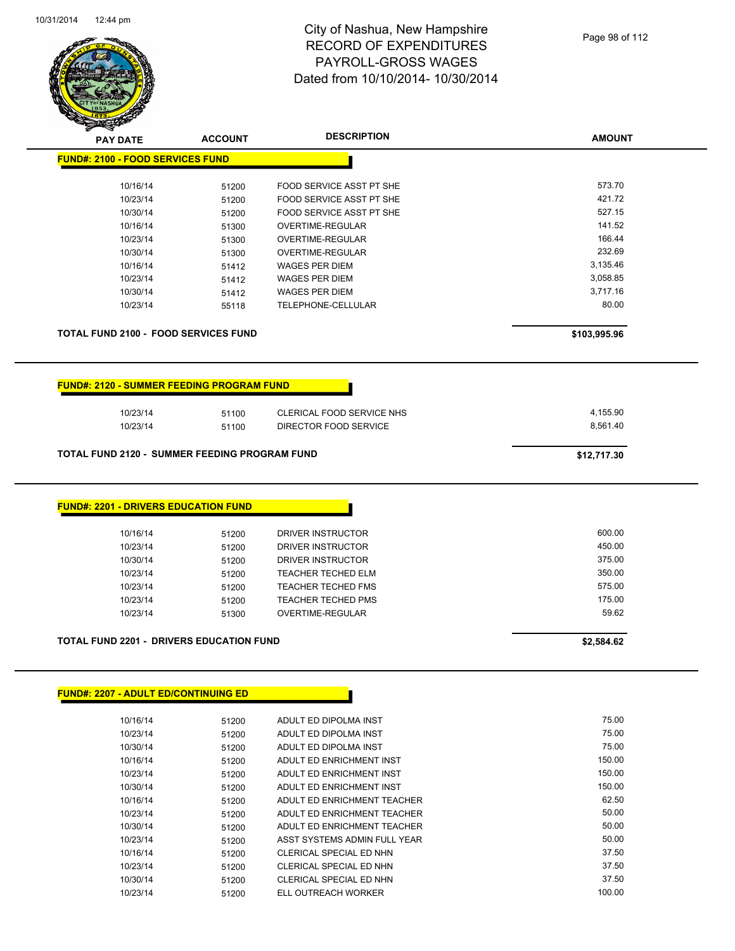

| <b>PAY DATE</b>                                                                                                                     | <b>ACCOUNT</b>                                              | <b>DESCRIPTION</b>                                                                                                                                                     | <b>AMOUNT</b>                                                                   |
|-------------------------------------------------------------------------------------------------------------------------------------|-------------------------------------------------------------|------------------------------------------------------------------------------------------------------------------------------------------------------------------------|---------------------------------------------------------------------------------|
| <b>FUND#: 2100 - FOOD SERVICES FUND</b>                                                                                             |                                                             |                                                                                                                                                                        |                                                                                 |
| 10/16/14                                                                                                                            | 51200                                                       | FOOD SERVICE ASST PT SHE                                                                                                                                               | 573.70                                                                          |
| 10/23/14                                                                                                                            | 51200                                                       | FOOD SERVICE ASST PT SHE                                                                                                                                               | 421.72                                                                          |
| 10/30/14                                                                                                                            | 51200                                                       | FOOD SERVICE ASST PT SHE                                                                                                                                               | 527.15                                                                          |
| 10/16/14                                                                                                                            | 51300                                                       | OVERTIME-REGULAR                                                                                                                                                       | 141.52                                                                          |
| 10/23/14                                                                                                                            | 51300                                                       | OVERTIME-REGULAR                                                                                                                                                       | 166.44                                                                          |
| 10/30/14                                                                                                                            | 51300                                                       | <b>OVERTIME-REGULAR</b>                                                                                                                                                | 232.69                                                                          |
| 10/16/14                                                                                                                            | 51412                                                       | <b>WAGES PER DIEM</b>                                                                                                                                                  | 3,135.46                                                                        |
| 10/23/14                                                                                                                            | 51412                                                       | <b>WAGES PER DIEM</b>                                                                                                                                                  | 3,058.85                                                                        |
| 10/30/14                                                                                                                            | 51412                                                       | <b>WAGES PER DIEM</b>                                                                                                                                                  | 3,717.16                                                                        |
| 10/23/14                                                                                                                            | 55118                                                       | TELEPHONE-CELLULAR                                                                                                                                                     | 80.00                                                                           |
| <b>TOTAL FUND 2100 - FOOD SERVICES FUND</b>                                                                                         |                                                             |                                                                                                                                                                        | \$103,995.96                                                                    |
| <b>FUND#: 2120 - SUMMER FEEDING PROGRAM FUND</b><br>10/23/14<br>10/23/14                                                            | 51100                                                       | CLERICAL FOOD SERVICE NHS<br>DIRECTOR FOOD SERVICE                                                                                                                     | 4,155.90<br>8,561.40                                                            |
|                                                                                                                                     | 51100                                                       |                                                                                                                                                                        |                                                                                 |
| <b>TOTAL FUND 2120 - SUMMER FEEDING PROGRAM FUND</b>                                                                                |                                                             |                                                                                                                                                                        | \$12,717.30                                                                     |
| 10/16/14<br>10/23/14<br>10/30/14<br>10/23/14<br>10/23/14<br>10/23/14<br>10/23/14<br><b>TOTAL FUND 2201 - DRIVERS EDUCATION FUND</b> | 51200<br>51200<br>51200<br>51200<br>51200<br>51200<br>51300 | DRIVER INSTRUCTOR<br>DRIVER INSTRUCTOR<br>DRIVER INSTRUCTOR<br><b>TEACHER TECHED ELM</b><br><b>TEACHER TECHED FMS</b><br><b>TEACHER TECHED PMS</b><br>OVERTIME-REGULAR | 600.00<br>450.00<br>375.00<br>350.00<br>575.00<br>175.00<br>59.62<br>\$2,584.62 |
|                                                                                                                                     |                                                             |                                                                                                                                                                        |                                                                                 |
| <b>FUND#: 2207 - ADULT ED/CONTINUING ED</b>                                                                                         |                                                             |                                                                                                                                                                        |                                                                                 |
| 10/16/14                                                                                                                            | 51200                                                       | ADULT ED DIPOLMA INST                                                                                                                                                  | 75.00                                                                           |
| 10/23/14                                                                                                                            | 51200                                                       | ADULT ED DIPOLMA INST                                                                                                                                                  | 75.00                                                                           |
| 10/30/14                                                                                                                            | 51200                                                       | ADULT ED DIPOLMA INST                                                                                                                                                  | 75.00                                                                           |
| 10/16/14                                                                                                                            | 51200                                                       | ADULT ED ENRICHMENT INST                                                                                                                                               | 150.00                                                                          |
| 10/23/14                                                                                                                            | 51200                                                       | ADULT ED ENRICHMENT INST                                                                                                                                               | 150.00                                                                          |
| 10/30/14                                                                                                                            | 51200                                                       | ADULT ED ENRICHMENT INST                                                                                                                                               | 150.00                                                                          |
| 10/16/14                                                                                                                            | 51200                                                       | ADULT ED ENRICHMENT TEACHER                                                                                                                                            | 62.50                                                                           |
| 10/23/14                                                                                                                            | 51200                                                       | ADULT ED ENRICHMENT TEACHER                                                                                                                                            | 50.00                                                                           |
| 10/30/14                                                                                                                            | 51200                                                       | ADULT ED ENRICHMENT TEACHER                                                                                                                                            | 50.00                                                                           |

10/23/14 51200 ASST SYSTEMS ADMIN FULL YEAR 50.00 10/16/14 51200 CLERICAL SPECIAL ED NHN 37.50 10/23/14 51200 CLERICAL SPECIAL ED NHN<br>10/30/14 51200 CLERICAL SPECIAL ED NHN 37.50 37.50 10/30/14 51200 CLERICAL SPECIAL ED NHN 57.50<br>10/23/14 51200 ELL OUTREACH WORKER 100.00 100.00

10/23/14 51200 ELL OUTREACH WORKER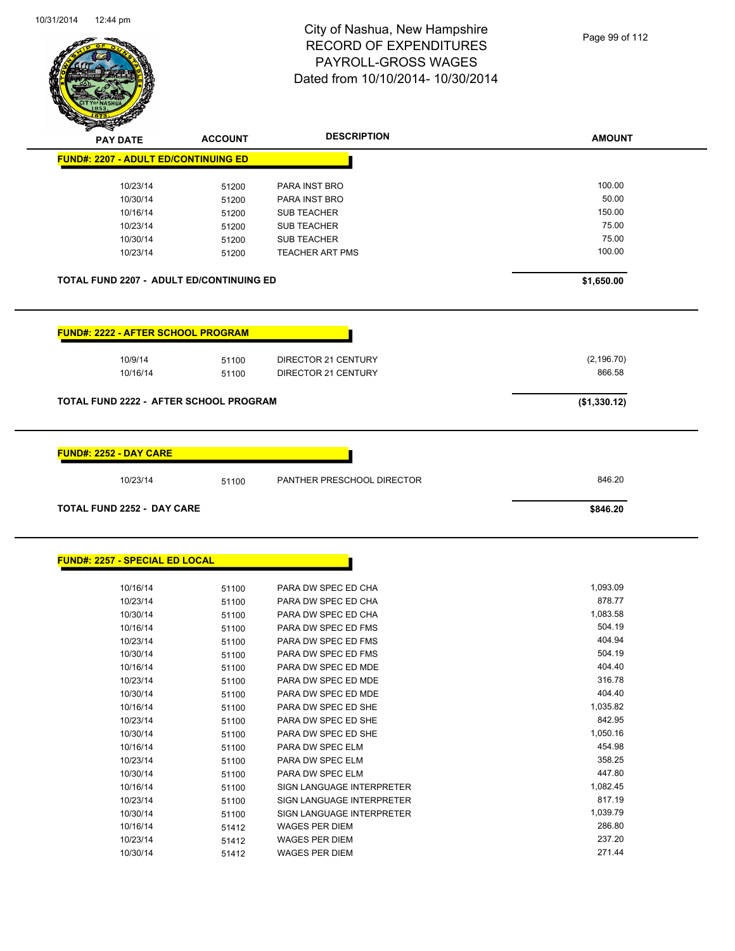

| <b>PAY DATE</b>                                 | <b>ACCOUNT</b> | <b>DESCRIPTION</b>         | <b>AMOUNT</b> |
|-------------------------------------------------|----------------|----------------------------|---------------|
| <b>FUND#: 2207 - ADULT ED/CONTINUING ED</b>     |                |                            |               |
| 10/23/14                                        |                | PARA INST BRO              | 100.00        |
| 10/30/14                                        | 51200<br>51200 | PARA INST BRO              | 50.00         |
| 10/16/14                                        |                | <b>SUB TEACHER</b>         | 150.00        |
| 10/23/14                                        | 51200          | <b>SUB TEACHER</b>         | 75.00         |
| 10/30/14                                        | 51200          | <b>SUB TEACHER</b>         | 75.00         |
| 10/23/14                                        | 51200<br>51200 | <b>TEACHER ART PMS</b>     | 100.00        |
|                                                 |                |                            |               |
| <b>TOTAL FUND 2207 - ADULT ED/CONTINUING ED</b> |                |                            | \$1,650.00    |
| <b>FUND#: 2222 - AFTER SCHOOL PROGRAM</b>       |                |                            |               |
|                                                 |                |                            |               |
| 10/9/14                                         | 51100          | DIRECTOR 21 CENTURY        | (2, 196.70)   |
| 10/16/14                                        | 51100          | DIRECTOR 21 CENTURY        | 866.58        |
| <b>TOTAL FUND 2222 - AFTER SCHOOL PROGRAM</b>   |                |                            | (\$1,330.12)  |
|                                                 |                |                            |               |
| <b>FUND#: 2252 - DAY CARE</b>                   |                |                            |               |
| 10/23/14                                        | 51100          | PANTHER PRESCHOOL DIRECTOR | 846.20        |
| <b>TOTAL FUND 2252 - DAY CARE</b>               |                |                            | \$846.20      |
| <b>FUND#: 2257 - SPECIAL ED LOCAL</b>           |                |                            |               |
|                                                 |                |                            |               |
| 10/16/14                                        | 51100          | PARA DW SPEC ED CHA        | 1,093.09      |
| 10/23/14                                        | 51100          | PARA DW SPEC ED CHA        | 878.77        |
| 10/30/14                                        | 51100          | PARA DW SPEC ED CHA        | 1,083.58      |
| 10/16/14                                        | 51100          | PARA DW SPEC ED FMS        | 504.19        |
| 10/23/14                                        | 51100          | PARA DW SPEC ED FMS        | 404.94        |
| 10/30/14                                        | 51100          | PARA DW SPEC ED FMS        | 504.19        |
| 10/16/14                                        | 51100          | PARA DW SPEC ED MDE        | 404.40        |
| 10/23/14                                        | 51100          | PARA DW SPEC ED MDE        | 316.78        |
| 10/30/14                                        | 51100          | PARA DW SPEC ED MDE        | 404.40        |
| 10/16/14                                        | 51100          | PARA DW SPEC ED SHE        | 1,035.82      |
| 10/23/14                                        | 51100          | PARA DW SPEC ED SHE        | 842.95        |
| 10/30/14                                        | 51100          | PARA DW SPEC ED SHE        | 1,050.16      |
| 10/16/14                                        | 51100          | PARA DW SPEC ELM           | 454.98        |
| 10/23/14                                        | 51100          | PARA DW SPEC ELM           | 358.25        |
| 10/30/14                                        | 51100          | PARA DW SPEC ELM           | 447.80        |
| 10/16/14                                        | 51100          | SIGN LANGUAGE INTERPRETER  | 1,082.45      |
| 10/23/14                                        | 51100          | SIGN LANGUAGE INTERPRETER  | 817.19        |
| 10/30/14                                        | 51100          | SIGN LANGUAGE INTERPRETER  | 1,039.79      |

10/16/14 51412 WAGES PER DIEM<br>10/23/14 51412 WAGES PER DIEM 10/23/14 237.20

10/30/14 51412 WAGES PER DIEM 271.44

10/23/14 51412 WAGES PER DIEM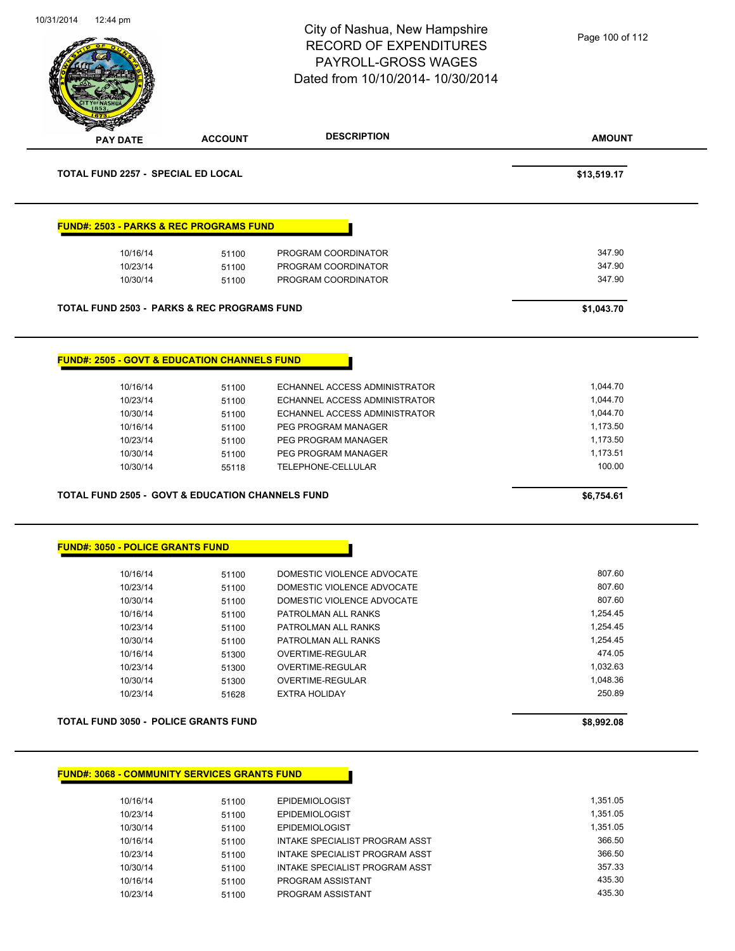| 10/31/201 <del>4</del><br>12. <del>44</del> pni |                                                             | City of Nashua, New Hampshire<br><b>RECORD OF EXPENDITURES</b> | Page 100 of 112 |
|-------------------------------------------------|-------------------------------------------------------------|----------------------------------------------------------------|-----------------|
|                                                 |                                                             |                                                                |                 |
|                                                 |                                                             | PAYROLL-GROSS WAGES                                            |                 |
|                                                 |                                                             | Dated from 10/10/2014- 10/30/2014                              |                 |
|                                                 |                                                             |                                                                |                 |
|                                                 |                                                             |                                                                |                 |
| <b>PAY DATE</b>                                 | <b>ACCOUNT</b>                                              | <b>DESCRIPTION</b>                                             | <b>AMOUNT</b>   |
| TOTAL FUND 2257 - SPECIAL ED LOCAL              |                                                             |                                                                | \$13,519.17     |
|                                                 | <b>FUND#: 2503 - PARKS &amp; REC PROGRAMS FUND</b>          |                                                                |                 |
| 10/16/14                                        | 51100                                                       | PROGRAM COORDINATOR                                            | 347.90          |
| 10/23/14                                        | 51100                                                       | PROGRAM COORDINATOR                                            | 347.90          |
| 10/30/14                                        | 51100                                                       | PROGRAM COORDINATOR                                            | 347.90          |
|                                                 | <b>TOTAL FUND 2503 - PARKS &amp; REC PROGRAMS FUND</b>      |                                                                | \$1,043.70      |
|                                                 | <b>FUND#: 2505 - GOVT &amp; EDUCATION CHANNELS FUND</b>     |                                                                |                 |
| 10/16/14                                        | 51100                                                       | ECHANNEL ACCESS ADMINISTRATOR                                  | 1,044.70        |
| 10/23/14                                        | 51100                                                       | ECHANNEL ACCESS ADMINISTRATOR                                  | 1,044.70        |
| 10/30/14                                        | 51100                                                       | ECHANNEL ACCESS ADMINISTRATOR                                  | 1,044.70        |
| 10/16/14                                        | 51100                                                       | PEG PROGRAM MANAGER                                            | 1,173.50        |
| 10/23/14                                        | 51100                                                       | PEG PROGRAM MANAGER                                            | 1,173.50        |
| 10/30/14                                        | 51100                                                       | PEG PROGRAM MANAGER                                            | 1,173.51        |
| 10/30/14                                        | 55118                                                       | TELEPHONE-CELLULAR                                             | 100.00          |
|                                                 | <b>TOTAL FUND 2505 - GOVT &amp; EDUCATION CHANNELS FUND</b> |                                                                | \$6,754.61      |
|                                                 |                                                             |                                                                |                 |
| <b>FUND#: 3050 - POLICE GRANTS FUND</b>         |                                                             |                                                                |                 |
| 10/16/14                                        | 51100                                                       | DOMESTIC VIOLENCE ADVOCATE                                     | 807.60          |
| 10/23/14                                        | 51100                                                       | DOMESTIC VIOLENCE ADVOCATE                                     | 807.60          |
| 10/30/14                                        | 51100                                                       | DOMESTIC VIOLENCE ADVOCATE                                     | 807.60          |
| 10/16/14                                        | 51100                                                       | PATROLMAN ALL RANKS                                            | 1,254.45        |
| 10/23/14                                        | 51100                                                       | PATROLMAN ALL RANKS                                            | 1,254.45        |
| 10/30/14                                        | 51100                                                       | PATROLMAN ALL RANKS                                            | 1,254.45        |
| 10/16/14                                        | 51300                                                       | OVERTIME-REGULAR                                               | 474.05          |
| 10/23/14                                        | 51300                                                       | OVERTIME-REGULAR                                               | 1,032.63        |
| 10/30/14                                        | 51300                                                       | OVERTIME-REGULAR                                               | 1,048.36        |
| 10/23/14                                        | 51628                                                       | <b>EXTRA HOLIDAY</b>                                           | 250.89          |
|                                                 | <b>TOTAL FUND 3050 - POLICE GRANTS FUND</b>                 |                                                                | \$8,992.08      |
|                                                 | <b>FUND#: 3068 - COMMUNITY SERVICES GRANTS FUND</b>         |                                                                |                 |
|                                                 |                                                             |                                                                |                 |
| 10/16/14                                        | 51100                                                       | <b>EPIDEMIOLOGIST</b>                                          | 1,351.05        |
| 10/23/14                                        | 51100                                                       | <b>EPIDEMIOLOGIST</b>                                          | 1,351.05        |
| 10/30/14                                        | 51100                                                       | EPIDEMIOLOGIST                                                 | 1,351.05        |

10/16/14 51100 INTAKE SPECIALIST PROGRAM ASST 366.50 10/23/14 51100 INTAKE SPECIALIST PROGRAM ASST<br>10/30/14 51100 INTAKE SPECIALIST PROGRAM ASST 357.33 10/30/14 51100 INTAKE SPECIALIST PROGRAM ASST 357.33<br>10/16/14 51100 PROGRAM ASSISTANT 10/16/14 51100 PROGRAM ASSISTANT 435.30

10/23/14 51100 PROGRAM ASSISTANT

10/31/2014 12:44 pm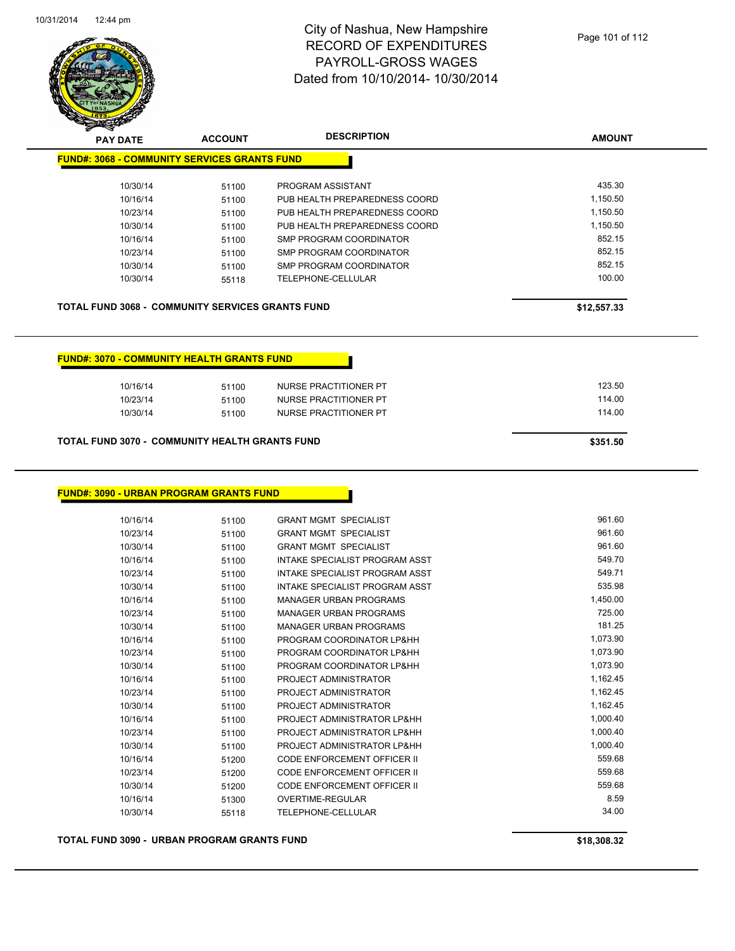

| <b>PAY DATE</b>                                         | <b>ACCOUNT</b> | <b>DESCRIPTION</b>             | <b>AMOUNT</b> |
|---------------------------------------------------------|----------------|--------------------------------|---------------|
| <b>FUND#: 3068 - COMMUNITY SERVICES GRANTS FUND</b>     |                |                                |               |
| 10/30/14                                                | 51100          | PROGRAM ASSISTANT              | 435.30        |
| 10/16/14                                                | 51100          | PUB HEALTH PREPAREDNESS COORD  | 1,150.50      |
| 10/23/14                                                | 51100          | PUB HEALTH PREPAREDNESS COORD  | 1,150.50      |
| 10/30/14                                                | 51100          | PUB HEALTH PREPAREDNESS COORD  | 1,150.50      |
| 10/16/14                                                | 51100          | SMP PROGRAM COORDINATOR        | 852.15        |
| 10/23/14                                                | 51100          | <b>SMP PROGRAM COORDINATOR</b> | 852.15        |
| 10/30/14                                                | 51100          | SMP PROGRAM COORDINATOR        | 852.15        |
| 10/30/14                                                | 55118          | <b>TELEPHONE-CELLULAR</b>      | 100.00        |
| <b>TOTAL FUND 3068 - COMMUNITY SERVICES GRANTS FUND</b> |                |                                | \$12,557.33   |
| <b>FUND#: 3070 - COMMUNITY HEALTH GRANTS FUND</b>       |                |                                |               |
| 10/16/14                                                | 51100          | NURSE PRACTITIONER PT          | 123.50        |
| 10/23/14                                                | 51100          | <b>NURSE PRACTITIONER PT</b>   | 114.00        |
| 10/30/14                                                | 51100          | <b>NURSE PRACTITIONER PT</b>   | 114.00        |

#### **TOTAL FUND 3070 - COMMUNITY HEALTH GRANTS FUND \$351.50**

#### **FUND#: 3090 - URBAN PROGRAM GRANTS FUND**

| 10/16/14 | 51100 | <b>GRANT MGMT SPECIALIST</b>       | 961.60   |
|----------|-------|------------------------------------|----------|
| 10/23/14 | 51100 | <b>GRANT MGMT SPECIALIST</b>       | 961.60   |
| 10/30/14 | 51100 | <b>GRANT MGMT SPECIALIST</b>       | 961.60   |
| 10/16/14 | 51100 | INTAKE SPECIALIST PROGRAM ASST     | 549.70   |
| 10/23/14 | 51100 | INTAKE SPECIALIST PROGRAM ASST     | 549.71   |
| 10/30/14 | 51100 | INTAKE SPECIALIST PROGRAM ASST     | 535.98   |
| 10/16/14 | 51100 | <b>MANAGER URBAN PROGRAMS</b>      | 1,450.00 |
| 10/23/14 | 51100 | <b>MANAGER URBAN PROGRAMS</b>      | 725.00   |
| 10/30/14 | 51100 | <b>MANAGER URBAN PROGRAMS</b>      | 181.25   |
| 10/16/14 | 51100 | PROGRAM COORDINATOR LP&HH          | 1,073.90 |
| 10/23/14 | 51100 | PROGRAM COORDINATOR LP&HH          | 1,073.90 |
| 10/30/14 | 51100 | PROGRAM COORDINATOR LP&HH          | 1,073.90 |
| 10/16/14 | 51100 | PROJECT ADMINISTRATOR              | 1,162.45 |
| 10/23/14 | 51100 | PROJECT ADMINISTRATOR              | 1,162.45 |
| 10/30/14 | 51100 | PROJECT ADMINISTRATOR              | 1,162.45 |
| 10/16/14 | 51100 | PROJECT ADMINISTRATOR LP&HH        | 1,000.40 |
| 10/23/14 | 51100 | PROJECT ADMINISTRATOR LP&HH        | 1,000.40 |
| 10/30/14 | 51100 | PROJECT ADMINISTRATOR LP&HH        | 1,000.40 |
| 10/16/14 | 51200 | CODE ENFORCEMENT OFFICER II        | 559.68   |
| 10/23/14 | 51200 | CODE ENFORCEMENT OFFICER II        | 559.68   |
| 10/30/14 | 51200 | <b>CODE ENFORCEMENT OFFICER II</b> | 559.68   |
| 10/16/14 | 51300 | <b>OVERTIME-REGULAR</b>            | 8.59     |
| 10/30/14 | 55118 | TELEPHONE-CELLULAR                 | 34.00    |
|          |       |                                    |          |

**TOTAL FUND 3090 - URBAN PROGRAM GRANTS FUND \$18,308.32**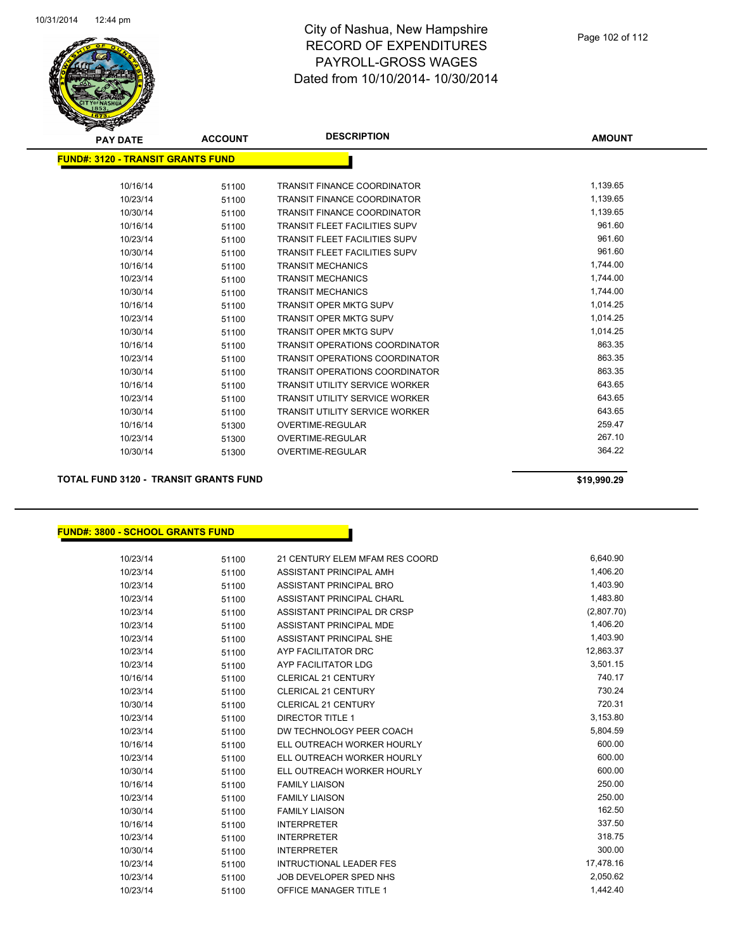

| <b>PAY DATE</b>                           | <b>ACCOUNT</b> | <b>DESCRIPTION</b>                    | <b>AMOUNT</b> |
|-------------------------------------------|----------------|---------------------------------------|---------------|
| <u> FUND#: 3120 - TRANSIT GRANTS FUND</u> |                |                                       |               |
| 10/16/14                                  | 51100          | <b>TRANSIT FINANCE COORDINATOR</b>    | 1,139.65      |
| 10/23/14                                  | 51100          | <b>TRANSIT FINANCE COORDINATOR</b>    | 1,139.65      |
| 10/30/14                                  | 51100          | <b>TRANSIT FINANCE COORDINATOR</b>    | 1,139.65      |
| 10/16/14                                  | 51100          | <b>TRANSIT FLEET FACILITIES SUPV</b>  | 961.60        |
| 10/23/14                                  | 51100          | <b>TRANSIT FLEET FACILITIES SUPV</b>  | 961.60        |
| 10/30/14                                  | 51100          | <b>TRANSIT FLEET FACILITIES SUPV</b>  | 961.60        |
| 10/16/14                                  | 51100          | <b>TRANSIT MECHANICS</b>              | 1,744.00      |
| 10/23/14                                  | 51100          | <b>TRANSIT MECHANICS</b>              | 1,744.00      |
| 10/30/14                                  | 51100          | <b>TRANSIT MECHANICS</b>              | 1,744.00      |
| 10/16/14                                  | 51100          | <b>TRANSIT OPER MKTG SUPV</b>         | 1,014.25      |
| 10/23/14                                  | 51100          | <b>TRANSIT OPER MKTG SUPV</b>         | 1,014.25      |
| 10/30/14                                  | 51100          | <b>TRANSIT OPER MKTG SUPV</b>         | 1,014.25      |
| 10/16/14                                  | 51100          | <b>TRANSIT OPERATIONS COORDINATOR</b> | 863.35        |
| 10/23/14                                  | 51100          | <b>TRANSIT OPERATIONS COORDINATOR</b> | 863.35        |
| 10/30/14                                  | 51100          | <b>TRANSIT OPERATIONS COORDINATOR</b> | 863.35        |
| 10/16/14                                  | 51100          | <b>TRANSIT UTILITY SERVICE WORKER</b> | 643.65        |
| 10/23/14                                  | 51100          | <b>TRANSIT UTILITY SERVICE WORKER</b> | 643.65        |
| 10/30/14                                  | 51100          | <b>TRANSIT UTILITY SERVICE WORKER</b> | 643.65        |
| 10/16/14                                  | 51300          | <b>OVERTIME-REGULAR</b>               | 259.47        |
| 10/23/14                                  | 51300          | <b>OVERTIME-REGULAR</b>               | 267.10        |
| 10/30/14                                  | 51300          | <b>OVERTIME-REGULAR</b>               | 364.22        |
|                                           |                |                                       |               |

**TOTAL FUND 3120 - TRANSIT GRANTS FUND \$19,990.29** 

#### **FUND#: 3800 - SCHOOL GRANTS FUND**

| 10/23/14 | 51100 | 21 CENTURY ELEM MFAM RES COORD | 6,640.90   |
|----------|-------|--------------------------------|------------|
| 10/23/14 | 51100 | ASSISTANT PRINCIPAL AMH        | 1,406.20   |
| 10/23/14 | 51100 | ASSISTANT PRINCIPAL BRO        | 1,403.90   |
| 10/23/14 | 51100 | ASSISTANT PRINCIPAL CHARL      | 1,483.80   |
| 10/23/14 | 51100 | ASSISTANT PRINCIPAL DR CRSP    | (2,807.70) |
| 10/23/14 | 51100 | ASSISTANT PRINCIPAL MDE        | 1,406.20   |
| 10/23/14 | 51100 | ASSISTANT PRINCIPAL SHE        | 1,403.90   |
| 10/23/14 | 51100 | AYP FACILITATOR DRC            | 12,863.37  |
| 10/23/14 | 51100 | AYP FACILITATOR LDG            | 3,501.15   |
| 10/16/14 | 51100 | <b>CLERICAL 21 CENTURY</b>     | 740.17     |
| 10/23/14 | 51100 | <b>CLERICAL 21 CENTURY</b>     | 730.24     |
| 10/30/14 | 51100 | <b>CLERICAL 21 CENTURY</b>     | 720.31     |
| 10/23/14 | 51100 | <b>DIRECTOR TITLE 1</b>        | 3,153.80   |
| 10/23/14 | 51100 | DW TECHNOLOGY PEER COACH       | 5,804.59   |
| 10/16/14 | 51100 | ELL OUTREACH WORKER HOURLY     | 600.00     |
| 10/23/14 | 51100 | ELL OUTREACH WORKER HOURLY     | 600.00     |
| 10/30/14 | 51100 | ELL OUTREACH WORKER HOURLY     | 600.00     |
| 10/16/14 | 51100 | <b>FAMILY LIAISON</b>          | 250.00     |
| 10/23/14 | 51100 | <b>FAMILY LIAISON</b>          | 250.00     |
| 10/30/14 | 51100 | <b>FAMILY LIAISON</b>          | 162.50     |
| 10/16/14 | 51100 | <b>INTERPRETER</b>             | 337.50     |
| 10/23/14 | 51100 | <b>INTERPRETER</b>             | 318.75     |
| 10/30/14 | 51100 | <b>INTERPRETER</b>             | 300.00     |
| 10/23/14 | 51100 | <b>INTRUCTIONAL LEADER FES</b> | 17,478.16  |
| 10/23/14 | 51100 | JOB DEVELOPER SPED NHS         | 2,050.62   |
| 10/23/14 | 51100 | <b>OFFICE MANAGER TITLE 1</b>  | 1,442.40   |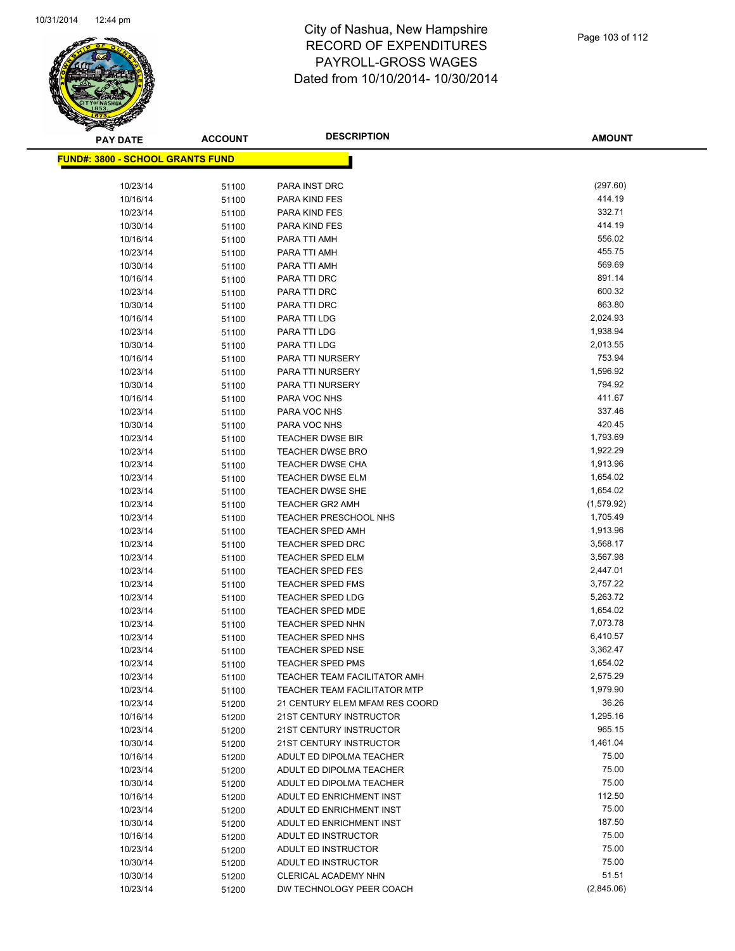

**AMOUNT**

| <u> FUND#: 3800 - SCHOOL GRANTS FUND</u> |       |                                                                  |                        |
|------------------------------------------|-------|------------------------------------------------------------------|------------------------|
| 10/23/14                                 | 51100 | PARA INST DRC                                                    | (297.60)               |
| 10/16/14                                 | 51100 | PARA KIND FES                                                    | 414.19                 |
| 10/23/14                                 | 51100 | PARA KIND FES                                                    | 332.71                 |
| 10/30/14                                 | 51100 | PARA KIND FES                                                    | 414.19                 |
| 10/16/14                                 | 51100 | PARA TTI AMH                                                     | 556.02                 |
| 10/23/14                                 | 51100 | PARA TTI AMH                                                     | 455.75                 |
| 10/30/14                                 | 51100 | PARA TTI AMH                                                     | 569.69                 |
| 10/16/14                                 | 51100 | PARA TTI DRC                                                     | 891.14                 |
| 10/23/14                                 | 51100 | PARA TTI DRC                                                     | 600.32                 |
| 10/30/14                                 | 51100 | PARA TTI DRC                                                     | 863.80                 |
| 10/16/14                                 | 51100 | PARA TTI LDG                                                     | 2,024.93               |
| 10/23/14                                 | 51100 | PARA TTI LDG                                                     | 1,938.94               |
| 10/30/14                                 | 51100 | PARA TTI LDG                                                     | 2,013.55               |
| 10/16/14                                 | 51100 | PARA TTI NURSERY                                                 | 753.94                 |
| 10/23/14                                 | 51100 | PARA TTI NURSERY                                                 | 1,596.92               |
| 10/30/14                                 | 51100 | PARA TTI NURSERY                                                 | 794.92                 |
| 10/16/14                                 | 51100 | PARA VOC NHS                                                     | 411.67                 |
| 10/23/14                                 |       | PARA VOC NHS                                                     | 337.46                 |
| 10/30/14                                 | 51100 | PARA VOC NHS                                                     | 420.45                 |
| 10/23/14                                 | 51100 | <b>TEACHER DWSE BIR</b>                                          | 1,793.69               |
|                                          | 51100 | <b>TEACHER DWSE BRO</b>                                          | 1,922.29               |
| 10/23/14                                 | 51100 |                                                                  | 1,913.96               |
| 10/23/14                                 | 51100 | <b>TEACHER DWSE CHA</b><br><b>TEACHER DWSE ELM</b>               | 1,654.02               |
| 10/23/14                                 | 51100 | <b>TEACHER DWSE SHE</b>                                          | 1,654.02               |
| 10/23/14                                 | 51100 |                                                                  |                        |
| 10/23/14                                 | 51100 | <b>TEACHER GR2 AMH</b>                                           | (1,579.92)<br>1,705.49 |
| 10/23/14                                 | 51100 | <b>TEACHER PRESCHOOL NHS</b>                                     | 1,913.96               |
| 10/23/14                                 | 51100 | <b>TEACHER SPED AMH</b>                                          | 3,568.17               |
| 10/23/14                                 | 51100 | TEACHER SPED DRC                                                 | 3,567.98               |
| 10/23/14                                 | 51100 | <b>TEACHER SPED ELM</b>                                          | 2,447.01               |
| 10/23/14                                 | 51100 | <b>TEACHER SPED FES</b>                                          |                        |
| 10/23/14                                 | 51100 | <b>TEACHER SPED FMS</b>                                          | 3,757.22<br>5,263.72   |
| 10/23/14                                 | 51100 | <b>TEACHER SPED LDG</b>                                          |                        |
| 10/23/14                                 | 51100 | <b>TEACHER SPED MDE</b>                                          | 1,654.02<br>7,073.78   |
| 10/23/14<br>10/23/14                     | 51100 | <b>TEACHER SPED NHN</b><br><b>TEACHER SPED NHS</b>               |                        |
|                                          | 51100 |                                                                  | 6,410.57               |
| 10/23/14                                 | 51100 | <b>TEACHER SPED NSE</b>                                          | 3,362.47               |
| 10/23/14                                 | 51100 | <b>TEACHER SPED PMS</b>                                          | 1,654.02<br>2,575.29   |
| 10/23/14                                 | 51100 | <b>TEACHER TEAM FACILITATOR AMH</b>                              | 1,979.90               |
| 10/23/14                                 | 51100 | TEACHER TEAM FACILITATOR MTP                                     | 36.26                  |
| 10/23/14                                 | 51200 | 21 CENTURY ELEM MFAM RES COORD<br><b>21ST CENTURY INSTRUCTOR</b> | 1,295.16               |
| 10/16/14                                 | 51200 |                                                                  | 965.15                 |
| 10/23/14                                 | 51200 | 21ST CENTURY INSTRUCTOR                                          |                        |
| 10/30/14                                 | 51200 | <b>21ST CENTURY INSTRUCTOR</b>                                   | 1,461.04               |
| 10/16/14                                 | 51200 | ADULT ED DIPOLMA TEACHER                                         | 75.00                  |
| 10/23/14                                 | 51200 | ADULT ED DIPOLMA TEACHER                                         | 75.00                  |
| 10/30/14                                 | 51200 | ADULT ED DIPOLMA TEACHER                                         | 75.00<br>112.50        |
| 10/16/14                                 | 51200 | ADULT ED ENRICHMENT INST                                         |                        |
| 10/23/14                                 | 51200 | ADULT ED ENRICHMENT INST                                         | 75.00                  |
| 10/30/14                                 | 51200 | ADULT ED ENRICHMENT INST                                         | 187.50                 |
| 10/16/14                                 | 51200 | ADULT ED INSTRUCTOR                                              | 75.00                  |
| 10/23/14                                 | 51200 | ADULT ED INSTRUCTOR                                              | 75.00                  |
| 10/30/14                                 | 51200 | ADULT ED INSTRUCTOR                                              | 75.00                  |
| 10/30/14                                 | 51200 | CLERICAL ACADEMY NHN                                             | 51.51                  |
| 10/23/14                                 | 51200 | DW TECHNOLOGY PEER COACH                                         | (2,845.06)             |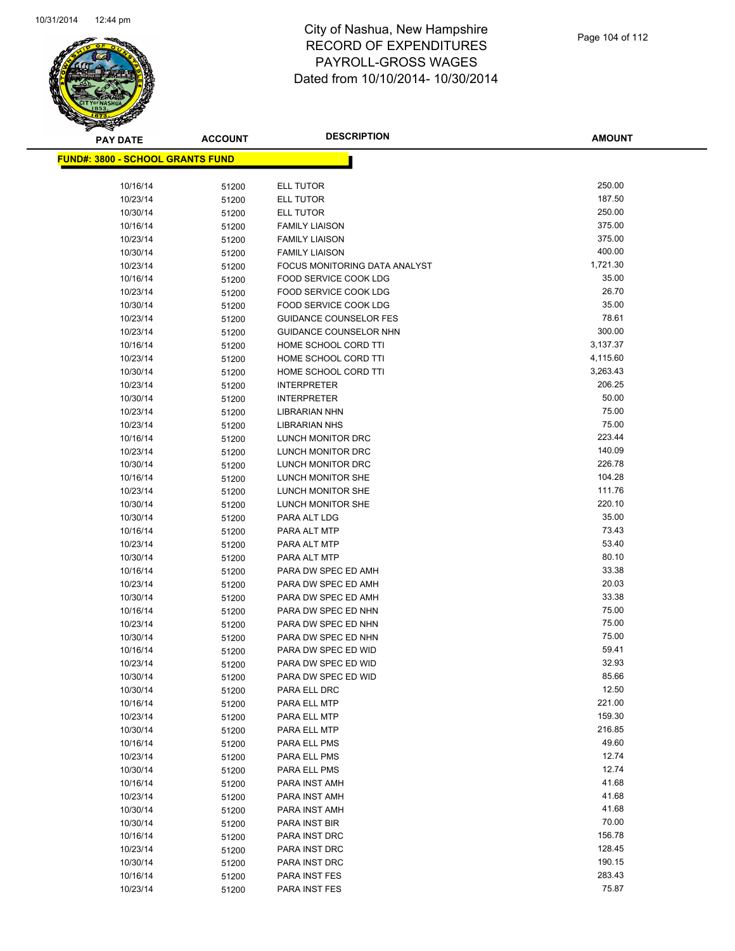

| <b>PAY DATE</b>                          | <b>ACCOUNT</b> | <b>DESCRIPTION</b>                         | <b>AMOUNT</b>  |
|------------------------------------------|----------------|--------------------------------------------|----------------|
| <u> FUND#: 3800 - SCHOOL GRANTS FUND</u> |                |                                            |                |
|                                          |                |                                            |                |
| 10/16/14                                 | 51200          | ELL TUTOR                                  | 250.00         |
| 10/23/14                                 | 51200          | ELL TUTOR                                  | 187.50         |
| 10/30/14                                 | 51200          | ELL TUTOR                                  | 250.00         |
| 10/16/14                                 | 51200          | <b>FAMILY LIAISON</b>                      | 375.00         |
| 10/23/14                                 | 51200          | <b>FAMILY LIAISON</b>                      | 375.00         |
| 10/30/14                                 | 51200          | <b>FAMILY LIAISON</b>                      | 400.00         |
| 10/23/14                                 | 51200          | FOCUS MONITORING DATA ANALYST              | 1,721.30       |
| 10/16/14                                 | 51200          | FOOD SERVICE COOK LDG                      | 35.00          |
| 10/23/14                                 | 51200          | FOOD SERVICE COOK LDG                      | 26.70          |
| 10/30/14                                 | 51200          | FOOD SERVICE COOK LDG                      | 35.00          |
| 10/23/14                                 | 51200          | <b>GUIDANCE COUNSELOR FES</b>              | 78.61          |
| 10/23/14                                 | 51200          | GUIDANCE COUNSELOR NHN                     | 300.00         |
| 10/16/14                                 | 51200          | HOME SCHOOL CORD TTI                       | 3,137.37       |
| 10/23/14                                 | 51200          | HOME SCHOOL CORD TTI                       | 4,115.60       |
| 10/30/14                                 | 51200          | HOME SCHOOL CORD TTI                       | 3,263.43       |
| 10/23/14                                 | 51200          | <b>INTERPRETER</b>                         | 206.25         |
| 10/30/14                                 | 51200          | <b>INTERPRETER</b>                         | 50.00          |
| 10/23/14                                 | 51200          | LIBRARIAN NHN                              | 75.00          |
| 10/23/14                                 | 51200          | <b>LIBRARIAN NHS</b>                       | 75.00          |
| 10/16/14                                 | 51200          | LUNCH MONITOR DRC                          | 223.44         |
| 10/23/14                                 | 51200          | LUNCH MONITOR DRC                          | 140.09         |
| 10/30/14                                 | 51200          | LUNCH MONITOR DRC                          | 226.78         |
| 10/16/14                                 | 51200          | LUNCH MONITOR SHE                          | 104.28         |
| 10/23/14                                 | 51200          | LUNCH MONITOR SHE                          | 111.76         |
| 10/30/14                                 | 51200          | LUNCH MONITOR SHE                          | 220.10         |
| 10/30/14                                 | 51200          | PARA ALT LDG                               | 35.00          |
| 10/16/14                                 | 51200          | PARA ALT MTP                               | 73.43          |
| 10/23/14                                 | 51200          | PARA ALT MTP                               | 53.40          |
| 10/30/14                                 | 51200          | PARA ALT MTP                               | 80.10<br>33.38 |
| 10/16/14                                 | 51200          | PARA DW SPEC ED AMH                        | 20.03          |
| 10/23/14                                 | 51200          | PARA DW SPEC ED AMH                        | 33.38          |
| 10/30/14                                 | 51200          | PARA DW SPEC ED AMH                        | 75.00          |
| 10/16/14                                 | 51200          | PARA DW SPEC ED NHN                        | 75.00          |
| 10/23/14<br>10/30/14                     | 51200          | PARA DW SPEC ED NHN<br>PARA DW SPEC ED NHN | 75.00          |
| 10/16/14                                 | 51200          | PARA DW SPEC ED WID                        | 59.41          |
| 10/23/14                                 | 51200<br>51200 | PARA DW SPEC ED WID                        | 32.93          |
| 10/30/14                                 |                | PARA DW SPEC ED WID                        | 85.66          |
| 10/30/14                                 | 51200<br>51200 | PARA ELL DRC                               | 12.50          |
| 10/16/14                                 | 51200          | PARA ELL MTP                               | 221.00         |
| 10/23/14                                 | 51200          | PARA ELL MTP                               | 159.30         |
| 10/30/14                                 | 51200          | PARA ELL MTP                               | 216.85         |
| 10/16/14                                 | 51200          | PARA ELL PMS                               | 49.60          |
| 10/23/14                                 | 51200          | PARA ELL PMS                               | 12.74          |
| 10/30/14                                 | 51200          | PARA ELL PMS                               | 12.74          |
| 10/16/14                                 | 51200          | PARA INST AMH                              | 41.68          |
| 10/23/14                                 | 51200          | PARA INST AMH                              | 41.68          |
| 10/30/14                                 | 51200          | PARA INST AMH                              | 41.68          |
| 10/30/14                                 | 51200          | PARA INST BIR                              | 70.00          |
| 10/16/14                                 | 51200          | PARA INST DRC                              | 156.78         |
| 10/23/14                                 | 51200          | PARA INST DRC                              | 128.45         |
| 10/30/14                                 | 51200          | PARA INST DRC                              | 190.15         |
| 10/16/14                                 | 51200          | PARA INST FES                              | 283.43         |
| 10/23/14                                 | 51200          | PARA INST FES                              | 75.87          |
|                                          |                |                                            |                |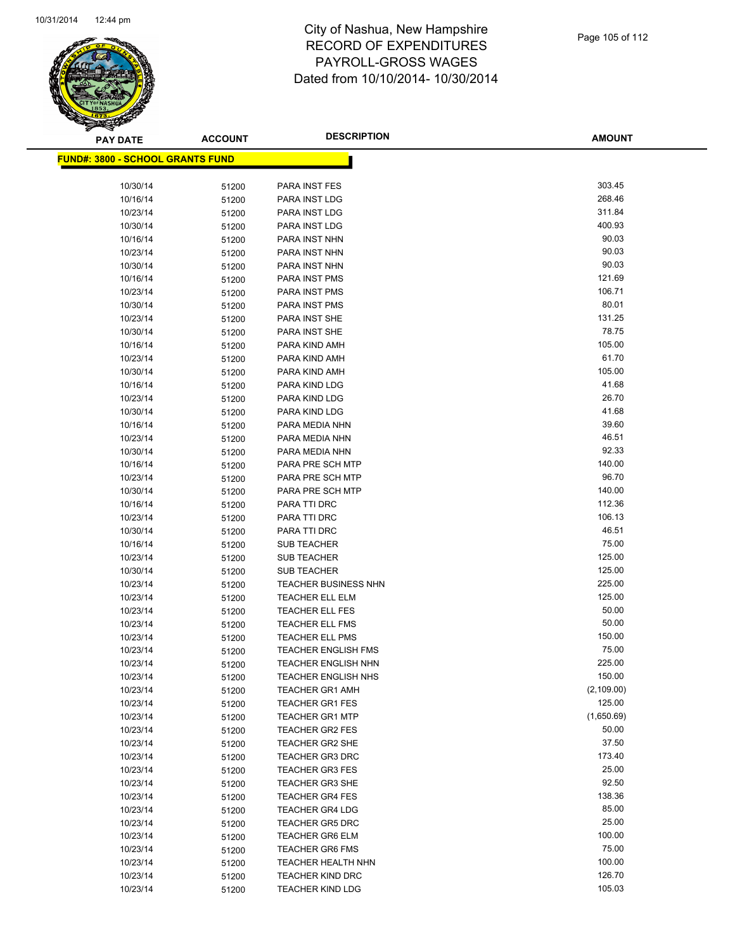

**AMOUNT**

| <u> FUND#: 3800 - SCHOOL GRANTS FUND</u> |       |                            |             |
|------------------------------------------|-------|----------------------------|-------------|
|                                          |       |                            |             |
| 10/30/14                                 | 51200 | PARA INST FES              | 303.45      |
| 10/16/14                                 | 51200 | PARA INST LDG              | 268.46      |
| 10/23/14                                 | 51200 | PARA INST LDG              | 311.84      |
| 10/30/14                                 | 51200 | PARA INST LDG              | 400.93      |
| 10/16/14                                 | 51200 | PARA INST NHN              | 90.03       |
| 10/23/14                                 | 51200 | PARA INST NHN              | 90.03       |
| 10/30/14                                 | 51200 | PARA INST NHN              | 90.03       |
| 10/16/14                                 | 51200 | PARA INST PMS              | 121.69      |
| 10/23/14                                 | 51200 | PARA INST PMS              | 106.71      |
| 10/30/14                                 | 51200 | PARA INST PMS              | 80.01       |
| 10/23/14                                 | 51200 | PARA INST SHE              | 131.25      |
| 10/30/14                                 | 51200 | PARA INST SHE              | 78.75       |
| 10/16/14                                 | 51200 | PARA KIND AMH              | 105.00      |
| 10/23/14                                 | 51200 | PARA KIND AMH              | 61.70       |
| 10/30/14                                 | 51200 | PARA KIND AMH              | 105.00      |
| 10/16/14                                 | 51200 | PARA KIND LDG              | 41.68       |
| 10/23/14                                 | 51200 | PARA KIND LDG              | 26.70       |
| 10/30/14                                 | 51200 | PARA KIND LDG              | 41.68       |
| 10/16/14                                 | 51200 | PARA MEDIA NHN             | 39.60       |
| 10/23/14                                 | 51200 | PARA MEDIA NHN             | 46.51       |
| 10/30/14                                 | 51200 | PARA MEDIA NHN             | 92.33       |
| 10/16/14                                 | 51200 | PARA PRE SCH MTP           | 140.00      |
| 10/23/14                                 | 51200 | PARA PRE SCH MTP           | 96.70       |
| 10/30/14                                 | 51200 | PARA PRE SCH MTP           | 140.00      |
| 10/16/14                                 | 51200 | PARA TTI DRC               | 112.36      |
| 10/23/14                                 | 51200 | PARA TTI DRC               | 106.13      |
| 10/30/14                                 | 51200 | PARA TTI DRC               | 46.51       |
| 10/16/14                                 | 51200 | <b>SUB TEACHER</b>         | 75.00       |
| 10/23/14                                 | 51200 | <b>SUB TEACHER</b>         | 125.00      |
| 10/30/14                                 | 51200 | <b>SUB TEACHER</b>         | 125.00      |
| 10/23/14                                 | 51200 | TEACHER BUSINESS NHN       | 225.00      |
| 10/23/14                                 | 51200 | <b>TEACHER ELL ELM</b>     | 125.00      |
| 10/23/14                                 | 51200 | <b>TEACHER ELL FES</b>     | 50.00       |
| 10/23/14                                 | 51200 | <b>TEACHER ELL FMS</b>     | 50.00       |
| 10/23/14                                 | 51200 | <b>TEACHER ELL PMS</b>     | 150.00      |
| 10/23/14                                 | 51200 | <b>TEACHER ENGLISH FMS</b> | 75.00       |
| 10/23/14                                 | 51200 | <b>TEACHER ENGLISH NHN</b> | 225.00      |
| 10/23/14                                 | 51200 | <b>TEACHER ENGLISH NHS</b> | 150.00      |
| 10/23/14                                 | 51200 | <b>TEACHER GR1 AMH</b>     | (2, 109.00) |
| 10/23/14                                 | 51200 | <b>TEACHER GR1 FES</b>     | 125.00      |
| 10/23/14                                 | 51200 | <b>TEACHER GR1 MTP</b>     | (1,650.69)  |
| 10/23/14                                 | 51200 | <b>TEACHER GR2 FES</b>     | 50.00       |
| 10/23/14                                 | 51200 | <b>TEACHER GR2 SHE</b>     | 37.50       |
| 10/23/14                                 | 51200 | <b>TEACHER GR3 DRC</b>     | 173.40      |
| 10/23/14                                 | 51200 | <b>TEACHER GR3 FES</b>     | 25.00       |
| 10/23/14                                 | 51200 | <b>TEACHER GR3 SHE</b>     | 92.50       |
| 10/23/14                                 | 51200 | <b>TEACHER GR4 FES</b>     | 138.36      |
| 10/23/14                                 | 51200 | <b>TEACHER GR4 LDG</b>     | 85.00       |
| 10/23/14                                 | 51200 | <b>TEACHER GR5 DRC</b>     | 25.00       |
| 10/23/14                                 | 51200 | <b>TEACHER GR6 ELM</b>     | 100.00      |
| 10/23/14                                 | 51200 | <b>TEACHER GR6 FMS</b>     | 75.00       |
| 10/23/14                                 | 51200 | <b>TEACHER HEALTH NHN</b>  | 100.00      |
| 10/23/14                                 | 51200 | <b>TEACHER KIND DRC</b>    | 126.70      |
| 10/23/14                                 | 51200 | <b>TEACHER KIND LDG</b>    | 105.03      |
|                                          |       |                            |             |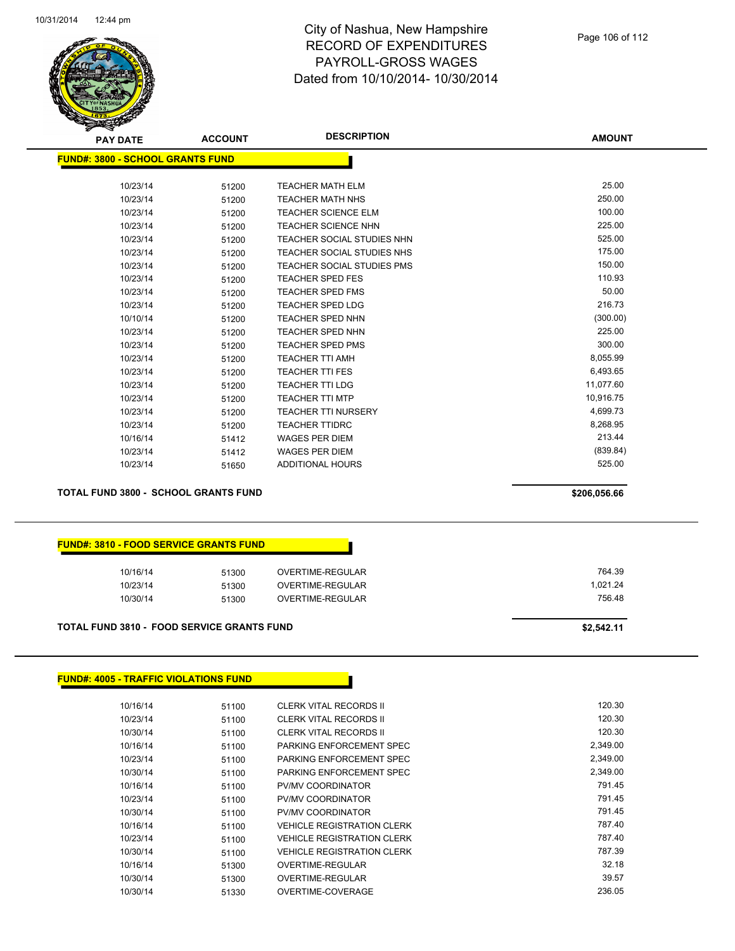

| <b>PAY DATE</b>                          | <b>ACCOUNT</b> | <b>DESCRIPTION</b>                | <b>AMOUNT</b> |
|------------------------------------------|----------------|-----------------------------------|---------------|
| <u> FUND#: 3800 - SCHOOL GRANTS FUND</u> |                |                                   |               |
|                                          |                |                                   |               |
| 10/23/14                                 | 51200          | <b>TEACHER MATH ELM</b>           | 25.00         |
| 10/23/14                                 | 51200          | <b>TEACHER MATH NHS</b>           | 250.00        |
| 10/23/14                                 | 51200          | <b>TEACHER SCIENCE ELM</b>        | 100.00        |
| 10/23/14                                 | 51200          | <b>TEACHER SCIENCE NHN</b>        | 225.00        |
| 10/23/14                                 | 51200          | <b>TEACHER SOCIAL STUDIES NHN</b> | 525.00        |
| 10/23/14                                 | 51200          | <b>TEACHER SOCIAL STUDIES NHS</b> | 175.00        |
| 10/23/14                                 | 51200          | <b>TEACHER SOCIAL STUDIES PMS</b> | 150.00        |
| 10/23/14                                 | 51200          | <b>TEACHER SPED FES</b>           | 110.93        |
| 10/23/14                                 | 51200          | <b>TEACHER SPED FMS</b>           | 50.00         |
| 10/23/14                                 | 51200          | <b>TEACHER SPED LDG</b>           | 216.73        |
| 10/10/14                                 | 51200          | <b>TEACHER SPED NHN</b>           | (300.00)      |
| 10/23/14                                 | 51200          | <b>TEACHER SPED NHN</b>           | 225.00        |
| 10/23/14                                 | 51200          | <b>TEACHER SPED PMS</b>           | 300.00        |
| 10/23/14                                 | 51200          | <b>TEACHER TTI AMH</b>            | 8,055.99      |
| 10/23/14                                 | 51200          | <b>TEACHER TTI FES</b>            | 6,493.65      |
| 10/23/14                                 | 51200          | <b>TEACHER TTI LDG</b>            | 11,077.60     |
| 10/23/14                                 | 51200          | <b>TEACHER TTI MTP</b>            | 10,916.75     |
| 10/23/14                                 | 51200          | <b>TEACHER TTI NURSERY</b>        | 4,699.73      |
| 10/23/14                                 | 51200          | <b>TEACHER TTIDRC</b>             | 8,268.95      |
| 10/16/14                                 | 51412          | <b>WAGES PER DIEM</b>             | 213.44        |
| 10/23/14                                 | 51412          | <b>WAGES PER DIEM</b>             | (839.84)      |
| 10/23/14                                 | 51650          | <b>ADDITIONAL HOURS</b>           | 525.00        |
|                                          |                |                                   |               |

**TOTAL FUND 3800 - SCHOOL GRANTS FUND \$206,056.66** 

| <b>FUND#: 3810 - FOOD SERVICE GRANTS FUND</b> |       |                  |          |
|-----------------------------------------------|-------|------------------|----------|
| 10/16/14                                      | 51300 | OVERTIME-REGULAR |          |
| 10/23/14                                      | 51300 | OVERTIME-REGULAR | 1.021.24 |
| 10/30/14                                      | 51300 | OVERTIME-REGULAR | 756.48   |

#### **TOTAL FUND 3810 - FOOD SERVICE GRANTS FUND \$2,542.11**

#### **FUND#: 4005 - TRAFFIC VIOLATIONS FUND**

| 10/16/14 | 51100 | <b>CLERK VITAL RECORDS II</b>     | 120.30   |
|----------|-------|-----------------------------------|----------|
| 10/23/14 | 51100 | <b>CLERK VITAL RECORDS II</b>     | 120.30   |
| 10/30/14 | 51100 | <b>CLERK VITAL RECORDS II</b>     | 120.30   |
| 10/16/14 | 51100 | PARKING ENFORCEMENT SPEC          | 2.349.00 |
| 10/23/14 | 51100 | PARKING ENFORCEMENT SPEC          | 2,349.00 |
| 10/30/14 | 51100 | PARKING ENFORCEMENT SPEC          | 2.349.00 |
| 10/16/14 | 51100 | PV/MV COORDINATOR                 | 791.45   |
| 10/23/14 | 51100 | PV/MV COORDINATOR                 | 791.45   |
| 10/30/14 | 51100 | PV/MV COORDINATOR                 | 791.45   |
| 10/16/14 | 51100 | <b>VEHICLE REGISTRATION CLERK</b> | 787.40   |
| 10/23/14 | 51100 | <b>VEHICLE REGISTRATION CLERK</b> | 787.40   |
| 10/30/14 | 51100 | <b>VEHICLE REGISTRATION CLERK</b> | 787.39   |
| 10/16/14 | 51300 | OVERTIME-REGULAR                  | 32.18    |
| 10/30/14 | 51300 | OVERTIME-REGULAR                  | 39.57    |
| 10/30/14 | 51330 | OVERTIME-COVERAGE                 | 236.05   |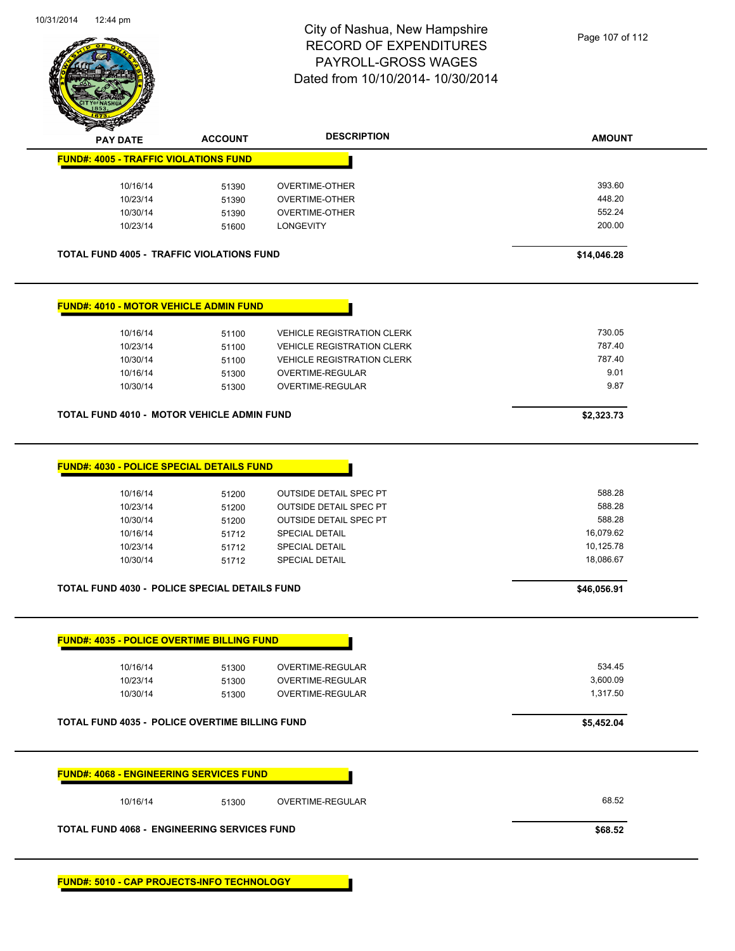

| <b>PAY DATE</b>                                                                                                       | <b>ACCOUNT</b>                                     | <b>DESCRIPTION</b>                                                                                                                                                         | <b>AMOUNT</b>                                                                    |
|-----------------------------------------------------------------------------------------------------------------------|----------------------------------------------------|----------------------------------------------------------------------------------------------------------------------------------------------------------------------------|----------------------------------------------------------------------------------|
| <b>FUND#: 4005 - TRAFFIC VIOLATIONS FUND</b>                                                                          |                                                    |                                                                                                                                                                            |                                                                                  |
| 10/16/14                                                                                                              | 51390                                              | <b>OVERTIME-OTHER</b>                                                                                                                                                      | 393.60                                                                           |
| 10/23/14                                                                                                              | 51390                                              | <b>OVERTIME-OTHER</b>                                                                                                                                                      | 448.20                                                                           |
| 10/30/14                                                                                                              | 51390                                              | <b>OVERTIME-OTHER</b>                                                                                                                                                      | 552.24                                                                           |
| 10/23/14                                                                                                              | 51600                                              | <b>LONGEVITY</b>                                                                                                                                                           | 200.00                                                                           |
| <b>TOTAL FUND 4005 - TRAFFIC VIOLATIONS FUND</b>                                                                      |                                                    |                                                                                                                                                                            | \$14,046.28                                                                      |
| <b>FUND#: 4010 - MOTOR VEHICLE ADMIN FUND</b>                                                                         |                                                    |                                                                                                                                                                            |                                                                                  |
| 10/16/14                                                                                                              | 51100                                              | <b>VEHICLE REGISTRATION CLERK</b>                                                                                                                                          | 730.05                                                                           |
| 10/23/14                                                                                                              | 51100                                              | <b>VEHICLE REGISTRATION CLERK</b>                                                                                                                                          | 787.40                                                                           |
| 10/30/14                                                                                                              | 51100                                              | <b>VEHICLE REGISTRATION CLERK</b>                                                                                                                                          | 787.40                                                                           |
| 10/16/14                                                                                                              | 51300                                              | OVERTIME-REGULAR                                                                                                                                                           | 9.01                                                                             |
| 10/30/14                                                                                                              | 51300                                              | OVERTIME-REGULAR                                                                                                                                                           | 9.87                                                                             |
| TOTAL FUND 4010 - MOTOR VEHICLE ADMIN FUND                                                                            |                                                    |                                                                                                                                                                            | \$2,323.73                                                                       |
| 10/16/14<br>10/23/14<br>10/30/14<br>10/16/14<br>10/23/14<br>10/30/14<br>TOTAL FUND 4030 - POLICE SPECIAL DETAILS FUND | 51200<br>51200<br>51200<br>51712<br>51712<br>51712 | <b>OUTSIDE DETAIL SPEC PT</b><br><b>OUTSIDE DETAIL SPEC PT</b><br><b>OUTSIDE DETAIL SPEC PT</b><br><b>SPECIAL DETAIL</b><br><b>SPECIAL DETAIL</b><br><b>SPECIAL DETAIL</b> | 588.28<br>588.28<br>588.28<br>16,079.62<br>10,125.78<br>18,086.67<br>\$46,056.91 |
| <b>FUND#: 4035 - POLICE OVERTIME BILLING FUND</b>                                                                     |                                                    |                                                                                                                                                                            |                                                                                  |
| 10/16/14                                                                                                              | 51300                                              | OVERTIME-REGULAR                                                                                                                                                           | 534.45                                                                           |
| 10/23/14                                                                                                              | 51300                                              | <b>OVERTIME-REGULAR</b>                                                                                                                                                    | 3,600.09                                                                         |
| 10/30/14                                                                                                              | 51300                                              | OVERTIME-REGULAR                                                                                                                                                           | 1,317.50                                                                         |
|                                                                                                                       |                                                    |                                                                                                                                                                            | \$5,452.04                                                                       |
|                                                                                                                       |                                                    |                                                                                                                                                                            |                                                                                  |
| <b>TOTAL FUND 4035 - POLICE OVERTIME BILLING FUND</b><br><b>FUND#: 4068 - ENGINEERING SERVICES FUND</b>               |                                                    |                                                                                                                                                                            |                                                                                  |
| 10/16/14                                                                                                              | 51300                                              | OVERTIME-REGULAR                                                                                                                                                           | 68.52                                                                            |

Т

**FUND#: 5010 - CAP PROJECTS-INFO TECHNOLOGY**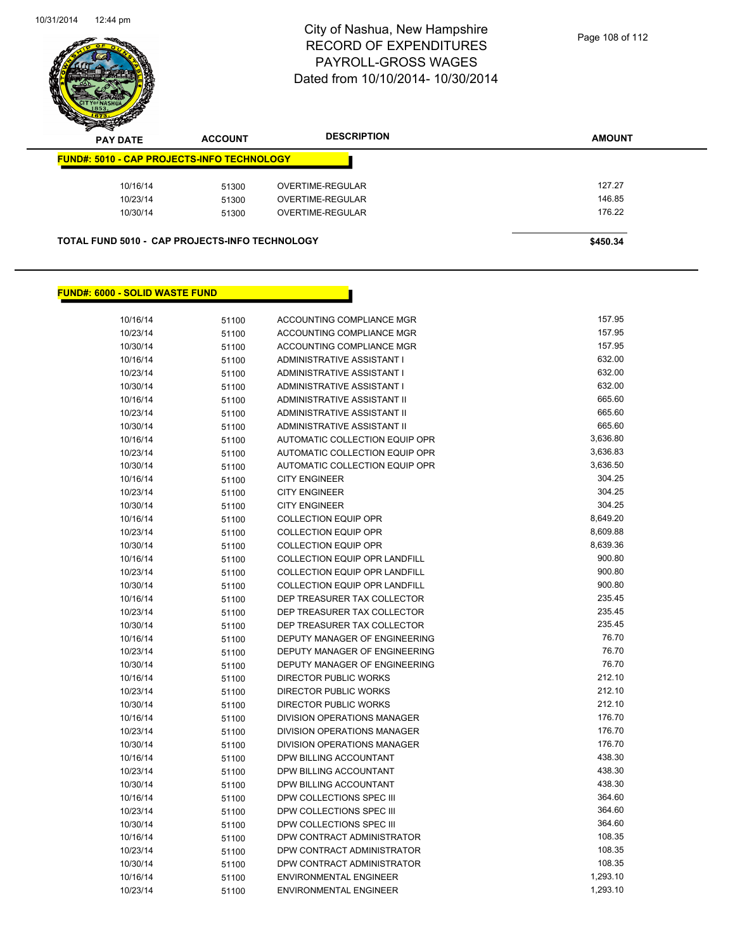

| z<br>--<br><b>PAY DATE</b>                            | <b>ACCOUNT</b> | <b>DESCRIPTION</b> | <b>AMOUNT</b> |
|-------------------------------------------------------|----------------|--------------------|---------------|
| <b>FUND#: 5010 - CAP PROJECTS-INFO TECHNOLOGY</b>     |                |                    |               |
| 10/16/14                                              | 51300          | OVERTIME-REGULAR   | 127.27        |
| 10/23/14                                              | 51300          | OVERTIME-REGULAR   | 146.85        |
| 10/30/14                                              | 51300          | OVERTIME-REGULAR   | 176.22        |
| <b>TOTAL FUND 5010 - CAP PROJECTS-INFO TECHNOLOGY</b> |                |                    | \$450.34      |

#### **FUND#: 6000 - SOLID WASTE FUND**

Г

| 10/16/14 | 51100 | ACCOUNTING COMPLIANCE MGR            | 157.95   |
|----------|-------|--------------------------------------|----------|
| 10/23/14 | 51100 | ACCOUNTING COMPLIANCE MGR            | 157.95   |
| 10/30/14 | 51100 | ACCOUNTING COMPLIANCE MGR            | 157.95   |
| 10/16/14 | 51100 | ADMINISTRATIVE ASSISTANT I           | 632.00   |
| 10/23/14 | 51100 | ADMINISTRATIVE ASSISTANT I           | 632.00   |
| 10/30/14 | 51100 | ADMINISTRATIVE ASSISTANT I           | 632.00   |
| 10/16/14 | 51100 | ADMINISTRATIVE ASSISTANT II          | 665.60   |
| 10/23/14 | 51100 | ADMINISTRATIVE ASSISTANT II          | 665.60   |
| 10/30/14 | 51100 | ADMINISTRATIVE ASSISTANT II          | 665.60   |
| 10/16/14 | 51100 | AUTOMATIC COLLECTION EQUIP OPR       | 3,636.80 |
| 10/23/14 | 51100 | AUTOMATIC COLLECTION EQUIP OPR       | 3,636.83 |
| 10/30/14 | 51100 | AUTOMATIC COLLECTION EQUIP OPR       | 3,636.50 |
| 10/16/14 | 51100 | <b>CITY ENGINEER</b>                 | 304.25   |
| 10/23/14 | 51100 | <b>CITY ENGINEER</b>                 | 304.25   |
| 10/30/14 | 51100 | <b>CITY ENGINEER</b>                 | 304.25   |
| 10/16/14 | 51100 | <b>COLLECTION EQUIP OPR</b>          | 8,649.20 |
| 10/23/14 | 51100 | <b>COLLECTION EQUIP OPR</b>          | 8,609.88 |
| 10/30/14 | 51100 | <b>COLLECTION EQUIP OPR</b>          | 8,639.36 |
| 10/16/14 | 51100 | <b>COLLECTION EQUIP OPR LANDFILL</b> | 900.80   |
| 10/23/14 | 51100 | <b>COLLECTION EQUIP OPR LANDFILL</b> | 900.80   |
| 10/30/14 | 51100 | <b>COLLECTION EQUIP OPR LANDFILL</b> | 900.80   |
| 10/16/14 | 51100 | DEP TREASURER TAX COLLECTOR          | 235.45   |
| 10/23/14 | 51100 | DEP TREASURER TAX COLLECTOR          | 235.45   |
| 10/30/14 | 51100 | DEP TREASURER TAX COLLECTOR          | 235.45   |
| 10/16/14 | 51100 | DEPUTY MANAGER OF ENGINEERING        | 76.70    |
| 10/23/14 | 51100 | DEPUTY MANAGER OF ENGINEERING        | 76.70    |
| 10/30/14 | 51100 | DEPUTY MANAGER OF ENGINEERING        | 76.70    |
| 10/16/14 | 51100 | DIRECTOR PUBLIC WORKS                | 212.10   |
| 10/23/14 | 51100 | <b>DIRECTOR PUBLIC WORKS</b>         | 212.10   |
| 10/30/14 | 51100 | <b>DIRECTOR PUBLIC WORKS</b>         | 212.10   |
| 10/16/14 | 51100 | DIVISION OPERATIONS MANAGER          | 176.70   |
| 10/23/14 | 51100 | DIVISION OPERATIONS MANAGER          | 176.70   |
| 10/30/14 | 51100 | DIVISION OPERATIONS MANAGER          | 176.70   |
| 10/16/14 | 51100 | DPW BILLING ACCOUNTANT               | 438.30   |
| 10/23/14 | 51100 | DPW BILLING ACCOUNTANT               | 438.30   |
| 10/30/14 | 51100 | DPW BILLING ACCOUNTANT               | 438.30   |
| 10/16/14 | 51100 | DPW COLLECTIONS SPEC III             | 364.60   |
| 10/23/14 | 51100 | DPW COLLECTIONS SPEC III             | 364.60   |
| 10/30/14 | 51100 | DPW COLLECTIONS SPEC III             | 364.60   |
| 10/16/14 | 51100 | DPW CONTRACT ADMINISTRATOR           | 108.35   |
| 10/23/14 | 51100 | DPW CONTRACT ADMINISTRATOR           | 108.35   |
| 10/30/14 | 51100 | DPW CONTRACT ADMINISTRATOR           | 108.35   |
| 10/16/14 | 51100 | <b>ENVIRONMENTAL ENGINEER</b>        | 1,293.10 |
| 10/23/14 | 51100 | <b>ENVIRONMENTAL ENGINEER</b>        | 1,293.10 |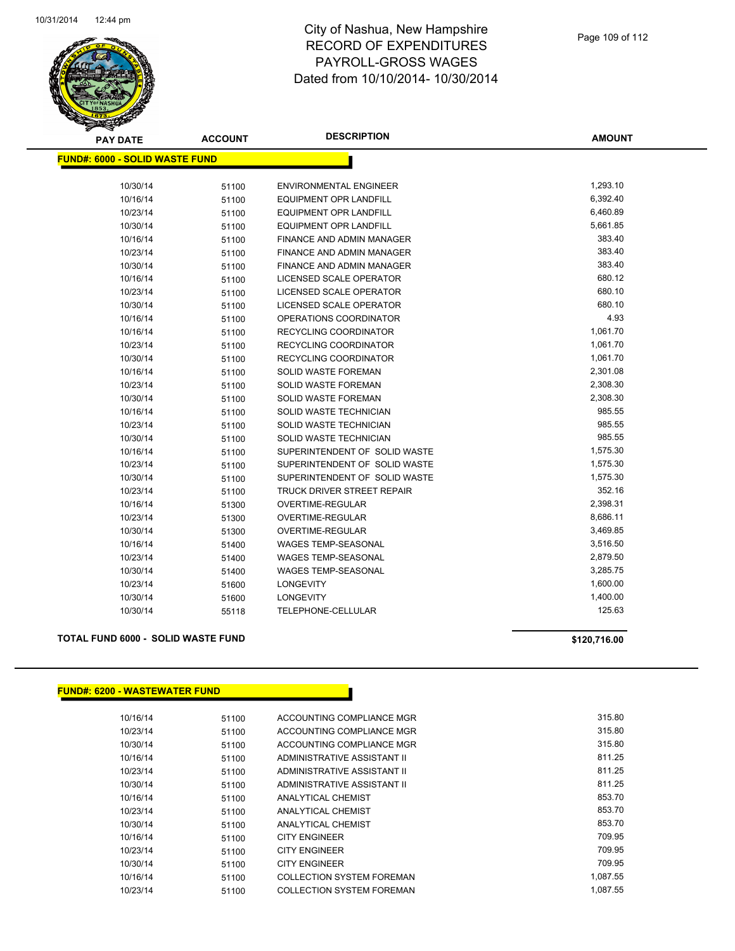

| <b>PAY DATE</b>                        | <b>ACCOUNT</b> | <b>DESCRIPTION</b>               | <b>AMOUNT</b> |
|----------------------------------------|----------------|----------------------------------|---------------|
| <u> FUND#: 6000 - SOLID WASTE FUND</u> |                |                                  |               |
| 10/30/14                               | 51100          | <b>ENVIRONMENTAL ENGINEER</b>    | 1,293.10      |
| 10/16/14                               | 51100          | <b>EQUIPMENT OPR LANDFILL</b>    | 6,392.40      |
| 10/23/14                               | 51100          | <b>EQUIPMENT OPR LANDFILL</b>    | 6,460.89      |
| 10/30/14                               | 51100          | <b>EQUIPMENT OPR LANDFILL</b>    | 5,661.85      |
| 10/16/14                               | 51100          | FINANCE AND ADMIN MANAGER        | 383.40        |
| 10/23/14                               | 51100          | <b>FINANCE AND ADMIN MANAGER</b> | 383.40        |
| 10/30/14                               | 51100          | FINANCE AND ADMIN MANAGER        | 383.40        |
| 10/16/14                               | 51100          | LICENSED SCALE OPERATOR          | 680.12        |
| 10/23/14                               | 51100          | LICENSED SCALE OPERATOR          | 680.10        |
| 10/30/14                               | 51100          | LICENSED SCALE OPERATOR          | 680.10        |
| 10/16/14                               | 51100          | OPERATIONS COORDINATOR           | 4.93          |
| 10/16/14                               | 51100          | RECYCLING COORDINATOR            | 1,061.70      |
| 10/23/14                               | 51100          | <b>RECYCLING COORDINATOR</b>     | 1,061.70      |
| 10/30/14                               | 51100          | <b>RECYCLING COORDINATOR</b>     | 1,061.70      |
| 10/16/14                               | 51100          | SOLID WASTE FOREMAN              | 2,301.08      |
| 10/23/14                               | 51100          | SOLID WASTE FOREMAN              | 2,308.30      |
| 10/30/14                               | 51100          | SOLID WASTE FOREMAN              | 2,308.30      |
| 10/16/14                               | 51100          | SOLID WASTE TECHNICIAN           | 985.55        |
| 10/23/14                               | 51100          | SOLID WASTE TECHNICIAN           | 985.55        |
| 10/30/14                               | 51100          | SOLID WASTE TECHNICIAN           | 985.55        |
| 10/16/14                               | 51100          | SUPERINTENDENT OF SOLID WASTE    | 1,575.30      |
| 10/23/14                               | 51100          | SUPERINTENDENT OF SOLID WASTE    | 1,575.30      |
| 10/30/14                               | 51100          | SUPERINTENDENT OF SOLID WASTE    | 1,575.30      |
| 10/23/14                               | 51100          | TRUCK DRIVER STREET REPAIR       | 352.16        |
| 10/16/14                               | 51300          | OVERTIME-REGULAR                 | 2,398.31      |
| 10/23/14                               | 51300          | <b>OVERTIME-REGULAR</b>          | 8,686.11      |
| 10/30/14                               | 51300          | OVERTIME-REGULAR                 | 3,469.85      |
| 10/16/14                               | 51400          | <b>WAGES TEMP-SEASONAL</b>       | 3,516.50      |
| 10/23/14                               | 51400          | <b>WAGES TEMP-SEASONAL</b>       | 2,879.50      |
| 10/30/14                               | 51400          | WAGES TEMP-SEASONAL              | 3,285.75      |
| 10/23/14                               | 51600          | <b>LONGEVITY</b>                 | 1,600.00      |
| 10/30/14                               | 51600          | <b>LONGEVITY</b>                 | 1,400.00      |
| 10/30/14                               | 55118          | TELEPHONE-CELLULAR               | 125.63        |
|                                        |                |                                  |               |

## **TOTAL FUND 6000 - SOLID WASTE FUND \$120,716.00**

#### **FUND#: 6200 - WASTEWATER FUND**

| 10/16/14 | 51100 | ACCOUNTING COMPLIANCE MGR        | 315.80   |
|----------|-------|----------------------------------|----------|
| 10/23/14 | 51100 | ACCOUNTING COMPLIANCE MGR        | 315.80   |
| 10/30/14 | 51100 | ACCOUNTING COMPLIANCE MGR        | 315.80   |
| 10/16/14 | 51100 | ADMINISTRATIVE ASSISTANT II      | 811.25   |
| 10/23/14 | 51100 | ADMINISTRATIVE ASSISTANT II      | 811.25   |
| 10/30/14 | 51100 | ADMINISTRATIVE ASSISTANT II      | 811.25   |
| 10/16/14 | 51100 | ANALYTICAL CHEMIST               | 853.70   |
| 10/23/14 | 51100 | ANALYTICAL CHEMIST               | 853.70   |
| 10/30/14 | 51100 | <b>ANALYTICAL CHEMIST</b>        | 853.70   |
| 10/16/14 | 51100 | <b>CITY ENGINEER</b>             | 709.95   |
| 10/23/14 | 51100 | <b>CITY ENGINEER</b>             | 709.95   |
| 10/30/14 | 51100 | <b>CITY ENGINEER</b>             | 709.95   |
| 10/16/14 | 51100 | <b>COLLECTION SYSTEM FOREMAN</b> | 1.087.55 |
| 10/23/14 | 51100 | <b>COLLECTION SYSTEM FOREMAN</b> | 1.087.55 |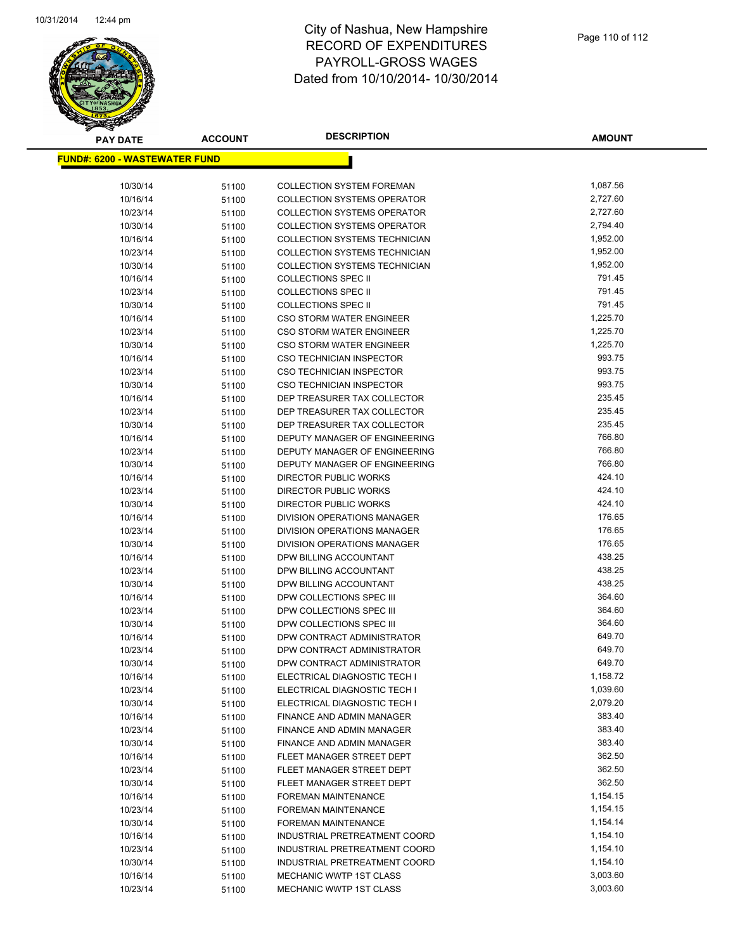

**AMOUNT**

| <u> FUND#: 6200 - WASTEWATER FUND</u> |                |                                                                |                      |
|---------------------------------------|----------------|----------------------------------------------------------------|----------------------|
| 10/30/14                              | 51100          | <b>COLLECTION SYSTEM FOREMAN</b>                               | 1,087.56             |
| 10/16/14                              | 51100          | <b>COLLECTION SYSTEMS OPERATOR</b>                             | 2,727.60             |
| 10/23/14                              | 51100          | <b>COLLECTION SYSTEMS OPERATOR</b>                             | 2,727.60             |
| 10/30/14                              | 51100          | <b>COLLECTION SYSTEMS OPERATOR</b>                             | 2,794.40             |
| 10/16/14                              | 51100          | <b>COLLECTION SYSTEMS TECHNICIAN</b>                           | 1,952.00             |
| 10/23/14                              | 51100          | COLLECTION SYSTEMS TECHNICIAN                                  | 1,952.00             |
| 10/30/14                              | 51100          | <b>COLLECTION SYSTEMS TECHNICIAN</b>                           | 1,952.00             |
| 10/16/14                              | 51100          | <b>COLLECTIONS SPEC II</b>                                     | 791.45               |
| 10/23/14                              | 51100          | <b>COLLECTIONS SPEC II</b>                                     | 791.45               |
| 10/30/14                              | 51100          | <b>COLLECTIONS SPEC II</b>                                     | 791.45               |
| 10/16/14                              | 51100          | CSO STORM WATER ENGINEER                                       | 1,225.70             |
| 10/23/14                              | 51100          | CSO STORM WATER ENGINEER                                       | 1,225.70             |
| 10/30/14                              | 51100          | CSO STORM WATER ENGINEER                                       | 1,225.70             |
| 10/16/14                              | 51100          | <b>CSO TECHNICIAN INSPECTOR</b>                                | 993.75               |
| 10/23/14                              | 51100          | <b>CSO TECHNICIAN INSPECTOR</b>                                | 993.75               |
| 10/30/14                              | 51100          | <b>CSO TECHNICIAN INSPECTOR</b>                                | 993.75               |
| 10/16/14                              | 51100          | DEP TREASURER TAX COLLECTOR                                    | 235.45               |
| 10/23/14                              | 51100          | DEP TREASURER TAX COLLECTOR                                    | 235.45               |
| 10/30/14                              | 51100          | DEP TREASURER TAX COLLECTOR                                    | 235.45               |
| 10/16/14                              | 51100          | DEPUTY MANAGER OF ENGINEERING                                  | 766.80               |
| 10/23/14                              | 51100          | DEPUTY MANAGER OF ENGINEERING                                  | 766.80               |
| 10/30/14                              | 51100          | DEPUTY MANAGER OF ENGINEERING                                  | 766.80               |
| 10/16/14                              | 51100          | DIRECTOR PUBLIC WORKS                                          | 424.10               |
| 10/23/14                              | 51100          | DIRECTOR PUBLIC WORKS                                          | 424.10               |
| 10/30/14                              | 51100          | DIRECTOR PUBLIC WORKS                                          | 424.10               |
| 10/16/14                              | 51100          | DIVISION OPERATIONS MANAGER                                    | 176.65               |
| 10/23/14                              | 51100          | DIVISION OPERATIONS MANAGER                                    | 176.65               |
| 10/30/14                              | 51100          | DIVISION OPERATIONS MANAGER                                    | 176.65               |
| 10/16/14                              | 51100          | DPW BILLING ACCOUNTANT                                         | 438.25               |
| 10/23/14                              | 51100          | DPW BILLING ACCOUNTANT                                         | 438.25               |
| 10/30/14                              | 51100          | DPW BILLING ACCOUNTANT                                         | 438.25               |
| 10/16/14                              | 51100          | DPW COLLECTIONS SPEC III                                       | 364.60               |
| 10/23/14                              | 51100          | DPW COLLECTIONS SPEC III                                       | 364.60               |
| 10/30/14                              | 51100          | DPW COLLECTIONS SPEC III                                       | 364.60               |
| 10/16/14                              | 51100          | DPW CONTRACT ADMINISTRATOR                                     | 649.70               |
| 10/23/14                              | 51100          | DPW CONTRACT ADMINISTRATOR                                     | 649.70               |
| 10/30/14                              | 51100          | DPW CONTRACT ADMINISTRATOR                                     | 649.70               |
| 10/16/14                              | 51100          | ELECTRICAL DIAGNOSTIC TECH I                                   | 1,158.72             |
| 10/23/14                              | 51100          | ELECTRICAL DIAGNOSTIC TECH I                                   | 1,039.60             |
| 10/30/14                              | 51100          | ELECTRICAL DIAGNOSTIC TECH I                                   | 2,079.20             |
| 10/16/14                              | 51100          | <b>FINANCE AND ADMIN MANAGER</b>                               | 383.40               |
| 10/23/14                              | 51100          | FINANCE AND ADMIN MANAGER                                      | 383.40               |
| 10/30/14                              | 51100          | FINANCE AND ADMIN MANAGER                                      | 383.40               |
| 10/16/14                              | 51100          | FLEET MANAGER STREET DEPT                                      | 362.50               |
| 10/23/14                              | 51100          | FLEET MANAGER STREET DEPT                                      | 362.50               |
| 10/30/14                              | 51100          | FLEET MANAGER STREET DEPT                                      | 362.50               |
| 10/16/14                              | 51100          | FOREMAN MAINTENANCE                                            | 1,154.15             |
| 10/23/14                              | 51100          | FOREMAN MAINTENANCE                                            | 1,154.15             |
| 10/30/14                              | 51100          | <b>FOREMAN MAINTENANCE</b>                                     | 1,154.14             |
| 10/16/14                              | 51100          | INDUSTRIAL PRETREATMENT COORD                                  | 1,154.10<br>1,154.10 |
| 10/23/14<br>10/30/14                  | 51100          | INDUSTRIAL PRETREATMENT COORD<br>INDUSTRIAL PRETREATMENT COORD | 1,154.10             |
| 10/16/14                              | 51100          | MECHANIC WWTP 1ST CLASS                                        | 3,003.60             |
| 10/23/14                              | 51100<br>51100 | MECHANIC WWTP 1ST CLASS                                        | 3,003.60             |
|                                       |                |                                                                |                      |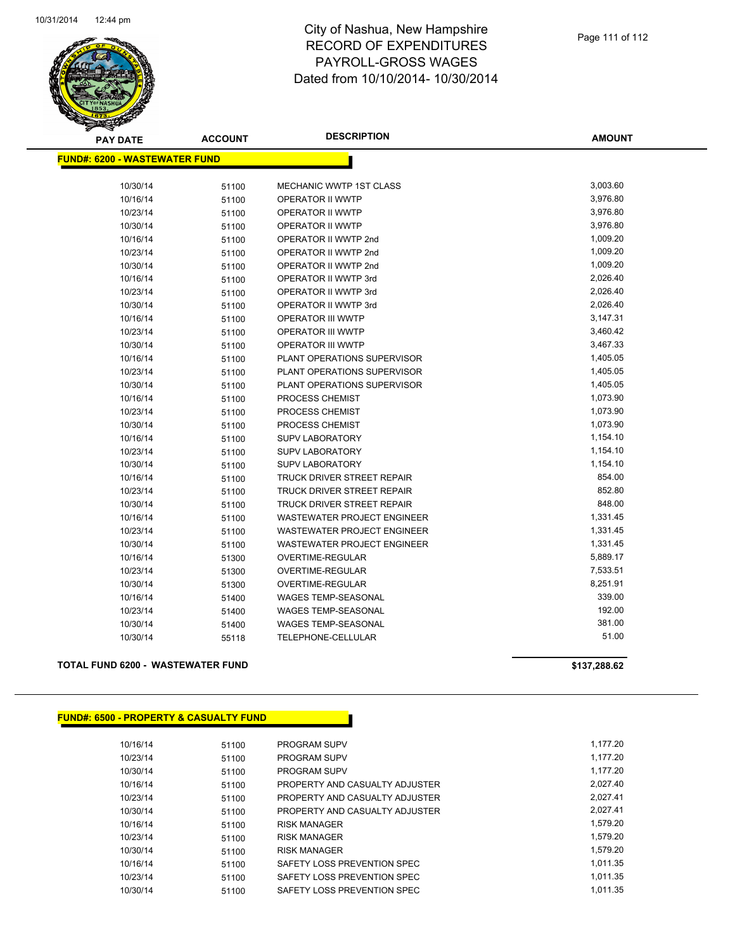

| <b>PAY DATE</b>                       | <b>ACCOUNT</b> | <b>DESCRIPTION</b>                 | <b>AMOUNT</b> |
|---------------------------------------|----------------|------------------------------------|---------------|
| <u> FUND#: 6200 - WASTEWATER FUND</u> |                |                                    |               |
|                                       |                |                                    |               |
| 10/30/14                              | 51100          | MECHANIC WWTP 1ST CLASS            | 3,003.60      |
| 10/16/14                              | 51100          | OPERATOR II WWTP                   | 3,976.80      |
| 10/23/14                              | 51100          | OPERATOR II WWTP                   | 3,976.80      |
| 10/30/14                              | 51100          | OPERATOR II WWTP                   | 3,976.80      |
| 10/16/14                              | 51100          | OPERATOR II WWTP 2nd               | 1,009.20      |
| 10/23/14                              | 51100          | OPERATOR II WWTP 2nd               | 1,009.20      |
| 10/30/14                              | 51100          | OPERATOR II WWTP 2nd               | 1,009.20      |
| 10/16/14                              | 51100          | OPERATOR II WWTP 3rd               | 2,026.40      |
| 10/23/14                              | 51100          | OPERATOR II WWTP 3rd               | 2,026.40      |
| 10/30/14                              | 51100          | OPERATOR II WWTP 3rd               | 2,026.40      |
| 10/16/14                              | 51100          | OPERATOR III WWTP                  | 3,147.31      |
| 10/23/14                              | 51100          | <b>OPERATOR III WWTP</b>           | 3,460.42      |
| 10/30/14                              | 51100          | <b>OPERATOR III WWTP</b>           | 3,467.33      |
| 10/16/14                              | 51100          | PLANT OPERATIONS SUPERVISOR        | 1,405.05      |
| 10/23/14                              | 51100          | PLANT OPERATIONS SUPERVISOR        | 1,405.05      |
| 10/30/14                              | 51100          | PLANT OPERATIONS SUPERVISOR        | 1,405.05      |
| 10/16/14                              | 51100          | PROCESS CHEMIST                    | 1,073.90      |
| 10/23/14                              | 51100          | PROCESS CHEMIST                    | 1,073.90      |
| 10/30/14                              | 51100          | PROCESS CHEMIST                    | 1,073.90      |
| 10/16/14                              | 51100          | <b>SUPV LABORATORY</b>             | 1,154.10      |
| 10/23/14                              | 51100          | <b>SUPV LABORATORY</b>             | 1,154.10      |
| 10/30/14                              | 51100          | SUPV LABORATORY                    | 1,154.10      |
| 10/16/14                              | 51100          | TRUCK DRIVER STREET REPAIR         | 854.00        |
| 10/23/14                              | 51100          | <b>TRUCK DRIVER STREET REPAIR</b>  | 852.80        |
| 10/30/14                              | 51100          | <b>TRUCK DRIVER STREET REPAIR</b>  | 848.00        |
| 10/16/14                              | 51100          | <b>WASTEWATER PROJECT ENGINEER</b> | 1,331.45      |
| 10/23/14                              | 51100          | <b>WASTEWATER PROJECT ENGINEER</b> | 1,331.45      |
| 10/30/14                              | 51100          | <b>WASTEWATER PROJECT ENGINEER</b> | 1,331.45      |
| 10/16/14                              | 51300          | <b>OVERTIME-REGULAR</b>            | 5,889.17      |
| 10/23/14                              | 51300          | OVERTIME-REGULAR                   | 7,533.51      |
| 10/30/14                              | 51300          | OVERTIME-REGULAR                   | 8,251.91      |
| 10/16/14                              | 51400          | <b>WAGES TEMP-SEASONAL</b>         | 339.00        |
| 10/23/14                              | 51400          | <b>WAGES TEMP-SEASONAL</b>         | 192.00        |
| 10/30/14                              | 51400          | <b>WAGES TEMP-SEASONAL</b>         | 381.00        |
| 10/30/14                              | 55118          | TELEPHONE-CELLULAR                 | 51.00         |

#### **TOTAL FUND 6200 - WASTEWATER FUND \$137,288.62**

| <u> FUND#: 6500 - PROPERTY &amp; CASUALTY FUND</u> |       |                                |
|----------------------------------------------------|-------|--------------------------------|
|                                                    |       |                                |
| 10/16/14                                           | 51100 | <b>PROGRAM SUPV</b>            |
| 10/23/14                                           | 51100 | <b>PROGRAM SUPV</b>            |
| 10/30/14                                           | 51100 | <b>PROGRAM SUPV</b>            |
| 10/16/14                                           | 51100 | PROPERTY AND CASUALTY ADJUSTER |
| 10/23/14                                           | 51100 | PROPERTY AND CASUALTY ADJUSTER |
| 10/30/14                                           | 51100 | PROPERTY AND CASUALTY ADJUSTER |
| 10/16/14                                           | 51100 | <b>RISK MANAGER</b>            |
| 10/23/14                                           | 51100 | <b>RISK MANAGER</b>            |
| 10/30/14                                           | 51100 | <b>RISK MANAGER</b>            |
| 10/16/14                                           | 51100 | SAFETY LOSS PREVENTION SPEC    |
| 10/23/14                                           | 51100 | SAFETY LOSS PREVENTION SPEC    |
| 10/30/14                                           | 51100 | SAFETY LOSS PREVENTION SPEC    |